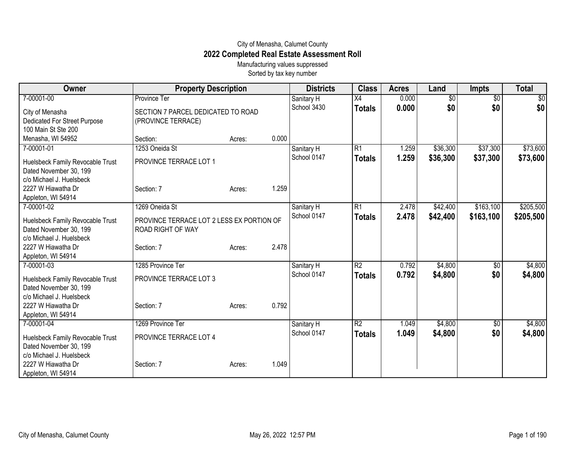## City of Menasha, Calumet County **2022 Completed Real Estate Assessment Roll**

Manufacturing values suppressed Sorted by tax key number

| Owner                                                      | <b>Property Description</b>                                    |        |       | <b>Districts</b>          | <b>Class</b>        | <b>Acres</b>   | Land                   | <b>Impts</b>           | <b>Total</b>       |
|------------------------------------------------------------|----------------------------------------------------------------|--------|-------|---------------------------|---------------------|----------------|------------------------|------------------------|--------------------|
| 7-00001-00                                                 | Province Ter<br>SECTION 7 PARCEL DEDICATED TO ROAD             |        |       | Sanitary H<br>School 3430 | X4<br><b>Totals</b> | 0.000<br>0.000 | $\overline{50}$<br>\$0 | $\overline{50}$<br>\$0 | $\sqrt{30}$<br>\$0 |
| City of Menasha<br>Dedicated For Street Purpose            | (PROVINCE TERRACE)                                             |        |       |                           |                     |                |                        |                        |                    |
| 100 Main St Ste 200                                        |                                                                |        |       |                           |                     |                |                        |                        |                    |
| Menasha, WI 54952                                          | Section:                                                       | Acres: | 0.000 |                           |                     |                |                        |                        |                    |
| 7-00001-01                                                 | 1253 Oneida St                                                 |        |       | Sanitary H                | R1                  | 1.259          | \$36,300               | \$37,300               | \$73,600           |
| Huelsbeck Family Revocable Trust<br>Dated November 30, 199 | PROVINCE TERRACE LOT 1                                         |        |       | School 0147               | <b>Totals</b>       | 1.259          | \$36,300               | \$37,300               | \$73,600           |
| c/o Michael J. Huelsbeck                                   |                                                                |        |       |                           |                     |                |                        |                        |                    |
| 2227 W Hiawatha Dr                                         | Section: 7                                                     | Acres: | 1.259 |                           |                     |                |                        |                        |                    |
| Appleton, WI 54914                                         |                                                                |        |       |                           |                     |                |                        |                        |                    |
| 7-00001-02                                                 | 1269 Oneida St                                                 |        |       | Sanitary H                | R1                  | 2.478          | \$42,400               | \$163,100              | \$205,500          |
| Huelsbeck Family Revocable Trust<br>Dated November 30, 199 | PROVINCE TERRACE LOT 2 LESS EX PORTION OF<br>ROAD RIGHT OF WAY |        |       | School 0147               | <b>Totals</b>       | 2.478          | \$42,400               | \$163,100              | \$205,500          |
| c/o Michael J. Huelsbeck                                   |                                                                |        |       |                           |                     |                |                        |                        |                    |
| 2227 W Hiawatha Dr                                         | Section: 7                                                     | Acres: | 2.478 |                           |                     |                |                        |                        |                    |
| Appleton, WI 54914                                         |                                                                |        |       |                           |                     |                |                        |                        |                    |
| 7-00001-03                                                 | 1285 Province Ter                                              |        |       | Sanitary H                | $\overline{R2}$     | 0.792          | \$4,800                | \$0                    | \$4,800            |
| Huelsbeck Family Revocable Trust                           | PROVINCE TERRACE LOT 3                                         |        |       | School 0147               | <b>Totals</b>       | 0.792          | \$4,800                | \$0                    | \$4,800            |
| Dated November 30, 199                                     |                                                                |        |       |                           |                     |                |                        |                        |                    |
| c/o Michael J. Huelsbeck                                   |                                                                |        |       |                           |                     |                |                        |                        |                    |
| 2227 W Hiawatha Dr                                         | Section: 7                                                     | Acres: | 0.792 |                           |                     |                |                        |                        |                    |
| Appleton, WI 54914                                         |                                                                |        |       |                           |                     |                |                        |                        |                    |
| 7-00001-04                                                 | 1269 Province Ter                                              |        |       | Sanitary H                | $\overline{R2}$     | 1.049          | \$4,800                | $\sqrt[6]{}$           | \$4,800            |
| Huelsbeck Family Revocable Trust                           | PROVINCE TERRACE LOT 4                                         |        |       | School 0147               | <b>Totals</b>       | 1.049          | \$4,800                | \$0                    | \$4,800            |
| Dated November 30, 199                                     |                                                                |        |       |                           |                     |                |                        |                        |                    |
| c/o Michael J. Huelsbeck                                   |                                                                |        |       |                           |                     |                |                        |                        |                    |
| 2227 W Hiawatha Dr<br>Appleton, WI 54914                   | Section: 7                                                     | Acres: | 1.049 |                           |                     |                |                        |                        |                    |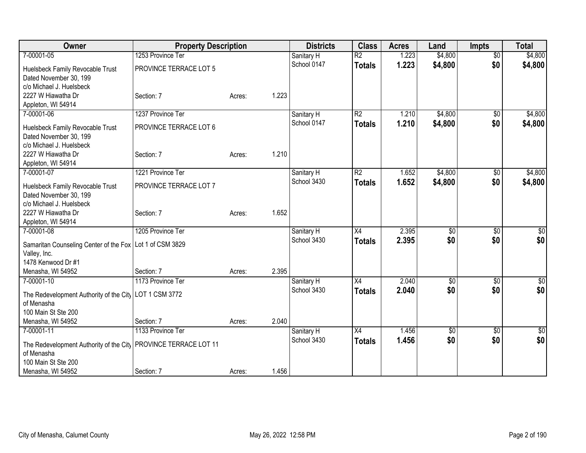| Owner                                                             | <b>Property Description</b> |        |       | <b>Districts</b> | <b>Class</b>             | <b>Acres</b> | Land            | <b>Impts</b>    | <b>Total</b>    |
|-------------------------------------------------------------------|-----------------------------|--------|-------|------------------|--------------------------|--------------|-----------------|-----------------|-----------------|
| 7-00001-05                                                        | 1253 Province Ter           |        |       | Sanitary H       | $\overline{\mathsf{R2}}$ | 1.223        | \$4,800         | $\overline{50}$ | \$4,800         |
| Huelsbeck Family Revocable Trust                                  | PROVINCE TERRACE LOT 5      |        |       | School 0147      | <b>Totals</b>            | 1.223        | \$4,800         | \$0             | \$4,800         |
| Dated November 30, 199                                            |                             |        |       |                  |                          |              |                 |                 |                 |
| c/o Michael J. Huelsbeck                                          |                             |        |       |                  |                          |              |                 |                 |                 |
| 2227 W Hiawatha Dr                                                | Section: 7                  | Acres: | 1.223 |                  |                          |              |                 |                 |                 |
| Appleton, WI 54914                                                |                             |        |       |                  |                          |              |                 |                 |                 |
| 7-00001-06                                                        | 1237 Province Ter           |        |       | Sanitary H       | $\overline{R2}$          | 1.210        | \$4,800         | \$0             | \$4,800         |
| Huelsbeck Family Revocable Trust                                  | PROVINCE TERRACE LOT 6      |        |       | School 0147      | <b>Totals</b>            | 1.210        | \$4,800         | \$0             | \$4,800         |
| Dated November 30, 199                                            |                             |        |       |                  |                          |              |                 |                 |                 |
| c/o Michael J. Huelsbeck                                          |                             |        |       |                  |                          |              |                 |                 |                 |
| 2227 W Hiawatha Dr                                                | Section: 7                  | Acres: | 1.210 |                  |                          |              |                 |                 |                 |
| Appleton, WI 54914                                                |                             |        |       |                  |                          |              |                 |                 |                 |
| 7-00001-07                                                        | 1221 Province Ter           |        |       | Sanitary H       | $\overline{R2}$          | 1.652        | \$4,800         | $\overline{50}$ | \$4,800         |
| Huelsbeck Family Revocable Trust                                  | PROVINCE TERRACE LOT 7      |        |       | School 3430      | <b>Totals</b>            | 1.652        | \$4,800         | \$0             | \$4,800         |
| Dated November 30, 199                                            |                             |        |       |                  |                          |              |                 |                 |                 |
| c/o Michael J. Huelsbeck                                          |                             |        |       |                  |                          |              |                 |                 |                 |
| 2227 W Hiawatha Dr                                                | Section: 7                  | Acres: | 1.652 |                  |                          |              |                 |                 |                 |
| Appleton, WI 54914                                                |                             |        |       |                  |                          |              |                 |                 |                 |
| 7-00001-08                                                        | 1205 Province Ter           |        |       | Sanitary H       | X4                       | 2.395        | $\overline{50}$ | $\overline{50}$ | $\sqrt{50}$     |
| Samaritan Counseling Center of the Fox   Lot 1 of CSM 3829        |                             |        |       | School 3430      | <b>Totals</b>            | 2.395        | \$0             | \$0             | \$0             |
| Valley, Inc.                                                      |                             |        |       |                  |                          |              |                 |                 |                 |
| 1478 Kenwood Dr #1                                                |                             |        |       |                  |                          |              |                 |                 |                 |
| Menasha, WI 54952                                                 | Section: 7                  | Acres: | 2.395 |                  |                          |              |                 |                 |                 |
| 7-00001-10                                                        | 1173 Province Ter           |        |       | Sanitary H       | X4                       | 2.040        | $\overline{60}$ | $\overline{50}$ | $\sqrt{50}$     |
| The Redevelopment Authority of the City   LOT 1 CSM 3772          |                             |        |       | School 3430      | <b>Totals</b>            | 2.040        | \$0             | \$0             | \$0             |
| of Menasha                                                        |                             |        |       |                  |                          |              |                 |                 |                 |
| 100 Main St Ste 200                                               |                             |        |       |                  |                          |              |                 |                 |                 |
| Menasha, WI 54952                                                 | Section: 7                  | Acres: | 2.040 |                  |                          |              |                 |                 |                 |
| 7-00001-11                                                        | 1133 Province Ter           |        |       | Sanitary H       | $\overline{X4}$          | 1.456        | $\sqrt[6]{3}$   | \$0             | $\overline{50}$ |
| The Redevelopment Authority of the City   PROVINCE TERRACE LOT 11 |                             |        |       | School 3430      | <b>Totals</b>            | 1.456        | \$0             | \$0             | \$0             |
| of Menasha                                                        |                             |        |       |                  |                          |              |                 |                 |                 |
| 100 Main St Ste 200                                               |                             |        |       |                  |                          |              |                 |                 |                 |
| Menasha, WI 54952                                                 | Section: 7                  | Acres: | 1.456 |                  |                          |              |                 |                 |                 |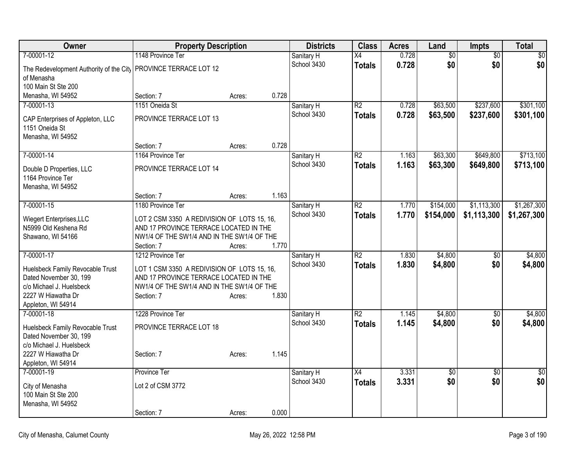| Owner                                                             | <b>Property Description</b>                              |        |       | <b>Districts</b>          | <b>Class</b>    | <b>Acres</b> | Land            | <b>Impts</b>    | <b>Total</b>   |
|-------------------------------------------------------------------|----------------------------------------------------------|--------|-------|---------------------------|-----------------|--------------|-----------------|-----------------|----------------|
| 7-00001-12                                                        | 1148 Province Ter                                        |        |       | Sanitary H                | $\overline{X4}$ | 0.728        | $\overline{50}$ | $\overline{50}$ | $\sqrt{50}$    |
| The Redevelopment Authority of the City   PROVINCE TERRACE LOT 12 |                                                          |        |       | School 3430               | <b>Totals</b>   | 0.728        | \$0             | \$0             | \$0            |
| of Menasha                                                        |                                                          |        |       |                           |                 |              |                 |                 |                |
| 100 Main St Ste 200                                               |                                                          |        |       |                           |                 |              |                 |                 |                |
| Menasha, WI 54952                                                 | Section: 7                                               | Acres: | 0.728 |                           |                 |              |                 |                 |                |
| 7-00001-13                                                        | 1151 Oneida St                                           |        |       | Sanitary H                | R <sub>2</sub>  | 0.728        | \$63,500        | \$237,600       | \$301,100      |
| CAP Enterprises of Appleton, LLC                                  | PROVINCE TERRACE LOT 13                                  |        |       | School 3430               | <b>Totals</b>   | 0.728        | \$63,500        | \$237,600       | \$301,100      |
| 1151 Oneida St                                                    |                                                          |        |       |                           |                 |              |                 |                 |                |
| Menasha, WI 54952                                                 |                                                          |        |       |                           |                 |              |                 |                 |                |
|                                                                   | Section: 7                                               | Acres: | 0.728 |                           |                 |              |                 |                 |                |
| 7-00001-14                                                        | 1164 Province Ter                                        |        |       | Sanitary H<br>School 3430 | $\overline{R2}$ | 1.163        | \$63,300        | \$649,800       | \$713,100      |
| Double D Properties, LLC                                          | PROVINCE TERRACE LOT 14                                  |        |       |                           | <b>Totals</b>   | 1.163        | \$63,300        | \$649,800       | \$713,100      |
| 1164 Province Ter                                                 |                                                          |        |       |                           |                 |              |                 |                 |                |
| Menasha, WI 54952                                                 |                                                          |        |       |                           |                 |              |                 |                 |                |
| 7-00001-15                                                        | Section: 7<br>1180 Province Ter                          | Acres: | 1.163 |                           | $\overline{R2}$ | 1.770        | \$154,000       | \$1,113,300     | \$1,267,300    |
|                                                                   |                                                          |        |       | Sanitary H<br>School 3430 | Totals          | 1.770        | \$154,000       | \$1,113,300     | \$1,267,300    |
| Wiegert Enterprises, LLC                                          | LOT 2 CSM 3350 A REDIVISION OF LOTS 15, 16,              |        |       |                           |                 |              |                 |                 |                |
| N5999 Old Keshena Rd                                              | AND 17 PROVINCE TERRACE LOCATED IN THE                   |        |       |                           |                 |              |                 |                 |                |
| Shawano, WI 54166                                                 | NW1/4 OF THE SW1/4 AND IN THE SW1/4 OF THE               |        | 1.770 |                           |                 |              |                 |                 |                |
| 7-00001-17                                                        | Section: 7<br>1212 Province Ter                          | Acres: |       | Sanitary H                | $\overline{R2}$ | 1.830        | \$4,800         | \$0             | \$4,800        |
|                                                                   |                                                          |        |       | School 3430               | <b>Totals</b>   | 1.830        | \$4,800         | \$0             | \$4,800        |
| Huelsbeck Family Revocable Trust                                  | LOT 1 CSM 3350 A REDIVISION OF LOTS 15, 16,              |        |       |                           |                 |              |                 |                 |                |
| Dated November 30, 199                                            | AND 17 PROVINCE TERRACE LOCATED IN THE                   |        |       |                           |                 |              |                 |                 |                |
| c/o Michael J. Huelsbeck<br>2227 W Hiawatha Dr                    | NW1/4 OF THE SW1/4 AND IN THE SW1/4 OF THE<br>Section: 7 | Acres: | 1.830 |                           |                 |              |                 |                 |                |
| Appleton, WI 54914                                                |                                                          |        |       |                           |                 |              |                 |                 |                |
| 7-00001-18                                                        | 1228 Province Ter                                        |        |       | Sanitary H                | $\overline{R2}$ | 1.145        | \$4,800         | \$0             | \$4,800        |
|                                                                   | PROVINCE TERRACE LOT 18                                  |        |       | School 3430               | <b>Totals</b>   | 1.145        | \$4,800         | \$0             | \$4,800        |
| Huelsbeck Family Revocable Trust<br>Dated November 30, 199        |                                                          |        |       |                           |                 |              |                 |                 |                |
| c/o Michael J. Huelsbeck                                          |                                                          |        |       |                           |                 |              |                 |                 |                |
| 2227 W Hiawatha Dr                                                | Section: 7                                               | Acres: | 1.145 |                           |                 |              |                 |                 |                |
| Appleton, WI 54914                                                |                                                          |        |       |                           |                 |              |                 |                 |                |
| 7-00001-19                                                        | <b>Province Ter</b>                                      |        |       | Sanitary H                | $\overline{X4}$ | 3.331        | $\overline{50}$ | $\overline{50}$ | $\frac{1}{30}$ |
| City of Menasha                                                   | Lot 2 of CSM 3772                                        |        |       | School 3430               | Totals          | 3.331        | \$0             | \$0             | \$0            |
| 100 Main St Ste 200                                               |                                                          |        |       |                           |                 |              |                 |                 |                |
| Menasha, WI 54952                                                 |                                                          |        |       |                           |                 |              |                 |                 |                |
|                                                                   | Section: 7                                               | Acres: | 0.000 |                           |                 |              |                 |                 |                |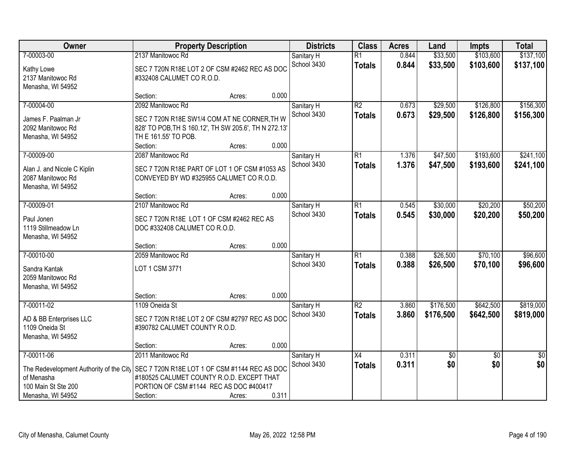| Owner                                                                                                           | <b>Property Description</b>                                                                                                                                                        |                  |                | <b>Districts</b>          | <b>Class</b>                     | <b>Acres</b>   | Land                   | <b>Impts</b>           | <b>Total</b>           |
|-----------------------------------------------------------------------------------------------------------------|------------------------------------------------------------------------------------------------------------------------------------------------------------------------------------|------------------|----------------|---------------------------|----------------------------------|----------------|------------------------|------------------------|------------------------|
| 7-00003-00<br>Kathy Lowe<br>2137 Manitowoc Rd                                                                   | 2137 Manitowoc Rd<br>SEC 7 T20N R18E LOT 2 OF CSM #2462 REC AS DOC<br>#332408 CALUMET CO R.O.D.                                                                                    |                  |                | Sanitary H<br>School 3430 | $\overline{R1}$<br><b>Totals</b> | 0.844<br>0.844 | \$33,500<br>\$33,500   | \$103,600<br>\$103,600 | \$137,100<br>\$137,100 |
| Menasha, WI 54952                                                                                               | Section:                                                                                                                                                                           | Acres:           | 0.000          |                           |                                  |                |                        |                        |                        |
| 7-00004-00<br>James F. Paalman Jr<br>2092 Manitowoc Rd<br>Menasha, WI 54952                                     | 2092 Manitowoc Rd<br>SEC 7 T20N R18E SW1/4 COM AT NE CORNER, TH W<br>828' TO POB, TH S 160.12', TH SW 205.6', TH N 272.13'<br>TH E 161.55' TO POB.                                 |                  |                | Sanitary H<br>School 3430 | $\overline{R2}$<br><b>Totals</b> | 0.673<br>0.673 | \$29,500<br>\$29,500   | \$126,800<br>\$126,800 | \$156,300<br>\$156,300 |
| 7-00009-00<br>Alan J. and Nicole C Kiplin<br>2087 Manitowoc Rd                                                  | Section:<br>2087 Manitowoc Rd<br>SEC 7 T20N R18E PART OF LOT 1 OF CSM #1053 AS<br>CONVEYED BY WD #325955 CALUMET CO R.O.D.                                                         | Acres:           | 0.000          | Sanitary H<br>School 3430 | $\overline{R1}$<br><b>Totals</b> | 1.376<br>1.376 | \$47,500<br>\$47,500   | \$193,600<br>\$193,600 | \$241,100<br>\$241,100 |
| Menasha, WI 54952<br>7-00009-01                                                                                 | Section:<br>2107 Manitowoc Rd                                                                                                                                                      | Acres:           | 0.000          | Sanitary H                | $\overline{R1}$                  | 0.545          | \$30,000               | \$20,200               | \$50,200               |
| Paul Jonen<br>1119 Stillmeadow Ln<br>Menasha, WI 54952                                                          | SEC 7 T20N R18E LOT 1 OF CSM #2462 REC AS<br>DOC #332408 CALUMET CO R.O.D.                                                                                                         |                  |                | School 3430               | <b>Totals</b>                    | 0.545          | \$30,000               | \$20,200               | \$50,200               |
| 7-00010-00<br>Sandra Kantak<br>2059 Manitowoc Rd<br>Menasha, WI 54952                                           | Section:<br>2059 Manitowoc Rd<br>LOT 1 CSM 3771                                                                                                                                    | Acres:           | 0.000          | Sanitary H<br>School 3430 | $\overline{R1}$<br><b>Totals</b> | 0.388<br>0.388 | \$26,500<br>\$26,500   | \$70,100<br>\$70,100   | \$96,600<br>\$96,600   |
| 7-00011-02<br>AD & BB Enterprises LLC<br>1109 Oneida St<br>Menasha, WI 54952                                    | Section:<br>1109 Oneida St<br>SEC 7 T20N R18E LOT 2 OF CSM #2797 REC AS DOC<br>#390782 CALUMET COUNTY R.O.D.                                                                       | Acres:           | 0.000          | Sanitary H<br>School 3430 | $\overline{R2}$<br><b>Totals</b> | 3.860<br>3.860 | \$176,500<br>\$176,500 | \$642,500<br>\$642,500 | \$819,000<br>\$819,000 |
| 7-00011-06<br>The Redevelopment Authority of the City<br>of Menasha<br>100 Main St Ste 200<br>Menasha, WI 54952 | Section:<br>2011 Manitowoc Rd<br>SEC 7 T20N R18E LOT 1 OF CSM #1144 REC AS DOC<br>#180525 CALUMET COUNTY R.O.D. EXCEPT THAT<br>PORTION OF CSM #1144 REC AS DOC #400417<br>Section: | Acres:<br>Acres: | 0.000<br>0.311 | Sanitary H<br>School 3430 | X4<br><b>Totals</b>              | 0.311<br>0.311 | \$0<br>\$0             | $\overline{50}$<br>\$0 | $\overline{50}$<br>\$0 |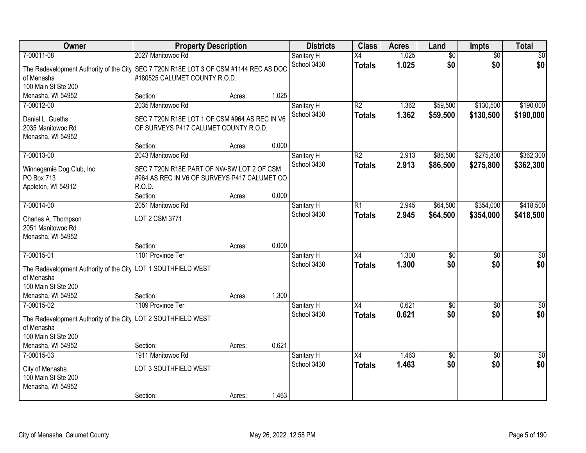| Owner                                                         | <b>Property Description</b>                    |        |       | <b>Districts</b> | <b>Class</b>             | <b>Acres</b> | Land            | Impts           | <b>Total</b>    |
|---------------------------------------------------------------|------------------------------------------------|--------|-------|------------------|--------------------------|--------------|-----------------|-----------------|-----------------|
| 7-00011-08                                                    | 2027 Manitowoc Rd                              |        |       | Sanitary H       | X4                       | 1.025        | $\overline{60}$ | $\overline{50}$ | $\overline{50}$ |
| The Redevelopment Authority of the City                       | SEC 7 T20N R18E LOT 3 OF CSM #1144 REC AS DOC  |        |       | School 3430      | <b>Totals</b>            | 1.025        | \$0             | \$0             | \$0             |
| of Menasha                                                    | #180525 CALUMET COUNTY R.O.D.                  |        |       |                  |                          |              |                 |                 |                 |
| 100 Main St Ste 200                                           |                                                |        |       |                  |                          |              |                 |                 |                 |
| Menasha, WI 54952                                             | Section:                                       | Acres: | 1.025 |                  |                          |              |                 |                 |                 |
| 7-00012-00                                                    | 2035 Manitowoc Rd                              |        |       | Sanitary H       | $\overline{R2}$          | 1.362        | \$59,500        | \$130,500       | \$190,000       |
| Daniel L. Gueths                                              | SEC 7 T20N R18E LOT 1 OF CSM #964 AS REC IN V6 |        |       | School 3430      | <b>Totals</b>            | 1.362        | \$59,500        | \$130,500       | \$190,000       |
| 2035 Manitowoc Rd                                             | OF SURVEYS P417 CALUMET COUNTY R.O.D.          |        |       |                  |                          |              |                 |                 |                 |
| Menasha, WI 54952                                             |                                                |        |       |                  |                          |              |                 |                 |                 |
|                                                               | Section:                                       | Acres: | 0.000 |                  |                          |              |                 |                 |                 |
| 7-00013-00                                                    | 2043 Manitowoc Rd                              |        |       | Sanitary H       | $\overline{\mathsf{R2}}$ | 2.913        | \$86,500        | \$275,800       | \$362,300       |
| Winnegamie Dog Club, Inc                                      | SEC 7 T20N R18E PART OF NW-SW LOT 2 OF CSM     |        |       | School 3430      | <b>Totals</b>            | 2.913        | \$86,500        | \$275,800       | \$362,300       |
| <b>PO Box 713</b>                                             | #964 AS REC IN V6 OF SURVEYS P417 CALUMET CO   |        |       |                  |                          |              |                 |                 |                 |
| Appleton, WI 54912                                            | R.O.D.                                         |        |       |                  |                          |              |                 |                 |                 |
|                                                               | Section:                                       | Acres: | 0.000 |                  |                          |              |                 |                 |                 |
| 7-00014-00                                                    | 2051 Manitowoc Rd                              |        |       | Sanitary H       | R1                       | 2.945        | \$64,500        | \$354,000       | \$418,500       |
|                                                               | LOT 2 CSM 3771                                 |        |       | School 3430      | <b>Totals</b>            | 2.945        | \$64,500        | \$354,000       | \$418,500       |
| Charles A. Thompson<br>2051 Manitowoc Rd                      |                                                |        |       |                  |                          |              |                 |                 |                 |
| Menasha, WI 54952                                             |                                                |        |       |                  |                          |              |                 |                 |                 |
|                                                               | Section:                                       | Acres: | 0.000 |                  |                          |              |                 |                 |                 |
| 7-00015-01                                                    | 1101 Province Ter                              |        |       | Sanitary H       | $\overline{X4}$          | 1.300        | $\overline{50}$ | $\overline{50}$ | $\overline{50}$ |
|                                                               |                                                |        |       | School 3430      | <b>Totals</b>            | 1.300        | \$0             | \$0             | \$0             |
| The Redevelopment Authority of the City<br>of Menasha         | <b>LOT 1 SOUTHFIELD WEST</b>                   |        |       |                  |                          |              |                 |                 |                 |
| 100 Main St Ste 200                                           |                                                |        |       |                  |                          |              |                 |                 |                 |
| Menasha, WI 54952                                             | Section:                                       | Acres: | 1.300 |                  |                          |              |                 |                 |                 |
| 7-00015-02                                                    | 1109 Province Ter                              |        |       | Sanitary H       | $\overline{X4}$          | 0.621        | $\overline{50}$ | $\overline{50}$ | $\overline{50}$ |
|                                                               |                                                |        |       | School 3430      | <b>Totals</b>            | 0.621        | \$0             | \$0             | \$0             |
| The Redevelopment Authority of the City LOT 2 SOUTHFIELD WEST |                                                |        |       |                  |                          |              |                 |                 |                 |
| of Menasha<br>100 Main St Ste 200                             |                                                |        |       |                  |                          |              |                 |                 |                 |
| Menasha, WI 54952                                             | Section:                                       | Acres: | 0.621 |                  |                          |              |                 |                 |                 |
| 7-00015-03                                                    | 1911 Manitowoc Rd                              |        |       | Sanitary H       | X4                       | 1.463        | $\sqrt{50}$     | $\overline{50}$ | $\overline{50}$ |
|                                                               |                                                |        |       | School 3430      | <b>Totals</b>            | 1.463        | \$0             | \$0             | \$0             |
| City of Menasha                                               | LOT 3 SOUTHFIELD WEST                          |        |       |                  |                          |              |                 |                 |                 |
| 100 Main St Ste 200                                           |                                                |        |       |                  |                          |              |                 |                 |                 |
| Menasha, WI 54952                                             | Section:                                       |        | 1.463 |                  |                          |              |                 |                 |                 |
|                                                               |                                                | Acres: |       |                  |                          |              |                 |                 |                 |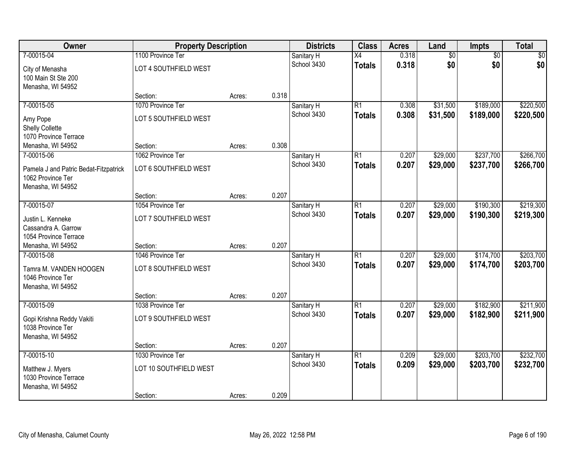| Owner                                  | <b>Property Description</b> |        |       | <b>Districts</b> | <b>Class</b>    | <b>Acres</b> | Land            | Impts           | <b>Total</b> |
|----------------------------------------|-----------------------------|--------|-------|------------------|-----------------|--------------|-----------------|-----------------|--------------|
| 7-00015-04                             | 1100 Province Ter           |        |       | Sanitary H       | $\overline{X4}$ | 0.318        | $\overline{60}$ | $\overline{50}$ | \$0          |
| City of Menasha<br>100 Main St Ste 200 | LOT 4 SOUTHFIELD WEST       |        |       | School 3430      | <b>Totals</b>   | 0.318        | \$0             | \$0             | \$0          |
| Menasha, WI 54952                      |                             |        |       |                  |                 |              |                 |                 |              |
|                                        | Section:                    | Acres: | 0.318 |                  |                 |              |                 |                 |              |
| 7-00015-05                             | 1070 Province Ter           |        |       | Sanitary H       | $\overline{R1}$ | 0.308        | \$31,500        | \$189,000       | \$220,500    |
| Amy Pope                               | LOT 5 SOUTHFIELD WEST       |        |       | School 3430      | <b>Totals</b>   | 0.308        | \$31,500        | \$189,000       | \$220,500    |
| Shelly Collette                        |                             |        |       |                  |                 |              |                 |                 |              |
| 1070 Province Terrace                  |                             |        |       |                  |                 |              |                 |                 |              |
| Menasha, WI 54952                      | Section:                    | Acres: | 0.308 |                  |                 |              |                 |                 |              |
| 7-00015-06                             | 1062 Province Ter           |        |       | Sanitary H       | $\overline{R1}$ | 0.207        | \$29,000        | \$237,700       | \$266,700    |
| Pamela J and Patric Bedat-Fitzpatrick  | LOT 6 SOUTHFIELD WEST       |        |       | School 3430      | <b>Totals</b>   | 0.207        | \$29,000        | \$237,700       | \$266,700    |
| 1062 Province Ter                      |                             |        |       |                  |                 |              |                 |                 |              |
| Menasha, WI 54952                      |                             |        |       |                  |                 |              |                 |                 |              |
|                                        | Section:                    | Acres: | 0.207 |                  |                 |              |                 |                 |              |
| 7-00015-07                             | 1054 Province Ter           |        |       | Sanitary H       | $\overline{R1}$ | 0.207        | \$29,000        | \$190,300       | \$219,300    |
| Justin L. Kenneke                      | LOT 7 SOUTHFIELD WEST       |        |       | School 3430      | <b>Totals</b>   | 0.207        | \$29,000        | \$190,300       | \$219,300    |
| Cassandra A. Garrow                    |                             |        |       |                  |                 |              |                 |                 |              |
| 1054 Province Terrace                  |                             |        |       |                  |                 |              |                 |                 |              |
| Menasha, WI 54952                      | Section:                    | Acres: | 0.207 |                  |                 |              |                 |                 |              |
| 7-00015-08                             | 1046 Province Ter           |        |       | Sanitary H       | $\overline{R1}$ | 0.207        | \$29,000        | \$174,700       | \$203,700    |
| Tamra M. VANDEN HOOGEN                 | LOT 8 SOUTHFIELD WEST       |        |       | School 3430      | <b>Totals</b>   | 0.207        | \$29,000        | \$174,700       | \$203,700    |
| 1046 Province Ter                      |                             |        |       |                  |                 |              |                 |                 |              |
| Menasha, WI 54952                      |                             |        |       |                  |                 |              |                 |                 |              |
|                                        | Section:                    | Acres: | 0.207 |                  |                 |              |                 |                 |              |
| 7-00015-09                             | 1038 Province Ter           |        |       | Sanitary H       | $\overline{R1}$ | 0.207        | \$29,000        | \$182,900       | \$211,900    |
| Gopi Krishna Reddy Vakiti              | LOT 9 SOUTHFIELD WEST       |        |       | School 3430      | <b>Totals</b>   | 0.207        | \$29,000        | \$182,900       | \$211,900    |
| 1038 Province Ter                      |                             |        |       |                  |                 |              |                 |                 |              |
| Menasha, WI 54952                      |                             |        |       |                  |                 |              |                 |                 |              |
|                                        | Section:                    | Acres: | 0.207 |                  |                 |              |                 |                 |              |
| 7-00015-10                             | 1030 Province Ter           |        |       | Sanitary H       | $\overline{R1}$ | 0.209        | \$29,000        | \$203,700       | \$232,700    |
| Matthew J. Myers                       | LOT 10 SOUTHFIELD WEST      |        |       | School 3430      | <b>Totals</b>   | 0.209        | \$29,000        | \$203,700       | \$232,700    |
| 1030 Province Terrace                  |                             |        |       |                  |                 |              |                 |                 |              |
| Menasha, WI 54952                      |                             |        |       |                  |                 |              |                 |                 |              |
|                                        | Section:                    | Acres: | 0.209 |                  |                 |              |                 |                 |              |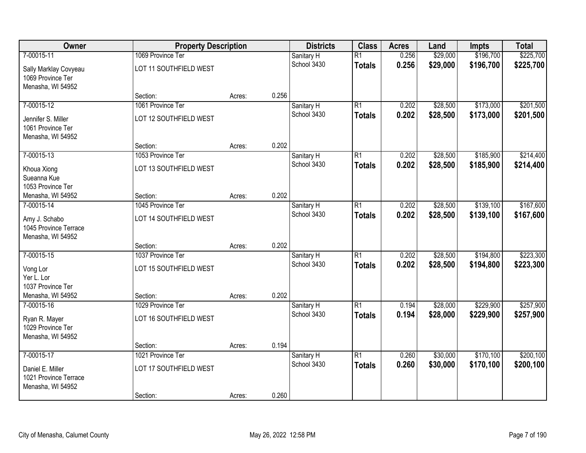| Owner                                      | <b>Property Description</b> |        |       | <b>Districts</b> | <b>Class</b>    | <b>Acres</b> | Land     | <b>Impts</b> | <b>Total</b> |
|--------------------------------------------|-----------------------------|--------|-------|------------------|-----------------|--------------|----------|--------------|--------------|
| 7-00015-11                                 | 1069 Province Ter           |        |       | Sanitary H       | $\overline{R1}$ | 0.256        | \$29,000 | \$196,700    | \$225,700    |
| Sally Marklay Covyeau<br>1069 Province Ter | LOT 11 SOUTHFIELD WEST      |        |       | School 3430      | <b>Totals</b>   | 0.256        | \$29,000 | \$196,700    | \$225,700    |
| Menasha, WI 54952                          |                             |        |       |                  |                 |              |          |              |              |
|                                            | Section:                    | Acres: | 0.256 |                  |                 |              |          |              |              |
| 7-00015-12                                 | 1061 Province Ter           |        |       | Sanitary H       | $\overline{R1}$ | 0.202        | \$28,500 | \$173,000    | \$201,500    |
| Jennifer S. Miller                         | LOT 12 SOUTHFIELD WEST      |        |       | School 3430      | <b>Totals</b>   | 0.202        | \$28,500 | \$173,000    | \$201,500    |
| 1061 Province Ter                          |                             |        |       |                  |                 |              |          |              |              |
| Menasha, WI 54952                          |                             |        |       |                  |                 |              |          |              |              |
|                                            | Section:                    | Acres: | 0.202 |                  |                 |              |          |              |              |
| 7-00015-13                                 | 1053 Province Ter           |        |       | Sanitary H       | $\overline{R1}$ | 0.202        | \$28,500 | \$185,900    | \$214,400    |
| Khoua Xiong                                | LOT 13 SOUTHFIELD WEST      |        |       | School 3430      | <b>Totals</b>   | 0.202        | \$28,500 | \$185,900    | \$214,400    |
| Sueanna Kue                                |                             |        |       |                  |                 |              |          |              |              |
| 1053 Province Ter                          |                             |        |       |                  |                 |              |          |              |              |
| Menasha, WI 54952                          | Section:                    | Acres: | 0.202 |                  |                 |              |          |              |              |
| 7-00015-14                                 | 1045 Province Ter           |        |       | Sanitary H       | $\overline{R1}$ | 0.202        | \$28,500 | \$139,100    | \$167,600    |
| Amy J. Schabo                              | LOT 14 SOUTHFIELD WEST      |        |       | School 3430      | <b>Totals</b>   | 0.202        | \$28,500 | \$139,100    | \$167,600    |
| 1045 Province Terrace                      |                             |        |       |                  |                 |              |          |              |              |
| Menasha, WI 54952                          |                             |        |       |                  |                 |              |          |              |              |
|                                            | Section:                    | Acres: | 0.202 |                  |                 |              |          |              |              |
| 7-00015-15                                 | 1037 Province Ter           |        |       | Sanitary H       | $\overline{R1}$ | 0.202        | \$28,500 | \$194,800    | \$223,300    |
| Vong Lor                                   | LOT 15 SOUTHFIELD WEST      |        |       | School 3430      | <b>Totals</b>   | 0.202        | \$28,500 | \$194,800    | \$223,300    |
| Yer L. Lor                                 |                             |        |       |                  |                 |              |          |              |              |
| 1037 Province Ter                          |                             |        |       |                  |                 |              |          |              |              |
| Menasha, WI 54952                          | Section:                    | Acres: | 0.202 |                  |                 |              |          |              |              |
| 7-00015-16                                 | 1029 Province Ter           |        |       | Sanitary H       | $\overline{R1}$ | 0.194        | \$28,000 | \$229,900    | \$257,900    |
| Ryan R. Mayer                              | LOT 16 SOUTHFIELD WEST      |        |       | School 3430      | <b>Totals</b>   | 0.194        | \$28,000 | \$229,900    | \$257,900    |
| 1029 Province Ter                          |                             |        |       |                  |                 |              |          |              |              |
| Menasha, WI 54952                          |                             |        |       |                  |                 |              |          |              |              |
|                                            | Section:                    | Acres: | 0.194 |                  |                 |              |          |              |              |
| 7-00015-17                                 | 1021 Province Ter           |        |       | Sanitary H       | $\overline{R1}$ | 0.260        | \$30,000 | \$170,100    | \$200,100    |
| Daniel E. Miller                           | LOT 17 SOUTHFIELD WEST      |        |       | School 3430      | <b>Totals</b>   | 0.260        | \$30,000 | \$170,100    | \$200,100    |
| 1021 Province Terrace                      |                             |        |       |                  |                 |              |          |              |              |
| Menasha, WI 54952                          |                             |        |       |                  |                 |              |          |              |              |
|                                            | Section:                    | Acres: | 0.260 |                  |                 |              |          |              |              |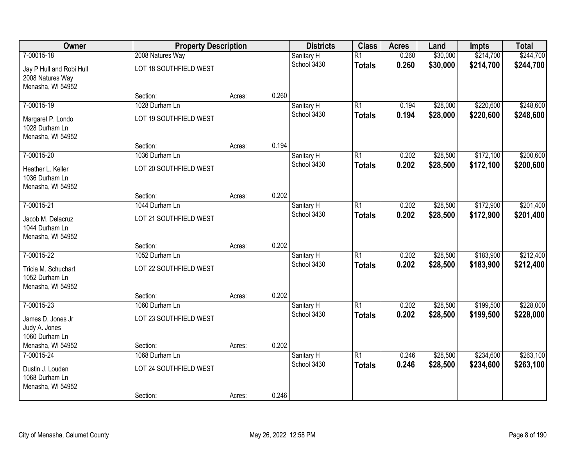| Owner                                                             | <b>Property Description</b>        |        |       | <b>Districts</b> | <b>Class</b>    | <b>Acres</b> | Land     | <b>Impts</b> | <b>Total</b> |
|-------------------------------------------------------------------|------------------------------------|--------|-------|------------------|-----------------|--------------|----------|--------------|--------------|
| 7-00015-18                                                        | 2008 Natures Way                   |        |       | Sanitary H       | $\overline{R1}$ | 0.260        | \$30,000 | \$214,700    | \$244,700    |
| Jay P Hull and Robi Hull<br>2008 Natures Way<br>Menasha, WI 54952 | LOT 18 SOUTHFIELD WEST             |        |       | School 3430      | <b>Totals</b>   | 0.260        | \$30,000 | \$214,700    | \$244,700    |
|                                                                   | Section:                           | Acres: | 0.260 |                  |                 |              |          |              |              |
| 7-00015-19                                                        | 1028 Durham Ln                     |        |       | Sanitary H       | $\overline{R1}$ | 0.194        | \$28,000 | \$220,600    | \$248,600    |
| Margaret P. Londo<br>1028 Durham Ln<br>Menasha, WI 54952          | LOT 19 SOUTHFIELD WEST             |        |       | School 3430      | <b>Totals</b>   | 0.194        | \$28,000 | \$220,600    | \$248,600    |
|                                                                   | Section:                           | Acres: | 0.194 |                  |                 |              |          |              |              |
| 7-00015-20                                                        | 1036 Durham Ln                     |        |       | Sanitary H       | $\overline{R1}$ | 0.202        | \$28,500 | \$172,100    | \$200,600    |
| Heather L. Keller<br>1036 Durham Ln<br>Menasha, WI 54952          | LOT 20 SOUTHFIELD WEST             |        |       | School 3430      | <b>Totals</b>   | 0.202        | \$28,500 | \$172,100    | \$200,600    |
|                                                                   | Section:                           | Acres: | 0.202 |                  |                 |              |          |              |              |
| 7-00015-21                                                        | 1044 Durham Ln                     |        |       | Sanitary H       | $\overline{R1}$ | 0.202        | \$28,500 | \$172,900    | \$201,400    |
| Jacob M. Delacruz<br>1044 Durham Ln<br>Menasha, WI 54952          | LOT 21 SOUTHFIELD WEST             |        |       | School 3430      | <b>Totals</b>   | 0.202        | \$28,500 | \$172,900    | \$201,400    |
|                                                                   | Section:                           | Acres: | 0.202 |                  |                 |              |          |              |              |
| 7-00015-22                                                        | 1052 Durham Ln                     |        |       | Sanitary H       | $\overline{R1}$ | 0.202        | \$28,500 | \$183,900    | \$212,400    |
| Tricia M. Schuchart<br>1052 Durham Ln<br>Menasha, WI 54952        | LOT 22 SOUTHFIELD WEST             |        |       | School 3430      | <b>Totals</b>   | 0.202        | \$28,500 | \$183,900    | \$212,400    |
|                                                                   | Section:                           | Acres: | 0.202 |                  |                 |              |          |              |              |
| 7-00015-23                                                        | 1060 Durham Ln                     |        |       | Sanitary H       | $\overline{R1}$ | 0.202        | \$28,500 | \$199,500    | \$228,000    |
| James D. Jones Jr<br>Judy A. Jones<br>1060 Durham Ln              | LOT 23 SOUTHFIELD WEST             |        |       | School 3430      | <b>Totals</b>   | 0.202        | \$28,500 | \$199,500    | \$228,000    |
| Menasha, WI 54952                                                 | Section:                           | Acres: | 0.202 |                  |                 |              |          |              |              |
| 7-00015-24                                                        | 1068 Durham Ln                     |        |       | Sanitary H       | $\overline{R1}$ | 0.246        | \$28,500 | \$234,600    | \$263,100    |
| Dustin J. Louden<br>1068 Durham Ln<br>Menasha, WI 54952           | LOT 24 SOUTHFIELD WEST<br>Section: | Acres: | 0.246 | School 3430      | <b>Totals</b>   | 0.246        | \$28,500 | \$234,600    | \$263,100    |
|                                                                   |                                    |        |       |                  |                 |              |          |              |              |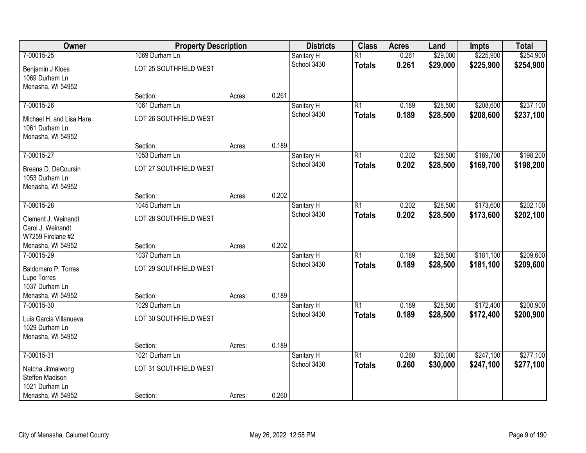| Owner                                                         | <b>Property Description</b>              |        |       | <b>Districts</b>          | <b>Class</b>                     | <b>Acres</b>   | Land                 | <b>Impts</b>           | <b>Total</b>           |
|---------------------------------------------------------------|------------------------------------------|--------|-------|---------------------------|----------------------------------|----------------|----------------------|------------------------|------------------------|
| 7-00015-25                                                    | 1069 Durham Ln                           |        |       | Sanitary H                | $\overline{R1}$                  | 0.261          | \$29,000             | \$225,900              | \$254,900              |
| Benjamin J Kloes<br>1069 Durham Ln                            | LOT 25 SOUTHFIELD WEST                   |        |       | School 3430               | <b>Totals</b>                    | 0.261          | \$29,000             | \$225,900              | \$254,900              |
| Menasha, WI 54952                                             | Section:                                 | Acres: | 0.261 |                           |                                  |                |                      |                        |                        |
| 7-00015-26<br>Michael H. and Lisa Hare                        | 1061 Durham Ln<br>LOT 26 SOUTHFIELD WEST |        |       | Sanitary H<br>School 3430 | $\overline{R1}$<br><b>Totals</b> | 0.189<br>0.189 | \$28,500<br>\$28,500 | \$208,600<br>\$208,600 | \$237,100<br>\$237,100 |
| 1061 Durham Ln<br>Menasha, WI 54952                           |                                          |        |       |                           |                                  |                |                      |                        |                        |
|                                                               | Section:                                 | Acres: | 0.189 |                           |                                  |                |                      |                        |                        |
| 7-00015-27                                                    | 1053 Durham Ln                           |        |       | Sanitary H                | $\overline{R1}$                  | 0.202          | \$28,500             | \$169,700              | \$198,200              |
| Breana D. DeCoursin<br>1053 Durham Ln<br>Menasha, WI 54952    | LOT 27 SOUTHFIELD WEST                   |        |       | School 3430               | <b>Totals</b>                    | 0.202          | \$28,500             | \$169,700              | \$198,200              |
|                                                               | Section:                                 | Acres: | 0.202 |                           |                                  |                |                      |                        |                        |
| 7-00015-28                                                    | 1045 Durham Ln                           |        |       | Sanitary H                | $\overline{R1}$                  | 0.202          | \$28,500             | \$173,600              | \$202,100              |
| Clement J. Weinandt<br>Carol J. Weinandt<br>W7259 Firelane #2 | LOT 28 SOUTHFIELD WEST                   |        |       | School 3430               | <b>Totals</b>                    | 0.202          | \$28,500             | \$173,600              | \$202,100              |
| Menasha, WI 54952                                             | Section:                                 | Acres: | 0.202 |                           |                                  |                |                      |                        |                        |
| 7-00015-29                                                    | 1037 Durham Ln                           |        |       | Sanitary H                | $\overline{R1}$                  | 0.189          | \$28,500             | \$181,100              | \$209,600              |
| Baldomero P. Torres                                           | LOT 29 SOUTHFIELD WEST                   |        |       | School 3430               | <b>Totals</b>                    | 0.189          | \$28,500             | \$181,100              | \$209,600              |
| Lupe Torres                                                   |                                          |        |       |                           |                                  |                |                      |                        |                        |
| 1037 Durham Ln                                                |                                          |        |       |                           |                                  |                |                      |                        |                        |
| Menasha, WI 54952                                             | Section:                                 | Acres: | 0.189 |                           |                                  |                |                      |                        |                        |
| 7-00015-30                                                    | 1029 Durham Ln                           |        |       | Sanitary H                | $\overline{R1}$                  | 0.189          | \$28,500             | \$172,400              | \$200,900              |
| Luis Garcia Villanueva<br>1029 Durham Ln<br>Menasha, WI 54952 | LOT 30 SOUTHFIELD WEST                   |        |       | School 3430               | <b>Totals</b>                    | 0.189          | \$28,500             | \$172,400              | \$200,900              |
|                                                               | Section:                                 | Acres: | 0.189 |                           |                                  |                |                      |                        |                        |
| 7-00015-31                                                    | 1021 Durham Ln                           |        |       | Sanitary H                | $\overline{R1}$                  | 0.260          | \$30,000             | \$247,100              | \$277,100              |
| Natcha Jitmaiwong<br>Steffen Madison                          | LOT 31 SOUTHFIELD WEST                   |        |       | School 3430               | <b>Totals</b>                    | 0.260          | \$30,000             | \$247,100              | \$277,100              |
| 1021 Durham Ln<br>Menasha, WI 54952                           | Section:                                 | Acres: | 0.260 |                           |                                  |                |                      |                        |                        |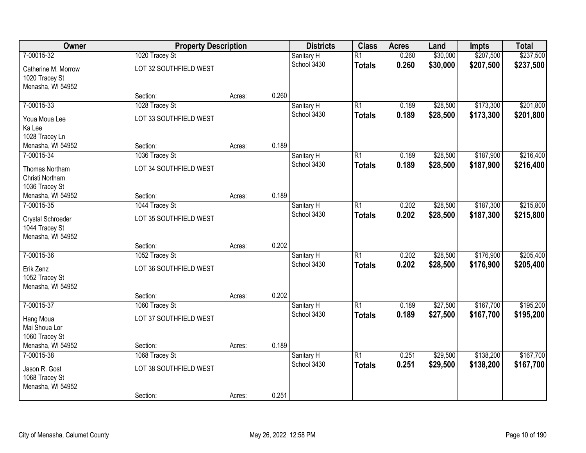| Owner               | <b>Property Description</b> |        |       | <b>Districts</b>          | <b>Class</b>    | <b>Acres</b>   | Land     | <b>Impts</b> | <b>Total</b> |
|---------------------|-----------------------------|--------|-------|---------------------------|-----------------|----------------|----------|--------------|--------------|
| 7-00015-32          | 1020 Tracey St              |        |       | Sanitary H                | $\overline{R1}$ | 0.260          | \$30,000 | \$207,500    | \$237,500    |
| Catherine M. Morrow | LOT 32 SOUTHFIELD WEST      |        |       | School 3430               | <b>Totals</b>   | 0.260          | \$30,000 | \$207,500    | \$237,500    |
| 1020 Tracey St      |                             |        |       |                           |                 |                |          |              |              |
| Menasha, WI 54952   |                             |        |       |                           |                 |                |          |              |              |
|                     | Section:                    | Acres: | 0.260 |                           |                 |                |          |              |              |
| 7-00015-33          | 1028 Tracey St              |        |       | Sanitary H                | $\overline{R1}$ | 0.189          | \$28,500 | \$173,300    | \$201,800    |
| Youa Moua Lee       | LOT 33 SOUTHFIELD WEST      |        |       | School 3430               | <b>Totals</b>   | 0.189          | \$28,500 | \$173,300    | \$201,800    |
| Ka Lee              |                             |        |       |                           |                 |                |          |              |              |
| 1028 Tracey Ln      |                             |        |       |                           |                 |                |          |              |              |
| Menasha, WI 54952   | Section:                    | Acres: | 0.189 |                           |                 |                |          |              |              |
| 7-00015-34          | 1036 Tracey St              |        |       | Sanitary H                | $\overline{R1}$ | 0.189          | \$28,500 | \$187,900    | \$216,400    |
| Thomas Northam      | LOT 34 SOUTHFIELD WEST      |        |       | School 3430               | <b>Totals</b>   | 0.189          | \$28,500 | \$187,900    | \$216,400    |
| Christi Northam     |                             |        |       |                           |                 |                |          |              |              |
| 1036 Tracey St      |                             |        |       |                           |                 |                |          |              |              |
| Menasha, WI 54952   | Section:                    | Acres: | 0.189 |                           |                 |                |          |              |              |
| 7-00015-35          | 1044 Tracey St              |        |       | Sanitary H                | $\overline{R1}$ | 0.202          | \$28,500 | \$187,300    | \$215,800    |
| Crystal Schroeder   | LOT 35 SOUTHFIELD WEST      |        |       | School 3430               | <b>Totals</b>   | 0.202          | \$28,500 | \$187,300    | \$215,800    |
| 1044 Tracey St      |                             |        |       |                           |                 |                |          |              |              |
| Menasha, WI 54952   |                             |        |       |                           |                 |                |          |              |              |
|                     | Section:                    | Acres: | 0.202 |                           |                 |                |          |              |              |
| 7-00015-36          | 1052 Tracey St              |        |       | Sanitary H                | $\overline{R1}$ | 0.202          | \$28,500 | \$176,900    | \$205,400    |
| Erik Zenz           | LOT 36 SOUTHFIELD WEST      |        |       | School 3430               | <b>Totals</b>   | 0.202          | \$28,500 | \$176,900    | \$205,400    |
| 1052 Tracey St      |                             |        |       |                           |                 |                |          |              |              |
| Menasha, WI 54952   |                             |        |       |                           |                 |                |          |              |              |
|                     | Section:                    | Acres: | 0.202 |                           |                 |                |          |              |              |
| 7-00015-37          | 1060 Tracey St              |        |       | Sanitary H<br>School 3430 | $\overline{R1}$ | 0.189<br>0.189 | \$27,500 | \$167,700    | \$195,200    |
| Hang Moua           | LOT 37 SOUTHFIELD WEST      |        |       |                           | <b>Totals</b>   |                | \$27,500 | \$167,700    | \$195,200    |
| Mai Shoua Lor       |                             |        |       |                           |                 |                |          |              |              |
| 1060 Tracey St      |                             |        |       |                           |                 |                |          |              |              |
| Menasha, WI 54952   | Section:                    | Acres: | 0.189 |                           | $\overline{R1}$ |                |          |              |              |
| 7-00015-38          | 1068 Tracey St              |        |       | Sanitary H<br>School 3430 |                 | 0.251<br>0.251 | \$29,500 | \$138,200    | \$167,700    |
| Jason R. Gost       | LOT 38 SOUTHFIELD WEST      |        |       |                           | <b>Totals</b>   |                | \$29,500 | \$138,200    | \$167,700    |
| 1068 Tracey St      |                             |        |       |                           |                 |                |          |              |              |
| Menasha, WI 54952   |                             |        |       |                           |                 |                |          |              |              |
|                     | Section:                    | Acres: | 0.251 |                           |                 |                |          |              |              |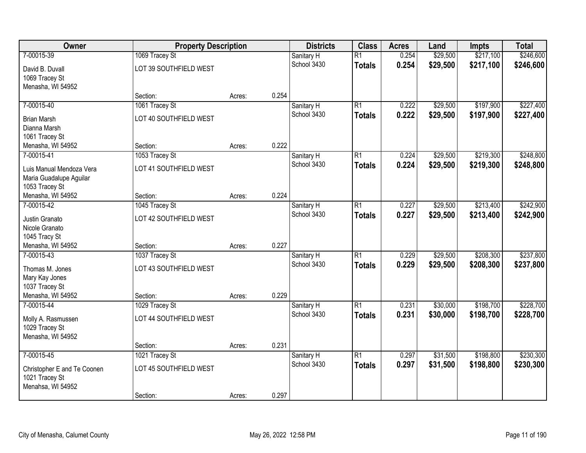| Owner                             | <b>Property Description</b> |        |       | <b>Districts</b> | <b>Class</b>    | <b>Acres</b> | Land     | <b>Impts</b> | <b>Total</b> |
|-----------------------------------|-----------------------------|--------|-------|------------------|-----------------|--------------|----------|--------------|--------------|
| 7-00015-39                        | 1069 Tracey St              |        |       | Sanitary H       | $\overline{R1}$ | 0.254        | \$29,500 | \$217,100    | \$246,600    |
| David B. Duvall                   | LOT 39 SOUTHFIELD WEST      |        |       | School 3430      | <b>Totals</b>   | 0.254        | \$29,500 | \$217,100    | \$246,600    |
| 1069 Tracey St                    |                             |        |       |                  |                 |              |          |              |              |
| Menasha, WI 54952                 |                             |        |       |                  |                 |              |          |              |              |
|                                   | Section:                    | Acres: | 0.254 |                  |                 |              |          |              |              |
| 7-00015-40                        | 1061 Tracey St              |        |       | Sanitary H       | $\overline{R1}$ | 0.222        | \$29,500 | \$197,900    | \$227,400    |
| <b>Brian Marsh</b>                | LOT 40 SOUTHFIELD WEST      |        |       | School 3430      | <b>Totals</b>   | 0.222        | \$29,500 | \$197,900    | \$227,400    |
| Dianna Marsh                      |                             |        |       |                  |                 |              |          |              |              |
| 1061 Tracey St                    |                             |        |       |                  |                 |              |          |              |              |
| Menasha, WI 54952                 | Section:                    | Acres: | 0.222 |                  |                 |              |          |              |              |
| 7-00015-41                        | 1053 Tracey St              |        |       | Sanitary H       | $\overline{R1}$ | 0.224        | \$29,500 | \$219,300    | \$248,800    |
| Luis Manual Mendoza Vera          | LOT 41 SOUTHFIELD WEST      |        |       | School 3430      | <b>Totals</b>   | 0.224        | \$29,500 | \$219,300    | \$248,800    |
| Maria Guadalupe Aguilar           |                             |        |       |                  |                 |              |          |              |              |
| 1053 Tracey St                    |                             |        |       |                  |                 |              |          |              |              |
| Menasha, WI 54952                 | Section:                    | Acres: | 0.224 |                  |                 |              |          |              |              |
| 7-00015-42                        | 1045 Tracey St              |        |       | Sanitary H       | $\overline{R1}$ | 0.227        | \$29,500 | \$213,400    | \$242,900    |
| Justin Granato                    | LOT 42 SOUTHFIELD WEST      |        |       | School 3430      | <b>Totals</b>   | 0.227        | \$29,500 | \$213,400    | \$242,900    |
| Nicole Granato                    |                             |        |       |                  |                 |              |          |              |              |
| 1045 Tracy St                     |                             |        |       |                  |                 |              |          |              |              |
| Menasha, WI 54952                 | Section:                    | Acres: | 0.227 |                  |                 |              |          |              |              |
| 7-00015-43                        | 1037 Tracey St              |        |       | Sanitary H       | $\overline{R1}$ | 0.229        | \$29,500 | \$208,300    | \$237,800    |
|                                   |                             |        |       | School 3430      | <b>Totals</b>   | 0.229        | \$29,500 | \$208,300    | \$237,800    |
| Thomas M. Jones<br>Mary Kay Jones | LOT 43 SOUTHFIELD WEST      |        |       |                  |                 |              |          |              |              |
| 1037 Tracey St                    |                             |        |       |                  |                 |              |          |              |              |
| Menasha, WI 54952                 | Section:                    | Acres: | 0.229 |                  |                 |              |          |              |              |
| 7-00015-44                        | 1029 Tracey St              |        |       | Sanitary H       | $\overline{R1}$ | 0.231        | \$30,000 | \$198,700    | \$228,700    |
|                                   |                             |        |       | School 3430      | <b>Totals</b>   | 0.231        | \$30,000 | \$198,700    | \$228,700    |
| Molly A. Rasmussen                | LOT 44 SOUTHFIELD WEST      |        |       |                  |                 |              |          |              |              |
| 1029 Tracey St                    |                             |        |       |                  |                 |              |          |              |              |
| Menasha, WI 54952                 | Section:                    | Acres: | 0.231 |                  |                 |              |          |              |              |
| 7-00015-45                        | 1021 Tracey St              |        |       | Sanitary H       | $\overline{R1}$ | 0.297        | \$31,500 | \$198,800    | \$230,300    |
|                                   |                             |        |       | School 3430      | <b>Totals</b>   | 0.297        | \$31,500 | \$198,800    | \$230,300    |
| Christopher E and Te Coonen       | LOT 45 SOUTHFIELD WEST      |        |       |                  |                 |              |          |              |              |
| 1021 Tracey St                    |                             |        |       |                  |                 |              |          |              |              |
| Menahsa, WI 54952                 |                             |        |       |                  |                 |              |          |              |              |
|                                   | Section:                    | Acres: | 0.297 |                  |                 |              |          |              |              |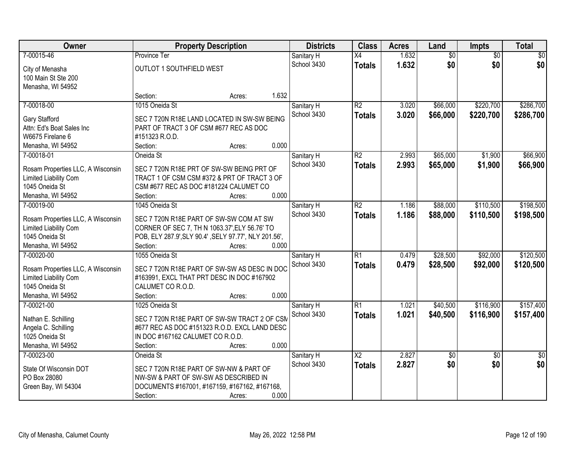| Owner                             | <b>Property Description</b>                           |        |       | <b>Districts</b> | <b>Class</b>           | <b>Acres</b> | Land            | Impts           | <b>Total</b>    |
|-----------------------------------|-------------------------------------------------------|--------|-------|------------------|------------------------|--------------|-----------------|-----------------|-----------------|
| 7-00015-46                        | <b>Province Ter</b>                                   |        |       | Sanitary H       | $\overline{X4}$        | 1.632        | $\overline{60}$ | $\overline{50}$ | \$0             |
| City of Menasha                   | OUTLOT 1 SOUTHFIELD WEST                              |        |       | School 3430      | <b>Totals</b>          | 1.632        | \$0             | \$0             | \$0             |
| 100 Main St Ste 200               |                                                       |        |       |                  |                        |              |                 |                 |                 |
| Menasha, WI 54952                 |                                                       |        |       |                  |                        |              |                 |                 |                 |
|                                   | Section:                                              | Acres: | 1.632 |                  |                        |              |                 |                 |                 |
| 7-00018-00                        | 1015 Oneida St                                        |        |       | Sanitary H       | $\overline{R2}$        | 3.020        | \$66,000        | \$220,700       | \$286,700       |
|                                   |                                                       |        |       | School 3430      | <b>Totals</b>          | 3.020        | \$66,000        | \$220,700       | \$286,700       |
| Gary Stafford                     | SEC 7 T20N R18E LAND LOCATED IN SW-SW BEING           |        |       |                  |                        |              |                 |                 |                 |
| Attn: Ed's Boat Sales Inc         | PART OF TRACT 3 OF CSM #677 REC AS DOC                |        |       |                  |                        |              |                 |                 |                 |
| W6675 Firelane 6                  | #151323 R.O.D.                                        |        |       |                  |                        |              |                 |                 |                 |
| Menasha, WI 54952                 | Section:                                              | Acres: | 0.000 |                  |                        |              |                 |                 |                 |
| 7-00018-01                        | Oneida St                                             |        |       | Sanitary H       | $\overline{R2}$        | 2.993        | \$65,000        | \$1,900         | \$66,900        |
| Rosam Properties LLC, A Wisconsin | SEC 7 T20N R18E PRT OF SW-SW BEING PRT OF             |        |       | School 3430      | <b>Totals</b>          | 2.993        | \$65,000        | \$1,900         | \$66,900        |
| Limited Liability Com             | TRACT 1 OF CSM CSM #372 & PRT OF TRACT 3 OF           |        |       |                  |                        |              |                 |                 |                 |
| 1045 Oneida St                    | CSM #677 REC AS DOC #181224 CALUMET CO                |        |       |                  |                        |              |                 |                 |                 |
| Menasha, WI 54952                 | Section:                                              | Acres: | 0.000 |                  |                        |              |                 |                 |                 |
| 7-00019-00                        | 1045 Oneida St                                        |        |       | Sanitary H       | $\overline{R2}$        | 1.186        | \$88,000        | \$110,500       | \$198,500       |
|                                   |                                                       |        |       | School 3430      | <b>Totals</b>          | 1.186        | \$88,000        | \$110,500       | \$198,500       |
| Rosam Properties LLC, A Wisconsin | SEC 7 T20N R18E PART OF SW-SW COM AT SW               |        |       |                  |                        |              |                 |                 |                 |
| Limited Liability Com             | CORNER OF SEC 7, TH N 1063.37', ELY 56.76' TO         |        |       |                  |                        |              |                 |                 |                 |
| 1045 Oneida St                    | POB, ELY 287.9', SLY 90.4', SELY 97.77', NLY 201.56', |        |       |                  |                        |              |                 |                 |                 |
| Menasha, WI 54952                 | Section:                                              | Acres: | 0.000 |                  |                        |              |                 |                 |                 |
| 7-00020-00                        | 1055 Oneida St                                        |        |       | Sanitary H       | $\overline{R1}$        | 0.479        | \$28,500        | \$92,000        | \$120,500       |
| Rosam Properties LLC, A Wisconsin | SEC 7 T20N R18E PART OF SW-SW AS DESC IN DOC          |        |       | School 3430      | <b>Totals</b>          | 0.479        | \$28,500        | \$92,000        | \$120,500       |
| Limited Liability Com             | #163991, EXCL THAT PRT DESC IN DOC #167902            |        |       |                  |                        |              |                 |                 |                 |
| 1045 Oneida St                    | CALUMET CO R.O.D.                                     |        |       |                  |                        |              |                 |                 |                 |
| Menasha, WI 54952                 | Section:                                              | Acres: | 0.000 |                  |                        |              |                 |                 |                 |
| 7-00021-00                        | 1025 Oneida St                                        |        |       | Sanitary H       | $\overline{R1}$        | 1.021        | \$40,500        | \$116,900       | \$157,400       |
|                                   |                                                       |        |       | School 3430      | <b>Totals</b>          | 1.021        | \$40,500        | \$116,900       | \$157,400       |
| Nathan E. Schilling               | SEC 7 T20N R18E PART OF SW-SW TRACT 2 OF CSM          |        |       |                  |                        |              |                 |                 |                 |
| Angela C. Schilling               | #677 REC AS DOC #151323 R.O.D. EXCL LAND DESC         |        |       |                  |                        |              |                 |                 |                 |
| 1025 Oneida St                    | IN DOC #167162 CALUMET CO R.O.D.                      |        |       |                  |                        |              |                 |                 |                 |
| Menasha, WI 54952                 | Section:                                              | Acres: | 0.000 |                  |                        |              |                 |                 |                 |
| 7-00023-00                        | Oneida St                                             |        |       | Sanitary H       | $\overline{\text{X2}}$ | 2.827        | $\sqrt{50}$     | $\overline{50}$ | $\overline{50}$ |
| State Of Wisconsin DOT            | SEC 7 T20N R18E PART OF SW-NW & PART OF               |        |       | School 3430      | <b>Totals</b>          | 2.827        | \$0             | \$0             | \$0             |
| PO Box 28080                      | NW-SW & PART OF SW-SW AS DESCRIBED IN                 |        |       |                  |                        |              |                 |                 |                 |
| Green Bay, WI 54304               | DOCUMENTS #167001, #167159, #167162, #167168,         |        |       |                  |                        |              |                 |                 |                 |
|                                   | Section:                                              | Acres: | 0.000 |                  |                        |              |                 |                 |                 |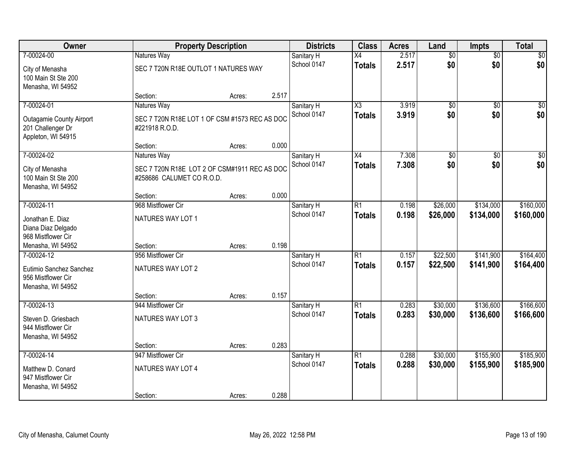| Owner                                                                                    |                                                                                          | <b>Property Description</b> |       | <b>Districts</b>          | <b>Class</b>                     | <b>Acres</b>   | Land                   | <b>Impts</b>           | <b>Total</b>            |
|------------------------------------------------------------------------------------------|------------------------------------------------------------------------------------------|-----------------------------|-------|---------------------------|----------------------------------|----------------|------------------------|------------------------|-------------------------|
| 7-00024-00                                                                               | Natures Way                                                                              |                             |       | Sanitary H                | $\overline{X4}$                  | 2.517          | $\overline{50}$        | $\overline{50}$        | $\sqrt{50}$             |
| City of Menasha<br>100 Main St Ste 200<br>Menasha, WI 54952                              | SEC 7 T20N R18E OUTLOT 1 NATURES WAY                                                     |                             |       | School 0147               | <b>Totals</b>                    | 2.517          | \$0                    | \$0                    | \$0                     |
|                                                                                          | Section:                                                                                 | Acres:                      | 2.517 |                           |                                  |                |                        |                        |                         |
| 7-00024-01<br><b>Outagamie County Airport</b><br>201 Challenger Dr<br>Appleton, WI 54915 | Natures Way<br>SEC 7 T20N R18E LOT 1 OF CSM #1573 REC AS DOC<br>#221918 R.O.D.           |                             |       | Sanitary H<br>School 0147 | X3<br><b>Totals</b>              | 3.919<br>3.919 | $\overline{50}$<br>\$0 | $\overline{50}$<br>\$0 | $\sqrt{50}$<br>\$0      |
|                                                                                          | Section:                                                                                 | Acres:                      | 0.000 |                           |                                  |                |                        |                        |                         |
| 7-00024-02<br>City of Menasha<br>100 Main St Ste 200<br>Menasha, WI 54952                | Natures Way<br>SEC 7 T20N R18E LOT 2 OF CSM#1911 REC AS DOC<br>#258686 CALUMET CO R.O.D. |                             |       | Sanitary H<br>School 0147 | X4<br><b>Totals</b>              | 7.308<br>7.308 | \$0<br>\$0             | \$0<br>\$0             | $\overline{\$0}$<br>\$0 |
|                                                                                          | Section:                                                                                 | Acres:                      | 0.000 |                           |                                  |                |                        |                        |                         |
| 7-00024-11<br>Jonathan E. Diaz<br>Diana Diaz Delgado<br>968 Mistflower Cir               | 968 Mistflower Cir<br>NATURES WAY LOT 1                                                  |                             |       | Sanitary H<br>School 0147 | R1<br><b>Totals</b>              | 0.198<br>0.198 | \$26,000<br>\$26,000   | \$134,000<br>\$134,000 | \$160,000<br>\$160,000  |
| Menasha, WI 54952                                                                        | Section:                                                                                 | Acres:                      | 0.198 |                           |                                  |                |                        |                        |                         |
| 7-00024-12<br>Eutimio Sanchez Sanchez<br>956 Mistflower Cir<br>Menasha, WI 54952         | 956 Mistflower Cir<br>NATURES WAY LOT 2<br>Section:                                      | Acres:                      | 0.157 | Sanitary H<br>School 0147 | $\overline{R1}$<br><b>Totals</b> | 0.157<br>0.157 | \$22,500<br>\$22,500   | \$141,900<br>\$141,900 | \$164,400<br>\$164,400  |
| 7-00024-13                                                                               | 944 Mistflower Cir                                                                       |                             |       | Sanitary H                | R1                               | 0.283          | \$30,000               | \$136,600              | \$166,600               |
| Steven D. Griesbach<br>944 Mistflower Cir<br>Menasha, WI 54952                           | NATURES WAY LOT 3                                                                        |                             |       | School 0147               | <b>Totals</b>                    | 0.283          | \$30,000               | \$136,600              | \$166,600               |
|                                                                                          | Section:                                                                                 | Acres:                      | 0.283 |                           |                                  |                |                        |                        |                         |
| 7-00024-14<br>Matthew D. Conard<br>947 Mistflower Cir<br>Menasha, WI 54952               | 947 Mistflower Cir<br>NATURES WAY LOT 4<br>Section:                                      | Acres:                      | 0.288 | Sanitary H<br>School 0147 | $\overline{R1}$<br><b>Totals</b> | 0.288<br>0.288 | \$30,000<br>\$30,000   | \$155,900<br>\$155,900 | \$185,900<br>\$185,900  |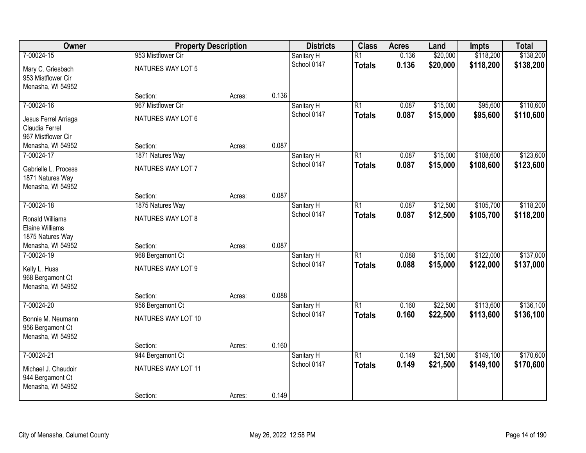| Owner                                                                | <b>Property Description</b> |        |       | <b>Districts</b>          | <b>Class</b>                     | <b>Acres</b>   | Land                 | <b>Impts</b>           | <b>Total</b>           |
|----------------------------------------------------------------------|-----------------------------|--------|-------|---------------------------|----------------------------------|----------------|----------------------|------------------------|------------------------|
| 7-00024-15                                                           | 953 Mistflower Cir          |        |       | Sanitary H                | $\overline{R1}$                  | 0.136          | \$20,000             | \$118,200              | \$138,200              |
| Mary C. Griesbach<br>953 Mistflower Cir                              | NATURES WAY LOT 5           |        |       | School 0147               | <b>Totals</b>                    | 0.136          | \$20,000             | \$118,200              | \$138,200              |
| Menasha, WI 54952                                                    | Section:                    | Acres: | 0.136 |                           |                                  |                |                      |                        |                        |
| 7-00024-16                                                           | 967 Mistflower Cir          |        |       | Sanitary H<br>School 0147 | $\overline{R1}$                  | 0.087<br>0.087 | \$15,000<br>\$15,000 | \$95,600<br>\$95,600   | \$110,600<br>\$110,600 |
| Jesus Ferrel Arriaga<br>Claudia Ferrel<br>967 Mistflower Cir         | NATURES WAY LOT 6           |        |       |                           | <b>Totals</b>                    |                |                      |                        |                        |
| Menasha, WI 54952                                                    | Section:                    | Acres: | 0.087 |                           |                                  |                |                      |                        |                        |
| 7-00024-17                                                           | 1871 Natures Way            |        |       | Sanitary H                | $\overline{R1}$                  | 0.087          | \$15,000             | \$108,600              | \$123,600              |
| Gabrielle L. Process<br>1871 Natures Way                             | NATURES WAY LOT 7           |        |       | School 0147               | <b>Totals</b>                    | 0.087          | \$15,000             | \$108,600              | \$123,600              |
| Menasha, WI 54952                                                    | Section:                    | Acres: | 0.087 |                           |                                  |                |                      |                        |                        |
| 7-00024-18                                                           | 1875 Natures Way            |        |       | Sanitary H                | $\overline{R1}$                  | 0.087          | \$12,500             | \$105,700              | \$118,200              |
| <b>Ronald Williams</b><br><b>Elaine Williams</b><br>1875 Natures Way | NATURES WAY LOT 8           |        |       | School 0147               | <b>Totals</b>                    | 0.087          | \$12,500             | \$105,700              | \$118,200              |
| Menasha, WI 54952                                                    | Section:                    | Acres: | 0.087 |                           |                                  |                |                      |                        |                        |
| 7-00024-19                                                           | 968 Bergamont Ct            |        |       | Sanitary H<br>School 0147 | $\overline{R1}$<br><b>Totals</b> | 0.088<br>0.088 | \$15,000<br>\$15,000 | \$122,000<br>\$122,000 | \$137,000<br>\$137,000 |
| Kelly L. Huss<br>968 Bergamont Ct<br>Menasha, WI 54952               | NATURES WAY LOT 9           |        |       |                           |                                  |                |                      |                        |                        |
|                                                                      | Section:                    | Acres: | 0.088 |                           |                                  |                |                      |                        |                        |
| 7-00024-20                                                           | 956 Bergamont Ct            |        |       | Sanitary H                | $\overline{R1}$                  | 0.160          | \$22,500             | \$113,600              | \$136,100              |
| Bonnie M. Neumann<br>956 Bergamont Ct<br>Menasha, WI 54952           | NATURES WAY LOT 10          |        |       | School 0147               | <b>Totals</b>                    | 0.160          | \$22,500             | \$113,600              | \$136,100              |
|                                                                      | Section:                    | Acres: | 0.160 |                           |                                  |                |                      |                        |                        |
| 7-00024-21                                                           | 944 Bergamont Ct            |        |       | Sanitary H                | $\overline{R1}$                  | 0.149          | \$21,500             | \$149,100              | \$170,600              |
| Michael J. Chaudoir<br>944 Bergamont Ct<br>Menasha, WI 54952         | NATURES WAY LOT 11          |        |       | School 0147               | <b>Totals</b>                    | 0.149          | \$21,500             | \$149,100              | \$170,600              |
|                                                                      | Section:                    | Acres: | 0.149 |                           |                                  |                |                      |                        |                        |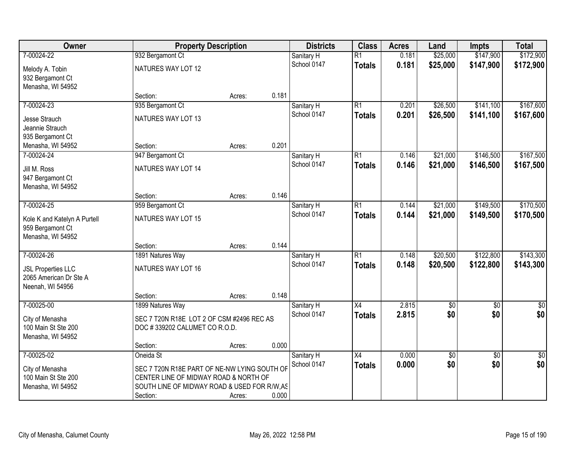| Owner                        | <b>Property Description</b>                  |        |       | <b>Districts</b> | <b>Class</b>    | <b>Acres</b> | Land            | <b>Impts</b>    | <b>Total</b>    |
|------------------------------|----------------------------------------------|--------|-------|------------------|-----------------|--------------|-----------------|-----------------|-----------------|
| 7-00024-22                   | 932 Bergamont Ct                             |        |       | Sanitary H       | $\overline{R1}$ | 0.181        | \$25,000        | \$147,900       | \$172,900       |
| Melody A. Tobin              | NATURES WAY LOT 12                           |        |       | School 0147      | <b>Totals</b>   | 0.181        | \$25,000        | \$147,900       | \$172,900       |
| 932 Bergamont Ct             |                                              |        |       |                  |                 |              |                 |                 |                 |
| Menasha, WI 54952            |                                              |        |       |                  |                 |              |                 |                 |                 |
|                              | Section:                                     | Acres: | 0.181 |                  |                 |              |                 |                 |                 |
| 7-00024-23                   | 935 Bergamont Ct                             |        |       | Sanitary H       | $\overline{R1}$ | 0.201        | \$26,500        | \$141,100       | \$167,600       |
| Jesse Strauch                | NATURES WAY LOT 13                           |        |       | School 0147      | <b>Totals</b>   | 0.201        | \$26,500        | \$141,100       | \$167,600       |
| Jeannie Strauch              |                                              |        |       |                  |                 |              |                 |                 |                 |
| 935 Bergamont Ct             |                                              |        |       |                  |                 |              |                 |                 |                 |
| Menasha, WI 54952            | Section:                                     | Acres: | 0.201 |                  |                 |              |                 |                 |                 |
| 7-00024-24                   | 947 Bergamont Ct                             |        |       | Sanitary H       | $\overline{R1}$ | 0.146        | \$21,000        | \$146,500       | \$167,500       |
| Jill M. Ross                 | NATURES WAY LOT 14                           |        |       | School 0147      | <b>Totals</b>   | 0.146        | \$21,000        | \$146,500       | \$167,500       |
| 947 Bergamont Ct             |                                              |        |       |                  |                 |              |                 |                 |                 |
| Menasha, WI 54952            |                                              |        |       |                  |                 |              |                 |                 |                 |
|                              | Section:                                     | Acres: | 0.146 |                  |                 |              |                 |                 |                 |
| 7-00024-25                   | 959 Bergamont Ct                             |        |       | Sanitary H       | $\overline{R1}$ | 0.144        | \$21,000        | \$149,500       | \$170,500       |
| Kole K and Katelyn A Purtell | NATURES WAY LOT 15                           |        |       | School 0147      | <b>Totals</b>   | 0.144        | \$21,000        | \$149,500       | \$170,500       |
| 959 Bergamont Ct             |                                              |        |       |                  |                 |              |                 |                 |                 |
| Menasha, WI 54952            |                                              |        |       |                  |                 |              |                 |                 |                 |
|                              | Section:                                     | Acres: | 0.144 |                  |                 |              |                 |                 |                 |
| 7-00024-26                   | 1891 Natures Way                             |        |       | Sanitary H       | $\overline{R1}$ | 0.148        | \$20,500        | \$122,800       | \$143,300       |
| <b>JSL Properties LLC</b>    | NATURES WAY LOT 16                           |        |       | School 0147      | <b>Totals</b>   | 0.148        | \$20,500        | \$122,800       | \$143,300       |
| 2065 American Dr Ste A       |                                              |        |       |                  |                 |              |                 |                 |                 |
| Neenah, WI 54956             |                                              |        |       |                  |                 |              |                 |                 |                 |
|                              | Section:                                     | Acres: | 0.148 |                  |                 |              |                 |                 |                 |
| 7-00025-00                   | 1899 Natures Way                             |        |       | Sanitary H       | $\overline{X4}$ | 2.815        | $\overline{60}$ | $\overline{50}$ | $\sqrt{30}$     |
| City of Menasha              | SEC 7 T20N R18E LOT 2 OF CSM #2496 REC AS    |        |       | School 0147      | <b>Totals</b>   | 2.815        | \$0             | \$0             | \$0             |
| 100 Main St Ste 200          | DOC #339202 CALUMET CO R.O.D.                |        |       |                  |                 |              |                 |                 |                 |
| Menasha, WI 54952            |                                              |        |       |                  |                 |              |                 |                 |                 |
|                              | Section:                                     | Acres: | 0.000 |                  |                 |              |                 |                 |                 |
| 7-00025-02                   | Oneida St                                    |        |       | Sanitary H       | $\overline{X4}$ | 0.000        | \$0             | $\overline{30}$ | $\overline{50}$ |
| City of Menasha              | SEC 7 T20N R18E PART OF NE-NW LYING SOUTH OF |        |       | School 0147      | <b>Totals</b>   | 0.000        | \$0             | \$0             | \$0             |
| 100 Main St Ste 200          | CENTER LINE OF MIDWAY ROAD & NORTH OF        |        |       |                  |                 |              |                 |                 |                 |
| Menasha, WI 54952            | SOUTH LINE OF MIDWAY ROAD & USED FOR R/W, AS |        |       |                  |                 |              |                 |                 |                 |
|                              | Section:                                     | Acres: | 0.000 |                  |                 |              |                 |                 |                 |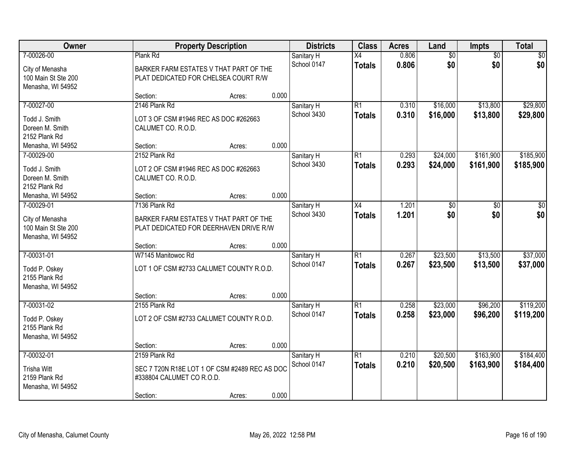| Owner                                                       |                                                                                  | <b>Property Description</b> |       | <b>Districts</b>          | <b>Class</b>                     | <b>Acres</b>   | Land                 | Impts                | <b>Total</b>         |
|-------------------------------------------------------------|----------------------------------------------------------------------------------|-----------------------------|-------|---------------------------|----------------------------------|----------------|----------------------|----------------------|----------------------|
| 7-00026-00                                                  | Plank Rd                                                                         |                             |       | Sanitary H                | $\overline{X4}$                  | 0.806          | $\overline{60}$      | $\overline{50}$      | \$0                  |
| City of Menasha<br>100 Main St Ste 200<br>Menasha, WI 54952 | BARKER FARM ESTATES V THAT PART OF THE<br>PLAT DEDICATED FOR CHELSEA COURT R/W   |                             |       | School 0147               | <b>Totals</b>                    | 0.806          | \$0                  | \$0                  | \$0                  |
|                                                             | Section:                                                                         | Acres:                      | 0.000 |                           |                                  |                |                      |                      |                      |
| 7-00027-00                                                  | 2146 Plank Rd                                                                    |                             |       | Sanitary H<br>School 3430 | $\overline{R1}$<br><b>Totals</b> | 0.310<br>0.310 | \$16,000<br>\$16,000 | \$13,800<br>\$13,800 | \$29,800<br>\$29,800 |
| Todd J. Smith<br>Doreen M. Smith<br>2152 Plank Rd           | LOT 3 OF CSM #1946 REC AS DOC #262663<br>CALUMET CO. R.O.D.                      |                             |       |                           |                                  |                |                      |                      |                      |
| Menasha, WI 54952                                           | Section:                                                                         | Acres:                      | 0.000 |                           |                                  |                |                      |                      |                      |
| 7-00029-00                                                  | 2152 Plank Rd                                                                    |                             |       | Sanitary H                | $\overline{R1}$                  | 0.293          | \$24,000             | \$161,900            | \$185,900            |
| Todd J. Smith<br>Doreen M. Smith<br>2152 Plank Rd           | LOT 2 OF CSM #1946 REC AS DOC #262663<br>CALUMET CO. R.O.D.                      |                             |       | School 3430               | <b>Totals</b>                    | 0.293          | \$24,000             | \$161,900            | \$185,900            |
| Menasha, WI 54952                                           | Section:                                                                         | Acres:                      | 0.000 |                           |                                  |                |                      |                      |                      |
| 7-00029-01                                                  | 7136 Plank Rd                                                                    |                             |       | Sanitary H                | X4                               | 1.201          | \$0                  | \$0                  | \$0                  |
| City of Menasha<br>100 Main St Ste 200<br>Menasha, WI 54952 | BARKER FARM ESTATES V THAT PART OF THE<br>PLAT DEDICATED FOR DEERHAVEN DRIVE R/W |                             |       | School 3430               | <b>Totals</b>                    | 1.201          | \$0                  | \$0                  | \$0                  |
|                                                             | Section:                                                                         | Acres:                      | 0.000 |                           |                                  |                |                      |                      |                      |
| 7-00031-01                                                  | W7145 Manitowoc Rd                                                               |                             |       | Sanitary H                | $\overline{R1}$                  | 0.267          | \$23,500             | \$13,500             | \$37,000             |
| Todd P. Oskey<br>2155 Plank Rd<br>Menasha, WI 54952         | LOT 1 OF CSM #2733 CALUMET COUNTY R.O.D.                                         |                             |       | School 0147               | <b>Totals</b>                    | 0.267          | \$23,500             | \$13,500             | \$37,000             |
|                                                             | Section:                                                                         | Acres:                      | 0.000 |                           |                                  |                |                      |                      |                      |
| 7-00031-02                                                  | 2155 Plank Rd                                                                    |                             |       | Sanitary H                | $\overline{R1}$                  | 0.258          | \$23,000             | \$96,200             | \$119,200            |
| Todd P. Oskey<br>2155 Plank Rd<br>Menasha, WI 54952         | LOT 2 OF CSM #2733 CALUMET COUNTY R.O.D.                                         |                             |       | School 0147               | <b>Totals</b>                    | 0.258          | \$23,000             | \$96,200             | \$119,200            |
|                                                             | Section:                                                                         | Acres:                      | 0.000 |                           |                                  |                |                      |                      |                      |
| 7-00032-01                                                  | 2159 Plank Rd                                                                    |                             |       | Sanitary H                | $\overline{R1}$                  | 0.210          | \$20,500             | \$163,900            | \$184,400            |
| <b>Trisha Witt</b><br>2159 Plank Rd<br>Menasha, WI 54952    | SEC 7 T20N R18E LOT 1 OF CSM #2489 REC AS DOC<br>#338804 CALUMET CO R.O.D.       |                             |       | School 0147               | <b>Totals</b>                    | 0.210          | \$20,500             | \$163,900            | \$184,400            |
|                                                             | Section:                                                                         | Acres:                      | 0.000 |                           |                                  |                |                      |                      |                      |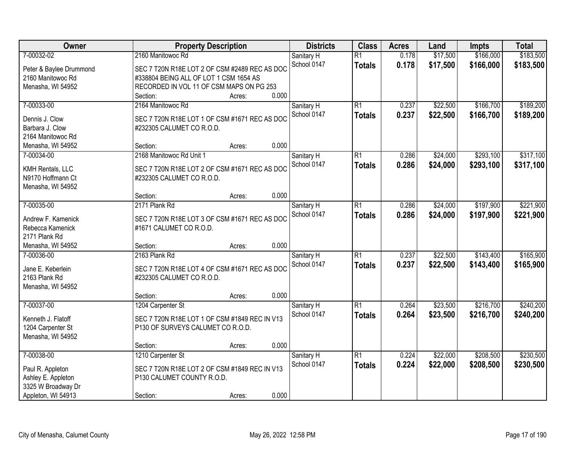| Owner                                 | <b>Property Description</b>                                        |                 | <b>Districts</b>          | <b>Class</b>                     | <b>Acres</b>   | Land                 | <b>Impts</b>           | <b>Total</b>           |
|---------------------------------------|--------------------------------------------------------------------|-----------------|---------------------------|----------------------------------|----------------|----------------------|------------------------|------------------------|
| 7-00032-02<br>Peter & Baylee Drummond | 2160 Manitowoc Rd<br>SEC 7 T20N R18E LOT 2 OF CSM #2489 REC AS DOC |                 | Sanitary H<br>School 0147 | $\overline{R1}$<br><b>Totals</b> | 0.178<br>0.178 | \$17,500<br>\$17,500 | \$166,000<br>\$166,000 | \$183,500<br>\$183,500 |
| 2160 Manitowoc Rd                     | #338804 BEING ALL OF LOT 1 CSM 1654 AS                             |                 |                           |                                  |                |                      |                        |                        |
| Menasha, WI 54952                     | RECORDED IN VOL 11 OF CSM MAPS ON PG 253                           |                 |                           |                                  |                |                      |                        |                        |
|                                       | Section:                                                           | 0.000<br>Acres: |                           |                                  |                |                      |                        |                        |
| 7-00033-00                            | 2164 Manitowoc Rd                                                  |                 | Sanitary H                | $\overline{R1}$                  | 0.237          | \$22,500             | \$166,700              | \$189,200              |
| Dennis J. Clow                        | SEC 7 T20N R18E LOT 1 OF CSM #1671 REC AS DOC                      |                 | School 0147               | <b>Totals</b>                    | 0.237          | \$22,500             | \$166,700              | \$189,200              |
| Barbara J. Clow                       | #232305 CALUMET CO R.O.D.                                          |                 |                           |                                  |                |                      |                        |                        |
| 2164 Manitowoc Rd                     |                                                                    |                 |                           |                                  |                |                      |                        |                        |
| Menasha, WI 54952                     | Section:                                                           | 0.000<br>Acres: |                           |                                  |                |                      |                        |                        |
| 7-00034-00                            | 2168 Manitowoc Rd Unit 1                                           |                 | Sanitary H                | $\overline{R1}$                  | 0.286          | \$24,000             | \$293,100              | \$317,100              |
| KMH Rentals, LLC                      | SEC 7 T20N R18E LOT 2 OF CSM #1671 REC AS DOC                      |                 | School 0147               | <b>Totals</b>                    | 0.286          | \$24,000             | \$293,100              | \$317,100              |
| N9170 Hoffmann Ct                     | #232305 CALUMET CO R.O.D.                                          |                 |                           |                                  |                |                      |                        |                        |
| Menasha, WI 54952                     |                                                                    |                 |                           |                                  |                |                      |                        |                        |
|                                       | Section:                                                           | 0.000<br>Acres: |                           |                                  |                |                      |                        |                        |
| 7-00035-00                            | 2171 Plank Rd                                                      |                 | Sanitary H                | $\overline{R1}$                  | 0.286          | \$24,000             | \$197,900              | \$221,900              |
| Andrew F. Kamenick                    | SEC 7 T20N R18E LOT 3 OF CSM #1671 REC AS DOC                      |                 | School 0147               | <b>Totals</b>                    | 0.286          | \$24,000             | \$197,900              | \$221,900              |
| Rebecca Kamenick                      | #1671 CALUMET CO R.O.D.                                            |                 |                           |                                  |                |                      |                        |                        |
| 2171 Plank Rd                         |                                                                    |                 |                           |                                  |                |                      |                        |                        |
| Menasha, WI 54952                     | Section:                                                           | 0.000<br>Acres: |                           |                                  |                |                      |                        |                        |
| 7-00036-00                            | 2163 Plank Rd                                                      |                 | Sanitary H                | $\overline{R1}$                  | 0.237          | \$22,500             | \$143,400              | \$165,900              |
| Jane E. Keberlein                     | SEC 7 T20N R18E LOT 4 OF CSM #1671 REC AS DOC                      |                 | School 0147               | <b>Totals</b>                    | 0.237          | \$22,500             | \$143,400              | \$165,900              |
| 2163 Plank Rd                         | #232305 CALUMET CO R.O.D.                                          |                 |                           |                                  |                |                      |                        |                        |
| Menasha, WI 54952                     |                                                                    |                 |                           |                                  |                |                      |                        |                        |
|                                       | Section:                                                           | 0.000<br>Acres: |                           |                                  |                |                      |                        |                        |
| 7-00037-00                            | 1204 Carpenter St                                                  |                 | Sanitary H                | $\overline{R1}$                  | 0.264          | \$23,500             | \$216,700              | \$240,200              |
| Kenneth J. Flatoff                    | SEC 7 T20N R18E LOT 1 OF CSM #1849 REC IN V13                      |                 | School 0147               | <b>Totals</b>                    | 0.264          | \$23,500             | \$216,700              | \$240,200              |
| 1204 Carpenter St                     | P130 OF SURVEYS CALUMET CO R.O.D.                                  |                 |                           |                                  |                |                      |                        |                        |
| Menasha, WI 54952                     |                                                                    |                 |                           |                                  |                |                      |                        |                        |
|                                       | Section:                                                           | 0.000<br>Acres: |                           |                                  |                |                      |                        |                        |
| 7-00038-00                            | 1210 Carpenter St                                                  |                 | Sanitary H                | $\overline{R1}$                  | 0.224          | \$22,000             | \$208,500              | \$230,500              |
| Paul R. Appleton                      | SEC 7 T20N R18E LOT 2 OF CSM #1849 REC IN V13                      |                 | School 0147               | <b>Totals</b>                    | 0.224          | \$22,000             | \$208,500              | \$230,500              |
| Ashley E. Appleton                    | P130 CALUMET COUNTY R.O.D.                                         |                 |                           |                                  |                |                      |                        |                        |
| 3325 W Broadway Dr                    |                                                                    |                 |                           |                                  |                |                      |                        |                        |
| Appleton, WI 54913                    | Section:                                                           | 0.000<br>Acres: |                           |                                  |                |                      |                        |                        |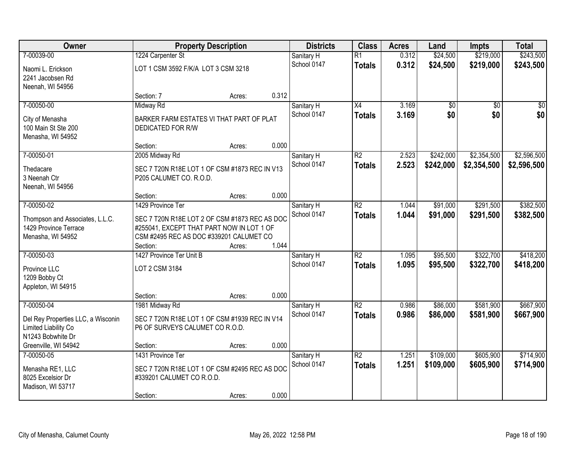| Owner                              |                                               | <b>Property Description</b> |       | <b>Districts</b> | <b>Class</b>    | <b>Acres</b> | Land      | <b>Impts</b>    | <b>Total</b> |
|------------------------------------|-----------------------------------------------|-----------------------------|-------|------------------|-----------------|--------------|-----------|-----------------|--------------|
| 7-00039-00                         | 1224 Carpenter St                             |                             |       | Sanitary H       | $\overline{R1}$ | 0.312        | \$24,500  | \$219,000       | \$243,500    |
| Naomi L. Erickson                  | LOT 1 CSM 3592 F/K/A LOT 3 CSM 3218           |                             |       | School 0147      | <b>Totals</b>   | 0.312        | \$24,500  | \$219,000       | \$243,500    |
| 2241 Jacobsen Rd                   |                                               |                             |       |                  |                 |              |           |                 |              |
| Neenah, WI 54956                   |                                               |                             |       |                  |                 |              |           |                 |              |
|                                    | Section: 7                                    | Acres:                      | 0.312 |                  |                 |              |           |                 |              |
| 7-00050-00                         | Midway Rd                                     |                             |       | Sanitary H       | $\overline{X4}$ | 3.169        | \$0       | $\overline{50}$ | \$0          |
| City of Menasha                    | BARKER FARM ESTATES VI THAT PART OF PLAT      |                             |       | School 0147      | <b>Totals</b>   | 3.169        | \$0       | \$0             | \$0          |
| 100 Main St Ste 200                | <b>DEDICATED FOR R/W</b>                      |                             |       |                  |                 |              |           |                 |              |
| Menasha, WI 54952                  |                                               |                             |       |                  |                 |              |           |                 |              |
|                                    | Section:                                      | Acres:                      | 0.000 |                  |                 |              |           |                 |              |
| 7-00050-01                         | 2005 Midway Rd                                |                             |       | Sanitary H       | $\overline{R2}$ | 2.523        | \$242,000 | \$2,354,500     | \$2,596,500  |
| Thedacare                          | SEC 7 T20N R18E LOT 1 OF CSM #1873 REC IN V13 |                             |       | School 0147      | <b>Totals</b>   | 2.523        | \$242,000 | \$2,354,500     | \$2,596,500  |
| 3 Neenah Ctr                       | P205 CALUMET CO. R.O.D.                       |                             |       |                  |                 |              |           |                 |              |
| Neenah, WI 54956                   |                                               |                             |       |                  |                 |              |           |                 |              |
|                                    | Section:                                      | Acres:                      | 0.000 |                  |                 |              |           |                 |              |
| 7-00050-02                         | 1429 Province Ter                             |                             |       | Sanitary H       | $\overline{R2}$ | 1.044        | \$91,000  | \$291,500       | \$382,500    |
| Thompson and Associates, L.L.C.    | SEC 7 T20N R18E LOT 2 OF CSM #1873 REC AS DOC |                             |       | School 0147      | <b>Totals</b>   | 1.044        | \$91,000  | \$291,500       | \$382,500    |
| 1429 Province Terrace              | #255041, EXCEPT THAT PART NOW IN LOT 1 OF     |                             |       |                  |                 |              |           |                 |              |
| Menasha, WI 54952                  | CSM #2495 REC AS DOC #339201 CALUMET CO       |                             |       |                  |                 |              |           |                 |              |
|                                    | Section:                                      | Acres:                      | 1.044 |                  |                 |              |           |                 |              |
| 7-00050-03                         | 1427 Province Ter Unit B                      |                             |       | Sanitary H       | $\overline{R2}$ | 1.095        | \$95,500  | \$322,700       | \$418,200    |
| Province LLC                       | LOT 2 CSM 3184                                |                             |       | School 0147      | <b>Totals</b>   | 1.095        | \$95,500  | \$322,700       | \$418,200    |
| 1209 Bobby Ct                      |                                               |                             |       |                  |                 |              |           |                 |              |
| Appleton, WI 54915                 |                                               |                             |       |                  |                 |              |           |                 |              |
|                                    | Section:                                      | Acres:                      | 0.000 |                  |                 |              |           |                 |              |
| 7-00050-04                         | 1981 Midway Rd                                |                             |       | Sanitary H       | $\overline{R2}$ | 0.986        | \$86,000  | \$581,900       | \$667,900    |
| Del Rey Properties LLC, a Wisconin | SEC 7 T20N R18E LOT 1 OF CSM #1939 REC IN V14 |                             |       | School 0147      | <b>Totals</b>   | 0.986        | \$86,000  | \$581,900       | \$667,900    |
| Limited Liability Co               | P6 OF SURVEYS CALUMET CO R.O.D.               |                             |       |                  |                 |              |           |                 |              |
| N1243 Bobwhite Dr                  |                                               |                             |       |                  |                 |              |           |                 |              |
| Greenville, WI 54942               | Section:                                      | Acres:                      | 0.000 |                  |                 |              |           |                 |              |
| 7-00050-05                         | 1431 Province Ter                             |                             |       | Sanitary H       | $\overline{R2}$ | 1.251        | \$109,000 | \$605,900       | \$714,900    |
| Menasha RE1, LLC                   | SEC 7 T20N R18E LOT 1 OF CSM #2495 REC AS DOC |                             |       | School 0147      | <b>Totals</b>   | 1.251        | \$109,000 | \$605,900       | \$714,900    |
| 8025 Excelsior Dr                  | #339201 CALUMET CO R.O.D.                     |                             |       |                  |                 |              |           |                 |              |
| Madison, WI 53717                  |                                               |                             |       |                  |                 |              |           |                 |              |
|                                    | Section:                                      | Acres:                      | 0.000 |                  |                 |              |           |                 |              |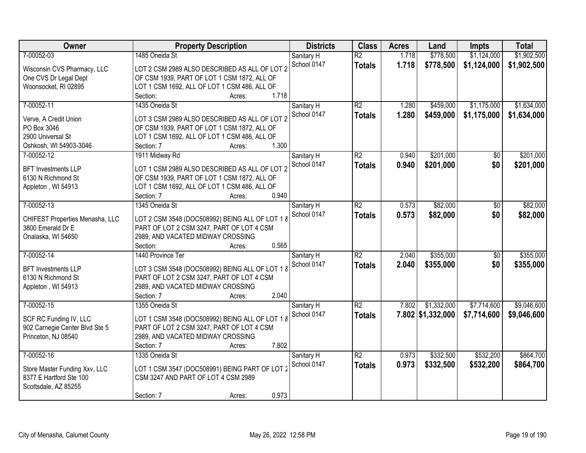| Owner                           | <b>Property Description</b>                     | <b>Districts</b> | <b>Class</b>    | <b>Acres</b> | Land              | Impts           | <b>Total</b> |
|---------------------------------|-------------------------------------------------|------------------|-----------------|--------------|-------------------|-----------------|--------------|
| 7-00052-03                      | 1485 Oneida St                                  | Sanitary H       | $\overline{R2}$ | 1.718        | \$778,500         | \$1,124,000     | \$1,902,500  |
| Wisconsin CVS Pharmacy, LLC     | LOT 2 CSM 2989 ALSO DESCRIBED AS ALL OF LOT 2   | School 0147      | <b>Totals</b>   | 1.718        | \$778,500         | \$1,124,000     | \$1,902,500  |
| One CVS Dr Legal Dept           | OF CSM 1939, PART OF LOT 1 CSM 1872, ALL OF     |                  |                 |              |                   |                 |              |
| Woonsocket, RI 02895            | LOT 1 CSM 1692, ALL OF LOT 1 CSM 486, ALL OF    |                  |                 |              |                   |                 |              |
|                                 | 1.718<br>Section:<br>Acres:                     |                  |                 |              |                   |                 |              |
| 7-00052-11                      | 1435 Oneida St                                  | Sanitary H       | $\overline{R2}$ | 1.280        | \$459,000         | \$1,175,000     | \$1,634,000  |
|                                 |                                                 | School 0147      | <b>Totals</b>   | 1.280        | \$459,000         | \$1,175,000     | \$1,634,000  |
| Verve, A Credit Union           | LOT 3 CSM 2989 ALSO DESCRIBED AS ALL OF LOT 2   |                  |                 |              |                   |                 |              |
| PO Box 3046                     | OF CSM 1939, PART OF LOT 1 CSM 1872, ALL OF     |                  |                 |              |                   |                 |              |
| 2900 Universal St               | LOT 1 CSM 1692, ALL OF LOT 1 CSM 486, ALL OF    |                  |                 |              |                   |                 |              |
| Oshkosh, WI 54903-3046          | 1.300<br>Section: 7<br>Acres:                   |                  |                 |              |                   |                 |              |
| 7-00052-12                      | 1911 Midway Rd                                  | Sanitary H       | $\overline{R2}$ | 0.940        | \$201,000         | \$0             | \$201,000    |
| <b>BFT Investments LLP</b>      | LOT 1 CSM 2989 ALSO DESCRIBED AS ALL OF LOT 2   | School 0147      | <b>Totals</b>   | 0.940        | \$201,000         | \$0             | \$201,000    |
| 6130 N Richmond St              | OF CSM 1939, PART OF LOT 1 CSM 1872, ALL OF     |                  |                 |              |                   |                 |              |
| Appleton, WI 54913              | LOT 1 CSM 1692, ALL OF LOT 1 CSM 486, ALL OF    |                  |                 |              |                   |                 |              |
|                                 | 0.940<br>Section: 7<br>Acres:                   |                  |                 |              |                   |                 |              |
| 7-00052-13                      | 1345 Oneida St                                  | Sanitary H       | $\overline{R2}$ | 0.573        | \$82,000          | \$0             | \$82,000     |
|                                 |                                                 | School 0147      | <b>Totals</b>   | 0.573        | \$82,000          | \$0             | \$82,000     |
| CHIFEST Properties Menasha, LLC | LOT 2 CSM 3548 (DOC508992) BEING ALL OF LOT 1 8 |                  |                 |              |                   |                 |              |
| 3800 Emerald Dr E               | PART OF LOT 2 CSM 3247, PART OF LOT 4 CSM       |                  |                 |              |                   |                 |              |
| Onalaska, WI 54650              | 2989, AND VACATED MIDWAY CROSSING               |                  |                 |              |                   |                 |              |
|                                 | 0.565<br>Section:<br>Acres:                     |                  |                 |              |                   |                 |              |
| 7-00052-14                      | 1440 Province Ter                               | Sanitary H       | $\overline{R2}$ | 2.040        | \$355,000         | $\overline{50}$ | \$355,000    |
| <b>BFT Investments LLP</b>      | LOT 3 CSM 3548 (DOC508992) BEING ALL OF LOT 1 8 | School 0147      | <b>Totals</b>   | 2.040        | \$355,000         | \$0             | \$355,000    |
| 6130 N Richmond St              | PART OF LOT 2 CSM 3247, PART OF LOT 4 CSM       |                  |                 |              |                   |                 |              |
| Appleton, WI 54913              | 2989, AND VACATED MIDWAY CROSSING               |                  |                 |              |                   |                 |              |
|                                 | 2.040<br>Section: 7<br>Acres:                   |                  |                 |              |                   |                 |              |
| 7-00052-15                      | 1355 Oneida St                                  | Sanitary H       | $\overline{R2}$ | 7.802        | \$1,332,000       | \$7,714,600     | \$9,046,600  |
|                                 |                                                 | School 0147      | <b>Totals</b>   |              | 7.802 \$1,332,000 | \$7,714,600     | \$9,046,600  |
| SCF RC Funding IV, LLC          | LOT 1 CSM 3548 (DOC508992) BEING ALL OF LOT 1 8 |                  |                 |              |                   |                 |              |
| 902 Carnegie Center Blvd Ste 5  | PART OF LOT 2 CSM 3247, PART OF LOT 4 CSM       |                  |                 |              |                   |                 |              |
| Princeton, NJ 08540             | 2989, AND VACATED MIDWAY CROSSING               |                  |                 |              |                   |                 |              |
|                                 | 7.802<br>Section: 7<br>Acres:                   |                  |                 |              |                   |                 |              |
| 7-00052-16                      | 1335 Oneida St                                  | Sanitary H       | $\overline{R2}$ | 0.973        | \$332,500         | \$532,200       | \$864,700    |
| Store Master Funding Xxv, LLC   | LOT 1 CSM 3547 (DOC508991) BEING PART OF LOT 2  | School 0147      | <b>Totals</b>   | 0.973        | \$332,500         | \$532,200       | \$864,700    |
| 8377 E Hartford Ste 100         | CSM 3247 AND PART OF LOT 4 CSM 2989             |                  |                 |              |                   |                 |              |
| Scottsdale, AZ 85255            |                                                 |                  |                 |              |                   |                 |              |
|                                 | 0.973<br>Section: 7<br>Acres:                   |                  |                 |              |                   |                 |              |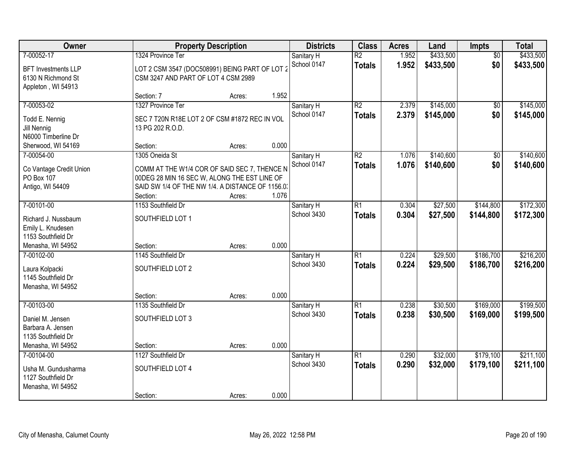| Owner                                                                                          |                                                                                                                                                                                | <b>Property Description</b> |                | <b>Districts</b>          | <b>Class</b>                     | <b>Acres</b>   | Land                   | Impts                  | <b>Total</b>           |
|------------------------------------------------------------------------------------------------|--------------------------------------------------------------------------------------------------------------------------------------------------------------------------------|-----------------------------|----------------|---------------------------|----------------------------------|----------------|------------------------|------------------------|------------------------|
| 7-00052-17<br><b>BFT Investments LLP</b><br>6130 N Richmond St<br>Appleton, WI 54913           | 1324 Province Ter<br>LOT 2 CSM 3547 (DOC508991) BEING PART OF LOT 2<br>CSM 3247 AND PART OF LOT 4 CSM 2989                                                                     |                             |                | Sanitary H<br>School 0147 | $\overline{R2}$<br><b>Totals</b> | 1.952<br>1.952 | \$433,500<br>\$433,500 | $\overline{50}$<br>\$0 | \$433,500<br>\$433,500 |
|                                                                                                | Section: 7                                                                                                                                                                     | Acres:                      | 1.952          |                           |                                  |                |                        |                        |                        |
| 7-00053-02<br>Todd E. Nennig<br>Jill Nennig<br>N6000 Timberline Dr<br>Sherwood, WI 54169       | 1327 Province Ter<br>SEC 7 T20N R18E LOT 2 OF CSM #1872 REC IN VOL<br>13 PG 202 R.O.D.<br>Section:                                                                             | Acres:                      | 0.000          | Sanitary H<br>School 0147 | $\overline{R2}$<br><b>Totals</b> | 2.379<br>2.379 | \$145,000<br>\$145,000 | $\overline{50}$<br>\$0 | \$145,000<br>\$145,000 |
| 7-00054-00<br>Co Vantage Credit Union<br>PO Box 107<br>Antigo, WI 54409                        | 1305 Oneida St<br>COMM AT THE W1/4 COR OF SAID SEC 7, THENCE N<br>00DEG 28 MIN 16 SEC W, ALONG THE EST LINE OF<br>SAID SW 1/4 OF THE NW 1/4. A DISTANCE OF 1156.0.<br>Section: | Acres:                      | 1.076          | Sanitary H<br>School 0147 | $\overline{R2}$<br><b>Totals</b> | 1.076<br>1.076 | \$140,600<br>\$140,600 | $\overline{50}$<br>\$0 | \$140,600<br>\$140,600 |
| 7-00101-00<br>Richard J. Nussbaum<br>Emily L. Knudesen<br>1153 Southfield Dr                   | 1153 Southfield Dr<br>SOUTHFIELD LOT 1                                                                                                                                         |                             |                | Sanitary H<br>School 3430 | $\overline{R1}$<br><b>Totals</b> | 0.304<br>0.304 | \$27,500<br>\$27,500   | \$144,800<br>\$144,800 | \$172,300<br>\$172,300 |
| Menasha, WI 54952<br>7-00102-00<br>Laura Kolpacki<br>1145 Southfield Dr<br>Menasha, WI 54952   | Section:<br>1145 Southfield Dr<br>SOUTHFIELD LOT 2<br>Section:                                                                                                                 | Acres:<br>Acres:            | 0.000<br>0.000 | Sanitary H<br>School 3430 | $\overline{R1}$<br><b>Totals</b> | 0.224<br>0.224 | \$29,500<br>\$29,500   | \$186,700<br>\$186,700 | \$216,200<br>\$216,200 |
| 7-00103-00<br>Daniel M. Jensen<br>Barbara A. Jensen<br>1135 Southfield Dr<br>Menasha, WI 54952 | 1135 Southfield Dr<br>SOUTHFIELD LOT 3<br>Section:                                                                                                                             | Acres:                      | 0.000          | Sanitary H<br>School 3430 | $\overline{R1}$<br><b>Totals</b> | 0.238<br>0.238 | \$30,500<br>\$30,500   | \$169,000<br>\$169,000 | \$199,500<br>\$199,500 |
| 7-00104-00<br>Usha M. Gundusharma<br>1127 Southfield Dr<br>Menasha, WI 54952                   | 1127 Southfield Dr<br>SOUTHFIELD LOT 4<br>Section:                                                                                                                             | Acres:                      | 0.000          | Sanitary H<br>School 3430 | $\overline{R1}$<br><b>Totals</b> | 0.290<br>0.290 | \$32,000<br>\$32,000   | \$179,100<br>\$179,100 | \$211,100<br>\$211,100 |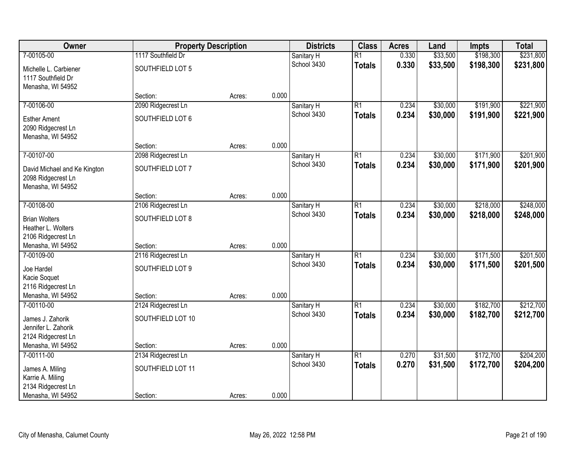| Owner                                                                   | <b>Property Description</b>    |        |       | <b>Districts</b>          | <b>Class</b>    | <b>Acres</b> | Land     | <b>Impts</b> | <b>Total</b> |
|-------------------------------------------------------------------------|--------------------------------|--------|-------|---------------------------|-----------------|--------------|----------|--------------|--------------|
| 7-00105-00                                                              | 1117 Southfield Dr             |        |       | Sanitary H                | $\overline{R1}$ | 0.330        | \$33,500 | \$198,300    | \$231,800    |
| Michelle L. Carbiener<br>1117 Southfield Dr                             | SOUTHFIELD LOT 5               |        |       | School 3430               | <b>Totals</b>   | 0.330        | \$33,500 | \$198,300    | \$231,800    |
| Menasha, WI 54952                                                       |                                |        | 0.000 |                           |                 |              |          |              |              |
| 7-00106-00                                                              | Section:<br>2090 Ridgecrest Ln | Acres: |       |                           | $\overline{R1}$ | 0.234        | \$30,000 | \$191,900    | \$221,900    |
|                                                                         |                                |        |       | Sanitary H<br>School 3430 |                 | 0.234        |          |              |              |
| <b>Esther Ament</b><br>2090 Ridgecrest Ln<br>Menasha, WI 54952          | SOUTHFIELD LOT 6               |        |       |                           | <b>Totals</b>   |              | \$30,000 | \$191,900    | \$221,900    |
|                                                                         | Section:                       | Acres: | 0.000 |                           |                 |              |          |              |              |
| 7-00107-00                                                              | 2098 Ridgecrest Ln             |        |       | Sanitary H                | $\overline{R1}$ | 0.234        | \$30,000 | \$171,900    | \$201,900    |
| David Michael and Ke Kington<br>2098 Ridgecrest Ln<br>Menasha, WI 54952 | SOUTHFIELD LOT 7               |        |       | School 3430               | <b>Totals</b>   | 0.234        | \$30,000 | \$171,900    | \$201,900    |
|                                                                         | Section:                       | Acres: | 0.000 |                           |                 |              |          |              |              |
| 7-00108-00                                                              | 2106 Ridgecrest Ln             |        |       | Sanitary H                | $\overline{R1}$ | 0.234        | \$30,000 | \$218,000    | \$248,000    |
|                                                                         |                                |        |       | School 3430               | <b>Totals</b>   | 0.234        | \$30,000 | \$218,000    | \$248,000    |
| <b>Brian Wolters</b>                                                    | SOUTHFIELD LOT 8               |        |       |                           |                 |              |          |              |              |
| Heather L. Wolters<br>2106 Ridgecrest Ln                                |                                |        |       |                           |                 |              |          |              |              |
| Menasha, WI 54952                                                       | Section:                       | Acres: | 0.000 |                           |                 |              |          |              |              |
| 7-00109-00                                                              | 2116 Ridgecrest Ln             |        |       | Sanitary H                | $\overline{R1}$ | 0.234        | \$30,000 | \$171,500    | \$201,500    |
|                                                                         |                                |        |       | School 3430               | <b>Totals</b>   | 0.234        | \$30,000 | \$171,500    | \$201,500    |
| Joe Hardel                                                              | SOUTHFIELD LOT 9               |        |       |                           |                 |              |          |              |              |
| Kacie Soquet<br>2116 Ridgecrest Ln                                      |                                |        |       |                           |                 |              |          |              |              |
| Menasha, WI 54952                                                       | Section:                       | Acres: | 0.000 |                           |                 |              |          |              |              |
| 7-00110-00                                                              | 2124 Ridgecrest Ln             |        |       | Sanitary H                | $\overline{R1}$ | 0.234        | \$30,000 | \$182,700    | \$212,700    |
|                                                                         |                                |        |       | School 3430               | <b>Totals</b>   | 0.234        | \$30,000 | \$182,700    | \$212,700    |
| James J. Zahorik                                                        | SOUTHFIELD LOT 10              |        |       |                           |                 |              |          |              |              |
| Jennifer L. Zahorik<br>2124 Ridgecrest Ln                               |                                |        |       |                           |                 |              |          |              |              |
| Menasha, WI 54952                                                       | Section:                       | Acres: | 0.000 |                           |                 |              |          |              |              |
| 7-00111-00                                                              | 2134 Ridgecrest Ln             |        |       | Sanitary H                | $\overline{R1}$ | 0.270        | \$31,500 | \$172,700    | \$204,200    |
|                                                                         |                                |        |       | School 3430               | <b>Totals</b>   | 0.270        | \$31,500 | \$172,700    | \$204,200    |
| James A. Miling<br>Karrie A. Miling                                     | SOUTHFIELD LOT 11              |        |       |                           |                 |              |          |              |              |
| 2134 Ridgecrest Ln                                                      |                                |        |       |                           |                 |              |          |              |              |
| Menasha, WI 54952                                                       | Section:                       | Acres: | 0.000 |                           |                 |              |          |              |              |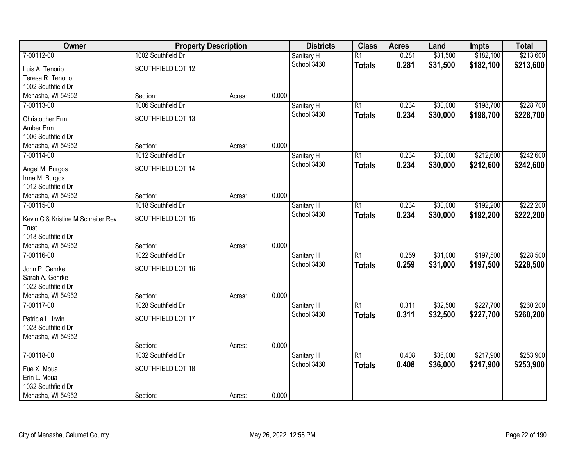| Owner                                 | <b>Property Description</b>    |        |       | <b>Districts</b>          | <b>Class</b>    | <b>Acres</b> | Land     | <b>Impts</b> | <b>Total</b> |
|---------------------------------------|--------------------------------|--------|-------|---------------------------|-----------------|--------------|----------|--------------|--------------|
| 7-00112-00                            | 1002 Southfield Dr             |        |       | Sanitary H                | $\overline{R1}$ | 0.281        | \$31,500 | \$182,100    | \$213,600    |
| Luis A. Tenorio                       | SOUTHFIELD LOT 12              |        |       | School 3430               | <b>Totals</b>   | 0.281        | \$31,500 | \$182,100    | \$213,600    |
| Teresa R. Tenorio                     |                                |        |       |                           |                 |              |          |              |              |
| 1002 Southfield Dr                    |                                |        |       |                           |                 |              |          |              |              |
| Menasha, WI 54952                     | Section:                       | Acres: | 0.000 |                           |                 |              |          |              |              |
| 7-00113-00                            | 1006 Southfield Dr             |        |       | Sanitary H                | $\overline{R1}$ | 0.234        | \$30,000 | \$198,700    | \$228,700    |
| Christopher Erm                       | SOUTHFIELD LOT 13              |        |       | School 3430               | <b>Totals</b>   | 0.234        | \$30,000 | \$198,700    | \$228,700    |
| Amber Erm                             |                                |        |       |                           |                 |              |          |              |              |
| 1006 Southfield Dr                    |                                |        |       |                           |                 |              |          |              |              |
| Menasha, WI 54952                     | Section:                       | Acres: | 0.000 |                           |                 |              |          |              |              |
| 7-00114-00                            | 1012 Southfield Dr             |        |       | Sanitary H                | $\overline{R1}$ | 0.234        | \$30,000 | \$212,600    | \$242,600    |
| Angel M. Burgos                       | SOUTHFIELD LOT 14              |        |       | School 3430               | <b>Totals</b>   | 0.234        | \$30,000 | \$212,600    | \$242,600    |
| Irma M. Burgos                        |                                |        |       |                           |                 |              |          |              |              |
| 1012 Southfield Dr                    |                                |        |       |                           |                 |              |          |              |              |
| Menasha, WI 54952                     | Section:                       | Acres: | 0.000 |                           |                 |              |          |              |              |
| 7-00115-00                            | 1018 Southfield Dr             |        |       | Sanitary H                | $\overline{R1}$ | 0.234        | \$30,000 | \$192,200    | \$222,200    |
| Kevin C & Kristine M Schreiter Rev.   | SOUTHFIELD LOT 15              |        |       | School 3430               | <b>Totals</b>   | 0.234        | \$30,000 | \$192,200    | \$222,200    |
| Trust                                 |                                |        |       |                           |                 |              |          |              |              |
| 1018 Southfield Dr                    |                                |        |       |                           |                 |              |          |              |              |
| Menasha, WI 54952                     | Section:                       | Acres: | 0.000 |                           |                 |              |          |              |              |
| 7-00116-00                            | 1022 Southfield Dr             |        |       | Sanitary H                | $\overline{R1}$ | 0.259        | \$31,000 | \$197,500    | \$228,500    |
|                                       |                                |        |       | School 3430               | <b>Totals</b>   | 0.259        | \$31,000 | \$197,500    | \$228,500    |
| John P. Gehrke                        | SOUTHFIELD LOT 16              |        |       |                           |                 |              |          |              |              |
| Sarah A. Gehrke<br>1022 Southfield Dr |                                |        |       |                           |                 |              |          |              |              |
| Menasha, WI 54952                     | Section:                       | Acres: | 0.000 |                           |                 |              |          |              |              |
| 7-00117-00                            | 1028 Southfield Dr             |        |       | Sanitary H                | $\overline{R1}$ | 0.311        | \$32,500 | \$227,700    | \$260,200    |
|                                       |                                |        |       | School 3430               | <b>Totals</b>   | 0.311        | \$32,500 | \$227,700    | \$260,200    |
| Patricia L. Irwin                     | SOUTHFIELD LOT 17              |        |       |                           |                 |              |          |              |              |
| 1028 Southfield Dr                    |                                |        |       |                           |                 |              |          |              |              |
| Menasha, WI 54952                     |                                |        | 0.000 |                           |                 |              |          |              |              |
| 7-00118-00                            | Section:<br>1032 Southfield Dr | Acres: |       |                           | $\overline{R1}$ | 0.408        | \$36,000 | \$217,900    | \$253,900    |
|                                       |                                |        |       | Sanitary H<br>School 3430 |                 | 0.408        | \$36,000 | \$217,900    |              |
| Fue X. Moua                           | SOUTHFIELD LOT 18              |        |       |                           | <b>Totals</b>   |              |          |              | \$253,900    |
| Erin L. Moua                          |                                |        |       |                           |                 |              |          |              |              |
| 1032 Southfield Dr                    |                                |        |       |                           |                 |              |          |              |              |
| Menasha, WI 54952                     | Section:                       | Acres: | 0.000 |                           |                 |              |          |              |              |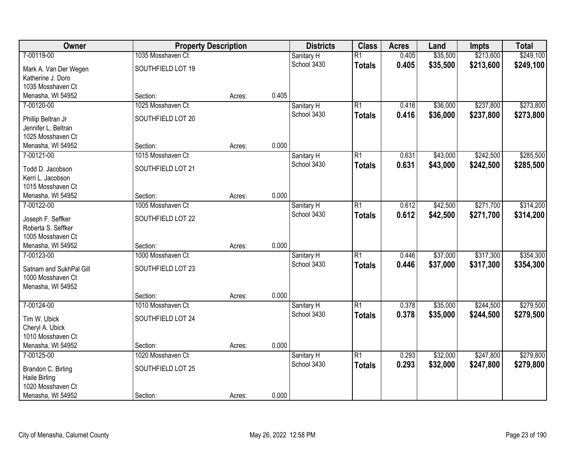| Owner                                   | <b>Property Description</b>   |        |       | <b>Districts</b>          | <b>Class</b>    | <b>Acres</b> | Land     | <b>Impts</b> | <b>Total</b> |
|-----------------------------------------|-------------------------------|--------|-------|---------------------------|-----------------|--------------|----------|--------------|--------------|
| 7-00119-00                              | 1035 Mosshaven Ct             |        |       | Sanitary H                | $\overline{R1}$ | 0.405        | \$35,500 | \$213,600    | \$249,100    |
| Mark A. Van Der Wegen                   | SOUTHFIELD LOT 19             |        |       | School 3430               | <b>Totals</b>   | 0.405        | \$35,500 | \$213,600    | \$249,100    |
| Katherine J. Doro                       |                               |        |       |                           |                 |              |          |              |              |
| 1035 Mosshaven Ct                       |                               |        |       |                           |                 |              |          |              |              |
| Menasha, WI 54952                       | Section:                      | Acres: | 0.405 |                           |                 |              |          |              |              |
| 7-00120-00                              | 1025 Mosshaven Ct             |        |       | Sanitary H                | $\overline{R1}$ | 0.416        | \$36,000 | \$237,800    | \$273,800    |
| Phillip Beltran Jr                      | SOUTHFIELD LOT 20             |        |       | School 3430               | <b>Totals</b>   | 0.416        | \$36,000 | \$237,800    | \$273,800    |
| Jennifer L. Beltran                     |                               |        |       |                           |                 |              |          |              |              |
| 1025 Mosshaven Ct                       |                               |        |       |                           |                 |              |          |              |              |
| Menasha, WI 54952                       | Section:                      | Acres: | 0.000 |                           |                 |              |          |              |              |
| 7-00121-00                              | 1015 Mosshaven Ct             |        |       | Sanitary H                | $\overline{R1}$ | 0.631        | \$43,000 | \$242,500    | \$285,500    |
| Todd D. Jacobson                        | SOUTHFIELD LOT 21             |        |       | School 3430               | <b>Totals</b>   | 0.631        | \$43,000 | \$242,500    | \$285,500    |
| Kerri L. Jacobson                       |                               |        |       |                           |                 |              |          |              |              |
| 1015 Mosshaven Ct                       |                               |        |       |                           |                 |              |          |              |              |
| Menasha, WI 54952                       | Section:                      | Acres: | 0.000 |                           |                 |              |          |              |              |
| 7-00122-00                              | 1005 Mosshaven Ct             |        |       | Sanitary H                | $\overline{R1}$ | 0.612        | \$42,500 | \$271,700    | \$314,200    |
|                                         |                               |        |       | School 3430               | <b>Totals</b>   | 0.612        | \$42,500 | \$271,700    | \$314,200    |
| Joseph F. Seffker                       | SOUTHFIELD LOT 22             |        |       |                           |                 |              |          |              |              |
| Roberta S. Seffker<br>1005 Mosshaven Ct |                               |        |       |                           |                 |              |          |              |              |
| Menasha, WI 54952                       | Section:                      | Acres: | 0.000 |                           |                 |              |          |              |              |
| 7-00123-00                              | 1000 Mosshaven Ct             |        |       | Sanitary H                | $\overline{R1}$ | 0.446        | \$37,000 | \$317,300    | \$354,300    |
|                                         |                               |        |       | School 3430               | <b>Totals</b>   | 0.446        | \$37,000 | \$317,300    | \$354,300    |
| Satnam and SukhPal Gill                 | SOUTHFIELD LOT 23             |        |       |                           |                 |              |          |              |              |
| 1000 Mosshaven Ct                       |                               |        |       |                           |                 |              |          |              |              |
| Menasha, WI 54952                       |                               |        | 0.000 |                           |                 |              |          |              |              |
| 7-00124-00                              | Section:<br>1010 Mosshaven Ct | Acres: |       |                           | $\overline{R1}$ | 0.378        | \$35,000 | \$244,500    | \$279,500    |
|                                         |                               |        |       | Sanitary H<br>School 3430 | <b>Totals</b>   | 0.378        | \$35,000 | \$244,500    | \$279,500    |
| Tim W. Ubick                            | SOUTHFIELD LOT 24             |        |       |                           |                 |              |          |              |              |
| Cheryl A. Ubick                         |                               |        |       |                           |                 |              |          |              |              |
| 1010 Mosshaven Ct                       |                               |        |       |                           |                 |              |          |              |              |
| Menasha, WI 54952                       | Section:                      | Acres: | 0.000 |                           |                 |              |          |              |              |
| 7-00125-00                              | 1020 Mosshaven Ct             |        |       | Sanitary H                | $\overline{R1}$ | 0.293        | \$32,000 | \$247,800    | \$279,800    |
| Brandon C. Birling                      | SOUTHFIELD LOT 25             |        |       | School 3430               | <b>Totals</b>   | 0.293        | \$32,000 | \$247,800    | \$279,800    |
| <b>Haile Birling</b>                    |                               |        |       |                           |                 |              |          |              |              |
| 1020 Mosshaven Ct                       |                               |        |       |                           |                 |              |          |              |              |
| Menasha, WI 54952                       | Section:                      | Acres: | 0.000 |                           |                 |              |          |              |              |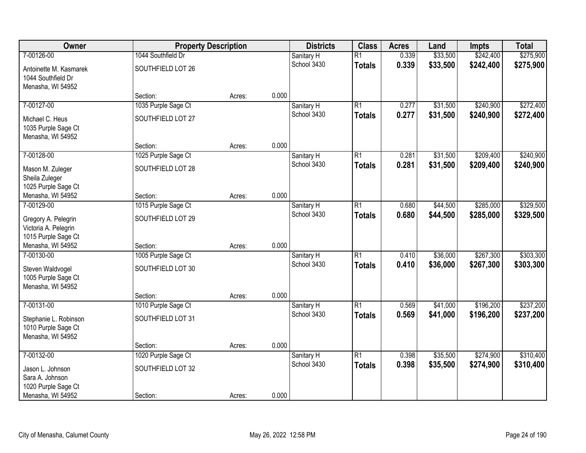| Owner                                       | <b>Property Description</b> |        |       | <b>Districts</b> | <b>Class</b>    | <b>Acres</b> | Land     | <b>Impts</b> | <b>Total</b> |
|---------------------------------------------|-----------------------------|--------|-------|------------------|-----------------|--------------|----------|--------------|--------------|
| 7-00126-00                                  | 1044 Southfield Dr          |        |       | Sanitary H       | $\overline{R1}$ | 0.339        | \$33,500 | \$242,400    | \$275,900    |
| Antoinette M. Kasmarek                      | SOUTHFIELD LOT 26           |        |       | School 3430      | <b>Totals</b>   | 0.339        | \$33,500 | \$242,400    | \$275,900    |
| 1044 Southfield Dr                          |                             |        |       |                  |                 |              |          |              |              |
| Menasha, WI 54952                           |                             |        |       |                  |                 |              |          |              |              |
|                                             | Section:                    | Acres: | 0.000 |                  |                 |              |          |              |              |
| 7-00127-00                                  | 1035 Purple Sage Ct         |        |       | Sanitary H       | $\overline{R1}$ | 0.277        | \$31,500 | \$240,900    | \$272,400    |
| Michael C. Heus                             | SOUTHFIELD LOT 27           |        |       | School 3430      | <b>Totals</b>   | 0.277        | \$31,500 | \$240,900    | \$272,400    |
| 1035 Purple Sage Ct                         |                             |        |       |                  |                 |              |          |              |              |
| Menasha, WI 54952                           |                             |        |       |                  |                 |              |          |              |              |
|                                             | Section:                    | Acres: | 0.000 |                  |                 |              |          |              |              |
| 7-00128-00                                  | 1025 Purple Sage Ct         |        |       | Sanitary H       | $\overline{R1}$ | 0.281        | \$31,500 | \$209,400    | \$240,900    |
| Mason M. Zuleger                            | SOUTHFIELD LOT 28           |        |       | School 3430      | <b>Totals</b>   | 0.281        | \$31,500 | \$209,400    | \$240,900    |
| Sheila Zuleger                              |                             |        |       |                  |                 |              |          |              |              |
| 1025 Purple Sage Ct                         |                             |        |       |                  |                 |              |          |              |              |
| Menasha, WI 54952                           | Section:                    | Acres: | 0.000 |                  |                 |              |          |              |              |
| 7-00129-00                                  | 1015 Purple Sage Ct         |        |       | Sanitary H       | $\overline{R1}$ | 0.680        | \$44,500 | \$285,000    | \$329,500    |
|                                             |                             |        |       | School 3430      | <b>Totals</b>   | 0.680        | \$44,500 | \$285,000    | \$329,500    |
| Gregory A. Pelegrin                         | SOUTHFIELD LOT 29           |        |       |                  |                 |              |          |              |              |
| Victoria A. Pelegrin<br>1015 Purple Sage Ct |                             |        |       |                  |                 |              |          |              |              |
| Menasha, WI 54952                           | Section:                    | Acres: | 0.000 |                  |                 |              |          |              |              |
| 7-00130-00                                  | 1005 Purple Sage Ct         |        |       | Sanitary H       | $\overline{R1}$ | 0.410        | \$36,000 | \$267,300    | \$303,300    |
|                                             |                             |        |       | School 3430      | <b>Totals</b>   | 0.410        | \$36,000 | \$267,300    | \$303,300    |
| Steven Waldvogel                            | SOUTHFIELD LOT 30           |        |       |                  |                 |              |          |              |              |
| 1005 Purple Sage Ct                         |                             |        |       |                  |                 |              |          |              |              |
| Menasha, WI 54952                           |                             |        |       |                  |                 |              |          |              |              |
|                                             | Section:                    | Acres: | 0.000 |                  |                 |              |          |              |              |
| 7-00131-00                                  | 1010 Purple Sage Ct         |        |       | Sanitary H       | $\overline{R1}$ | 0.569        | \$41,000 | \$196,200    | \$237,200    |
| Stephanie L. Robinson                       | SOUTHFIELD LOT 31           |        |       | School 3430      | <b>Totals</b>   | 0.569        | \$41,000 | \$196,200    | \$237,200    |
| 1010 Purple Sage Ct                         |                             |        |       |                  |                 |              |          |              |              |
| Menasha, WI 54952                           |                             |        |       |                  |                 |              |          |              |              |
|                                             | Section:                    | Acres: | 0.000 |                  |                 |              |          |              |              |
| 7-00132-00                                  | 1020 Purple Sage Ct         |        |       | Sanitary H       | $\overline{R1}$ | 0.398        | \$35,500 | \$274,900    | \$310,400    |
| Jason L. Johnson                            | SOUTHFIELD LOT 32           |        |       | School 3430      | <b>Totals</b>   | 0.398        | \$35,500 | \$274,900    | \$310,400    |
| Sara A. Johnson                             |                             |        |       |                  |                 |              |          |              |              |
| 1020 Purple Sage Ct                         |                             |        |       |                  |                 |              |          |              |              |
| Menasha, WI 54952                           | Section:                    | Acres: | 0.000 |                  |                 |              |          |              |              |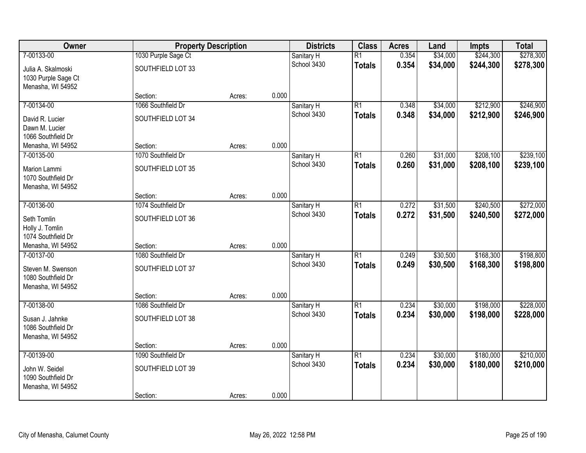| Owner                           | <b>Property Description</b> |        |       | <b>Districts</b>          | <b>Class</b>    | <b>Acres</b> | Land     | <b>Impts</b> | <b>Total</b> |
|---------------------------------|-----------------------------|--------|-------|---------------------------|-----------------|--------------|----------|--------------|--------------|
| 7-00133-00                      | 1030 Purple Sage Ct         |        |       | Sanitary H                | $\overline{R1}$ | 0.354        | \$34,000 | \$244,300    | \$278,300    |
| Julia A. Skalmoski              | SOUTHFIELD LOT 33           |        |       | School 3430               | <b>Totals</b>   | 0.354        | \$34,000 | \$244,300    | \$278,300    |
| 1030 Purple Sage Ct             |                             |        |       |                           |                 |              |          |              |              |
| Menasha, WI 54952               |                             |        |       |                           |                 |              |          |              |              |
|                                 | Section:                    | Acres: | 0.000 |                           |                 |              |          |              |              |
| 7-00134-00                      | 1066 Southfield Dr          |        |       | Sanitary H<br>School 3430 | $\overline{R1}$ | 0.348        | \$34,000 | \$212,900    | \$246,900    |
| David R. Lucier                 | SOUTHFIELD LOT 34           |        |       |                           | <b>Totals</b>   | 0.348        | \$34,000 | \$212,900    | \$246,900    |
| Dawn M. Lucier                  |                             |        |       |                           |                 |              |          |              |              |
| 1066 Southfield Dr              | Section:                    |        | 0.000 |                           |                 |              |          |              |              |
| Menasha, WI 54952<br>7-00135-00 | 1070 Southfield Dr          | Acres: |       | Sanitary H                | $\overline{R1}$ | 0.260        | \$31,000 | \$208,100    | \$239,100    |
|                                 |                             |        |       | School 3430               | <b>Totals</b>   | 0.260        | \$31,000 | \$208,100    | \$239,100    |
| Marion Lammi                    | SOUTHFIELD LOT 35           |        |       |                           |                 |              |          |              |              |
| 1070 Southfield Dr              |                             |        |       |                           |                 |              |          |              |              |
| Menasha, WI 54952               | Section:                    | Acres: | 0.000 |                           |                 |              |          |              |              |
| 7-00136-00                      | 1074 Southfield Dr          |        |       | Sanitary H                | $\overline{R1}$ | 0.272        | \$31,500 | \$240,500    | \$272,000    |
|                                 |                             |        |       | School 3430               | <b>Totals</b>   | 0.272        | \$31,500 | \$240,500    | \$272,000    |
| Seth Tomlin<br>Holly J. Tomlin  | SOUTHFIELD LOT 36           |        |       |                           |                 |              |          |              |              |
| 1074 Southfield Dr              |                             |        |       |                           |                 |              |          |              |              |
| Menasha, WI 54952               | Section:                    | Acres: | 0.000 |                           |                 |              |          |              |              |
| 7-00137-00                      | 1080 Southfield Dr          |        |       | Sanitary H                | $\overline{R1}$ | 0.249        | \$30,500 | \$168,300    | \$198,800    |
| Steven M. Swenson               | SOUTHFIELD LOT 37           |        |       | School 3430               | <b>Totals</b>   | 0.249        | \$30,500 | \$168,300    | \$198,800    |
| 1080 Southfield Dr              |                             |        |       |                           |                 |              |          |              |              |
| Menasha, WI 54952               |                             |        |       |                           |                 |              |          |              |              |
|                                 | Section:                    | Acres: | 0.000 |                           |                 |              |          |              |              |
| 7-00138-00                      | 1086 Southfield Dr          |        |       | Sanitary H                | $\overline{R1}$ | 0.234        | \$30,000 | \$198,000    | \$228,000    |
| Susan J. Jahnke                 | SOUTHFIELD LOT 38           |        |       | School 3430               | <b>Totals</b>   | 0.234        | \$30,000 | \$198,000    | \$228,000    |
| 1086 Southfield Dr              |                             |        |       |                           |                 |              |          |              |              |
| Menasha, WI 54952               |                             |        |       |                           |                 |              |          |              |              |
|                                 | Section:                    | Acres: | 0.000 |                           |                 |              |          |              |              |
| 7-00139-00                      | 1090 Southfield Dr          |        |       | Sanitary H                | $\overline{R1}$ | 0.234        | \$30,000 | \$180,000    | \$210,000    |
| John W. Seidel                  | SOUTHFIELD LOT 39           |        |       | School 3430               | <b>Totals</b>   | 0.234        | \$30,000 | \$180,000    | \$210,000    |
| 1090 Southfield Dr              |                             |        |       |                           |                 |              |          |              |              |
| Menasha, WI 54952               |                             |        |       |                           |                 |              |          |              |              |
|                                 | Section:                    | Acres: | 0.000 |                           |                 |              |          |              |              |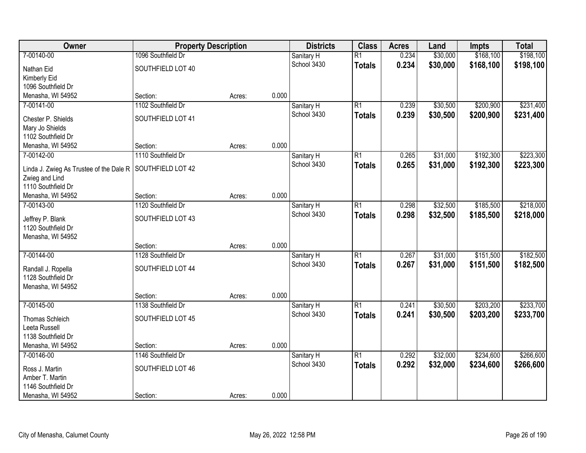| Owner                                    | <b>Property Description</b> |        |       | <b>Districts</b> | <b>Class</b>    | <b>Acres</b> | Land     | <b>Impts</b> | <b>Total</b> |
|------------------------------------------|-----------------------------|--------|-------|------------------|-----------------|--------------|----------|--------------|--------------|
| 7-00140-00                               | 1096 Southfield Dr          |        |       | Sanitary H       | $\overline{R1}$ | 0.234        | \$30,000 | \$168,100    | \$198,100    |
| Nathan Eid                               | SOUTHFIELD LOT 40           |        |       | School 3430      | <b>Totals</b>   | 0.234        | \$30,000 | \$168,100    | \$198,100    |
| Kimberly Eid                             |                             |        |       |                  |                 |              |          |              |              |
| 1096 Southfield Dr                       |                             |        |       |                  |                 |              |          |              |              |
| Menasha, WI 54952                        | Section:                    | Acres: | 0.000 |                  |                 |              |          |              |              |
| 7-00141-00                               | 1102 Southfield Dr          |        |       | Sanitary H       | $\overline{R1}$ | 0.239        | \$30,500 | \$200,900    | \$231,400    |
| Chester P. Shields                       | SOUTHFIELD LOT 41           |        |       | School 3430      | <b>Totals</b>   | 0.239        | \$30,500 | \$200,900    | \$231,400    |
| Mary Jo Shields                          |                             |        |       |                  |                 |              |          |              |              |
| 1102 Southfield Dr                       |                             |        |       |                  |                 |              |          |              |              |
| Menasha, WI 54952                        | Section:                    | Acres: | 0.000 |                  |                 |              |          |              |              |
| 7-00142-00                               | 1110 Southfield Dr          |        |       | Sanitary H       | $\overline{R1}$ | 0.265        | \$31,000 | \$192,300    | \$223,300    |
| Linda J. Zwieg As Trustee of the Dale R  | SOUTHFIELD LOT 42           |        |       | School 3430      | <b>Totals</b>   | 0.265        | \$31,000 | \$192,300    | \$223,300    |
| Zwieg and Lind                           |                             |        |       |                  |                 |              |          |              |              |
| 1110 Southfield Dr                       |                             |        |       |                  |                 |              |          |              |              |
| Menasha, WI 54952                        | Section:                    | Acres: | 0.000 |                  |                 |              |          |              |              |
| 7-00143-00                               | 1120 Southfield Dr          |        |       | Sanitary H       | $\overline{R1}$ | 0.298        | \$32,500 | \$185,500    | \$218,000    |
|                                          |                             |        |       | School 3430      | <b>Totals</b>   | 0.298        | \$32,500 | \$185,500    | \$218,000    |
| Jeffrey P. Blank<br>1120 Southfield Dr   | SOUTHFIELD LOT 43           |        |       |                  |                 |              |          |              |              |
| Menasha, WI 54952                        |                             |        |       |                  |                 |              |          |              |              |
|                                          | Section:                    | Acres: | 0.000 |                  |                 |              |          |              |              |
| 7-00144-00                               | 1128 Southfield Dr          |        |       | Sanitary H       | $\overline{R1}$ | 0.267        | \$31,000 | \$151,500    | \$182,500    |
|                                          |                             |        |       | School 3430      | <b>Totals</b>   | 0.267        | \$31,000 | \$151,500    | \$182,500    |
| Randall J. Ropella<br>1128 Southfield Dr | SOUTHFIELD LOT 44           |        |       |                  |                 |              |          |              |              |
| Menasha, WI 54952                        |                             |        |       |                  |                 |              |          |              |              |
|                                          | Section:                    | Acres: | 0.000 |                  |                 |              |          |              |              |
| 7-00145-00                               | 1138 Southfield Dr          |        |       | Sanitary H       | $\overline{R1}$ | 0.241        | \$30,500 | \$203,200    | \$233,700    |
|                                          |                             |        |       | School 3430      | <b>Totals</b>   | 0.241        | \$30,500 | \$203,200    | \$233,700    |
| Thomas Schleich                          | SOUTHFIELD LOT 45           |        |       |                  |                 |              |          |              |              |
| Leeta Russell<br>1138 Southfield Dr      |                             |        |       |                  |                 |              |          |              |              |
| Menasha, WI 54952                        | Section:                    | Acres: | 0.000 |                  |                 |              |          |              |              |
| 7-00146-00                               | 1146 Southfield Dr          |        |       | Sanitary H       | $\overline{R1}$ | 0.292        | \$32,000 | \$234,600    | \$266,600    |
|                                          |                             |        |       | School 3430      | <b>Totals</b>   | 0.292        | \$32,000 | \$234,600    | \$266,600    |
| Ross J. Martin                           | SOUTHFIELD LOT 46           |        |       |                  |                 |              |          |              |              |
| Amber T. Martin                          |                             |        |       |                  |                 |              |          |              |              |
| 1146 Southfield Dr<br>Menasha, WI 54952  | Section:                    |        | 0.000 |                  |                 |              |          |              |              |
|                                          |                             | Acres: |       |                  |                 |              |          |              |              |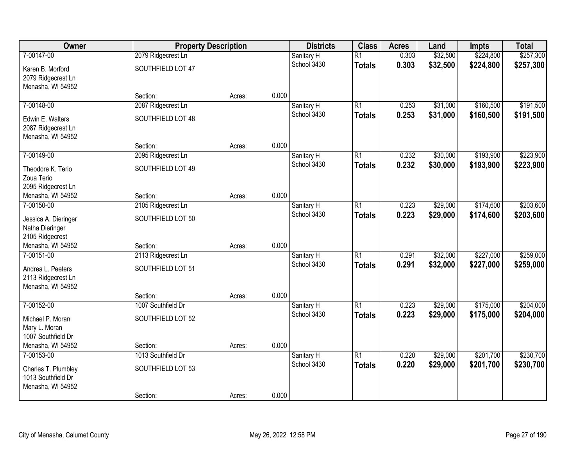| Owner                                                          | <b>Property Description</b> |        |       | <b>Districts</b>          | <b>Class</b>    | <b>Acres</b>   | Land                 | <b>Impts</b>           | <b>Total</b>           |
|----------------------------------------------------------------|-----------------------------|--------|-------|---------------------------|-----------------|----------------|----------------------|------------------------|------------------------|
| 7-00147-00                                                     | 2079 Ridgecrest Ln          |        |       | Sanitary H                | $\overline{R1}$ | 0.303          | \$32,500             | \$224,800              | \$257,300              |
| Karen B. Morford<br>2079 Ridgecrest Ln<br>Menasha, WI 54952    | SOUTHFIELD LOT 47           |        |       | School 3430               | <b>Totals</b>   | 0.303          | \$32,500             | \$224,800              | \$257,300              |
|                                                                | Section:                    | Acres: | 0.000 |                           |                 |                |                      |                        |                        |
| 7-00148-00                                                     | 2087 Ridgecrest Ln          |        |       | Sanitary H<br>School 3430 | $\overline{R1}$ | 0.253<br>0.253 | \$31,000             | \$160,500              | \$191,500              |
| Edwin E. Walters<br>2087 Ridgecrest Ln<br>Menasha, WI 54952    | SOUTHFIELD LOT 48           |        |       |                           | <b>Totals</b>   |                | \$31,000             | \$160,500              | \$191,500              |
|                                                                | Section:                    | Acres: | 0.000 |                           |                 |                |                      |                        |                        |
| 7-00149-00                                                     | 2095 Ridgecrest Ln          |        |       | Sanitary H                | $\overline{R1}$ | 0.232          | \$30,000             | \$193,900              | \$223,900              |
| Theodore K. Terio<br>Zoua Terio                                | SOUTHFIELD LOT 49           |        |       | School 3430               | <b>Totals</b>   | 0.232          | \$30,000             | \$193,900              | \$223,900              |
| 2095 Ridgecrest Ln<br>Menasha, WI 54952                        | Section:                    | Acres: | 0.000 |                           |                 |                |                      |                        |                        |
| 7-00150-00                                                     | 2105 Ridgecrest Ln          |        |       | Sanitary H                | $\overline{R1}$ | 0.223          | \$29,000             | \$174,600              | \$203,600              |
| Jessica A. Dieringer<br>Natha Dieringer<br>2105 Ridgecrest     | SOUTHFIELD LOT 50           |        |       | School 3430               | <b>Totals</b>   | 0.223          | \$29,000             | \$174,600              | \$203,600              |
| Menasha, WI 54952                                              | Section:                    | Acres: | 0.000 |                           |                 |                |                      |                        |                        |
| 7-00151-00                                                     | 2113 Ridgecrest Ln          |        |       | Sanitary H<br>School 3430 | $\overline{R1}$ | 0.291<br>0.291 | \$32,000<br>\$32,000 | \$227,000<br>\$227,000 | \$259,000<br>\$259,000 |
| Andrea L. Peeters<br>2113 Ridgecrest Ln<br>Menasha, WI 54952   | SOUTHFIELD LOT 51           |        |       |                           | <b>Totals</b>   |                |                      |                        |                        |
|                                                                | Section:                    | Acres: | 0.000 |                           |                 |                |                      |                        |                        |
| 7-00152-00                                                     | 1007 Southfield Dr          |        |       | Sanitary H                | $\overline{R1}$ | 0.223          | \$29,000             | \$175,000              | \$204,000              |
| Michael P. Moran<br>Mary L. Moran<br>1007 Southfield Dr        | SOUTHFIELD LOT 52           |        |       | School 3430               | <b>Totals</b>   | 0.223          | \$29,000             | \$175,000              | \$204,000              |
| Menasha, WI 54952                                              | Section:                    | Acres: | 0.000 |                           |                 |                |                      |                        |                        |
| 7-00153-00                                                     | 1013 Southfield Dr          |        |       | Sanitary H                | $\overline{R1}$ | 0.220          | \$29,000             | \$201,700              | \$230,700              |
| Charles T. Plumbley<br>1013 Southfield Dr<br>Menasha, WI 54952 | SOUTHFIELD LOT 53           |        |       | School 3430               | <b>Totals</b>   | 0.220          | \$29,000             | \$201,700              | \$230,700              |
|                                                                | Section:                    | Acres: | 0.000 |                           |                 |                |                      |                        |                        |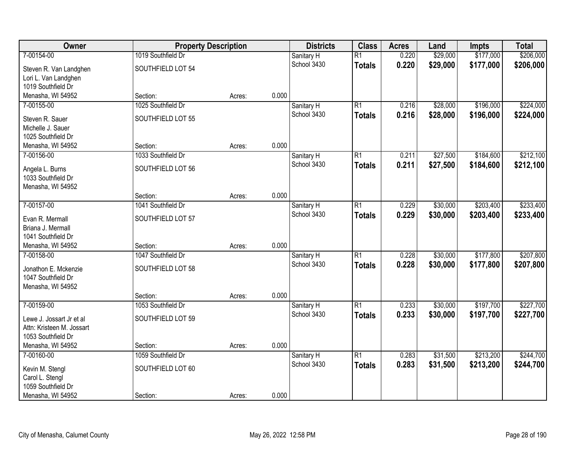| Owner                                   | <b>Property Description</b> |        |       | <b>Districts</b>          | <b>Class</b>    | <b>Acres</b> | Land     | <b>Impts</b> | <b>Total</b> |
|-----------------------------------------|-----------------------------|--------|-------|---------------------------|-----------------|--------------|----------|--------------|--------------|
| 7-00154-00                              | 1019 Southfield Dr          |        |       | Sanitary H                | $\overline{R1}$ | 0.220        | \$29,000 | \$177,000    | \$206,000    |
| Steven R. Van Landghen                  | SOUTHFIELD LOT 54           |        |       | School 3430               | <b>Totals</b>   | 0.220        | \$29,000 | \$177,000    | \$206,000    |
| Lori L. Van Landghen                    |                             |        |       |                           |                 |              |          |              |              |
| 1019 Southfield Dr                      |                             |        |       |                           |                 |              |          |              |              |
| Menasha, WI 54952                       | Section:                    | Acres: | 0.000 |                           |                 |              |          |              |              |
| 7-00155-00                              | 1025 Southfield Dr          |        |       | Sanitary H                | $\overline{R1}$ | 0.216        | \$28,000 | \$196,000    | \$224,000    |
| Steven R. Sauer                         | SOUTHFIELD LOT 55           |        |       | School 3430               | <b>Totals</b>   | 0.216        | \$28,000 | \$196,000    | \$224,000    |
| Michelle J. Sauer                       |                             |        |       |                           |                 |              |          |              |              |
| 1025 Southfield Dr                      |                             |        |       |                           |                 |              |          |              |              |
| Menasha, WI 54952                       | Section:                    | Acres: | 0.000 |                           |                 |              |          |              |              |
| 7-00156-00                              | 1033 Southfield Dr          |        |       | Sanitary H                | $\overline{R1}$ | 0.211        | \$27,500 | \$184,600    | \$212,100    |
|                                         | SOUTHFIELD LOT 56           |        |       | School 3430               | <b>Totals</b>   | 0.211        | \$27,500 | \$184,600    | \$212,100    |
| Angela L. Burns<br>1033 Southfield Dr   |                             |        |       |                           |                 |              |          |              |              |
| Menasha, WI 54952                       |                             |        |       |                           |                 |              |          |              |              |
|                                         | Section:                    | Acres: | 0.000 |                           |                 |              |          |              |              |
| 7-00157-00                              | 1041 Southfield Dr          |        |       | Sanitary H                | $\overline{R1}$ | 0.229        | \$30,000 | \$203,400    | \$233,400    |
|                                         |                             |        |       | School 3430               | <b>Totals</b>   | 0.229        | \$30,000 | \$203,400    | \$233,400    |
| Evan R. Mermall                         | SOUTHFIELD LOT 57           |        |       |                           |                 |              |          |              |              |
| Briana J. Mermall<br>1041 Southfield Dr |                             |        |       |                           |                 |              |          |              |              |
| Menasha, WI 54952                       | Section:                    | Acres: | 0.000 |                           |                 |              |          |              |              |
| 7-00158-00                              | 1047 Southfield Dr          |        |       | Sanitary H                | $\overline{R1}$ | 0.228        | \$30,000 | \$177,800    | \$207,800    |
|                                         |                             |        |       | School 3430               | <b>Totals</b>   | 0.228        | \$30,000 | \$177,800    | \$207,800    |
| Jonathon E. Mckenzie                    | SOUTHFIELD LOT 58           |        |       |                           |                 |              |          |              |              |
| 1047 Southfield Dr                      |                             |        |       |                           |                 |              |          |              |              |
| Menasha, WI 54952                       |                             |        |       |                           |                 |              |          |              |              |
|                                         | Section:                    | Acres: | 0.000 |                           |                 |              |          |              |              |
| 7-00159-00                              | 1053 Southfield Dr          |        |       | Sanitary H<br>School 3430 | $\overline{R1}$ | 0.233        | \$30,000 | \$197,700    | \$227,700    |
| Lewe J. Jossart Jr et al                | SOUTHFIELD LOT 59           |        |       |                           | <b>Totals</b>   | 0.233        | \$30,000 | \$197,700    | \$227,700    |
| Attn: Kristeen M. Jossart               |                             |        |       |                           |                 |              |          |              |              |
| 1053 Southfield Dr                      |                             |        |       |                           |                 |              |          |              |              |
| Menasha, WI 54952                       | Section:                    | Acres: | 0.000 |                           |                 |              |          |              |              |
| 7-00160-00                              | 1059 Southfield Dr          |        |       | Sanitary H                | $\overline{R1}$ | 0.283        | \$31,500 | \$213,200    | \$244,700    |
| Kevin M. Stengl                         | SOUTHFIELD LOT 60           |        |       | School 3430               | <b>Totals</b>   | 0.283        | \$31,500 | \$213,200    | \$244,700    |
| Carol L. Stengl                         |                             |        |       |                           |                 |              |          |              |              |
| 1059 Southfield Dr                      |                             |        |       |                           |                 |              |          |              |              |
| Menasha, WI 54952                       | Section:                    | Acres: | 0.000 |                           |                 |              |          |              |              |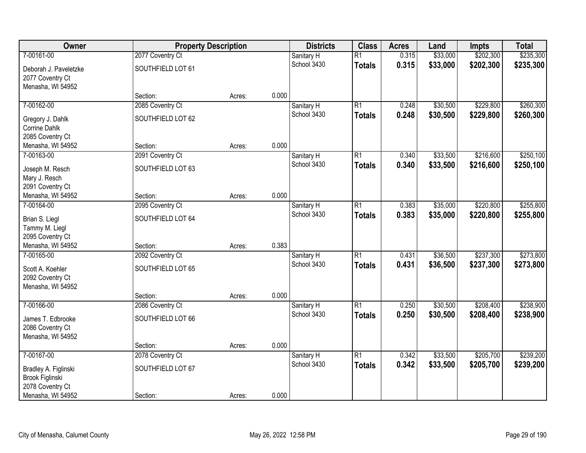| Owner                 | <b>Property Description</b> |        |       | <b>Districts</b>          | <b>Class</b>    | <b>Acres</b> | Land     | <b>Impts</b> | <b>Total</b> |
|-----------------------|-----------------------------|--------|-------|---------------------------|-----------------|--------------|----------|--------------|--------------|
| 7-00161-00            | 2077 Coventry Ct            |        |       | Sanitary H                | $\overline{R1}$ | 0.315        | \$33,000 | \$202,300    | \$235,300    |
| Deborah J. Paveletzke | SOUTHFIELD LOT 61           |        |       | School 3430               | <b>Totals</b>   | 0.315        | \$33,000 | \$202,300    | \$235,300    |
| 2077 Coventry Ct      |                             |        |       |                           |                 |              |          |              |              |
| Menasha, WI 54952     |                             |        |       |                           |                 |              |          |              |              |
|                       | Section:                    | Acres: | 0.000 |                           |                 |              |          |              |              |
| 7-00162-00            | 2085 Coventry Ct            |        |       | Sanitary H                | $\overline{R1}$ | 0.248        | \$30,500 | \$229,800    | \$260,300    |
| Gregory J. Dahlk      | SOUTHFIELD LOT 62           |        |       | School 3430               | <b>Totals</b>   | 0.248        | \$30,500 | \$229,800    | \$260,300    |
| <b>Corrine Dahlk</b>  |                             |        |       |                           |                 |              |          |              |              |
| 2085 Coventry Ct      |                             |        |       |                           |                 |              |          |              |              |
| Menasha, WI 54952     | Section:                    | Acres: | 0.000 |                           |                 |              |          |              |              |
| 7-00163-00            | 2091 Coventry Ct            |        |       | Sanitary H                | $\overline{R1}$ | 0.340        | \$33,500 | \$216,600    | \$250,100    |
| Joseph M. Resch       | SOUTHFIELD LOT 63           |        |       | School 3430               | <b>Totals</b>   | 0.340        | \$33,500 | \$216,600    | \$250,100    |
| Mary J. Resch         |                             |        |       |                           |                 |              |          |              |              |
| 2091 Coventry Ct      |                             |        |       |                           |                 |              |          |              |              |
| Menasha, WI 54952     | Section:                    | Acres: | 0.000 |                           |                 |              |          |              |              |
| 7-00164-00            | 2095 Coventry Ct            |        |       | Sanitary H                | $\overline{R1}$ | 0.383        | \$35,000 | \$220,800    | \$255,800    |
| Brian S. Liegl        | SOUTHFIELD LOT 64           |        |       | School 3430               | <b>Totals</b>   | 0.383        | \$35,000 | \$220,800    | \$255,800    |
| Tammy M. Liegl        |                             |        |       |                           |                 |              |          |              |              |
| 2095 Coventry Ct      |                             |        |       |                           |                 |              |          |              |              |
| Menasha, WI 54952     | Section:                    | Acres: | 0.383 |                           |                 |              |          |              |              |
| 7-00165-00            | 2092 Coventry Ct            |        |       | Sanitary H                | $\overline{R1}$ | 0.431        | \$36,500 | \$237,300    | \$273,800    |
| Scott A. Koehler      | SOUTHFIELD LOT 65           |        |       | School 3430               | <b>Totals</b>   | 0.431        | \$36,500 | \$237,300    | \$273,800    |
| 2092 Coventry Ct      |                             |        |       |                           |                 |              |          |              |              |
| Menasha, WI 54952     |                             |        |       |                           |                 |              |          |              |              |
|                       | Section:                    | Acres: | 0.000 |                           |                 |              |          |              |              |
| 7-00166-00            | 2086 Coventry Ct            |        |       | Sanitary H                | $\overline{R1}$ | 0.250        | \$30,500 | \$208,400    | \$238,900    |
| James T. Edbrooke     | SOUTHFIELD LOT 66           |        |       | School 3430               | <b>Totals</b>   | 0.250        | \$30,500 | \$208,400    | \$238,900    |
| 2086 Coventry Ct      |                             |        |       |                           |                 |              |          |              |              |
| Menasha, WI 54952     |                             |        |       |                           |                 |              |          |              |              |
|                       | Section:                    | Acres: | 0.000 |                           |                 |              |          |              |              |
| 7-00167-00            | 2078 Coventry Ct            |        |       | Sanitary H<br>School 3430 | $\overline{R1}$ | 0.342        | \$33,500 | \$205,700    | \$239,200    |
| Bradley A. Figlinski  | SOUTHFIELD LOT 67           |        |       |                           | <b>Totals</b>   | 0.342        | \$33,500 | \$205,700    | \$239,200    |
| Brook Figlinski       |                             |        |       |                           |                 |              |          |              |              |
| 2078 Coventry Ct      |                             |        |       |                           |                 |              |          |              |              |
| Menasha, WI 54952     | Section:                    | Acres: | 0.000 |                           |                 |              |          |              |              |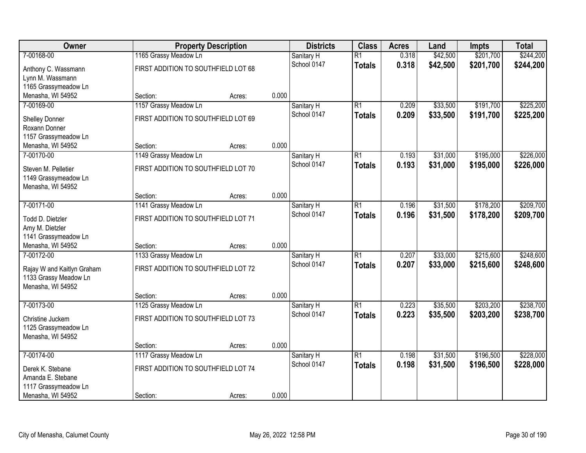| Owner                      |                                     | <b>Property Description</b> |       | <b>Districts</b> | <b>Class</b>    | <b>Acres</b> | Land     | Impts     | <b>Total</b> |
|----------------------------|-------------------------------------|-----------------------------|-------|------------------|-----------------|--------------|----------|-----------|--------------|
| 7-00168-00                 | 1165 Grassy Meadow Ln               |                             |       | Sanitary H       | $\overline{R1}$ | 0.318        | \$42,500 | \$201,700 | \$244,200    |
| Anthony C. Wassmann        | FIRST ADDITION TO SOUTHFIELD LOT 68 |                             |       | School 0147      | <b>Totals</b>   | 0.318        | \$42,500 | \$201,700 | \$244,200    |
| Lynn M. Wassmann           |                                     |                             |       |                  |                 |              |          |           |              |
| 1165 Grassymeadow Ln       |                                     |                             |       |                  |                 |              |          |           |              |
| Menasha, WI 54952          | Section:                            | Acres:                      | 0.000 |                  |                 |              |          |           |              |
| 7-00169-00                 | 1157 Grassy Meadow Ln               |                             |       | Sanitary H       | $\overline{R1}$ | 0.209        | \$33,500 | \$191,700 | \$225,200    |
| Shelley Donner             | FIRST ADDITION TO SOUTHFIELD LOT 69 |                             |       | School 0147      | <b>Totals</b>   | 0.209        | \$33,500 | \$191,700 | \$225,200    |
| Roxann Donner              |                                     |                             |       |                  |                 |              |          |           |              |
| 1157 Grassymeadow Ln       |                                     |                             |       |                  |                 |              |          |           |              |
| Menasha, WI 54952          | Section:                            | Acres:                      | 0.000 |                  |                 |              |          |           |              |
| 7-00170-00                 | 1149 Grassy Meadow Ln               |                             |       | Sanitary H       | $\overline{R1}$ | 0.193        | \$31,000 | \$195,000 | \$226,000    |
| Steven M. Pelletier        | FIRST ADDITION TO SOUTHFIELD LOT 70 |                             |       | School 0147      | <b>Totals</b>   | 0.193        | \$31,000 | \$195,000 | \$226,000    |
| 1149 Grassymeadow Ln       |                                     |                             |       |                  |                 |              |          |           |              |
| Menasha, WI 54952          |                                     |                             |       |                  |                 |              |          |           |              |
|                            | Section:                            | Acres:                      | 0.000 |                  |                 |              |          |           |              |
| 7-00171-00                 | 1141 Grassy Meadow Ln               |                             |       | Sanitary H       | $\overline{R1}$ | 0.196        | \$31,500 | \$178,200 | \$209,700    |
| Todd D. Dietzler           | FIRST ADDITION TO SOUTHFIELD LOT 71 |                             |       | School 0147      | <b>Totals</b>   | 0.196        | \$31,500 | \$178,200 | \$209,700    |
| Amy M. Dietzler            |                                     |                             |       |                  |                 |              |          |           |              |
| 1141 Grassymeadow Ln       |                                     |                             |       |                  |                 |              |          |           |              |
| Menasha, WI 54952          | Section:                            | Acres:                      | 0.000 |                  |                 |              |          |           |              |
| 7-00172-00                 | 1133 Grassy Meadow Ln               |                             |       | Sanitary H       | $\overline{R1}$ | 0.207        | \$33,000 | \$215,600 | \$248,600    |
| Rajay W and Kaitlyn Graham | FIRST ADDITION TO SOUTHFIELD LOT 72 |                             |       | School 0147      | <b>Totals</b>   | 0.207        | \$33,000 | \$215,600 | \$248,600    |
| 1133 Grassy Meadow Ln      |                                     |                             |       |                  |                 |              |          |           |              |
| Menasha, WI 54952          |                                     |                             |       |                  |                 |              |          |           |              |
|                            | Section:                            | Acres:                      | 0.000 |                  |                 |              |          |           |              |
| 7-00173-00                 | 1125 Grassy Meadow Ln               |                             |       | Sanitary H       | $\overline{R1}$ | 0.223        | \$35,500 | \$203,200 | \$238,700    |
| Christine Juckem           | FIRST ADDITION TO SOUTHFIELD LOT 73 |                             |       | School 0147      | <b>Totals</b>   | 0.223        | \$35,500 | \$203,200 | \$238,700    |
| 1125 Grassymeadow Ln       |                                     |                             |       |                  |                 |              |          |           |              |
| Menasha, WI 54952          |                                     |                             |       |                  |                 |              |          |           |              |
|                            | Section:                            | Acres:                      | 0.000 |                  |                 |              |          |           |              |
| 7-00174-00                 | 1117 Grassy Meadow Ln               |                             |       | Sanitary H       | $\overline{R1}$ | 0.198        | \$31,500 | \$196,500 | \$228,000    |
| Derek K. Stebane           | FIRST ADDITION TO SOUTHFIELD LOT 74 |                             |       | School 0147      | <b>Totals</b>   | 0.198        | \$31,500 | \$196,500 | \$228,000    |
| Amanda E. Stebane          |                                     |                             |       |                  |                 |              |          |           |              |
| 1117 Grassymeadow Ln       |                                     |                             |       |                  |                 |              |          |           |              |
| Menasha, WI 54952          | Section:                            | Acres:                      | 0.000 |                  |                 |              |          |           |              |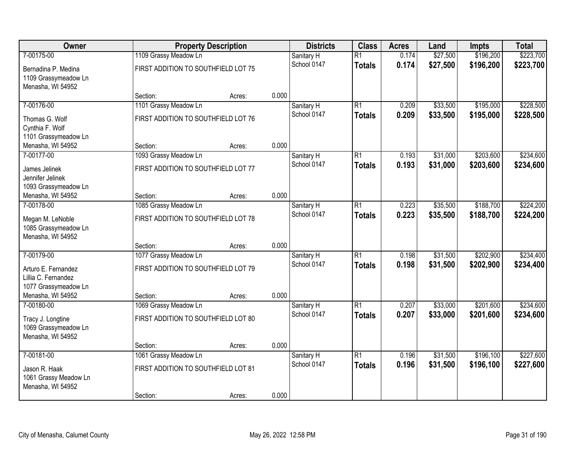| \$196,200<br>\$223,700<br>7-00175-00<br>1109 Grassy Meadow Ln<br>$\overline{R1}$<br>\$27,500<br>Sanitary H<br>0.174<br>0.174<br>\$27,500<br>\$196,200<br>\$223,700<br>School 0147<br><b>Totals</b><br>FIRST ADDITION TO SOUTHFIELD LOT 75<br>Bernadina P. Medina<br>1109 Grassymeadow Ln<br>Menasha, WI 54952<br>0.000<br>Section:<br>Acres:<br>\$33,500<br>\$195,000<br>7-00176-00<br>1101 Grassy Meadow Ln<br>$\overline{R1}$<br>0.209<br>Sanitary H<br>0.209<br>\$33,500<br>\$195,000<br>School 0147<br><b>Totals</b><br>FIRST ADDITION TO SOUTHFIELD LOT 76<br>Thomas G. Wolf<br>Cynthia F. Wolf<br>1101 Grassymeadow Ln<br>0.000<br>Menasha, WI 54952<br>Section:<br>Acres:<br>7-00177-00<br>$\overline{R1}$<br>\$31,000<br>\$203,600<br>1093 Grassy Meadow Ln<br>0.193<br>Sanitary H<br>School 0147<br>0.193<br>\$31,000<br>\$203,600<br><b>Totals</b><br>FIRST ADDITION TO SOUTHFIELD LOT 77<br>James Jelinek<br>Jennifer Jelinek<br>1093 Grassymeadow Ln<br>0.000<br>Menasha, WI 54952<br>Section:<br>Acres:<br>\$35,500<br>\$188,700<br>$\overline{R1}$<br>0.223<br>7-00178-00<br>1085 Grassy Meadow Ln<br>Sanitary H<br>0.223<br>School 0147<br>\$35,500<br>\$188,700<br><b>Totals</b><br>FIRST ADDITION TO SOUTHFIELD LOT 78<br>Megan M. LeNoble<br>1085 Grassymeadow Ln<br>Menasha, WI 54952<br>0.000<br>Section:<br>Acres:<br>\$202,900<br>7-00179-00<br>1077 Grassy Meadow Ln<br>$\overline{R1}$<br>0.198<br>\$31,500<br>Sanitary H<br>0.198<br>\$31,500<br>\$202,900<br>School 0147<br><b>Totals</b><br>FIRST ADDITION TO SOUTHFIELD LOT 79<br>Arturo E. Fernandez<br>Lillia C. Fernandez<br>1077 Grassymeadow Ln<br>Menasha, WI 54952<br>0.000<br>Section:<br>Acres:<br>\$201,600<br>7-00180-00<br>1069 Grassy Meadow Ln<br>$\overline{R1}$<br>\$33,000<br>Sanitary H<br>0.207<br>School 0147<br>0.207<br>\$33,000<br>\$201,600<br><b>Totals</b><br>FIRST ADDITION TO SOUTHFIELD LOT 80<br>Tracy J. Longtine<br>1069 Grassymeadow Ln<br>Menasha, WI 54952<br>0.000<br>Section:<br>Acres:<br>7-00181-00<br>$\overline{R1}$<br>\$31,500<br>\$196,100<br>1061 Grassy Meadow Ln<br>0.196<br>Sanitary H<br>0.196<br>School 0147<br>\$31,500<br>\$196,100<br><b>Totals</b><br>FIRST ADDITION TO SOUTHFIELD LOT 81<br>Jason R. Haak<br>1061 Grassy Meadow Ln<br>Menasha, WI 54952 | Owner | <b>Property Description</b> |        |       | <b>Districts</b> | <b>Class</b> | <b>Acres</b> | Land | <b>Impts</b> | <b>Total</b> |
|--------------------------------------------------------------------------------------------------------------------------------------------------------------------------------------------------------------------------------------------------------------------------------------------------------------------------------------------------------------------------------------------------------------------------------------------------------------------------------------------------------------------------------------------------------------------------------------------------------------------------------------------------------------------------------------------------------------------------------------------------------------------------------------------------------------------------------------------------------------------------------------------------------------------------------------------------------------------------------------------------------------------------------------------------------------------------------------------------------------------------------------------------------------------------------------------------------------------------------------------------------------------------------------------------------------------------------------------------------------------------------------------------------------------------------------------------------------------------------------------------------------------------------------------------------------------------------------------------------------------------------------------------------------------------------------------------------------------------------------------------------------------------------------------------------------------------------------------------------------------------------------------------------------------------------------------------------------------------------------------------------------------------------------------------------------------------------------------------------------------------------------------------------------------------------------------------------------------------------------------------------------------------------------------|-------|-----------------------------|--------|-------|------------------|--------------|--------------|------|--------------|--------------|
|                                                                                                                                                                                                                                                                                                                                                                                                                                                                                                                                                                                                                                                                                                                                                                                                                                                                                                                                                                                                                                                                                                                                                                                                                                                                                                                                                                                                                                                                                                                                                                                                                                                                                                                                                                                                                                                                                                                                                                                                                                                                                                                                                                                                                                                                                            |       |                             |        |       |                  |              |              |      |              |              |
| \$228,500<br>\$228,500<br>\$224,200<br>\$224,200<br>\$234,600<br>\$234,600<br>\$227,600<br>\$227,600                                                                                                                                                                                                                                                                                                                                                                                                                                                                                                                                                                                                                                                                                                                                                                                                                                                                                                                                                                                                                                                                                                                                                                                                                                                                                                                                                                                                                                                                                                                                                                                                                                                                                                                                                                                                                                                                                                                                                                                                                                                                                                                                                                                       |       |                             |        |       |                  |              |              |      |              |              |
|                                                                                                                                                                                                                                                                                                                                                                                                                                                                                                                                                                                                                                                                                                                                                                                                                                                                                                                                                                                                                                                                                                                                                                                                                                                                                                                                                                                                                                                                                                                                                                                                                                                                                                                                                                                                                                                                                                                                                                                                                                                                                                                                                                                                                                                                                            |       |                             |        |       |                  |              |              |      |              |              |
|                                                                                                                                                                                                                                                                                                                                                                                                                                                                                                                                                                                                                                                                                                                                                                                                                                                                                                                                                                                                                                                                                                                                                                                                                                                                                                                                                                                                                                                                                                                                                                                                                                                                                                                                                                                                                                                                                                                                                                                                                                                                                                                                                                                                                                                                                            |       |                             |        |       |                  |              |              |      |              |              |
| \$234,600<br>\$234,600<br>\$234,400<br>\$234,400                                                                                                                                                                                                                                                                                                                                                                                                                                                                                                                                                                                                                                                                                                                                                                                                                                                                                                                                                                                                                                                                                                                                                                                                                                                                                                                                                                                                                                                                                                                                                                                                                                                                                                                                                                                                                                                                                                                                                                                                                                                                                                                                                                                                                                           |       |                             |        |       |                  |              |              |      |              |              |
|                                                                                                                                                                                                                                                                                                                                                                                                                                                                                                                                                                                                                                                                                                                                                                                                                                                                                                                                                                                                                                                                                                                                                                                                                                                                                                                                                                                                                                                                                                                                                                                                                                                                                                                                                                                                                                                                                                                                                                                                                                                                                                                                                                                                                                                                                            |       |                             |        |       |                  |              |              |      |              |              |
|                                                                                                                                                                                                                                                                                                                                                                                                                                                                                                                                                                                                                                                                                                                                                                                                                                                                                                                                                                                                                                                                                                                                                                                                                                                                                                                                                                                                                                                                                                                                                                                                                                                                                                                                                                                                                                                                                                                                                                                                                                                                                                                                                                                                                                                                                            |       |                             |        |       |                  |              |              |      |              |              |
|                                                                                                                                                                                                                                                                                                                                                                                                                                                                                                                                                                                                                                                                                                                                                                                                                                                                                                                                                                                                                                                                                                                                                                                                                                                                                                                                                                                                                                                                                                                                                                                                                                                                                                                                                                                                                                                                                                                                                                                                                                                                                                                                                                                                                                                                                            |       |                             |        |       |                  |              |              |      |              |              |
|                                                                                                                                                                                                                                                                                                                                                                                                                                                                                                                                                                                                                                                                                                                                                                                                                                                                                                                                                                                                                                                                                                                                                                                                                                                                                                                                                                                                                                                                                                                                                                                                                                                                                                                                                                                                                                                                                                                                                                                                                                                                                                                                                                                                                                                                                            |       |                             |        |       |                  |              |              |      |              |              |
|                                                                                                                                                                                                                                                                                                                                                                                                                                                                                                                                                                                                                                                                                                                                                                                                                                                                                                                                                                                                                                                                                                                                                                                                                                                                                                                                                                                                                                                                                                                                                                                                                                                                                                                                                                                                                                                                                                                                                                                                                                                                                                                                                                                                                                                                                            |       |                             |        |       |                  |              |              |      |              |              |
|                                                                                                                                                                                                                                                                                                                                                                                                                                                                                                                                                                                                                                                                                                                                                                                                                                                                                                                                                                                                                                                                                                                                                                                                                                                                                                                                                                                                                                                                                                                                                                                                                                                                                                                                                                                                                                                                                                                                                                                                                                                                                                                                                                                                                                                                                            |       |                             |        |       |                  |              |              |      |              |              |
|                                                                                                                                                                                                                                                                                                                                                                                                                                                                                                                                                                                                                                                                                                                                                                                                                                                                                                                                                                                                                                                                                                                                                                                                                                                                                                                                                                                                                                                                                                                                                                                                                                                                                                                                                                                                                                                                                                                                                                                                                                                                                                                                                                                                                                                                                            |       |                             |        |       |                  |              |              |      |              |              |
|                                                                                                                                                                                                                                                                                                                                                                                                                                                                                                                                                                                                                                                                                                                                                                                                                                                                                                                                                                                                                                                                                                                                                                                                                                                                                                                                                                                                                                                                                                                                                                                                                                                                                                                                                                                                                                                                                                                                                                                                                                                                                                                                                                                                                                                                                            |       |                             |        |       |                  |              |              |      |              |              |
|                                                                                                                                                                                                                                                                                                                                                                                                                                                                                                                                                                                                                                                                                                                                                                                                                                                                                                                                                                                                                                                                                                                                                                                                                                                                                                                                                                                                                                                                                                                                                                                                                                                                                                                                                                                                                                                                                                                                                                                                                                                                                                                                                                                                                                                                                            |       |                             |        |       |                  |              |              |      |              |              |
|                                                                                                                                                                                                                                                                                                                                                                                                                                                                                                                                                                                                                                                                                                                                                                                                                                                                                                                                                                                                                                                                                                                                                                                                                                                                                                                                                                                                                                                                                                                                                                                                                                                                                                                                                                                                                                                                                                                                                                                                                                                                                                                                                                                                                                                                                            |       |                             |        |       |                  |              |              |      |              |              |
|                                                                                                                                                                                                                                                                                                                                                                                                                                                                                                                                                                                                                                                                                                                                                                                                                                                                                                                                                                                                                                                                                                                                                                                                                                                                                                                                                                                                                                                                                                                                                                                                                                                                                                                                                                                                                                                                                                                                                                                                                                                                                                                                                                                                                                                                                            |       |                             |        |       |                  |              |              |      |              |              |
|                                                                                                                                                                                                                                                                                                                                                                                                                                                                                                                                                                                                                                                                                                                                                                                                                                                                                                                                                                                                                                                                                                                                                                                                                                                                                                                                                                                                                                                                                                                                                                                                                                                                                                                                                                                                                                                                                                                                                                                                                                                                                                                                                                                                                                                                                            |       |                             |        |       |                  |              |              |      |              |              |
|                                                                                                                                                                                                                                                                                                                                                                                                                                                                                                                                                                                                                                                                                                                                                                                                                                                                                                                                                                                                                                                                                                                                                                                                                                                                                                                                                                                                                                                                                                                                                                                                                                                                                                                                                                                                                                                                                                                                                                                                                                                                                                                                                                                                                                                                                            |       |                             |        |       |                  |              |              |      |              |              |
|                                                                                                                                                                                                                                                                                                                                                                                                                                                                                                                                                                                                                                                                                                                                                                                                                                                                                                                                                                                                                                                                                                                                                                                                                                                                                                                                                                                                                                                                                                                                                                                                                                                                                                                                                                                                                                                                                                                                                                                                                                                                                                                                                                                                                                                                                            |       |                             |        |       |                  |              |              |      |              |              |
|                                                                                                                                                                                                                                                                                                                                                                                                                                                                                                                                                                                                                                                                                                                                                                                                                                                                                                                                                                                                                                                                                                                                                                                                                                                                                                                                                                                                                                                                                                                                                                                                                                                                                                                                                                                                                                                                                                                                                                                                                                                                                                                                                                                                                                                                                            |       |                             |        |       |                  |              |              |      |              |              |
|                                                                                                                                                                                                                                                                                                                                                                                                                                                                                                                                                                                                                                                                                                                                                                                                                                                                                                                                                                                                                                                                                                                                                                                                                                                                                                                                                                                                                                                                                                                                                                                                                                                                                                                                                                                                                                                                                                                                                                                                                                                                                                                                                                                                                                                                                            |       |                             |        |       |                  |              |              |      |              |              |
|                                                                                                                                                                                                                                                                                                                                                                                                                                                                                                                                                                                                                                                                                                                                                                                                                                                                                                                                                                                                                                                                                                                                                                                                                                                                                                                                                                                                                                                                                                                                                                                                                                                                                                                                                                                                                                                                                                                                                                                                                                                                                                                                                                                                                                                                                            |       |                             |        |       |                  |              |              |      |              |              |
|                                                                                                                                                                                                                                                                                                                                                                                                                                                                                                                                                                                                                                                                                                                                                                                                                                                                                                                                                                                                                                                                                                                                                                                                                                                                                                                                                                                                                                                                                                                                                                                                                                                                                                                                                                                                                                                                                                                                                                                                                                                                                                                                                                                                                                                                                            |       |                             |        |       |                  |              |              |      |              |              |
|                                                                                                                                                                                                                                                                                                                                                                                                                                                                                                                                                                                                                                                                                                                                                                                                                                                                                                                                                                                                                                                                                                                                                                                                                                                                                                                                                                                                                                                                                                                                                                                                                                                                                                                                                                                                                                                                                                                                                                                                                                                                                                                                                                                                                                                                                            |       |                             |        |       |                  |              |              |      |              |              |
|                                                                                                                                                                                                                                                                                                                                                                                                                                                                                                                                                                                                                                                                                                                                                                                                                                                                                                                                                                                                                                                                                                                                                                                                                                                                                                                                                                                                                                                                                                                                                                                                                                                                                                                                                                                                                                                                                                                                                                                                                                                                                                                                                                                                                                                                                            |       |                             |        |       |                  |              |              |      |              |              |
|                                                                                                                                                                                                                                                                                                                                                                                                                                                                                                                                                                                                                                                                                                                                                                                                                                                                                                                                                                                                                                                                                                                                                                                                                                                                                                                                                                                                                                                                                                                                                                                                                                                                                                                                                                                                                                                                                                                                                                                                                                                                                                                                                                                                                                                                                            |       |                             |        |       |                  |              |              |      |              |              |
|                                                                                                                                                                                                                                                                                                                                                                                                                                                                                                                                                                                                                                                                                                                                                                                                                                                                                                                                                                                                                                                                                                                                                                                                                                                                                                                                                                                                                                                                                                                                                                                                                                                                                                                                                                                                                                                                                                                                                                                                                                                                                                                                                                                                                                                                                            |       |                             |        |       |                  |              |              |      |              |              |
|                                                                                                                                                                                                                                                                                                                                                                                                                                                                                                                                                                                                                                                                                                                                                                                                                                                                                                                                                                                                                                                                                                                                                                                                                                                                                                                                                                                                                                                                                                                                                                                                                                                                                                                                                                                                                                                                                                                                                                                                                                                                                                                                                                                                                                                                                            |       |                             |        |       |                  |              |              |      |              |              |
|                                                                                                                                                                                                                                                                                                                                                                                                                                                                                                                                                                                                                                                                                                                                                                                                                                                                                                                                                                                                                                                                                                                                                                                                                                                                                                                                                                                                                                                                                                                                                                                                                                                                                                                                                                                                                                                                                                                                                                                                                                                                                                                                                                                                                                                                                            |       |                             |        |       |                  |              |              |      |              |              |
|                                                                                                                                                                                                                                                                                                                                                                                                                                                                                                                                                                                                                                                                                                                                                                                                                                                                                                                                                                                                                                                                                                                                                                                                                                                                                                                                                                                                                                                                                                                                                                                                                                                                                                                                                                                                                                                                                                                                                                                                                                                                                                                                                                                                                                                                                            |       |                             |        |       |                  |              |              |      |              |              |
|                                                                                                                                                                                                                                                                                                                                                                                                                                                                                                                                                                                                                                                                                                                                                                                                                                                                                                                                                                                                                                                                                                                                                                                                                                                                                                                                                                                                                                                                                                                                                                                                                                                                                                                                                                                                                                                                                                                                                                                                                                                                                                                                                                                                                                                                                            |       |                             |        |       |                  |              |              |      |              |              |
|                                                                                                                                                                                                                                                                                                                                                                                                                                                                                                                                                                                                                                                                                                                                                                                                                                                                                                                                                                                                                                                                                                                                                                                                                                                                                                                                                                                                                                                                                                                                                                                                                                                                                                                                                                                                                                                                                                                                                                                                                                                                                                                                                                                                                                                                                            |       |                             |        |       |                  |              |              |      |              |              |
|                                                                                                                                                                                                                                                                                                                                                                                                                                                                                                                                                                                                                                                                                                                                                                                                                                                                                                                                                                                                                                                                                                                                                                                                                                                                                                                                                                                                                                                                                                                                                                                                                                                                                                                                                                                                                                                                                                                                                                                                                                                                                                                                                                                                                                                                                            |       | Section:                    | Acres: | 0.000 |                  |              |              |      |              |              |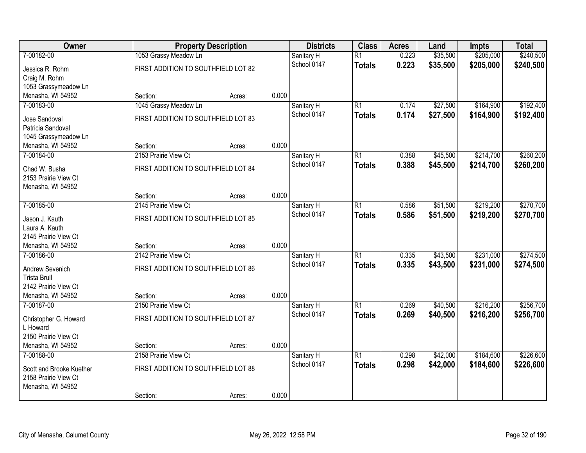| <b>Owner</b>             | <b>Property Description</b>         |        |       | <b>Districts</b> | <b>Class</b>    | <b>Acres</b> | Land     | <b>Impts</b> | <b>Total</b> |
|--------------------------|-------------------------------------|--------|-------|------------------|-----------------|--------------|----------|--------------|--------------|
| 7-00182-00               | 1053 Grassy Meadow Ln               |        |       | Sanitary H       | $\overline{R1}$ | 0.223        | \$35,500 | \$205,000    | \$240,500    |
| Jessica R. Rohm          | FIRST ADDITION TO SOUTHFIELD LOT 82 |        |       | School 0147      | <b>Totals</b>   | 0.223        | \$35,500 | \$205,000    | \$240,500    |
| Craig M. Rohm            |                                     |        |       |                  |                 |              |          |              |              |
| 1053 Grassymeadow Ln     |                                     |        |       |                  |                 |              |          |              |              |
| Menasha, WI 54952        | Section:                            | Acres: | 0.000 |                  |                 |              |          |              |              |
| 7-00183-00               | 1045 Grassy Meadow Ln               |        |       | Sanitary H       | $\overline{R1}$ | 0.174        | \$27,500 | \$164,900    | \$192,400    |
| Jose Sandoval            | FIRST ADDITION TO SOUTHFIELD LOT 83 |        |       | School 0147      | <b>Totals</b>   | 0.174        | \$27,500 | \$164,900    | \$192,400    |
| Patricia Sandoval        |                                     |        |       |                  |                 |              |          |              |              |
| 1045 Grassymeadow Ln     |                                     |        |       |                  |                 |              |          |              |              |
| Menasha, WI 54952        | Section:                            | Acres: | 0.000 |                  |                 |              |          |              |              |
| 7-00184-00               | 2153 Prairie View Ct                |        |       | Sanitary H       | $\overline{R1}$ | 0.388        | \$45,500 | \$214,700    | \$260,200    |
| Chad W. Busha            | FIRST ADDITION TO SOUTHFIELD LOT 84 |        |       | School 0147      | <b>Totals</b>   | 0.388        | \$45,500 | \$214,700    | \$260,200    |
| 2153 Prairie View Ct     |                                     |        |       |                  |                 |              |          |              |              |
| Menasha, WI 54952        |                                     |        |       |                  |                 |              |          |              |              |
|                          | Section:                            | Acres: | 0.000 |                  |                 |              |          |              |              |
| 7-00185-00               | 2145 Prairie View Ct                |        |       | Sanitary H       | $\overline{R1}$ | 0.586        | \$51,500 | \$219,200    | \$270,700    |
| Jason J. Kauth           | FIRST ADDITION TO SOUTHFIELD LOT 85 |        |       | School 0147      | <b>Totals</b>   | 0.586        | \$51,500 | \$219,200    | \$270,700    |
| Laura A. Kauth           |                                     |        |       |                  |                 |              |          |              |              |
| 2145 Prairie View Ct     |                                     |        |       |                  |                 |              |          |              |              |
| Menasha, WI 54952        | Section:                            | Acres: | 0.000 |                  |                 |              |          |              |              |
| 7-00186-00               | 2142 Prairie View Ct                |        |       | Sanitary H       | $\overline{R1}$ | 0.335        | \$43,500 | \$231,000    | \$274,500    |
| Andrew Sevenich          | FIRST ADDITION TO SOUTHFIELD LOT 86 |        |       | School 0147      | <b>Totals</b>   | 0.335        | \$43,500 | \$231,000    | \$274,500    |
| <b>Trista Brull</b>      |                                     |        |       |                  |                 |              |          |              |              |
| 2142 Prairie View Ct     |                                     |        |       |                  |                 |              |          |              |              |
| Menasha, WI 54952        | Section:                            | Acres: | 0.000 |                  |                 |              |          |              |              |
| 7-00187-00               | 2150 Prairie View Ct                |        |       | Sanitary H       | $\overline{R1}$ | 0.269        | \$40,500 | \$216,200    | \$256,700    |
| Christopher G. Howard    | FIRST ADDITION TO SOUTHFIELD LOT 87 |        |       | School 0147      | <b>Totals</b>   | 0.269        | \$40,500 | \$216,200    | \$256,700    |
| L Howard                 |                                     |        |       |                  |                 |              |          |              |              |
| 2150 Prairie View Ct     |                                     |        |       |                  |                 |              |          |              |              |
| Menasha, WI 54952        | Section:                            | Acres: | 0.000 |                  |                 |              |          |              |              |
| 7-00188-00               | 2158 Prairie View Ct                |        |       | Sanitary H       | $\overline{R1}$ | 0.298        | \$42,000 | \$184,600    | \$226,600    |
| Scott and Brooke Kuether | FIRST ADDITION TO SOUTHFIELD LOT 88 |        |       | School 0147      | <b>Totals</b>   | 0.298        | \$42,000 | \$184,600    | \$226,600    |
| 2158 Prairie View Ct     |                                     |        |       |                  |                 |              |          |              |              |
| Menasha, WI 54952        |                                     |        |       |                  |                 |              |          |              |              |
|                          | Section:                            | Acres: | 0.000 |                  |                 |              |          |              |              |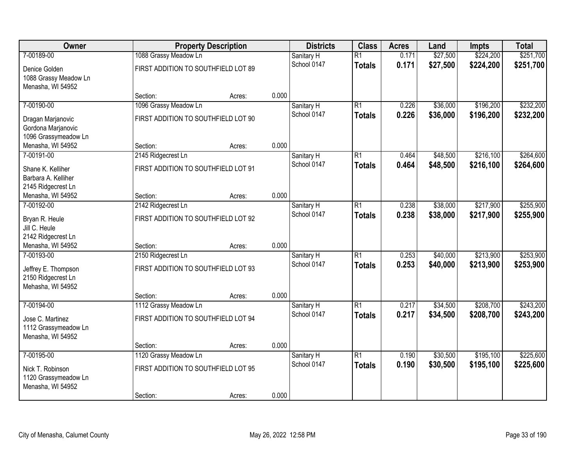| Owner                 | <b>Property Description</b>         |        |       | <b>Districts</b> | <b>Class</b>    | <b>Acres</b> | Land     | <b>Impts</b> | <b>Total</b> |
|-----------------------|-------------------------------------|--------|-------|------------------|-----------------|--------------|----------|--------------|--------------|
| 7-00189-00            | 1088 Grassy Meadow Ln               |        |       | Sanitary H       | $\overline{R1}$ | 0.171        | \$27,500 | \$224,200    | \$251,700    |
| Denice Golden         | FIRST ADDITION TO SOUTHFIELD LOT 89 |        |       | School 0147      | <b>Totals</b>   | 0.171        | \$27,500 | \$224,200    | \$251,700    |
| 1088 Grassy Meadow Ln |                                     |        |       |                  |                 |              |          |              |              |
| Menasha, WI 54952     |                                     |        |       |                  |                 |              |          |              |              |
|                       | Section:                            | Acres: | 0.000 |                  |                 |              |          |              |              |
| 7-00190-00            | 1096 Grassy Meadow Ln               |        |       | Sanitary H       | $\overline{R1}$ | 0.226        | \$36,000 | \$196,200    | \$232,200    |
| Dragan Marjanovic     | FIRST ADDITION TO SOUTHFIELD LOT 90 |        |       | School 0147      | <b>Totals</b>   | 0.226        | \$36,000 | \$196,200    | \$232,200    |
| Gordona Marjanovic    |                                     |        |       |                  |                 |              |          |              |              |
| 1096 Grassymeadow Ln  |                                     |        |       |                  |                 |              |          |              |              |
| Menasha, WI 54952     | Section:                            | Acres: | 0.000 |                  |                 |              |          |              |              |
| 7-00191-00            | 2145 Ridgecrest Ln                  |        |       | Sanitary H       | $\overline{R1}$ | 0.464        | \$48,500 | \$216,100    | \$264,600    |
| Shane K. Kelliher     | FIRST ADDITION TO SOUTHFIELD LOT 91 |        |       | School 0147      | <b>Totals</b>   | 0.464        | \$48,500 | \$216,100    | \$264,600    |
| Barbara A. Kelliher   |                                     |        |       |                  |                 |              |          |              |              |
| 2145 Ridgecrest Ln    |                                     |        |       |                  |                 |              |          |              |              |
| Menasha, WI 54952     | Section:                            | Acres: | 0.000 |                  |                 |              |          |              |              |
| 7-00192-00            | 2142 Ridgecrest Ln                  |        |       | Sanitary H       | $\overline{R1}$ | 0.238        | \$38,000 | \$217,900    | \$255,900    |
| Bryan R. Heule        | FIRST ADDITION TO SOUTHFIELD LOT 92 |        |       | School 0147      | <b>Totals</b>   | 0.238        | \$38,000 | \$217,900    | \$255,900    |
| Jill C. Heule         |                                     |        |       |                  |                 |              |          |              |              |
| 2142 Ridgecrest Ln    |                                     |        |       |                  |                 |              |          |              |              |
| Menasha, WI 54952     | Section:                            | Acres: | 0.000 |                  |                 |              |          |              |              |
| 7-00193-00            | 2150 Ridgecrest Ln                  |        |       | Sanitary H       | $\overline{R1}$ | 0.253        | \$40,000 | \$213,900    | \$253,900    |
| Jeffrey E. Thompson   | FIRST ADDITION TO SOUTHFIELD LOT 93 |        |       | School 0147      | <b>Totals</b>   | 0.253        | \$40,000 | \$213,900    | \$253,900    |
| 2150 Ridgecrest Ln    |                                     |        |       |                  |                 |              |          |              |              |
| Mehasha, WI 54952     |                                     |        |       |                  |                 |              |          |              |              |
|                       | Section:                            | Acres: | 0.000 |                  |                 |              |          |              |              |
| 7-00194-00            | 1112 Grassy Meadow Ln               |        |       | Sanitary H       | $\overline{R1}$ | 0.217        | \$34,500 | \$208,700    | \$243,200    |
| Jose C. Martinez      | FIRST ADDITION TO SOUTHFIELD LOT 94 |        |       | School 0147      | <b>Totals</b>   | 0.217        | \$34,500 | \$208,700    | \$243,200    |
| 1112 Grassymeadow Ln  |                                     |        |       |                  |                 |              |          |              |              |
| Menasha, WI 54952     |                                     |        |       |                  |                 |              |          |              |              |
|                       | Section:                            | Acres: | 0.000 |                  |                 |              |          |              |              |
| 7-00195-00            | 1120 Grassy Meadow Ln               |        |       | Sanitary H       | $\overline{R1}$ | 0.190        | \$30,500 | \$195,100    | \$225,600    |
| Nick T. Robinson      | FIRST ADDITION TO SOUTHFIELD LOT 95 |        |       | School 0147      | <b>Totals</b>   | 0.190        | \$30,500 | \$195,100    | \$225,600    |
| 1120 Grassymeadow Ln  |                                     |        |       |                  |                 |              |          |              |              |
| Menasha, WI 54952     |                                     |        |       |                  |                 |              |          |              |              |
|                       | Section:                            | Acres: | 0.000 |                  |                 |              |          |              |              |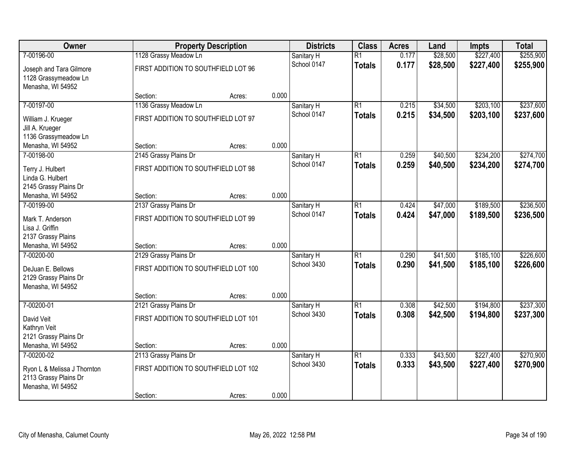| <b>Owner</b>                                         |                                      | <b>Property Description</b> |       | <b>Districts</b>          | <b>Class</b>    | <b>Acres</b>   | Land                 | <b>Impts</b> | <b>Total</b> |
|------------------------------------------------------|--------------------------------------|-----------------------------|-------|---------------------------|-----------------|----------------|----------------------|--------------|--------------|
| 7-00196-00                                           | 1128 Grassy Meadow Ln                |                             |       | Sanitary H                | $\overline{R1}$ | 0.177          | \$28,500             | \$227,400    | \$255,900    |
| Joseph and Tara Gilmore                              | FIRST ADDITION TO SOUTHFIELD LOT 96  |                             |       | School 0147               | <b>Totals</b>   | 0.177          | \$28,500             | \$227,400    | \$255,900    |
| 1128 Grassymeadow Ln                                 |                                      |                             |       |                           |                 |                |                      |              |              |
| Menasha, WI 54952                                    |                                      |                             |       |                           |                 |                |                      |              |              |
|                                                      | Section:                             | Acres:                      | 0.000 |                           | $\overline{R1}$ |                |                      | \$203,100    | \$237,600    |
| 7-00197-00                                           | 1136 Grassy Meadow Ln                |                             |       | Sanitary H<br>School 0147 |                 | 0.215<br>0.215 | \$34,500<br>\$34,500 | \$203,100    | \$237,600    |
| William J. Krueger                                   | FIRST ADDITION TO SOUTHFIELD LOT 97  |                             |       |                           | <b>Totals</b>   |                |                      |              |              |
| Jill A. Krueger                                      |                                      |                             |       |                           |                 |                |                      |              |              |
| 1136 Grassymeadow Ln<br>Menasha, WI 54952            | Section:                             |                             | 0.000 |                           |                 |                |                      |              |              |
| 7-00198-00                                           | 2145 Grassy Plains Dr                | Acres:                      |       | Sanitary H                | $\overline{R1}$ | 0.259          | \$40,500             | \$234,200    | \$274,700    |
|                                                      |                                      |                             |       | School 0147               | <b>Totals</b>   | 0.259          | \$40,500             | \$234,200    | \$274,700    |
| Terry J. Hulbert                                     | FIRST ADDITION TO SOUTHFIELD LOT 98  |                             |       |                           |                 |                |                      |              |              |
| Linda G. Hulbert                                     |                                      |                             |       |                           |                 |                |                      |              |              |
| 2145 Grassy Plains Dr<br>Menasha, WI 54952           | Section:                             |                             | 0.000 |                           |                 |                |                      |              |              |
| 7-00199-00                                           | 2137 Grassy Plains Dr                | Acres:                      |       | Sanitary H                | $\overline{R1}$ | 0.424          | \$47,000             | \$189,500    | \$236,500    |
|                                                      |                                      |                             |       | School 0147               | <b>Totals</b>   | 0.424          | \$47,000             | \$189,500    | \$236,500    |
| Mark T. Anderson                                     | FIRST ADDITION TO SOUTHFIELD LOT 99  |                             |       |                           |                 |                |                      |              |              |
| Lisa J. Griffin                                      |                                      |                             |       |                           |                 |                |                      |              |              |
| 2137 Grassy Plains<br>Menasha, WI 54952              | Section:                             |                             | 0.000 |                           |                 |                |                      |              |              |
| 7-00200-00                                           | 2129 Grassy Plains Dr                | Acres:                      |       | Sanitary H                | $\overline{R1}$ | 0.290          | \$41,500             | \$185,100    | \$226,600    |
|                                                      |                                      |                             |       | School 3430               | <b>Totals</b>   | 0.290          | \$41,500             | \$185,100    | \$226,600    |
| DeJuan E. Bellows                                    | FIRST ADDITION TO SOUTHFIELD LOT 100 |                             |       |                           |                 |                |                      |              |              |
| 2129 Grassy Plains Dr                                |                                      |                             |       |                           |                 |                |                      |              |              |
| Menasha, WI 54952                                    | Section:                             | Acres:                      | 0.000 |                           |                 |                |                      |              |              |
| 7-00200-01                                           | 2121 Grassy Plains Dr                |                             |       | Sanitary H                | $\overline{R1}$ | 0.308          | \$42,500             | \$194,800    | \$237,300    |
|                                                      |                                      |                             |       | School 3430               | <b>Totals</b>   | 0.308          | \$42,500             | \$194,800    | \$237,300    |
| David Veit                                           | FIRST ADDITION TO SOUTHFIELD LOT 101 |                             |       |                           |                 |                |                      |              |              |
| Kathryn Veit<br>2121 Grassy Plains Dr                |                                      |                             |       |                           |                 |                |                      |              |              |
| Menasha, WI 54952                                    | Section:                             | Acres:                      | 0.000 |                           |                 |                |                      |              |              |
| 7-00200-02                                           | 2113 Grassy Plains Dr                |                             |       | Sanitary H                | $\overline{R1}$ | 0.333          | \$43,500             | \$227,400    | \$270,900    |
|                                                      |                                      |                             |       | School 3430               | <b>Totals</b>   | 0.333          | \$43,500             | \$227,400    | \$270,900    |
| Ryon L & Melissa J Thornton<br>2113 Grassy Plains Dr | FIRST ADDITION TO SOUTHFIELD LOT 102 |                             |       |                           |                 |                |                      |              |              |
| Menasha, WI 54952                                    |                                      |                             |       |                           |                 |                |                      |              |              |
|                                                      | Section:                             | Acres:                      | 0.000 |                           |                 |                |                      |              |              |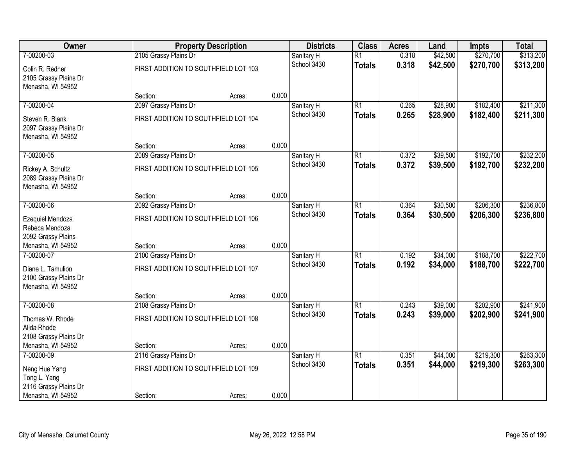| <b>Owner</b>                                                    |                                      | <b>Property Description</b> |       | <b>Districts</b> | <b>Class</b>    | <b>Acres</b> | Land     | Impts     | <b>Total</b> |
|-----------------------------------------------------------------|--------------------------------------|-----------------------------|-------|------------------|-----------------|--------------|----------|-----------|--------------|
| 7-00200-03                                                      | 2105 Grassy Plains Dr                |                             |       | Sanitary H       | $\overline{R1}$ | 0.318        | \$42,500 | \$270,700 | \$313,200    |
| Colin R. Redner<br>2105 Grassy Plains Dr<br>Menasha, WI 54952   | FIRST ADDITION TO SOUTHFIELD LOT 103 |                             |       | School 3430      | <b>Totals</b>   | 0.318        | \$42,500 | \$270,700 | \$313,200    |
|                                                                 | Section:                             | Acres:                      | 0.000 |                  |                 |              |          |           |              |
| 7-00200-04                                                      | 2097 Grassy Plains Dr                |                             |       | Sanitary H       | $\overline{R1}$ | 0.265        | \$28,900 | \$182,400 | \$211,300    |
| Steven R. Blank<br>2097 Grassy Plains Dr<br>Menasha, WI 54952   | FIRST ADDITION TO SOUTHFIELD LOT 104 |                             |       | School 3430      | <b>Totals</b>   | 0.265        | \$28,900 | \$182,400 | \$211,300    |
|                                                                 | Section:                             | Acres:                      | 0.000 |                  |                 |              |          |           |              |
| 7-00200-05                                                      | 2089 Grassy Plains Dr                |                             |       | Sanitary H       | $\overline{R1}$ | 0.372        | \$39,500 | \$192,700 | \$232,200    |
| Rickey A. Schultz<br>2089 Grassy Plains Dr<br>Menasha, WI 54952 | FIRST ADDITION TO SOUTHFIELD LOT 105 |                             |       | School 3430      | <b>Totals</b>   | 0.372        | \$39,500 | \$192,700 | \$232,200    |
|                                                                 | Section:                             | Acres:                      | 0.000 |                  |                 |              |          |           |              |
| 7-00200-06                                                      | 2092 Grassy Plains Dr                |                             |       | Sanitary H       | $\overline{R1}$ | 0.364        | \$30,500 | \$206,300 | \$236,800    |
| Ezequiel Mendoza<br>Rebeca Mendoza<br>2092 Grassy Plains        | FIRST ADDITION TO SOUTHFIELD LOT 106 |                             |       | School 3430      | <b>Totals</b>   | 0.364        | \$30,500 | \$206,300 | \$236,800    |
| Menasha, WI 54952                                               | Section:                             | Acres:                      | 0.000 |                  |                 |              |          |           |              |
| 7-00200-07                                                      | 2100 Grassy Plains Dr                |                             |       | Sanitary H       | $\overline{R1}$ | 0.192        | \$34,000 | \$188,700 | \$222,700    |
| Diane L. Tamulion<br>2100 Grassy Plains Dr<br>Menasha, WI 54952 | FIRST ADDITION TO SOUTHFIELD LOT 107 |                             |       | School 3430      | <b>Totals</b>   | 0.192        | \$34,000 | \$188,700 | \$222,700    |
|                                                                 | Section:                             | Acres:                      | 0.000 |                  |                 |              |          |           |              |
| 7-00200-08                                                      | 2108 Grassy Plains Dr                |                             |       | Sanitary H       | $\overline{R1}$ | 0.243        | \$39,000 | \$202,900 | \$241,900    |
| Thomas W. Rhode<br>Alida Rhode<br>2108 Grassy Plains Dr         | FIRST ADDITION TO SOUTHFIELD LOT 108 |                             |       | School 3430      | <b>Totals</b>   | 0.243        | \$39,000 | \$202,900 | \$241,900    |
| Menasha, WI 54952                                               | Section:                             | Acres:                      | 0.000 |                  |                 |              |          |           |              |
| 7-00200-09                                                      | 2116 Grassy Plains Dr                |                             |       | Sanitary H       | $\overline{R1}$ | 0.351        | \$44,000 | \$219,300 | \$263,300    |
| Neng Hue Yang<br>Tong L. Yang                                   | FIRST ADDITION TO SOUTHFIELD LOT 109 |                             |       | School 3430      | <b>Totals</b>   | 0.351        | \$44,000 | \$219,300 | \$263,300    |
| 2116 Grassy Plains Dr<br>Menasha, WI 54952                      | Section:                             | Acres:                      | 0.000 |                  |                 |              |          |           |              |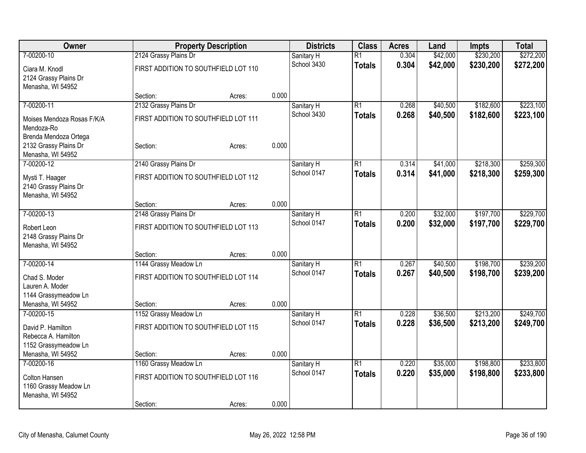| Owner                                      |                                      | <b>Property Description</b> |       | <b>Districts</b>          | <b>Class</b>    | <b>Acres</b> | Land     | Impts     | <b>Total</b> |
|--------------------------------------------|--------------------------------------|-----------------------------|-------|---------------------------|-----------------|--------------|----------|-----------|--------------|
| 7-00200-10                                 | 2124 Grassy Plains Dr                |                             |       | Sanitary H                | $\overline{R1}$ | 0.304        | \$42,000 | \$230,200 | \$272,200    |
| Ciara M. Knodl                             | FIRST ADDITION TO SOUTHFIELD LOT 110 |                             |       | School 3430               | <b>Totals</b>   | 0.304        | \$42,000 | \$230,200 | \$272,200    |
| 2124 Grassy Plains Dr                      |                                      |                             |       |                           |                 |              |          |           |              |
| Menasha, WI 54952                          |                                      |                             |       |                           |                 |              |          |           |              |
|                                            | Section:                             | Acres:                      | 0.000 |                           |                 |              |          |           |              |
| 7-00200-11                                 | 2132 Grassy Plains Dr                |                             |       | Sanitary H                | $\overline{R1}$ | 0.268        | \$40,500 | \$182,600 | \$223,100    |
| Moises Mendoza Rosas F/K/A                 | FIRST ADDITION TO SOUTHFIELD LOT 111 |                             |       | School 3430               | <b>Totals</b>   | 0.268        | \$40,500 | \$182,600 | \$223,100    |
| Mendoza-Ro                                 |                                      |                             |       |                           |                 |              |          |           |              |
| Brenda Mendoza Ortega                      |                                      |                             |       |                           |                 |              |          |           |              |
| 2132 Grassy Plains Dr                      | Section:                             | Acres:                      | 0.000 |                           |                 |              |          |           |              |
| Menasha, WI 54952<br>7-00200-12            | 2140 Grassy Plains Dr                |                             |       |                           | $\overline{R1}$ | 0.314        | \$41,000 | \$218,300 | \$259,300    |
|                                            |                                      |                             |       | Sanitary H<br>School 0147 |                 | 0.314        | \$41,000 | \$218,300 | \$259,300    |
| Mysti T. Haager                            | FIRST ADDITION TO SOUTHFIELD LOT 112 |                             |       |                           | <b>Totals</b>   |              |          |           |              |
| 2140 Grassy Plains Dr                      |                                      |                             |       |                           |                 |              |          |           |              |
| Menasha, WI 54952                          | Section:                             |                             | 0.000 |                           |                 |              |          |           |              |
| 7-00200-13                                 | 2148 Grassy Plains Dr                | Acres:                      |       | Sanitary H                | R1              | 0.200        | \$32,000 | \$197,700 | \$229,700    |
|                                            |                                      |                             |       | School 0147               | <b>Totals</b>   | 0.200        | \$32,000 | \$197,700 | \$229,700    |
| Robert Leon                                | FIRST ADDITION TO SOUTHFIELD LOT 113 |                             |       |                           |                 |              |          |           |              |
| 2148 Grassy Plains Dr<br>Menasha, WI 54952 |                                      |                             |       |                           |                 |              |          |           |              |
|                                            | Section:                             | Acres:                      | 0.000 |                           |                 |              |          |           |              |
| 7-00200-14                                 | 1144 Grassy Meadow Ln                |                             |       | Sanitary H                | $\overline{R1}$ | 0.267        | \$40,500 | \$198,700 | \$239,200    |
|                                            |                                      |                             |       | School 0147               | <b>Totals</b>   | 0.267        | \$40,500 | \$198,700 | \$239,200    |
| Chad S. Moder<br>Lauren A. Moder           | FIRST ADDITION TO SOUTHFIELD LOT 114 |                             |       |                           |                 |              |          |           |              |
| 1144 Grassymeadow Ln                       |                                      |                             |       |                           |                 |              |          |           |              |
| Menasha, WI 54952                          | Section:                             | Acres:                      | 0.000 |                           |                 |              |          |           |              |
| 7-00200-15                                 | 1152 Grassy Meadow Ln                |                             |       | Sanitary H                | $\overline{R1}$ | 0.228        | \$36,500 | \$213,200 | \$249,700    |
| David P. Hamilton                          | FIRST ADDITION TO SOUTHFIELD LOT 115 |                             |       | School 0147               | <b>Totals</b>   | 0.228        | \$36,500 | \$213,200 | \$249,700    |
| Rebecca A. Hamilton                        |                                      |                             |       |                           |                 |              |          |           |              |
| 1152 Grassymeadow Ln                       |                                      |                             |       |                           |                 |              |          |           |              |
| Menasha, WI 54952                          | Section:                             | Acres:                      | 0.000 |                           |                 |              |          |           |              |
| 7-00200-16                                 | 1160 Grassy Meadow Ln                |                             |       | Sanitary H                | $\overline{R1}$ | 0.220        | \$35,000 | \$198,800 | \$233,800    |
| Colton Hansen                              | FIRST ADDITION TO SOUTHFIELD LOT 116 |                             |       | School 0147               | <b>Totals</b>   | 0.220        | \$35,000 | \$198,800 | \$233,800    |
| 1160 Grassy Meadow Ln                      |                                      |                             |       |                           |                 |              |          |           |              |
| Menasha, WI 54952                          |                                      |                             |       |                           |                 |              |          |           |              |
|                                            | Section:                             | Acres:                      | 0.000 |                           |                 |              |          |           |              |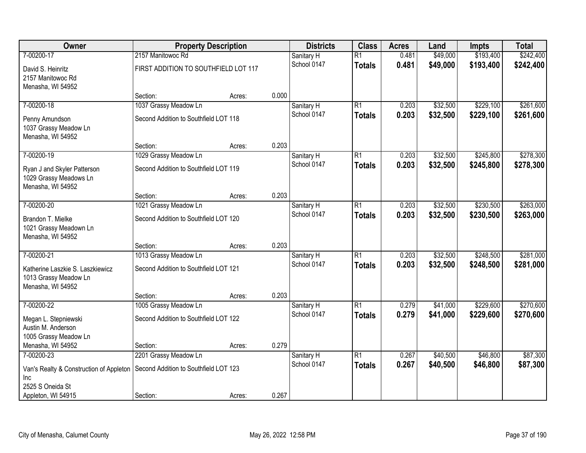| Owner                                      | <b>Property Description</b>           |        |       | <b>Districts</b>          | <b>Class</b>    | <b>Acres</b> | Land     | <b>Impts</b> | <b>Total</b> |
|--------------------------------------------|---------------------------------------|--------|-------|---------------------------|-----------------|--------------|----------|--------------|--------------|
| 7-00200-17                                 | 2157 Manitowoc Rd                     |        |       | Sanitary H                | $\overline{R1}$ | 0.481        | \$49,000 | \$193,400    | \$242,400    |
| David S. Heinritz<br>2157 Manitowoc Rd     | FIRST ADDITION TO SOUTHFIELD LOT 117  |        |       | School 0147               | <b>Totals</b>   | 0.481        | \$49,000 | \$193,400    | \$242,400    |
| Menasha, WI 54952                          |                                       |        |       |                           |                 |              |          |              |              |
|                                            | Section:                              | Acres: | 0.000 |                           |                 |              |          |              |              |
| 7-00200-18                                 | 1037 Grassy Meadow Ln                 |        |       | Sanitary H                | $\overline{R1}$ | 0.203        | \$32,500 | \$229,100    | \$261,600    |
| Penny Amundson                             | Second Addition to Southfield LOT 118 |        |       | School 0147               | <b>Totals</b>   | 0.203        | \$32,500 | \$229,100    | \$261,600    |
| 1037 Grassy Meadow Ln                      |                                       |        |       |                           |                 |              |          |              |              |
| Menasha, WI 54952                          |                                       |        |       |                           |                 |              |          |              |              |
|                                            | Section:                              | Acres: | 0.203 |                           |                 |              |          |              |              |
| 7-00200-19                                 | 1029 Grassy Meadow Ln                 |        |       | Sanitary H                | $\overline{R1}$ | 0.203        | \$32,500 | \$245,800    | \$278,300    |
| Ryan J and Skyler Patterson                | Second Addition to Southfield LOT 119 |        |       | School 0147               | <b>Totals</b>   | 0.203        | \$32,500 | \$245,800    | \$278,300    |
| 1029 Grassy Meadows Ln                     |                                       |        |       |                           |                 |              |          |              |              |
| Menasha, WI 54952                          |                                       |        |       |                           |                 |              |          |              |              |
|                                            | Section:                              | Acres: | 0.203 |                           |                 |              |          |              |              |
| 7-00200-20                                 | 1021 Grassy Meadow Ln                 |        |       | Sanitary H                | $\overline{R1}$ | 0.203        | \$32,500 | \$230,500    | \$263,000    |
| Brandon T. Mielke                          | Second Addition to Southfield LOT 120 |        |       | School 0147               | <b>Totals</b>   | 0.203        | \$32,500 | \$230,500    | \$263,000    |
| 1021 Grassy Meadown Ln                     |                                       |        |       |                           |                 |              |          |              |              |
| Menasha, WI 54952                          |                                       |        |       |                           |                 |              |          |              |              |
| 7-00200-21                                 | Section:<br>1013 Grassy Meadow Ln     | Acres: | 0.203 |                           | $\overline{R1}$ | 0.203        | \$32,500 | \$248,500    | \$281,000    |
|                                            |                                       |        |       | Sanitary H<br>School 0147 | <b>Totals</b>   | 0.203        | \$32,500 | \$248,500    | \$281,000    |
| Katherine Laszkie S. Laszkiewicz           | Second Addition to Southfield LOT 121 |        |       |                           |                 |              |          |              |              |
| 1013 Grassy Meadow Ln                      |                                       |        |       |                           |                 |              |          |              |              |
| Menasha, WI 54952                          | Section:                              | Acres: | 0.203 |                           |                 |              |          |              |              |
| 7-00200-22                                 | 1005 Grassy Meadow Ln                 |        |       | Sanitary H                | $\overline{R1}$ | 0.279        | \$41,000 | \$229,600    | \$270,600    |
|                                            |                                       |        |       | School 0147               | <b>Totals</b>   | 0.279        | \$41,000 | \$229,600    | \$270,600    |
| Megan L. Stepniewski<br>Austin M. Anderson | Second Addition to Southfield LOT 122 |        |       |                           |                 |              |          |              |              |
| 1005 Grassy Meadow Ln                      |                                       |        |       |                           |                 |              |          |              |              |
| Menasha, WI 54952                          | Section:                              | Acres: | 0.279 |                           |                 |              |          |              |              |
| 7-00200-23                                 | 2201 Grassy Meadow Ln                 |        |       | Sanitary H                | $\overline{R1}$ | 0.267        | \$40,500 | \$46,800     | \$87,300     |
| Van's Realty & Construction of Appleton    | Second Addition to Southfield LOT 123 |        |       | School 0147               | <b>Totals</b>   | 0.267        | \$40,500 | \$46,800     | \$87,300     |
| Inc                                        |                                       |        |       |                           |                 |              |          |              |              |
| 2525 S Oneida St                           |                                       |        |       |                           |                 |              |          |              |              |
| Appleton, WI 54915                         | Section:                              | Acres: | 0.267 |                           |                 |              |          |              |              |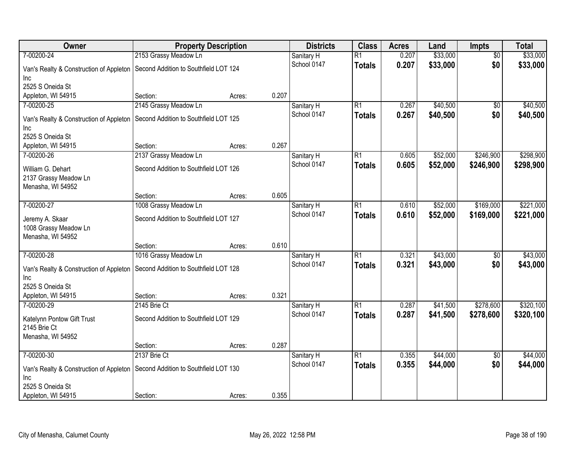| Owner                                   | <b>Property Description</b>           |                 | <b>Districts</b>          | <b>Class</b>    | <b>Acres</b> | Land     | Impts           | <b>Total</b> |
|-----------------------------------------|---------------------------------------|-----------------|---------------------------|-----------------|--------------|----------|-----------------|--------------|
| 7-00200-24                              | 2153 Grassy Meadow Ln                 |                 | Sanitary H                | $\overline{R1}$ | 0.207        | \$33,000 | $\overline{50}$ | \$33,000     |
| Van's Realty & Construction of Appleton | Second Addition to Southfield LOT 124 |                 | School 0147               | <b>Totals</b>   | 0.207        | \$33,000 | \$0             | \$33,000     |
| Inc                                     |                                       |                 |                           |                 |              |          |                 |              |
| 2525 S Oneida St                        |                                       |                 |                           |                 |              |          |                 |              |
| Appleton, WI 54915                      | Section:                              | 0.207<br>Acres: |                           |                 |              |          |                 |              |
| 7-00200-25                              | 2145 Grassy Meadow Ln                 |                 | Sanitary H                | $\overline{R1}$ | 0.267        | \$40,500 | $\overline{50}$ | \$40,500     |
| Van's Realty & Construction of Appleton | Second Addition to Southfield LOT 125 |                 | School 0147               | <b>Totals</b>   | 0.267        | \$40,500 | \$0             | \$40,500     |
| Inc                                     |                                       |                 |                           |                 |              |          |                 |              |
| 2525 S Oneida St                        |                                       |                 |                           |                 |              |          |                 |              |
| Appleton, WI 54915                      | Section:                              | 0.267<br>Acres: |                           |                 |              |          |                 |              |
| 7-00200-26                              | 2137 Grassy Meadow Ln                 |                 | Sanitary H                | $\overline{R1}$ | 0.605        | \$52,000 | \$246,900       | \$298,900    |
| William G. Dehart                       | Second Addition to Southfield LOT 126 |                 | School 0147               | <b>Totals</b>   | 0.605        | \$52,000 | \$246,900       | \$298,900    |
| 2137 Grassy Meadow Ln                   |                                       |                 |                           |                 |              |          |                 |              |
| Menasha, WI 54952                       |                                       |                 |                           |                 |              |          |                 |              |
|                                         | Section:                              | 0.605<br>Acres: |                           |                 |              |          |                 |              |
| 7-00200-27                              | 1008 Grassy Meadow Ln                 |                 | Sanitary H                | $\overline{R1}$ | 0.610        | \$52,000 | \$169,000       | \$221,000    |
| Jeremy A. Skaar                         | Second Addition to Southfield LOT 127 |                 | School 0147               | <b>Totals</b>   | 0.610        | \$52,000 | \$169,000       | \$221,000    |
| 1008 Grassy Meadow Ln                   |                                       |                 |                           |                 |              |          |                 |              |
| Menasha, WI 54952                       |                                       |                 |                           |                 |              |          |                 |              |
|                                         | Section:                              | 0.610<br>Acres: |                           |                 |              |          |                 |              |
| 7-00200-28                              | 1016 Grassy Meadow Ln                 |                 | Sanitary H                | $\overline{R1}$ | 0.321        | \$43,000 | $\overline{50}$ | \$43,000     |
| Van's Realty & Construction of Appleton | Second Addition to Southfield LOT 128 |                 | School 0147               | <b>Totals</b>   | 0.321        | \$43,000 | \$0             | \$43,000     |
| Inc.                                    |                                       |                 |                           |                 |              |          |                 |              |
| 2525 S Oneida St                        |                                       |                 |                           |                 |              |          |                 |              |
| Appleton, WI 54915                      | Section:                              | 0.321<br>Acres: |                           |                 |              |          |                 |              |
| 7-00200-29                              | 2145 Brie Ct                          |                 | Sanitary H                | $\overline{R1}$ | 0.287        | \$41,500 | \$278,600       | \$320,100    |
|                                         |                                       |                 | School 0147               | <b>Totals</b>   | 0.287        | \$41,500 | \$278,600       | \$320,100    |
| Katelynn Pontow Gift Trust              | Second Addition to Southfield LOT 129 |                 |                           |                 |              |          |                 |              |
| 2145 Brie Ct                            |                                       |                 |                           |                 |              |          |                 |              |
| Menasha, WI 54952                       | Section:                              | 0.287           |                           |                 |              |          |                 |              |
| 7-00200-30                              | 2137 Brie Ct                          | Acres:          |                           | $\overline{R1}$ | 0.355        | \$44,000 | $\overline{50}$ | \$44,000     |
|                                         |                                       |                 | Sanitary H<br>School 0147 |                 | 0.355        | \$44,000 | \$0             | \$44,000     |
| Van's Realty & Construction of Appleton | Second Addition to Southfield LOT 130 |                 |                           | <b>Totals</b>   |              |          |                 |              |
| Inc                                     |                                       |                 |                           |                 |              |          |                 |              |
| 2525 S Oneida St                        |                                       |                 |                           |                 |              |          |                 |              |
| Appleton, WI 54915                      | Section:                              | 0.355<br>Acres: |                           |                 |              |          |                 |              |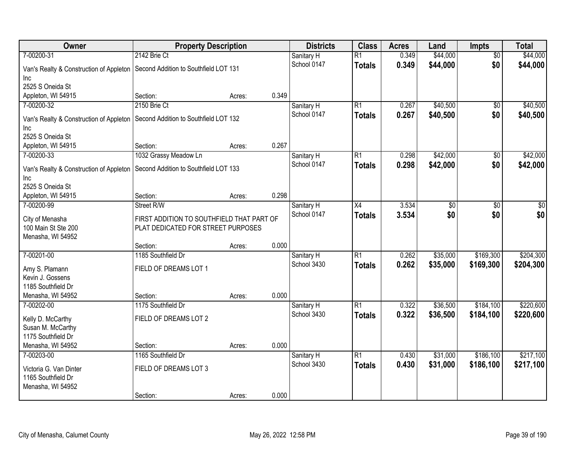| Owner                                   | <b>Property Description</b>               |        |       | <b>Districts</b> | <b>Class</b>    | <b>Acres</b> | Land            | <b>Impts</b>    | <b>Total</b>    |
|-----------------------------------------|-------------------------------------------|--------|-------|------------------|-----------------|--------------|-----------------|-----------------|-----------------|
| 7-00200-31                              | 2142 Brie Ct                              |        |       | Sanitary H       | $\overline{R1}$ | 0.349        | \$44,000        | $\overline{50}$ | \$44,000        |
| Van's Realty & Construction of Appleton | Second Addition to Southfield LOT 131     |        |       | School 0147      | <b>Totals</b>   | 0.349        | \$44,000        | \$0             | \$44,000        |
| Inc.                                    |                                           |        |       |                  |                 |              |                 |                 |                 |
| 2525 S Oneida St                        |                                           |        |       |                  |                 |              |                 |                 |                 |
| Appleton, WI 54915                      | Section:                                  | Acres: | 0.349 |                  |                 |              |                 |                 |                 |
| 7-00200-32                              | 2150 Brie Ct                              |        |       | Sanitary H       | R1              | 0.267        | \$40,500        | $\overline{50}$ | \$40,500        |
| Van's Realty & Construction of Appleton | Second Addition to Southfield LOT 132     |        |       | School 0147      | <b>Totals</b>   | 0.267        | \$40,500        | \$0             | \$40,500        |
| Inc                                     |                                           |        |       |                  |                 |              |                 |                 |                 |
| 2525 S Oneida St                        |                                           |        |       |                  |                 |              |                 |                 |                 |
| Appleton, WI 54915                      | Section:                                  | Acres: | 0.267 |                  |                 |              |                 |                 |                 |
| 7-00200-33                              | 1032 Grassy Meadow Ln                     |        |       | Sanitary H       | R1              | 0.298        | \$42,000        | \$0             | \$42,000        |
| Van's Realty & Construction of Appleton | Second Addition to Southfield LOT 133     |        |       | School 0147      | <b>Totals</b>   | 0.298        | \$42,000        | \$0             | \$42,000        |
| Inc                                     |                                           |        |       |                  |                 |              |                 |                 |                 |
| 2525 S Oneida St                        |                                           |        |       |                  |                 |              |                 |                 |                 |
| Appleton, WI 54915                      | Section:                                  | Acres: | 0.298 |                  |                 |              |                 |                 |                 |
| 7-00200-99                              | Street R/W                                |        |       | Sanitary H       | $\overline{X4}$ | 3.534        | $\overline{50}$ | $\overline{30}$ | $\overline{50}$ |
| City of Menasha                         | FIRST ADDITION TO SOUTHFIELD THAT PART OF |        |       | School 0147      | <b>Totals</b>   | 3.534        | \$0             | \$0             | \$0             |
| 100 Main St Ste 200                     | PLAT DEDICATED FOR STREET PURPOSES        |        |       |                  |                 |              |                 |                 |                 |
| Menasha, WI 54952                       |                                           |        |       |                  |                 |              |                 |                 |                 |
|                                         | Section:                                  | Acres: | 0.000 |                  |                 |              |                 |                 |                 |
| 7-00201-00                              | 1185 Southfield Dr                        |        |       | Sanitary H       | $\overline{R1}$ | 0.262        | \$35,000        | \$169,300       | \$204,300       |
| Amy S. Plamann                          | FIELD OF DREAMS LOT 1                     |        |       | School 3430      | <b>Totals</b>   | 0.262        | \$35,000        | \$169,300       | \$204,300       |
| Kevin J. Gossens                        |                                           |        |       |                  |                 |              |                 |                 |                 |
| 1185 Southfield Dr                      |                                           |        |       |                  |                 |              |                 |                 |                 |
| Menasha, WI 54952                       | Section:                                  | Acres: | 0.000 |                  |                 |              |                 |                 |                 |
| 7-00202-00                              | 1175 Southfield Dr                        |        |       | Sanitary H       | R1              | 0.322        | \$36,500        | \$184,100       | \$220,600       |
| Kelly D. McCarthy                       | FIELD OF DREAMS LOT 2                     |        |       | School 3430      | <b>Totals</b>   | 0.322        | \$36,500        | \$184,100       | \$220,600       |
| Susan M. McCarthy                       |                                           |        |       |                  |                 |              |                 |                 |                 |
| 1175 Southfield Dr                      |                                           |        |       |                  |                 |              |                 |                 |                 |
| Menasha, WI 54952                       | Section:                                  | Acres: | 0.000 |                  |                 |              |                 |                 |                 |
| 7-00203-00                              | 1165 Southfield Dr                        |        |       | Sanitary H       | R1              | 0.430        | \$31,000        | \$186,100       | \$217,100       |
| Victoria G. Van Dinter                  | FIELD OF DREAMS LOT 3                     |        |       | School 3430      | <b>Totals</b>   | 0.430        | \$31,000        | \$186,100       | \$217,100       |
| 1165 Southfield Dr                      |                                           |        |       |                  |                 |              |                 |                 |                 |
| Menasha, WI 54952                       |                                           |        |       |                  |                 |              |                 |                 |                 |
|                                         | Section:                                  | Acres: | 0.000 |                  |                 |              |                 |                 |                 |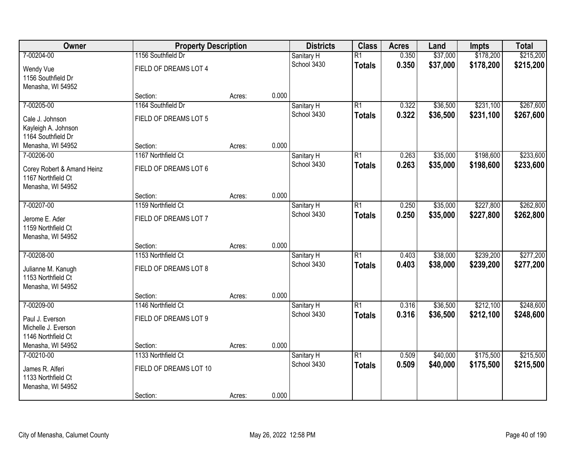| Owner                                                        | <b>Property Description</b>                 |        |       | <b>Districts</b>          | <b>Class</b>                     | <b>Acres</b>   | Land                 | <b>Impts</b>           | <b>Total</b>           |
|--------------------------------------------------------------|---------------------------------------------|--------|-------|---------------------------|----------------------------------|----------------|----------------------|------------------------|------------------------|
| 7-00204-00<br>Wendy Vue                                      | 1156 Southfield Dr<br>FIELD OF DREAMS LOT 4 |        |       | Sanitary H<br>School 3430 | $\overline{R1}$<br><b>Totals</b> | 0.350<br>0.350 | \$37,000<br>\$37,000 | \$178,200<br>\$178,200 | \$215,200<br>\$215,200 |
| 1156 Southfield Dr<br>Menasha, WI 54952                      | Section:                                    |        | 0.000 |                           |                                  |                |                      |                        |                        |
| 7-00205-00                                                   | 1164 Southfield Dr                          | Acres: |       | Sanitary H                | $\overline{R1}$                  | 0.322          | \$36,500             | \$231,100              | \$267,600              |
|                                                              |                                             |        |       | School 3430               | <b>Totals</b>                    | 0.322          | \$36,500             | \$231,100              | \$267,600              |
| Cale J. Johnson<br>Kayleigh A. Johnson<br>1164 Southfield Dr | FIELD OF DREAMS LOT 5                       |        |       |                           |                                  |                |                      |                        |                        |
| Menasha, WI 54952                                            | Section:                                    | Acres: | 0.000 |                           |                                  |                |                      |                        |                        |
| 7-00206-00                                                   | 1167 Northfield Ct                          |        |       | Sanitary H                | $\overline{R1}$                  | 0.263          | \$35,000             | \$198,600              | \$233,600              |
| Corey Robert & Amand Heinz<br>1167 Northfield Ct             | FIELD OF DREAMS LOT 6                       |        |       | School 3430               | <b>Totals</b>                    | 0.263          | \$35,000             | \$198,600              | \$233,600              |
| Menasha, WI 54952                                            | Section:                                    | Acres: | 0.000 |                           |                                  |                |                      |                        |                        |
| 7-00207-00                                                   | 1159 Northfield Ct                          |        |       | Sanitary H                | $\overline{R1}$                  | 0.250          | \$35,000             | \$227,800              | \$262,800              |
|                                                              |                                             |        |       | School 3430               | <b>Totals</b>                    | 0.250          | \$35,000             | \$227,800              | \$262,800              |
| Jerome E. Ader<br>1159 Northfield Ct<br>Menasha, WI 54952    | FIELD OF DREAMS LOT 7                       |        |       |                           |                                  |                |                      |                        |                        |
|                                                              | Section:                                    | Acres: | 0.000 |                           |                                  |                |                      |                        |                        |
| 7-00208-00                                                   | 1153 Northfield Ct                          |        |       | Sanitary H                | $\overline{R1}$                  | 0.403          | \$38,000             | \$239,200              | \$277,200              |
| Julianne M. Kanugh<br>1153 Northfield Ct                     | FIELD OF DREAMS LOT 8                       |        |       | School 3430               | <b>Totals</b>                    | 0.403          | \$38,000             | \$239,200              | \$277,200              |
| Menasha, WI 54952                                            |                                             |        | 0.000 |                           |                                  |                |                      |                        |                        |
| 7-00209-00                                                   | Section:<br>1146 Northfield Ct              | Acres: |       | Sanitary H                | $\overline{R1}$                  | 0.316          | \$36,500             | \$212,100              | \$248,600              |
|                                                              |                                             |        |       | School 3430               | <b>Totals</b>                    | 0.316          | \$36,500             | \$212,100              | \$248,600              |
| Paul J. Everson                                              | FIELD OF DREAMS LOT 9                       |        |       |                           |                                  |                |                      |                        |                        |
| Michelle J. Everson                                          |                                             |        |       |                           |                                  |                |                      |                        |                        |
| 1146 Northfield Ct                                           | Section:                                    |        | 0.000 |                           |                                  |                |                      |                        |                        |
| Menasha, WI 54952<br>7-00210-00                              | 1133 Northfield Ct                          | Acres: |       | Sanitary H                | $\overline{R1}$                  | 0.509          | \$40,000             | \$175,500              | \$215,500              |
|                                                              |                                             |        |       | School 3430               | <b>Totals</b>                    | 0.509          | \$40,000             | \$175,500              | \$215,500              |
| James R. Alferi<br>1133 Northfield Ct<br>Menasha, WI 54952   | FIELD OF DREAMS LOT 10                      |        |       |                           |                                  |                |                      |                        |                        |
|                                                              | Section:                                    | Acres: | 0.000 |                           |                                  |                |                      |                        |                        |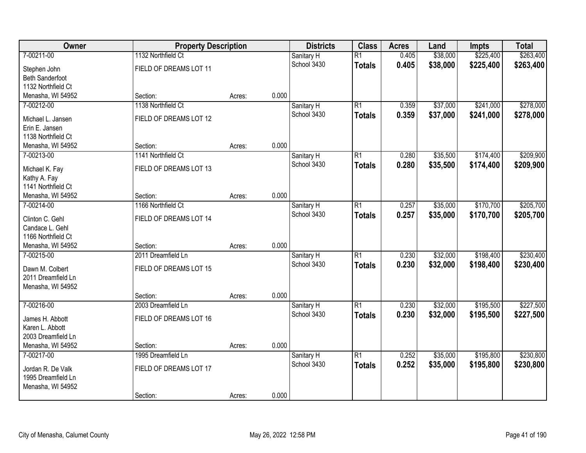| Owner                                 | <b>Property Description</b> |        |       | <b>Districts</b> | <b>Class</b>    | <b>Acres</b> | Land     | <b>Impts</b> | <b>Total</b> |
|---------------------------------------|-----------------------------|--------|-------|------------------|-----------------|--------------|----------|--------------|--------------|
| 7-00211-00                            | 1132 Northfield Ct          |        |       | Sanitary H       | $\overline{R1}$ | 0.405        | \$38,000 | \$225,400    | \$263,400    |
| Stephen John                          | FIELD OF DREAMS LOT 11      |        |       | School 3430      | <b>Totals</b>   | 0.405        | \$38,000 | \$225,400    | \$263,400    |
| <b>Beth Sanderfoot</b>                |                             |        |       |                  |                 |              |          |              |              |
| 1132 Northfield Ct                    |                             |        |       |                  |                 |              |          |              |              |
| Menasha, WI 54952                     | Section:                    | Acres: | 0.000 |                  |                 |              |          |              |              |
| 7-00212-00                            | 1138 Northfield Ct          |        |       | Sanitary H       | $\overline{R1}$ | 0.359        | \$37,000 | \$241,000    | \$278,000    |
| Michael L. Jansen                     | FIELD OF DREAMS LOT 12      |        |       | School 3430      | <b>Totals</b>   | 0.359        | \$37,000 | \$241,000    | \$278,000    |
| Erin E. Jansen                        |                             |        |       |                  |                 |              |          |              |              |
| 1138 Northfield Ct                    |                             |        |       |                  |                 |              |          |              |              |
| Menasha, WI 54952                     | Section:                    | Acres: | 0.000 |                  |                 |              |          |              |              |
| 7-00213-00                            | 1141 Northfield Ct          |        |       | Sanitary H       | $\overline{R1}$ | 0.280        | \$35,500 | \$174,400    | \$209,900    |
| Michael K. Fay                        | FIELD OF DREAMS LOT 13      |        |       | School 3430      | <b>Totals</b>   | 0.280        | \$35,500 | \$174,400    | \$209,900    |
| Kathy A. Fay                          |                             |        |       |                  |                 |              |          |              |              |
| 1141 Northfield Ct                    |                             |        |       |                  |                 |              |          |              |              |
| Menasha, WI 54952                     | Section:                    | Acres: | 0.000 |                  |                 |              |          |              |              |
| 7-00214-00                            | 1166 Northfield Ct          |        |       | Sanitary H       | $\overline{R1}$ | 0.257        | \$35,000 | \$170,700    | \$205,700    |
| Clinton C. Gehl                       | FIELD OF DREAMS LOT 14      |        |       | School 3430      | <b>Totals</b>   | 0.257        | \$35,000 | \$170,700    | \$205,700    |
| Candace L. Gehl                       |                             |        |       |                  |                 |              |          |              |              |
| 1166 Northfield Ct                    |                             |        |       |                  |                 |              |          |              |              |
| Menasha, WI 54952                     | Section:                    | Acres: | 0.000 |                  |                 |              |          |              |              |
| 7-00215-00                            | 2011 Dreamfield Ln          |        |       | Sanitary H       | $\overline{R1}$ | 0.230        | \$32,000 | \$198,400    | \$230,400    |
|                                       |                             |        |       | School 3430      | <b>Totals</b>   | 0.230        | \$32,000 | \$198,400    | \$230,400    |
| Dawn M. Colbert<br>2011 Dreamfield Ln | FIELD OF DREAMS LOT 15      |        |       |                  |                 |              |          |              |              |
| Menasha, WI 54952                     |                             |        |       |                  |                 |              |          |              |              |
|                                       | Section:                    | Acres: | 0.000 |                  |                 |              |          |              |              |
| 7-00216-00                            | 2003 Dreamfield Ln          |        |       | Sanitary H       | $\overline{R1}$ | 0.230        | \$32,000 | \$195,500    | \$227,500    |
|                                       |                             |        |       | School 3430      | <b>Totals</b>   | 0.230        | \$32,000 | \$195,500    | \$227,500    |
| James H. Abbott                       | FIELD OF DREAMS LOT 16      |        |       |                  |                 |              |          |              |              |
| Karen L. Abbott<br>2003 Dreamfield Ln |                             |        |       |                  |                 |              |          |              |              |
| Menasha, WI 54952                     | Section:                    | Acres: | 0.000 |                  |                 |              |          |              |              |
| 7-00217-00                            | 1995 Dreamfield Ln          |        |       | Sanitary H       | $\overline{R1}$ | 0.252        | \$35,000 | \$195,800    | \$230,800    |
|                                       |                             |        |       | School 3430      | <b>Totals</b>   | 0.252        | \$35,000 | \$195,800    | \$230,800    |
| Jordan R. De Valk                     | FIELD OF DREAMS LOT 17      |        |       |                  |                 |              |          |              |              |
| 1995 Dreamfield Ln                    |                             |        |       |                  |                 |              |          |              |              |
| Menasha, WI 54952                     |                             |        |       |                  |                 |              |          |              |              |
|                                       | Section:                    | Acres: | 0.000 |                  |                 |              |          |              |              |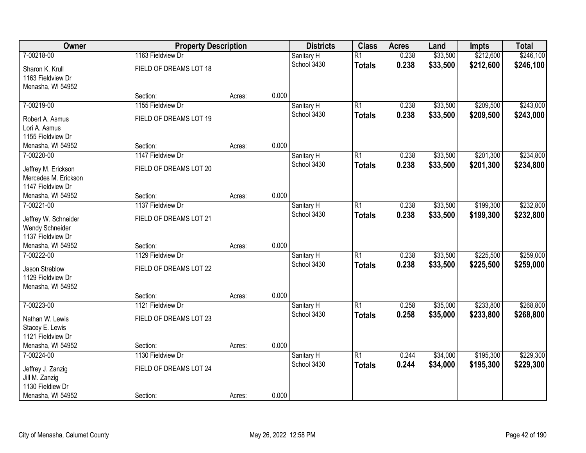| Owner                | <b>Property Description</b> |        |       | <b>Districts</b> | <b>Class</b>    | <b>Acres</b> | Land     | <b>Impts</b> | <b>Total</b> |
|----------------------|-----------------------------|--------|-------|------------------|-----------------|--------------|----------|--------------|--------------|
| 7-00218-00           | 1163 Fieldview Dr           |        |       | Sanitary H       | $\overline{R1}$ | 0.238        | \$33,500 | \$212,600    | \$246,100    |
| Sharon K. Krull      | FIELD OF DREAMS LOT 18      |        |       | School 3430      | <b>Totals</b>   | 0.238        | \$33,500 | \$212,600    | \$246,100    |
| 1163 Fieldview Dr    |                             |        |       |                  |                 |              |          |              |              |
| Menasha, WI 54952    |                             |        |       |                  |                 |              |          |              |              |
|                      | Section:                    | Acres: | 0.000 |                  |                 |              |          |              |              |
| 7-00219-00           | 1155 Fieldview Dr           |        |       | Sanitary H       | $\overline{R1}$ | 0.238        | \$33,500 | \$209,500    | \$243,000    |
| Robert A. Asmus      | FIELD OF DREAMS LOT 19      |        |       | School 3430      | <b>Totals</b>   | 0.238        | \$33,500 | \$209,500    | \$243,000    |
| Lori A. Asmus        |                             |        |       |                  |                 |              |          |              |              |
| 1155 Fieldview Dr    |                             |        |       |                  |                 |              |          |              |              |
| Menasha, WI 54952    | Section:                    | Acres: | 0.000 |                  |                 |              |          |              |              |
| 7-00220-00           | 1147 Fieldview Dr           |        |       | Sanitary H       | $\overline{R1}$ | 0.238        | \$33,500 | \$201,300    | \$234,800    |
| Jeffrey M. Erickson  | FIELD OF DREAMS LOT 20      |        |       | School 3430      | <b>Totals</b>   | 0.238        | \$33,500 | \$201,300    | \$234,800    |
| Mercedes M. Erickson |                             |        |       |                  |                 |              |          |              |              |
| 1147 Fieldview Dr    |                             |        |       |                  |                 |              |          |              |              |
| Menasha, WI 54952    | Section:                    | Acres: | 0.000 |                  |                 |              |          |              |              |
| 7-00221-00           | 1137 Fieldview Dr           |        |       | Sanitary H       | $\overline{R1}$ | 0.238        | \$33,500 | \$199,300    | \$232,800    |
| Jeffrey W. Schneider | FIELD OF DREAMS LOT 21      |        |       | School 3430      | <b>Totals</b>   | 0.238        | \$33,500 | \$199,300    | \$232,800    |
| Wendy Schneider      |                             |        |       |                  |                 |              |          |              |              |
| 1137 Fieldview Dr    |                             |        |       |                  |                 |              |          |              |              |
| Menasha, WI 54952    | Section:                    | Acres: | 0.000 |                  |                 |              |          |              |              |
| 7-00222-00           | 1129 Fieldview Dr           |        |       | Sanitary H       | $\overline{R1}$ | 0.238        | \$33,500 | \$225,500    | \$259,000    |
| Jason Streblow       | FIELD OF DREAMS LOT 22      |        |       | School 3430      | <b>Totals</b>   | 0.238        | \$33,500 | \$225,500    | \$259,000    |
| 1129 Fieldview Dr    |                             |        |       |                  |                 |              |          |              |              |
| Menasha, WI 54952    |                             |        |       |                  |                 |              |          |              |              |
|                      | Section:                    | Acres: | 0.000 |                  |                 |              |          |              |              |
| 7-00223-00           | 1121 Fieldview Dr           |        |       | Sanitary H       | $\overline{R1}$ | 0.258        | \$35,000 | \$233,800    | \$268,800    |
| Nathan W. Lewis      | FIELD OF DREAMS LOT 23      |        |       | School 3430      | <b>Totals</b>   | 0.258        | \$35,000 | \$233,800    | \$268,800    |
| Stacey E. Lewis      |                             |        |       |                  |                 |              |          |              |              |
| 1121 Fieldview Dr    |                             |        |       |                  |                 |              |          |              |              |
| Menasha, WI 54952    | Section:                    | Acres: | 0.000 |                  |                 |              |          |              |              |
| 7-00224-00           | 1130 Fieldview Dr           |        |       | Sanitary H       | $\overline{R1}$ | 0.244        | \$34,000 | \$195,300    | \$229,300    |
| Jeffrey J. Zanzig    | FIELD OF DREAMS LOT 24      |        |       | School 3430      | <b>Totals</b>   | 0.244        | \$34,000 | \$195,300    | \$229,300    |
| Jill M. Zanzig       |                             |        |       |                  |                 |              |          |              |              |
| 1130 Fieldiew Dr     |                             |        |       |                  |                 |              |          |              |              |
| Menasha, WI 54952    | Section:                    | Acres: | 0.000 |                  |                 |              |          |              |              |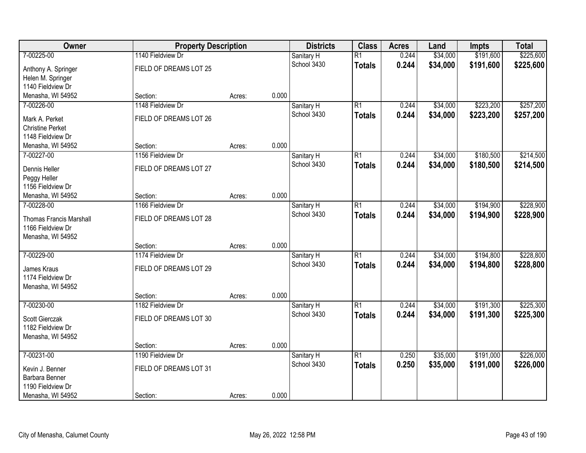| Owner<br><b>Property Description</b> | <b>Districts</b>       | <b>Class</b> | <b>Acres</b> | Land        | <b>Impts</b>    | <b>Total</b> |          |           |           |
|--------------------------------------|------------------------|--------------|--------------|-------------|-----------------|--------------|----------|-----------|-----------|
| 7-00225-00                           | 1140 Fieldview Dr      |              |              | Sanitary H  | $\overline{R1}$ | 0.244        | \$34,000 | \$191,600 | \$225,600 |
| Anthony A. Springer                  | FIELD OF DREAMS LOT 25 |              |              | School 3430 | <b>Totals</b>   | 0.244        | \$34,000 | \$191,600 | \$225,600 |
| Helen M. Springer                    |                        |              |              |             |                 |              |          |           |           |
| 1140 Fieldview Dr                    |                        |              |              |             |                 |              |          |           |           |
| Menasha, WI 54952                    | Section:               | Acres:       | 0.000        |             |                 |              |          |           |           |
| 7-00226-00                           | 1148 Fieldview Dr      |              |              | Sanitary H  | $\overline{R1}$ | 0.244        | \$34,000 | \$223,200 | \$257,200 |
| Mark A. Perket                       | FIELD OF DREAMS LOT 26 |              |              | School 3430 | <b>Totals</b>   | 0.244        | \$34,000 | \$223,200 | \$257,200 |
| <b>Christine Perket</b>              |                        |              |              |             |                 |              |          |           |           |
| 1148 Fieldview Dr                    |                        |              |              |             |                 |              |          |           |           |
| Menasha, WI 54952                    | Section:               | Acres:       | 0.000        |             |                 |              |          |           |           |
| 7-00227-00                           | 1156 Fieldview Dr      |              |              | Sanitary H  | $\overline{R1}$ | 0.244        | \$34,000 | \$180,500 | \$214,500 |
| Dennis Heller                        | FIELD OF DREAMS LOT 27 |              |              | School 3430 | <b>Totals</b>   | 0.244        | \$34,000 | \$180,500 | \$214,500 |
| Peggy Heller                         |                        |              |              |             |                 |              |          |           |           |
| 1156 Fieldview Dr                    |                        |              |              |             |                 |              |          |           |           |
| Menasha, WI 54952                    | Section:               | Acres:       | 0.000        |             |                 |              |          |           |           |
| 7-00228-00                           | 1166 Fieldview Dr      |              |              | Sanitary H  | $\overline{R1}$ | 0.244        | \$34,000 | \$194,900 | \$228,900 |
| <b>Thomas Francis Marshall</b>       | FIELD OF DREAMS LOT 28 |              |              | School 3430 | <b>Totals</b>   | 0.244        | \$34,000 | \$194,900 | \$228,900 |
| 1166 Fieldview Dr                    |                        |              |              |             |                 |              |          |           |           |
| Menasha, WI 54952                    |                        |              |              |             |                 |              |          |           |           |
|                                      | Section:               | Acres:       | 0.000        |             |                 |              |          |           |           |
| 7-00229-00                           | 1174 Fieldview Dr      |              |              | Sanitary H  | $\overline{R1}$ | 0.244        | \$34,000 | \$194,800 | \$228,800 |
| James Kraus                          | FIELD OF DREAMS LOT 29 |              |              | School 3430 | <b>Totals</b>   | 0.244        | \$34,000 | \$194,800 | \$228,800 |
| 1174 Fieldview Dr                    |                        |              |              |             |                 |              |          |           |           |
| Menasha, WI 54952                    |                        |              |              |             |                 |              |          |           |           |
|                                      | Section:               | Acres:       | 0.000        |             |                 |              |          |           |           |
| 7-00230-00                           | 1182 Fieldview Dr      |              |              | Sanitary H  | $\overline{R1}$ | 0.244        | \$34,000 | \$191,300 | \$225,300 |
| Scott Gierczak                       | FIELD OF DREAMS LOT 30 |              |              | School 3430 | <b>Totals</b>   | 0.244        | \$34,000 | \$191,300 | \$225,300 |
| 1182 Fieldview Dr                    |                        |              |              |             |                 |              |          |           |           |
| Menasha, WI 54952                    |                        |              |              |             |                 |              |          |           |           |
|                                      | Section:               | Acres:       | 0.000        |             |                 |              |          |           |           |
| 7-00231-00                           | 1190 Fieldview Dr      |              |              | Sanitary H  | $\overline{R1}$ | 0.250        | \$35,000 | \$191,000 | \$226,000 |
| Kevin J. Benner                      | FIELD OF DREAMS LOT 31 |              |              | School 3430 | <b>Totals</b>   | 0.250        | \$35,000 | \$191,000 | \$226,000 |
| Barbara Benner                       |                        |              |              |             |                 |              |          |           |           |
| 1190 Fieldview Dr                    |                        |              |              |             |                 |              |          |           |           |
| Menasha, WI 54952                    | Section:               | Acres:       | 0.000        |             |                 |              |          |           |           |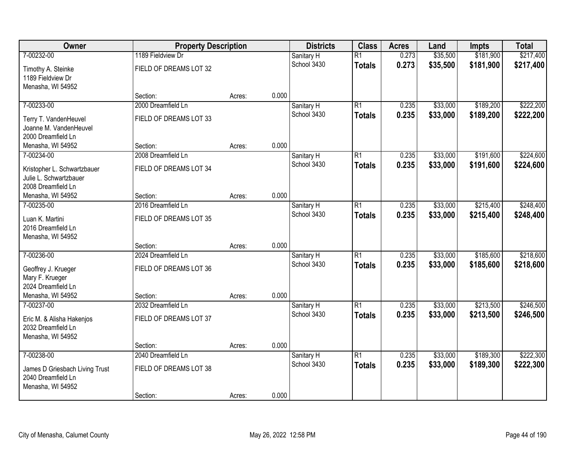| Owner                          | <b>Property Description</b> |        |       | <b>Districts</b> | <b>Class</b>    | <b>Acres</b> | Land     | <b>Impts</b> | <b>Total</b> |
|--------------------------------|-----------------------------|--------|-------|------------------|-----------------|--------------|----------|--------------|--------------|
| 7-00232-00                     | 1189 Fieldview Dr           |        |       | Sanitary H       | $\overline{R1}$ | 0.273        | \$35,500 | \$181,900    | \$217,400    |
| Timothy A. Steinke             | FIELD OF DREAMS LOT 32      |        |       | School 3430      | <b>Totals</b>   | 0.273        | \$35,500 | \$181,900    | \$217,400    |
| 1189 Fieldview Dr              |                             |        |       |                  |                 |              |          |              |              |
| Menasha, WI 54952              |                             |        |       |                  |                 |              |          |              |              |
|                                | Section:                    | Acres: | 0.000 |                  |                 |              |          |              |              |
| 7-00233-00                     | 2000 Dreamfield Ln          |        |       | Sanitary H       | $\overline{R1}$ | 0.235        | \$33,000 | \$189,200    | \$222,200    |
| Terry T. VandenHeuvel          | FIELD OF DREAMS LOT 33      |        |       | School 3430      | <b>Totals</b>   | 0.235        | \$33,000 | \$189,200    | \$222,200    |
| Joanne M. VandenHeuvel         |                             |        |       |                  |                 |              |          |              |              |
| 2000 Dreamfield Ln             |                             |        |       |                  |                 |              |          |              |              |
| Menasha, WI 54952              | Section:                    | Acres: | 0.000 |                  |                 |              |          |              |              |
| 7-00234-00                     | 2008 Dreamfield Ln          |        |       | Sanitary H       | $\overline{R1}$ | 0.235        | \$33,000 | \$191,600    | \$224,600    |
| Kristopher L. Schwartzbauer    | FIELD OF DREAMS LOT 34      |        |       | School 3430      | <b>Totals</b>   | 0.235        | \$33,000 | \$191,600    | \$224,600    |
| Julie L. Schwartzbauer         |                             |        |       |                  |                 |              |          |              |              |
| 2008 Dreamfield Ln             |                             |        |       |                  |                 |              |          |              |              |
| Menasha, WI 54952              | Section:                    | Acres: | 0.000 |                  |                 |              |          |              |              |
| 7-00235-00                     | 2016 Dreamfield Ln          |        |       | Sanitary H       | $\overline{R1}$ | 0.235        | \$33,000 | \$215,400    | \$248,400    |
| Luan K. Martini                | FIELD OF DREAMS LOT 35      |        |       | School 3430      | <b>Totals</b>   | 0.235        | \$33,000 | \$215,400    | \$248,400    |
| 2016 Dreamfield Ln             |                             |        |       |                  |                 |              |          |              |              |
| Menasha, WI 54952              |                             |        |       |                  |                 |              |          |              |              |
|                                | Section:                    | Acres: | 0.000 |                  |                 |              |          |              |              |
| 7-00236-00                     | 2024 Dreamfield Ln          |        |       | Sanitary H       | $\overline{R1}$ | 0.235        | \$33,000 | \$185,600    | \$218,600    |
| Geoffrey J. Krueger            | FIELD OF DREAMS LOT 36      |        |       | School 3430      | <b>Totals</b>   | 0.235        | \$33,000 | \$185,600    | \$218,600    |
| Mary F. Krueger                |                             |        |       |                  |                 |              |          |              |              |
| 2024 Dreamfield Ln             |                             |        |       |                  |                 |              |          |              |              |
| Menasha, WI 54952              | Section:                    | Acres: | 0.000 |                  |                 |              |          |              |              |
| 7-00237-00                     | 2032 Dreamfield Ln          |        |       | Sanitary H       | $\overline{R1}$ | 0.235        | \$33,000 | \$213,500    | \$246,500    |
| Eric M. & Alisha Hakenjos      | FIELD OF DREAMS LOT 37      |        |       | School 3430      | <b>Totals</b>   | 0.235        | \$33,000 | \$213,500    | \$246,500    |
| 2032 Dreamfield Ln             |                             |        |       |                  |                 |              |          |              |              |
| Menasha, WI 54952              |                             |        |       |                  |                 |              |          |              |              |
|                                | Section:                    | Acres: | 0.000 |                  |                 |              |          |              |              |
| 7-00238-00                     | 2040 Dreamfield Ln          |        |       | Sanitary H       | $\overline{R1}$ | 0.235        | \$33,000 | \$189,300    | \$222,300    |
| James D Griesbach Living Trust | FIELD OF DREAMS LOT 38      |        |       | School 3430      | <b>Totals</b>   | 0.235        | \$33,000 | \$189,300    | \$222,300    |
| 2040 Dreamfield Ln             |                             |        |       |                  |                 |              |          |              |              |
| Menasha, WI 54952              |                             |        |       |                  |                 |              |          |              |              |
|                                | Section:                    | Acres: | 0.000 |                  |                 |              |          |              |              |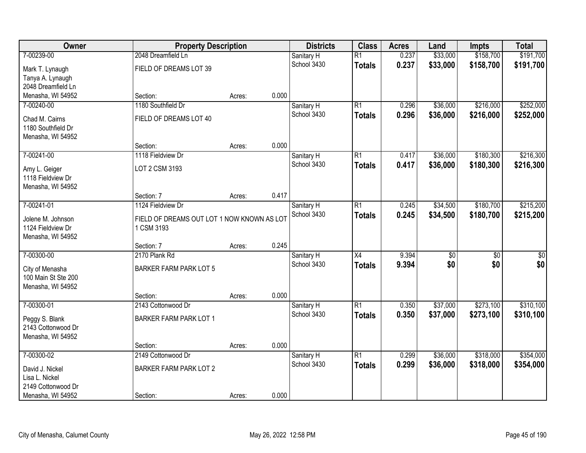| Owner               | <b>Property Description</b>                |        |       | <b>Districts</b> | <b>Class</b>    | <b>Acres</b> | Land            | <b>Impts</b>    | <b>Total</b>     |
|---------------------|--------------------------------------------|--------|-------|------------------|-----------------|--------------|-----------------|-----------------|------------------|
| 7-00239-00          | 2048 Dreamfield Ln                         |        |       | Sanitary H       | $\overline{R1}$ | 0.237        | \$33,000        | \$158,700       | \$191,700        |
| Mark T. Lynaugh     | FIELD OF DREAMS LOT 39                     |        |       | School 3430      | <b>Totals</b>   | 0.237        | \$33,000        | \$158,700       | \$191,700        |
| Tanya A. Lynaugh    |                                            |        |       |                  |                 |              |                 |                 |                  |
| 2048 Dreamfield Ln  |                                            |        |       |                  |                 |              |                 |                 |                  |
| Menasha, WI 54952   | Section:                                   | Acres: | 0.000 |                  |                 |              |                 |                 |                  |
| 7-00240-00          | 1180 Southfield Dr                         |        |       | Sanitary H       | $\overline{R1}$ | 0.296        | \$36,000        | \$216,000       | \$252,000        |
| Chad M. Cairns      | FIELD OF DREAMS LOT 40                     |        |       | School 3430      | <b>Totals</b>   | 0.296        | \$36,000        | \$216,000       | \$252,000        |
| 1180 Southfield Dr  |                                            |        |       |                  |                 |              |                 |                 |                  |
| Menasha, WI 54952   |                                            |        |       |                  |                 |              |                 |                 |                  |
|                     | Section:                                   | Acres: | 0.000 |                  |                 |              |                 |                 |                  |
| 7-00241-00          | 1118 Fieldview Dr                          |        |       | Sanitary H       | $\overline{R1}$ | 0.417        | \$36,000        | \$180,300       | \$216,300        |
| Amy L. Geiger       | LOT 2 CSM 3193                             |        |       | School 3430      | <b>Totals</b>   | 0.417        | \$36,000        | \$180,300       | \$216,300        |
| 1118 Fieldview Dr   |                                            |        |       |                  |                 |              |                 |                 |                  |
| Menasha, WI 54952   |                                            |        |       |                  |                 |              |                 |                 |                  |
|                     | Section: 7                                 | Acres: | 0.417 |                  |                 |              |                 |                 |                  |
| 7-00241-01          | 1124 Fieldview Dr                          |        |       | Sanitary H       | $\overline{R1}$ | 0.245        | \$34,500        | \$180,700       | \$215,200        |
| Jolene M. Johnson   | FIELD OF DREAMS OUT LOT 1 NOW KNOWN AS LOT |        |       | School 3430      | <b>Totals</b>   | 0.245        | \$34,500        | \$180,700       | \$215,200        |
| 1124 Fieldview Dr   | 1 CSM 3193                                 |        |       |                  |                 |              |                 |                 |                  |
| Menasha, WI 54952   |                                            |        |       |                  |                 |              |                 |                 |                  |
|                     | Section: 7                                 | Acres: | 0.245 |                  |                 |              |                 |                 |                  |
| 7-00300-00          | 2170 Plank Rd                              |        |       | Sanitary H       | $\overline{X4}$ | 9.394        | $\overline{50}$ | $\overline{50}$ | $\overline{\$0}$ |
| City of Menasha     | <b>BARKER FARM PARK LOT 5</b>              |        |       | School 3430      | <b>Totals</b>   | 9.394        | \$0             | \$0             | \$0              |
| 100 Main St Ste 200 |                                            |        |       |                  |                 |              |                 |                 |                  |
| Menasha, WI 54952   |                                            |        |       |                  |                 |              |                 |                 |                  |
|                     | Section:                                   | Acres: | 0.000 |                  |                 |              |                 |                 |                  |
| 7-00300-01          | 2143 Cottonwood Dr                         |        |       | Sanitary H       | $\overline{R1}$ | 0.350        | \$37,000        | \$273,100       | \$310,100        |
| Peggy S. Blank      | <b>BARKER FARM PARK LOT 1</b>              |        |       | School 3430      | <b>Totals</b>   | 0.350        | \$37,000        | \$273,100       | \$310,100        |
| 2143 Cottonwood Dr  |                                            |        |       |                  |                 |              |                 |                 |                  |
| Menasha, WI 54952   |                                            |        |       |                  |                 |              |                 |                 |                  |
|                     | Section:                                   | Acres: | 0.000 |                  |                 |              |                 |                 |                  |
| 7-00300-02          | 2149 Cottonwood Dr                         |        |       | Sanitary H       | $\overline{R1}$ | 0.299        | \$36,000        | \$318,000       | \$354,000        |
| David J. Nickel     | <b>BARKER FARM PARK LOT 2</b>              |        |       | School 3430      | <b>Totals</b>   | 0.299        | \$36,000        | \$318,000       | \$354,000        |
| Lisa L. Nickel      |                                            |        |       |                  |                 |              |                 |                 |                  |
| 2149 Cottonwood Dr  |                                            |        |       |                  |                 |              |                 |                 |                  |
| Menasha, WI 54952   | Section:                                   | Acres: | 0.000 |                  |                 |              |                 |                 |                  |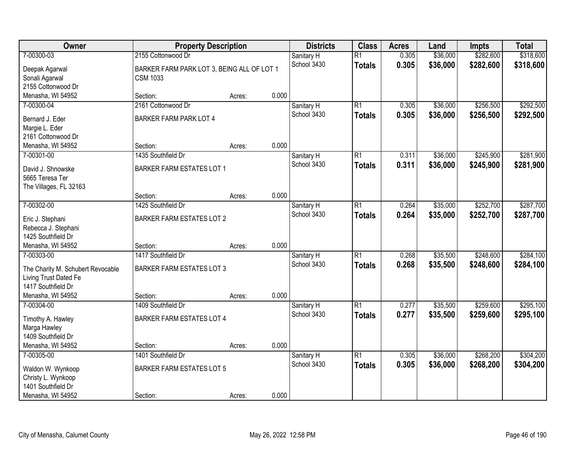| Owner                                     | <b>Property Description</b>                |        |       | <b>Districts</b>          | <b>Class</b>    | <b>Acres</b>   | Land     | <b>Impts</b> | <b>Total</b> |
|-------------------------------------------|--------------------------------------------|--------|-------|---------------------------|-----------------|----------------|----------|--------------|--------------|
| 7-00300-03                                | 2155 Cottonwood Dr                         |        |       | Sanitary H                | $\overline{R1}$ | 0.305          | \$36,000 | \$282,600    | \$318,600    |
| Deepak Agarwal                            | BARKER FARM PARK LOT 3, BEING ALL OF LOT 1 |        |       | School 3430               | <b>Totals</b>   | 0.305          | \$36,000 | \$282,600    | \$318,600    |
| Sonali Agarwal                            | <b>CSM 1033</b>                            |        |       |                           |                 |                |          |              |              |
| 2155 Cottonwood Dr                        |                                            |        |       |                           |                 |                |          |              |              |
| Menasha, WI 54952                         | Section:                                   | Acres: | 0.000 |                           |                 |                |          |              |              |
| 7-00300-04                                | 2161 Cottonwood Dr                         |        |       | Sanitary H                | $\overline{R1}$ | 0.305          | \$36,000 | \$256,500    | \$292,500    |
| Bernard J. Eder                           | <b>BARKER FARM PARK LOT 4</b>              |        |       | School 3430               | <b>Totals</b>   | 0.305          | \$36,000 | \$256,500    | \$292,500    |
| Margie L. Eder                            |                                            |        |       |                           |                 |                |          |              |              |
| 2161 Cottonwood Dr                        |                                            |        |       |                           |                 |                |          |              |              |
| Menasha, WI 54952                         | Section:                                   | Acres: | 0.000 |                           |                 |                |          |              |              |
| 7-00301-00                                | 1435 Southfield Dr                         |        |       | Sanitary H                | $\overline{R1}$ | 0.311          | \$36,000 | \$245,900    | \$281,900    |
| David J. Shnowske                         | <b>BARKER FARM ESTATES LOT 1</b>           |        |       | School 3430               | <b>Totals</b>   | 0.311          | \$36,000 | \$245,900    | \$281,900    |
| 5665 Teresa Ter                           |                                            |        |       |                           |                 |                |          |              |              |
| The Villages, FL 32163                    |                                            |        |       |                           |                 |                |          |              |              |
|                                           | Section:                                   | Acres: | 0.000 |                           |                 |                |          |              |              |
| 7-00302-00                                | 1425 Southfield Dr                         |        |       | Sanitary H                | $\overline{R1}$ | 0.264          | \$35,000 | \$252,700    | \$287,700    |
|                                           |                                            |        |       | School 3430               | <b>Totals</b>   | 0.264          | \$35,000 | \$252,700    | \$287,700    |
| Eric J. Stephani                          | <b>BARKER FARM ESTATES LOT 2</b>           |        |       |                           |                 |                |          |              |              |
| Rebecca J. Stephani<br>1425 Southfield Dr |                                            |        |       |                           |                 |                |          |              |              |
| Menasha, WI 54952                         | Section:                                   | Acres: | 0.000 |                           |                 |                |          |              |              |
| 7-00303-00                                | 1417 Southfield Dr                         |        |       | Sanitary H                | $\overline{R1}$ | 0.268          | \$35,500 | \$248,600    | \$284,100    |
|                                           |                                            |        |       | School 3430               | <b>Totals</b>   | 0.268          | \$35,500 | \$248,600    | \$284,100    |
| The Charity M. Schubert Revocable         | <b>BARKER FARM ESTATES LOT 3</b>           |        |       |                           |                 |                |          |              |              |
| Living Trust Dated Fe                     |                                            |        |       |                           |                 |                |          |              |              |
| 1417 Southfield Dr                        |                                            |        |       |                           |                 |                |          |              |              |
| Menasha, WI 54952<br>7-00304-00           | Section:<br>1409 Southfield Dr             | Acres: | 0.000 |                           | $\overline{R1}$ |                |          | \$259,600    | \$295,100    |
|                                           |                                            |        |       | Sanitary H<br>School 3430 |                 | 0.277<br>0.277 | \$35,500 |              |              |
| Timothy A. Hawley                         | <b>BARKER FARM ESTATES LOT 4</b>           |        |       |                           | <b>Totals</b>   |                | \$35,500 | \$259,600    | \$295,100    |
| Marga Hawley                              |                                            |        |       |                           |                 |                |          |              |              |
| 1409 Southfield Dr                        |                                            |        |       |                           |                 |                |          |              |              |
| Menasha, WI 54952                         | Section:                                   | Acres: | 0.000 |                           |                 |                |          |              |              |
| 7-00305-00                                | 1401 Southfield Dr                         |        |       | Sanitary H                | $\overline{R1}$ | 0.305          | \$36,000 | \$268,200    | \$304,200    |
| Waldon W. Wynkoop                         | <b>BARKER FARM ESTATES LOT 5</b>           |        |       | School 3430               | <b>Totals</b>   | 0.305          | \$36,000 | \$268,200    | \$304,200    |
| Christy L. Wynkoop                        |                                            |        |       |                           |                 |                |          |              |              |
| 1401 Southfield Dr                        |                                            |        |       |                           |                 |                |          |              |              |
| Menasha, WI 54952                         | Section:                                   | Acres: | 0.000 |                           |                 |                |          |              |              |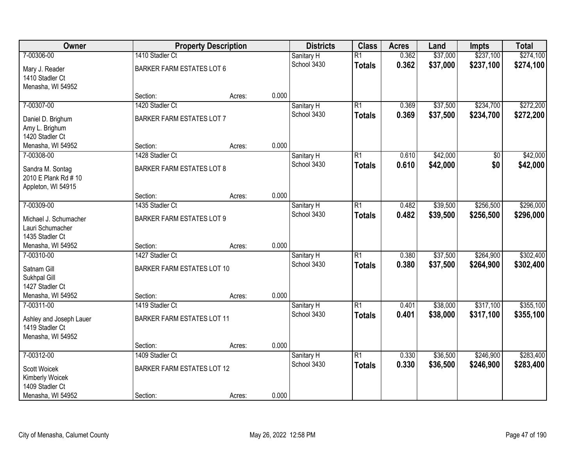| Owner                                      |                                   | <b>Property Description</b> |       | <b>Districts</b> | <b>Class</b>    | <b>Acres</b> | Land     | <b>Impts</b>    | <b>Total</b> |
|--------------------------------------------|-----------------------------------|-----------------------------|-------|------------------|-----------------|--------------|----------|-----------------|--------------|
| 7-00306-00                                 | 1410 Stadler Ct                   |                             |       | Sanitary H       | $\overline{R1}$ | 0.362        | \$37,000 | \$237,100       | \$274,100    |
| Mary J. Reader                             | <b>BARKER FARM ESTATES LOT 6</b>  |                             |       | School 3430      | <b>Totals</b>   | 0.362        | \$37,000 | \$237,100       | \$274,100    |
| 1410 Stadler Ct                            |                                   |                             |       |                  |                 |              |          |                 |              |
| Menasha, WI 54952                          |                                   |                             |       |                  |                 |              |          |                 |              |
|                                            | Section:                          | Acres:                      | 0.000 |                  |                 |              |          |                 |              |
| 7-00307-00                                 | 1420 Stadler Ct                   |                             |       | Sanitary H       | $\overline{R1}$ | 0.369        | \$37,500 | \$234,700       | \$272,200    |
| Daniel D. Brighum                          | <b>BARKER FARM ESTATES LOT 7</b>  |                             |       | School 3430      | <b>Totals</b>   | 0.369        | \$37,500 | \$234,700       | \$272,200    |
| Amy L. Brighum                             |                                   |                             |       |                  |                 |              |          |                 |              |
| 1420 Stadler Ct                            |                                   |                             |       |                  |                 |              |          |                 |              |
| Menasha, WI 54952                          | Section:                          | Acres:                      | 0.000 |                  |                 |              |          |                 |              |
| 7-00308-00                                 | 1428 Stadler Ct                   |                             |       | Sanitary H       | $\overline{R1}$ | 0.610        | \$42,000 | $\overline{50}$ | \$42,000     |
| Sandra M. Sontag                           | <b>BARKER FARM ESTATES LOT 8</b>  |                             |       | School 3430      | <b>Totals</b>   | 0.610        | \$42,000 | \$0             | \$42,000     |
| 2010 E Plank Rd # 10                       |                                   |                             |       |                  |                 |              |          |                 |              |
| Appleton, WI 54915                         |                                   |                             |       |                  |                 |              |          |                 |              |
|                                            | Section:                          | Acres:                      | 0.000 |                  |                 |              |          |                 |              |
| 7-00309-00                                 | 1435 Stadler Ct                   |                             |       | Sanitary H       | $\overline{R1}$ | 0.482        | \$39,500 | \$256,500       | \$296,000    |
| Michael J. Schumacher                      | <b>BARKER FARM ESTATES LOT 9</b>  |                             |       | School 3430      | <b>Totals</b>   | 0.482        | \$39,500 | \$256,500       | \$296,000    |
| Lauri Schumacher                           |                                   |                             |       |                  |                 |              |          |                 |              |
| 1435 Stadler Ct                            |                                   |                             |       |                  |                 |              |          |                 |              |
| Menasha, WI 54952                          | Section:                          | Acres:                      | 0.000 |                  |                 |              |          |                 |              |
| 7-00310-00                                 | 1427 Stadler Ct                   |                             |       | Sanitary H       | $\overline{R1}$ | 0.380        | \$37,500 | \$264,900       | \$302,400    |
| Satnam Gill                                | <b>BARKER FARM ESTATES LOT 10</b> |                             |       | School 3430      | <b>Totals</b>   | 0.380        | \$37,500 | \$264,900       | \$302,400    |
| Sukhpal Gill                               |                                   |                             |       |                  |                 |              |          |                 |              |
| 1427 Stadler Ct                            |                                   |                             |       |                  |                 |              |          |                 |              |
| Menasha, WI 54952                          | Section:                          | Acres:                      | 0.000 |                  |                 |              |          |                 |              |
| 7-00311-00                                 | 1419 Stadler Ct                   |                             |       | Sanitary H       | $\overline{R1}$ | 0.401        | \$38,000 | \$317,100       | \$355,100    |
|                                            | <b>BARKER FARM ESTATES LOT 11</b> |                             |       | School 3430      | <b>Totals</b>   | 0.401        | \$38,000 | \$317,100       | \$355,100    |
| Ashley and Joseph Lauer<br>1419 Stadler Ct |                                   |                             |       |                  |                 |              |          |                 |              |
| Menasha, WI 54952                          |                                   |                             |       |                  |                 |              |          |                 |              |
|                                            | Section:                          | Acres:                      | 0.000 |                  |                 |              |          |                 |              |
| 7-00312-00                                 | 1409 Stadler Ct                   |                             |       | Sanitary H       | $\overline{R1}$ | 0.330        | \$36,500 | \$246,900       | \$283,400    |
|                                            |                                   |                             |       | School 3430      | <b>Totals</b>   | 0.330        | \$36,500 | \$246,900       | \$283,400    |
| Scott Woicek<br>Kimberly Woicek            | <b>BARKER FARM ESTATES LOT 12</b> |                             |       |                  |                 |              |          |                 |              |
| 1409 Stadler Ct                            |                                   |                             |       |                  |                 |              |          |                 |              |
| Menasha, WI 54952                          | Section:                          | Acres:                      | 0.000 |                  |                 |              |          |                 |              |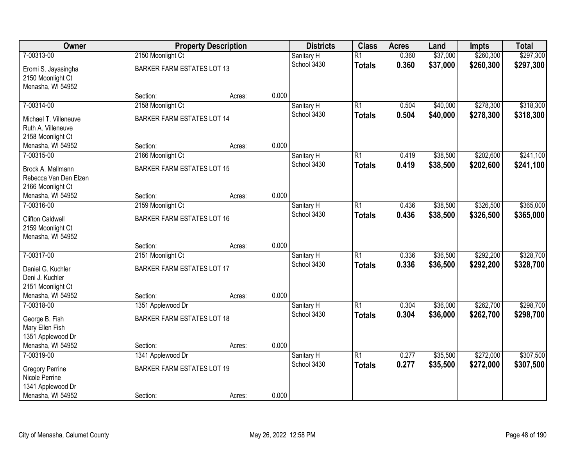| Owner                   |                                   | <b>Property Description</b> |       | <b>Districts</b> | <b>Class</b>    | <b>Acres</b> | Land     | <b>Impts</b> | <b>Total</b> |
|-------------------------|-----------------------------------|-----------------------------|-------|------------------|-----------------|--------------|----------|--------------|--------------|
| 7-00313-00              | 2150 Moonlight Ct                 |                             |       | Sanitary H       | $\overline{R1}$ | 0.360        | \$37,000 | \$260,300    | \$297,300    |
| Eromi S. Jayasingha     | <b>BARKER FARM ESTATES LOT 13</b> |                             |       | School 3430      | <b>Totals</b>   | 0.360        | \$37,000 | \$260,300    | \$297,300    |
| 2150 Moonlight Ct       |                                   |                             |       |                  |                 |              |          |              |              |
| Menasha, WI 54952       |                                   |                             |       |                  |                 |              |          |              |              |
|                         | Section:                          | Acres:                      | 0.000 |                  |                 |              |          |              |              |
| 7-00314-00              | 2158 Moonlight Ct                 |                             |       | Sanitary H       | $\overline{R1}$ | 0.504        | \$40,000 | \$278,300    | \$318,300    |
| Michael T. Villeneuve   | <b>BARKER FARM ESTATES LOT 14</b> |                             |       | School 3430      | <b>Totals</b>   | 0.504        | \$40,000 | \$278,300    | \$318,300    |
| Ruth A. Villeneuve      |                                   |                             |       |                  |                 |              |          |              |              |
| 2158 Moonlight Ct       |                                   |                             |       |                  |                 |              |          |              |              |
| Menasha, WI 54952       | Section:                          | Acres:                      | 0.000 |                  |                 |              |          |              |              |
| 7-00315-00              | 2166 Moonlight Ct                 |                             |       | Sanitary H       | $\overline{R1}$ | 0.419        | \$38,500 | \$202,600    | \$241,100    |
| Brock A. Mallmann       | <b>BARKER FARM ESTATES LOT 15</b> |                             |       | School 3430      | <b>Totals</b>   | 0.419        | \$38,500 | \$202,600    | \$241,100    |
| Rebecca Van Den Elzen   |                                   |                             |       |                  |                 |              |          |              |              |
| 2166 Moonlight Ct       |                                   |                             |       |                  |                 |              |          |              |              |
| Menasha, WI 54952       | Section:                          | Acres:                      | 0.000 |                  |                 |              |          |              |              |
| 7-00316-00              | 2159 Moonlight Ct                 |                             |       | Sanitary H       | $\overline{R1}$ | 0.436        | \$38,500 | \$326,500    | \$365,000    |
| <b>Clifton Caldwell</b> | <b>BARKER FARM ESTATES LOT 16</b> |                             |       | School 3430      | <b>Totals</b>   | 0.436        | \$38,500 | \$326,500    | \$365,000    |
| 2159 Moonlight Ct       |                                   |                             |       |                  |                 |              |          |              |              |
| Menasha, WI 54952       |                                   |                             |       |                  |                 |              |          |              |              |
|                         | Section:                          | Acres:                      | 0.000 |                  |                 |              |          |              |              |
| 7-00317-00              | 2151 Moonlight Ct                 |                             |       | Sanitary H       | $\overline{R1}$ | 0.336        | \$36,500 | \$292,200    | \$328,700    |
| Daniel G. Kuchler       | <b>BARKER FARM ESTATES LOT 17</b> |                             |       | School 3430      | <b>Totals</b>   | 0.336        | \$36,500 | \$292,200    | \$328,700    |
| Deni J. Kuchler         |                                   |                             |       |                  |                 |              |          |              |              |
| 2151 Moonlight Ct       |                                   |                             |       |                  |                 |              |          |              |              |
| Menasha, WI 54952       | Section:                          | Acres:                      | 0.000 |                  |                 |              |          |              |              |
| 7-00318-00              | 1351 Applewood Dr                 |                             |       | Sanitary H       | $\overline{R1}$ | 0.304        | \$36,000 | \$262,700    | \$298,700    |
| George B. Fish          | <b>BARKER FARM ESTATES LOT 18</b> |                             |       | School 3430      | <b>Totals</b>   | 0.304        | \$36,000 | \$262,700    | \$298,700    |
| Mary Ellen Fish         |                                   |                             |       |                  |                 |              |          |              |              |
| 1351 Applewood Dr       |                                   |                             |       |                  |                 |              |          |              |              |
| Menasha, WI 54952       | Section:                          | Acres:                      | 0.000 |                  |                 |              |          |              |              |
| 7-00319-00              | 1341 Applewood Dr                 |                             |       | Sanitary H       | $\overline{R1}$ | 0.277        | \$35,500 | \$272,000    | \$307,500    |
| <b>Gregory Perrine</b>  | <b>BARKER FARM ESTATES LOT 19</b> |                             |       | School 3430      | <b>Totals</b>   | 0.277        | \$35,500 | \$272,000    | \$307,500    |
| Nicole Perrine          |                                   |                             |       |                  |                 |              |          |              |              |
| 1341 Applewood Dr       |                                   |                             |       |                  |                 |              |          |              |              |
| Menasha, WI 54952       | Section:                          | Acres:                      | 0.000 |                  |                 |              |          |              |              |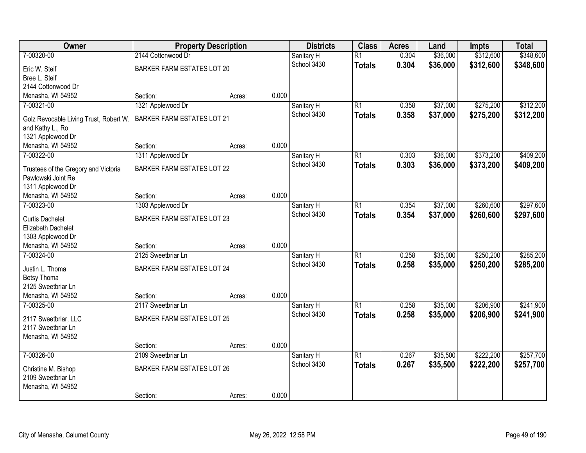| Owner                                                      | <b>Property Description</b>       |        |       | <b>Districts</b>          | <b>Class</b>    | <b>Acres</b> | Land     | <b>Impts</b> | <b>Total</b> |
|------------------------------------------------------------|-----------------------------------|--------|-------|---------------------------|-----------------|--------------|----------|--------------|--------------|
| 7-00320-00                                                 | 2144 Cottonwood Dr                |        |       | Sanitary H                | $\overline{R1}$ | 0.304        | \$36,000 | \$312,600    | \$348,600    |
| Eric W. Steif                                              | <b>BARKER FARM ESTATES LOT 20</b> |        |       | School 3430               | <b>Totals</b>   | 0.304        | \$36,000 | \$312,600    | \$348,600    |
| Bree L. Steif                                              |                                   |        |       |                           |                 |              |          |              |              |
| 2144 Cottonwood Dr                                         |                                   |        |       |                           |                 |              |          |              |              |
| Menasha, WI 54952                                          | Section:                          | Acres: | 0.000 |                           |                 |              |          |              |              |
| 7-00321-00                                                 | 1321 Applewood Dr                 |        |       | Sanitary H                | $\overline{R1}$ | 0.358        | \$37,000 | \$275,200    | \$312,200    |
| Golz Revocable Living Trust, Robert W.                     | <b>BARKER FARM ESTATES LOT 21</b> |        |       | School 3430               | <b>Totals</b>   | 0.358        | \$37,000 | \$275,200    | \$312,200    |
| and Kathy L., Ro                                           |                                   |        |       |                           |                 |              |          |              |              |
| 1321 Applewood Dr                                          |                                   |        |       |                           |                 |              |          |              |              |
| Menasha, WI 54952                                          | Section:                          | Acres: | 0.000 |                           |                 |              |          |              |              |
| 7-00322-00                                                 | 1311 Applewood Dr                 |        |       | Sanitary H                | $\overline{R1}$ | 0.303        | \$36,000 | \$373,200    | \$409,200    |
|                                                            |                                   |        |       | School 3430               | <b>Totals</b>   | 0.303        | \$36,000 | \$373,200    | \$409,200    |
| Trustees of the Gregory and Victoria<br>Pawlowski Joint Re | <b>BARKER FARM ESTATES LOT 22</b> |        |       |                           |                 |              |          |              |              |
| 1311 Applewood Dr                                          |                                   |        |       |                           |                 |              |          |              |              |
| Menasha, WI 54952                                          | Section:                          | Acres: | 0.000 |                           |                 |              |          |              |              |
| 7-00323-00                                                 | 1303 Applewood Dr                 |        |       | Sanitary H                | $\overline{R1}$ | 0.354        | \$37,000 | \$260,600    | \$297,600    |
|                                                            |                                   |        |       | School 3430               | <b>Totals</b>   | 0.354        | \$37,000 | \$260,600    | \$297,600    |
| <b>Curtis Dachelet</b>                                     | <b>BARKER FARM ESTATES LOT 23</b> |        |       |                           |                 |              |          |              |              |
| Elizabeth Dachelet                                         |                                   |        |       |                           |                 |              |          |              |              |
| 1303 Applewood Dr<br>Menasha, WI 54952                     | Section:                          |        | 0.000 |                           |                 |              |          |              |              |
| 7-00324-00                                                 | 2125 Sweetbriar Ln                | Acres: |       |                           | $\overline{R1}$ | 0.258        | \$35,000 | \$250,200    | \$285,200    |
|                                                            |                                   |        |       | Sanitary H<br>School 3430 |                 | 0.258        | \$35,000 | \$250,200    |              |
| Justin L. Thoma                                            | <b>BARKER FARM ESTATES LOT 24</b> |        |       |                           | <b>Totals</b>   |              |          |              | \$285,200    |
| <b>Betsy Thoma</b>                                         |                                   |        |       |                           |                 |              |          |              |              |
| 2125 Sweetbriar Ln                                         |                                   |        |       |                           |                 |              |          |              |              |
| Menasha, WI 54952                                          | Section:                          | Acres: | 0.000 |                           |                 |              |          |              |              |
| 7-00325-00                                                 | 2117 Sweetbriar Ln                |        |       | Sanitary H                | $\overline{R1}$ | 0.258        | \$35,000 | \$206,900    | \$241,900    |
| 2117 Sweetbriar, LLC                                       | <b>BARKER FARM ESTATES LOT 25</b> |        |       | School 3430               | <b>Totals</b>   | 0.258        | \$35,000 | \$206,900    | \$241,900    |
| 2117 Sweetbriar Ln                                         |                                   |        |       |                           |                 |              |          |              |              |
| Menasha, WI 54952                                          |                                   |        |       |                           |                 |              |          |              |              |
|                                                            | Section:                          | Acres: | 0.000 |                           |                 |              |          |              |              |
| 7-00326-00                                                 | 2109 Sweetbriar Ln                |        |       | Sanitary H                | $\overline{R1}$ | 0.267        | \$35,500 | \$222,200    | \$257,700    |
| Christine M. Bishop                                        | <b>BARKER FARM ESTATES LOT 26</b> |        |       | School 3430               | <b>Totals</b>   | 0.267        | \$35,500 | \$222,200    | \$257,700    |
| 2109 Sweetbriar Ln                                         |                                   |        |       |                           |                 |              |          |              |              |
| Menasha, WI 54952                                          |                                   |        |       |                           |                 |              |          |              |              |
|                                                            | Section:                          | Acres: | 0.000 |                           |                 |              |          |              |              |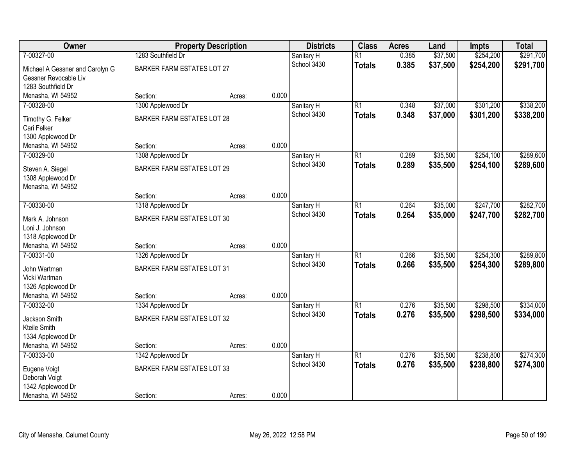| Owner                                  |                                   | <b>Property Description</b> |       | <b>Districts</b> | <b>Class</b>    | <b>Acres</b> | Land     | <b>Impts</b> | <b>Total</b> |
|----------------------------------------|-----------------------------------|-----------------------------|-------|------------------|-----------------|--------------|----------|--------------|--------------|
| 7-00327-00                             | 1283 Southfield Dr                |                             |       | Sanitary H       | $\overline{R1}$ | 0.385        | \$37,500 | \$254,200    | \$291,700    |
| Michael A Gessner and Carolyn G        | <b>BARKER FARM ESTATES LOT 27</b> |                             |       | School 3430      | <b>Totals</b>   | 0.385        | \$37,500 | \$254,200    | \$291,700    |
| Gessner Revocable Liv                  |                                   |                             |       |                  |                 |              |          |              |              |
| 1283 Southfield Dr                     |                                   |                             |       |                  |                 |              |          |              |              |
| Menasha, WI 54952                      | Section:                          | Acres:                      | 0.000 |                  |                 |              |          |              |              |
| 7-00328-00                             | 1300 Applewood Dr                 |                             |       | Sanitary H       | $\overline{R1}$ | 0.348        | \$37,000 | \$301,200    | \$338,200    |
| Timothy G. Felker                      | <b>BARKER FARM ESTATES LOT 28</b> |                             |       | School 3430      | <b>Totals</b>   | 0.348        | \$37,000 | \$301,200    | \$338,200    |
| Cari Felker                            |                                   |                             |       |                  |                 |              |          |              |              |
| 1300 Applewood Dr                      |                                   |                             |       |                  |                 |              |          |              |              |
| Menasha, WI 54952                      | Section:                          | Acres:                      | 0.000 |                  |                 |              |          |              |              |
| 7-00329-00                             | 1308 Applewood Dr                 |                             |       | Sanitary H       | $\overline{R1}$ | 0.289        | \$35,500 | \$254,100    | \$289,600    |
| Steven A. Siegel                       | <b>BARKER FARM ESTATES LOT 29</b> |                             |       | School 3430      | <b>Totals</b>   | 0.289        | \$35,500 | \$254,100    | \$289,600    |
| 1308 Applewood Dr                      |                                   |                             |       |                  |                 |              |          |              |              |
| Menasha, WI 54952                      |                                   |                             |       |                  |                 |              |          |              |              |
|                                        | Section:                          | Acres:                      | 0.000 |                  |                 |              |          |              |              |
| 7-00330-00                             | 1318 Applewood Dr                 |                             |       | Sanitary H       | $\overline{R1}$ | 0.264        | \$35,000 | \$247,700    | \$282,700    |
| Mark A. Johnson                        | <b>BARKER FARM ESTATES LOT 30</b> |                             |       | School 3430      | <b>Totals</b>   | 0.264        | \$35,000 | \$247,700    | \$282,700    |
| Loni J. Johnson                        |                                   |                             |       |                  |                 |              |          |              |              |
| 1318 Applewood Dr                      |                                   |                             |       |                  |                 |              |          |              |              |
| Menasha, WI 54952                      | Section:                          | Acres:                      | 0.000 |                  |                 |              |          |              |              |
| 7-00331-00                             | 1326 Applewood Dr                 |                             |       | Sanitary H       | $\overline{R1}$ | 0.266        | \$35,500 | \$254,300    | \$289,800    |
|                                        |                                   |                             |       | School 3430      | <b>Totals</b>   | 0.266        | \$35,500 | \$254,300    | \$289,800    |
| John Wartman<br>Vicki Wartman          | <b>BARKER FARM ESTATES LOT 31</b> |                             |       |                  |                 |              |          |              |              |
| 1326 Applewood Dr                      |                                   |                             |       |                  |                 |              |          |              |              |
| Menasha, WI 54952                      | Section:                          | Acres:                      | 0.000 |                  |                 |              |          |              |              |
| 7-00332-00                             | 1334 Applewood Dr                 |                             |       | Sanitary H       | $\overline{R1}$ | 0.276        | \$35,500 | \$298,500    | \$334,000    |
|                                        |                                   |                             |       | School 3430      | <b>Totals</b>   | 0.276        | \$35,500 | \$298,500    | \$334,000    |
| Jackson Smith                          | BARKER FARM ESTATES LOT 32        |                             |       |                  |                 |              |          |              |              |
| Kteile Smith                           |                                   |                             |       |                  |                 |              |          |              |              |
| 1334 Applewood Dr<br>Menasha, WI 54952 | Section:                          | Acres:                      | 0.000 |                  |                 |              |          |              |              |
| 7-00333-00                             | 1342 Applewood Dr                 |                             |       | Sanitary H       | $\overline{R1}$ | 0.276        | \$35,500 | \$238,800    | \$274,300    |
|                                        |                                   |                             |       | School 3430      | <b>Totals</b>   | 0.276        | \$35,500 | \$238,800    | \$274,300    |
| Eugene Voigt                           | <b>BARKER FARM ESTATES LOT 33</b> |                             |       |                  |                 |              |          |              |              |
| Deborah Voigt                          |                                   |                             |       |                  |                 |              |          |              |              |
| 1342 Applewood Dr                      |                                   |                             |       |                  |                 |              |          |              |              |
| Menasha, WI 54952                      | Section:                          | Acres:                      | 0.000 |                  |                 |              |          |              |              |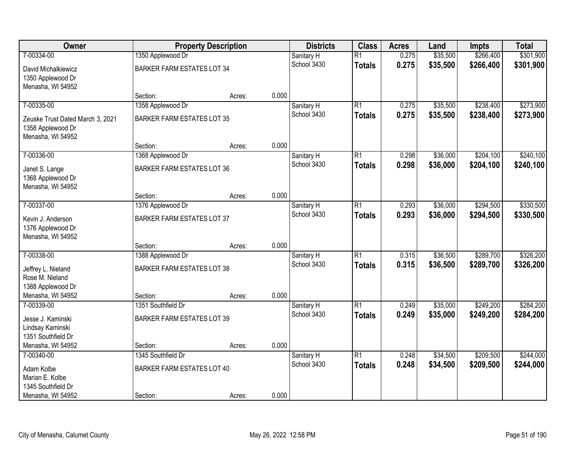| Owner                                                                      |                                   | <b>Property Description</b> |       | <b>Districts</b>          | <b>Class</b>    | <b>Acres</b> | Land     | <b>Impts</b> | <b>Total</b> |
|----------------------------------------------------------------------------|-----------------------------------|-----------------------------|-------|---------------------------|-----------------|--------------|----------|--------------|--------------|
| 7-00334-00                                                                 | 1350 Applewood Dr                 |                             |       | Sanitary H                | $\overline{R1}$ | 0.275        | \$35,500 | \$266,400    | \$301,900    |
| David Michalkiewicz<br>1350 Applewood Dr                                   | <b>BARKER FARM ESTATES LOT 34</b> |                             |       | School 3430               | <b>Totals</b>   | 0.275        | \$35,500 | \$266,400    | \$301,900    |
| Menasha, WI 54952                                                          |                                   |                             |       |                           |                 |              |          |              |              |
|                                                                            | Section:                          | Acres:                      | 0.000 |                           |                 |              |          |              |              |
| 7-00335-00                                                                 | 1358 Applewood Dr                 |                             |       | Sanitary H                | $\overline{R1}$ | 0.275        | \$35,500 | \$238,400    | \$273,900    |
| Zeuske Trust Dated March 3, 2021<br>1358 Applewood Dr<br>Menasha, WI 54952 | <b>BARKER FARM ESTATES LOT 35</b> |                             |       | School 3430               | <b>Totals</b>   | 0.275        | \$35,500 | \$238,400    | \$273,900    |
|                                                                            | Section:                          | Acres:                      | 0.000 |                           |                 |              |          |              |              |
| 7-00336-00                                                                 | 1368 Applewood Dr                 |                             |       | Sanitary H                | $\overline{R1}$ | 0.298        | \$36,000 | \$204,100    | \$240,100    |
| Janet S. Lange<br>1368 Applewood Dr                                        | <b>BARKER FARM ESTATES LOT 36</b> |                             |       | School 3430               | <b>Totals</b>   | 0.298        | \$36,000 | \$204,100    | \$240,100    |
| Menasha, WI 54952                                                          |                                   |                             |       |                           |                 |              |          |              |              |
|                                                                            | Section:                          | Acres:                      | 0.000 |                           |                 |              |          |              |              |
| 7-00337-00                                                                 | 1376 Applewood Dr                 |                             |       | Sanitary H<br>School 3430 | $\overline{R1}$ | 0.293        | \$36,000 | \$294,500    | \$330,500    |
| Kevin J. Anderson<br>1376 Applewood Dr                                     | <b>BARKER FARM ESTATES LOT 37</b> |                             |       |                           | <b>Totals</b>   | 0.293        | \$36,000 | \$294,500    | \$330,500    |
| Menasha, WI 54952                                                          |                                   |                             |       |                           |                 |              |          |              |              |
|                                                                            | Section:                          | Acres:                      | 0.000 |                           |                 |              |          |              |              |
| 7-00338-00                                                                 | 1388 Applewood Dr                 |                             |       | Sanitary H                | $\overline{R1}$ | 0.315        | \$36,500 | \$289,700    | \$326,200    |
| Jeffrey L. Nieland                                                         | <b>BARKER FARM ESTATES LOT 38</b> |                             |       | School 3430               | <b>Totals</b>   | 0.315        | \$36,500 | \$289,700    | \$326,200    |
| Rose M. Nieland                                                            |                                   |                             |       |                           |                 |              |          |              |              |
| 1388 Applewood Dr                                                          |                                   |                             |       |                           |                 |              |          |              |              |
| Menasha, WI 54952                                                          | Section:                          | Acres:                      | 0.000 |                           |                 |              |          |              |              |
| 7-00339-00                                                                 | 1351 Southfield Dr                |                             |       | Sanitary H                | $\overline{R1}$ | 0.249        | \$35,000 | \$249,200    | \$284,200    |
| Jesse J. Kaminski                                                          | <b>BARKER FARM ESTATES LOT 39</b> |                             |       | School 3430               | <b>Totals</b>   | 0.249        | \$35,000 | \$249,200    | \$284,200    |
| Lindsay Kaminski                                                           |                                   |                             |       |                           |                 |              |          |              |              |
| 1351 Southfield Dr                                                         |                                   |                             |       |                           |                 |              |          |              |              |
| Menasha, WI 54952                                                          | Section:                          | Acres:                      | 0.000 |                           |                 |              |          |              |              |
| 7-00340-00                                                                 | 1345 Southfield Dr                |                             |       | Sanitary H                | $\overline{R1}$ | 0.248        | \$34,500 | \$209,500    | \$244,000    |
| Adam Kolbe                                                                 | <b>BARKER FARM ESTATES LOT 40</b> |                             |       | School 3430               | <b>Totals</b>   | 0.248        | \$34,500 | \$209,500    | \$244,000    |
| Marian E. Kolbe                                                            |                                   |                             |       |                           |                 |              |          |              |              |
| 1345 Southfield Dr                                                         |                                   |                             |       |                           |                 |              |          |              |              |
| Menasha, WI 54952                                                          | Section:                          | Acres:                      | 0.000 |                           |                 |              |          |              |              |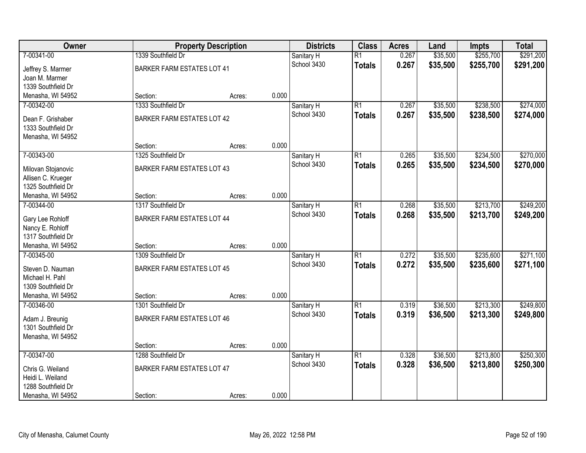| Owner                                   |                                   | <b>Property Description</b> |       | <b>Districts</b> | <b>Class</b>    | <b>Acres</b> | Land     | <b>Impts</b> | <b>Total</b> |
|-----------------------------------------|-----------------------------------|-----------------------------|-------|------------------|-----------------|--------------|----------|--------------|--------------|
| 7-00341-00                              | 1339 Southfield Dr                |                             |       | Sanitary H       | $\overline{R1}$ | 0.267        | \$35,500 | \$255,700    | \$291,200    |
| Jeffrey S. Marmer                       | <b>BARKER FARM ESTATES LOT 41</b> |                             |       | School 3430      | <b>Totals</b>   | 0.267        | \$35,500 | \$255,700    | \$291,200    |
| Joan M. Marmer                          |                                   |                             |       |                  |                 |              |          |              |              |
| 1339 Southfield Dr                      |                                   |                             |       |                  |                 |              |          |              |              |
| Menasha, WI 54952                       | Section:                          | Acres:                      | 0.000 |                  |                 |              |          |              |              |
| 7-00342-00                              | 1333 Southfield Dr                |                             |       | Sanitary H       | $\overline{R1}$ | 0.267        | \$35,500 | \$238,500    | \$274,000    |
| Dean F. Grishaber                       | <b>BARKER FARM ESTATES LOT 42</b> |                             |       | School 3430      | <b>Totals</b>   | 0.267        | \$35,500 | \$238,500    | \$274,000    |
| 1333 Southfield Dr                      |                                   |                             |       |                  |                 |              |          |              |              |
| Menasha, WI 54952                       |                                   |                             |       |                  |                 |              |          |              |              |
|                                         | Section:                          | Acres:                      | 0.000 |                  |                 |              |          |              |              |
| 7-00343-00                              | 1325 Southfield Dr                |                             |       | Sanitary H       | $\overline{R1}$ | 0.265        | \$35,500 | \$234,500    | \$270,000    |
|                                         |                                   |                             |       | School 3430      | <b>Totals</b>   | 0.265        | \$35,500 | \$234,500    | \$270,000    |
| Milovan Stojanovic                      | <b>BARKER FARM ESTATES LOT 43</b> |                             |       |                  |                 |              |          |              |              |
| Allisen C. Krueger                      |                                   |                             |       |                  |                 |              |          |              |              |
| 1325 Southfield Dr<br>Menasha, WI 54952 | Section:                          | Acres:                      | 0.000 |                  |                 |              |          |              |              |
| 7-00344-00                              | 1317 Southfield Dr                |                             |       | Sanitary H       | $\overline{R1}$ | 0.268        | \$35,500 | \$213,700    | \$249,200    |
|                                         |                                   |                             |       | School 3430      |                 | 0.268        | \$35,500 | \$213,700    | \$249,200    |
| Gary Lee Rohloff                        | <b>BARKER FARM ESTATES LOT 44</b> |                             |       |                  | <b>Totals</b>   |              |          |              |              |
| Nancy E. Rohloff                        |                                   |                             |       |                  |                 |              |          |              |              |
| 1317 Southfield Dr                      |                                   |                             |       |                  |                 |              |          |              |              |
| Menasha, WI 54952                       | Section:                          | Acres:                      | 0.000 |                  |                 |              |          |              |              |
| 7-00345-00                              | 1309 Southfield Dr                |                             |       | Sanitary H       | $\overline{R1}$ | 0.272        | \$35,500 | \$235,600    | \$271,100    |
| Steven D. Nauman                        | <b>BARKER FARM ESTATES LOT 45</b> |                             |       | School 3430      | <b>Totals</b>   | 0.272        | \$35,500 | \$235,600    | \$271,100    |
| Michael H. Pahl                         |                                   |                             |       |                  |                 |              |          |              |              |
| 1309 Southfield Dr                      |                                   |                             |       |                  |                 |              |          |              |              |
| Menasha, WI 54952                       | Section:                          | Acres:                      | 0.000 |                  |                 |              |          |              |              |
| 7-00346-00                              | 1301 Southfield Dr                |                             |       | Sanitary H       | $\overline{R1}$ | 0.319        | \$36,500 | \$213,300    | \$249,800    |
| Adam J. Breunig                         | <b>BARKER FARM ESTATES LOT 46</b> |                             |       | School 3430      | <b>Totals</b>   | 0.319        | \$36,500 | \$213,300    | \$249,800    |
| 1301 Southfield Dr                      |                                   |                             |       |                  |                 |              |          |              |              |
| Menasha, WI 54952                       |                                   |                             |       |                  |                 |              |          |              |              |
|                                         | Section:                          | Acres:                      | 0.000 |                  |                 |              |          |              |              |
| 7-00347-00                              | 1288 Southfield Dr                |                             |       | Sanitary H       | $\overline{R1}$ | 0.328        | \$36,500 | \$213,800    | \$250,300    |
|                                         |                                   |                             |       | School 3430      | <b>Totals</b>   | 0.328        | \$36,500 | \$213,800    | \$250,300    |
| Chris G. Weiland<br>Heidi L. Weiland    | <b>BARKER FARM ESTATES LOT 47</b> |                             |       |                  |                 |              |          |              |              |
| 1288 Southfield Dr                      |                                   |                             |       |                  |                 |              |          |              |              |
| Menasha, WI 54952                       | Section:                          | Acres:                      | 0.000 |                  |                 |              |          |              |              |
|                                         |                                   |                             |       |                  |                 |              |          |              |              |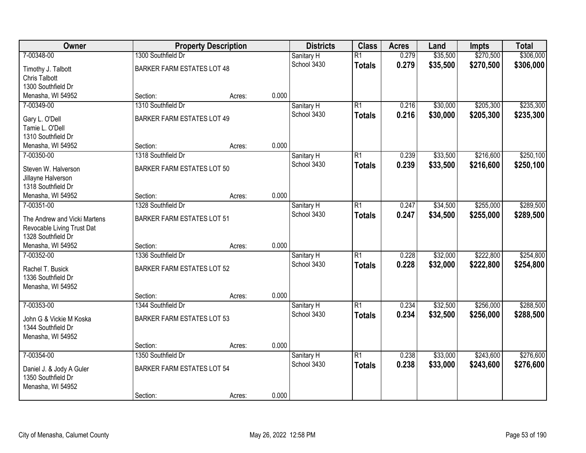| Owner                                          |                                   | <b>Property Description</b> |       | <b>Districts</b> | <b>Class</b>    | <b>Acres</b> | Land     | <b>Impts</b> | <b>Total</b> |
|------------------------------------------------|-----------------------------------|-----------------------------|-------|------------------|-----------------|--------------|----------|--------------|--------------|
| 7-00348-00                                     | 1300 Southfield Dr                |                             |       | Sanitary H       | $\overline{R1}$ | 0.279        | \$35,500 | \$270,500    | \$306,000    |
| Timothy J. Talbott                             | <b>BARKER FARM ESTATES LOT 48</b> |                             |       | School 3430      | <b>Totals</b>   | 0.279        | \$35,500 | \$270,500    | \$306,000    |
| <b>Chris Talbott</b>                           |                                   |                             |       |                  |                 |              |          |              |              |
| 1300 Southfield Dr                             |                                   |                             |       |                  |                 |              |          |              |              |
| Menasha, WI 54952                              | Section:                          | Acres:                      | 0.000 |                  |                 |              |          |              |              |
| 7-00349-00                                     | 1310 Southfield Dr                |                             |       | Sanitary H       | $\overline{R1}$ | 0.216        | \$30,000 | \$205,300    | \$235,300    |
| Gary L. O'Dell                                 | <b>BARKER FARM ESTATES LOT 49</b> |                             |       | School 3430      | <b>Totals</b>   | 0.216        | \$30,000 | \$205,300    | \$235,300    |
| Tamie L. O'Dell                                |                                   |                             |       |                  |                 |              |          |              |              |
| 1310 Southfield Dr                             |                                   |                             |       |                  |                 |              |          |              |              |
| Menasha, WI 54952                              | Section:                          | Acres:                      | 0.000 |                  |                 |              |          |              |              |
| 7-00350-00                                     | 1318 Southfield Dr                |                             |       | Sanitary H       | $\overline{R1}$ | 0.239        | \$33,500 | \$216,600    | \$250,100    |
|                                                |                                   |                             |       | School 3430      | <b>Totals</b>   | 0.239        | \$33,500 | \$216,600    | \$250,100    |
| Steven W. Halverson                            | <b>BARKER FARM ESTATES LOT 50</b> |                             |       |                  |                 |              |          |              |              |
| Jillayne Halverson<br>1318 Southfield Dr       |                                   |                             |       |                  |                 |              |          |              |              |
| Menasha, WI 54952                              | Section:                          | Acres:                      | 0.000 |                  |                 |              |          |              |              |
| 7-00351-00                                     | 1328 Southfield Dr                |                             |       | Sanitary H       | $\overline{R1}$ | 0.247        | \$34,500 | \$255,000    | \$289,500    |
|                                                |                                   |                             |       | School 3430      |                 | 0.247        | \$34,500 | \$255,000    | \$289,500    |
| The Andrew and Vicki Martens                   | <b>BARKER FARM ESTATES LOT 51</b> |                             |       |                  | <b>Totals</b>   |              |          |              |              |
| Revocable Living Trust Dat                     |                                   |                             |       |                  |                 |              |          |              |              |
| 1328 Southfield Dr                             |                                   |                             |       |                  |                 |              |          |              |              |
| Menasha, WI 54952                              | Section:                          | Acres:                      | 0.000 |                  |                 |              |          |              |              |
| 7-00352-00                                     | 1336 Southfield Dr                |                             |       | Sanitary H       | $\overline{R1}$ | 0.228        | \$32,000 | \$222,800    | \$254,800    |
| Rachel T. Busick                               | <b>BARKER FARM ESTATES LOT 52</b> |                             |       | School 3430      | <b>Totals</b>   | 0.228        | \$32,000 | \$222,800    | \$254,800    |
| 1336 Southfield Dr                             |                                   |                             |       |                  |                 |              |          |              |              |
| Menasha, WI 54952                              |                                   |                             |       |                  |                 |              |          |              |              |
|                                                | Section:                          | Acres:                      | 0.000 |                  |                 |              |          |              |              |
| 7-00353-00                                     | 1344 Southfield Dr                |                             |       | Sanitary H       | $\overline{R1}$ | 0.234        | \$32,500 | \$256,000    | \$288,500    |
| John G & Vickie M Koska                        | BARKER FARM ESTATES LOT 53        |                             |       | School 3430      | <b>Totals</b>   | 0.234        | \$32,500 | \$256,000    | \$288,500    |
| 1344 Southfield Dr                             |                                   |                             |       |                  |                 |              |          |              |              |
| Menasha, WI 54952                              |                                   |                             |       |                  |                 |              |          |              |              |
|                                                | Section:                          | Acres:                      | 0.000 |                  |                 |              |          |              |              |
| 7-00354-00                                     | 1350 Southfield Dr                |                             |       | Sanitary H       | $\overline{R1}$ | 0.238        | \$33,000 | \$243,600    | \$276,600    |
|                                                |                                   |                             |       | School 3430      | <b>Totals</b>   | 0.238        | \$33,000 | \$243,600    | \$276,600    |
| Daniel J. & Jody A Guler<br>1350 Southfield Dr | <b>BARKER FARM ESTATES LOT 54</b> |                             |       |                  |                 |              |          |              |              |
| Menasha, WI 54952                              |                                   |                             |       |                  |                 |              |          |              |              |
|                                                | Section:                          | Acres:                      | 0.000 |                  |                 |              |          |              |              |
|                                                |                                   |                             |       |                  |                 |              |          |              |              |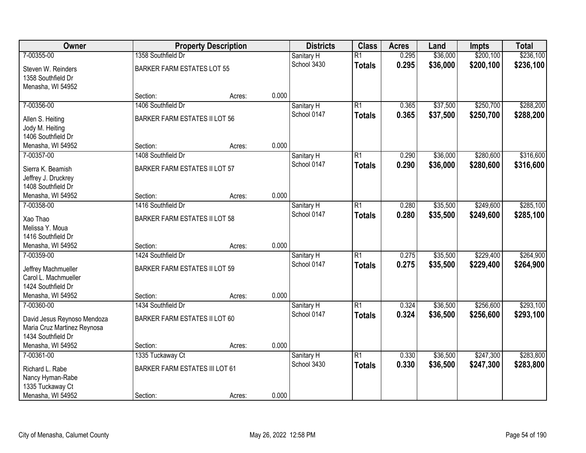| Owner                                    |                                       | <b>Property Description</b> |       | <b>Districts</b>          | <b>Class</b>    | <b>Acres</b> | Land     | <b>Impts</b> | <b>Total</b> |
|------------------------------------------|---------------------------------------|-----------------------------|-------|---------------------------|-----------------|--------------|----------|--------------|--------------|
| 7-00355-00                               | 1358 Southfield Dr                    |                             |       | Sanitary H                | $\overline{R1}$ | 0.295        | \$36,000 | \$200,100    | \$236,100    |
| Steven W. Reinders<br>1358 Southfield Dr | <b>BARKER FARM ESTATES LOT 55</b>     |                             |       | School 3430               | <b>Totals</b>   | 0.295        | \$36,000 | \$200,100    | \$236,100    |
| Menasha, WI 54952                        | Section:                              | Acres:                      | 0.000 |                           |                 |              |          |              |              |
| 7-00356-00                               | 1406 Southfield Dr                    |                             |       | Sanitary H                | $\overline{R1}$ | 0.365        | \$37,500 | \$250,700    | \$288,200    |
|                                          |                                       |                             |       | School 0147               | <b>Totals</b>   | 0.365        | \$37,500 | \$250,700    | \$288,200    |
| Allen S. Heiting                         | <b>BARKER FARM ESTATES II LOT 56</b>  |                             |       |                           |                 |              |          |              |              |
| Jody M. Heiting                          |                                       |                             |       |                           |                 |              |          |              |              |
| 1406 Southfield Dr                       |                                       |                             | 0.000 |                           |                 |              |          |              |              |
| Menasha, WI 54952                        | Section:                              | Acres:                      |       |                           |                 |              | \$36,000 | \$280,600    |              |
| 7-00357-00                               | 1408 Southfield Dr                    |                             |       | Sanitary H<br>School 0147 | $\overline{R1}$ | 0.290        |          |              | \$316,600    |
| Sierra K. Beamish                        | <b>BARKER FARM ESTATES II LOT 57</b>  |                             |       |                           | <b>Totals</b>   | 0.290        | \$36,000 | \$280,600    | \$316,600    |
| Jeffrey J. Druckrey                      |                                       |                             |       |                           |                 |              |          |              |              |
| 1408 Southfield Dr                       |                                       |                             |       |                           |                 |              |          |              |              |
| Menasha, WI 54952                        | Section:                              | Acres:                      | 0.000 |                           |                 |              |          |              |              |
| 7-00358-00                               | 1416 Southfield Dr                    |                             |       | Sanitary H                | $\overline{R1}$ | 0.280        | \$35,500 | \$249,600    | \$285,100    |
| Xao Thao                                 | <b>BARKER FARM ESTATES II LOT 58</b>  |                             |       | School 0147               | <b>Totals</b>   | 0.280        | \$35,500 | \$249,600    | \$285,100    |
| Melissa Y. Moua                          |                                       |                             |       |                           |                 |              |          |              |              |
| 1416 Southfield Dr                       |                                       |                             |       |                           |                 |              |          |              |              |
| Menasha, WI 54952                        | Section:                              | Acres:                      | 0.000 |                           |                 |              |          |              |              |
| 7-00359-00                               | 1424 Southfield Dr                    |                             |       | Sanitary H                | $\overline{R1}$ | 0.275        | \$35,500 | \$229,400    | \$264,900    |
| Jeffrey Machmueller                      | <b>BARKER FARM ESTATES II LOT 59</b>  |                             |       | School 0147               | <b>Totals</b>   | 0.275        | \$35,500 | \$229,400    | \$264,900    |
| Carol L. Machmueller                     |                                       |                             |       |                           |                 |              |          |              |              |
| 1424 Southfield Dr                       |                                       |                             |       |                           |                 |              |          |              |              |
| Menasha, WI 54952                        | Section:                              | Acres:                      | 0.000 |                           |                 |              |          |              |              |
| 7-00360-00                               | 1434 Southfield Dr                    |                             |       | Sanitary H                | $\overline{R1}$ | 0.324        | \$36,500 | \$256,600    | \$293,100    |
| David Jesus Reynoso Mendoza              | BARKER FARM ESTATES II LOT 60         |                             |       | School 0147               | <b>Totals</b>   | 0.324        | \$36,500 | \$256,600    | \$293,100    |
| Maria Cruz Martinez Reynosa              |                                       |                             |       |                           |                 |              |          |              |              |
| 1434 Southfield Dr                       |                                       |                             |       |                           |                 |              |          |              |              |
| Menasha, WI 54952                        | Section:                              | Acres:                      | 0.000 |                           |                 |              |          |              |              |
| 7-00361-00                               | 1335 Tuckaway Ct                      |                             |       | Sanitary H                | $\overline{R1}$ | 0.330        | \$36,500 | \$247,300    | \$283,800    |
| Richard L. Rabe                          | <b>BARKER FARM ESTATES III LOT 61</b> |                             |       | School 3430               | <b>Totals</b>   | 0.330        | \$36,500 | \$247,300    | \$283,800    |
| Nancy Hyman-Rabe                         |                                       |                             |       |                           |                 |              |          |              |              |
| 1335 Tuckaway Ct                         |                                       |                             |       |                           |                 |              |          |              |              |
| Menasha, WI 54952                        | Section:                              | Acres:                      | 0.000 |                           |                 |              |          |              |              |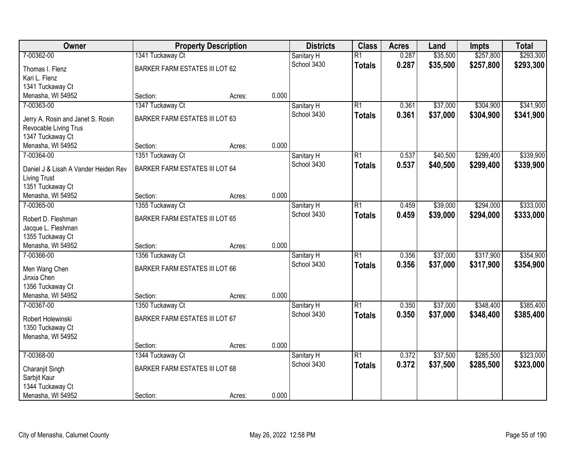| Owner                                   | <b>Property Description</b>           |        |       | <b>Districts</b>          | <b>Class</b>    | <b>Acres</b> | Land     | <b>Impts</b> | <b>Total</b> |
|-----------------------------------------|---------------------------------------|--------|-------|---------------------------|-----------------|--------------|----------|--------------|--------------|
| 7-00362-00                              | 1341 Tuckaway Ct                      |        |       | Sanitary H                | $\overline{R1}$ | 0.287        | \$35,500 | \$257,800    | \$293,300    |
| Thomas I. Flenz                         | <b>BARKER FARM ESTATES III LOT 62</b> |        |       | School 3430               | <b>Totals</b>   | 0.287        | \$35,500 | \$257,800    | \$293,300    |
| Kari L. Flenz                           |                                       |        |       |                           |                 |              |          |              |              |
| 1341 Tuckaway Ct                        |                                       |        |       |                           |                 |              |          |              |              |
| Menasha, WI 54952                       | Section:                              | Acres: | 0.000 |                           |                 |              |          |              |              |
| 7-00363-00                              | 1347 Tuckaway Ct                      |        |       | Sanitary H                | $\overline{R1}$ | 0.361        | \$37,000 | \$304,900    | \$341,900    |
| Jerry A. Rosin and Janet S. Rosin       | <b>BARKER FARM ESTATES III LOT 63</b> |        |       | School 3430               | <b>Totals</b>   | 0.361        | \$37,000 | \$304,900    | \$341,900    |
| Revocable Living Trus                   |                                       |        |       |                           |                 |              |          |              |              |
| 1347 Tuckaway Ct                        |                                       |        |       |                           |                 |              |          |              |              |
| Menasha, WI 54952                       | Section:                              | Acres: | 0.000 |                           |                 |              |          |              |              |
| 7-00364-00                              | 1351 Tuckaway Ct                      |        |       | Sanitary H                | $\overline{R1}$ | 0.537        | \$40,500 | \$299,400    | \$339,900    |
|                                         |                                       |        |       | School 3430               | <b>Totals</b>   | 0.537        | \$40,500 | \$299,400    | \$339,900    |
| Daniel J & Lisah A Vander Heiden Rev    | <b>BARKER FARM ESTATES III LOT 64</b> |        |       |                           |                 |              |          |              |              |
| <b>Living Trust</b><br>1351 Tuckaway Ct |                                       |        |       |                           |                 |              |          |              |              |
| Menasha, WI 54952                       | Section:                              | Acres: | 0.000 |                           |                 |              |          |              |              |
| 7-00365-00                              | 1355 Tuckaway Ct                      |        |       | Sanitary H                | $\overline{R1}$ | 0.459        | \$39,000 | \$294,000    | \$333,000    |
|                                         |                                       |        |       | School 3430               | <b>Totals</b>   | 0.459        | \$39,000 | \$294,000    | \$333,000    |
| Robert D. Fleshman                      | <b>BARKER FARM ESTATES III LOT 65</b> |        |       |                           |                 |              |          |              |              |
| Jacque L. Fleshman                      |                                       |        |       |                           |                 |              |          |              |              |
| 1355 Tuckaway Ct                        |                                       |        | 0.000 |                           |                 |              |          |              |              |
| Menasha, WI 54952<br>7-00366-00         | Section:                              | Acres: |       |                           | $\overline{R1}$ |              |          | \$317,900    | \$354,900    |
|                                         | 1356 Tuckaway Ct                      |        |       | Sanitary H<br>School 3430 |                 | 0.356        | \$37,000 |              |              |
| Men Wang Chen                           | <b>BARKER FARM ESTATES III LOT 66</b> |        |       |                           | <b>Totals</b>   | 0.356        | \$37,000 | \$317,900    | \$354,900    |
| Jinxia Chen                             |                                       |        |       |                           |                 |              |          |              |              |
| 1356 Tuckaway Ct                        |                                       |        |       |                           |                 |              |          |              |              |
| Menasha, WI 54952                       | Section:                              | Acres: | 0.000 |                           |                 |              |          |              |              |
| 7-00367-00                              | 1350 Tuckaway Ct                      |        |       | Sanitary H                | $\overline{R1}$ | 0.350        | \$37,000 | \$348,400    | \$385,400    |
| Robert Holewinski                       | <b>BARKER FARM ESTATES III LOT 67</b> |        |       | School 3430               | <b>Totals</b>   | 0.350        | \$37,000 | \$348,400    | \$385,400    |
| 1350 Tuckaway Ct                        |                                       |        |       |                           |                 |              |          |              |              |
| Menasha, WI 54952                       |                                       |        |       |                           |                 |              |          |              |              |
|                                         | Section:                              | Acres: | 0.000 |                           |                 |              |          |              |              |
| 7-00368-00                              | 1344 Tuckaway Ct                      |        |       | Sanitary H                | $\overline{R1}$ | 0.372        | \$37,500 | \$285,500    | \$323,000    |
| Charanjit Singh                         | <b>BARKER FARM ESTATES III LOT 68</b> |        |       | School 3430               | <b>Totals</b>   | 0.372        | \$37,500 | \$285,500    | \$323,000    |
| Sarbjit Kaur                            |                                       |        |       |                           |                 |              |          |              |              |
| 1344 Tuckaway Ct                        |                                       |        |       |                           |                 |              |          |              |              |
| Menasha, WI 54952                       | Section:                              | Acres: | 0.000 |                           |                 |              |          |              |              |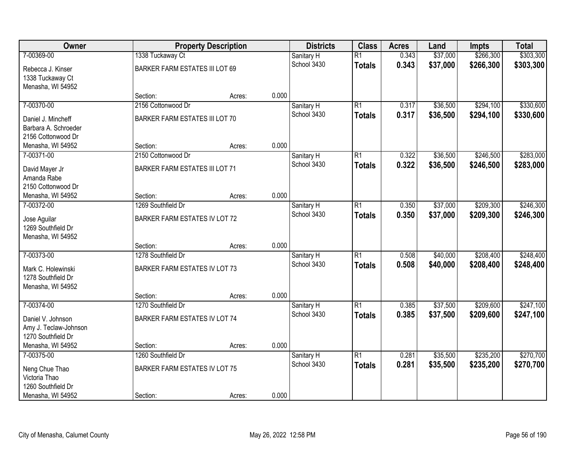| Owner                 |                                       | <b>Property Description</b> |       | <b>Districts</b>          | <b>Class</b>    | <b>Acres</b>   | Land     | <b>Impts</b> | <b>Total</b> |
|-----------------------|---------------------------------------|-----------------------------|-------|---------------------------|-----------------|----------------|----------|--------------|--------------|
| 7-00369-00            | 1338 Tuckaway Ct                      |                             |       | Sanitary H                | $\overline{R1}$ | 0.343          | \$37,000 | \$266,300    | \$303,300    |
| Rebecca J. Kinser     | <b>BARKER FARM ESTATES III LOT 69</b> |                             |       | School 3430               | <b>Totals</b>   | 0.343          | \$37,000 | \$266,300    | \$303,300    |
| 1338 Tuckaway Ct      |                                       |                             |       |                           |                 |                |          |              |              |
| Menasha, WI 54952     |                                       |                             |       |                           |                 |                |          |              |              |
|                       | Section:                              | Acres:                      | 0.000 |                           |                 |                |          |              |              |
| 7-00370-00            | 2156 Cottonwood Dr                    |                             |       | Sanitary H                | $\overline{R1}$ | 0.317          | \$36,500 | \$294,100    | \$330,600    |
| Daniel J. Mincheff    | <b>BARKER FARM ESTATES III LOT 70</b> |                             |       | School 3430               | <b>Totals</b>   | 0.317          | \$36,500 | \$294,100    | \$330,600    |
| Barbara A. Schroeder  |                                       |                             |       |                           |                 |                |          |              |              |
| 2156 Cottonwood Dr    |                                       |                             |       |                           |                 |                |          |              |              |
| Menasha, WI 54952     | Section:                              | Acres:                      | 0.000 |                           |                 |                |          |              |              |
| 7-00371-00            | 2150 Cottonwood Dr                    |                             |       | Sanitary H                | $\overline{R1}$ | 0.322          | \$36,500 | \$246,500    | \$283,000    |
| David Mayer Jr        | <b>BARKER FARM ESTATES III LOT 71</b> |                             |       | School 3430               | <b>Totals</b>   | 0.322          | \$36,500 | \$246,500    | \$283,000    |
| Amanda Rabe           |                                       |                             |       |                           |                 |                |          |              |              |
| 2150 Cottonwood Dr    |                                       |                             |       |                           |                 |                |          |              |              |
| Menasha, WI 54952     | Section:                              | Acres:                      | 0.000 |                           |                 |                |          |              |              |
| 7-00372-00            | 1269 Southfield Dr                    |                             |       | Sanitary H<br>School 3430 | $\overline{R1}$ | 0.350          | \$37,000 | \$209,300    | \$246,300    |
| Jose Aguilar          | BARKER FARM ESTATES IV LOT 72         |                             |       |                           | <b>Totals</b>   | 0.350          | \$37,000 | \$209,300    | \$246,300    |
| 1269 Southfield Dr    |                                       |                             |       |                           |                 |                |          |              |              |
| Menasha, WI 54952     |                                       |                             |       |                           |                 |                |          |              |              |
|                       | Section:                              | Acres:                      | 0.000 |                           |                 |                |          |              |              |
| 7-00373-00            | 1278 Southfield Dr                    |                             |       | Sanitary H                | $\overline{R1}$ | 0.508          | \$40,000 | \$208,400    | \$248,400    |
| Mark C. Holewinski    | BARKER FARM ESTATES IV LOT 73         |                             |       | School 3430               | <b>Totals</b>   | 0.508          | \$40,000 | \$208,400    | \$248,400    |
| 1278 Southfield Dr    |                                       |                             |       |                           |                 |                |          |              |              |
| Menasha, WI 54952     |                                       |                             |       |                           |                 |                |          |              |              |
|                       | Section:                              | Acres:                      | 0.000 |                           |                 |                |          |              |              |
| 7-00374-00            | 1270 Southfield Dr                    |                             |       | Sanitary H<br>School 3430 | $\overline{R1}$ | 0.385<br>0.385 | \$37,500 | \$209,600    | \$247,100    |
| Daniel V. Johnson     | BARKER FARM ESTATES IV LOT 74         |                             |       |                           | <b>Totals</b>   |                | \$37,500 | \$209,600    | \$247,100    |
| Amy J. Teclaw-Johnson |                                       |                             |       |                           |                 |                |          |              |              |
| 1270 Southfield Dr    |                                       |                             |       |                           |                 |                |          |              |              |
| Menasha, WI 54952     | Section:                              | Acres:                      | 0.000 |                           | $\overline{R1}$ |                |          |              |              |
| 7-00375-00            | 1260 Southfield Dr                    |                             |       | Sanitary H<br>School 3430 |                 | 0.281<br>0.281 | \$35,500 | \$235,200    | \$270,700    |
| Neng Chue Thao        | <b>BARKER FARM ESTATES IV LOT 75</b>  |                             |       |                           | <b>Totals</b>   |                | \$35,500 | \$235,200    | \$270,700    |
| Victoria Thao         |                                       |                             |       |                           |                 |                |          |              |              |
| 1260 Southfield Dr    |                                       |                             |       |                           |                 |                |          |              |              |
| Menasha, WI 54952     | Section:                              | Acres:                      | 0.000 |                           |                 |                |          |              |              |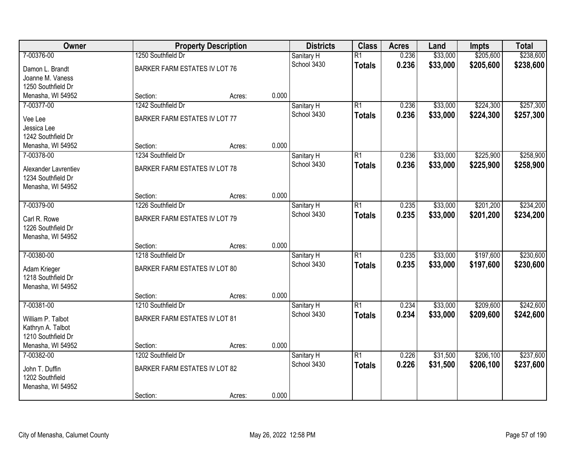| Owner                |                                      | <b>Property Description</b> |       | <b>Districts</b> | <b>Class</b>    | <b>Acres</b> | Land     | <b>Impts</b> | <b>Total</b> |
|----------------------|--------------------------------------|-----------------------------|-------|------------------|-----------------|--------------|----------|--------------|--------------|
| 7-00376-00           | 1250 Southfield Dr                   |                             |       | Sanitary H       | $\overline{R1}$ | 0.236        | \$33,000 | \$205,600    | \$238,600    |
| Damon L. Brandt      | BARKER FARM ESTATES IV LOT 76        |                             |       | School 3430      | <b>Totals</b>   | 0.236        | \$33,000 | \$205,600    | \$238,600    |
| Joanne M. Vaness     |                                      |                             |       |                  |                 |              |          |              |              |
| 1250 Southfield Dr   |                                      |                             |       |                  |                 |              |          |              |              |
| Menasha, WI 54952    | Section:                             | Acres:                      | 0.000 |                  |                 |              |          |              |              |
| 7-00377-00           | 1242 Southfield Dr                   |                             |       | Sanitary H       | $\overline{R1}$ | 0.236        | \$33,000 | \$224,300    | \$257,300    |
| Vee Lee              | BARKER FARM ESTATES IV LOT 77        |                             |       | School 3430      | <b>Totals</b>   | 0.236        | \$33,000 | \$224,300    | \$257,300    |
| Jessica Lee          |                                      |                             |       |                  |                 |              |          |              |              |
| 1242 Southfield Dr   |                                      |                             |       |                  |                 |              |          |              |              |
| Menasha, WI 54952    | Section:                             | Acres:                      | 0.000 |                  |                 |              |          |              |              |
| 7-00378-00           | 1234 Southfield Dr                   |                             |       | Sanitary H       | $\overline{R1}$ | 0.236        | \$33,000 | \$225,900    | \$258,900    |
| Alexander Lavrentiev | BARKER FARM ESTATES IV LOT 78        |                             |       | School 3430      | <b>Totals</b>   | 0.236        | \$33,000 | \$225,900    | \$258,900    |
| 1234 Southfield Dr   |                                      |                             |       |                  |                 |              |          |              |              |
| Menasha, WI 54952    |                                      |                             |       |                  |                 |              |          |              |              |
|                      | Section:                             | Acres:                      | 0.000 |                  |                 |              |          |              |              |
| 7-00379-00           | 1226 Southfield Dr                   |                             |       | Sanitary H       | $\overline{R1}$ | 0.235        | \$33,000 | \$201,200    | \$234,200    |
| Carl R. Rowe         | <b>BARKER FARM ESTATES IV LOT 79</b> |                             |       | School 3430      | <b>Totals</b>   | 0.235        | \$33,000 | \$201,200    | \$234,200    |
| 1226 Southfield Dr   |                                      |                             |       |                  |                 |              |          |              |              |
| Menasha, WI 54952    |                                      |                             |       |                  |                 |              |          |              |              |
|                      | Section:                             | Acres:                      | 0.000 |                  |                 |              |          |              |              |
| 7-00380-00           | 1218 Southfield Dr                   |                             |       | Sanitary H       | $\overline{R1}$ | 0.235        | \$33,000 | \$197,600    | \$230,600    |
| Adam Krieger         | BARKER FARM ESTATES IV LOT 80        |                             |       | School 3430      | <b>Totals</b>   | 0.235        | \$33,000 | \$197,600    | \$230,600    |
| 1218 Southfield Dr   |                                      |                             |       |                  |                 |              |          |              |              |
| Menasha, WI 54952    |                                      |                             |       |                  |                 |              |          |              |              |
|                      | Section:                             | Acres:                      | 0.000 |                  |                 |              |          |              |              |
| 7-00381-00           | 1210 Southfield Dr                   |                             |       | Sanitary H       | $\overline{R1}$ | 0.234        | \$33,000 | \$209,600    | \$242,600    |
| William P. Talbot    | <b>BARKER FARM ESTATES IV LOT 81</b> |                             |       | School 3430      | <b>Totals</b>   | 0.234        | \$33,000 | \$209,600    | \$242,600    |
| Kathryn A. Talbot    |                                      |                             |       |                  |                 |              |          |              |              |
| 1210 Southfield Dr   |                                      |                             |       |                  |                 |              |          |              |              |
| Menasha, WI 54952    | Section:                             | Acres:                      | 0.000 |                  |                 |              |          |              |              |
| 7-00382-00           | 1202 Southfield Dr                   |                             |       | Sanitary H       | $\overline{R1}$ | 0.226        | \$31,500 | \$206,100    | \$237,600    |
| John T. Duffin       | BARKER FARM ESTATES IV LOT 82        |                             |       | School 3430      | <b>Totals</b>   | 0.226        | \$31,500 | \$206,100    | \$237,600    |
| 1202 Southfield      |                                      |                             |       |                  |                 |              |          |              |              |
| Menasha, WI 54952    |                                      |                             |       |                  |                 |              |          |              |              |
|                      | Section:                             | Acres:                      | 0.000 |                  |                 |              |          |              |              |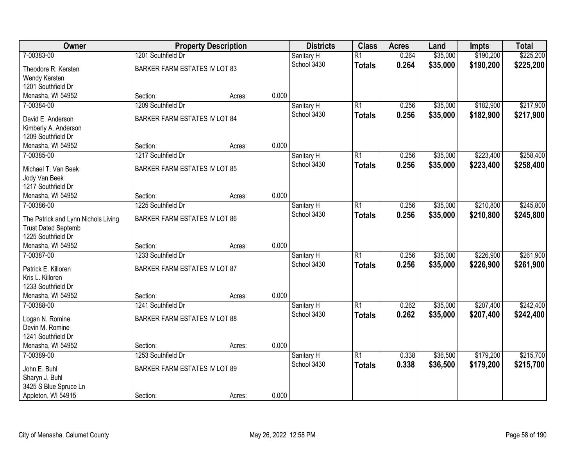| \$190,200<br>\$225,200<br>7-00383-00<br>1201 Southfield Dr<br>$\overline{R1}$<br>0.264<br>\$35,000<br>Sanitary H<br>0.264<br>\$35,000<br>\$190,200<br>\$225,200<br>School 3430<br><b>Totals</b><br><b>BARKER FARM ESTATES IV LOT 83</b><br>Theodore R. Kersten<br>Wendy Kersten<br>1201 Southfield Dr<br>0.000<br>Menasha, WI 54952<br>Section:<br>Acres:<br>1209 Southfield Dr<br>$\overline{R1}$<br>\$35,000<br>\$182,900<br>\$217,900<br>7-00384-00<br>Sanitary H<br>0.256<br>0.256<br>\$35,000<br>\$182,900<br>\$217,900<br>School 3430<br><b>Totals</b><br><b>BARKER FARM ESTATES IV LOT 84</b><br>David E. Anderson<br>Kimberly A. Anderson<br>1209 Southfield Dr<br>0.000<br>Menasha, WI 54952<br>Section:<br>Acres:<br>\$223,400<br>7-00385-00<br>1217 Southfield Dr<br>$\overline{R1}$<br>\$35,000<br>\$258,400<br>0.256<br>Sanitary H<br>School 3430<br>0.256<br>\$35,000<br>\$223,400<br>\$258,400<br><b>Totals</b><br><b>BARKER FARM ESTATES IV LOT 85</b><br>Michael T. Van Beek<br>Jody Van Beek<br>1217 Southfield Dr<br>0.000<br>Menasha, WI 54952<br>Section:<br>Acres:<br>\$210,800<br>\$245,800<br>1225 Southfield Dr<br>$\overline{R1}$<br>0.256<br>\$35,000<br>7-00386-00<br>Sanitary H<br>School 3430<br>0.256<br>\$35,000<br>\$210,800<br>\$245,800<br><b>Totals</b><br>BARKER FARM ESTATES IV LOT 86<br>The Patrick and Lynn Nichols Living<br><b>Trust Dated Septemb</b><br>1225 Southfield Dr<br>0.000<br>Menasha, WI 54952<br>Section:<br>Acres:<br>\$226,900<br>\$261,900<br>7-00387-00<br>1233 Southfield Dr<br>$\overline{R1}$<br>0.256<br>\$35,000<br>Sanitary H<br>0.256<br>\$35,000<br>\$226,900<br>\$261,900<br>School 3430<br><b>Totals</b><br>BARKER FARM ESTATES IV LOT 87<br>Patrick E. Killoren<br>Kris L. Killoren<br>1233 Southfield Dr<br>0.000<br>Menasha, WI 54952<br>Section:<br>Acres:<br>1241 Southfield Dr<br>\$207,400<br>\$242,400<br>7-00388-00<br>$\overline{R1}$<br>0.262<br>\$35,000<br>Sanitary H<br>0.262<br>\$35,000<br>\$207,400<br>School 3430<br>\$242,400<br><b>Totals</b><br><b>BARKER FARM ESTATES IV LOT 88</b><br>Logan N. Romine<br>Devin M. Romine<br>1241 Southfield Dr<br>0.000<br>Menasha, WI 54952<br>Section:<br>Acres:<br>1253 Southfield Dr<br>$\overline{R1}$<br>\$36,500<br>\$179,200<br>\$215,700<br>7-00389-00<br>0.338<br>Sanitary H | Owner | <b>Property Description</b> | <b>Districts</b> | <b>Class</b> | <b>Acres</b> | Land | <b>Impts</b> | <b>Total</b> |
|---------------------------------------------------------------------------------------------------------------------------------------------------------------------------------------------------------------------------------------------------------------------------------------------------------------------------------------------------------------------------------------------------------------------------------------------------------------------------------------------------------------------------------------------------------------------------------------------------------------------------------------------------------------------------------------------------------------------------------------------------------------------------------------------------------------------------------------------------------------------------------------------------------------------------------------------------------------------------------------------------------------------------------------------------------------------------------------------------------------------------------------------------------------------------------------------------------------------------------------------------------------------------------------------------------------------------------------------------------------------------------------------------------------------------------------------------------------------------------------------------------------------------------------------------------------------------------------------------------------------------------------------------------------------------------------------------------------------------------------------------------------------------------------------------------------------------------------------------------------------------------------------------------------------------------------------------------------------------------------------------------------------------------------------------------------------------------------------------------------------------------------------------------------------------------------------------------------------------------------------------------------------------------------------------------------------|-------|-----------------------------|------------------|--------------|--------------|------|--------------|--------------|
|                                                                                                                                                                                                                                                                                                                                                                                                                                                                                                                                                                                                                                                                                                                                                                                                                                                                                                                                                                                                                                                                                                                                                                                                                                                                                                                                                                                                                                                                                                                                                                                                                                                                                                                                                                                                                                                                                                                                                                                                                                                                                                                                                                                                                                                                                                                     |       |                             |                  |              |              |      |              |              |
|                                                                                                                                                                                                                                                                                                                                                                                                                                                                                                                                                                                                                                                                                                                                                                                                                                                                                                                                                                                                                                                                                                                                                                                                                                                                                                                                                                                                                                                                                                                                                                                                                                                                                                                                                                                                                                                                                                                                                                                                                                                                                                                                                                                                                                                                                                                     |       |                             |                  |              |              |      |              |              |
|                                                                                                                                                                                                                                                                                                                                                                                                                                                                                                                                                                                                                                                                                                                                                                                                                                                                                                                                                                                                                                                                                                                                                                                                                                                                                                                                                                                                                                                                                                                                                                                                                                                                                                                                                                                                                                                                                                                                                                                                                                                                                                                                                                                                                                                                                                                     |       |                             |                  |              |              |      |              |              |
|                                                                                                                                                                                                                                                                                                                                                                                                                                                                                                                                                                                                                                                                                                                                                                                                                                                                                                                                                                                                                                                                                                                                                                                                                                                                                                                                                                                                                                                                                                                                                                                                                                                                                                                                                                                                                                                                                                                                                                                                                                                                                                                                                                                                                                                                                                                     |       |                             |                  |              |              |      |              |              |
|                                                                                                                                                                                                                                                                                                                                                                                                                                                                                                                                                                                                                                                                                                                                                                                                                                                                                                                                                                                                                                                                                                                                                                                                                                                                                                                                                                                                                                                                                                                                                                                                                                                                                                                                                                                                                                                                                                                                                                                                                                                                                                                                                                                                                                                                                                                     |       |                             |                  |              |              |      |              |              |
|                                                                                                                                                                                                                                                                                                                                                                                                                                                                                                                                                                                                                                                                                                                                                                                                                                                                                                                                                                                                                                                                                                                                                                                                                                                                                                                                                                                                                                                                                                                                                                                                                                                                                                                                                                                                                                                                                                                                                                                                                                                                                                                                                                                                                                                                                                                     |       |                             |                  |              |              |      |              |              |
|                                                                                                                                                                                                                                                                                                                                                                                                                                                                                                                                                                                                                                                                                                                                                                                                                                                                                                                                                                                                                                                                                                                                                                                                                                                                                                                                                                                                                                                                                                                                                                                                                                                                                                                                                                                                                                                                                                                                                                                                                                                                                                                                                                                                                                                                                                                     |       |                             |                  |              |              |      |              |              |
|                                                                                                                                                                                                                                                                                                                                                                                                                                                                                                                                                                                                                                                                                                                                                                                                                                                                                                                                                                                                                                                                                                                                                                                                                                                                                                                                                                                                                                                                                                                                                                                                                                                                                                                                                                                                                                                                                                                                                                                                                                                                                                                                                                                                                                                                                                                     |       |                             |                  |              |              |      |              |              |
|                                                                                                                                                                                                                                                                                                                                                                                                                                                                                                                                                                                                                                                                                                                                                                                                                                                                                                                                                                                                                                                                                                                                                                                                                                                                                                                                                                                                                                                                                                                                                                                                                                                                                                                                                                                                                                                                                                                                                                                                                                                                                                                                                                                                                                                                                                                     |       |                             |                  |              |              |      |              |              |
|                                                                                                                                                                                                                                                                                                                                                                                                                                                                                                                                                                                                                                                                                                                                                                                                                                                                                                                                                                                                                                                                                                                                                                                                                                                                                                                                                                                                                                                                                                                                                                                                                                                                                                                                                                                                                                                                                                                                                                                                                                                                                                                                                                                                                                                                                                                     |       |                             |                  |              |              |      |              |              |
|                                                                                                                                                                                                                                                                                                                                                                                                                                                                                                                                                                                                                                                                                                                                                                                                                                                                                                                                                                                                                                                                                                                                                                                                                                                                                                                                                                                                                                                                                                                                                                                                                                                                                                                                                                                                                                                                                                                                                                                                                                                                                                                                                                                                                                                                                                                     |       |                             |                  |              |              |      |              |              |
|                                                                                                                                                                                                                                                                                                                                                                                                                                                                                                                                                                                                                                                                                                                                                                                                                                                                                                                                                                                                                                                                                                                                                                                                                                                                                                                                                                                                                                                                                                                                                                                                                                                                                                                                                                                                                                                                                                                                                                                                                                                                                                                                                                                                                                                                                                                     |       |                             |                  |              |              |      |              |              |
|                                                                                                                                                                                                                                                                                                                                                                                                                                                                                                                                                                                                                                                                                                                                                                                                                                                                                                                                                                                                                                                                                                                                                                                                                                                                                                                                                                                                                                                                                                                                                                                                                                                                                                                                                                                                                                                                                                                                                                                                                                                                                                                                                                                                                                                                                                                     |       |                             |                  |              |              |      |              |              |
|                                                                                                                                                                                                                                                                                                                                                                                                                                                                                                                                                                                                                                                                                                                                                                                                                                                                                                                                                                                                                                                                                                                                                                                                                                                                                                                                                                                                                                                                                                                                                                                                                                                                                                                                                                                                                                                                                                                                                                                                                                                                                                                                                                                                                                                                                                                     |       |                             |                  |              |              |      |              |              |
|                                                                                                                                                                                                                                                                                                                                                                                                                                                                                                                                                                                                                                                                                                                                                                                                                                                                                                                                                                                                                                                                                                                                                                                                                                                                                                                                                                                                                                                                                                                                                                                                                                                                                                                                                                                                                                                                                                                                                                                                                                                                                                                                                                                                                                                                                                                     |       |                             |                  |              |              |      |              |              |
|                                                                                                                                                                                                                                                                                                                                                                                                                                                                                                                                                                                                                                                                                                                                                                                                                                                                                                                                                                                                                                                                                                                                                                                                                                                                                                                                                                                                                                                                                                                                                                                                                                                                                                                                                                                                                                                                                                                                                                                                                                                                                                                                                                                                                                                                                                                     |       |                             |                  |              |              |      |              |              |
|                                                                                                                                                                                                                                                                                                                                                                                                                                                                                                                                                                                                                                                                                                                                                                                                                                                                                                                                                                                                                                                                                                                                                                                                                                                                                                                                                                                                                                                                                                                                                                                                                                                                                                                                                                                                                                                                                                                                                                                                                                                                                                                                                                                                                                                                                                                     |       |                             |                  |              |              |      |              |              |
|                                                                                                                                                                                                                                                                                                                                                                                                                                                                                                                                                                                                                                                                                                                                                                                                                                                                                                                                                                                                                                                                                                                                                                                                                                                                                                                                                                                                                                                                                                                                                                                                                                                                                                                                                                                                                                                                                                                                                                                                                                                                                                                                                                                                                                                                                                                     |       |                             |                  |              |              |      |              |              |
|                                                                                                                                                                                                                                                                                                                                                                                                                                                                                                                                                                                                                                                                                                                                                                                                                                                                                                                                                                                                                                                                                                                                                                                                                                                                                                                                                                                                                                                                                                                                                                                                                                                                                                                                                                                                                                                                                                                                                                                                                                                                                                                                                                                                                                                                                                                     |       |                             |                  |              |              |      |              |              |
|                                                                                                                                                                                                                                                                                                                                                                                                                                                                                                                                                                                                                                                                                                                                                                                                                                                                                                                                                                                                                                                                                                                                                                                                                                                                                                                                                                                                                                                                                                                                                                                                                                                                                                                                                                                                                                                                                                                                                                                                                                                                                                                                                                                                                                                                                                                     |       |                             |                  |              |              |      |              |              |
|                                                                                                                                                                                                                                                                                                                                                                                                                                                                                                                                                                                                                                                                                                                                                                                                                                                                                                                                                                                                                                                                                                                                                                                                                                                                                                                                                                                                                                                                                                                                                                                                                                                                                                                                                                                                                                                                                                                                                                                                                                                                                                                                                                                                                                                                                                                     |       |                             |                  |              |              |      |              |              |
|                                                                                                                                                                                                                                                                                                                                                                                                                                                                                                                                                                                                                                                                                                                                                                                                                                                                                                                                                                                                                                                                                                                                                                                                                                                                                                                                                                                                                                                                                                                                                                                                                                                                                                                                                                                                                                                                                                                                                                                                                                                                                                                                                                                                                                                                                                                     |       |                             |                  |              |              |      |              |              |
|                                                                                                                                                                                                                                                                                                                                                                                                                                                                                                                                                                                                                                                                                                                                                                                                                                                                                                                                                                                                                                                                                                                                                                                                                                                                                                                                                                                                                                                                                                                                                                                                                                                                                                                                                                                                                                                                                                                                                                                                                                                                                                                                                                                                                                                                                                                     |       |                             |                  |              |              |      |              |              |
|                                                                                                                                                                                                                                                                                                                                                                                                                                                                                                                                                                                                                                                                                                                                                                                                                                                                                                                                                                                                                                                                                                                                                                                                                                                                                                                                                                                                                                                                                                                                                                                                                                                                                                                                                                                                                                                                                                                                                                                                                                                                                                                                                                                                                                                                                                                     |       |                             |                  |              |              |      |              |              |
|                                                                                                                                                                                                                                                                                                                                                                                                                                                                                                                                                                                                                                                                                                                                                                                                                                                                                                                                                                                                                                                                                                                                                                                                                                                                                                                                                                                                                                                                                                                                                                                                                                                                                                                                                                                                                                                                                                                                                                                                                                                                                                                                                                                                                                                                                                                     |       |                             |                  |              |              |      |              |              |
|                                                                                                                                                                                                                                                                                                                                                                                                                                                                                                                                                                                                                                                                                                                                                                                                                                                                                                                                                                                                                                                                                                                                                                                                                                                                                                                                                                                                                                                                                                                                                                                                                                                                                                                                                                                                                                                                                                                                                                                                                                                                                                                                                                                                                                                                                                                     |       |                             |                  |              |              |      |              |              |
|                                                                                                                                                                                                                                                                                                                                                                                                                                                                                                                                                                                                                                                                                                                                                                                                                                                                                                                                                                                                                                                                                                                                                                                                                                                                                                                                                                                                                                                                                                                                                                                                                                                                                                                                                                                                                                                                                                                                                                                                                                                                                                                                                                                                                                                                                                                     |       |                             |                  |              |              |      |              |              |
|                                                                                                                                                                                                                                                                                                                                                                                                                                                                                                                                                                                                                                                                                                                                                                                                                                                                                                                                                                                                                                                                                                                                                                                                                                                                                                                                                                                                                                                                                                                                                                                                                                                                                                                                                                                                                                                                                                                                                                                                                                                                                                                                                                                                                                                                                                                     |       |                             |                  |              |              |      |              |              |
|                                                                                                                                                                                                                                                                                                                                                                                                                                                                                                                                                                                                                                                                                                                                                                                                                                                                                                                                                                                                                                                                                                                                                                                                                                                                                                                                                                                                                                                                                                                                                                                                                                                                                                                                                                                                                                                                                                                                                                                                                                                                                                                                                                                                                                                                                                                     |       |                             |                  |              |              |      |              |              |
|                                                                                                                                                                                                                                                                                                                                                                                                                                                                                                                                                                                                                                                                                                                                                                                                                                                                                                                                                                                                                                                                                                                                                                                                                                                                                                                                                                                                                                                                                                                                                                                                                                                                                                                                                                                                                                                                                                                                                                                                                                                                                                                                                                                                                                                                                                                     |       |                             |                  |              |              |      |              |              |
|                                                                                                                                                                                                                                                                                                                                                                                                                                                                                                                                                                                                                                                                                                                                                                                                                                                                                                                                                                                                                                                                                                                                                                                                                                                                                                                                                                                                                                                                                                                                                                                                                                                                                                                                                                                                                                                                                                                                                                                                                                                                                                                                                                                                                                                                                                                     |       |                             |                  |              |              |      |              |              |
|                                                                                                                                                                                                                                                                                                                                                                                                                                                                                                                                                                                                                                                                                                                                                                                                                                                                                                                                                                                                                                                                                                                                                                                                                                                                                                                                                                                                                                                                                                                                                                                                                                                                                                                                                                                                                                                                                                                                                                                                                                                                                                                                                                                                                                                                                                                     |       |                             |                  |              |              |      |              |              |
| 0.338<br>School 3430<br>\$36,500<br>\$179,200<br>\$215,700<br><b>Totals</b>                                                                                                                                                                                                                                                                                                                                                                                                                                                                                                                                                                                                                                                                                                                                                                                                                                                                                                                                                                                                                                                                                                                                                                                                                                                                                                                                                                                                                                                                                                                                                                                                                                                                                                                                                                                                                                                                                                                                                                                                                                                                                                                                                                                                                                         |       |                             |                  |              |              |      |              |              |
| BARKER FARM ESTATES IV LOT 89<br>John E. Buhl<br>Sharyn J. Buhl                                                                                                                                                                                                                                                                                                                                                                                                                                                                                                                                                                                                                                                                                                                                                                                                                                                                                                                                                                                                                                                                                                                                                                                                                                                                                                                                                                                                                                                                                                                                                                                                                                                                                                                                                                                                                                                                                                                                                                                                                                                                                                                                                                                                                                                     |       |                             |                  |              |              |      |              |              |
| 3425 S Blue Spruce Ln                                                                                                                                                                                                                                                                                                                                                                                                                                                                                                                                                                                                                                                                                                                                                                                                                                                                                                                                                                                                                                                                                                                                                                                                                                                                                                                                                                                                                                                                                                                                                                                                                                                                                                                                                                                                                                                                                                                                                                                                                                                                                                                                                                                                                                                                                               |       |                             |                  |              |              |      |              |              |
| 0.000<br>Appleton, WI 54915<br>Section:<br>Acres:                                                                                                                                                                                                                                                                                                                                                                                                                                                                                                                                                                                                                                                                                                                                                                                                                                                                                                                                                                                                                                                                                                                                                                                                                                                                                                                                                                                                                                                                                                                                                                                                                                                                                                                                                                                                                                                                                                                                                                                                                                                                                                                                                                                                                                                                   |       |                             |                  |              |              |      |              |              |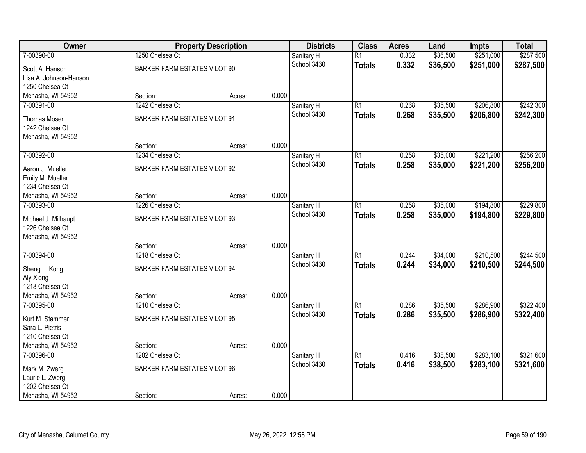| Owner                                  |                                     | <b>Property Description</b> |       | <b>Districts</b> | <b>Class</b>    | <b>Acres</b> | Land     | <b>Impts</b> | <b>Total</b> |
|----------------------------------------|-------------------------------------|-----------------------------|-------|------------------|-----------------|--------------|----------|--------------|--------------|
| 7-00390-00                             | 1250 Chelsea Ct                     |                             |       | Sanitary H       | $\overline{R1}$ | 0.332        | \$36,500 | \$251,000    | \$287,500    |
| Scott A. Hanson                        | BARKER FARM ESTATES V LOT 90        |                             |       | School 3430      | <b>Totals</b>   | 0.332        | \$36,500 | \$251,000    | \$287,500    |
| Lisa A. Johnson-Hanson                 |                                     |                             |       |                  |                 |              |          |              |              |
| 1250 Chelsea Ct                        |                                     |                             |       |                  |                 |              |          |              |              |
| Menasha, WI 54952                      | Section:                            | Acres:                      | 0.000 |                  |                 |              |          |              |              |
| 7-00391-00                             | 1242 Chelsea Ct                     |                             |       | Sanitary H       | $\overline{R1}$ | 0.268        | \$35,500 | \$206,800    | \$242,300    |
| <b>Thomas Moser</b>                    | BARKER FARM ESTATES V LOT 91        |                             |       | School 3430      | <b>Totals</b>   | 0.268        | \$35,500 | \$206,800    | \$242,300    |
| 1242 Chelsea Ct                        |                                     |                             |       |                  |                 |              |          |              |              |
| Menasha, WI 54952                      |                                     |                             |       |                  |                 |              |          |              |              |
|                                        | Section:                            | Acres:                      | 0.000 |                  |                 |              |          |              |              |
| 7-00392-00                             | 1234 Chelsea Ct                     |                             |       | Sanitary H       | $\overline{R1}$ | 0.258        | \$35,000 | \$221,200    | \$256,200    |
| Aaron J. Mueller                       | BARKER FARM ESTATES V LOT 92        |                             |       | School 3430      | <b>Totals</b>   | 0.258        | \$35,000 | \$221,200    | \$256,200    |
| Emily M. Mueller                       |                                     |                             |       |                  |                 |              |          |              |              |
| 1234 Chelsea Ct                        |                                     |                             |       |                  |                 |              |          |              |              |
| Menasha, WI 54952                      | Section:                            | Acres:                      | 0.000 |                  |                 |              |          |              |              |
| 7-00393-00                             | 1226 Chelsea Ct                     |                             |       | Sanitary H       | $\overline{R1}$ | 0.258        | \$35,000 | \$194,800    | \$229,800    |
|                                        |                                     |                             |       | School 3430      | <b>Totals</b>   | 0.258        | \$35,000 | \$194,800    | \$229,800    |
| Michael J. Milhaupt<br>1226 Chelsea Ct | <b>BARKER FARM ESTATES V LOT 93</b> |                             |       |                  |                 |              |          |              |              |
| Menasha, WI 54952                      |                                     |                             |       |                  |                 |              |          |              |              |
|                                        | Section:                            | Acres:                      | 0.000 |                  |                 |              |          |              |              |
| 7-00394-00                             | 1218 Chelsea Ct                     |                             |       | Sanitary H       | $\overline{R1}$ | 0.244        | \$34,000 | \$210,500    | \$244,500    |
|                                        |                                     |                             |       | School 3430      | <b>Totals</b>   | 0.244        | \$34,000 | \$210,500    | \$244,500    |
| Sheng L. Kong                          | BARKER FARM ESTATES V LOT 94        |                             |       |                  |                 |              |          |              |              |
| Aly Xiong                              |                                     |                             |       |                  |                 |              |          |              |              |
| 1218 Chelsea Ct<br>Menasha, WI 54952   | Section:                            |                             | 0.000 |                  |                 |              |          |              |              |
| 7-00395-00                             | 1210 Chelsea Ct                     | Acres:                      |       | Sanitary H       | $\overline{R1}$ | 0.286        | \$35,500 | \$286,900    | \$322,400    |
|                                        |                                     |                             |       | School 3430      | <b>Totals</b>   | 0.286        | \$35,500 | \$286,900    | \$322,400    |
| Kurt M. Stammer                        | <b>BARKER FARM ESTATES V LOT 95</b> |                             |       |                  |                 |              |          |              |              |
| Sara L. Pietris                        |                                     |                             |       |                  |                 |              |          |              |              |
| 1210 Chelsea Ct                        |                                     |                             |       |                  |                 |              |          |              |              |
| Menasha, WI 54952                      | Section:                            | Acres:                      | 0.000 |                  |                 |              |          |              |              |
| 7-00396-00                             | 1202 Chelsea Ct                     |                             |       | Sanitary H       | $\overline{R1}$ | 0.416        | \$38,500 | \$283,100    | \$321,600    |
| Mark M. Zwerg                          | BARKER FARM ESTATES V LOT 96        |                             |       | School 3430      | <b>Totals</b>   | 0.416        | \$38,500 | \$283,100    | \$321,600    |
| Laurie L. Zwerg                        |                                     |                             |       |                  |                 |              |          |              |              |
| 1202 Chelsea Ct                        |                                     |                             |       |                  |                 |              |          |              |              |
| Menasha, WI 54952                      | Section:                            | Acres:                      | 0.000 |                  |                 |              |          |              |              |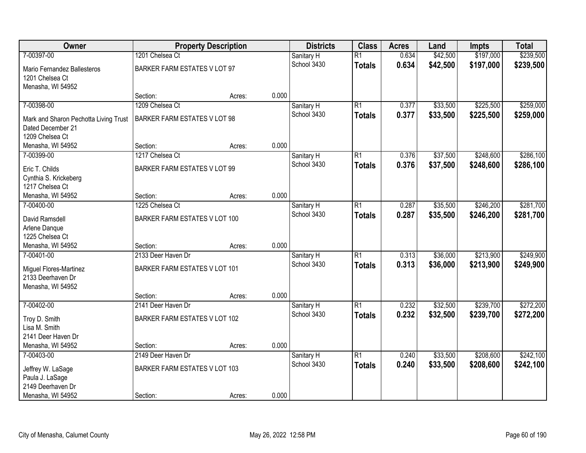| Owner                                 | <b>Property Description</b>         |        |       | <b>Districts</b> | <b>Class</b>    | <b>Acres</b> | Land     | <b>Impts</b> | <b>Total</b> |
|---------------------------------------|-------------------------------------|--------|-------|------------------|-----------------|--------------|----------|--------------|--------------|
| 7-00397-00                            | 1201 Chelsea Ct                     |        |       | Sanitary H       | $\overline{R1}$ | 0.634        | \$42,500 | \$197,000    | \$239,500    |
| Mario Fernandez Ballesteros           | BARKER FARM ESTATES V LOT 97        |        |       | School 3430      | <b>Totals</b>   | 0.634        | \$42,500 | \$197,000    | \$239,500    |
| 1201 Chelsea Ct                       |                                     |        |       |                  |                 |              |          |              |              |
| Menasha, WI 54952                     |                                     |        |       |                  |                 |              |          |              |              |
|                                       | Section:                            | Acres: | 0.000 |                  |                 |              |          |              |              |
| 7-00398-00                            | 1209 Chelsea Ct                     |        |       | Sanitary H       | $\overline{R1}$ | 0.377        | \$33,500 | \$225,500    | \$259,000    |
| Mark and Sharon Pechotta Living Trust | BARKER FARM ESTATES V LOT 98        |        |       | School 3430      | <b>Totals</b>   | 0.377        | \$33,500 | \$225,500    | \$259,000    |
| Dated December 21                     |                                     |        |       |                  |                 |              |          |              |              |
| 1209 Chelsea Ct                       |                                     |        |       |                  |                 |              |          |              |              |
| Menasha, WI 54952                     | Section:                            | Acres: | 0.000 |                  |                 |              |          |              |              |
| 7-00399-00                            | 1217 Chelsea Ct                     |        |       | Sanitary H       | $\overline{R1}$ | 0.376        | \$37,500 | \$248,600    | \$286,100    |
| Eric T. Childs                        | <b>BARKER FARM ESTATES V LOT 99</b> |        |       | School 3430      | <b>Totals</b>   | 0.376        | \$37,500 | \$248,600    | \$286,100    |
| Cynthia S. Krickeberg                 |                                     |        |       |                  |                 |              |          |              |              |
| 1217 Chelsea Ct                       |                                     |        |       |                  |                 |              |          |              |              |
| Menasha, WI 54952                     | Section:                            | Acres: | 0.000 |                  |                 |              |          |              |              |
| 7-00400-00                            | 1225 Chelsea Ct                     |        |       | Sanitary H       | $\overline{R1}$ | 0.287        | \$35,500 | \$246,200    | \$281,700    |
| David Ramsdell                        | BARKER FARM ESTATES V LOT 100       |        |       | School 3430      | <b>Totals</b>   | 0.287        | \$35,500 | \$246,200    | \$281,700    |
| Arlene Danque                         |                                     |        |       |                  |                 |              |          |              |              |
| 1225 Chelsea Ct                       |                                     |        |       |                  |                 |              |          |              |              |
| Menasha, WI 54952                     | Section:                            | Acres: | 0.000 |                  |                 |              |          |              |              |
| 7-00401-00                            | 2133 Deer Haven Dr                  |        |       | Sanitary H       | $\overline{R1}$ | 0.313        | \$36,000 | \$213,900    | \$249,900    |
| Miguel Flores-Martinez                | BARKER FARM ESTATES V LOT 101       |        |       | School 3430      | <b>Totals</b>   | 0.313        | \$36,000 | \$213,900    | \$249,900    |
| 2133 Deerhaven Dr                     |                                     |        |       |                  |                 |              |          |              |              |
| Menasha, WI 54952                     |                                     |        |       |                  |                 |              |          |              |              |
|                                       | Section:                            | Acres: | 0.000 |                  |                 |              |          |              |              |
| 7-00402-00                            | 2141 Deer Haven Dr                  |        |       | Sanitary H       | $\overline{R1}$ | 0.232        | \$32,500 | \$239,700    | \$272,200    |
| Troy D. Smith                         | BARKER FARM ESTATES V LOT 102       |        |       | School 3430      | <b>Totals</b>   | 0.232        | \$32,500 | \$239,700    | \$272,200    |
| Lisa M. Smith                         |                                     |        |       |                  |                 |              |          |              |              |
| 2141 Deer Haven Dr                    |                                     |        |       |                  |                 |              |          |              |              |
| Menasha, WI 54952                     | Section:                            | Acres: | 0.000 |                  |                 |              |          |              |              |
| 7-00403-00                            | 2149 Deer Haven Dr                  |        |       | Sanitary H       | $\overline{R1}$ | 0.240        | \$33,500 | \$208,600    | \$242,100    |
| Jeffrey W. LaSage                     | BARKER FARM ESTATES V LOT 103       |        |       | School 3430      | <b>Totals</b>   | 0.240        | \$33,500 | \$208,600    | \$242,100    |
| Paula J. LaSage                       |                                     |        |       |                  |                 |              |          |              |              |
| 2149 Deerhaven Dr                     |                                     |        |       |                  |                 |              |          |              |              |
| Menasha, WI 54952                     | Section:                            | Acres: | 0.000 |                  |                 |              |          |              |              |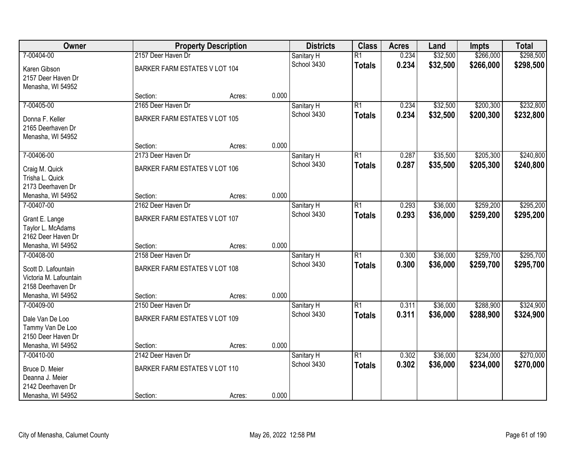| Owner                  | <b>Property Description</b>   |        |       | <b>Districts</b> | <b>Class</b>    | <b>Acres</b> | Land     | <b>Impts</b> | <b>Total</b> |
|------------------------|-------------------------------|--------|-------|------------------|-----------------|--------------|----------|--------------|--------------|
| 7-00404-00             | 2157 Deer Haven Dr            |        |       | Sanitary H       | $\overline{R1}$ | 0.234        | \$32,500 | \$266,000    | \$298,500    |
| Karen Gibson           | BARKER FARM ESTATES V LOT 104 |        |       | School 3430      | <b>Totals</b>   | 0.234        | \$32,500 | \$266,000    | \$298,500    |
| 2157 Deer Haven Dr     |                               |        |       |                  |                 |              |          |              |              |
| Menasha, WI 54952      |                               |        |       |                  |                 |              |          |              |              |
|                        | Section:                      | Acres: | 0.000 |                  |                 |              |          |              |              |
| 7-00405-00             | 2165 Deer Haven Dr            |        |       | Sanitary H       | $\overline{R1}$ | 0.234        | \$32,500 | \$200,300    | \$232,800    |
| Donna F. Keller        | BARKER FARM ESTATES V LOT 105 |        |       | School 3430      | <b>Totals</b>   | 0.234        | \$32,500 | \$200,300    | \$232,800    |
| 2165 Deerhaven Dr      |                               |        |       |                  |                 |              |          |              |              |
| Menasha, WI 54952      |                               |        |       |                  |                 |              |          |              |              |
|                        | Section:                      | Acres: | 0.000 |                  |                 |              |          |              |              |
| 7-00406-00             | 2173 Deer Haven Dr            |        |       | Sanitary H       | $\overline{R1}$ | 0.287        | \$35,500 | \$205,300    | \$240,800    |
| Craig M. Quick         | BARKER FARM ESTATES V LOT 106 |        |       | School 3430      | <b>Totals</b>   | 0.287        | \$35,500 | \$205,300    | \$240,800    |
| Trisha L. Quick        |                               |        |       |                  |                 |              |          |              |              |
| 2173 Deerhaven Dr      |                               |        |       |                  |                 |              |          |              |              |
| Menasha, WI 54952      | Section:                      | Acres: | 0.000 |                  |                 |              |          |              |              |
| 7-00407-00             | 2162 Deer Haven Dr            |        |       | Sanitary H       | $\overline{R1}$ | 0.293        | \$36,000 | \$259,200    | \$295,200    |
| Grant E. Lange         | BARKER FARM ESTATES V LOT 107 |        |       | School 3430      | <b>Totals</b>   | 0.293        | \$36,000 | \$259,200    | \$295,200    |
| Taylor L. McAdams      |                               |        |       |                  |                 |              |          |              |              |
| 2162 Deer Haven Dr     |                               |        |       |                  |                 |              |          |              |              |
| Menasha, WI 54952      | Section:                      | Acres: | 0.000 |                  |                 |              |          |              |              |
| 7-00408-00             | 2158 Deer Haven Dr            |        |       | Sanitary H       | $\overline{R1}$ | 0.300        | \$36,000 | \$259,700    | \$295,700    |
| Scott D. Lafountain    | BARKER FARM ESTATES V LOT 108 |        |       | School 3430      | <b>Totals</b>   | 0.300        | \$36,000 | \$259,700    | \$295,700    |
| Victoria M. Lafountain |                               |        |       |                  |                 |              |          |              |              |
| 2158 Deerhaven Dr      |                               |        |       |                  |                 |              |          |              |              |
| Menasha, WI 54952      | Section:                      | Acres: | 0.000 |                  |                 |              |          |              |              |
| 7-00409-00             | 2150 Deer Haven Dr            |        |       | Sanitary H       | $\overline{R1}$ | 0.311        | \$36,000 | \$288,900    | \$324,900    |
| Dale Van De Loo        | BARKER FARM ESTATES V LOT 109 |        |       | School 3430      | <b>Totals</b>   | 0.311        | \$36,000 | \$288,900    | \$324,900    |
| Tammy Van De Loo       |                               |        |       |                  |                 |              |          |              |              |
| 2150 Deer Haven Dr     |                               |        |       |                  |                 |              |          |              |              |
| Menasha, WI 54952      | Section:                      | Acres: | 0.000 |                  |                 |              |          |              |              |
| 7-00410-00             | 2142 Deer Haven Dr            |        |       | Sanitary H       | $\overline{R1}$ | 0.302        | \$36,000 | \$234,000    | \$270,000    |
| Bruce D. Meier         | BARKER FARM ESTATES V LOT 110 |        |       | School 3430      | <b>Totals</b>   | 0.302        | \$36,000 | \$234,000    | \$270,000    |
| Deanna J. Meier        |                               |        |       |                  |                 |              |          |              |              |
| 2142 Deerhaven Dr      |                               |        |       |                  |                 |              |          |              |              |
| Menasha, WI 54952      | Section:                      | Acres: | 0.000 |                  |                 |              |          |              |              |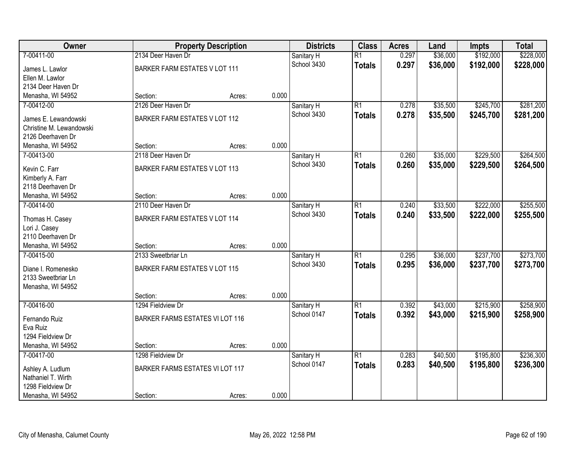| Owner                                 |                                        | <b>Property Description</b> |       | <b>Districts</b> | <b>Class</b>    | <b>Acres</b> | Land     | <b>Impts</b> | <b>Total</b> |
|---------------------------------------|----------------------------------------|-----------------------------|-------|------------------|-----------------|--------------|----------|--------------|--------------|
| 7-00411-00                            | 2134 Deer Haven Dr                     |                             |       | Sanitary H       | $\overline{R1}$ | 0.297        | \$36,000 | \$192,000    | \$228,000    |
| James L. Lawlor                       | BARKER FARM ESTATES V LOT 111          |                             |       | School 3430      | <b>Totals</b>   | 0.297        | \$36,000 | \$192,000    | \$228,000    |
| Ellen M. Lawlor                       |                                        |                             |       |                  |                 |              |          |              |              |
| 2134 Deer Haven Dr                    |                                        |                             |       |                  |                 |              |          |              |              |
| Menasha, WI 54952                     | Section:                               | Acres:                      | 0.000 |                  |                 |              |          |              |              |
| 7-00412-00                            | 2126 Deer Haven Dr                     |                             |       | Sanitary H       | $\overline{R1}$ | 0.278        | \$35,500 | \$245,700    | \$281,200    |
| James E. Lewandowski                  | BARKER FARM ESTATES V LOT 112          |                             |       | School 3430      | <b>Totals</b>   | 0.278        | \$35,500 | \$245,700    | \$281,200    |
| Christine M. Lewandowski              |                                        |                             |       |                  |                 |              |          |              |              |
| 2126 Deerhaven Dr                     |                                        |                             |       |                  |                 |              |          |              |              |
| Menasha, WI 54952                     | Section:                               | Acres:                      | 0.000 |                  |                 |              |          |              |              |
| 7-00413-00                            | 2118 Deer Haven Dr                     |                             |       | Sanitary H       | $\overline{R1}$ | 0.260        | \$35,000 | \$229,500    | \$264,500    |
|                                       |                                        |                             |       | School 3430      | <b>Totals</b>   | 0.260        | \$35,000 | \$229,500    | \$264,500    |
| Kevin C. Farr                         | BARKER FARM ESTATES V LOT 113          |                             |       |                  |                 |              |          |              |              |
| Kimberly A. Farr<br>2118 Deerhaven Dr |                                        |                             |       |                  |                 |              |          |              |              |
| Menasha, WI 54952                     | Section:                               | Acres:                      | 0.000 |                  |                 |              |          |              |              |
| 7-00414-00                            | 2110 Deer Haven Dr                     |                             |       | Sanitary H       | $\overline{R1}$ | 0.240        | \$33,500 | \$222,000    | \$255,500    |
|                                       |                                        |                             |       | School 3430      | <b>Totals</b>   | 0.240        | \$33,500 | \$222,000    | \$255,500    |
| Thomas H. Casey                       | BARKER FARM ESTATES V LOT 114          |                             |       |                  |                 |              |          |              |              |
| Lori J. Casey                         |                                        |                             |       |                  |                 |              |          |              |              |
| 2110 Deerhaven Dr                     |                                        |                             | 0.000 |                  |                 |              |          |              |              |
| Menasha, WI 54952<br>7-00415-00       | Section:<br>2133 Sweetbriar Ln         | Acres:                      |       |                  | $\overline{R1}$ | 0.295        |          | \$237,700    | \$273,700    |
|                                       |                                        |                             |       | Sanitary H       |                 |              | \$36,000 |              |              |
| Diane I. Romenesko                    | BARKER FARM ESTATES V LOT 115          |                             |       | School 3430      | <b>Totals</b>   | 0.295        | \$36,000 | \$237,700    | \$273,700    |
| 2133 Sweetbriar Ln                    |                                        |                             |       |                  |                 |              |          |              |              |
| Menasha, WI 54952                     |                                        |                             |       |                  |                 |              |          |              |              |
|                                       | Section:                               | Acres:                      | 0.000 |                  |                 |              |          |              |              |
| 7-00416-00                            | 1294 Fieldview Dr                      |                             |       | Sanitary H       | $\overline{R1}$ | 0.392        | \$43,000 | \$215,900    | \$258,900    |
| Fernando Ruiz                         | <b>BARKER FARMS ESTATES VI LOT 116</b> |                             |       | School 0147      | <b>Totals</b>   | 0.392        | \$43,000 | \$215,900    | \$258,900    |
| Eva Ruiz                              |                                        |                             |       |                  |                 |              |          |              |              |
| 1294 Fieldview Dr                     |                                        |                             |       |                  |                 |              |          |              |              |
| Menasha, WI 54952                     | Section:                               | Acres:                      | 0.000 |                  |                 |              |          |              |              |
| 7-00417-00                            | 1298 Fieldview Dr                      |                             |       | Sanitary H       | $\overline{R1}$ | 0.283        | \$40,500 | \$195,800    | \$236,300    |
| Ashley A. Ludlum                      | BARKER FARMS ESTATES VI LOT 117        |                             |       | School 0147      | <b>Totals</b>   | 0.283        | \$40,500 | \$195,800    | \$236,300    |
| Nathaniel T. Wirth                    |                                        |                             |       |                  |                 |              |          |              |              |
| 1298 Fieldview Dr                     |                                        |                             |       |                  |                 |              |          |              |              |
| Menasha, WI 54952                     | Section:                               | Acres:                      | 0.000 |                  |                 |              |          |              |              |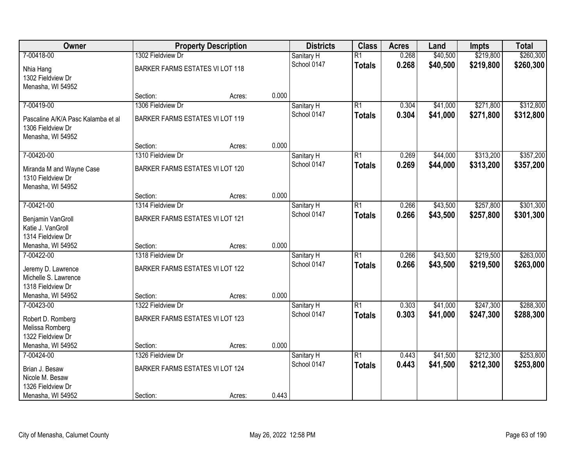| Owner                              |                                 | <b>Property Description</b> |       | <b>Districts</b> | <b>Class</b>    | <b>Acres</b> | Land     | <b>Impts</b> | <b>Total</b> |
|------------------------------------|---------------------------------|-----------------------------|-------|------------------|-----------------|--------------|----------|--------------|--------------|
| 7-00418-00                         | 1302 Fieldview Dr               |                             |       | Sanitary H       | $\overline{R1}$ | 0.268        | \$40,500 | \$219,800    | \$260,300    |
| Nhia Hang                          | BARKER FARMS ESTATES VI LOT 118 |                             |       | School 0147      | <b>Totals</b>   | 0.268        | \$40,500 | \$219,800    | \$260,300    |
| 1302 Fieldview Dr                  |                                 |                             |       |                  |                 |              |          |              |              |
| Menasha, WI 54952                  |                                 |                             |       |                  |                 |              |          |              |              |
|                                    | Section:                        | Acres:                      | 0.000 |                  |                 |              |          |              |              |
| 7-00419-00                         | 1306 Fieldview Dr               |                             |       | Sanitary H       | $\overline{R1}$ | 0.304        | \$41,000 | \$271,800    | \$312,800    |
| Pascaline A/K/A Pasc Kalamba et al | BARKER FARMS ESTATES VI LOT 119 |                             |       | School 0147      | <b>Totals</b>   | 0.304        | \$41,000 | \$271,800    | \$312,800    |
| 1306 Fieldview Dr                  |                                 |                             |       |                  |                 |              |          |              |              |
| Menasha, WI 54952                  |                                 |                             |       |                  |                 |              |          |              |              |
|                                    | Section:                        | Acres:                      | 0.000 |                  |                 |              |          |              |              |
| 7-00420-00                         | 1310 Fieldview Dr               |                             |       | Sanitary H       | $\overline{R1}$ | 0.269        | \$44,000 | \$313,200    | \$357,200    |
| Miranda M and Wayne Case           | BARKER FARMS ESTATES VI LOT 120 |                             |       | School 0147      | <b>Totals</b>   | 0.269        | \$44,000 | \$313,200    | \$357,200    |
| 1310 Fieldview Dr                  |                                 |                             |       |                  |                 |              |          |              |              |
| Menasha, WI 54952                  |                                 |                             |       |                  |                 |              |          |              |              |
|                                    | Section:                        | Acres:                      | 0.000 |                  |                 |              |          |              |              |
| 7-00421-00                         | 1314 Fieldview Dr               |                             |       | Sanitary H       | $\overline{R1}$ | 0.266        | \$43,500 | \$257,800    | \$301,300    |
| Benjamin VanGroll                  | BARKER FARMS ESTATES VI LOT 121 |                             |       | School 0147      | <b>Totals</b>   | 0.266        | \$43,500 | \$257,800    | \$301,300    |
| Katie J. VanGroll                  |                                 |                             |       |                  |                 |              |          |              |              |
| 1314 Fieldview Dr                  |                                 |                             |       |                  |                 |              |          |              |              |
| Menasha, WI 54952                  | Section:                        | Acres:                      | 0.000 |                  |                 |              |          |              |              |
| 7-00422-00                         | 1318 Fieldview Dr               |                             |       | Sanitary H       | $\overline{R1}$ | 0.266        | \$43,500 | \$219,500    | \$263,000    |
| Jeremy D. Lawrence                 | BARKER FARMS ESTATES VI LOT 122 |                             |       | School 0147      | <b>Totals</b>   | 0.266        | \$43,500 | \$219,500    | \$263,000    |
| Michelle S. Lawrence               |                                 |                             |       |                  |                 |              |          |              |              |
| 1318 Fieldview Dr                  |                                 |                             |       |                  |                 |              |          |              |              |
| Menasha, WI 54952                  | Section:                        | Acres:                      | 0.000 |                  |                 |              |          |              |              |
| 7-00423-00                         | 1322 Fieldview Dr               |                             |       | Sanitary H       | $\overline{R1}$ | 0.303        | \$41,000 | \$247,300    | \$288,300    |
| Robert D. Romberg                  | BARKER FARMS ESTATES VI LOT 123 |                             |       | School 0147      | <b>Totals</b>   | 0.303        | \$41,000 | \$247,300    | \$288,300    |
| Melissa Romberg                    |                                 |                             |       |                  |                 |              |          |              |              |
| 1322 Fieldview Dr                  |                                 |                             |       |                  |                 |              |          |              |              |
| Menasha, WI 54952                  | Section:                        | Acres:                      | 0.000 |                  |                 |              |          |              |              |
| 7-00424-00                         | 1326 Fieldview Dr               |                             |       | Sanitary H       | $\overline{R1}$ | 0.443        | \$41,500 | \$212,300    | \$253,800    |
| Brian J. Besaw                     | BARKER FARMS ESTATES VI LOT 124 |                             |       | School 0147      | <b>Totals</b>   | 0.443        | \$41,500 | \$212,300    | \$253,800    |
| Nicole M. Besaw                    |                                 |                             |       |                  |                 |              |          |              |              |
| 1326 Fieldview Dr                  |                                 |                             |       |                  |                 |              |          |              |              |
| Menasha, WI 54952                  | Section:                        | Acres:                      | 0.443 |                  |                 |              |          |              |              |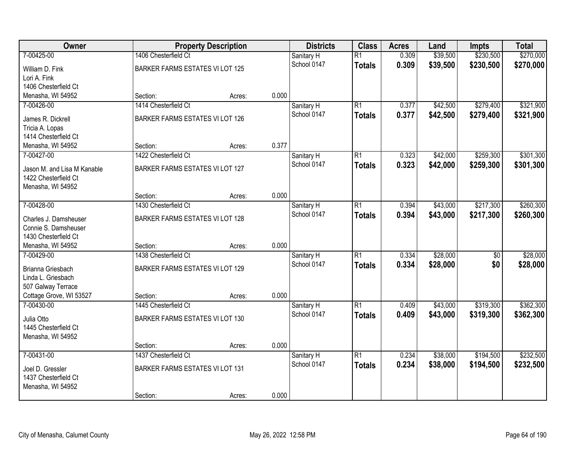| Owner                       |                                 | <b>Property Description</b> |       | <b>Districts</b> | <b>Class</b>    | <b>Acres</b> | Land     | <b>Impts</b>    | <b>Total</b> |
|-----------------------------|---------------------------------|-----------------------------|-------|------------------|-----------------|--------------|----------|-----------------|--------------|
| 7-00425-00                  | 1406 Chesterfield Ct            |                             |       | Sanitary H       | $\overline{R1}$ | 0.309        | \$39,500 | \$230,500       | \$270,000    |
| William D. Fink             | BARKER FARMS ESTATES VI LOT 125 |                             |       | School 0147      | <b>Totals</b>   | 0.309        | \$39,500 | \$230,500       | \$270,000    |
| Lori A. Fink                |                                 |                             |       |                  |                 |              |          |                 |              |
| 1406 Chesterfield Ct        |                                 |                             |       |                  |                 |              |          |                 |              |
| Menasha, WI 54952           | Section:                        | Acres:                      | 0.000 |                  |                 |              |          |                 |              |
| 7-00426-00                  | 1414 Chesterfield Ct            |                             |       | Sanitary H       | $\overline{R1}$ | 0.377        | \$42,500 | \$279,400       | \$321,900    |
| James R. Dickrell           | BARKER FARMS ESTATES VI LOT 126 |                             |       | School 0147      | <b>Totals</b>   | 0.377        | \$42,500 | \$279,400       | \$321,900    |
| Tricia A. Lopas             |                                 |                             |       |                  |                 |              |          |                 |              |
| 1414 Chesterfield Ct        |                                 |                             |       |                  |                 |              |          |                 |              |
| Menasha, WI 54952           | Section:                        | Acres:                      | 0.377 |                  |                 |              |          |                 |              |
| 7-00427-00                  | 1422 Chesterfield Ct            |                             |       | Sanitary H       | $\overline{R1}$ | 0.323        | \$42,000 | \$259,300       | \$301,300    |
| Jason M. and Lisa M Kanable | BARKER FARMS ESTATES VI LOT 127 |                             |       | School 0147      | <b>Totals</b>   | 0.323        | \$42,000 | \$259,300       | \$301,300    |
| 1422 Chesterfield Ct        |                                 |                             |       |                  |                 |              |          |                 |              |
| Menasha, WI 54952           |                                 |                             |       |                  |                 |              |          |                 |              |
|                             | Section:                        | Acres:                      | 0.000 |                  |                 |              |          |                 |              |
| 7-00428-00                  | 1430 Chesterfield Ct            |                             |       | Sanitary H       | $\overline{R1}$ | 0.394        | \$43,000 | \$217,300       | \$260,300    |
| Charles J. Damsheuser       | BARKER FARMS ESTATES VI LOT 128 |                             |       | School 0147      | <b>Totals</b>   | 0.394        | \$43,000 | \$217,300       | \$260,300    |
| Connie S. Damsheuser        |                                 |                             |       |                  |                 |              |          |                 |              |
| 1430 Chesterfield Ct        |                                 |                             |       |                  |                 |              |          |                 |              |
| Menasha, WI 54952           | Section:                        | Acres:                      | 0.000 |                  |                 |              |          |                 |              |
| 7-00429-00                  | 1438 Chesterfield Ct            |                             |       | Sanitary H       | $\overline{R1}$ | 0.334        | \$28,000 | $\overline{50}$ | \$28,000     |
| Brianna Griesbach           | BARKER FARMS ESTATES VI LOT 129 |                             |       | School 0147      | <b>Totals</b>   | 0.334        | \$28,000 | \$0             | \$28,000     |
| Linda L. Griesbach          |                                 |                             |       |                  |                 |              |          |                 |              |
| 507 Galway Terrace          |                                 |                             |       |                  |                 |              |          |                 |              |
| Cottage Grove, WI 53527     | Section:                        | Acres:                      | 0.000 |                  |                 |              |          |                 |              |
| 7-00430-00                  | 1445 Chesterfield Ct            |                             |       | Sanitary H       | $\overline{R1}$ | 0.409        | \$43,000 | \$319,300       | \$362,300    |
| Julia Otto                  | BARKER FARMS ESTATES VI LOT 130 |                             |       | School 0147      | <b>Totals</b>   | 0.409        | \$43,000 | \$319,300       | \$362,300    |
| 1445 Chesterfield Ct        |                                 |                             |       |                  |                 |              |          |                 |              |
| Menasha, WI 54952           |                                 |                             |       |                  |                 |              |          |                 |              |
|                             | Section:                        | Acres:                      | 0.000 |                  |                 |              |          |                 |              |
| 7-00431-00                  | 1437 Chesterfield Ct            |                             |       | Sanitary H       | $\overline{R1}$ | 0.234        | \$38,000 | \$194,500       | \$232,500    |
| Joel D. Gressler            | BARKER FARMS ESTATES VI LOT 131 |                             |       | School 0147      | <b>Totals</b>   | 0.234        | \$38,000 | \$194,500       | \$232,500    |
| 1437 Chesterfield Ct        |                                 |                             |       |                  |                 |              |          |                 |              |
| Menasha, WI 54952           |                                 |                             |       |                  |                 |              |          |                 |              |
|                             | Section:                        | Acres:                      | 0.000 |                  |                 |              |          |                 |              |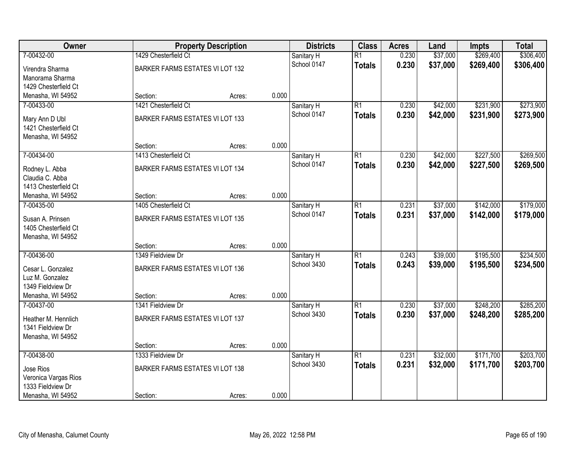| Owner                             |                                 | <b>Property Description</b> |       | <b>Districts</b> | <b>Class</b>    | <b>Acres</b> | Land     | <b>Impts</b> | <b>Total</b> |
|-----------------------------------|---------------------------------|-----------------------------|-------|------------------|-----------------|--------------|----------|--------------|--------------|
| 7-00432-00                        | 1429 Chesterfield Ct            |                             |       | Sanitary H       | $\overline{R1}$ | 0.230        | \$37,000 | \$269,400    | \$306,400    |
| Virendra Sharma                   | BARKER FARMS ESTATES VI LOT 132 |                             |       | School 0147      | <b>Totals</b>   | 0.230        | \$37,000 | \$269,400    | \$306,400    |
| Manorama Sharma                   |                                 |                             |       |                  |                 |              |          |              |              |
| 1429 Chesterfield Ct              |                                 |                             |       |                  |                 |              |          |              |              |
| Menasha, WI 54952                 | Section:                        | Acres:                      | 0.000 |                  |                 |              |          |              |              |
| 7-00433-00                        | 1421 Chesterfield Ct            |                             |       | Sanitary H       | $\overline{R1}$ | 0.230        | \$42,000 | \$231,900    | \$273,900    |
| Mary Ann D Ubl                    | BARKER FARMS ESTATES VI LOT 133 |                             |       | School 0147      | <b>Totals</b>   | 0.230        | \$42,000 | \$231,900    | \$273,900    |
| 1421 Chesterfield Ct              |                                 |                             |       |                  |                 |              |          |              |              |
| Menasha, WI 54952                 |                                 |                             |       |                  |                 |              |          |              |              |
|                                   | Section:                        | Acres:                      | 0.000 |                  |                 |              |          |              |              |
| 7-00434-00                        | 1413 Chesterfield Ct            |                             |       | Sanitary H       | $\overline{R1}$ | 0.230        | \$42,000 | \$227,500    | \$269,500    |
|                                   |                                 |                             |       | School 0147      | <b>Totals</b>   | 0.230        | \$42,000 | \$227,500    | \$269,500    |
| Rodney L. Abba<br>Claudia C. Abba | BARKER FARMS ESTATES VI LOT 134 |                             |       |                  |                 |              |          |              |              |
| 1413 Chesterfield Ct              |                                 |                             |       |                  |                 |              |          |              |              |
| Menasha, WI 54952                 | Section:                        | Acres:                      | 0.000 |                  |                 |              |          |              |              |
| 7-00435-00                        | 1405 Chesterfield Ct            |                             |       | Sanitary H       | $\overline{R1}$ | 0.231        | \$37,000 | \$142,000    | \$179,000    |
|                                   |                                 |                             |       | School 0147      | <b>Totals</b>   | 0.231        | \$37,000 | \$142,000    | \$179,000    |
| Susan A. Prinsen                  | BARKER FARMS ESTATES VI LOT 135 |                             |       |                  |                 |              |          |              |              |
| 1405 Chesterfield Ct              |                                 |                             |       |                  |                 |              |          |              |              |
| Menasha, WI 54952                 | Section:                        |                             | 0.000 |                  |                 |              |          |              |              |
| 7-00436-00                        | 1349 Fieldview Dr               | Acres:                      |       | Sanitary H       | $\overline{R1}$ | 0.243        | \$39,000 | \$195,500    | \$234,500    |
|                                   |                                 |                             |       | School 3430      | <b>Totals</b>   | 0.243        | \$39,000 | \$195,500    | \$234,500    |
| Cesar L. Gonzalez                 | BARKER FARMS ESTATES VI LOT 136 |                             |       |                  |                 |              |          |              |              |
| Luz M. Gonzalez                   |                                 |                             |       |                  |                 |              |          |              |              |
| 1349 Fieldview Dr                 |                                 |                             |       |                  |                 |              |          |              |              |
| Menasha, WI 54952                 | Section:                        | Acres:                      | 0.000 |                  |                 |              |          |              |              |
| 7-00437-00                        | 1341 Fieldview Dr               |                             |       | Sanitary H       | $\overline{R1}$ | 0.230        | \$37,000 | \$248,200    | \$285,200    |
| Heather M. Hennlich               | BARKER FARMS ESTATES VI LOT 137 |                             |       | School 3430      | <b>Totals</b>   | 0.230        | \$37,000 | \$248,200    | \$285,200    |
| 1341 Fieldview Dr                 |                                 |                             |       |                  |                 |              |          |              |              |
| Menasha, WI 54952                 |                                 |                             |       |                  |                 |              |          |              |              |
|                                   | Section:                        | Acres:                      | 0.000 |                  |                 |              |          |              |              |
| 7-00438-00                        | 1333 Fieldview Dr               |                             |       | Sanitary H       | $\overline{R1}$ | 0.231        | \$32,000 | \$171,700    | \$203,700    |
| Jose Rios                         | BARKER FARMS ESTATES VI LOT 138 |                             |       | School 3430      | <b>Totals</b>   | 0.231        | \$32,000 | \$171,700    | \$203,700    |
| Veronica Vargas Rios              |                                 |                             |       |                  |                 |              |          |              |              |
| 1333 Fieldview Dr                 |                                 |                             |       |                  |                 |              |          |              |              |
| Menasha, WI 54952                 | Section:                        | Acres:                      | 0.000 |                  |                 |              |          |              |              |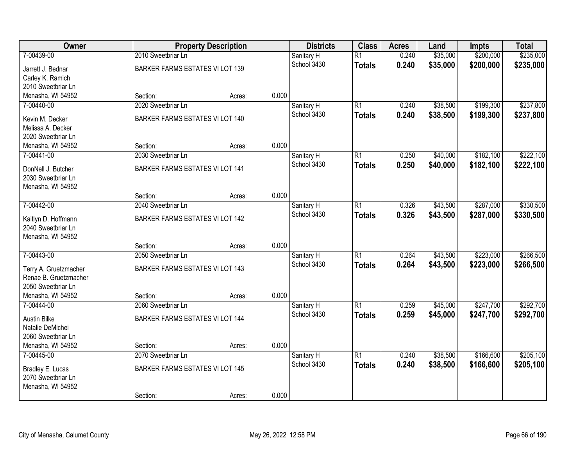| Owner                 |                                 | <b>Property Description</b> |       | <b>Districts</b> | <b>Class</b>    | <b>Acres</b> | Land     | <b>Impts</b> | <b>Total</b> |
|-----------------------|---------------------------------|-----------------------------|-------|------------------|-----------------|--------------|----------|--------------|--------------|
| 7-00439-00            | 2010 Sweetbriar Ln              |                             |       | Sanitary H       | $\overline{R1}$ | 0.240        | \$35,000 | \$200,000    | \$235,000    |
| Jarrett J. Bednar     | BARKER FARMS ESTATES VI LOT 139 |                             |       | School 3430      | <b>Totals</b>   | 0.240        | \$35,000 | \$200,000    | \$235,000    |
| Carley K. Ramich      |                                 |                             |       |                  |                 |              |          |              |              |
| 2010 Sweetbriar Ln    |                                 |                             |       |                  |                 |              |          |              |              |
| Menasha, WI 54952     | Section:                        | Acres:                      | 0.000 |                  |                 |              |          |              |              |
| 7-00440-00            | 2020 Sweetbriar Ln              |                             |       | Sanitary H       | $\overline{R1}$ | 0.240        | \$38,500 | \$199,300    | \$237,800    |
| Kevin M. Decker       | BARKER FARMS ESTATES VI LOT 140 |                             |       | School 3430      | <b>Totals</b>   | 0.240        | \$38,500 | \$199,300    | \$237,800    |
| Melissa A. Decker     |                                 |                             |       |                  |                 |              |          |              |              |
| 2020 Sweetbriar Ln    |                                 |                             |       |                  |                 |              |          |              |              |
| Menasha, WI 54952     | Section:                        | Acres:                      | 0.000 |                  |                 |              |          |              |              |
| 7-00441-00            | 2030 Sweetbriar Ln              |                             |       | Sanitary H       | $\overline{R1}$ | 0.250        | \$40,000 | \$182,100    | \$222,100    |
|                       |                                 |                             |       | School 3430      | <b>Totals</b>   | 0.250        | \$40,000 | \$182,100    | \$222,100    |
| DonNell J. Butcher    | BARKER FARMS ESTATES VI LOT 141 |                             |       |                  |                 |              |          |              |              |
| 2030 Sweetbriar Ln    |                                 |                             |       |                  |                 |              |          |              |              |
| Menasha, WI 54952     | Section:                        | Acres:                      | 0.000 |                  |                 |              |          |              |              |
| 7-00442-00            | 2040 Sweetbriar Ln              |                             |       | Sanitary H       | $\overline{R1}$ | 0.326        | \$43,500 | \$287,000    | \$330,500    |
|                       |                                 |                             |       | School 3430      | <b>Totals</b>   | 0.326        | \$43,500 | \$287,000    | \$330,500    |
| Kaitlyn D. Hoffmann   | BARKER FARMS ESTATES VI LOT 142 |                             |       |                  |                 |              |          |              |              |
| 2040 Sweetbriar Ln    |                                 |                             |       |                  |                 |              |          |              |              |
| Menasha, WI 54952     |                                 |                             |       |                  |                 |              |          |              |              |
|                       | Section:                        | Acres:                      | 0.000 |                  |                 |              |          |              |              |
| 7-00443-00            | 2050 Sweetbriar Ln              |                             |       | Sanitary H       | $\overline{R1}$ | 0.264        | \$43,500 | \$223,000    | \$266,500    |
| Terry A. Gruetzmacher | BARKER FARMS ESTATES VI LOT 143 |                             |       | School 3430      | <b>Totals</b>   | 0.264        | \$43,500 | \$223,000    | \$266,500    |
| Renae B. Gruetzmacher |                                 |                             |       |                  |                 |              |          |              |              |
| 2050 Sweetbriar Ln    |                                 |                             |       |                  |                 |              |          |              |              |
| Menasha, WI 54952     | Section:                        | Acres:                      | 0.000 |                  |                 |              |          |              |              |
| 7-00444-00            | 2060 Sweetbriar Ln              |                             |       | Sanitary H       | $\overline{R1}$ | 0.259        | \$45,000 | \$247,700    | \$292,700    |
| Austin Bilke          | BARKER FARMS ESTATES VI LOT 144 |                             |       | School 3430      | <b>Totals</b>   | 0.259        | \$45,000 | \$247,700    | \$292,700    |
| Natalie DeMichei      |                                 |                             |       |                  |                 |              |          |              |              |
| 2060 Sweetbriar Ln    |                                 |                             |       |                  |                 |              |          |              |              |
| Menasha, WI 54952     | Section:                        | Acres:                      | 0.000 |                  |                 |              |          |              |              |
| 7-00445-00            | 2070 Sweetbriar Ln              |                             |       | Sanitary H       | $\overline{R1}$ | 0.240        | \$38,500 | \$166,600    | \$205,100    |
| Bradley E. Lucas      | BARKER FARMS ESTATES VI LOT 145 |                             |       | School 3430      | <b>Totals</b>   | 0.240        | \$38,500 | \$166,600    | \$205,100    |
| 2070 Sweetbriar Ln    |                                 |                             |       |                  |                 |              |          |              |              |
| Menasha, WI 54952     |                                 |                             |       |                  |                 |              |          |              |              |
|                       | Section:                        | Acres:                      | 0.000 |                  |                 |              |          |              |              |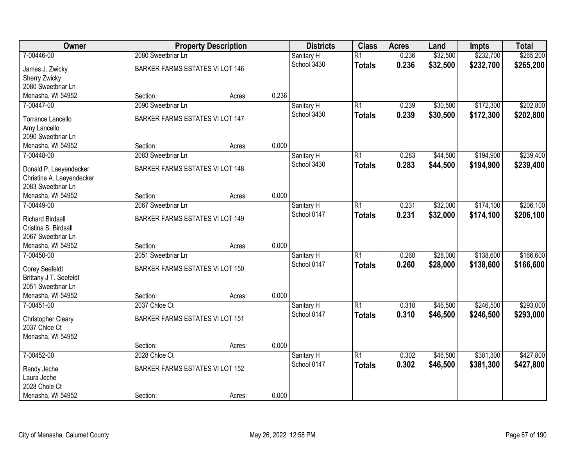| Owner                     |                                 | <b>Property Description</b> |       | <b>Districts</b> | <b>Class</b>    | <b>Acres</b> | Land     | <b>Impts</b> | <b>Total</b> |
|---------------------------|---------------------------------|-----------------------------|-------|------------------|-----------------|--------------|----------|--------------|--------------|
| 7-00446-00                | 2080 Sweetbriar Ln              |                             |       | Sanitary H       | $\overline{R1}$ | 0.236        | \$32,500 | \$232,700    | \$265,200    |
| James J. Zwicky           | BARKER FARMS ESTATES VI LOT 146 |                             |       | School 3430      | <b>Totals</b>   | 0.236        | \$32,500 | \$232,700    | \$265,200    |
| Sherry Zwicky             |                                 |                             |       |                  |                 |              |          |              |              |
| 2080 Sweetbriar Ln        |                                 |                             |       |                  |                 |              |          |              |              |
| Menasha, WI 54952         | Section:                        | Acres:                      | 0.236 |                  |                 |              |          |              |              |
| 7-00447-00                | 2090 Sweetbriar Ln              |                             |       | Sanitary H       | $\overline{R1}$ | 0.239        | \$30,500 | \$172,300    | \$202,800    |
|                           |                                 |                             |       | School 3430      | <b>Totals</b>   | 0.239        | \$30,500 | \$172,300    | \$202,800    |
| Torrance Lancello         | BARKER FARMS ESTATES VI LOT 147 |                             |       |                  |                 |              |          |              |              |
| Amy Lancello              |                                 |                             |       |                  |                 |              |          |              |              |
| 2090 Sweetbriar Ln        |                                 |                             | 0.000 |                  |                 |              |          |              |              |
| Menasha, WI 54952         | Section:                        | Acres:                      |       |                  |                 |              |          |              |              |
| 7-00448-00                | 2083 Sweetbriar Ln              |                             |       | Sanitary H       | $\overline{R1}$ | 0.283        | \$44,500 | \$194,900    | \$239,400    |
| Donald P. Laeyendecker    | BARKER FARMS ESTATES VI LOT 148 |                             |       | School 3430      | <b>Totals</b>   | 0.283        | \$44,500 | \$194,900    | \$239,400    |
| Christine A. Laeyendecker |                                 |                             |       |                  |                 |              |          |              |              |
| 2083 Sweetbriar Ln        |                                 |                             |       |                  |                 |              |          |              |              |
| Menasha, WI 54952         | Section:                        | Acres:                      | 0.000 |                  |                 |              |          |              |              |
| 7-00449-00                | 2067 Sweetbriar Ln              |                             |       | Sanitary H       | $\overline{R1}$ | 0.231        | \$32,000 | \$174,100    | \$206,100    |
| <b>Richard Birdsall</b>   | BARKER FARMS ESTATES VI LOT 149 |                             |       | School 0147      | <b>Totals</b>   | 0.231        | \$32,000 | \$174,100    | \$206,100    |
| Cristina S. Birdsall      |                                 |                             |       |                  |                 |              |          |              |              |
| 2067 Sweetbriar Ln        |                                 |                             |       |                  |                 |              |          |              |              |
| Menasha, WI 54952         | Section:                        | Acres:                      | 0.000 |                  |                 |              |          |              |              |
| 7-00450-00                | 2051 Sweetbriar Ln              |                             |       | Sanitary H       | $\overline{R1}$ | 0.260        | \$28,000 | \$138,600    | \$166,600    |
|                           |                                 |                             |       | School 0147      | <b>Totals</b>   | 0.260        | \$28,000 | \$138,600    | \$166,600    |
| Corey Seefeldt            | BARKER FARMS ESTATES VI LOT 150 |                             |       |                  |                 |              |          |              |              |
| Brittany J T. Seefeldt    |                                 |                             |       |                  |                 |              |          |              |              |
| 2051 Sweetbriar Ln        |                                 |                             |       |                  |                 |              |          |              |              |
| Menasha, WI 54952         | Section:                        | Acres:                      | 0.000 |                  |                 |              |          |              |              |
| 7-00451-00                | 2037 Chloe Ct                   |                             |       | Sanitary H       | $\overline{R1}$ | 0.310        | \$46,500 | \$246,500    | \$293,000    |
| Christopher Cleary        | BARKER FARMS ESTATES VI LOT 151 |                             |       | School 0147      | <b>Totals</b>   | 0.310        | \$46,500 | \$246,500    | \$293,000    |
| 2037 Chloe Ct             |                                 |                             |       |                  |                 |              |          |              |              |
| Menasha, WI 54952         |                                 |                             |       |                  |                 |              |          |              |              |
|                           | Section:                        | Acres:                      | 0.000 |                  |                 |              |          |              |              |
| 7-00452-00                | 2028 Chloe Ct                   |                             |       | Sanitary H       | $\overline{R1}$ | 0.302        | \$46,500 | \$381,300    | \$427,800    |
|                           |                                 |                             |       | School 0147      | <b>Totals</b>   | 0.302        | \$46,500 | \$381,300    | \$427,800    |
| Randy Jeche               | BARKER FARMS ESTATES VI LOT 152 |                             |       |                  |                 |              |          |              |              |
| Laura Jeche               |                                 |                             |       |                  |                 |              |          |              |              |
| 2028 Chole Ct             |                                 |                             |       |                  |                 |              |          |              |              |
| Menasha, WI 54952         | Section:                        | Acres:                      | 0.000 |                  |                 |              |          |              |              |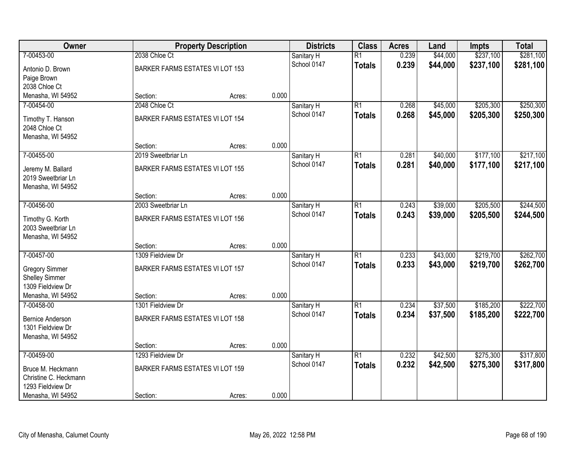| Owner                                      |                                 | <b>Property Description</b> |       | <b>Districts</b> | <b>Class</b>    | <b>Acres</b> | Land     | <b>Impts</b> | <b>Total</b> |
|--------------------------------------------|---------------------------------|-----------------------------|-------|------------------|-----------------|--------------|----------|--------------|--------------|
| 7-00453-00                                 | 2038 Chloe Ct                   |                             |       | Sanitary H       | $\overline{R1}$ | 0.239        | \$44,000 | \$237,100    | \$281,100    |
| Antonio D. Brown                           | BARKER FARMS ESTATES VI LOT 153 |                             |       | School 0147      | <b>Totals</b>   | 0.239        | \$44,000 | \$237,100    | \$281,100    |
| Paige Brown                                |                                 |                             |       |                  |                 |              |          |              |              |
| 2038 Chloe Ct                              |                                 |                             |       |                  |                 |              |          |              |              |
| Menasha, WI 54952                          | Section:                        | Acres:                      | 0.000 |                  |                 |              |          |              |              |
| 7-00454-00                                 | 2048 Chloe Ct                   |                             |       | Sanitary H       | $\overline{R1}$ | 0.268        | \$45,000 | \$205,300    | \$250,300    |
| Timothy T. Hanson                          | BARKER FARMS ESTATES VI LOT 154 |                             |       | School 0147      | <b>Totals</b>   | 0.268        | \$45,000 | \$205,300    | \$250,300    |
| 2048 Chloe Ct                              |                                 |                             |       |                  |                 |              |          |              |              |
| Menasha, WI 54952                          |                                 |                             |       |                  |                 |              |          |              |              |
|                                            | Section:                        | Acres:                      | 0.000 |                  |                 |              |          |              |              |
| 7-00455-00                                 | 2019 Sweetbriar Ln              |                             |       | Sanitary H       | $\overline{R1}$ | 0.281        | \$40,000 | \$177,100    | \$217,100    |
| Jeremy M. Ballard                          | BARKER FARMS ESTATES VI LOT 155 |                             |       | School 0147      | <b>Totals</b>   | 0.281        | \$40,000 | \$177,100    | \$217,100    |
| 2019 Sweetbriar Ln                         |                                 |                             |       |                  |                 |              |          |              |              |
| Menasha, WI 54952                          |                                 |                             |       |                  |                 |              |          |              |              |
|                                            | Section:                        | Acres:                      | 0.000 |                  |                 |              |          |              |              |
| 7-00456-00                                 | 2003 Sweetbriar Ln              |                             |       | Sanitary H       | $\overline{R1}$ | 0.243        | \$39,000 | \$205,500    | \$244,500    |
|                                            | BARKER FARMS ESTATES VI LOT 156 |                             |       | School 0147      | <b>Totals</b>   | 0.243        | \$39,000 | \$205,500    | \$244,500    |
| Timothy G. Korth<br>2003 Sweetbriar Ln     |                                 |                             |       |                  |                 |              |          |              |              |
| Menasha, WI 54952                          |                                 |                             |       |                  |                 |              |          |              |              |
|                                            | Section:                        | Acres:                      | 0.000 |                  |                 |              |          |              |              |
| 7-00457-00                                 | 1309 Fieldview Dr               |                             |       | Sanitary H       | $\overline{R1}$ | 0.233        | \$43,000 | \$219,700    | \$262,700    |
|                                            |                                 |                             |       | School 0147      | <b>Totals</b>   | 0.233        | \$43,000 | \$219,700    | \$262,700    |
| <b>Gregory Simmer</b>                      | BARKER FARMS ESTATES VI LOT 157 |                             |       |                  |                 |              |          |              |              |
| <b>Shelley Simmer</b><br>1309 Fieldview Dr |                                 |                             |       |                  |                 |              |          |              |              |
| Menasha, WI 54952                          | Section:                        | Acres:                      | 0.000 |                  |                 |              |          |              |              |
| 7-00458-00                                 | 1301 Fieldview Dr               |                             |       | Sanitary H       | $\overline{R1}$ | 0.234        | \$37,500 | \$185,200    | \$222,700    |
|                                            |                                 |                             |       | School 0147      | <b>Totals</b>   | 0.234        | \$37,500 | \$185,200    | \$222,700    |
| <b>Bernice Anderson</b>                    | BARKER FARMS ESTATES VI LOT 158 |                             |       |                  |                 |              |          |              |              |
| 1301 Fieldview Dr                          |                                 |                             |       |                  |                 |              |          |              |              |
| Menasha, WI 54952                          | Section:                        | Acres:                      | 0.000 |                  |                 |              |          |              |              |
| 7-00459-00                                 | 1293 Fieldview Dr               |                             |       | Sanitary H       | $\overline{R1}$ | 0.232        | \$42,500 | \$275,300    | \$317,800    |
|                                            |                                 |                             |       | School 0147      | <b>Totals</b>   | 0.232        | \$42,500 | \$275,300    | \$317,800    |
| Bruce M. Heckmann                          | BARKER FARMS ESTATES VI LOT 159 |                             |       |                  |                 |              |          |              |              |
| Christine C. Heckmann                      |                                 |                             |       |                  |                 |              |          |              |              |
| 1293 Fieldview Dr                          |                                 |                             |       |                  |                 |              |          |              |              |
| Menasha, WI 54952                          | Section:                        | Acres:                      | 0.000 |                  |                 |              |          |              |              |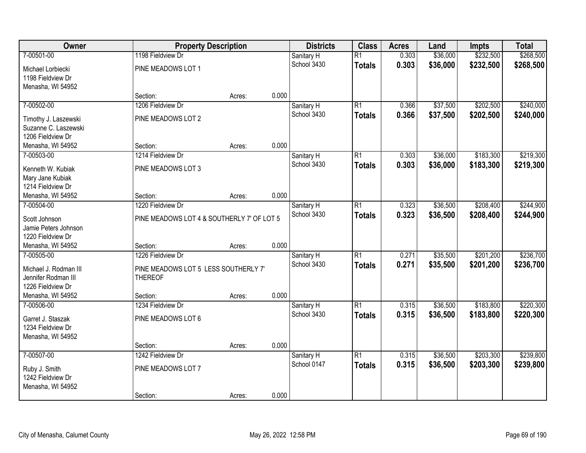| Owner                                     | <b>Property Description</b>                |        |       | <b>Districts</b> | <b>Class</b>    | <b>Acres</b> | Land     | <b>Impts</b> | <b>Total</b> |
|-------------------------------------------|--------------------------------------------|--------|-------|------------------|-----------------|--------------|----------|--------------|--------------|
| 7-00501-00                                | 1198 Fieldview Dr                          |        |       | Sanitary H       | $\overline{R1}$ | 0.303        | \$36,000 | \$232,500    | \$268,500    |
| Michael Lorbiecki                         | PINE MEADOWS LOT 1                         |        |       | School 3430      | <b>Totals</b>   | 0.303        | \$36,000 | \$232,500    | \$268,500    |
| 1198 Fieldview Dr                         |                                            |        |       |                  |                 |              |          |              |              |
| Menasha, WI 54952                         |                                            |        |       |                  |                 |              |          |              |              |
|                                           | Section:                                   | Acres: | 0.000 |                  |                 |              |          |              |              |
| 7-00502-00                                | 1206 Fieldview Dr                          |        |       | Sanitary H       | $\overline{R1}$ | 0.366        | \$37,500 | \$202,500    | \$240,000    |
| Timothy J. Laszewski                      | PINE MEADOWS LOT 2                         |        |       | School 3430      | <b>Totals</b>   | 0.366        | \$37,500 | \$202,500    | \$240,000    |
| Suzanne C. Laszewski                      |                                            |        |       |                  |                 |              |          |              |              |
| 1206 Fieldview Dr                         |                                            |        |       |                  |                 |              |          |              |              |
| Menasha, WI 54952                         | Section:                                   | Acres: | 0.000 |                  |                 |              |          |              |              |
| 7-00503-00                                | 1214 Fieldview Dr                          |        |       | Sanitary H       | $\overline{R1}$ | 0.303        | \$36,000 | \$183,300    | \$219,300    |
| Kenneth W. Kubiak                         | PINE MEADOWS LOT 3                         |        |       | School 3430      | <b>Totals</b>   | 0.303        | \$36,000 | \$183,300    | \$219,300    |
| Mary Jane Kubiak                          |                                            |        |       |                  |                 |              |          |              |              |
| 1214 Fieldview Dr                         |                                            |        |       |                  |                 |              |          |              |              |
| Menasha, WI 54952                         | Section:                                   | Acres: | 0.000 |                  |                 |              |          |              |              |
| 7-00504-00                                | 1220 Fieldview Dr                          |        |       | Sanitary H       | $\overline{R1}$ | 0.323        | \$36,500 | \$208,400    | \$244,900    |
|                                           |                                            |        |       | School 3430      | <b>Totals</b>   | 0.323        | \$36,500 | \$208,400    | \$244,900    |
| Scott Johnson                             | PINE MEADOWS LOT 4 & SOUTHERLY 7' OF LOT 5 |        |       |                  |                 |              |          |              |              |
| Jamie Peters Johnson<br>1220 Fieldview Dr |                                            |        |       |                  |                 |              |          |              |              |
| Menasha, WI 54952                         | Section:                                   | Acres: | 0.000 |                  |                 |              |          |              |              |
| 7-00505-00                                | 1226 Fieldview Dr                          |        |       | Sanitary H       | $\overline{R1}$ | 0.271        | \$35,500 | \$201,200    | \$236,700    |
|                                           |                                            |        |       | School 3430      | <b>Totals</b>   | 0.271        | \$35,500 | \$201,200    | \$236,700    |
| Michael J. Rodman III                     | PINE MEADOWS LOT 5 LESS SOUTHERLY 7'       |        |       |                  |                 |              |          |              |              |
| Jennifer Rodman III                       | <b>THEREOF</b>                             |        |       |                  |                 |              |          |              |              |
| 1226 Fieldview Dr                         |                                            |        |       |                  |                 |              |          |              |              |
| Menasha, WI 54952                         | Section:                                   | Acres: | 0.000 |                  |                 |              |          |              |              |
| 7-00506-00                                | 1234 Fieldview Dr                          |        |       | Sanitary H       | $\overline{R1}$ | 0.315        | \$36,500 | \$183,800    | \$220,300    |
| Garret J. Staszak                         | PINE MEADOWS LOT 6                         |        |       | School 3430      | <b>Totals</b>   | 0.315        | \$36,500 | \$183,800    | \$220,300    |
| 1234 Fieldview Dr                         |                                            |        |       |                  |                 |              |          |              |              |
| Menasha, WI 54952                         |                                            |        |       |                  |                 |              |          |              |              |
|                                           | Section:                                   | Acres: | 0.000 |                  |                 |              |          |              |              |
| 7-00507-00                                | 1242 Fieldview Dr                          |        |       | Sanitary H       | $\overline{R1}$ | 0.315        | \$36,500 | \$203,300    | \$239,800    |
| Ruby J. Smith                             | PINE MEADOWS LOT 7                         |        |       | School 0147      | <b>Totals</b>   | 0.315        | \$36,500 | \$203,300    | \$239,800    |
| 1242 Fieldview Dr                         |                                            |        |       |                  |                 |              |          |              |              |
| Menasha, WI 54952                         |                                            |        |       |                  |                 |              |          |              |              |
|                                           | Section:                                   | Acres: | 0.000 |                  |                 |              |          |              |              |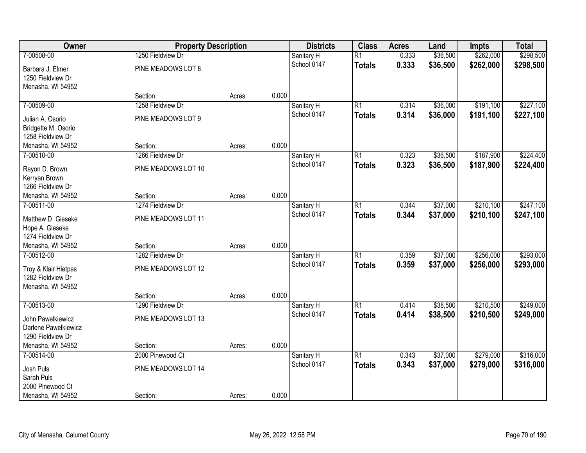| Owner                                     | <b>Property Description</b> |        |       | <b>Districts</b> | <b>Class</b>    | <b>Acres</b> | Land     | <b>Impts</b> | <b>Total</b> |
|-------------------------------------------|-----------------------------|--------|-------|------------------|-----------------|--------------|----------|--------------|--------------|
| 7-00508-00                                | 1250 Fieldview Dr           |        |       | Sanitary H       | $\overline{R1}$ | 0.333        | \$36,500 | \$262,000    | \$298,500    |
| Barbara J. Elmer                          | PINE MEADOWS LOT 8          |        |       | School 0147      | <b>Totals</b>   | 0.333        | \$36,500 | \$262,000    | \$298,500    |
| 1250 Fieldview Dr                         |                             |        |       |                  |                 |              |          |              |              |
| Menasha, WI 54952                         |                             |        |       |                  |                 |              |          |              |              |
|                                           | Section:                    | Acres: | 0.000 |                  |                 |              |          |              |              |
| 7-00509-00                                | 1258 Fieldview Dr           |        |       | Sanitary H       | $\overline{R1}$ | 0.314        | \$36,000 | \$191,100    | \$227,100    |
| Julian A. Osorio                          | PINE MEADOWS LOT 9          |        |       | School 0147      | <b>Totals</b>   | 0.314        | \$36,000 | \$191,100    | \$227,100    |
| Bridgette M. Osorio                       |                             |        |       |                  |                 |              |          |              |              |
| 1258 Fieldview Dr                         |                             |        |       |                  |                 |              |          |              |              |
| Menasha, WI 54952                         | Section:                    | Acres: | 0.000 |                  |                 |              |          |              |              |
| 7-00510-00                                | 1266 Fieldview Dr           |        |       | Sanitary H       | $\overline{R1}$ | 0.323        | \$36,500 | \$187,900    | \$224,400    |
| Rayon D. Brown                            | PINE MEADOWS LOT 10         |        |       | School 0147      | <b>Totals</b>   | 0.323        | \$36,500 | \$187,900    | \$224,400    |
| Kerryan Brown                             |                             |        |       |                  |                 |              |          |              |              |
| 1266 Fieldview Dr                         |                             |        |       |                  |                 |              |          |              |              |
| Menasha, WI 54952                         | Section:                    | Acres: | 0.000 |                  |                 |              |          |              |              |
| 7-00511-00                                | 1274 Fieldview Dr           |        |       | Sanitary H       | $\overline{R1}$ | 0.344        | \$37,000 | \$210,100    | \$247,100    |
| Matthew D. Gieseke                        | PINE MEADOWS LOT 11         |        |       | School 0147      | <b>Totals</b>   | 0.344        | \$37,000 | \$210,100    | \$247,100    |
| Hope A. Gieseke                           |                             |        |       |                  |                 |              |          |              |              |
| 1274 Fieldview Dr                         |                             |        |       |                  |                 |              |          |              |              |
| Menasha, WI 54952                         | Section:                    | Acres: | 0.000 |                  |                 |              |          |              |              |
| 7-00512-00                                | 1282 Fieldview Dr           |        |       | Sanitary H       | $\overline{R1}$ | 0.359        | \$37,000 | \$256,000    | \$293,000    |
| Troy & Klair Hietpas                      | PINE MEADOWS LOT 12         |        |       | School 0147      | <b>Totals</b>   | 0.359        | \$37,000 | \$256,000    | \$293,000    |
| 1282 Fieldview Dr                         |                             |        |       |                  |                 |              |          |              |              |
| Menasha, WI 54952                         |                             |        |       |                  |                 |              |          |              |              |
|                                           | Section:                    | Acres: | 0.000 |                  |                 |              |          |              |              |
| 7-00513-00                                | 1290 Fieldview Dr           |        |       | Sanitary H       | $\overline{R1}$ | 0.414        | \$38,500 | \$210,500    | \$249,000    |
|                                           | PINE MEADOWS LOT 13         |        |       | School 0147      | <b>Totals</b>   | 0.414        | \$38,500 | \$210,500    | \$249,000    |
| John Pawelkiewicz<br>Darlene Pawelkiewicz |                             |        |       |                  |                 |              |          |              |              |
| 1290 Fieldview Dr                         |                             |        |       |                  |                 |              |          |              |              |
| Menasha, WI 54952                         | Section:                    | Acres: | 0.000 |                  |                 |              |          |              |              |
| 7-00514-00                                | 2000 Pinewood Ct            |        |       | Sanitary H       | $\overline{R1}$ | 0.343        | \$37,000 | \$279,000    | \$316,000    |
|                                           |                             |        |       | School 0147      | <b>Totals</b>   | 0.343        | \$37,000 | \$279,000    | \$316,000    |
| Josh Puls<br>Sarah Puls                   | PINE MEADOWS LOT 14         |        |       |                  |                 |              |          |              |              |
| 2000 Pinewood Ct                          |                             |        |       |                  |                 |              |          |              |              |
| Menasha, WI 54952                         | Section:                    | Acres: | 0.000 |                  |                 |              |          |              |              |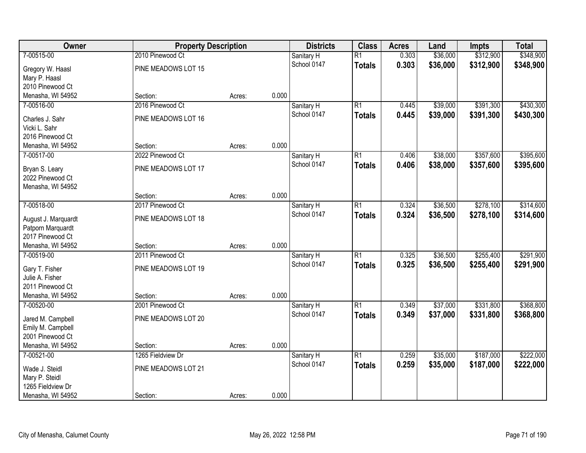| Owner               | <b>Property Description</b> |        |       | <b>Districts</b> | <b>Class</b>    | <b>Acres</b> | Land     | Impts     | <b>Total</b> |
|---------------------|-----------------------------|--------|-------|------------------|-----------------|--------------|----------|-----------|--------------|
| 7-00515-00          | 2010 Pinewood Ct            |        |       | Sanitary H       | $\overline{R1}$ | 0.303        | \$36,000 | \$312,900 | \$348,900    |
| Gregory W. Haasl    | PINE MEADOWS LOT 15         |        |       | School 0147      | <b>Totals</b>   | 0.303        | \$36,000 | \$312,900 | \$348,900    |
| Mary P. Haasl       |                             |        |       |                  |                 |              |          |           |              |
| 2010 Pinewood Ct    |                             |        |       |                  |                 |              |          |           |              |
| Menasha, WI 54952   | Section:                    | Acres: | 0.000 |                  |                 |              |          |           |              |
| 7-00516-00          | 2016 Pinewood Ct            |        |       | Sanitary H       | $\overline{R1}$ | 0.445        | \$39,000 | \$391,300 | \$430,300    |
| Charles J. Sahr     | PINE MEADOWS LOT 16         |        |       | School 0147      | <b>Totals</b>   | 0.445        | \$39,000 | \$391,300 | \$430,300    |
| Vicki L. Sahr       |                             |        |       |                  |                 |              |          |           |              |
| 2016 Pinewood Ct    |                             |        |       |                  |                 |              |          |           |              |
| Menasha, WI 54952   | Section:                    | Acres: | 0.000 |                  |                 |              |          |           |              |
| 7-00517-00          | 2022 Pinewood Ct            |        |       | Sanitary H       | $\overline{R1}$ | 0.406        | \$38,000 | \$357,600 | \$395,600    |
| Bryan S. Leary      | PINE MEADOWS LOT 17         |        |       | School 0147      | <b>Totals</b>   | 0.406        | \$38,000 | \$357,600 | \$395,600    |
| 2022 Pinewood Ct    |                             |        |       |                  |                 |              |          |           |              |
| Menasha, WI 54952   |                             |        |       |                  |                 |              |          |           |              |
|                     | Section:                    | Acres: | 0.000 |                  |                 |              |          |           |              |
| 7-00518-00          | 2017 Pinewood Ct            |        |       | Sanitary H       | $\overline{R1}$ | 0.324        | \$36,500 | \$278,100 | \$314,600    |
| August J. Marquardt | PINE MEADOWS LOT 18         |        |       | School 0147      | <b>Totals</b>   | 0.324        | \$36,500 | \$278,100 | \$314,600    |
| Patporn Marquardt   |                             |        |       |                  |                 |              |          |           |              |
| 2017 Pinewood Ct    |                             |        |       |                  |                 |              |          |           |              |
| Menasha, WI 54952   | Section:                    | Acres: | 0.000 |                  |                 |              |          |           |              |
| 7-00519-00          | 2011 Pinewood Ct            |        |       | Sanitary H       | $\overline{R1}$ | 0.325        | \$36,500 | \$255,400 | \$291,900    |
| Gary T. Fisher      | PINE MEADOWS LOT 19         |        |       | School 0147      | <b>Totals</b>   | 0.325        | \$36,500 | \$255,400 | \$291,900    |
| Julie A. Fisher     |                             |        |       |                  |                 |              |          |           |              |
| 2011 Pinewood Ct    |                             |        |       |                  |                 |              |          |           |              |
| Menasha, WI 54952   | Section:                    | Acres: | 0.000 |                  |                 |              |          |           |              |
| 7-00520-00          | 2001 Pinewood Ct            |        |       | Sanitary H       | $\overline{R1}$ | 0.349        | \$37,000 | \$331,800 | \$368,800    |
| Jared M. Campbell   | PINE MEADOWS LOT 20         |        |       | School 0147      | <b>Totals</b>   | 0.349        | \$37,000 | \$331,800 | \$368,800    |
| Emily M. Campbell   |                             |        |       |                  |                 |              |          |           |              |
| 2001 Pinewood Ct    |                             |        |       |                  |                 |              |          |           |              |
| Menasha, WI 54952   | Section:                    | Acres: | 0.000 |                  |                 |              |          |           |              |
| 7-00521-00          | 1265 Fieldview Dr           |        |       | Sanitary H       | $\overline{R1}$ | 0.259        | \$35,000 | \$187,000 | \$222,000    |
| Wade J. Steidl      | PINE MEADOWS LOT 21         |        |       | School 0147      | <b>Totals</b>   | 0.259        | \$35,000 | \$187,000 | \$222,000    |
| Mary P. Steidl      |                             |        |       |                  |                 |              |          |           |              |
| 1265 Fieldview Dr   |                             |        |       |                  |                 |              |          |           |              |
| Menasha, WI 54952   | Section:                    | Acres: | 0.000 |                  |                 |              |          |           |              |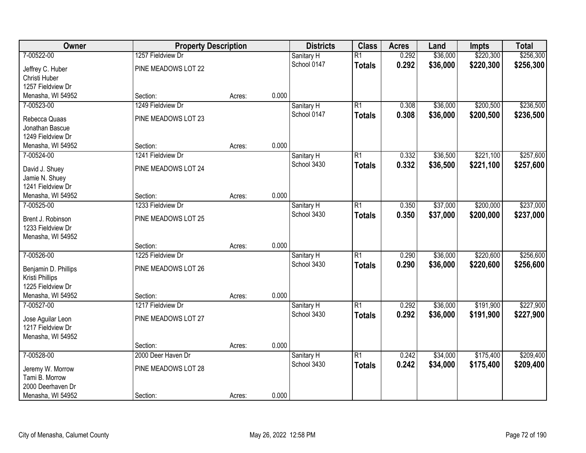| Owner                                  | <b>Property Description</b> |        |       | <b>Districts</b>          | <b>Class</b>    | <b>Acres</b> | Land     | <b>Impts</b> | <b>Total</b> |
|----------------------------------------|-----------------------------|--------|-------|---------------------------|-----------------|--------------|----------|--------------|--------------|
| 7-00522-00                             | 1257 Fieldview Dr           |        |       | Sanitary H                | $\overline{R1}$ | 0.292        | \$36,000 | \$220,300    | \$256,300    |
| Jeffrey C. Huber                       | PINE MEADOWS LOT 22         |        |       | School 0147               | <b>Totals</b>   | 0.292        | \$36,000 | \$220,300    | \$256,300    |
| Christi Huber                          |                             |        |       |                           |                 |              |          |              |              |
| 1257 Fieldview Dr                      |                             |        |       |                           |                 |              |          |              |              |
| Menasha, WI 54952                      | Section:                    | Acres: | 0.000 |                           |                 |              |          |              |              |
| 7-00523-00                             | 1249 Fieldview Dr           |        |       | Sanitary H                | $\overline{R1}$ | 0.308        | \$36,000 | \$200,500    | \$236,500    |
| Rebecca Quaas                          | PINE MEADOWS LOT 23         |        |       | School 0147               | <b>Totals</b>   | 0.308        | \$36,000 | \$200,500    | \$236,500    |
| Jonathan Bascue                        |                             |        |       |                           |                 |              |          |              |              |
| 1249 Fieldview Dr                      |                             |        |       |                           |                 |              |          |              |              |
| Menasha, WI 54952                      | Section:                    | Acres: | 0.000 |                           |                 |              |          |              |              |
| 7-00524-00                             | 1241 Fieldview Dr           |        |       | Sanitary H                | $\overline{R1}$ | 0.332        | \$36,500 | \$221,100    | \$257,600    |
| David J. Shuey                         | PINE MEADOWS LOT 24         |        |       | School 3430               | <b>Totals</b>   | 0.332        | \$36,500 | \$221,100    | \$257,600    |
| Jamie N. Shuey                         |                             |        |       |                           |                 |              |          |              |              |
| 1241 Fieldview Dr                      |                             |        |       |                           |                 |              |          |              |              |
| Menasha, WI 54952                      | Section:                    | Acres: | 0.000 |                           |                 |              |          |              |              |
| 7-00525-00                             | 1233 Fieldview Dr           |        |       | Sanitary H                | $\overline{R1}$ | 0.350        | \$37,000 | \$200,000    | \$237,000    |
|                                        |                             |        |       | School 3430               | <b>Totals</b>   | 0.350        | \$37,000 | \$200,000    | \$237,000    |
| Brent J. Robinson<br>1233 Fieldview Dr | PINE MEADOWS LOT 25         |        |       |                           |                 |              |          |              |              |
| Menasha, WI 54952                      |                             |        |       |                           |                 |              |          |              |              |
|                                        | Section:                    | Acres: | 0.000 |                           |                 |              |          |              |              |
| 7-00526-00                             | 1225 Fieldview Dr           |        |       | Sanitary H                | $\overline{R1}$ | 0.290        | \$36,000 | \$220,600    | \$256,600    |
|                                        |                             |        |       | School 3430               | <b>Totals</b>   | 0.290        | \$36,000 | \$220,600    | \$256,600    |
| Benjamin D. Phillips                   | PINE MEADOWS LOT 26         |        |       |                           |                 |              |          |              |              |
| Kristi Phillips                        |                             |        |       |                           |                 |              |          |              |              |
| 1225 Fieldview Dr<br>Menasha, WI 54952 | Section:                    | Acres: | 0.000 |                           |                 |              |          |              |              |
| 7-00527-00                             | 1217 Fieldview Dr           |        |       | Sanitary H                | $\overline{R1}$ | 0.292        | \$36,000 | \$191,900    | \$227,900    |
|                                        |                             |        |       | School 3430               | <b>Totals</b>   | 0.292        | \$36,000 | \$191,900    | \$227,900    |
| Jose Aguilar Leon                      | PINE MEADOWS LOT 27         |        |       |                           |                 |              |          |              |              |
| 1217 Fieldview Dr                      |                             |        |       |                           |                 |              |          |              |              |
| Menasha, WI 54952                      |                             |        |       |                           |                 |              |          |              |              |
|                                        | Section:                    | Acres: | 0.000 |                           |                 |              |          |              |              |
| 7-00528-00                             | 2000 Deer Haven Dr          |        |       | Sanitary H<br>School 3430 | $\overline{R1}$ | 0.242        | \$34,000 | \$175,400    | \$209,400    |
| Jeremy W. Morrow                       | PINE MEADOWS LOT 28         |        |       |                           | <b>Totals</b>   | 0.242        | \$34,000 | \$175,400    | \$209,400    |
| Tami B. Morrow                         |                             |        |       |                           |                 |              |          |              |              |
| 2000 Deerhaven Dr                      |                             |        |       |                           |                 |              |          |              |              |
| Menasha, WI 54952                      | Section:                    | Acres: | 0.000 |                           |                 |              |          |              |              |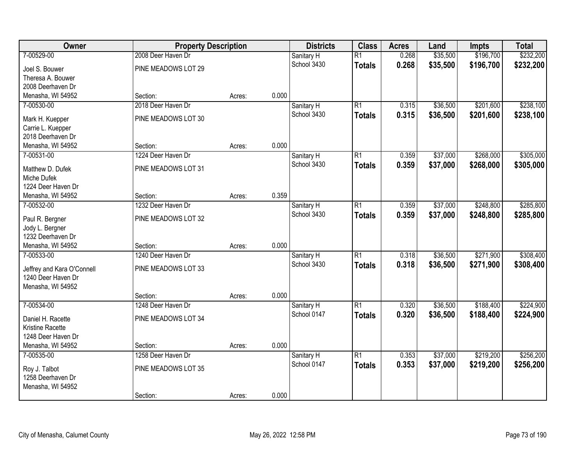| Owner                           | <b>Property Description</b> |        |       | <b>Districts</b> | <b>Class</b>    | <b>Acres</b> | Land     | <b>Impts</b> | <b>Total</b> |
|---------------------------------|-----------------------------|--------|-------|------------------|-----------------|--------------|----------|--------------|--------------|
| 7-00529-00                      | 2008 Deer Haven Dr          |        |       | Sanitary H       | $\overline{R1}$ | 0.268        | \$35,500 | \$196,700    | \$232,200    |
| Joel S. Bouwer                  | PINE MEADOWS LOT 29         |        |       | School 3430      | <b>Totals</b>   | 0.268        | \$35,500 | \$196,700    | \$232,200    |
| Theresa A. Bouwer               |                             |        |       |                  |                 |              |          |              |              |
| 2008 Deerhaven Dr               |                             |        |       |                  |                 |              |          |              |              |
| Menasha, WI 54952               | Section:                    | Acres: | 0.000 |                  |                 |              |          |              |              |
| 7-00530-00                      | 2018 Deer Haven Dr          |        |       | Sanitary H       | $\overline{R1}$ | 0.315        | \$36,500 | \$201,600    | \$238,100    |
| Mark H. Kuepper                 | PINE MEADOWS LOT 30         |        |       | School 3430      | <b>Totals</b>   | 0.315        | \$36,500 | \$201,600    | \$238,100    |
| Carrie L. Kuepper               |                             |        |       |                  |                 |              |          |              |              |
| 2018 Deerhaven Dr               |                             |        |       |                  |                 |              |          |              |              |
| Menasha, WI 54952               | Section:                    | Acres: | 0.000 |                  |                 |              |          |              |              |
| 7-00531-00                      | 1224 Deer Haven Dr          |        |       | Sanitary H       | $\overline{R1}$ | 0.359        | \$37,000 | \$268,000    | \$305,000    |
|                                 |                             |        |       | School 3430      | <b>Totals</b>   | 0.359        | \$37,000 | \$268,000    | \$305,000    |
| Matthew D. Dufek<br>Miche Dufek | PINE MEADOWS LOT 31         |        |       |                  |                 |              |          |              |              |
| 1224 Deer Haven Dr              |                             |        |       |                  |                 |              |          |              |              |
| Menasha, WI 54952               | Section:                    | Acres: | 0.359 |                  |                 |              |          |              |              |
| 7-00532-00                      | 1232 Deer Haven Dr          |        |       | Sanitary H       | R1              | 0.359        | \$37,000 | \$248,800    | \$285,800    |
|                                 |                             |        |       | School 3430      | <b>Totals</b>   | 0.359        | \$37,000 | \$248,800    | \$285,800    |
| Paul R. Bergner                 | PINE MEADOWS LOT 32         |        |       |                  |                 |              |          |              |              |
| Jody L. Bergner                 |                             |        |       |                  |                 |              |          |              |              |
| 1232 Deerhaven Dr               |                             |        |       |                  |                 |              |          |              |              |
| Menasha, WI 54952               | Section:                    | Acres: | 0.000 |                  |                 |              |          |              |              |
| 7-00533-00                      | 1240 Deer Haven Dr          |        |       | Sanitary H       | $\overline{R1}$ | 0.318        | \$36,500 | \$271,900    | \$308,400    |
| Jeffrey and Kara O'Connell      | PINE MEADOWS LOT 33         |        |       | School 3430      | <b>Totals</b>   | 0.318        | \$36,500 | \$271,900    | \$308,400    |
| 1240 Deer Haven Dr              |                             |        |       |                  |                 |              |          |              |              |
| Menasha, WI 54952               |                             |        |       |                  |                 |              |          |              |              |
|                                 | Section:                    | Acres: | 0.000 |                  |                 |              |          |              |              |
| 7-00534-00                      | 1248 Deer Haven Dr          |        |       | Sanitary H       | $\overline{R1}$ | 0.320        | \$36,500 | \$188,400    | \$224,900    |
| Daniel H. Racette               | PINE MEADOWS LOT 34         |        |       | School 0147      | <b>Totals</b>   | 0.320        | \$36,500 | \$188,400    | \$224,900    |
| Kristine Racette                |                             |        |       |                  |                 |              |          |              |              |
| 1248 Deer Haven Dr              |                             |        |       |                  |                 |              |          |              |              |
| Menasha, WI 54952               | Section:                    | Acres: | 0.000 |                  |                 |              |          |              |              |
| 7-00535-00                      | 1258 Deer Haven Dr          |        |       | Sanitary H       | $\overline{R1}$ | 0.353        | \$37,000 | \$219,200    | \$256,200    |
| Roy J. Talbot                   | PINE MEADOWS LOT 35         |        |       | School 0147      | <b>Totals</b>   | 0.353        | \$37,000 | \$219,200    | \$256,200    |
| 1258 Deerhaven Dr               |                             |        |       |                  |                 |              |          |              |              |
| Menasha, WI 54952               |                             |        |       |                  |                 |              |          |              |              |
|                                 | Section:                    | Acres: | 0.000 |                  |                 |              |          |              |              |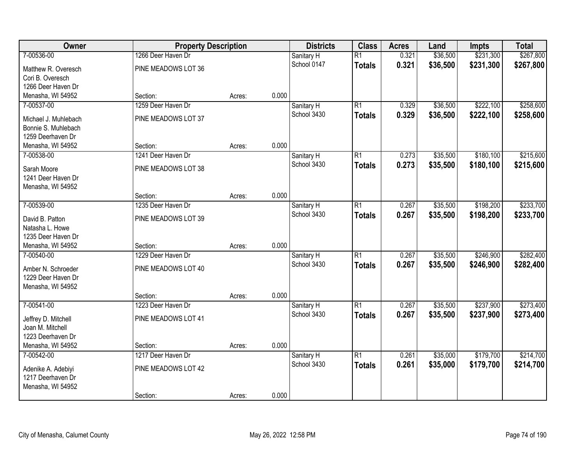| Owner                                   | <b>Property Description</b> |        |       | <b>Districts</b> | <b>Class</b>    | <b>Acres</b> | Land     | <b>Impts</b> | <b>Total</b> |
|-----------------------------------------|-----------------------------|--------|-------|------------------|-----------------|--------------|----------|--------------|--------------|
| 7-00536-00                              | 1266 Deer Haven Dr          |        |       | Sanitary H       | $\overline{R1}$ | 0.321        | \$36,500 | \$231,300    | \$267,800    |
| Matthew R. Overesch                     | PINE MEADOWS LOT 36         |        |       | School 0147      | <b>Totals</b>   | 0.321        | \$36,500 | \$231,300    | \$267,800    |
| Cori B. Overesch                        |                             |        |       |                  |                 |              |          |              |              |
| 1266 Deer Haven Dr                      |                             |        |       |                  |                 |              |          |              |              |
| Menasha, WI 54952                       | Section:                    | Acres: | 0.000 |                  |                 |              |          |              |              |
| 7-00537-00                              | 1259 Deer Haven Dr          |        |       | Sanitary H       | $\overline{R1}$ | 0.329        | \$36,500 | \$222,100    | \$258,600    |
| Michael J. Muhlebach                    | PINE MEADOWS LOT 37         |        |       | School 3430      | <b>Totals</b>   | 0.329        | \$36,500 | \$222,100    | \$258,600    |
| Bonnie S. Muhlebach                     |                             |        |       |                  |                 |              |          |              |              |
| 1259 Deerhaven Dr                       |                             |        |       |                  |                 |              |          |              |              |
| Menasha, WI 54952                       | Section:                    | Acres: | 0.000 |                  |                 |              |          |              |              |
| 7-00538-00                              | 1241 Deer Haven Dr          |        |       | Sanitary H       | $\overline{R1}$ | 0.273        | \$35,500 | \$180,100    | \$215,600    |
|                                         | PINE MEADOWS LOT 38         |        |       | School 3430      | <b>Totals</b>   | 0.273        | \$35,500 | \$180,100    | \$215,600    |
| Sarah Moore<br>1241 Deer Haven Dr       |                             |        |       |                  |                 |              |          |              |              |
| Menasha, WI 54952                       |                             |        |       |                  |                 |              |          |              |              |
|                                         | Section:                    | Acres: | 0.000 |                  |                 |              |          |              |              |
| 7-00539-00                              | 1235 Deer Haven Dr          |        |       | Sanitary H       | $\overline{R1}$ | 0.267        | \$35,500 | \$198,200    | \$233,700    |
|                                         |                             |        |       | School 3430      | <b>Totals</b>   | 0.267        | \$35,500 | \$198,200    | \$233,700    |
| David B. Patton                         | PINE MEADOWS LOT 39         |        |       |                  |                 |              |          |              |              |
| Natasha L. Howe                         |                             |        |       |                  |                 |              |          |              |              |
| 1235 Deer Haven Dr<br>Menasha, WI 54952 | Section:                    |        | 0.000 |                  |                 |              |          |              |              |
| 7-00540-00                              | 1229 Deer Haven Dr          | Acres: |       | Sanitary H       | $\overline{R1}$ | 0.267        | \$35,500 | \$246,900    | \$282,400    |
|                                         |                             |        |       | School 3430      |                 | 0.267        |          |              |              |
| Amber N. Schroeder                      | PINE MEADOWS LOT 40         |        |       |                  | <b>Totals</b>   |              | \$35,500 | \$246,900    | \$282,400    |
| 1229 Deer Haven Dr                      |                             |        |       |                  |                 |              |          |              |              |
| Menasha, WI 54952                       |                             |        |       |                  |                 |              |          |              |              |
|                                         | Section:                    | Acres: | 0.000 |                  |                 |              |          |              |              |
| 7-00541-00                              | 1223 Deer Haven Dr          |        |       | Sanitary H       | $\overline{R1}$ | 0.267        | \$35,500 | \$237,900    | \$273,400    |
| Jeffrey D. Mitchell                     | PINE MEADOWS LOT 41         |        |       | School 3430      | <b>Totals</b>   | 0.267        | \$35,500 | \$237,900    | \$273,400    |
| Joan M. Mitchell                        |                             |        |       |                  |                 |              |          |              |              |
| 1223 Deerhaven Dr                       |                             |        |       |                  |                 |              |          |              |              |
| Menasha, WI 54952                       | Section:                    | Acres: | 0.000 |                  |                 |              |          |              |              |
| 7-00542-00                              | 1217 Deer Haven Dr          |        |       | Sanitary H       | $\overline{R1}$ | 0.261        | \$35,000 | \$179,700    | \$214,700    |
| Adenike A. Adebiyi                      | PINE MEADOWS LOT 42         |        |       | School 3430      | <b>Totals</b>   | 0.261        | \$35,000 | \$179,700    | \$214,700    |
| 1217 Deerhaven Dr                       |                             |        |       |                  |                 |              |          |              |              |
| Menasha, WI 54952                       |                             |        |       |                  |                 |              |          |              |              |
|                                         | Section:                    | Acres: | 0.000 |                  |                 |              |          |              |              |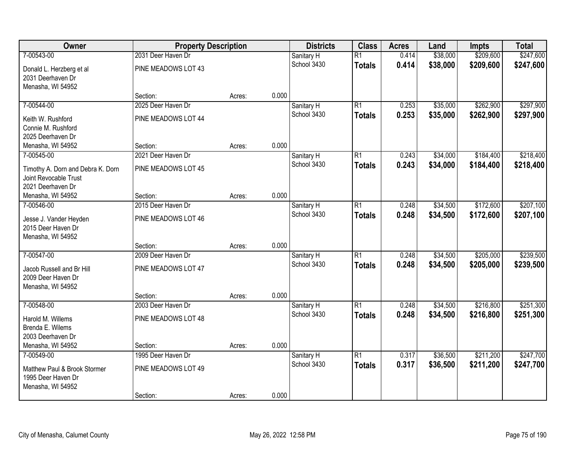| Owner                             | <b>Property Description</b> |        |       | <b>Districts</b> | <b>Class</b>    | <b>Acres</b> | Land     | <b>Impts</b> | <b>Total</b> |
|-----------------------------------|-----------------------------|--------|-------|------------------|-----------------|--------------|----------|--------------|--------------|
| 7-00543-00                        | 2031 Deer Haven Dr          |        |       | Sanitary H       | $\overline{R1}$ | 0.414        | \$38,000 | \$209,600    | \$247,600    |
| Donald L. Herzberg et al          | PINE MEADOWS LOT 43         |        |       | School 3430      | <b>Totals</b>   | 0.414        | \$38,000 | \$209,600    | \$247,600    |
| 2031 Deerhaven Dr                 |                             |        |       |                  |                 |              |          |              |              |
| Menasha, WI 54952                 |                             |        |       |                  |                 |              |          |              |              |
|                                   | Section:                    | Acres: | 0.000 |                  |                 |              |          |              |              |
| 7-00544-00                        | 2025 Deer Haven Dr          |        |       | Sanitary H       | $\overline{R1}$ | 0.253        | \$35,000 | \$262,900    | \$297,900    |
| Keith W. Rushford                 | PINE MEADOWS LOT 44         |        |       | School 3430      | <b>Totals</b>   | 0.253        | \$35,000 | \$262,900    | \$297,900    |
| Connie M. Rushford                |                             |        |       |                  |                 |              |          |              |              |
| 2025 Deerhaven Dr                 |                             |        |       |                  |                 |              |          |              |              |
| Menasha, WI 54952                 | Section:                    | Acres: | 0.000 |                  |                 |              |          |              |              |
| 7-00545-00                        | 2021 Deer Haven Dr          |        |       | Sanitary H       | $\overline{R1}$ | 0.243        | \$34,000 | \$184,400    | \$218,400    |
| Timothy A. Dorn and Debra K. Dorn | PINE MEADOWS LOT 45         |        |       | School 3430      | <b>Totals</b>   | 0.243        | \$34,000 | \$184,400    | \$218,400    |
| Joint Revocable Trust             |                             |        |       |                  |                 |              |          |              |              |
| 2021 Deerhaven Dr                 |                             |        |       |                  |                 |              |          |              |              |
| Menasha, WI 54952                 | Section:                    | Acres: | 0.000 |                  |                 |              |          |              |              |
| 7-00546-00                        | 2015 Deer Haven Dr          |        |       | Sanitary H       | $\overline{R1}$ | 0.248        | \$34,500 | \$172,600    | \$207,100    |
| Jesse J. Vander Heyden            | PINE MEADOWS LOT 46         |        |       | School 3430      | <b>Totals</b>   | 0.248        | \$34,500 | \$172,600    | \$207,100    |
| 2015 Deer Haven Dr                |                             |        |       |                  |                 |              |          |              |              |
| Menasha, WI 54952                 |                             |        |       |                  |                 |              |          |              |              |
|                                   | Section:                    | Acres: | 0.000 |                  |                 |              |          |              |              |
| 7-00547-00                        | 2009 Deer Haven Dr          |        |       | Sanitary H       | $\overline{R1}$ | 0.248        | \$34,500 | \$205,000    | \$239,500    |
| Jacob Russell and Br Hill         | PINE MEADOWS LOT 47         |        |       | School 3430      | <b>Totals</b>   | 0.248        | \$34,500 | \$205,000    | \$239,500    |
| 2009 Deer Haven Dr                |                             |        |       |                  |                 |              |          |              |              |
| Menasha, WI 54952                 |                             |        |       |                  |                 |              |          |              |              |
|                                   | Section:                    | Acres: | 0.000 |                  |                 |              |          |              |              |
| 7-00548-00                        | 2003 Deer Haven Dr          |        |       | Sanitary H       | $\overline{R1}$ | 0.248        | \$34,500 | \$216,800    | \$251,300    |
| Harold M. Willems                 | PINE MEADOWS LOT 48         |        |       | School 3430      | <b>Totals</b>   | 0.248        | \$34,500 | \$216,800    | \$251,300    |
| Brenda E. Wilems                  |                             |        |       |                  |                 |              |          |              |              |
| 2003 Deerhaven Dr                 |                             |        |       |                  |                 |              |          |              |              |
| Menasha, WI 54952                 | Section:                    | Acres: | 0.000 |                  |                 |              |          |              |              |
| 7-00549-00                        | 1995 Deer Haven Dr          |        |       | Sanitary H       | $\overline{R1}$ | 0.317        | \$36,500 | \$211,200    | \$247,700    |
| Matthew Paul & Brook Stormer      | PINE MEADOWS LOT 49         |        |       | School 3430      | <b>Totals</b>   | 0.317        | \$36,500 | \$211,200    | \$247,700    |
| 1995 Deer Haven Dr                |                             |        |       |                  |                 |              |          |              |              |
| Menasha, WI 54952                 |                             |        |       |                  |                 |              |          |              |              |
|                                   | Section:                    | Acres: | 0.000 |                  |                 |              |          |              |              |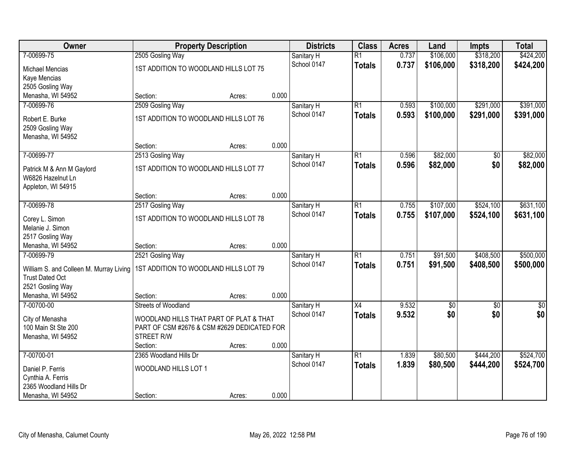| Owner                                                             | <b>Property Description</b>                                                            |        |       | <b>Districts</b> | <b>Class</b>    | <b>Acres</b> | Land       | <b>Impts</b>    | <b>Total</b> |
|-------------------------------------------------------------------|----------------------------------------------------------------------------------------|--------|-------|------------------|-----------------|--------------|------------|-----------------|--------------|
| 7-00699-75                                                        | 2505 Gosling Way                                                                       |        |       | Sanitary H       | $\overline{R1}$ | 0.737        | \$106,000  | \$318,200       | \$424,200    |
| <b>Michael Mencias</b>                                            | 1ST ADDITION TO WOODLAND HILLS LOT 75                                                  |        |       | School 0147      | <b>Totals</b>   | 0.737        | \$106,000  | \$318,200       | \$424,200    |
| Kaye Mencias                                                      |                                                                                        |        |       |                  |                 |              |            |                 |              |
| 2505 Gosling Way                                                  |                                                                                        |        |       |                  |                 |              |            |                 |              |
| Menasha, WI 54952                                                 | Section:                                                                               | Acres: | 0.000 |                  |                 |              |            |                 |              |
| 7-00699-76                                                        | 2509 Gosling Way                                                                       |        |       | Sanitary H       | $\overline{R1}$ | 0.593        | \$100,000  | \$291,000       | \$391,000    |
| Robert E. Burke                                                   | 1ST ADDITION TO WOODLAND HILLS LOT 76                                                  |        |       | School 0147      | <b>Totals</b>   | 0.593        | \$100,000  | \$291,000       | \$391,000    |
| 2509 Gosling Way                                                  |                                                                                        |        |       |                  |                 |              |            |                 |              |
| Menasha, WI 54952                                                 |                                                                                        |        |       |                  |                 |              |            |                 |              |
|                                                                   | Section:                                                                               | Acres: | 0.000 |                  |                 |              |            |                 |              |
| 7-00699-77                                                        | 2513 Gosling Way                                                                       |        |       | Sanitary H       | $\overline{R1}$ | 0.596        | \$82,000   | \$0             | \$82,000     |
| Patrick M & Ann M Gaylord                                         | 1ST ADDITION TO WOODLAND HILLS LOT 77                                                  |        |       | School 0147      | <b>Totals</b>   | 0.596        | \$82,000   | \$0             | \$82,000     |
| W6826 Hazelnut Ln                                                 |                                                                                        |        |       |                  |                 |              |            |                 |              |
| Appleton, WI 54915                                                |                                                                                        |        |       |                  |                 |              |            |                 |              |
|                                                                   | Section:                                                                               | Acres: | 0.000 |                  |                 |              |            |                 |              |
| 7-00699-78                                                        | 2517 Gosling Way                                                                       |        |       | Sanitary H       | $\overline{R1}$ | 0.755        | \$107,000  | \$524,100       | \$631,100    |
| Corey L. Simon                                                    | 1ST ADDITION TO WOODLAND HILLS LOT 78                                                  |        |       | School 0147      | <b>Totals</b>   | 0.755        | \$107,000  | \$524,100       | \$631,100    |
| Melanie J. Simon                                                  |                                                                                        |        |       |                  |                 |              |            |                 |              |
| 2517 Gosling Way                                                  |                                                                                        |        |       |                  |                 |              |            |                 |              |
| Menasha, WI 54952                                                 | Section:                                                                               | Acres: | 0.000 |                  |                 |              |            |                 |              |
| 7-00699-79                                                        | 2521 Gosling Way                                                                       |        |       | Sanitary H       | $\overline{R1}$ | 0.751        | \$91,500   | \$408,500       | \$500,000    |
|                                                                   | 1ST ADDITION TO WOODLAND HILLS LOT 79                                                  |        |       | School 0147      | <b>Totals</b>   | 0.751        | \$91,500   | \$408,500       | \$500,000    |
| William S. and Colleen M. Murray Living<br><b>Trust Dated Oct</b> |                                                                                        |        |       |                  |                 |              |            |                 |              |
| 2521 Gosling Way                                                  |                                                                                        |        |       |                  |                 |              |            |                 |              |
| Menasha, WI 54952                                                 | Section:                                                                               | Acres: | 0.000 |                  |                 |              |            |                 |              |
| 7-00700-00                                                        | <b>Streets of Woodland</b>                                                             |        |       | Sanitary H       | $\overline{X4}$ | 9.532        | $\sqrt{6}$ | $\overline{50}$ | \$0          |
|                                                                   |                                                                                        |        |       | School 0147      | <b>Totals</b>   | 9.532        | \$0        | \$0             | \$0          |
| City of Menasha<br>100 Main St Ste 200                            | WOODLAND HILLS THAT PART OF PLAT & THAT<br>PART OF CSM #2676 & CSM #2629 DEDICATED FOR |        |       |                  |                 |              |            |                 |              |
| Menasha, WI 54952                                                 | STREET R/W                                                                             |        |       |                  |                 |              |            |                 |              |
|                                                                   | Section:                                                                               | Acres: | 0.000 |                  |                 |              |            |                 |              |
| 7-00700-01                                                        | 2365 Woodland Hills Dr                                                                 |        |       | Sanitary H       | $\overline{R1}$ | 1.839        | \$80,500   | \$444,200       | \$524,700    |
|                                                                   | WOODLAND HILLS LOT 1                                                                   |        |       | School 0147      | <b>Totals</b>   | 1.839        | \$80,500   | \$444,200       | \$524,700    |
| Daniel P. Ferris<br>Cynthia A. Ferris                             |                                                                                        |        |       |                  |                 |              |            |                 |              |
| 2365 Woodland Hills Dr                                            |                                                                                        |        |       |                  |                 |              |            |                 |              |
| Menasha, WI 54952                                                 | Section:                                                                               | Acres: | 0.000 |                  |                 |              |            |                 |              |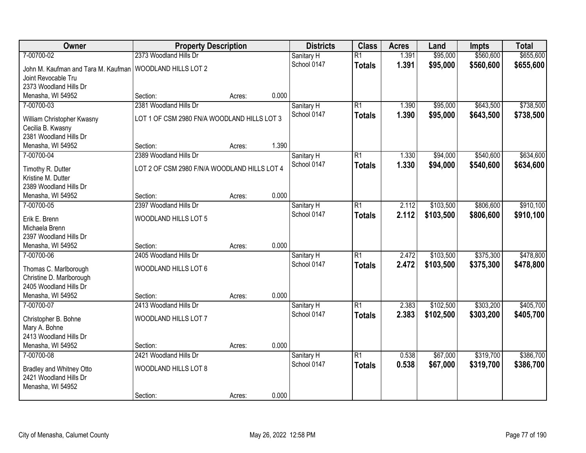| Owner                                       | <b>Property Description</b>                  |        |       | <b>Districts</b> | <b>Class</b>    | <b>Acres</b> | Land      | <b>Impts</b> | <b>Total</b> |
|---------------------------------------------|----------------------------------------------|--------|-------|------------------|-----------------|--------------|-----------|--------------|--------------|
| 7-00700-02                                  | 2373 Woodland Hills Dr                       |        |       | Sanitary H       | $\overline{R1}$ | 1.391        | \$95,000  | \$560,600    | \$655,600    |
| John M. Kaufman and Tara M. Kaufman         | <b>WOODLAND HILLS LOT 2</b>                  |        |       | School 0147      | <b>Totals</b>   | 1.391        | \$95,000  | \$560,600    | \$655,600    |
| Joint Revocable Tru                         |                                              |        |       |                  |                 |              |           |              |              |
| 2373 Woodland Hills Dr                      |                                              |        |       |                  |                 |              |           |              |              |
| Menasha, WI 54952                           | Section:                                     | Acres: | 0.000 |                  |                 |              |           |              |              |
| 7-00700-03                                  | 2381 Woodland Hills Dr                       |        |       | Sanitary H       | $\overline{R1}$ | 1.390        | \$95,000  | \$643,500    | \$738,500    |
| William Christopher Kwasny                  | LOT 1 OF CSM 2980 FN/A WOODLAND HILLS LOT 3  |        |       | School 0147      | <b>Totals</b>   | 1.390        | \$95,000  | \$643,500    | \$738,500    |
| Cecilia B. Kwasny                           |                                              |        |       |                  |                 |              |           |              |              |
| 2381 Woodland Hills Dr                      |                                              |        |       |                  |                 |              |           |              |              |
| Menasha, WI 54952                           | Section:                                     | Acres: | 1.390 |                  |                 |              |           |              |              |
| 7-00700-04                                  | 2389 Woodland Hills Dr                       |        |       | Sanitary H       | $\overline{R1}$ | 1.330        | \$94,000  | \$540,600    | \$634,600    |
|                                             |                                              |        |       | School 0147      | <b>Totals</b>   | 1.330        | \$94,000  | \$540,600    | \$634,600    |
| Timothy R. Dutter<br>Kristine M. Dutter     | LOT 2 OF CSM 2980 F/N/A WOODLAND HILLS LOT 4 |        |       |                  |                 |              |           |              |              |
| 2389 Woodland Hills Dr                      |                                              |        |       |                  |                 |              |           |              |              |
| Menasha, WI 54952                           | Section:                                     | Acres: | 0.000 |                  |                 |              |           |              |              |
| 7-00700-05                                  | 2397 Woodland Hills Dr                       |        |       | Sanitary H       | $\overline{R1}$ | 2.112        | \$103,500 | \$806,600    | \$910,100    |
|                                             |                                              |        |       | School 0147      | <b>Totals</b>   | 2.112        | \$103,500 | \$806,600    | \$910,100    |
| Erik E. Brenn                               | WOODLAND HILLS LOT 5                         |        |       |                  |                 |              |           |              |              |
| Michaela Brenn                              |                                              |        |       |                  |                 |              |           |              |              |
| 2397 Woodland Hills Dr<br>Menasha, WI 54952 | Section:                                     |        | 0.000 |                  |                 |              |           |              |              |
| 7-00700-06                                  | 2405 Woodland Hills Dr                       | Acres: |       | Sanitary H       | $\overline{R1}$ | 2.472        | \$103,500 | \$375,300    | \$478,800    |
|                                             |                                              |        |       | School 0147      | <b>Totals</b>   | 2.472        | \$103,500 | \$375,300    | \$478,800    |
| Thomas C. Marlborough                       | WOODLAND HILLS LOT 6                         |        |       |                  |                 |              |           |              |              |
| Christine D. Marlborough                    |                                              |        |       |                  |                 |              |           |              |              |
| 2405 Woodland Hills Dr                      |                                              |        |       |                  |                 |              |           |              |              |
| Menasha, WI 54952                           | Section:                                     | Acres: | 0.000 |                  |                 |              |           |              |              |
| 7-00700-07                                  | 2413 Woodland Hills Dr                       |        |       | Sanitary H       | $\overline{R1}$ | 2.383        | \$102,500 | \$303,200    | \$405,700    |
| Christopher B. Bohne                        | WOODLAND HILLS LOT 7                         |        |       | School 0147      | <b>Totals</b>   | 2.383        | \$102,500 | \$303,200    | \$405,700    |
| Mary A. Bohne                               |                                              |        |       |                  |                 |              |           |              |              |
| 2413 Woodland Hills Dr                      |                                              |        |       |                  |                 |              |           |              |              |
| Menasha, WI 54952                           | Section:                                     | Acres: | 0.000 |                  |                 |              |           |              |              |
| 7-00700-08                                  | 2421 Woodland Hills Dr                       |        |       | Sanitary H       | $\overline{R1}$ | 0.538        | \$67,000  | \$319,700    | \$386,700    |
| Bradley and Whitney Otto                    | WOODLAND HILLS LOT 8                         |        |       | School 0147      | <b>Totals</b>   | 0.538        | \$67,000  | \$319,700    | \$386,700    |
| 2421 Woodland Hills Dr                      |                                              |        |       |                  |                 |              |           |              |              |
| Menasha, WI 54952                           |                                              |        |       |                  |                 |              |           |              |              |
|                                             | Section:                                     | Acres: | 0.000 |                  |                 |              |           |              |              |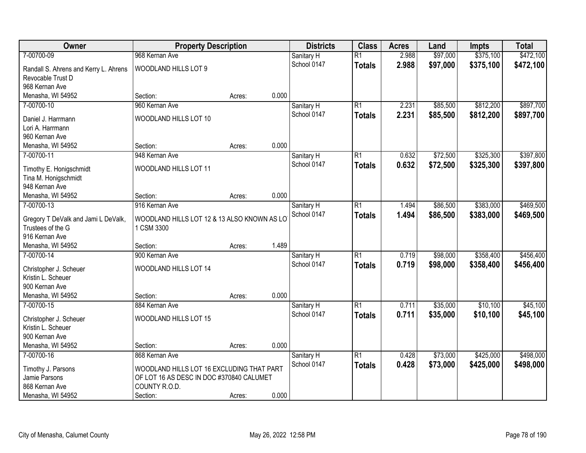| Owner                                 | <b>Property Description</b>                 |        |       | <b>Districts</b> | <b>Class</b>    | <b>Acres</b> | Land     | <b>Impts</b> | <b>Total</b> |
|---------------------------------------|---------------------------------------------|--------|-------|------------------|-----------------|--------------|----------|--------------|--------------|
| 7-00700-09                            | 968 Kernan Ave                              |        |       | Sanitary H       | $\overline{R1}$ | 2.988        | \$97,000 | \$375,100    | \$472,100    |
| Randall S. Ahrens and Kerry L. Ahrens | WOODLAND HILLS LOT 9                        |        |       | School 0147      | <b>Totals</b>   | 2.988        | \$97,000 | \$375,100    | \$472,100    |
| Revocable Trust D                     |                                             |        |       |                  |                 |              |          |              |              |
| 968 Kernan Ave                        |                                             |        |       |                  |                 |              |          |              |              |
| Menasha, WI 54952                     | Section:                                    | Acres: | 0.000 |                  |                 |              |          |              |              |
| 7-00700-10                            | 960 Kernan Ave                              |        |       | Sanitary H       | $\overline{R1}$ | 2.231        | \$85,500 | \$812,200    | \$897,700    |
| Daniel J. Harrmann                    | WOODLAND HILLS LOT 10                       |        |       | School 0147      | <b>Totals</b>   | 2.231        | \$85,500 | \$812,200    | \$897,700    |
| Lori A. Harrmann                      |                                             |        |       |                  |                 |              |          |              |              |
| 960 Kernan Ave                        |                                             |        |       |                  |                 |              |          |              |              |
| Menasha, WI 54952                     | Section:                                    | Acres: | 0.000 |                  |                 |              |          |              |              |
| 7-00700-11                            | 948 Kernan Ave                              |        |       | Sanitary H       | $\overline{R1}$ | 0.632        | \$72,500 | \$325,300    | \$397,800    |
|                                       |                                             |        |       | School 0147      | <b>Totals</b>   | 0.632        | \$72,500 | \$325,300    | \$397,800    |
| Timothy E. Honigschmidt               | WOODLAND HILLS LOT 11                       |        |       |                  |                 |              |          |              |              |
| Tina M. Honigschmidt                  |                                             |        |       |                  |                 |              |          |              |              |
| 948 Kernan Ave                        |                                             |        |       |                  |                 |              |          |              |              |
| Menasha, WI 54952                     | Section:                                    | Acres: | 0.000 |                  |                 |              |          |              |              |
| 7-00700-13                            | 916 Kernan Ave                              |        |       | Sanitary H       | $\overline{R1}$ | 1.494        | \$86,500 | \$383,000    | \$469,500    |
| Gregory T DeValk and Jami L DeValk,   | WOODLAND HILLS LOT 12 & 13 ALSO KNOWN AS LO |        |       | School 0147      | <b>Totals</b>   | 1.494        | \$86,500 | \$383,000    | \$469,500    |
| Trustees of the G                     | 1 CSM 3300                                  |        |       |                  |                 |              |          |              |              |
| 916 Kernan Ave                        |                                             |        |       |                  |                 |              |          |              |              |
| Menasha, WI 54952                     | Section:                                    | Acres: | 1.489 |                  |                 |              |          |              |              |
| 7-00700-14                            | 900 Kernan Ave                              |        |       | Sanitary H       | $\overline{R1}$ | 0.719        | \$98,000 | \$358,400    | \$456,400    |
| Christopher J. Scheuer                | WOODLAND HILLS LOT 14                       |        |       | School 0147      | <b>Totals</b>   | 0.719        | \$98,000 | \$358,400    | \$456,400    |
| Kristin L. Scheuer                    |                                             |        |       |                  |                 |              |          |              |              |
| 900 Kernan Ave                        |                                             |        |       |                  |                 |              |          |              |              |
| Menasha, WI 54952                     | Section:                                    | Acres: | 0.000 |                  |                 |              |          |              |              |
| 7-00700-15                            | 884 Kernan Ave                              |        |       | Sanitary H       | $\overline{R1}$ | 0.711        | \$35,000 | \$10,100     | \$45,100     |
|                                       |                                             |        |       | School 0147      | <b>Totals</b>   | 0.711        | \$35,000 | \$10,100     | \$45,100     |
| Christopher J. Scheuer                | WOODLAND HILLS LOT 15                       |        |       |                  |                 |              |          |              |              |
| Kristin L. Scheuer                    |                                             |        |       |                  |                 |              |          |              |              |
| 900 Kernan Ave                        |                                             |        |       |                  |                 |              |          |              |              |
| Menasha, WI 54952                     | Section:                                    | Acres: | 0.000 |                  |                 |              |          |              |              |
| 7-00700-16                            | 868 Kernan Ave                              |        |       | Sanitary H       | $\overline{R1}$ | 0.428        | \$73,000 | \$425,000    | \$498,000    |
| Timothy J. Parsons                    | WOODLAND HILLS LOT 16 EXCLUDING THAT PART   |        |       | School 0147      | <b>Totals</b>   | 0.428        | \$73,000 | \$425,000    | \$498,000    |
| Jamie Parsons                         | OF LOT 16 AS DESC IN DOC #370840 CALUMET    |        |       |                  |                 |              |          |              |              |
| 868 Kernan Ave                        | COUNTY R.O.D.                               |        |       |                  |                 |              |          |              |              |
| Menasha, WI 54952                     | Section:                                    | Acres: | 0.000 |                  |                 |              |          |              |              |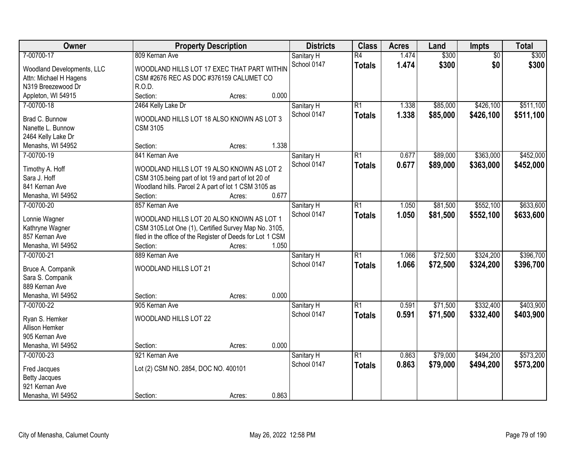| Owner                      | <b>Property Description</b>                                         | <b>Districts</b> | <b>Class</b>    | <b>Acres</b> | Land     | Impts           | <b>Total</b> |
|----------------------------|---------------------------------------------------------------------|------------------|-----------------|--------------|----------|-----------------|--------------|
| 7-00700-17                 | 809 Kernan Ave                                                      | Sanitary H       | $\overline{R4}$ | 1.474        | \$300    | $\overline{50}$ | \$300        |
| Woodland Developments, LLC | WOODLAND HILLS LOT 17 EXEC THAT PART WITHIN                         | School 0147      | <b>Totals</b>   | 1.474        | \$300    | \$0             | \$300        |
| Attn: Michael H Hagens     | CSM #2676 REC AS DOC #376159 CALUMET CO                             |                  |                 |              |          |                 |              |
| N319 Breezewood Dr         | R.O.D.                                                              |                  |                 |              |          |                 |              |
| Appleton, WI 54915         | 0.000<br>Section:<br>Acres:                                         |                  |                 |              |          |                 |              |
| 7-00700-18                 | 2464 Kelly Lake Dr                                                  | Sanitary H       | $\overline{R1}$ | 1.338        | \$85,000 | \$426,100       | \$511,100    |
|                            |                                                                     | School 0147      | <b>Totals</b>   | 1.338        | \$85,000 | \$426,100       | \$511,100    |
| Brad C. Bunnow             | WOODLAND HILLS LOT 18 ALSO KNOWN AS LOT 3                           |                  |                 |              |          |                 |              |
| Nanette L. Bunnow          | <b>CSM 3105</b>                                                     |                  |                 |              |          |                 |              |
| 2464 Kelly Lake Dr         |                                                                     |                  |                 |              |          |                 |              |
| Menashs, WI 54952          | 1.338<br>Section:<br>Acres:                                         |                  |                 |              |          |                 |              |
| 7-00700-19                 | 841 Kernan Ave                                                      | Sanitary H       | $\overline{R1}$ | 0.677        | \$89,000 | \$363,000       | \$452,000    |
| Timothy A. Hoff            | WOODLAND HILLS LOT 19 ALSO KNOWN AS LOT 2                           | School 0147      | <b>Totals</b>   | 0.677        | \$89,000 | \$363,000       | \$452,000    |
| Sara J. Hoff               | CSM 3105.being part of lot 19 and part of lot 20 of                 |                  |                 |              |          |                 |              |
| 841 Kernan Ave             | Woodland hills. Parcel 2 A part of lot 1 CSM 3105 as                |                  |                 |              |          |                 |              |
| Menasha, WI 54952          | 0.677<br>Section:<br>Acres:                                         |                  |                 |              |          |                 |              |
| 7-00700-20                 | 857 Kernan Ave                                                      | Sanitary H       | $\overline{R1}$ | 1.050        | \$81,500 | \$552,100       | \$633,600    |
|                            |                                                                     | School 0147      | <b>Totals</b>   | 1.050        | \$81,500 | \$552,100       | \$633,600    |
| Lonnie Wagner              | WOODLAND HILLS LOT 20 ALSO KNOWN AS LOT 1                           |                  |                 |              |          |                 |              |
| Kathryne Wagner            | CSM 3105.Lot One (1), Certified Survey Map No. 3105,                |                  |                 |              |          |                 |              |
| 857 Kernan Ave             | filed in the office of the Register of Deeds for Lot 1 CSM<br>1.050 |                  |                 |              |          |                 |              |
| Menasha, WI 54952          | Section:<br>Acres:                                                  |                  | $\overline{R1}$ |              |          |                 |              |
| 7-00700-21                 | 889 Kernan Ave                                                      | Sanitary H       |                 | 1.066        | \$72,500 | \$324,200       | \$396,700    |
| Bruce A. Companik          | WOODLAND HILLS LOT 21                                               | School 0147      | <b>Totals</b>   | 1.066        | \$72,500 | \$324,200       | \$396,700    |
| Sara S. Companik           |                                                                     |                  |                 |              |          |                 |              |
| 889 Kernan Ave             |                                                                     |                  |                 |              |          |                 |              |
| Menasha, WI 54952          | 0.000<br>Section:<br>Acres:                                         |                  |                 |              |          |                 |              |
| 7-00700-22                 | 905 Kernan Ave                                                      | Sanitary H       | $\overline{R1}$ | 0.591        | \$71,500 | \$332,400       | \$403,900    |
| Ryan S. Hemker             | WOODLAND HILLS LOT 22                                               | School 0147      | <b>Totals</b>   | 0.591        | \$71,500 | \$332,400       | \$403,900    |
| Allison Hemker             |                                                                     |                  |                 |              |          |                 |              |
| 905 Kernan Ave             |                                                                     |                  |                 |              |          |                 |              |
| Menasha, WI 54952          | 0.000<br>Section:<br>Acres:                                         |                  |                 |              |          |                 |              |
| 7-00700-23                 | 921 Kernan Ave                                                      |                  | $\overline{R1}$ | 0.863        | \$79,000 | \$494,200       | \$573,200    |
|                            |                                                                     | Sanitary H       |                 |              |          |                 |              |
| Fred Jacques               | Lot (2) CSM NO. 2854, DOC NO. 400101                                | School 0147      | <b>Totals</b>   | 0.863        | \$79,000 | \$494,200       | \$573,200    |
| <b>Betty Jacques</b>       |                                                                     |                  |                 |              |          |                 |              |
| 921 Kernan Ave             |                                                                     |                  |                 |              |          |                 |              |
| Menasha, WI 54952          | 0.863<br>Section:<br>Acres:                                         |                  |                 |              |          |                 |              |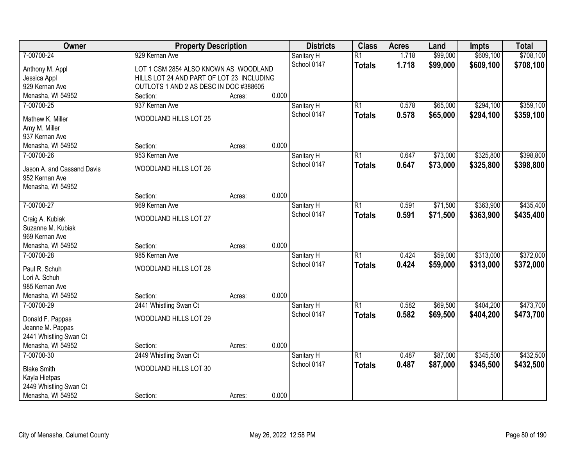| Owner                               | <b>Property Description</b>               |        |       | <b>Districts</b> | <b>Class</b>    | <b>Acres</b> | Land     | <b>Impts</b> | <b>Total</b> |
|-------------------------------------|-------------------------------------------|--------|-------|------------------|-----------------|--------------|----------|--------------|--------------|
| 7-00700-24                          | 929 Kernan Ave                            |        |       | Sanitary H       | $\overline{R1}$ | 1.718        | \$99,000 | \$609,100    | \$708,100    |
| Anthony M. Appl                     | LOT 1 CSM 2854 ALSO KNOWN AS WOODLAND     |        |       | School 0147      | <b>Totals</b>   | 1.718        | \$99,000 | \$609,100    | \$708,100    |
| Jessica Appl                        | HILLS LOT 24 AND PART OF LOT 23 INCLUDING |        |       |                  |                 |              |          |              |              |
| 929 Kernan Ave                      | OUTLOTS 1 AND 2 AS DESC IN DOC #388605    |        |       |                  |                 |              |          |              |              |
| Menasha, WI 54952                   | Section:                                  | Acres: | 0.000 |                  |                 |              |          |              |              |
| 7-00700-25                          | 937 Kernan Ave                            |        |       | Sanitary H       | $\overline{R1}$ | 0.578        | \$65,000 | \$294,100    | \$359,100    |
| Mathew K. Miller                    | WOODLAND HILLS LOT 25                     |        |       | School 0147      | <b>Totals</b>   | 0.578        | \$65,000 | \$294,100    | \$359,100    |
| Amy M. Miller                       |                                           |        |       |                  |                 |              |          |              |              |
| 937 Kernan Ave                      |                                           |        |       |                  |                 |              |          |              |              |
| Menasha, WI 54952                   | Section:                                  | Acres: | 0.000 |                  |                 |              |          |              |              |
| 7-00700-26                          | 953 Kernan Ave                            |        |       | Sanitary H       | $\overline{R1}$ | 0.647        | \$73,000 | \$325,800    | \$398,800    |
|                                     |                                           |        |       | School 0147      | <b>Totals</b>   | 0.647        | \$73,000 | \$325,800    | \$398,800    |
| Jason A. and Cassand Davis          | WOODLAND HILLS LOT 26                     |        |       |                  |                 |              |          |              |              |
| 952 Kernan Ave<br>Menasha, WI 54952 |                                           |        |       |                  |                 |              |          |              |              |
|                                     | Section:                                  | Acres: | 0.000 |                  |                 |              |          |              |              |
| 7-00700-27                          | 969 Kernan Ave                            |        |       | Sanitary H       | $\overline{R1}$ | 0.591        | \$71,500 | \$363,900    | \$435,400    |
|                                     |                                           |        |       | School 0147      | <b>Totals</b>   | 0.591        | \$71,500 | \$363,900    | \$435,400    |
| Craig A. Kubiak                     | WOODLAND HILLS LOT 27                     |        |       |                  |                 |              |          |              |              |
| Suzanne M. Kubiak                   |                                           |        |       |                  |                 |              |          |              |              |
| 969 Kernan Ave                      |                                           |        |       |                  |                 |              |          |              |              |
| Menasha, WI 54952                   | Section:                                  | Acres: | 0.000 |                  | $\overline{R1}$ |              |          | \$313,000    |              |
| 7-00700-28                          | 985 Kernan Ave                            |        |       | Sanitary H       |                 | 0.424        | \$59,000 |              | \$372,000    |
| Paul R. Schuh                       | WOODLAND HILLS LOT 28                     |        |       | School 0147      | <b>Totals</b>   | 0.424        | \$59,000 | \$313,000    | \$372,000    |
| Lori A. Schuh                       |                                           |        |       |                  |                 |              |          |              |              |
| 985 Kernan Ave                      |                                           |        |       |                  |                 |              |          |              |              |
| Menasha, WI 54952                   | Section:                                  | Acres: | 0.000 |                  |                 |              |          |              |              |
| 7-00700-29                          | 2441 Whistling Swan Ct                    |        |       | Sanitary H       | $\overline{R1}$ | 0.582        | \$69,500 | \$404,200    | \$473,700    |
| Donald F. Pappas                    | WOODLAND HILLS LOT 29                     |        |       | School 0147      | <b>Totals</b>   | 0.582        | \$69,500 | \$404,200    | \$473,700    |
| Jeanne M. Pappas                    |                                           |        |       |                  |                 |              |          |              |              |
| 2441 Whistling Swan Ct              |                                           |        |       |                  |                 |              |          |              |              |
| Menasha, WI 54952                   | Section:                                  | Acres: | 0.000 |                  |                 |              |          |              |              |
| 7-00700-30                          | 2449 Whistling Swan Ct                    |        |       | Sanitary H       | $\overline{R1}$ | 0.487        | \$87,000 | \$345,500    | \$432,500    |
| <b>Blake Smith</b>                  | WOODLAND HILLS LOT 30                     |        |       | School 0147      | <b>Totals</b>   | 0.487        | \$87,000 | \$345,500    | \$432,500    |
| Kayla Hietpas                       |                                           |        |       |                  |                 |              |          |              |              |
| 2449 Whistling Swan Ct              |                                           |        |       |                  |                 |              |          |              |              |
| Menasha, WI 54952                   | Section:                                  | Acres: | 0.000 |                  |                 |              |          |              |              |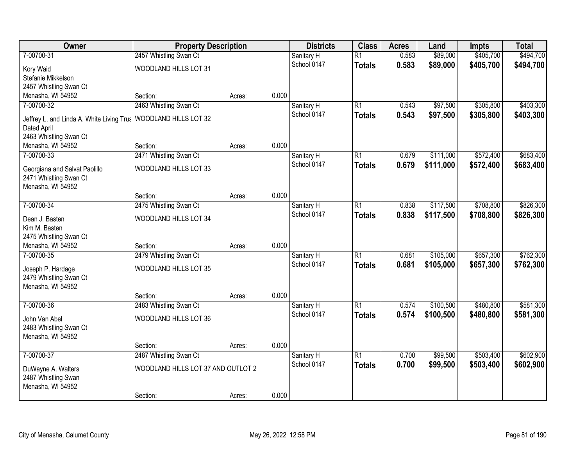| Owner                                       | <b>Property Description</b>        |        |       | <b>Districts</b> | <b>Class</b>    | <b>Acres</b> | Land      | <b>Impts</b> | <b>Total</b> |
|---------------------------------------------|------------------------------------|--------|-------|------------------|-----------------|--------------|-----------|--------------|--------------|
| 7-00700-31                                  | 2457 Whistling Swan Ct             |        |       | Sanitary H       | $\overline{R1}$ | 0.583        | \$89,000  | \$405,700    | \$494,700    |
| Kory Waid                                   | WOODLAND HILLS LOT 31              |        |       | School 0147      | <b>Totals</b>   | 0.583        | \$89,000  | \$405,700    | \$494,700    |
| Stefanie Mikkelson                          |                                    |        |       |                  |                 |              |           |              |              |
| 2457 Whistling Swan Ct                      |                                    |        |       |                  |                 |              |           |              |              |
| Menasha, WI 54952                           | Section:                           | Acres: | 0.000 |                  |                 |              |           |              |              |
| 7-00700-32                                  | 2463 Whistling Swan Ct             |        |       | Sanitary H       | $\overline{R1}$ | 0.543        | \$97,500  | \$305,800    | \$403,300    |
| Jeffrey L. and Linda A. White Living Trus   | WOODLAND HILLS LOT 32              |        |       | School 0147      | <b>Totals</b>   | 0.543        | \$97,500  | \$305,800    | \$403,300    |
| Dated April                                 |                                    |        |       |                  |                 |              |           |              |              |
| 2463 Whistling Swan Ct                      |                                    |        |       |                  |                 |              |           |              |              |
| Menasha, WI 54952                           | Section:                           | Acres: | 0.000 |                  |                 |              |           |              |              |
| 7-00700-33                                  | 2471 Whistling Swan Ct             |        |       | Sanitary H       | $\overline{R1}$ | 0.679        | \$111,000 | \$572,400    | \$683,400    |
| Georgiana and Salvat Paolillo               | WOODLAND HILLS LOT 33              |        |       | School 0147      | <b>Totals</b>   | 0.679        | \$111,000 | \$572,400    | \$683,400    |
| 2471 Whistling Swan Ct                      |                                    |        |       |                  |                 |              |           |              |              |
| Menasha, WI 54952                           |                                    |        |       |                  |                 |              |           |              |              |
|                                             | Section:                           | Acres: | 0.000 |                  |                 |              |           |              |              |
| 7-00700-34                                  | 2475 Whistling Swan Ct             |        |       | Sanitary H       | $\overline{R1}$ | 0.838        | \$117,500 | \$708,800    | \$826,300    |
|                                             |                                    |        |       | School 0147      | <b>Totals</b>   | 0.838        | \$117,500 | \$708,800    | \$826,300    |
| Dean J. Basten<br>Kim M. Basten             | WOODLAND HILLS LOT 34              |        |       |                  |                 |              |           |              |              |
| 2475 Whistling Swan Ct                      |                                    |        |       |                  |                 |              |           |              |              |
| Menasha, WI 54952                           | Section:                           | Acres: | 0.000 |                  |                 |              |           |              |              |
| 7-00700-35                                  | 2479 Whistling Swan Ct             |        |       | Sanitary H       | $\overline{R1}$ | 0.681        | \$105,000 | \$657,300    | \$762,300    |
|                                             |                                    |        |       | School 0147      | <b>Totals</b>   | 0.681        | \$105,000 | \$657,300    | \$762,300    |
| Joseph P. Hardage                           | WOODLAND HILLS LOT 35              |        |       |                  |                 |              |           |              |              |
| 2479 Whistling Swan Ct<br>Menasha, WI 54952 |                                    |        |       |                  |                 |              |           |              |              |
|                                             | Section:                           | Acres: | 0.000 |                  |                 |              |           |              |              |
| 7-00700-36                                  | 2483 Whistling Swan Ct             |        |       | Sanitary H       | $\overline{R1}$ | 0.574        | \$100,500 | \$480,800    | \$581,300    |
|                                             |                                    |        |       | School 0147      | <b>Totals</b>   | 0.574        | \$100,500 | \$480,800    | \$581,300    |
| John Van Abel                               | WOODLAND HILLS LOT 36              |        |       |                  |                 |              |           |              |              |
| 2483 Whistling Swan Ct                      |                                    |        |       |                  |                 |              |           |              |              |
| Menasha, WI 54952                           | Section:                           | Acres: | 0.000 |                  |                 |              |           |              |              |
| 7-00700-37                                  | 2487 Whistling Swan Ct             |        |       | Sanitary H       | $\overline{R1}$ | 0.700        | \$99,500  | \$503,400    | \$602,900    |
|                                             |                                    |        |       | School 0147      | <b>Totals</b>   | 0.700        | \$99,500  | \$503,400    | \$602,900    |
| DuWayne A. Walters                          | WOODLAND HILLS LOT 37 AND OUTLOT 2 |        |       |                  |                 |              |           |              |              |
| 2487 Whistling Swan                         |                                    |        |       |                  |                 |              |           |              |              |
| Menasha, WI 54952                           |                                    |        |       |                  |                 |              |           |              |              |
|                                             | Section:                           | Acres: | 0.000 |                  |                 |              |           |              |              |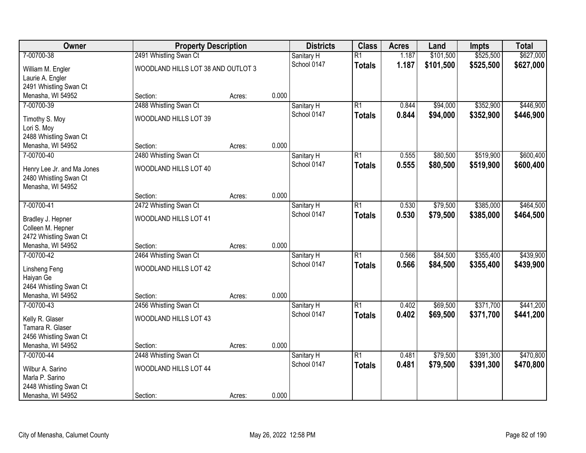| Owner                      | <b>Property Description</b>        |        |       | <b>Districts</b> | <b>Class</b>    | <b>Acres</b> | Land      | <b>Impts</b> | <b>Total</b> |
|----------------------------|------------------------------------|--------|-------|------------------|-----------------|--------------|-----------|--------------|--------------|
| 7-00700-38                 | 2491 Whistling Swan Ct             |        |       | Sanitary H       | $\overline{R1}$ | 1.187        | \$101,500 | \$525,500    | \$627,000    |
| William M. Engler          | WOODLAND HILLS LOT 38 AND OUTLOT 3 |        |       | School 0147      | <b>Totals</b>   | 1.187        | \$101,500 | \$525,500    | \$627,000    |
| Laurie A. Engler           |                                    |        |       |                  |                 |              |           |              |              |
| 2491 Whistling Swan Ct     |                                    |        |       |                  |                 |              |           |              |              |
| Menasha, WI 54952          | Section:                           | Acres: | 0.000 |                  |                 |              |           |              |              |
| 7-00700-39                 | 2488 Whistling Swan Ct             |        |       | Sanitary H       | $\overline{R1}$ | 0.844        | \$94,000  | \$352,900    | \$446,900    |
| Timothy S. Moy             | WOODLAND HILLS LOT 39              |        |       | School 0147      | <b>Totals</b>   | 0.844        | \$94,000  | \$352,900    | \$446,900    |
| Lori S. Moy                |                                    |        |       |                  |                 |              |           |              |              |
| 2488 Whistling Swan Ct     |                                    |        |       |                  |                 |              |           |              |              |
| Menasha, WI 54952          | Section:                           | Acres: | 0.000 |                  |                 |              |           |              |              |
| 7-00700-40                 | 2480 Whistling Swan Ct             |        |       | Sanitary H       | $\overline{R1}$ | 0.555        | \$80,500  | \$519,900    | \$600,400    |
| Henry Lee Jr. and Ma Jones | WOODLAND HILLS LOT 40              |        |       | School 0147      | <b>Totals</b>   | 0.555        | \$80,500  | \$519,900    | \$600,400    |
| 2480 Whistling Swan Ct     |                                    |        |       |                  |                 |              |           |              |              |
| Menasha, WI 54952          |                                    |        |       |                  |                 |              |           |              |              |
|                            | Section:                           | Acres: | 0.000 |                  |                 |              |           |              |              |
| 7-00700-41                 | 2472 Whistling Swan Ct             |        |       | Sanitary H       | $\overline{R1}$ | 0.530        | \$79,500  | \$385,000    | \$464,500    |
| Bradley J. Hepner          | WOODLAND HILLS LOT 41              |        |       | School 0147      | <b>Totals</b>   | 0.530        | \$79,500  | \$385,000    | \$464,500    |
| Colleen M. Hepner          |                                    |        |       |                  |                 |              |           |              |              |
| 2472 Whistling Swan Ct     |                                    |        |       |                  |                 |              |           |              |              |
| Menasha, WI 54952          | Section:                           | Acres: | 0.000 |                  |                 |              |           |              |              |
| 7-00700-42                 | 2464 Whistling Swan Ct             |        |       | Sanitary H       | $\overline{R1}$ | 0.566        | \$84,500  | \$355,400    | \$439,900    |
| Linsheng Feng              | WOODLAND HILLS LOT 42              |        |       | School 0147      | <b>Totals</b>   | 0.566        | \$84,500  | \$355,400    | \$439,900    |
| Haiyan Ge                  |                                    |        |       |                  |                 |              |           |              |              |
| 2464 Whistling Swan Ct     |                                    |        |       |                  |                 |              |           |              |              |
| Menasha, WI 54952          | Section:                           | Acres: | 0.000 |                  |                 |              |           |              |              |
| 7-00700-43                 | 2456 Whistling Swan Ct             |        |       | Sanitary H       | $\overline{R1}$ | 0.402        | \$69,500  | \$371,700    | \$441,200    |
| Kelly R. Glaser            | WOODLAND HILLS LOT 43              |        |       | School 0147      | <b>Totals</b>   | 0.402        | \$69,500  | \$371,700    | \$441,200    |
| Tamara R. Glaser           |                                    |        |       |                  |                 |              |           |              |              |
| 2456 Whistling Swan Ct     |                                    |        |       |                  |                 |              |           |              |              |
| Menasha, WI 54952          | Section:                           | Acres: | 0.000 |                  |                 |              |           |              |              |
| 7-00700-44                 | 2448 Whistling Swan Ct             |        |       | Sanitary H       | $\overline{R1}$ | 0.481        | \$79,500  | \$391,300    | \$470,800    |
| Wilbur A. Sarino           | WOODLAND HILLS LOT 44              |        |       | School 0147      | <b>Totals</b>   | 0.481        | \$79,500  | \$391,300    | \$470,800    |
| Marla P. Sarino            |                                    |        |       |                  |                 |              |           |              |              |
| 2448 Whistling Swan Ct     |                                    |        |       |                  |                 |              |           |              |              |
| Menasha, WI 54952          | Section:                           | Acres: | 0.000 |                  |                 |              |           |              |              |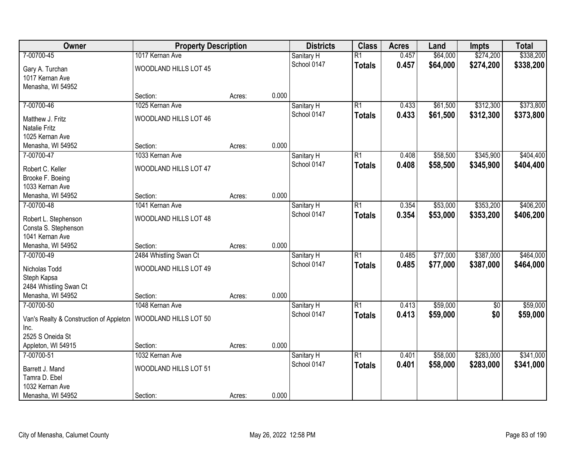| Owner                                   | <b>Property Description</b> |        |       | <b>Districts</b> | <b>Class</b>    | <b>Acres</b> | Land     | <b>Impts</b> | <b>Total</b> |
|-----------------------------------------|-----------------------------|--------|-------|------------------|-----------------|--------------|----------|--------------|--------------|
| 7-00700-45                              | 1017 Kernan Ave             |        |       | Sanitary H       | $\overline{R1}$ | 0.457        | \$64,000 | \$274,200    | \$338,200    |
| Gary A. Turchan                         | WOODLAND HILLS LOT 45       |        |       | School 0147      | <b>Totals</b>   | 0.457        | \$64,000 | \$274,200    | \$338,200    |
| 1017 Kernan Ave<br>Menasha, WI 54952    |                             |        |       |                  |                 |              |          |              |              |
|                                         | Section:                    | Acres: | 0.000 |                  |                 |              |          |              |              |
| 7-00700-46                              | 1025 Kernan Ave             |        |       | Sanitary H       | $\overline{R1}$ | 0.433        | \$61,500 | \$312,300    | \$373,800    |
|                                         |                             |        |       | School 0147      | <b>Totals</b>   | 0.433        | \$61,500 | \$312,300    | \$373,800    |
| Matthew J. Fritz                        | WOODLAND HILLS LOT 46       |        |       |                  |                 |              |          |              |              |
| <b>Natalie Fritz</b><br>1025 Kernan Ave |                             |        |       |                  |                 |              |          |              |              |
| Menasha, WI 54952                       | Section:                    | Acres: | 0.000 |                  |                 |              |          |              |              |
| 7-00700-47                              | 1033 Kernan Ave             |        |       | Sanitary H       | $\overline{R1}$ | 0.408        | \$58,500 | \$345,900    | \$404,400    |
|                                         |                             |        |       | School 0147      | <b>Totals</b>   | 0.408        | \$58,500 | \$345,900    | \$404,400    |
| Robert C. Keller                        | WOODLAND HILLS LOT 47       |        |       |                  |                 |              |          |              |              |
| Brooke F. Boeing                        |                             |        |       |                  |                 |              |          |              |              |
| 1033 Kernan Ave                         |                             |        |       |                  |                 |              |          |              |              |
| Menasha, WI 54952                       | Section:                    | Acres: | 0.000 |                  |                 |              |          |              |              |
| 7-00700-48                              | 1041 Kernan Ave             |        |       | Sanitary H       | $\overline{R1}$ | 0.354        | \$53,000 | \$353,200    | \$406,200    |
| Robert L. Stephenson                    | WOODLAND HILLS LOT 48       |        |       | School 0147      | <b>Totals</b>   | 0.354        | \$53,000 | \$353,200    | \$406,200    |
| Consta S. Stephenson                    |                             |        |       |                  |                 |              |          |              |              |
| 1041 Kernan Ave                         |                             |        |       |                  |                 |              |          |              |              |
| Menasha, WI 54952                       | Section:                    | Acres: | 0.000 |                  |                 |              |          |              |              |
| 7-00700-49                              | 2484 Whistling Swan Ct      |        |       | Sanitary H       | $\overline{R1}$ | 0.485        | \$77,000 | \$387,000    | \$464,000    |
| Nicholas Todd                           | WOODLAND HILLS LOT 49       |        |       | School 0147      | <b>Totals</b>   | 0.485        | \$77,000 | \$387,000    | \$464,000    |
| Steph Kapsa                             |                             |        |       |                  |                 |              |          |              |              |
| 2484 Whistling Swan Ct                  |                             |        |       |                  |                 |              |          |              |              |
| Menasha, WI 54952                       | Section:                    | Acres: | 0.000 |                  |                 |              |          |              |              |
| 7-00700-50                              | 1048 Kernan Ave             |        |       | Sanitary H       | $\overline{R1}$ | 0.413        | \$59,000 | $\sqrt{6}$   | \$59,000     |
|                                         |                             |        |       | School 0147      | <b>Totals</b>   | 0.413        | \$59,000 | \$0          | \$59,000     |
| Van's Realty & Construction of Appleton | WOODLAND HILLS LOT 50       |        |       |                  |                 |              |          |              |              |
| Inc.                                    |                             |        |       |                  |                 |              |          |              |              |
| 2525 S Oneida St                        |                             |        |       |                  |                 |              |          |              |              |
| Appleton, WI 54915                      | Section:                    | Acres: | 0.000 |                  |                 |              |          |              |              |
| 7-00700-51                              | 1032 Kernan Ave             |        |       | Sanitary H       | $\overline{R1}$ | 0.401        | \$58,000 | \$283,000    | \$341,000    |
| Barrett J. Mand                         | WOODLAND HILLS LOT 51       |        |       | School 0147      | <b>Totals</b>   | 0.401        | \$58,000 | \$283,000    | \$341,000    |
| Tamra D. Ebel                           |                             |        |       |                  |                 |              |          |              |              |
| 1032 Kernan Ave                         |                             |        |       |                  |                 |              |          |              |              |
| Menasha, WI 54952                       | Section:                    | Acres: | 0.000 |                  |                 |              |          |              |              |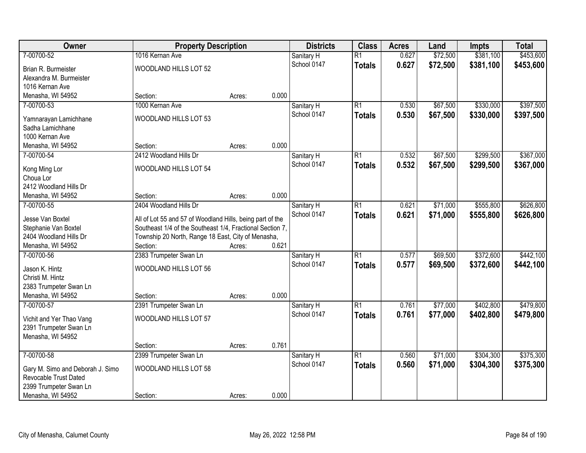| Owner                                                     | <b>Property Description</b>                               |        |       | <b>Districts</b>          | <b>Class</b>    | <b>Acres</b> | Land     | <b>Impts</b> | <b>Total</b> |
|-----------------------------------------------------------|-----------------------------------------------------------|--------|-------|---------------------------|-----------------|--------------|----------|--------------|--------------|
| 7-00700-52                                                | 1016 Kernan Ave                                           |        |       | Sanitary H                | $\overline{R1}$ | 0.627        | \$72,500 | \$381,100    | \$453,600    |
| Brian R. Burmeister                                       | WOODLAND HILLS LOT 52                                     |        |       | School 0147               | <b>Totals</b>   | 0.627        | \$72,500 | \$381,100    | \$453,600    |
| Alexandra M. Burmeister                                   |                                                           |        |       |                           |                 |              |          |              |              |
| 1016 Kernan Ave                                           |                                                           |        |       |                           |                 |              |          |              |              |
| Menasha, WI 54952                                         | Section:                                                  | Acres: | 0.000 |                           |                 |              |          |              |              |
| 7-00700-53                                                | 1000 Kernan Ave                                           |        |       | Sanitary H                | $\overline{R1}$ | 0.530        | \$67,500 | \$330,000    | \$397,500    |
|                                                           |                                                           |        |       | School 0147               | <b>Totals</b>   | 0.530        | \$67,500 | \$330,000    | \$397,500    |
| Yamnarayan Lamichhane<br>Sadha Lamichhane                 | WOODLAND HILLS LOT 53                                     |        |       |                           |                 |              |          |              |              |
| 1000 Kernan Ave                                           |                                                           |        |       |                           |                 |              |          |              |              |
| Menasha, WI 54952                                         | Section:                                                  | Acres: | 0.000 |                           |                 |              |          |              |              |
| 7-00700-54                                                | 2412 Woodland Hills Dr                                    |        |       |                           | $\overline{R1}$ | 0.532        | \$67,500 | \$299,500    | \$367,000    |
|                                                           |                                                           |        |       | Sanitary H<br>School 0147 |                 |              |          |              |              |
| Kong Ming Lor                                             | WOODLAND HILLS LOT 54                                     |        |       |                           | <b>Totals</b>   | 0.532        | \$67,500 | \$299,500    | \$367,000    |
| Choua Lor                                                 |                                                           |        |       |                           |                 |              |          |              |              |
| 2412 Woodland Hills Dr                                    |                                                           |        |       |                           |                 |              |          |              |              |
| Menasha, WI 54952                                         | Section:                                                  | Acres: | 0.000 |                           |                 |              |          |              |              |
| 7-00700-55                                                | 2404 Woodland Hills Dr                                    |        |       | Sanitary H                | $\overline{R1}$ | 0.621        | \$71,000 | \$555,800    | \$626,800    |
| Jesse Van Boxtel                                          | All of Lot 55 and 57 of Woodland Hills, being part of the |        |       | School 0147               | <b>Totals</b>   | 0.621        | \$71,000 | \$555,800    | \$626,800    |
| Stephanie Van Boxtel                                      | Southeast 1/4 of the Southeast 1/4, Fractional Section 7, |        |       |                           |                 |              |          |              |              |
| 2404 Woodland Hills Dr                                    | Township 20 North, Range 18 East, City of Menasha,        |        |       |                           |                 |              |          |              |              |
| Menasha, WI 54952                                         | Section:                                                  | Acres: | 0.621 |                           |                 |              |          |              |              |
| 7-00700-56                                                | 2383 Trumpeter Swan Ln                                    |        |       | Sanitary H                | $\overline{R1}$ | 0.577        | \$69,500 | \$372,600    | \$442,100    |
|                                                           |                                                           |        |       | School 0147               | <b>Totals</b>   | 0.577        | \$69,500 | \$372,600    | \$442,100    |
| Jason K. Hintz                                            | WOODLAND HILLS LOT 56                                     |        |       |                           |                 |              |          |              |              |
| Christi M. Hintz                                          |                                                           |        |       |                           |                 |              |          |              |              |
| 2383 Trumpeter Swan Ln                                    |                                                           |        |       |                           |                 |              |          |              |              |
| Menasha, WI 54952                                         | Section:                                                  | Acres: | 0.000 |                           |                 |              |          |              |              |
| 7-00700-57                                                | 2391 Trumpeter Swan Ln                                    |        |       | Sanitary H                | $\overline{R1}$ | 0.761        | \$77,000 | \$402,800    | \$479,800    |
| Vichit and Yer Thao Vang                                  | WOODLAND HILLS LOT 57                                     |        |       | School 0147               | <b>Totals</b>   | 0.761        | \$77,000 | \$402,800    | \$479,800    |
| 2391 Trumpeter Swan Ln                                    |                                                           |        |       |                           |                 |              |          |              |              |
| Menasha, WI 54952                                         |                                                           |        |       |                           |                 |              |          |              |              |
|                                                           | Section:                                                  | Acres: | 0.761 |                           |                 |              |          |              |              |
| 7-00700-58                                                | 2399 Trumpeter Swan Ln                                    |        |       | Sanitary H                | $\overline{R1}$ | 0.560        | \$71,000 | \$304,300    | \$375,300    |
|                                                           |                                                           |        |       | School 0147               | <b>Totals</b>   | 0.560        | \$71,000 | \$304,300    | \$375,300    |
| Gary M. Simo and Deborah J. Simo<br>Revocable Trust Dated | WOODLAND HILLS LOT 58                                     |        |       |                           |                 |              |          |              |              |
| 2399 Trumpeter Swan Ln                                    |                                                           |        |       |                           |                 |              |          |              |              |
| Menasha, WI 54952                                         | Section:                                                  |        | 0.000 |                           |                 |              |          |              |              |
|                                                           |                                                           | Acres: |       |                           |                 |              |          |              |              |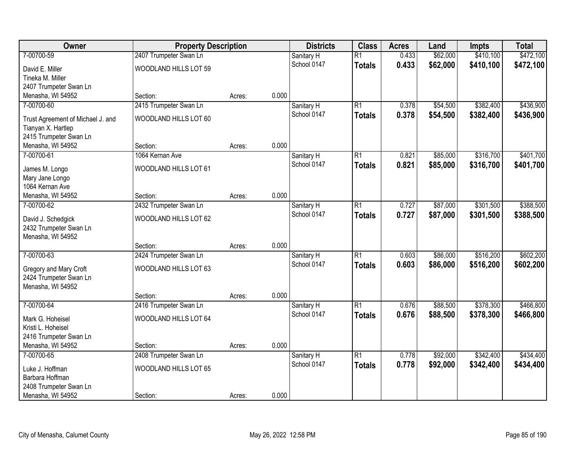| Owner                             | <b>Property Description</b> |        |       | <b>Districts</b> | <b>Class</b>    | <b>Acres</b> | Land     | <b>Impts</b> | <b>Total</b> |
|-----------------------------------|-----------------------------|--------|-------|------------------|-----------------|--------------|----------|--------------|--------------|
| 7-00700-59                        | 2407 Trumpeter Swan Ln      |        |       | Sanitary H       | $\overline{R1}$ | 0.433        | \$62,000 | \$410,100    | \$472,100    |
| David E. Miller                   | WOODLAND HILLS LOT 59       |        |       | School 0147      | <b>Totals</b>   | 0.433        | \$62,000 | \$410,100    | \$472,100    |
| Tineka M. Miller                  |                             |        |       |                  |                 |              |          |              |              |
| 2407 Trumpeter Swan Ln            |                             |        |       |                  |                 |              |          |              |              |
| Menasha, WI 54952                 | Section:                    | Acres: | 0.000 |                  |                 |              |          |              |              |
| 7-00700-60                        | 2415 Trumpeter Swan Ln      |        |       | Sanitary H       | $\overline{R1}$ | 0.378        | \$54,500 | \$382,400    | \$436,900    |
| Trust Agreement of Michael J. and | WOODLAND HILLS LOT 60       |        |       | School 0147      | <b>Totals</b>   | 0.378        | \$54,500 | \$382,400    | \$436,900    |
| Tianyan X. Hartlep                |                             |        |       |                  |                 |              |          |              |              |
| 2415 Trumpeter Swan Ln            |                             |        |       |                  |                 |              |          |              |              |
| Menasha, WI 54952                 | Section:                    | Acres: | 0.000 |                  |                 |              |          |              |              |
| 7-00700-61                        | 1064 Kernan Ave             |        |       | Sanitary H       | $\overline{R1}$ | 0.821        | \$85,000 | \$316,700    | \$401,700    |
| James M. Longo                    | WOODLAND HILLS LOT 61       |        |       | School 0147      | <b>Totals</b>   | 0.821        | \$85,000 | \$316,700    | \$401,700    |
| Mary Jane Longo                   |                             |        |       |                  |                 |              |          |              |              |
| 1064 Kernan Ave                   |                             |        |       |                  |                 |              |          |              |              |
| Menasha, WI 54952                 | Section:                    | Acres: | 0.000 |                  |                 |              |          |              |              |
| 7-00700-62                        | 2432 Trumpeter Swan Ln      |        |       | Sanitary H       | $\overline{R1}$ | 0.727        | \$87,000 | \$301,500    | \$388,500    |
| David J. Schedgick                | WOODLAND HILLS LOT 62       |        |       | School 0147      | <b>Totals</b>   | 0.727        | \$87,000 | \$301,500    | \$388,500    |
| 2432 Trumpeter Swan Ln            |                             |        |       |                  |                 |              |          |              |              |
| Menasha, WI 54952                 |                             |        |       |                  |                 |              |          |              |              |
|                                   | Section:                    | Acres: | 0.000 |                  |                 |              |          |              |              |
| 7-00700-63                        | 2424 Trumpeter Swan Ln      |        |       | Sanitary H       | $\overline{R1}$ | 0.603        | \$86,000 | \$516,200    | \$602,200    |
| Gregory and Mary Croft            | WOODLAND HILLS LOT 63       |        |       | School 0147      | <b>Totals</b>   | 0.603        | \$86,000 | \$516,200    | \$602,200    |
| 2424 Trumpeter Swan Ln            |                             |        |       |                  |                 |              |          |              |              |
| Menasha, WI 54952                 |                             |        |       |                  |                 |              |          |              |              |
|                                   | Section:                    | Acres: | 0.000 |                  |                 |              |          |              |              |
| 7-00700-64                        | 2416 Trumpeter Swan Ln      |        |       | Sanitary H       | $\overline{R1}$ | 0.676        | \$88,500 | \$378,300    | \$466,800    |
| Mark G. Hoheisel                  | WOODLAND HILLS LOT 64       |        |       | School 0147      | <b>Totals</b>   | 0.676        | \$88,500 | \$378,300    | \$466,800    |
| Kristi L. Hoheisel                |                             |        |       |                  |                 |              |          |              |              |
| 2416 Trumpeter Swan Ln            |                             |        |       |                  |                 |              |          |              |              |
| Menasha, WI 54952                 | Section:                    | Acres: | 0.000 |                  |                 |              |          |              |              |
| 7-00700-65                        | 2408 Trumpeter Swan Ln      |        |       | Sanitary H       | $\overline{R1}$ | 0.778        | \$92,000 | \$342,400    | \$434,400    |
| Luke J. Hoffman                   | WOODLAND HILLS LOT 65       |        |       | School 0147      | <b>Totals</b>   | 0.778        | \$92,000 | \$342,400    | \$434,400    |
| Barbara Hoffman                   |                             |        |       |                  |                 |              |          |              |              |
| 2408 Trumpeter Swan Ln            |                             |        |       |                  |                 |              |          |              |              |
| Menasha, WI 54952                 | Section:                    | Acres: | 0.000 |                  |                 |              |          |              |              |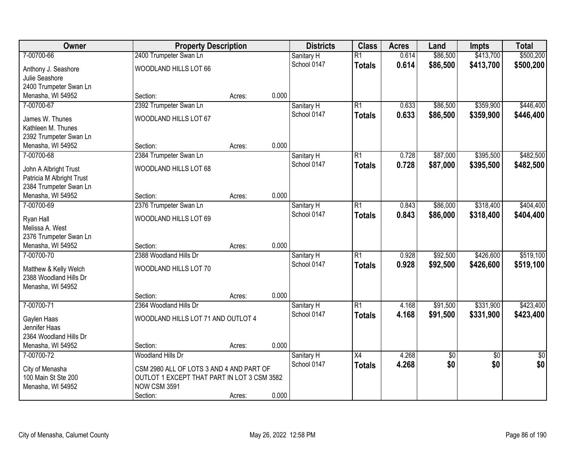| <b>Owner</b>                              | <b>Property Description</b>                 |        |       | <b>Districts</b>          | <b>Class</b>    | <b>Acres</b> | Land     | <b>Impts</b>    | <b>Total</b>    |
|-------------------------------------------|---------------------------------------------|--------|-------|---------------------------|-----------------|--------------|----------|-----------------|-----------------|
| 7-00700-66                                | 2400 Trumpeter Swan Ln                      |        |       | Sanitary H                | $\overline{R1}$ | 0.614        | \$86,500 | \$413,700       | \$500,200       |
| Anthony J. Seashore                       | WOODLAND HILLS LOT 66                       |        |       | School 0147               | <b>Totals</b>   | 0.614        | \$86,500 | \$413,700       | \$500,200       |
| Julie Seashore                            |                                             |        |       |                           |                 |              |          |                 |                 |
| 2400 Trumpeter Swan Ln                    |                                             |        |       |                           |                 |              |          |                 |                 |
| Menasha, WI 54952                         | Section:                                    | Acres: | 0.000 |                           |                 |              |          |                 |                 |
| 7-00700-67                                | 2392 Trumpeter Swan Ln                      |        |       | Sanitary H                | $\overline{R1}$ | 0.633        | \$86,500 | \$359,900       | \$446,400       |
| James W. Thunes                           | WOODLAND HILLS LOT 67                       |        |       | School 0147               | <b>Totals</b>   | 0.633        | \$86,500 | \$359,900       | \$446,400       |
| Kathleen M. Thunes                        |                                             |        |       |                           |                 |              |          |                 |                 |
| 2392 Trumpeter Swan Ln                    |                                             |        |       |                           |                 |              |          |                 |                 |
| Menasha, WI 54952                         | Section:                                    | Acres: | 0.000 |                           |                 |              |          |                 |                 |
| 7-00700-68                                | 2384 Trumpeter Swan Ln                      |        |       | Sanitary H                | $\overline{R1}$ | 0.728        | \$87,000 | \$395,500       | \$482,500       |
| John A Albright Trust                     | WOODLAND HILLS LOT 68                       |        |       | School 0147               | <b>Totals</b>   | 0.728        | \$87,000 | \$395,500       | \$482,500       |
| Patricia M Albright Trust                 |                                             |        |       |                           |                 |              |          |                 |                 |
| 2384 Trumpeter Swan Ln                    |                                             |        |       |                           |                 |              |          |                 |                 |
| Menasha, WI 54952                         | Section:                                    | Acres: | 0.000 |                           |                 |              |          |                 |                 |
| 7-00700-69                                | 2376 Trumpeter Swan Ln                      |        |       | Sanitary H                | $\overline{R1}$ | 0.843        | \$86,000 | \$318,400       | \$404,400       |
|                                           |                                             |        |       | School 0147               | <b>Totals</b>   | 0.843        | \$86,000 | \$318,400       | \$404,400       |
| Ryan Hall                                 | WOODLAND HILLS LOT 69                       |        |       |                           |                 |              |          |                 |                 |
| Melissa A. West<br>2376 Trumpeter Swan Ln |                                             |        |       |                           |                 |              |          |                 |                 |
| Menasha, WI 54952                         | Section:                                    | Acres: | 0.000 |                           |                 |              |          |                 |                 |
| 7-00700-70                                | 2388 Woodland Hills Dr                      |        |       | Sanitary H                | $\overline{R1}$ | 0.928        | \$92,500 | \$426,600       | \$519,100       |
|                                           |                                             |        |       | School 0147               | <b>Totals</b>   | 0.928        | \$92,500 | \$426,600       | \$519,100       |
| Matthew & Kelly Welch                     | WOODLAND HILLS LOT 70                       |        |       |                           |                 |              |          |                 |                 |
| 2388 Woodland Hills Dr                    |                                             |        |       |                           |                 |              |          |                 |                 |
| Menasha, WI 54952                         |                                             |        |       |                           |                 |              |          |                 |                 |
|                                           | Section:                                    | Acres: | 0.000 |                           | $\overline{R1}$ |              |          |                 |                 |
| 7-00700-71                                | 2364 Woodland Hills Dr                      |        |       | Sanitary H<br>School 0147 |                 | 4.168        | \$91,500 | \$331,900       | \$423,400       |
| Gaylen Haas                               | WOODLAND HILLS LOT 71 AND OUTLOT 4          |        |       |                           | <b>Totals</b>   | 4.168        | \$91,500 | \$331,900       | \$423,400       |
| Jennifer Haas                             |                                             |        |       |                           |                 |              |          |                 |                 |
| 2364 Woodland Hills Dr                    |                                             |        |       |                           |                 |              |          |                 |                 |
| Menasha, WI 54952                         | Section:                                    | Acres: | 0.000 |                           |                 |              |          |                 |                 |
| 7-00700-72                                | Woodland Hills Dr                           |        |       | Sanitary H                | $\overline{X4}$ | 4.268        | \$0      | $\overline{30}$ | $\overline{50}$ |
| City of Menasha                           | CSM 2980 ALL OF LOTS 3 AND 4 AND PART OF    |        |       | School 0147               | <b>Totals</b>   | 4.268        | \$0      | \$0             | \$0             |
| 100 Main St Ste 200                       | OUTLOT 1 EXCEPT THAT PART IN LOT 3 CSM 3582 |        |       |                           |                 |              |          |                 |                 |
| Menasha, WI 54952                         | <b>NOW CSM 3591</b>                         |        |       |                           |                 |              |          |                 |                 |
|                                           | Section:                                    | Acres: | 0.000 |                           |                 |              |          |                 |                 |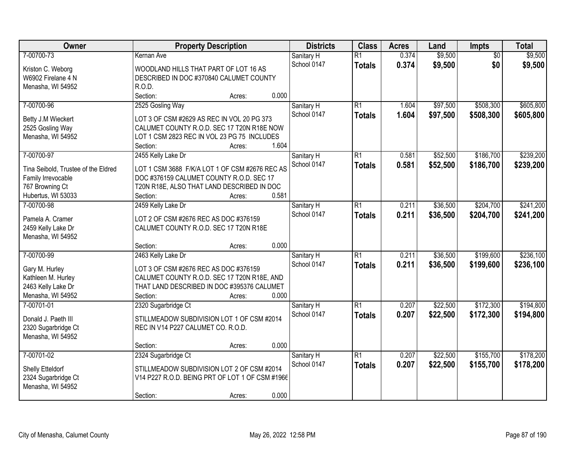| Owner                               | <b>Property Description</b>                     | <b>Districts</b> | <b>Class</b>    | <b>Acres</b> | Land     | Impts           | <b>Total</b> |
|-------------------------------------|-------------------------------------------------|------------------|-----------------|--------------|----------|-----------------|--------------|
| 7-00700-73                          | Kernan Ave                                      | Sanitary H       | $\overline{R1}$ | 0.374        | \$9,500  | $\overline{50}$ | \$9,500      |
| Kriston C. Weborg                   | WOODLAND HILLS THAT PART OF LOT 16 AS           | School 0147      | <b>Totals</b>   | 0.374        | \$9,500  | \$0             | \$9,500      |
| W6902 Firelane 4 N                  | DESCRIBED IN DOC #370840 CALUMET COUNTY         |                  |                 |              |          |                 |              |
| Menasha, WI 54952                   | R.O.D.                                          |                  |                 |              |          |                 |              |
|                                     | 0.000<br>Section:<br>Acres:                     |                  |                 |              |          |                 |              |
| 7-00700-96                          | 2525 Gosling Way                                | Sanitary H       | $\overline{R1}$ | 1.604        | \$97,500 | \$508,300       | \$605,800    |
| Betty J.M Wieckert                  | LOT 3 OF CSM #2629 AS REC IN VOL 20 PG 373      | School 0147      | <b>Totals</b>   | 1.604        | \$97,500 | \$508,300       | \$605,800    |
| 2525 Gosling Way                    | CALUMET COUNTY R.O.D. SEC 17 T20N R18E NOW      |                  |                 |              |          |                 |              |
| Menasha, WI 54952                   | LOT 1 CSM 2823 REC IN VOL 23 PG 75 INCLUDES     |                  |                 |              |          |                 |              |
|                                     | 1.604<br>Section:<br>Acres:                     |                  |                 |              |          |                 |              |
| 7-00700-97                          | 2455 Kelly Lake Dr                              | Sanitary H       | $\overline{R1}$ | 0.581        | \$52,500 | \$186,700       | \$239,200    |
|                                     |                                                 | School 0147      | <b>Totals</b>   | 0.581        | \$52,500 | \$186,700       | \$239,200    |
| Tina Seibold, Trustee of the Eldred | LOT 1 CSM 3688 F/K/A LOT 1 OF CSM #2676 REC AS  |                  |                 |              |          |                 |              |
| Family Irrevocable                  | DOC #376159 CALUMET COUNTY R.O.D. SEC 17        |                  |                 |              |          |                 |              |
| 767 Browning Ct                     | T20N R18E, ALSO THAT LAND DESCRIBED IN DOC      |                  |                 |              |          |                 |              |
| Hubertus, WI 53033                  | 0.581<br>Section:<br>Acres:                     |                  |                 |              |          |                 |              |
| 7-00700-98                          | 2459 Kelly Lake Dr                              | Sanitary H       | $\overline{R1}$ | 0.211        | \$36,500 | \$204,700       | \$241,200    |
| Pamela A. Cramer                    | LOT 2 OF CSM #2676 REC AS DOC #376159           | School 0147      | <b>Totals</b>   | 0.211        | \$36,500 | \$204,700       | \$241,200    |
| 2459 Kelly Lake Dr                  | CALUMET COUNTY R.O.D. SEC 17 T20N R18E          |                  |                 |              |          |                 |              |
| Menasha, WI 54952                   |                                                 |                  |                 |              |          |                 |              |
|                                     | 0.000<br>Section:<br>Acres:                     |                  |                 |              |          |                 |              |
| 7-00700-99                          | 2463 Kelly Lake Dr                              | Sanitary H       | $\overline{R1}$ | 0.211        | \$36,500 | \$199,600       | \$236,100    |
| Gary M. Hurley                      | LOT 3 OF CSM #2676 REC AS DOC #376159           | School 0147      | <b>Totals</b>   | 0.211        | \$36,500 | \$199,600       | \$236,100    |
| Kathleen M. Hurley                  | CALUMET COUNTY R.O.D. SEC 17 T20N R18E, AND     |                  |                 |              |          |                 |              |
| 2463 Kelly Lake Dr                  | THAT LAND DESCRIBED IN DOC #395376 CALUMET      |                  |                 |              |          |                 |              |
| Menasha, WI 54952                   | 0.000<br>Section:<br>Acres:                     |                  |                 |              |          |                 |              |
| 7-00701-01                          | 2320 Sugarbridge Ct                             | Sanitary H       | $\overline{R1}$ | 0.207        | \$22,500 | \$172,300       | \$194,800    |
|                                     |                                                 | School 0147      | <b>Totals</b>   | 0.207        | \$22,500 | \$172,300       | \$194,800    |
| Donald J. Paeth III                 | STILLMEADOW SUBDIVISION LOT 1 OF CSM #2014      |                  |                 |              |          |                 |              |
| 2320 Sugarbridge Ct                 | REC IN V14 P227 CALUMET CO. R.O.D.              |                  |                 |              |          |                 |              |
| Menasha, WI 54952                   |                                                 |                  |                 |              |          |                 |              |
|                                     | 0.000<br>Section:<br>Acres:                     |                  |                 |              |          |                 |              |
| 7-00701-02                          | 2324 Sugarbridge Ct                             | Sanitary H       | $\overline{R1}$ | 0.207        | \$22,500 | \$155,700       | \$178,200    |
| Shelly Etteldorf                    | STILLMEADOW SUBDIVISION LOT 2 OF CSM #2014      | School 0147      | <b>Totals</b>   | 0.207        | \$22,500 | \$155,700       | \$178,200    |
| 2324 Sugarbridge Ct                 | V14 P227 R.O.D. BEING PRT OF LOT 1 OF CSM #1966 |                  |                 |              |          |                 |              |
| Menasha, WI 54952                   |                                                 |                  |                 |              |          |                 |              |
|                                     | 0.000<br>Section:<br>Acres:                     |                  |                 |              |          |                 |              |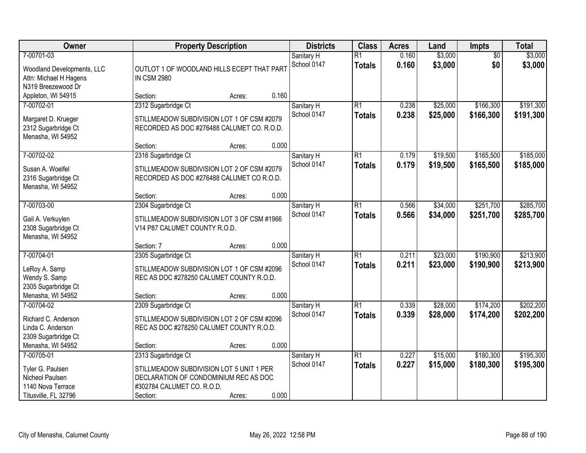| Owner                                                                                    |                                                                                                                             | <b>Property Description</b> |       | <b>Districts</b>          | <b>Class</b>                     | <b>Acres</b>   | Land                 | <b>Impts</b>           | <b>Total</b>           |
|------------------------------------------------------------------------------------------|-----------------------------------------------------------------------------------------------------------------------------|-----------------------------|-------|---------------------------|----------------------------------|----------------|----------------------|------------------------|------------------------|
| 7-00701-03<br>Woodland Developments, LLC<br>Attn: Michael H Hagens<br>N319 Breezewood Dr | OUTLOT 1 OF WOODLAND HILLS ECEPT THAT PART<br><b>IN CSM 2980</b>                                                            |                             |       | Sanitary H<br>School 0147 | $\overline{R1}$<br><b>Totals</b> | 0.160<br>0.160 | \$3,000<br>\$3,000   | $\overline{50}$<br>\$0 | \$3,000<br>\$3,000     |
| Appleton, WI 54915                                                                       | Section:                                                                                                                    | Acres:                      | 0.160 |                           |                                  |                |                      |                        |                        |
| 7-00702-01<br>Margaret D. Krueger<br>2312 Sugarbridge Ct<br>Menasha, WI 54952            | 2312 Sugarbridge Ct<br>STILLMEADOW SUBDIVISION LOT 1 OF CSM #2079<br>RECORDED AS DOC #276488 CALUMET CO. R.O.D.<br>Section: | Acres:                      | 0.000 | Sanitary H<br>School 0147 | R1<br><b>Totals</b>              | 0.238<br>0.238 | \$25,000<br>\$25,000 | \$166,300<br>\$166,300 | \$191,300<br>\$191,300 |
| 7-00702-02                                                                               | 2316 Sugarbridge Ct                                                                                                         |                             |       | Sanitary H                | R1                               | 0.179          | \$19,500             | \$165,500              | \$185,000              |
| Susan A. Woelfel<br>2316 Sugarbridge Ct<br>Menasha, WI 54952                             | STILLMEADOW SUBDIVISION LOT 2 OF CSM #2079<br>RECORDED AS DOC #276488 CALUMET CO R.O.D.                                     |                             |       | School 0147               | <b>Totals</b>                    | 0.179          | \$19,500             | \$165,500              | \$185,000              |
|                                                                                          | Section:                                                                                                                    | Acres:                      | 0.000 |                           |                                  |                |                      |                        |                        |
| 7-00703-00<br>Gail A. Verkuylen<br>2308 Sugarbridge Ct<br>Menasha, WI 54952              | 2304 Sugarbridge Ct<br>STILLMEADOW SUBDIVISION LOT 3 OF CSM #1966<br>V14 P87 CALUMET COUNTY R.O.D.                          |                             |       | Sanitary H<br>School 0147 | R1<br><b>Totals</b>              | 0.566<br>0.566 | \$34,000<br>\$34,000 | \$251,700<br>\$251,700 | \$285,700<br>\$285,700 |
|                                                                                          | Section: 7                                                                                                                  | Acres:                      | 0.000 |                           |                                  |                |                      |                        |                        |
| 7-00704-01<br>LeRoy A. Samp<br>Wendy S. Samp<br>2305 Sugarbridge Ct<br>Menasha, WI 54952 | 2305 Sugarbridge Ct<br>STILLMEADOW SUBDIVISION LOT 1 OF CSM #2096<br>REC AS DOC #278250 CALUMET COUNTY R.O.D.<br>Section:   | Acres:                      | 0.000 | Sanitary H<br>School 0147 | $\overline{R1}$<br><b>Totals</b> | 0.211<br>0.211 | \$23,000<br>\$23,000 | \$190,900<br>\$190,900 | \$213,900<br>\$213,900 |
| 7-00704-02                                                                               | 2309 Sugarbridge Ct                                                                                                         |                             |       | Sanitary H                | $\overline{R1}$                  | 0.339          | \$28,000             | \$174,200              | \$202,200              |
| Richard C. Anderson<br>Linda C. Anderson<br>2309 Sugarbridge Ct                          | STILLMEADOW SUBDIVISION LOT 2 OF CSM #2096<br>REC AS DOC #278250 CALUMET COUNTY R.O.D.                                      |                             | 0.000 | School 0147               | <b>Totals</b>                    | 0.339          | \$28,000             | \$174,200              | \$202,200              |
| Menasha, WI 54952<br>7-00705-01                                                          | Section:<br>2313 Sugarbridge Ct                                                                                             | Acres:                      |       | Sanitary H                | R1                               | 0.227          | \$15,000             | \$180,300              | \$195,300              |
| Tyler G. Paulsen<br>Nicheol Paulsen<br>1140 Nova Terrace<br>Titusville, FL 32796         | STILLMEADOW SUBDIVISION LOT 5 UNIT 1 PER<br>DECLARATION OF CONDOMINIUM REC AS DOC<br>#302784 CALUMET CO. R.O.D.<br>Section: | Acres:                      | 0.000 | School 0147               | <b>Totals</b>                    | 0.227          | \$15,000             | \$180,300              | \$195,300              |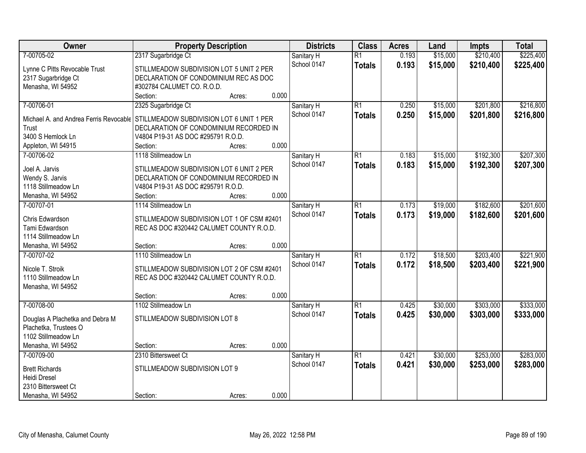| Owner                                    | <b>Property Description</b>                                                  |        |       | <b>Districts</b> | <b>Class</b>    | <b>Acres</b> | Land     | <b>Impts</b> | <b>Total</b> |
|------------------------------------------|------------------------------------------------------------------------------|--------|-------|------------------|-----------------|--------------|----------|--------------|--------------|
| 7-00705-02                               | 2317 Sugarbridge Ct                                                          |        |       | Sanitary H       | $\overline{R1}$ | 0.193        | \$15,000 | \$210,400    | \$225,400    |
| Lynne C Pitts Revocable Trust            | STILLMEADOW SUBDIVISION LOT 5 UNIT 2 PER                                     |        |       | School 0147      | <b>Totals</b>   | 0.193        | \$15,000 | \$210,400    | \$225,400    |
| 2317 Sugarbridge Ct                      | DECLARATION OF CONDOMINIUM REC AS DOC                                        |        |       |                  |                 |              |          |              |              |
| Menasha, WI 54952                        | #302784 CALUMET CO. R.O.D.                                                   |        |       |                  |                 |              |          |              |              |
|                                          | Section:                                                                     | Acres: | 0.000 |                  |                 |              |          |              |              |
| 7-00706-01                               | 2325 Sugarbridge Ct                                                          |        |       | Sanitary H       | $\overline{R1}$ | 0.250        | \$15,000 | \$201,800    | \$216,800    |
| Michael A. and Andrea Ferris Revocable   | STILLMEADOW SUBDIVISION LOT 6 UNIT 1 PER                                     |        |       | School 0147      | <b>Totals</b>   | 0.250        | \$15,000 | \$201,800    | \$216,800    |
| Trust                                    | DECLARATION OF CONDOMINIUM RECORDED IN                                       |        |       |                  |                 |              |          |              |              |
| 3400 S Hemlock Ln                        | V4804 P19-31 AS DOC #295791 R.O.D.                                           |        |       |                  |                 |              |          |              |              |
| Appleton, WI 54915                       | Section:                                                                     | Acres: | 0.000 |                  |                 |              |          |              |              |
| 7-00706-02                               | 1118 Stillmeadow Ln                                                          |        |       | Sanitary H       | $\overline{R1}$ | 0.183        | \$15,000 | \$192,300    | \$207,300    |
|                                          |                                                                              |        |       | School 0147      | <b>Totals</b>   | 0.183        | \$15,000 | \$192,300    | \$207,300    |
| Joel A. Jarvis                           | STILLMEADOW SUBDIVISION LOT 6 UNIT 2 PER                                     |        |       |                  |                 |              |          |              |              |
| Wendy S. Jarvis<br>1118 Stillmeadow Ln   | DECLARATION OF CONDOMINIUM RECORDED IN<br>V4804 P19-31 AS DOC #295791 R.O.D. |        |       |                  |                 |              |          |              |              |
| Menasha, WI 54952                        | Section:                                                                     | Acres: | 0.000 |                  |                 |              |          |              |              |
| 7-00707-01                               | 1114 Stillmeadow Ln                                                          |        |       | Sanitary H       | $\overline{R1}$ | 0.173        | \$19,000 | \$182,600    | \$201,600    |
|                                          |                                                                              |        |       | School 0147      | <b>Totals</b>   | 0.173        | \$19,000 | \$182,600    | \$201,600    |
| Chris Edwardson                          | STILLMEADOW SUBDIVISION LOT 1 OF CSM #2401                                   |        |       |                  |                 |              |          |              |              |
| Tami Edwardson                           | REC AS DOC #320442 CALUMET COUNTY R.O.D.                                     |        |       |                  |                 |              |          |              |              |
| 1114 Stillmeadow Ln                      |                                                                              |        |       |                  |                 |              |          |              |              |
| Menasha, WI 54952                        | Section:                                                                     | Acres: | 0.000 |                  |                 |              |          |              |              |
| 7-00707-02                               | 1110 Stillmeadow Ln                                                          |        |       | Sanitary H       | $\overline{R1}$ | 0.172        | \$18,500 | \$203,400    | \$221,900    |
| Nicole T. Stroik                         | STILLMEADOW SUBDIVISION LOT 2 OF CSM #2401                                   |        |       | School 0147      | <b>Totals</b>   | 0.172        | \$18,500 | \$203,400    | \$221,900    |
| 1110 Stillmeadow Ln                      | REC AS DOC #320442 CALUMET COUNTY R.O.D.                                     |        |       |                  |                 |              |          |              |              |
| Menasha, WI 54952                        |                                                                              |        |       |                  |                 |              |          |              |              |
|                                          | Section:                                                                     | Acres: | 0.000 |                  |                 |              |          |              |              |
| 7-00708-00                               | 1102 Stillmeadow Ln                                                          |        |       | Sanitary H       | $\overline{R1}$ | 0.425        | \$30,000 | \$303,000    | \$333,000    |
| Douglas A Plachetka and Debra M          | STILLMEADOW SUBDIVISION LOT 8                                                |        |       | School 0147      | <b>Totals</b>   | 0.425        | \$30,000 | \$303,000    | \$333,000    |
| Plachetka, Trustees O                    |                                                                              |        |       |                  |                 |              |          |              |              |
| 1102 Stillmeadow Ln                      |                                                                              |        |       |                  |                 |              |          |              |              |
| Menasha, WI 54952                        | Section:                                                                     | Acres: | 0.000 |                  |                 |              |          |              |              |
| 7-00709-00                               | 2310 Bittersweet Ct                                                          |        |       | Sanitary H       | $\overline{R1}$ | 0.421        | \$30,000 | \$253,000    | \$283,000    |
|                                          |                                                                              |        |       | School 0147      | <b>Totals</b>   | 0.421        | \$30,000 | \$253,000    | \$283,000    |
| <b>Brett Richards</b>                    | STILLMEADOW SUBDIVISION LOT 9                                                |        |       |                  |                 |              |          |              |              |
| <b>Heidi Dresel</b>                      |                                                                              |        |       |                  |                 |              |          |              |              |
| 2310 Bittersweet Ct<br>Menasha, WI 54952 |                                                                              |        | 0.000 |                  |                 |              |          |              |              |
|                                          | Section:                                                                     | Acres: |       |                  |                 |              |          |              |              |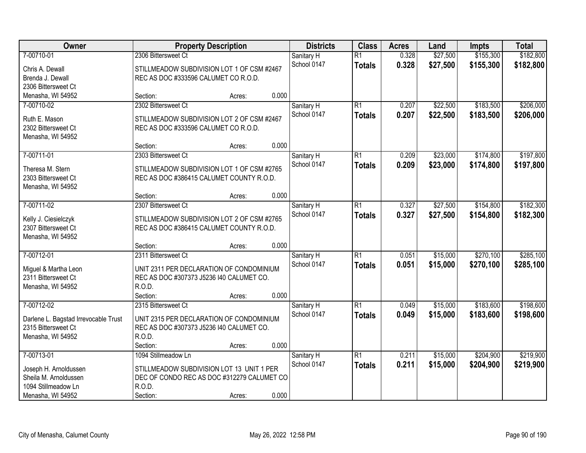| Owner                                       | <b>Property Description</b>                                                          |        |       | <b>Districts</b> | <b>Class</b>    | <b>Acres</b> | Land     | <b>Impts</b> | <b>Total</b> |
|---------------------------------------------|--------------------------------------------------------------------------------------|--------|-------|------------------|-----------------|--------------|----------|--------------|--------------|
| 7-00710-01                                  | 2306 Bittersweet Ct                                                                  |        |       | Sanitary H       | $\overline{R1}$ | 0.328        | \$27,500 | \$155,300    | \$182,800    |
| Chris A. Dewall                             | STILLMEADOW SUBDIVISION LOT 1 OF CSM #2467                                           |        |       | School 0147      | <b>Totals</b>   | 0.328        | \$27,500 | \$155,300    | \$182,800    |
| Brenda J. Dewall                            | REC AS DOC #333596 CALUMET CO R.O.D.                                                 |        |       |                  |                 |              |          |              |              |
| 2306 Bittersweet Ct                         |                                                                                      |        |       |                  |                 |              |          |              |              |
| Menasha, WI 54952                           | Section:                                                                             | Acres: | 0.000 |                  |                 |              |          |              |              |
| 7-00710-02                                  | 2302 Bittersweet Ct                                                                  |        |       | Sanitary H       | $\overline{R1}$ | 0.207        | \$22,500 | \$183,500    | \$206,000    |
| Ruth E. Mason                               | STILLMEADOW SUBDIVISION LOT 2 OF CSM #2467                                           |        |       | School 0147      | <b>Totals</b>   | 0.207        | \$22,500 | \$183,500    | \$206,000    |
| 2302 Bittersweet Ct                         | REC AS DOC #333596 CALUMET CO R.O.D.                                                 |        |       |                  |                 |              |          |              |              |
| Menasha, WI 54952                           |                                                                                      |        |       |                  |                 |              |          |              |              |
|                                             | Section:                                                                             | Acres: | 0.000 |                  |                 |              |          |              |              |
| 7-00711-01                                  | 2303 Bittersweet Ct                                                                  |        |       | Sanitary H       | $\overline{R1}$ | 0.209        | \$23,000 | \$174,800    | \$197,800    |
| Theresa M. Stern                            | STILLMEADOW SUBDIVISION LOT 1 OF CSM #2765                                           |        |       | School 0147      | <b>Totals</b>   | 0.209        | \$23,000 | \$174,800    | \$197,800    |
| 2303 Bittersweet Ct                         | REC AS DOC #386415 CALUMET COUNTY R.O.D.                                             |        |       |                  |                 |              |          |              |              |
| Menasha, WI 54952                           |                                                                                      |        |       |                  |                 |              |          |              |              |
|                                             | Section:                                                                             | Acres: | 0.000 |                  |                 |              |          |              |              |
| 7-00711-02                                  | 2307 Bittersweet Ct                                                                  |        |       | Sanitary H       | $\overline{R1}$ | 0.327        | \$27,500 | \$154,800    | \$182,300    |
|                                             | STILLMEADOW SUBDIVISION LOT 2 OF CSM #2765                                           |        |       | School 0147      | <b>Totals</b>   | 0.327        | \$27,500 | \$154,800    | \$182,300    |
| Kelly J. Ciesielczyk<br>2307 Bittersweet Ct | REC AS DOC #386415 CALUMET COUNTY R.O.D.                                             |        |       |                  |                 |              |          |              |              |
| Menasha, WI 54952                           |                                                                                      |        |       |                  |                 |              |          |              |              |
|                                             | Section:                                                                             | Acres: | 0.000 |                  |                 |              |          |              |              |
| 7-00712-01                                  | 2311 Bittersweet Ct                                                                  |        |       | Sanitary H       | $\overline{R1}$ | 0.051        | \$15,000 | \$270,100    | \$285,100    |
|                                             |                                                                                      |        |       | School 0147      | <b>Totals</b>   | 0.051        | \$15,000 | \$270,100    | \$285,100    |
| Miguel & Martha Leon<br>2311 Bittersweet Ct | UNIT 2311 PER DECLARATION OF CONDOMINIUM<br>REC AS DOC #307373 J5236 I40 CALUMET CO. |        |       |                  |                 |              |          |              |              |
| Menasha, WI 54952                           | R.O.D.                                                                               |        |       |                  |                 |              |          |              |              |
|                                             | Section:                                                                             | Acres: | 0.000 |                  |                 |              |          |              |              |
| 7-00712-02                                  | 2315 Bittersweet Ct                                                                  |        |       | Sanitary H       | $\overline{R1}$ | 0.049        | \$15,000 | \$183,600    | \$198,600    |
|                                             |                                                                                      |        |       | School 0147      | <b>Totals</b>   | 0.049        | \$15,000 | \$183,600    | \$198,600    |
| Darlene L. Bagstad Irrevocable Trust        | UNIT 2315 PER DECLARATION OF CONDOMINIUM                                             |        |       |                  |                 |              |          |              |              |
| 2315 Bittersweet Ct<br>Menasha, WI 54952    | REC AS DOC #307373 J5236 I40 CALUMET CO.<br>R.O.D.                                   |        |       |                  |                 |              |          |              |              |
|                                             | Section:                                                                             | Acres: | 0.000 |                  |                 |              |          |              |              |
| 7-00713-01                                  | 1094 Stillmeadow Ln                                                                  |        |       | Sanitary H       | $\overline{R1}$ | 0.211        | \$15,000 | \$204,900    | \$219,900    |
|                                             |                                                                                      |        |       | School 0147      | <b>Totals</b>   | 0.211        | \$15,000 | \$204,900    | \$219,900    |
| Joseph H. Arnoldussen                       | STILLMEADOW SUBDIVISION LOT 13 UNIT 1 PER                                            |        |       |                  |                 |              |          |              |              |
| Sheila M. Arnoldussen                       | DEC OF CONDO REC AS DOC #312279 CALUMET CO                                           |        |       |                  |                 |              |          |              |              |
| 1094 Stillmeadow Ln                         | R.O.D.                                                                               |        | 0.000 |                  |                 |              |          |              |              |
| Menasha, WI 54952                           | Section:                                                                             | Acres: |       |                  |                 |              |          |              |              |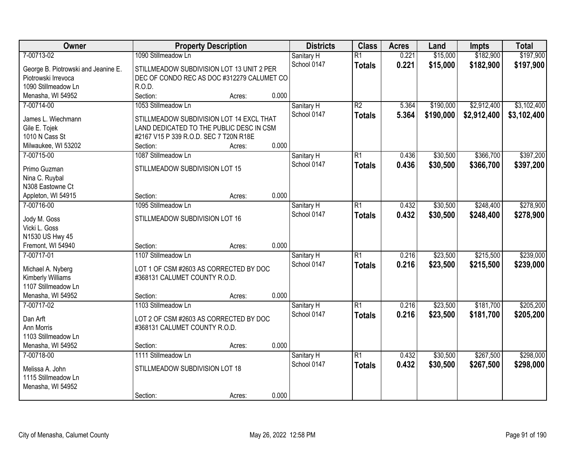| Owner                               | <b>Property Description</b>                                             |        |       | <b>Districts</b> | <b>Class</b>    | <b>Acres</b> | Land      | <b>Impts</b> | <b>Total</b> |
|-------------------------------------|-------------------------------------------------------------------------|--------|-------|------------------|-----------------|--------------|-----------|--------------|--------------|
| 7-00713-02                          | 1090 Stillmeadow Ln                                                     |        |       | Sanitary H       | $\overline{R1}$ | 0.221        | \$15,000  | \$182,900    | \$197,900    |
| George B. Piotrowski and Jeanine E. | STILLMEADOW SUBDIVISION LOT 13 UNIT 2 PER                               |        |       | School 0147      | <b>Totals</b>   | 0.221        | \$15,000  | \$182,900    | \$197,900    |
| Piotrowski Irrevoca                 | DEC OF CONDO REC AS DOC #312279 CALUMET CO                              |        |       |                  |                 |              |           |              |              |
| 1090 Stillmeadow Ln                 | R.O.D.                                                                  |        |       |                  |                 |              |           |              |              |
| Menasha, WI 54952                   | Section:                                                                | Acres: | 0.000 |                  |                 |              |           |              |              |
| 7-00714-00                          | 1053 Stillmeadow Ln                                                     |        |       | Sanitary H       | $\overline{R2}$ | 5.364        | \$190,000 | \$2,912,400  | \$3,102,400  |
| James L. Wiechmann                  | STILLMEADOW SUBDIVISION LOT 14 EXCL THAT                                |        |       | School 0147      | <b>Totals</b>   | 5.364        | \$190,000 | \$2,912,400  | \$3,102,400  |
| Gile E. Tojek                       | LAND DEDICATED TO THE PUBLIC DESC IN CSM                                |        |       |                  |                 |              |           |              |              |
| 1010 N Cass St                      | #2167 V15 P 339 R.O.D. SEC 7 T20N R18E                                  |        |       |                  |                 |              |           |              |              |
| Milwaukee, WI 53202                 | Section:                                                                | Acres: | 0.000 |                  |                 |              |           |              |              |
| 7-00715-00                          | 1087 Stillmeadow Ln                                                     |        |       | Sanitary H       | $\overline{R1}$ | 0.436        | \$30,500  | \$366,700    | \$397,200    |
|                                     |                                                                         |        |       | School 0147      | <b>Totals</b>   | 0.436        | \$30,500  | \$366,700    | \$397,200    |
| Primo Guzman                        | STILLMEADOW SUBDIVISION LOT 15                                          |        |       |                  |                 |              |           |              |              |
| Nina C. Ruybal                      |                                                                         |        |       |                  |                 |              |           |              |              |
| N308 Eastowne Ct                    |                                                                         |        |       |                  |                 |              |           |              |              |
| Appleton, WI 54915                  | Section:                                                                | Acres: | 0.000 |                  |                 |              |           |              |              |
| 7-00716-00                          | 1095 Stillmeadow Ln                                                     |        |       | Sanitary H       | $\overline{R1}$ | 0.432        | \$30,500  | \$248,400    | \$278,900    |
| Jody M. Goss                        | STILLMEADOW SUBDIVISION LOT 16                                          |        |       | School 0147      | <b>Totals</b>   | 0.432        | \$30,500  | \$248,400    | \$278,900    |
| Vicki L. Goss                       |                                                                         |        |       |                  |                 |              |           |              |              |
| N1530 US Hwy 45                     |                                                                         |        |       |                  |                 |              |           |              |              |
| Fremont, WI 54940                   | Section:                                                                | Acres: | 0.000 |                  |                 |              |           |              |              |
| 7-00717-01                          | 1107 Stillmeadow Ln                                                     |        |       | Sanitary H       | $\overline{R1}$ | 0.216        | \$23,500  | \$215,500    | \$239,000    |
| Michael A. Nyberg                   | LOT 1 OF CSM #2603 AS CORRECTED BY DOC                                  |        |       | School 0147      | <b>Totals</b>   | 0.216        | \$23,500  | \$215,500    | \$239,000    |
| Kimberly Williams                   | #368131 CALUMET COUNTY R.O.D.                                           |        |       |                  |                 |              |           |              |              |
| 1107 Stillmeadow Ln                 |                                                                         |        |       |                  |                 |              |           |              |              |
| Menasha, WI 54952                   | Section:                                                                | Acres: | 0.000 |                  |                 |              |           |              |              |
| 7-00717-02                          | 1103 Stillmeadow Ln                                                     |        |       | Sanitary H       | $\overline{R1}$ | 0.216        | \$23,500  | \$181,700    | \$205,200    |
|                                     |                                                                         |        |       | School 0147      | <b>Totals</b>   | 0.216        | \$23,500  | \$181,700    | \$205,200    |
| Dan Arft<br>Ann Morris              | LOT 2 OF CSM #2603 AS CORRECTED BY DOC<br>#368131 CALUMET COUNTY R.O.D. |        |       |                  |                 |              |           |              |              |
| 1103 Stillmeadow Ln                 |                                                                         |        |       |                  |                 |              |           |              |              |
| Menasha, WI 54952                   | Section:                                                                | Acres: | 0.000 |                  |                 |              |           |              |              |
| 7-00718-00                          | 1111 Stillmeadow Ln                                                     |        |       | Sanitary H       | $\overline{R1}$ | 0.432        | \$30,500  | \$267,500    | \$298,000    |
|                                     |                                                                         |        |       | School 0147      |                 | 0.432        | \$30,500  | \$267,500    | \$298,000    |
| Melissa A. John                     | STILLMEADOW SUBDIVISION LOT 18                                          |        |       |                  | <b>Totals</b>   |              |           |              |              |
| 1115 Stillmeadow Ln                 |                                                                         |        |       |                  |                 |              |           |              |              |
| Menasha, WI 54952                   |                                                                         |        |       |                  |                 |              |           |              |              |
|                                     | Section:                                                                | Acres: | 0.000 |                  |                 |              |           |              |              |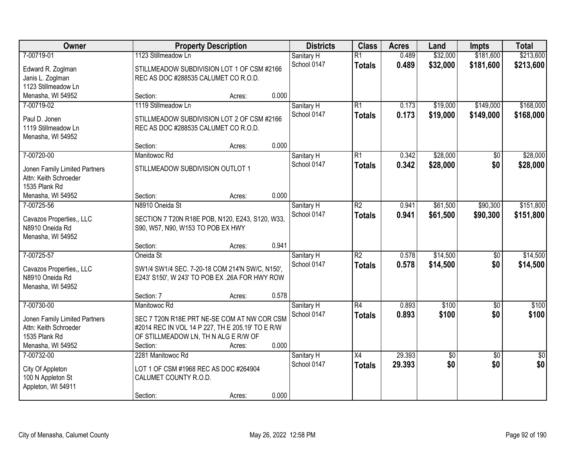| Owner                                                  |                                                                                                   | <b>Property Description</b> |       | <b>Districts</b> | <b>Class</b>    | <b>Acres</b> | Land        | <b>Impts</b>    | <b>Total</b>    |
|--------------------------------------------------------|---------------------------------------------------------------------------------------------------|-----------------------------|-------|------------------|-----------------|--------------|-------------|-----------------|-----------------|
| 7-00719-01                                             | 1123 Stillmeadow Ln                                                                               |                             |       | Sanitary H       | $\overline{R1}$ | 0.489        | \$32,000    | \$181,600       | \$213,600       |
| Edward R. Zoglman                                      | STILLMEADOW SUBDIVISION LOT 1 OF CSM #2166                                                        |                             |       | School 0147      | <b>Totals</b>   | 0.489        | \$32,000    | \$181,600       | \$213,600       |
| Janis L. Zoglman                                       | REC AS DOC #288535 CALUMET CO R.O.D.                                                              |                             |       |                  |                 |              |             |                 |                 |
| 1123 Stillmeadow Ln                                    |                                                                                                   |                             |       |                  |                 |              |             |                 |                 |
| Menasha, WI 54952                                      | Section:                                                                                          | Acres:                      | 0.000 |                  |                 |              |             |                 |                 |
| 7-00719-02                                             | 1119 Stillmeadow Ln                                                                               |                             |       | Sanitary H       | $\overline{R1}$ | 0.173        | \$19,000    | \$149,000       | \$168,000       |
| Paul D. Jonen                                          | STILLMEADOW SUBDIVISION LOT 2 OF CSM #2166                                                        |                             |       | School 0147      | <b>Totals</b>   | 0.173        | \$19,000    | \$149,000       | \$168,000       |
| 1119 Stillmeadow Ln                                    | REC AS DOC #288535 CALUMET CO R.O.D.                                                              |                             |       |                  |                 |              |             |                 |                 |
| Menasha, WI 54952                                      |                                                                                                   |                             |       |                  |                 |              |             |                 |                 |
|                                                        | Section:                                                                                          | Acres:                      | 0.000 |                  |                 |              |             |                 |                 |
| 7-00720-00                                             | Manitowoc Rd                                                                                      |                             |       | Sanitary H       | $\overline{R1}$ | 0.342        | \$28,000    | \$0             | \$28,000        |
| Jonen Family Limited Partners                          | STILLMEADOW SUBDIVISION OUTLOT 1                                                                  |                             |       | School 0147      | <b>Totals</b>   | 0.342        | \$28,000    | \$0             | \$28,000        |
| Attn: Keith Schroeder                                  |                                                                                                   |                             |       |                  |                 |              |             |                 |                 |
| 1535 Plank Rd                                          |                                                                                                   |                             |       |                  |                 |              |             |                 |                 |
| Menasha, WI 54952                                      | Section:                                                                                          | Acres:                      | 0.000 |                  |                 |              |             |                 |                 |
| 7-00725-56                                             | N8910 Oneida St                                                                                   |                             |       | Sanitary H       | $\overline{R2}$ | 0.941        | \$61,500    | \$90,300        | \$151,800       |
|                                                        |                                                                                                   |                             |       | School 0147      | <b>Totals</b>   | 0.941        | \$61,500    | \$90,300        | \$151,800       |
| Cavazos Properties,, LLC<br>N8910 Oneida Rd            | SECTION 7 T20N R18E POB, N120, E243, S120, W33,<br>S90, W57, N90, W153 TO POB EX HWY              |                             |       |                  |                 |              |             |                 |                 |
| Menasha, WI 54952                                      |                                                                                                   |                             |       |                  |                 |              |             |                 |                 |
|                                                        | Section:                                                                                          | Acres:                      | 0.941 |                  |                 |              |             |                 |                 |
| 7-00725-57                                             | Oneida St                                                                                         |                             |       | Sanitary H       | $\overline{R2}$ | 0.578        | \$14,500    | $\overline{50}$ | \$14,500        |
|                                                        |                                                                                                   |                             |       | School 0147      | <b>Totals</b>   | 0.578        | \$14,500    | \$0             | \$14,500        |
| Cavazos Properties,, LLC<br>N8910 Oneida Rd            | SW1/4 SW1/4 SEC. 7-20-18 COM 214'N SW/C, N150',<br>E243' S150', W 243' TO POB EX .26A FOR HWY ROW |                             |       |                  |                 |              |             |                 |                 |
| Menasha, WI 54952                                      |                                                                                                   |                             |       |                  |                 |              |             |                 |                 |
|                                                        | Section: 7                                                                                        | Acres:                      | 0.578 |                  |                 |              |             |                 |                 |
| 7-00730-00                                             | Manitowoc Rd                                                                                      |                             |       | Sanitary H       | $\overline{R4}$ | 0.893        | \$100       | $\overline{50}$ | \$100           |
|                                                        |                                                                                                   |                             |       | School 0147      | <b>Totals</b>   | 0.893        | \$100       | \$0             | \$100           |
| Jonen Family Limited Partners<br>Attn: Keith Schroeder | SEC 7 T20N R18E PRT NE-SE COM AT NW COR CSM                                                       |                             |       |                  |                 |              |             |                 |                 |
| 1535 Plank Rd                                          | #2014 REC IN VOL 14 P 227, TH E 205.19' TO E R/W<br>OF STILLMEADOW LN, TH N ALG E R/W OF          |                             |       |                  |                 |              |             |                 |                 |
| Menasha, WI 54952                                      | Section:                                                                                          | Acres:                      | 0.000 |                  |                 |              |             |                 |                 |
| 7-00732-00                                             | 2281 Manitowoc Rd                                                                                 |                             |       | Sanitary H       | $\overline{X4}$ | 29.393       | $\sqrt{50}$ | $\overline{50}$ | $\overline{50}$ |
|                                                        |                                                                                                   |                             |       | School 0147      | <b>Totals</b>   | 29.393       | \$0         | \$0             | \$0             |
| City Of Appleton                                       | LOT 1 OF CSM #1968 REC AS DOC #264904                                                             |                             |       |                  |                 |              |             |                 |                 |
| 100 N Appleton St                                      | CALUMET COUNTY R.O.D.                                                                             |                             |       |                  |                 |              |             |                 |                 |
| Appleton, WI 54911                                     | Section:                                                                                          | Acres:                      | 0.000 |                  |                 |              |             |                 |                 |
|                                                        |                                                                                                   |                             |       |                  |                 |              |             |                 |                 |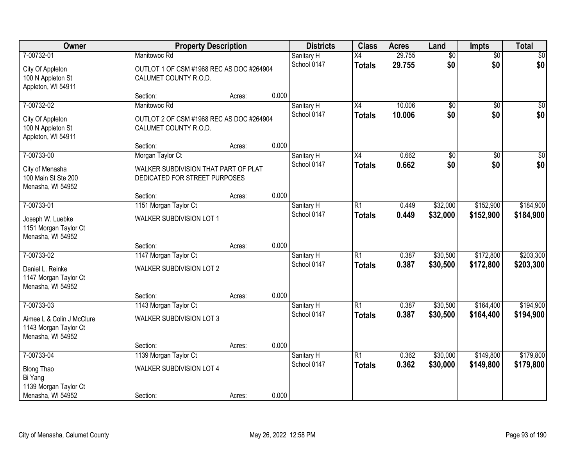| Owner                                                                                    | <b>Property Description</b>                                                       |        |       | <b>Districts</b>          | <b>Class</b>                     | <b>Acres</b>     | Land                   | <b>Impts</b>           | <b>Total</b>           |
|------------------------------------------------------------------------------------------|-----------------------------------------------------------------------------------|--------|-------|---------------------------|----------------------------------|------------------|------------------------|------------------------|------------------------|
| 7-00732-01<br>City Of Appleton<br>100 N Appleton St<br>Appleton, WI 54911                | Manitowoc Rd<br>OUTLOT 1 OF CSM #1968 REC AS DOC #264904<br>CALUMET COUNTY R.O.D. |        |       | Sanitary H<br>School 0147 | $\overline{X4}$<br><b>Totals</b> | 29.755<br>29.755 | $\overline{50}$<br>\$0 | $\overline{50}$<br>\$0 | $\sqrt{30}$<br>\$0     |
|                                                                                          | Section:                                                                          | Acres: | 0.000 |                           |                                  |                  |                        |                        |                        |
| 7-00732-02<br>City Of Appleton<br>100 N Appleton St<br>Appleton, WI 54911                | Manitowoc Rd<br>OUTLOT 2 OF CSM #1968 REC AS DOC #264904<br>CALUMET COUNTY R.O.D. |        |       | Sanitary H<br>School 0147 | $\overline{X4}$<br><b>Totals</b> | 10.006<br>10.006 | $\overline{50}$<br>\$0 | $\overline{50}$<br>\$0 | $\sqrt{50}$<br>\$0     |
| 7-00733-00                                                                               | Section:<br>Morgan Taylor Ct                                                      | Acres: | 0.000 | Sanitary H                | X4                               | 0.662            | $\overline{50}$        | \$0                    | $\overline{\$0}$       |
| City of Menasha<br>100 Main St Ste 200<br>Menasha, WI 54952                              | WALKER SUBDIVISION THAT PART OF PLAT<br>DEDICATED FOR STREET PURPOSES             |        |       | School 0147               | <b>Totals</b>                    | 0.662            | \$0                    | \$0                    | \$0                    |
|                                                                                          | Section:                                                                          | Acres: | 0.000 |                           |                                  |                  |                        |                        |                        |
| 7-00733-01<br>Joseph W. Luebke<br>1151 Morgan Taylor Ct<br>Menasha, WI 54952             | 1151 Morgan Taylor Ct<br>WALKER SUBDIVISION LOT 1                                 |        |       | Sanitary H<br>School 0147 | $\overline{R1}$<br><b>Totals</b> | 0.449<br>0.449   | \$32,000<br>\$32,000   | \$152,900<br>\$152,900 | \$184,900<br>\$184,900 |
|                                                                                          | Section:                                                                          | Acres: | 0.000 |                           |                                  |                  |                        |                        |                        |
| 7-00733-02<br>Daniel L. Reinke<br>1147 Morgan Taylor Ct<br>Menasha, WI 54952             | 1147 Morgan Taylor Ct<br><b>WALKER SUBDIVISION LOT 2</b><br>Section:              | Acres: | 0.000 | Sanitary H<br>School 0147 | $\overline{R1}$<br><b>Totals</b> | 0.387<br>0.387   | \$30,500<br>\$30,500   | \$172,800<br>\$172,800 | \$203,300<br>\$203,300 |
| 7-00733-03                                                                               | 1143 Morgan Taylor Ct                                                             |        |       | Sanitary H                | R1                               | 0.387            | \$30,500               | \$164,400              | \$194,900              |
| Aimee L & Colin J McClure<br>1143 Morgan Taylor Ct<br>Menasha, WI 54952                  | <b>WALKER SUBDIVISION LOT 3</b>                                                   |        |       | School 0147               | <b>Totals</b>                    | 0.387            | \$30,500               | \$164,400              | \$194,900              |
|                                                                                          | Section:                                                                          | Acres: | 0.000 |                           |                                  |                  |                        |                        |                        |
| 7-00733-04<br><b>Blong Thao</b><br>Bi Yang<br>1139 Morgan Taylor Ct<br>Menasha, WI 54952 | 1139 Morgan Taylor Ct<br>WALKER SUBDIVISION LOT 4<br>Section:                     | Acres: | 0.000 | Sanitary H<br>School 0147 | R1<br><b>Totals</b>              | 0.362<br>0.362   | \$30,000<br>\$30,000   | \$149,800<br>\$149,800 | \$179,800<br>\$179,800 |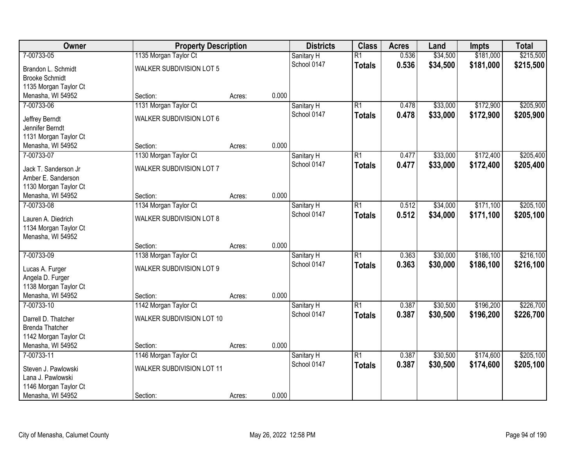| <b>Owner</b>                               | <b>Property Description</b>     |        |       | <b>Districts</b>          | <b>Class</b>    | <b>Acres</b> | Land     | <b>Impts</b> | <b>Total</b> |
|--------------------------------------------|---------------------------------|--------|-------|---------------------------|-----------------|--------------|----------|--------------|--------------|
| 7-00733-05                                 | 1135 Morgan Taylor Ct           |        |       | Sanitary H                | $\overline{R1}$ | 0.536        | \$34,500 | \$181,000    | \$215,500    |
| Brandon L. Schmidt                         | WALKER SUBDIVISION LOT 5        |        |       | School 0147               | <b>Totals</b>   | 0.536        | \$34,500 | \$181,000    | \$215,500    |
| <b>Brooke Schmidt</b>                      |                                 |        |       |                           |                 |              |          |              |              |
| 1135 Morgan Taylor Ct                      |                                 |        |       |                           |                 |              |          |              |              |
| Menasha, WI 54952                          | Section:                        | Acres: | 0.000 |                           |                 |              |          |              |              |
| 7-00733-06                                 | 1131 Morgan Taylor Ct           |        |       | Sanitary H                | $\overline{R1}$ | 0.478        | \$33,000 | \$172,900    | \$205,900    |
| Jeffrey Berndt                             | <b>WALKER SUBDIVISION LOT 6</b> |        |       | School 0147               | <b>Totals</b>   | 0.478        | \$33,000 | \$172,900    | \$205,900    |
| Jennifer Berndt                            |                                 |        |       |                           |                 |              |          |              |              |
| 1131 Morgan Taylor Ct                      |                                 |        |       |                           |                 |              |          |              |              |
| Menasha, WI 54952                          | Section:                        | Acres: | 0.000 |                           |                 |              |          |              |              |
| 7-00733-07                                 | 1130 Morgan Taylor Ct           |        |       | Sanitary H                | $\overline{R1}$ | 0.477        | \$33,000 | \$172,400    | \$205,400    |
|                                            | WALKER SUBDIVISION LOT 7        |        |       | School 0147               | <b>Totals</b>   | 0.477        | \$33,000 | \$172,400    | \$205,400    |
| Jack T. Sanderson Jr<br>Amber E. Sanderson |                                 |        |       |                           |                 |              |          |              |              |
| 1130 Morgan Taylor Ct                      |                                 |        |       |                           |                 |              |          |              |              |
| Menasha, WI 54952                          | Section:                        | Acres: | 0.000 |                           |                 |              |          |              |              |
| 7-00733-08                                 | 1134 Morgan Taylor Ct           |        |       | Sanitary H                | $\overline{R1}$ | 0.512        | \$34,000 | \$171,100    | \$205,100    |
|                                            |                                 |        |       | School 0147               | <b>Totals</b>   | 0.512        | \$34,000 | \$171,100    | \$205,100    |
| Lauren A. Diedrich                         | <b>WALKER SUBDIVISION LOT 8</b> |        |       |                           |                 |              |          |              |              |
| 1134 Morgan Taylor Ct                      |                                 |        |       |                           |                 |              |          |              |              |
| Menasha, WI 54952                          | Section:                        |        | 0.000 |                           |                 |              |          |              |              |
| 7-00733-09                                 | 1138 Morgan Taylor Ct           | Acres: |       |                           | $\overline{R1}$ | 0.363        | \$30,000 | \$186,100    | \$216,100    |
|                                            |                                 |        |       | Sanitary H<br>School 0147 |                 | 0.363        | \$30,000 | \$186,100    | \$216,100    |
| Lucas A. Furger                            | WALKER SUBDIVISION LOT 9        |        |       |                           | <b>Totals</b>   |              |          |              |              |
| Angela D. Furger                           |                                 |        |       |                           |                 |              |          |              |              |
| 1138 Morgan Taylor Ct                      |                                 |        |       |                           |                 |              |          |              |              |
| Menasha, WI 54952                          | Section:                        | Acres: | 0.000 |                           |                 |              |          |              |              |
| 7-00733-10                                 | 1142 Morgan Taylor Ct           |        |       | Sanitary H                | $\overline{R1}$ | 0.387        | \$30,500 | \$196,200    | \$226,700    |
| Darrell D. Thatcher                        | WALKER SUBDIVISION LOT 10       |        |       | School 0147               | <b>Totals</b>   | 0.387        | \$30,500 | \$196,200    | \$226,700    |
| <b>Brenda Thatcher</b>                     |                                 |        |       |                           |                 |              |          |              |              |
| 1142 Morgan Taylor Ct                      |                                 |        |       |                           |                 |              |          |              |              |
| Menasha, WI 54952                          | Section:                        | Acres: | 0.000 |                           |                 |              |          |              |              |
| 7-00733-11                                 | 1146 Morgan Taylor Ct           |        |       | Sanitary H                | $\overline{R1}$ | 0.387        | \$30,500 | \$174,600    | \$205,100    |
| Steven J. Pawlowski                        | WALKER SUBDIVISION LOT 11       |        |       | School 0147               | <b>Totals</b>   | 0.387        | \$30,500 | \$174,600    | \$205,100    |
| Lana J. Pawlowski                          |                                 |        |       |                           |                 |              |          |              |              |
| 1146 Morgan Taylor Ct                      |                                 |        |       |                           |                 |              |          |              |              |
| Menasha, WI 54952                          | Section:                        | Acres: | 0.000 |                           |                 |              |          |              |              |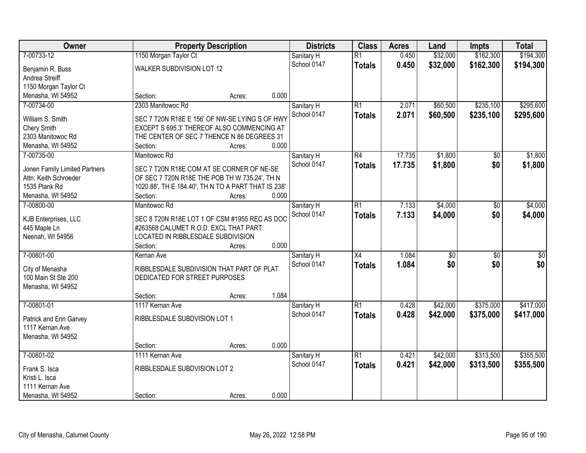| Owner                         |                                                     | <b>Property Description</b> |             | <b>Districts</b> | <b>Class</b>    | <b>Acres</b> | Land            | <b>Impts</b>    | <b>Total</b>    |
|-------------------------------|-----------------------------------------------------|-----------------------------|-------------|------------------|-----------------|--------------|-----------------|-----------------|-----------------|
| 7-00733-12                    | 1150 Morgan Taylor Ct                               |                             | Sanitary H  |                  | $\overline{R1}$ | 0.450        | \$32,000        | \$162,300       | \$194,300       |
| Benjamin R. Buss              | WALKER SUBDIVISION LOT 12                           |                             | School 0147 |                  | <b>Totals</b>   | 0.450        | \$32,000        | \$162,300       | \$194,300       |
| Andrea Streiff                |                                                     |                             |             |                  |                 |              |                 |                 |                 |
| 1150 Morgan Taylor Ct         |                                                     |                             |             |                  |                 |              |                 |                 |                 |
| Menasha, WI 54952             | Section:                                            | Acres:                      | 0.000       |                  |                 |              |                 |                 |                 |
| 7-00734-00                    | 2303 Manitowoc Rd                                   |                             | Sanitary H  |                  | $\overline{R1}$ | 2.071        | \$60,500        | \$235,100       | \$295,600       |
| William S. Smith              | SEC 7 T20N R18E E 156' OF NW-SE LYING S OF HWY      |                             | School 0147 |                  | <b>Totals</b>   | 2.071        | \$60,500        | \$235,100       | \$295,600       |
| <b>Chery Smith</b>            | EXCEPT S 695.3' THEREOF ALSO COMMENCING AT          |                             |             |                  |                 |              |                 |                 |                 |
| 2303 Manitowoc Rd             | THE CENTER OF SEC 7 THENCE N 86 DEGREES 31          |                             |             |                  |                 |              |                 |                 |                 |
| Menasha, WI 54952             | Section:                                            | Acres:                      | 0.000       |                  |                 |              |                 |                 |                 |
| 7-00735-00                    | Manitowoc Rd                                        |                             | Sanitary H  |                  | $\overline{R4}$ | 17.735       | \$1,800         | \$0             | \$1,800         |
|                               |                                                     |                             | School 0147 |                  | <b>Totals</b>   | 17.735       | \$1,800         | \$0             | \$1,800         |
| Jonen Family Limited Partners | SEC 7 T20N R18E COM AT SE CORNER OF NE-SE           |                             |             |                  |                 |              |                 |                 |                 |
| Attn: Keith Schroeder         | OF SEC 7 T20N R18E THE POB TH W 735.24', TH N       |                             |             |                  |                 |              |                 |                 |                 |
| 1535 Plank Rd                 | 1020.88', TH E 184.40', TH N TO A PART THAT IS 238' |                             |             |                  |                 |              |                 |                 |                 |
| Menasha, WI 54952             | Section:                                            | Acres:                      | 0.000       |                  |                 |              |                 |                 |                 |
| 7-00800-00                    | Manitowoc Rd                                        |                             | Sanitary H  |                  | $\overline{R1}$ | 7.133        | \$4,000         | \$0             | \$4,000         |
| KJB Enterprises, LLC          | SEC 8 T20N R18E LOT 1 OF CSM #1955 REC AS DOC       |                             | School 0147 |                  | <b>Totals</b>   | 7.133        | \$4,000         | \$0             | \$4,000         |
| 445 Maple Ln                  | #263568 CALUMET R.O.D. EXCL THAT PART               |                             |             |                  |                 |              |                 |                 |                 |
| Neenah, WI 54956              | LOCATED IN RIBBLESDALE SUBDIVISION                  |                             |             |                  |                 |              |                 |                 |                 |
|                               | Section:                                            | Acres:                      | 0.000       |                  |                 |              |                 |                 |                 |
| 7-00801-00                    | Kernan Ave                                          |                             | Sanitary H  |                  | $\overline{X4}$ | 1.084        | $\overline{50}$ | $\overline{50}$ | $\overline{50}$ |
| City of Menasha               | RIBBLESDALE SUBDIVISION THAT PART OF PLAT           |                             | School 0147 |                  | <b>Totals</b>   | 1.084        | \$0             | \$0             | \$0             |
| 100 Main St Ste 200           | DEDICATED FOR STREET PURPOSES                       |                             |             |                  |                 |              |                 |                 |                 |
| Menasha, WI 54952             |                                                     |                             |             |                  |                 |              |                 |                 |                 |
|                               | Section:                                            | Acres:                      | 1.084       |                  |                 |              |                 |                 |                 |
| 7-00801-01                    | 1117 Kernan Ave                                     |                             | Sanitary H  |                  | $\overline{R1}$ | 0.428        | \$42,000        | \$375,000       | \$417,000       |
|                               |                                                     |                             | School 0147 |                  | <b>Totals</b>   | 0.428        | \$42,000        | \$375,000       | \$417,000       |
| Patrick and Erin Garvey       | RIBBLESDALE SUBDVISION LOT 1                        |                             |             |                  |                 |              |                 |                 |                 |
| 1117 Kernan Ave               |                                                     |                             |             |                  |                 |              |                 |                 |                 |
| Menasha, WI 54952             |                                                     |                             |             |                  |                 |              |                 |                 |                 |
|                               | Section:                                            | Acres:                      | 0.000       |                  |                 |              |                 |                 |                 |
| 7-00801-02                    | 1111 Kernan Ave                                     |                             | Sanitary H  |                  | $\overline{R1}$ | 0.421        | \$42,000        | \$313,500       | \$355,500       |
| Frank S. Isca                 | RIBBLESDALE SUBDVISION LOT 2                        |                             | School 0147 |                  | <b>Totals</b>   | 0.421        | \$42,000        | \$313,500       | \$355,500       |
| Kristi L. Isca                |                                                     |                             |             |                  |                 |              |                 |                 |                 |
| 1111 Kernan Ave               |                                                     |                             |             |                  |                 |              |                 |                 |                 |
| Menasha, WI 54952             | Section:                                            | Acres:                      | 0.000       |                  |                 |              |                 |                 |                 |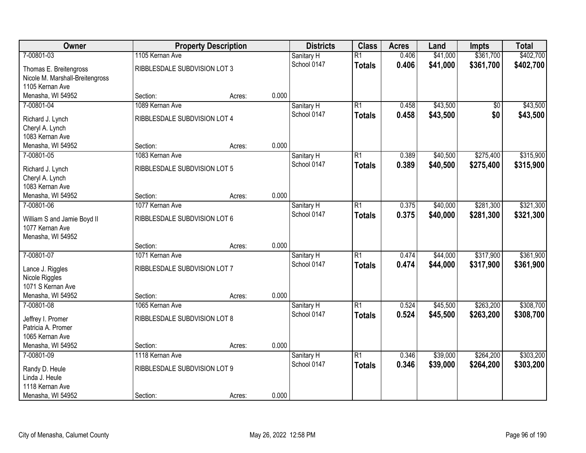| Owner                           |                              | <b>Property Description</b> |       | <b>Districts</b> | <b>Class</b>    | <b>Acres</b> | Land     | <b>Impts</b> | <b>Total</b> |
|---------------------------------|------------------------------|-----------------------------|-------|------------------|-----------------|--------------|----------|--------------|--------------|
| 7-00801-03                      | 1105 Kernan Ave              |                             |       | Sanitary H       | $\overline{R1}$ | 0.406        | \$41,000 | \$361,700    | \$402,700    |
| Thomas E. Breitengross          | RIBBLESDALE SUBDVISION LOT 3 |                             |       | School 0147      | <b>Totals</b>   | 0.406        | \$41,000 | \$361,700    | \$402,700    |
| Nicole M. Marshall-Breitengross |                              |                             |       |                  |                 |              |          |              |              |
| 1105 Kernan Ave                 |                              |                             |       |                  |                 |              |          |              |              |
| Menasha, WI 54952               | Section:                     | Acres:                      | 0.000 |                  |                 |              |          |              |              |
| 7-00801-04                      | 1089 Kernan Ave              |                             |       | Sanitary H       | $\overline{R1}$ | 0.458        | \$43,500 | \$0          | \$43,500     |
| Richard J. Lynch                | RIBBLESDALE SUBDVISION LOT 4 |                             |       | School 0147      | <b>Totals</b>   | 0.458        | \$43,500 | \$0          | \$43,500     |
| Cheryl A. Lynch                 |                              |                             |       |                  |                 |              |          |              |              |
| 1083 Kernan Ave                 |                              |                             |       |                  |                 |              |          |              |              |
| Menasha, WI 54952               | Section:                     | Acres:                      | 0.000 |                  |                 |              |          |              |              |
| 7-00801-05                      | 1083 Kernan Ave              |                             |       | Sanitary H       | $\overline{R1}$ | 0.389        | \$40,500 | \$275,400    | \$315,900    |
| Richard J. Lynch                | RIBBLESDALE SUBDVISION LOT 5 |                             |       | School 0147      | <b>Totals</b>   | 0.389        | \$40,500 | \$275,400    | \$315,900    |
| Cheryl A. Lynch                 |                              |                             |       |                  |                 |              |          |              |              |
| 1083 Kernan Ave                 |                              |                             |       |                  |                 |              |          |              |              |
| Menasha, WI 54952               | Section:                     | Acres:                      | 0.000 |                  |                 |              |          |              |              |
| 7-00801-06                      | 1077 Kernan Ave              |                             |       | Sanitary H       | $\overline{R1}$ | 0.375        | \$40,000 | \$281,300    | \$321,300    |
| William S and Jamie Boyd II     | RIBBLESDALE SUBDVISION LOT 6 |                             |       | School 0147      | <b>Totals</b>   | 0.375        | \$40,000 | \$281,300    | \$321,300    |
| 1077 Kernan Ave                 |                              |                             |       |                  |                 |              |          |              |              |
| Menasha, WI 54952               |                              |                             |       |                  |                 |              |          |              |              |
|                                 | Section:                     | Acres:                      | 0.000 |                  |                 |              |          |              |              |
| 7-00801-07                      | 1071 Kernan Ave              |                             |       | Sanitary H       | $\overline{R1}$ | 0.474        | \$44,000 | \$317,900    | \$361,900    |
| Lance J. Riggles                | RIBBLESDALE SUBDVISION LOT 7 |                             |       | School 0147      | <b>Totals</b>   | 0.474        | \$44,000 | \$317,900    | \$361,900    |
| Nicole Riggles                  |                              |                             |       |                  |                 |              |          |              |              |
| 1071 S Kernan Ave               |                              |                             |       |                  |                 |              |          |              |              |
| Menasha, WI 54952               | Section:                     | Acres:                      | 0.000 |                  |                 |              |          |              |              |
| 7-00801-08                      | 1065 Kernan Ave              |                             |       | Sanitary H       | $\overline{R1}$ | 0.524        | \$45,500 | \$263,200    | \$308,700    |
| Jeffrey I. Promer               | RIBBLESDALE SUBDVISION LOT 8 |                             |       | School 0147      | <b>Totals</b>   | 0.524        | \$45,500 | \$263,200    | \$308,700    |
| Patricia A. Promer              |                              |                             |       |                  |                 |              |          |              |              |
| 1065 Kernan Ave                 |                              |                             |       |                  |                 |              |          |              |              |
| Menasha, WI 54952               | Section:                     | Acres:                      | 0.000 |                  |                 |              |          |              |              |
| 7-00801-09                      | 1118 Kernan Ave              |                             |       | Sanitary H       | $\overline{R1}$ | 0.346        | \$39,000 | \$264,200    | \$303,200    |
| Randy D. Heule                  | RIBBLESDALE SUBDVISION LOT 9 |                             |       | School 0147      | <b>Totals</b>   | 0.346        | \$39,000 | \$264,200    | \$303,200    |
| Linda J. Heule                  |                              |                             |       |                  |                 |              |          |              |              |
| 1118 Kernan Ave                 |                              |                             |       |                  |                 |              |          |              |              |
| Menasha, WI 54952               | Section:                     | Acres:                      | 0.000 |                  |                 |              |          |              |              |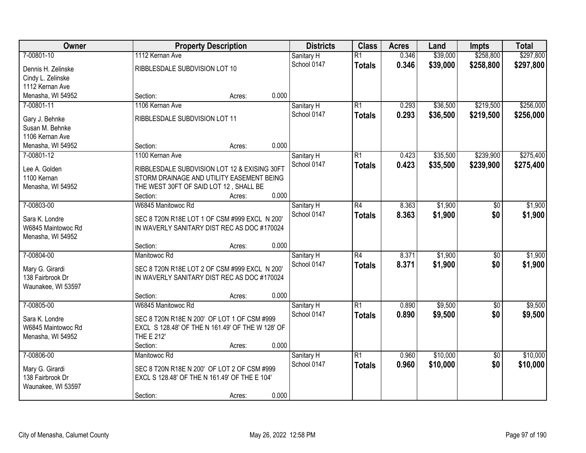| Owner              | <b>Property Description</b>                      | <b>Districts</b> | <b>Class</b>    | <b>Acres</b> | Land     | <b>Impts</b>    | <b>Total</b> |
|--------------------|--------------------------------------------------|------------------|-----------------|--------------|----------|-----------------|--------------|
| 7-00801-10         | 1112 Kernan Ave                                  | Sanitary H       | $\overline{R1}$ | 0.346        | \$39,000 | \$258,800       | \$297,800    |
| Dennis H. Zelinske | RIBBLESDALE SUBDVISION LOT 10                    | School 0147      | <b>Totals</b>   | 0.346        | \$39,000 | \$258,800       | \$297,800    |
| Cindy L. Zelinske  |                                                  |                  |                 |              |          |                 |              |
| 1112 Kernan Ave    |                                                  |                  |                 |              |          |                 |              |
| Menasha, WI 54952  | Section:<br>Acres:                               | 0.000            |                 |              |          |                 |              |
| 7-00801-11         | 1106 Kernan Ave                                  | Sanitary H       | $\overline{R1}$ | 0.293        | \$36,500 | \$219,500       | \$256,000    |
| Gary J. Behnke     | RIBBLESDALE SUBDVISION LOT 11                    | School 0147      | <b>Totals</b>   | 0.293        | \$36,500 | \$219,500       | \$256,000    |
| Susan M. Behnke    |                                                  |                  |                 |              |          |                 |              |
| 1106 Kernan Ave    |                                                  |                  |                 |              |          |                 |              |
| Menasha, WI 54952  | Section:<br>Acres:                               | 0.000            |                 |              |          |                 |              |
| 7-00801-12         | 1100 Kernan Ave                                  | Sanitary H       | $\overline{R1}$ | 0.423        | \$35,500 | \$239,900       | \$275,400    |
| Lee A. Golden      | RIBBLESDALE SUBDVISION LOT 12 & EXISING 30FT     | School 0147      | <b>Totals</b>   | 0.423        | \$35,500 | \$239,900       | \$275,400    |
| 1100 Kernan        | STORM DRAINAGE AND UTILITY EASEMENT BEING        |                  |                 |              |          |                 |              |
| Menasha, WI 54952  | THE WEST 30FT OF SAID LOT 12, SHALL BE           |                  |                 |              |          |                 |              |
|                    | Section:<br>Acres:                               | 0.000            |                 |              |          |                 |              |
| 7-00803-00         | W6845 Manitowoc Rd                               | Sanitary H       | R4              | 8.363        | \$1,900  | $\sqrt[6]{}$    | \$1,900      |
|                    |                                                  | School 0147      | <b>Totals</b>   | 8.363        | \$1,900  | \$0             | \$1,900      |
| Sara K. Londre     | SEC 8 T20N R18E LOT 1 OF CSM #999 EXCL N 200'    |                  |                 |              |          |                 |              |
| W6845 Maintowoc Rd | IN WAVERLY SANITARY DIST REC AS DOC #170024      |                  |                 |              |          |                 |              |
| Menasha, WI 54952  | Section:<br>Acres:                               | 0.000            |                 |              |          |                 |              |
| 7-00804-00         | Manitowoc Rd                                     | Sanitary H       | $\overline{R4}$ | 8.371        | \$1,900  | $\overline{50}$ | \$1,900      |
|                    |                                                  | School 0147      | <b>Totals</b>   | 8.371        | \$1,900  | \$0             | \$1,900      |
| Mary G. Girardi    | SEC 8 T20N R18E LOT 2 OF CSM #999 EXCL N 200'    |                  |                 |              |          |                 |              |
| 138 Fairbrook Dr   | IN WAVERLY SANITARY DIST REC AS DOC #170024      |                  |                 |              |          |                 |              |
| Waunakee, WI 53597 |                                                  |                  |                 |              |          |                 |              |
|                    | Section:<br>Acres:                               | 0.000            |                 |              |          |                 |              |
| 7-00805-00         | W6845 Manitowoc Rd                               | Sanitary H       | $\overline{R1}$ | 0.890        | \$9,500  | $\sqrt{6}$      | \$9,500      |
| Sara K. Londre     | SEC 8 T20N R18E N 200' OF LOT 1 OF CSM #999      | School 0147      | <b>Totals</b>   | 0.890        | \$9,500  | \$0             | \$9,500      |
| W6845 Maintowoc Rd | EXCL S 128.48' OF THE N 161.49' OF THE W 128' OF |                  |                 |              |          |                 |              |
| Menasha, WI 54952  | THE E 212'                                       |                  |                 |              |          |                 |              |
|                    | Section:<br>Acres:                               | 0.000            |                 |              |          |                 |              |
| 7-00806-00         | Manitowoc Rd                                     | Sanitary H       | $\overline{R1}$ | 0.960        | \$10,000 | $\overline{50}$ | \$10,000     |
| Mary G. Girardi    | SEC 8 T20N R18E N 200' OF LOT 2 OF CSM #999      | School 0147      | <b>Totals</b>   | 0.960        | \$10,000 | \$0             | \$10,000     |
| 138 Fairbrook Dr   | EXCL S 128.48' OF THE N 161.49' OF THE E 104'    |                  |                 |              |          |                 |              |
| Waunakee, WI 53597 |                                                  |                  |                 |              |          |                 |              |
|                    | Section:<br>Acres:                               | 0.000            |                 |              |          |                 |              |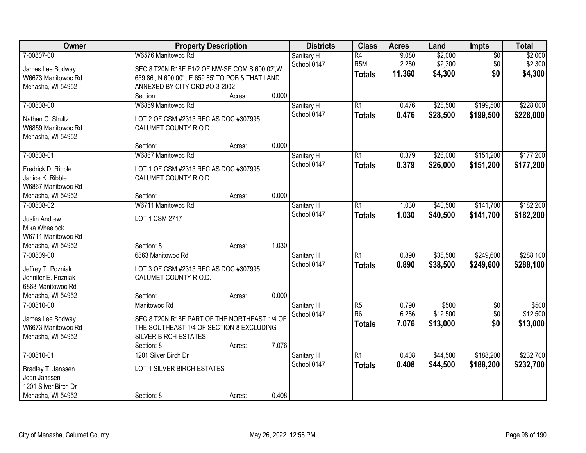| Owner                                  | <b>Property Description</b>                                          |        |       | <b>Districts</b>          | <b>Class</b>                        | <b>Acres</b>   | Land               | Impts                  | <b>Total</b>       |
|----------------------------------------|----------------------------------------------------------------------|--------|-------|---------------------------|-------------------------------------|----------------|--------------------|------------------------|--------------------|
| 7-00807-00                             | W6576 Manitowoc Rd<br>SEC 8 T20N R18E E1/2 OF NW-SE COM S 600.02', W |        |       | Sanitary H<br>School 0147 | $\overline{R4}$<br>R <sub>5</sub> M | 9.080<br>2.280 | \$2,000<br>\$2,300 | $\overline{50}$<br>\$0 | \$2,000<br>\$2,300 |
| James Lee Bodway<br>W6673 Manitowoc Rd | 659.86', N 600.00', E 659.85' TO POB & THAT LAND                     |        |       |                           | <b>Totals</b>                       | 11.360         | \$4,300            | \$0                    | \$4,300            |
| Menasha, WI 54952                      | ANNEXED BY CITY ORD #O-3-2002                                        |        |       |                           |                                     |                |                    |                        |                    |
|                                        | Section:                                                             | Acres: | 0.000 |                           |                                     |                |                    |                        |                    |
| 7-00808-00                             | W6859 Manitowoc Rd                                                   |        |       | Sanitary H                | $\overline{R1}$                     | 0.476          | \$28,500           | \$199,500              | \$228,000          |
| Nathan C. Shultz                       | LOT 2 OF CSM #2313 REC AS DOC #307995                                |        |       | School 0147               | <b>Totals</b>                       | 0.476          | \$28,500           | \$199,500              | \$228,000          |
| W6859 Manitowoc Rd                     | CALUMET COUNTY R.O.D.                                                |        |       |                           |                                     |                |                    |                        |                    |
| Menasha, WI 54952                      |                                                                      |        |       |                           |                                     |                |                    |                        |                    |
|                                        | Section:                                                             | Acres: | 0.000 |                           |                                     |                |                    |                        |                    |
| 7-00808-01                             | W6867 Manitowoc Rd                                                   |        |       | Sanitary H                | $\overline{R1}$                     | 0.379          | \$26,000           | \$151,200              | \$177,200          |
| Fredrick D. Ribble                     | LOT 1 OF CSM #2313 REC AS DOC #307995                                |        |       | School 0147               | <b>Totals</b>                       | 0.379          | \$26,000           | \$151,200              | \$177,200          |
| Janice K. Ribble                       | CALUMET COUNTY R.O.D.                                                |        |       |                           |                                     |                |                    |                        |                    |
| W6867 Manitowoc Rd                     |                                                                      |        |       |                           |                                     |                |                    |                        |                    |
| Menasha, WI 54952                      | Section:                                                             | Acres: | 0.000 |                           |                                     |                |                    |                        |                    |
| 7-00808-02                             | W6711 Manitowoc Rd                                                   |        |       | Sanitary H                | $\overline{R1}$                     | 1.030          | \$40,500           | \$141,700              | \$182,200          |
| Justin Andrew                          | LOT 1 CSM 2717                                                       |        |       | School 0147               | <b>Totals</b>                       | 1.030          | \$40,500           | \$141,700              | \$182,200          |
| Mika Wheelock                          |                                                                      |        |       |                           |                                     |                |                    |                        |                    |
| W6711 Manitowoc Rd                     |                                                                      |        |       |                           |                                     |                |                    |                        |                    |
| Menasha, WI 54952                      | Section: 8                                                           | Acres: | 1.030 |                           |                                     |                |                    |                        |                    |
| 7-00809-00                             | 6863 Manitowoc Rd                                                    |        |       | Sanitary H                | $\overline{R1}$                     | 0.890          | \$38,500           | \$249,600              | \$288,100          |
| Jeffrey T. Pozniak                     | LOT 3 OF CSM #2313 REC AS DOC #307995                                |        |       | School 0147               | <b>Totals</b>                       | 0.890          | \$38,500           | \$249,600              | \$288,100          |
| Jennifer E. Pozniak                    | CALUMET COUNTY R.O.D.                                                |        |       |                           |                                     |                |                    |                        |                    |
| 6863 Manitowoc Rd                      |                                                                      |        |       |                           |                                     |                |                    |                        |                    |
| Menasha, WI 54952                      | Section:                                                             | Acres: | 0.000 |                           |                                     |                |                    |                        |                    |
| 7-00810-00                             | Manitowoc Rd                                                         |        |       | Sanitary H                | $\overline{R5}$                     | 0.790          | \$500              | $\sqrt{6}$             | \$500              |
|                                        | SEC 8 T20N R18E PART OF THE NORTHEAST 1/4 OF                         |        |       | School 0147               | R <sub>6</sub>                      | 6.286          | \$12,500           | \$0                    | \$12,500           |
| James Lee Bodway<br>W6673 Manitowoc Rd | THE SOUTHEAST 1/4 OF SECTION 8 EXCLUDING                             |        |       |                           | <b>Totals</b>                       | 7.076          | \$13,000           | \$0                    | \$13,000           |
| Menasha, WI 54952                      | <b>SILVER BIRCH ESTATES</b>                                          |        |       |                           |                                     |                |                    |                        |                    |
|                                        | Section: 8                                                           | Acres: | 7.076 |                           |                                     |                |                    |                        |                    |
| 7-00810-01                             | 1201 Silver Birch Dr                                                 |        |       | Sanitary H                | $\overline{R1}$                     | 0.408          | \$44,500           | \$188,200              | \$232,700          |
|                                        |                                                                      |        |       | School 0147               | <b>Totals</b>                       | 0.408          | \$44,500           | \$188,200              | \$232,700          |
| Bradley T. Janssen<br>Jean Janssen     | LOT 1 SILVER BIRCH ESTATES                                           |        |       |                           |                                     |                |                    |                        |                    |
| 1201 Silver Birch Dr                   |                                                                      |        |       |                           |                                     |                |                    |                        |                    |
| Menasha, WI 54952                      | Section: 8                                                           | Acres: | 0.408 |                           |                                     |                |                    |                        |                    |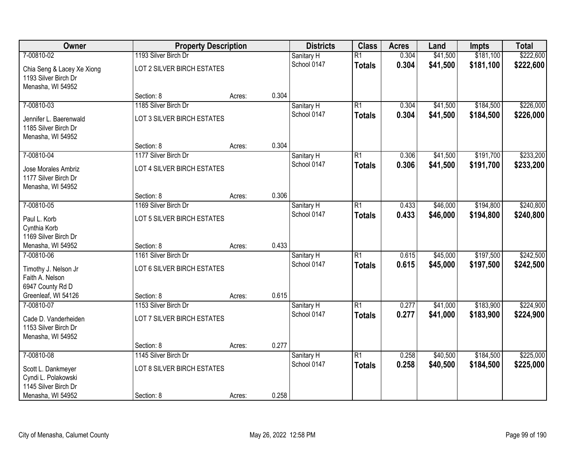| Owner                                                                   | <b>Property Description</b> |        |       | <b>Districts</b> | <b>Class</b>    | <b>Acres</b> | Land     | Impts     | <b>Total</b> |
|-------------------------------------------------------------------------|-----------------------------|--------|-------|------------------|-----------------|--------------|----------|-----------|--------------|
| 7-00810-02                                                              | 1193 Silver Birch Dr        |        |       | Sanitary H       | $\overline{R1}$ | 0.304        | \$41,500 | \$181,100 | \$222,600    |
| Chia Seng & Lacey Xe Xiong<br>1193 Silver Birch Dr<br>Menasha, WI 54952 | LOT 2 SILVER BIRCH ESTATES  |        |       | School 0147      | <b>Totals</b>   | 0.304        | \$41,500 | \$181,100 | \$222,600    |
|                                                                         | Section: 8                  | Acres: | 0.304 |                  |                 |              |          |           |              |
| 7-00810-03                                                              | 1185 Silver Birch Dr        |        |       | Sanitary H       | $\overline{R1}$ | 0.304        | \$41,500 | \$184,500 | \$226,000    |
| Jennifer L. Baerenwald<br>1185 Silver Birch Dr<br>Menasha, WI 54952     | LOT 3 SILVER BIRCH ESTATES  |        |       | School 0147      | <b>Totals</b>   | 0.304        | \$41,500 | \$184,500 | \$226,000    |
|                                                                         | Section: 8                  | Acres: | 0.304 |                  |                 |              |          |           |              |
| 7-00810-04                                                              | 1177 Silver Birch Dr        |        |       | Sanitary H       | $\overline{R1}$ | 0.306        | \$41,500 | \$191,700 | \$233,200    |
| Jose Morales Ambriz<br>1177 Silver Birch Dr<br>Menasha, WI 54952        | LOT 4 SILVER BIRCH ESTATES  |        |       | School 0147      | <b>Totals</b>   | 0.306        | \$41,500 | \$191,700 | \$233,200    |
|                                                                         | Section: 8                  | Acres: | 0.306 |                  |                 |              |          |           |              |
| 7-00810-05                                                              | 1169 Silver Birch Dr        |        |       | Sanitary H       | $\overline{R1}$ | 0.433        | \$46,000 | \$194,800 | \$240,800    |
| Paul L. Korb<br>Cynthia Korb                                            | LOT 5 SILVER BIRCH ESTATES  |        |       | School 0147      | <b>Totals</b>   | 0.433        | \$46,000 | \$194,800 | \$240,800    |
| 1169 Silver Birch Dr<br>Menasha, WI 54952                               | Section: 8                  | Acres: | 0.433 |                  |                 |              |          |           |              |
| 7-00810-06                                                              | 1161 Silver Birch Dr        |        |       | Sanitary H       | $\overline{R1}$ | 0.615        | \$45,000 | \$197,500 | \$242,500    |
|                                                                         |                             |        |       | School 0147      | <b>Totals</b>   | 0.615        | \$45,000 | \$197,500 | \$242,500    |
| Timothy J. Nelson Jr                                                    | LOT 6 SILVER BIRCH ESTATES  |        |       |                  |                 |              |          |           |              |
| Faith A. Nelson<br>6947 County Rd D                                     |                             |        |       |                  |                 |              |          |           |              |
| Greenleaf, WI 54126                                                     | Section: 8                  | Acres: | 0.615 |                  |                 |              |          |           |              |
| 7-00810-07                                                              | 1153 Silver Birch Dr        |        |       | Sanitary H       | $\overline{R1}$ | 0.277        | \$41,000 | \$183,900 | \$224,900    |
| Cade D. Vanderheiden<br>1153 Silver Birch Dr<br>Menasha, WI 54952       | LOT 7 SILVER BIRCH ESTATES  |        |       | School 0147      | <b>Totals</b>   | 0.277        | \$41,000 | \$183,900 | \$224,900    |
|                                                                         | Section: 8                  | Acres: | 0.277 |                  |                 |              |          |           |              |
| 7-00810-08                                                              | 1145 Silver Birch Dr        |        |       | Sanitary H       | $\overline{R1}$ | 0.258        | \$40,500 | \$184,500 | \$225,000    |
| Scott L. Dankmeyer<br>Cyndi L. Polakowski<br>1145 Silver Birch Dr       | LOT 8 SILVER BIRCH ESTATES  |        |       | School 0147      | <b>Totals</b>   | 0.258        | \$40,500 | \$184,500 | \$225,000    |
| Menasha, WI 54952                                                       | Section: 8                  | Acres: | 0.258 |                  |                 |              |          |           |              |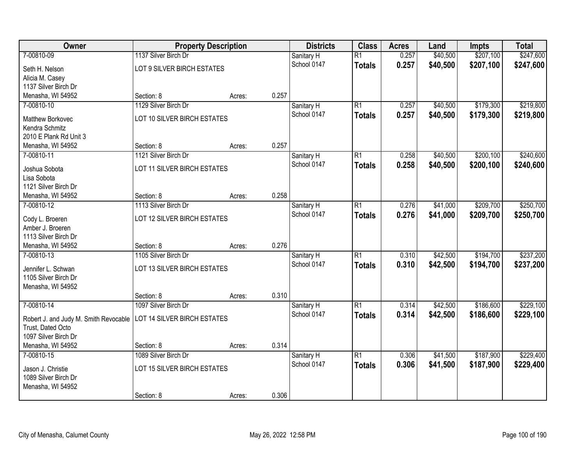| Owner                                 |                                    | <b>Property Description</b> |       | <b>Districts</b>          | <b>Class</b>    | <b>Acres</b> | Land     | <b>Impts</b> | <b>Total</b> |
|---------------------------------------|------------------------------------|-----------------------------|-------|---------------------------|-----------------|--------------|----------|--------------|--------------|
| 7-00810-09                            | 1137 Silver Birch Dr               |                             |       | Sanitary H                | $\overline{R1}$ | 0.257        | \$40,500 | \$207,100    | \$247,600    |
| Seth H. Nelson                        | LOT 9 SILVER BIRCH ESTATES         |                             |       | School 0147               | <b>Totals</b>   | 0.257        | \$40,500 | \$207,100    | \$247,600    |
| Alicia M. Casey                       |                                    |                             |       |                           |                 |              |          |              |              |
| 1137 Silver Birch Dr                  |                                    |                             |       |                           |                 |              |          |              |              |
| Menasha, WI 54952                     | Section: 8                         | Acres:                      | 0.257 |                           |                 |              |          |              |              |
| 7-00810-10                            | 1129 Silver Birch Dr               |                             |       | Sanitary H                | $\overline{R1}$ | 0.257        | \$40,500 | \$179,300    | \$219,800    |
| Matthew Borkovec                      | LOT 10 SILVER BIRCH ESTATES        |                             |       | School 0147               | <b>Totals</b>   | 0.257        | \$40,500 | \$179,300    | \$219,800    |
| Kendra Schmitz                        |                                    |                             |       |                           |                 |              |          |              |              |
| 2010 E Plank Rd Unit 3                |                                    |                             |       |                           |                 |              |          |              |              |
| Menasha, WI 54952                     | Section: 8                         | Acres:                      | 0.257 |                           |                 |              |          |              |              |
| 7-00810-11                            | 1121 Silver Birch Dr               |                             |       | Sanitary H                | $\overline{R1}$ | 0.258        | \$40,500 | \$200,100    | \$240,600    |
|                                       | LOT 11 SILVER BIRCH ESTATES        |                             |       | School 0147               | <b>Totals</b>   | 0.258        | \$40,500 | \$200,100    | \$240,600    |
| Joshua Sobota<br>Lisa Sobota          |                                    |                             |       |                           |                 |              |          |              |              |
| 1121 Silver Birch Dr                  |                                    |                             |       |                           |                 |              |          |              |              |
| Menasha, WI 54952                     | Section: 8                         | Acres:                      | 0.258 |                           |                 |              |          |              |              |
| 7-00810-12                            | 1113 Silver Birch Dr               |                             |       | Sanitary H                | $\overline{R1}$ | 0.276        | \$41,000 | \$209,700    | \$250,700    |
|                                       |                                    |                             |       | School 0147               | <b>Totals</b>   | 0.276        | \$41,000 | \$209,700    | \$250,700    |
| Cody L. Broeren                       | LOT 12 SILVER BIRCH ESTATES        |                             |       |                           |                 |              |          |              |              |
| Amber J. Broeren                      |                                    |                             |       |                           |                 |              |          |              |              |
| 1113 Silver Birch Dr                  |                                    |                             | 0.276 |                           |                 |              |          |              |              |
| Menasha, WI 54952<br>7-00810-13       | Section: 8<br>1105 Silver Birch Dr | Acres:                      |       |                           | $\overline{R1}$ | 0.310        | \$42,500 | \$194,700    | \$237,200    |
|                                       |                                    |                             |       | Sanitary H<br>School 0147 |                 |              |          |              |              |
| Jennifer L. Schwan                    | LOT 13 SILVER BIRCH ESTATES        |                             |       |                           | <b>Totals</b>   | 0.310        | \$42,500 | \$194,700    | \$237,200    |
| 1105 Silver Birch Dr                  |                                    |                             |       |                           |                 |              |          |              |              |
| Menasha, WI 54952                     |                                    |                             |       |                           |                 |              |          |              |              |
|                                       | Section: 8                         | Acres:                      | 0.310 |                           |                 |              |          |              |              |
| 7-00810-14                            | 1097 Silver Birch Dr               |                             |       | Sanitary H                | $\overline{R1}$ | 0.314        | \$42,500 | \$186,600    | \$229,100    |
| Robert J. and Judy M. Smith Revocable | LOT 14 SILVER BIRCH ESTATES        |                             |       | School 0147               | <b>Totals</b>   | 0.314        | \$42,500 | \$186,600    | \$229,100    |
| Trust, Dated Octo                     |                                    |                             |       |                           |                 |              |          |              |              |
| 1097 Silver Birch Dr                  |                                    |                             |       |                           |                 |              |          |              |              |
| Menasha, WI 54952                     | Section: 8                         | Acres:                      | 0.314 |                           |                 |              |          |              |              |
| 7-00810-15                            | 1089 Silver Birch Dr               |                             |       | Sanitary H                | $\overline{R1}$ | 0.306        | \$41,500 | \$187,900    | \$229,400    |
| Jason J. Christie                     | LOT 15 SILVER BIRCH ESTATES        |                             |       | School 0147               | <b>Totals</b>   | 0.306        | \$41,500 | \$187,900    | \$229,400    |
| 1089 Silver Birch Dr                  |                                    |                             |       |                           |                 |              |          |              |              |
| Menasha, WI 54952                     |                                    |                             |       |                           |                 |              |          |              |              |
|                                       | Section: 8                         | Acres:                      | 0.306 |                           |                 |              |          |              |              |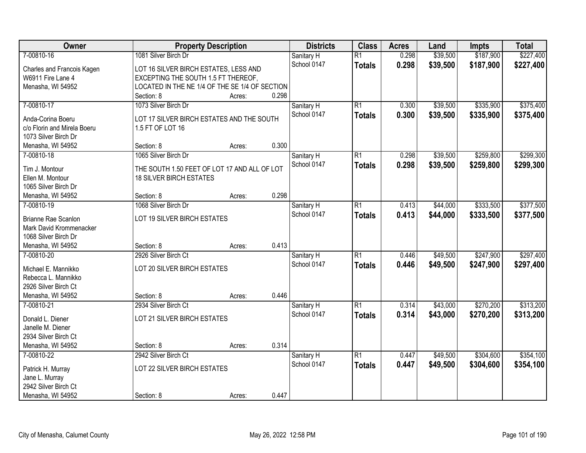| Owner                       | <b>Property Description</b>                    |        |       | <b>Districts</b> | <b>Class</b>    | <b>Acres</b> | Land     | <b>Impts</b> | <b>Total</b> |
|-----------------------------|------------------------------------------------|--------|-------|------------------|-----------------|--------------|----------|--------------|--------------|
| 7-00810-16                  | 1081 Silver Birch Dr                           |        |       | Sanitary H       | $\overline{R1}$ | 0.298        | \$39,500 | \$187,900    | \$227,400    |
| Charles and Francois Kagen  | LOT 16 SILVER BIRCH ESTATES, LESS AND          |        |       | School 0147      | <b>Totals</b>   | 0.298        | \$39,500 | \$187,900    | \$227,400    |
| W6911 Fire Lane 4           | EXCEPTING THE SOUTH 1.5 FT THEREOF,            |        |       |                  |                 |              |          |              |              |
| Menasha, WI 54952           | LOCATED IN THE NE 1/4 OF THE SE 1/4 OF SECTION |        |       |                  |                 |              |          |              |              |
|                             | Section: 8                                     | Acres: | 0.298 |                  |                 |              |          |              |              |
| 7-00810-17                  | 1073 Silver Birch Dr                           |        |       | Sanitary H       | $\overline{R1}$ | 0.300        | \$39,500 | \$335,900    | \$375,400    |
| Anda-Corina Boeru           | LOT 17 SILVER BIRCH ESTATES AND THE SOUTH      |        |       | School 0147      | <b>Totals</b>   | 0.300        | \$39,500 | \$335,900    | \$375,400    |
| c/o Florin and Mirela Boeru | 1.5 FT OF LOT 16                               |        |       |                  |                 |              |          |              |              |
| 1073 Silver Birch Dr        |                                                |        |       |                  |                 |              |          |              |              |
| Menasha, WI 54952           | Section: 8                                     | Acres: | 0.300 |                  |                 |              |          |              |              |
| 7-00810-18                  | 1065 Silver Birch Dr                           |        |       | Sanitary H       | $\overline{R1}$ | 0.298        | \$39,500 | \$259,800    | \$299,300    |
|                             |                                                |        |       | School 0147      | <b>Totals</b>   | 0.298        | \$39,500 | \$259,800    | \$299,300    |
| Tim J. Montour              | THE SOUTH 1.50 FEET OF LOT 17 AND ALL OF LOT   |        |       |                  |                 |              |          |              |              |
| Ellen M. Montour            | <b>18 SILVER BIRCH ESTATES</b>                 |        |       |                  |                 |              |          |              |              |
| 1065 Silver Birch Dr        |                                                |        |       |                  |                 |              |          |              |              |
| Menasha, WI 54952           | Section: 8                                     | Acres: | 0.298 |                  |                 |              |          |              |              |
| 7-00810-19                  | 1068 Silver Birch Dr                           |        |       | Sanitary H       | $\overline{R1}$ | 0.413        | \$44,000 | \$333,500    | \$377,500    |
| Brianne Rae Scanlon         | LOT 19 SILVER BIRCH ESTATES                    |        |       | School 0147      | <b>Totals</b>   | 0.413        | \$44,000 | \$333,500    | \$377,500    |
| Mark David Krommenacker     |                                                |        |       |                  |                 |              |          |              |              |
| 1068 Silver Birch Dr        |                                                |        |       |                  |                 |              |          |              |              |
| Menasha, WI 54952           | Section: 8                                     | Acres: | 0.413 |                  |                 |              |          |              |              |
| 7-00810-20                  | 2926 Silver Birch Ct                           |        |       | Sanitary H       | $\overline{R1}$ | 0.446        | \$49,500 | \$247,900    | \$297,400    |
| Michael E. Mannikko         | LOT 20 SILVER BIRCH ESTATES                    |        |       | School 0147      | <b>Totals</b>   | 0.446        | \$49,500 | \$247,900    | \$297,400    |
| Rebecca L. Mannikko         |                                                |        |       |                  |                 |              |          |              |              |
| 2926 Silver Birch Ct        |                                                |        |       |                  |                 |              |          |              |              |
| Menasha, WI 54952           | Section: 8                                     | Acres: | 0.446 |                  |                 |              |          |              |              |
| 7-00810-21                  | 2934 Silver Birch Ct                           |        |       | Sanitary H       | $\overline{R1}$ | 0.314        | \$43,000 | \$270,200    | \$313,200    |
| Donald L. Diener            | LOT 21 SILVER BIRCH ESTATES                    |        |       | School 0147      | <b>Totals</b>   | 0.314        | \$43,000 | \$270,200    | \$313,200    |
| Janelle M. Diener           |                                                |        |       |                  |                 |              |          |              |              |
| 2934 Silver Birch Ct        |                                                |        |       |                  |                 |              |          |              |              |
| Menasha, WI 54952           | Section: 8                                     | Acres: | 0.314 |                  |                 |              |          |              |              |
| 7-00810-22                  | 2942 Silver Birch Ct                           |        |       | Sanitary H       | $\overline{R1}$ | 0.447        | \$49,500 | \$304,600    | \$354,100    |
|                             |                                                |        |       | School 0147      | <b>Totals</b>   | 0.447        | \$49,500 | \$304,600    | \$354,100    |
| Patrick H. Murray           | LOT 22 SILVER BIRCH ESTATES                    |        |       |                  |                 |              |          |              |              |
| Jane L. Murray              |                                                |        |       |                  |                 |              |          |              |              |
| 2942 Silver Birch Ct        |                                                |        |       |                  |                 |              |          |              |              |
| Menasha, WI 54952           | Section: 8                                     | Acres: | 0.447 |                  |                 |              |          |              |              |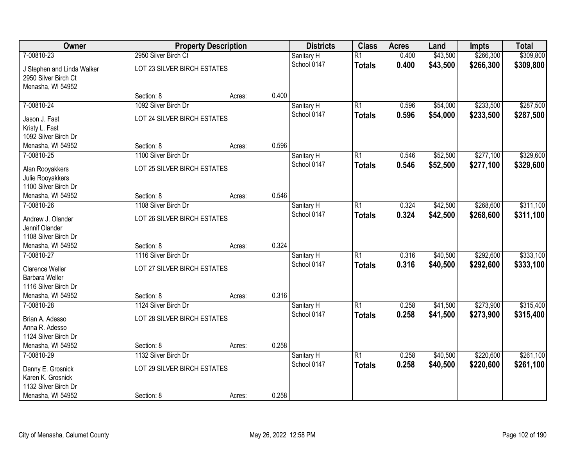| Owner                                  |                             | <b>Property Description</b> |       | <b>Districts</b> | <b>Class</b>    | <b>Acres</b> | Land     | <b>Impts</b> | <b>Total</b> |
|----------------------------------------|-----------------------------|-----------------------------|-------|------------------|-----------------|--------------|----------|--------------|--------------|
| 7-00810-23                             | 2950 Silver Birch Ct        |                             |       | Sanitary H       | $\overline{R1}$ | 0.400        | \$43,500 | \$266,300    | \$309,800    |
| J Stephen and Linda Walker             | LOT 23 SILVER BIRCH ESTATES |                             |       | School 0147      | <b>Totals</b>   | 0.400        | \$43,500 | \$266,300    | \$309,800    |
| 2950 Silver Birch Ct                   |                             |                             |       |                  |                 |              |          |              |              |
| Menasha, WI 54952                      |                             |                             |       |                  |                 |              |          |              |              |
|                                        | Section: 8                  | Acres:                      | 0.400 |                  |                 |              |          |              |              |
| 7-00810-24                             | 1092 Silver Birch Dr        |                             |       | Sanitary H       | $\overline{R1}$ | 0.596        | \$54,000 | \$233,500    | \$287,500    |
| Jason J. Fast                          | LOT 24 SILVER BIRCH ESTATES |                             |       | School 0147      | <b>Totals</b>   | 0.596        | \$54,000 | \$233,500    | \$287,500    |
| Kristy L. Fast                         |                             |                             |       |                  |                 |              |          |              |              |
| 1092 Silver Birch Dr                   |                             |                             |       |                  |                 |              |          |              |              |
| Menasha, WI 54952                      | Section: 8                  | Acres:                      | 0.596 |                  |                 |              |          |              |              |
| 7-00810-25                             | 1100 Silver Birch Dr        |                             |       | Sanitary H       | $\overline{R1}$ | 0.546        | \$52,500 | \$277,100    | \$329,600    |
| Alan Rooyakkers                        | LOT 25 SILVER BIRCH ESTATES |                             |       | School 0147      | <b>Totals</b>   | 0.546        | \$52,500 | \$277,100    | \$329,600    |
| Julie Rooyakkers                       |                             |                             |       |                  |                 |              |          |              |              |
| 1100 Silver Birch Dr                   |                             |                             |       |                  |                 |              |          |              |              |
| Menasha, WI 54952                      | Section: 8                  | Acres:                      | 0.546 |                  |                 |              |          |              |              |
| 7-00810-26                             | 1108 Silver Birch Dr        |                             |       | Sanitary H       | $\overline{R1}$ | 0.324        | \$42,500 | \$268,600    | \$311,100    |
| Andrew J. Olander                      | LOT 26 SILVER BIRCH ESTATES |                             |       | School 0147      | <b>Totals</b>   | 0.324        | \$42,500 | \$268,600    | \$311,100    |
| Jennif Olander                         |                             |                             |       |                  |                 |              |          |              |              |
| 1108 Silver Birch Dr                   |                             |                             |       |                  |                 |              |          |              |              |
| Menasha, WI 54952                      | Section: 8                  | Acres:                      | 0.324 |                  |                 |              |          |              |              |
| 7-00810-27                             | 1116 Silver Birch Dr        |                             |       | Sanitary H       | $\overline{R1}$ | 0.316        | \$40,500 | \$292,600    | \$333,100    |
| Clarence Weller                        | LOT 27 SILVER BIRCH ESTATES |                             |       | School 0147      | <b>Totals</b>   | 0.316        | \$40,500 | \$292,600    | \$333,100    |
| <b>Barbara Weller</b>                  |                             |                             |       |                  |                 |              |          |              |              |
| 1116 Silver Birch Dr                   |                             |                             |       |                  |                 |              |          |              |              |
| Menasha, WI 54952                      | Section: 8                  | Acres:                      | 0.316 |                  |                 |              |          |              |              |
| 7-00810-28                             | 1124 Silver Birch Dr        |                             |       | Sanitary H       | $\overline{R1}$ | 0.258        | \$41,500 | \$273,900    | \$315,400    |
| Brian A. Adesso                        | LOT 28 SILVER BIRCH ESTATES |                             |       | School 0147      | <b>Totals</b>   | 0.258        | \$41,500 | \$273,900    | \$315,400    |
| Anna R. Adesso                         |                             |                             |       |                  |                 |              |          |              |              |
| 1124 Silver Birch Dr                   |                             |                             |       |                  |                 |              |          |              |              |
| Menasha, WI 54952                      | Section: 8                  | Acres:                      | 0.258 |                  |                 |              |          |              |              |
| 7-00810-29                             | 1132 Silver Birch Dr        |                             |       | Sanitary H       | $\overline{R1}$ | 0.258        | \$40,500 | \$220,600    | \$261,100    |
|                                        | LOT 29 SILVER BIRCH ESTATES |                             |       | School 0147      | <b>Totals</b>   | 0.258        | \$40,500 | \$220,600    | \$261,100    |
| Danny E. Grosnick<br>Karen K. Grosnick |                             |                             |       |                  |                 |              |          |              |              |
| 1132 Silver Birch Dr                   |                             |                             |       |                  |                 |              |          |              |              |
| Menasha, WI 54952                      | Section: 8                  | Acres:                      | 0.258 |                  |                 |              |          |              |              |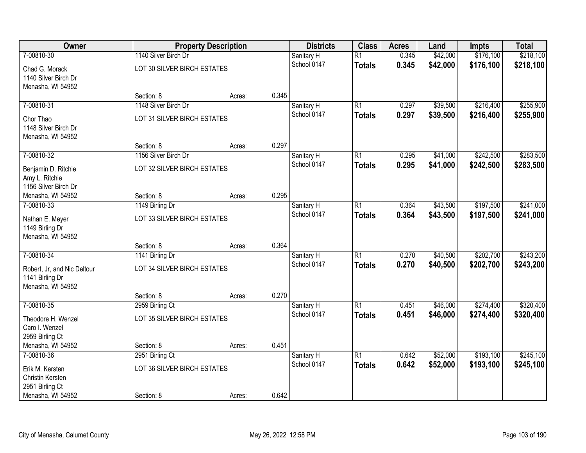| Owner                                                               |                             | <b>Property Description</b> | <b>Districts</b> | <b>Class</b> | <b>Acres</b>    | Land  | <b>Impts</b> | <b>Total</b> |           |
|---------------------------------------------------------------------|-----------------------------|-----------------------------|------------------|--------------|-----------------|-------|--------------|--------------|-----------|
| 7-00810-30                                                          | 1140 Silver Birch Dr        |                             |                  | Sanitary H   | $\overline{R1}$ | 0.345 | \$42,000     | \$176,100    | \$218,100 |
| Chad G. Morack<br>1140 Silver Birch Dr<br>Menasha, WI 54952         | LOT 30 SILVER BIRCH ESTATES |                             |                  | School 0147  | <b>Totals</b>   | 0.345 | \$42,000     | \$176,100    | \$218,100 |
|                                                                     | Section: 8                  | Acres:                      | 0.345            |              |                 |       |              |              |           |
| 7-00810-31                                                          | 1148 Silver Birch Dr        |                             |                  | Sanitary H   | $\overline{R1}$ | 0.297 | \$39,500     | \$216,400    | \$255,900 |
| Chor Thao<br>1148 Silver Birch Dr<br>Menasha, WI 54952              | LOT 31 SILVER BIRCH ESTATES |                             |                  | School 0147  | <b>Totals</b>   | 0.297 | \$39,500     | \$216,400    | \$255,900 |
|                                                                     | Section: 8                  | Acres:                      | 0.297            |              |                 |       |              |              |           |
| 7-00810-32                                                          | 1156 Silver Birch Dr        |                             |                  | Sanitary H   | $\overline{R1}$ | 0.295 | \$41,000     | \$242,500    | \$283,500 |
| Benjamin D. Ritchie<br>Amy L. Ritchie<br>1156 Silver Birch Dr       | LOT 32 SILVER BIRCH ESTATES |                             |                  | School 0147  | <b>Totals</b>   | 0.295 | \$41,000     | \$242,500    | \$283,500 |
| Menasha, WI 54952                                                   | Section: 8                  | Acres:                      | 0.295            |              |                 |       |              |              |           |
| 7-00810-33                                                          | 1149 Birling Dr             |                             |                  | Sanitary H   | $\overline{R1}$ | 0.364 | \$43,500     | \$197,500    | \$241,000 |
| Nathan E. Meyer<br>1149 Birling Dr<br>Menasha, WI 54952             | LOT 33 SILVER BIRCH ESTATES |                             |                  | School 0147  | <b>Totals</b>   | 0.364 | \$43,500     | \$197,500    | \$241,000 |
|                                                                     | Section: 8                  | Acres:                      | 0.364            |              |                 |       |              |              |           |
| 7-00810-34                                                          | 1141 Birling Dr             |                             |                  | Sanitary H   | $\overline{R1}$ | 0.270 | \$40,500     | \$202,700    | \$243,200 |
| Robert, Jr, and Nic Deltour<br>1141 Birling Dr<br>Menasha, WI 54952 | LOT 34 SILVER BIRCH ESTATES |                             |                  | School 0147  | <b>Totals</b>   | 0.270 | \$40,500     | \$202,700    | \$243,200 |
|                                                                     | Section: 8                  | Acres:                      | 0.270            |              |                 |       |              |              |           |
| 7-00810-35                                                          | 2959 Birling Ct             |                             |                  | Sanitary H   | $\overline{R1}$ | 0.451 | \$46,000     | \$274,400    | \$320,400 |
| Theodore H. Wenzel<br>Caro I. Wenzel<br>2959 Birling Ct             | LOT 35 SILVER BIRCH ESTATES |                             |                  | School 0147  | <b>Totals</b>   | 0.451 | \$46,000     | \$274,400    | \$320,400 |
| Menasha, WI 54952                                                   | Section: 8                  | Acres:                      | 0.451            |              |                 |       |              |              |           |
| 7-00810-36                                                          | 2951 Birling Ct             |                             |                  | Sanitary H   | $\overline{R1}$ | 0.642 | \$52,000     | \$193,100    | \$245,100 |
| Erik M. Kersten<br>Christin Kersten<br>2951 Birling Ct              | LOT 36 SILVER BIRCH ESTATES |                             |                  | School 0147  | <b>Totals</b>   | 0.642 | \$52,000     | \$193,100    | \$245,100 |
| Menasha, WI 54952                                                   | Section: 8                  | Acres:                      | 0.642            |              |                 |       |              |              |           |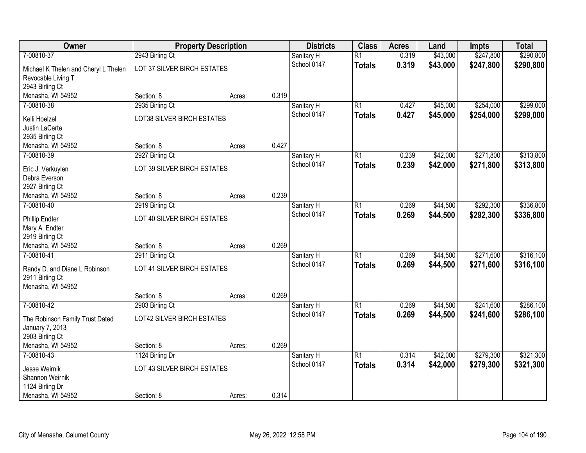| Owner                                | <b>Property Description</b>       |        |       | <b>Districts</b> | <b>Class</b>    | <b>Acres</b> | Land     | <b>Impts</b> | <b>Total</b> |
|--------------------------------------|-----------------------------------|--------|-------|------------------|-----------------|--------------|----------|--------------|--------------|
| 7-00810-37                           | 2943 Birling Ct                   |        |       | Sanitary H       | $\overline{R1}$ | 0.319        | \$43,000 | \$247,800    | \$290,800    |
| Michael K Thelen and Cheryl L Thelen | LOT 37 SILVER BIRCH ESTATES       |        |       | School 0147      | <b>Totals</b>   | 0.319        | \$43,000 | \$247,800    | \$290,800    |
| Revocable Living T                   |                                   |        |       |                  |                 |              |          |              |              |
| 2943 Birling Ct                      |                                   |        |       |                  |                 |              |          |              |              |
| Menasha, WI 54952                    | Section: 8                        | Acres: | 0.319 |                  |                 |              |          |              |              |
| 7-00810-38                           | 2935 Birling Ct                   |        |       | Sanitary H       | $\overline{R1}$ | 0.427        | \$45,000 | \$254,000    | \$299,000    |
| Kelli Hoelzel                        | LOT38 SILVER BIRCH ESTATES        |        |       | School 0147      | <b>Totals</b>   | 0.427        | \$45,000 | \$254,000    | \$299,000    |
| Justin LaCerte                       |                                   |        |       |                  |                 |              |          |              |              |
| 2935 Birling Ct                      |                                   |        |       |                  |                 |              |          |              |              |
| Menasha, WI 54952                    | Section: 8                        | Acres: | 0.427 |                  |                 |              |          |              |              |
| 7-00810-39                           | 2927 Birling Ct                   |        |       | Sanitary H       | $\overline{R1}$ | 0.239        | \$42,000 | \$271,800    | \$313,800    |
| Eric J. Verkuylen                    | LOT 39 SILVER BIRCH ESTATES       |        |       | School 0147      | <b>Totals</b>   | 0.239        | \$42,000 | \$271,800    | \$313,800    |
| Debra Everson                        |                                   |        |       |                  |                 |              |          |              |              |
| 2927 Birling Ct                      |                                   |        |       |                  |                 |              |          |              |              |
| Menasha, WI 54952                    | Section: 8                        | Acres: | 0.239 |                  |                 |              |          |              |              |
| 7-00810-40                           | 2919 Birling Ct                   |        |       | Sanitary H       | $\overline{R1}$ | 0.269        | \$44,500 | \$292,300    | \$336,800    |
| <b>Phillip Endter</b>                | LOT 40 SILVER BIRCH ESTATES       |        |       | School 0147      | <b>Totals</b>   | 0.269        | \$44,500 | \$292,300    | \$336,800    |
| Mary A. Endter                       |                                   |        |       |                  |                 |              |          |              |              |
| 2919 Birling Ct                      |                                   |        |       |                  |                 |              |          |              |              |
| Menasha, WI 54952                    | Section: 8                        | Acres: | 0.269 |                  |                 |              |          |              |              |
| 7-00810-41                           | 2911 Birling Ct                   |        |       | Sanitary H       | $\overline{R1}$ | 0.269        | \$44,500 | \$271,600    | \$316,100    |
| Randy D. and Diane L Robinson        | LOT 41 SILVER BIRCH ESTATES       |        |       | School 0147      | <b>Totals</b>   | 0.269        | \$44,500 | \$271,600    | \$316,100    |
| 2911 Birling Ct                      |                                   |        |       |                  |                 |              |          |              |              |
| Menasha, WI 54952                    |                                   |        |       |                  |                 |              |          |              |              |
|                                      | Section: 8                        | Acres: | 0.269 |                  |                 |              |          |              |              |
| 7-00810-42                           | 2903 Birling Ct                   |        |       | Sanitary H       | $\overline{R1}$ | 0.269        | \$44,500 | \$241,600    | \$286,100    |
| The Robinson Family Trust Dated      | <b>LOT42 SILVER BIRCH ESTATES</b> |        |       | School 0147      | <b>Totals</b>   | 0.269        | \$44,500 | \$241,600    | \$286,100    |
| January 7, 2013                      |                                   |        |       |                  |                 |              |          |              |              |
| 2903 Birling Ct                      |                                   |        |       |                  |                 |              |          |              |              |
| Menasha, WI 54952                    | Section: 8                        | Acres: | 0.269 |                  |                 |              |          |              |              |
| 7-00810-43                           | 1124 Birling Dr                   |        |       | Sanitary H       | $\overline{R1}$ | 0.314        | \$42,000 | \$279,300    | \$321,300    |
| Jesse Weirnik                        | LOT 43 SILVER BIRCH ESTATES       |        |       | School 0147      | <b>Totals</b>   | 0.314        | \$42,000 | \$279,300    | \$321,300    |
| Shannon Weirnik                      |                                   |        |       |                  |                 |              |          |              |              |
| 1124 Birling Dr                      |                                   |        |       |                  |                 |              |          |              |              |
| Menasha, WI 54952                    | Section: 8                        | Acres: | 0.314 |                  |                 |              |          |              |              |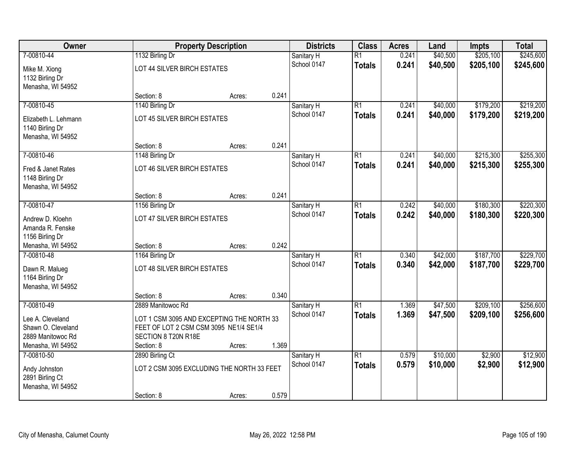| Owner                                                                            |                                                                                                                          | <b>Property Description</b> |       | <b>Districts</b> | <b>Class</b>    | <b>Acres</b> | Land     | <b>Impts</b> | <b>Total</b> |
|----------------------------------------------------------------------------------|--------------------------------------------------------------------------------------------------------------------------|-----------------------------|-------|------------------|-----------------|--------------|----------|--------------|--------------|
| 7-00810-44                                                                       | 1132 Birling Dr                                                                                                          |                             |       | Sanitary H       | $\overline{R1}$ | 0.241        | \$40,500 | \$205,100    | \$245,600    |
| Mike M. Xiong<br>1132 Birling Dr<br>Menasha, WI 54952                            | LOT 44 SILVER BIRCH ESTATES                                                                                              |                             |       | School 0147      | <b>Totals</b>   | 0.241        | \$40,500 | \$205,100    | \$245,600    |
|                                                                                  | Section: 8                                                                                                               | Acres:                      | 0.241 |                  |                 |              |          |              |              |
| 7-00810-45                                                                       | 1140 Birling Dr                                                                                                          |                             |       | Sanitary H       | $\overline{R1}$ | 0.241        | \$40,000 | \$179,200    | \$219,200    |
| Elizabeth L. Lehmann<br>1140 Birling Dr<br>Menasha, WI 54952                     | LOT 45 SILVER BIRCH ESTATES                                                                                              |                             |       | School 0147      | <b>Totals</b>   | 0.241        | \$40,000 | \$179,200    | \$219,200    |
|                                                                                  | Section: 8                                                                                                               | Acres:                      | 0.241 |                  |                 |              |          |              |              |
| 7-00810-46                                                                       | 1148 Birling Dr                                                                                                          |                             |       | Sanitary H       | $\overline{R1}$ | 0.241        | \$40,000 | \$215,300    | \$255,300    |
| Fred & Janet Rates<br>1148 Birling Dr<br>Menasha, WI 54952                       | LOT 46 SILVER BIRCH ESTATES                                                                                              |                             |       | School 0147      | <b>Totals</b>   | 0.241        | \$40,000 | \$215,300    | \$255,300    |
|                                                                                  | Section: 8                                                                                                               | Acres:                      | 0.241 |                  |                 |              |          |              |              |
| 7-00810-47                                                                       | 1156 Birling Dr                                                                                                          |                             |       | Sanitary H       | $\overline{R1}$ | 0.242        | \$40,000 | \$180,300    | \$220,300    |
| Andrew D. Kloehn<br>Amanda R. Fenske<br>1156 Birling Dr                          | LOT 47 SILVER BIRCH ESTATES                                                                                              |                             |       | School 0147      | <b>Totals</b>   | 0.242        | \$40,000 | \$180,300    | \$220,300    |
| Menasha, WI 54952                                                                | Section: 8                                                                                                               | Acres:                      | 0.242 |                  |                 |              |          |              |              |
| 7-00810-48                                                                       | 1164 Birling Dr                                                                                                          |                             |       | Sanitary H       | $\overline{R1}$ | 0.340        | \$42,000 | \$187,700    | \$229,700    |
| Dawn R. Malueg<br>1164 Birling Dr<br>Menasha, WI 54952                           | LOT 48 SILVER BIRCH ESTATES                                                                                              |                             |       | School 0147      | <b>Totals</b>   | 0.340        | \$42,000 | \$187,700    | \$229,700    |
|                                                                                  | Section: 8                                                                                                               | Acres:                      | 0.340 |                  |                 |              |          |              |              |
| 7-00810-49                                                                       | 2889 Manitowoc Rd                                                                                                        |                             |       | Sanitary H       | $\overline{R1}$ | 1.369        | \$47,500 | \$209,100    | \$256,600    |
| Lee A. Cleveland<br>Shawn O. Cleveland<br>2889 Manitowoc Rd<br>Menasha, WI 54952 | LOT 1 CSM 3095 AND EXCEPTING THE NORTH 33<br>FEET OF LOT 2 CSM CSM 3095 NE1/4 SE1/4<br>SECTION 8 T20N R18E<br>Section: 8 | Acres:                      | 1.369 | School 0147      | <b>Totals</b>   | 1.369        | \$47,500 | \$209,100    | \$256,600    |
| 7-00810-50                                                                       | 2890 Birling Ct                                                                                                          |                             |       | Sanitary H       | $\overline{R1}$ | 0.579        | \$10,000 | \$2,900      | \$12,900     |
| Andy Johnston<br>2891 Birling Ct<br>Menasha, WI 54952                            | LOT 2 CSM 3095 EXCLUDING THE NORTH 33 FEET                                                                               |                             |       | School 0147      | <b>Totals</b>   | 0.579        | \$10,000 | \$2,900      | \$12,900     |
|                                                                                  | Section: 8                                                                                                               | Acres:                      | 0.579 |                  |                 |              |          |              |              |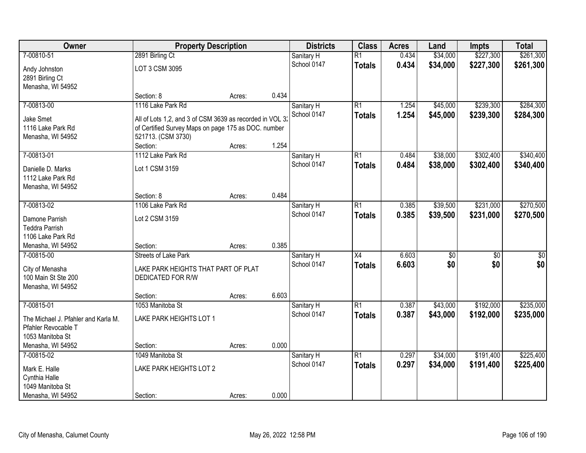| Owner                               | <b>Property Description</b>                              |        |       | <b>Districts</b> | <b>Class</b>    | <b>Acres</b> | Land            | <b>Impts</b>    | <b>Total</b>     |
|-------------------------------------|----------------------------------------------------------|--------|-------|------------------|-----------------|--------------|-----------------|-----------------|------------------|
| 7-00810-51                          | 2891 Birling Ct                                          |        |       | Sanitary H       | $\overline{R1}$ | 0.434        | \$34,000        | \$227,300       | \$261,300        |
| Andy Johnston<br>2891 Birling Ct    | LOT 3 CSM 3095                                           |        |       | School 0147      | <b>Totals</b>   | 0.434        | \$34,000        | \$227,300       | \$261,300        |
| Menasha, WI 54952                   |                                                          |        |       |                  |                 |              |                 |                 |                  |
|                                     | Section: 8                                               | Acres: | 0.434 |                  |                 |              |                 |                 |                  |
| 7-00813-00                          | 1116 Lake Park Rd                                        |        |       | Sanitary H       | $\overline{R1}$ | 1.254        | \$45,000        | \$239,300       | \$284,300        |
| <b>Jake Smet</b>                    | All of Lots 1,2, and 3 of CSM 3639 as recorded in VOL 3: |        |       | School 0147      | <b>Totals</b>   | 1.254        | \$45,000        | \$239,300       | \$284,300        |
| 1116 Lake Park Rd                   | of Certified Survey Maps on page 175 as DOC. number      |        |       |                  |                 |              |                 |                 |                  |
| Menasha, WI 54952                   | 521713. (CSM 3730)                                       |        |       |                  |                 |              |                 |                 |                  |
|                                     | Section:                                                 | Acres: | 1.254 |                  |                 |              |                 |                 |                  |
| 7-00813-01                          | 1112 Lake Park Rd                                        |        |       | Sanitary H       | $\overline{R1}$ | 0.484        | \$38,000        | \$302,400       | \$340,400        |
| Danielle D. Marks                   | Lot 1 CSM 3159                                           |        |       | School 0147      | <b>Totals</b>   | 0.484        | \$38,000        | \$302,400       | \$340,400        |
| 1112 Lake Park Rd                   |                                                          |        |       |                  |                 |              |                 |                 |                  |
| Menasha, WI 54952                   |                                                          |        |       |                  |                 |              |                 |                 |                  |
|                                     | Section: 8                                               | Acres: | 0.484 |                  |                 |              |                 |                 |                  |
| 7-00813-02                          | 1106 Lake Park Rd                                        |        |       | Sanitary H       | $\overline{R1}$ | 0.385        | \$39,500        | \$231,000       | \$270,500        |
| Damone Parrish                      | Lot 2 CSM 3159                                           |        |       | School 0147      | <b>Totals</b>   | 0.385        | \$39,500        | \$231,000       | \$270,500        |
| <b>Teddra Parrish</b>               |                                                          |        |       |                  |                 |              |                 |                 |                  |
| 1106 Lake Park Rd                   |                                                          |        |       |                  |                 |              |                 |                 |                  |
| Menasha, WI 54952                   | Section:                                                 | Acres: | 0.385 |                  |                 |              |                 |                 |                  |
| 7-00815-00                          | <b>Streets of Lake Park</b>                              |        |       | Sanitary H       | $\overline{X4}$ | 6.603        | $\overline{50}$ | $\overline{50}$ | $\overline{\$0}$ |
|                                     |                                                          |        |       | School 0147      | <b>Totals</b>   | 6.603        | \$0             | \$0             | \$0              |
| City of Menasha                     | LAKE PARK HEIGHTS THAT PART OF PLAT                      |        |       |                  |                 |              |                 |                 |                  |
| 100 Main St Ste 200                 | DEDICATED FOR R/W                                        |        |       |                  |                 |              |                 |                 |                  |
| Menasha, WI 54952                   | Section:                                                 |        | 6.603 |                  |                 |              |                 |                 |                  |
| 7-00815-01                          | 1053 Manitoba St                                         | Acres: |       | Sanitary H       | $\overline{R1}$ | 0.387        | \$43,000        | \$192,000       | \$235,000        |
|                                     |                                                          |        |       | School 0147      |                 | 0.387        | \$43,000        | \$192,000       | \$235,000        |
| The Michael J. Pfahler and Karla M. | LAKE PARK HEIGHTS LOT 1                                  |        |       |                  | <b>Totals</b>   |              |                 |                 |                  |
| Pfahler Revocable T                 |                                                          |        |       |                  |                 |              |                 |                 |                  |
| 1053 Manitoba St                    |                                                          |        |       |                  |                 |              |                 |                 |                  |
| Menasha, WI 54952                   | Section:                                                 | Acres: | 0.000 |                  |                 |              |                 |                 |                  |
| 7-00815-02                          | 1049 Manitoba St                                         |        |       | Sanitary H       | $\overline{R1}$ | 0.297        | \$34,000        | \$191,400       | \$225,400        |
| Mark E. Halle                       | LAKE PARK HEIGHTS LOT 2                                  |        |       | School 0147      | <b>Totals</b>   | 0.297        | \$34,000        | \$191,400       | \$225,400        |
| Cynthia Halle                       |                                                          |        |       |                  |                 |              |                 |                 |                  |
| 1049 Manitoba St                    |                                                          |        |       |                  |                 |              |                 |                 |                  |
| Menasha, WI 54952                   | Section:                                                 | Acres: | 0.000 |                  |                 |              |                 |                 |                  |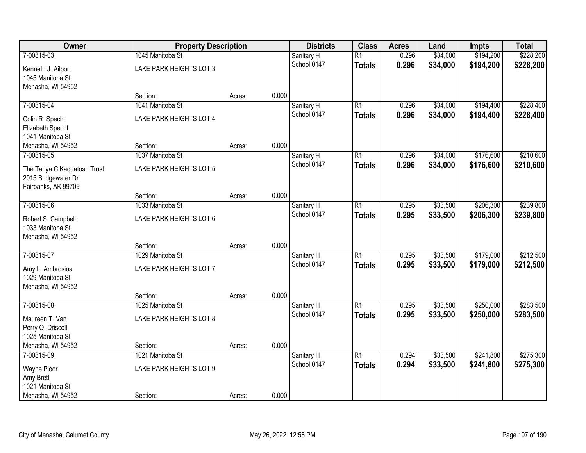| Owner                                                       | <b>Property Description</b> |        |       | <b>Districts</b>          | <b>Class</b>    | <b>Acres</b> | Land     | <b>Impts</b> | <b>Total</b> |
|-------------------------------------------------------------|-----------------------------|--------|-------|---------------------------|-----------------|--------------|----------|--------------|--------------|
| 7-00815-03                                                  | 1045 Manitoba St            |        |       | Sanitary H                | $\overline{R1}$ | 0.296        | \$34,000 | \$194,200    | \$228,200    |
| Kenneth J. Ailport<br>1045 Manitoba St                      | LAKE PARK HEIGHTS LOT 3     |        |       | School 0147               | <b>Totals</b>   | 0.296        | \$34,000 | \$194,200    | \$228,200    |
| Menasha, WI 54952                                           |                             |        |       |                           |                 |              |          |              |              |
|                                                             | Section:                    | Acres: | 0.000 |                           |                 |              |          |              |              |
| 7-00815-04                                                  | 1041 Manitoba St            |        |       | Sanitary H                | $\overline{R1}$ | 0.296        | \$34,000 | \$194,400    | \$228,400    |
| Colin R. Specht<br>Elizabeth Specht<br>1041 Manitoba St     | LAKE PARK HEIGHTS LOT 4     |        |       | School 0147               | <b>Totals</b>   | 0.296        | \$34,000 | \$194,400    | \$228,400    |
| Menasha, WI 54952                                           | Section:                    | Acres: | 0.000 |                           |                 |              |          |              |              |
| 7-00815-05                                                  | 1037 Manitoba St            |        |       | Sanitary H                | $\overline{R1}$ | 0.296        | \$34,000 | \$176,600    | \$210,600    |
| The Tanya C Kaquatosh Trust<br>2015 Bridgewater Dr          | LAKE PARK HEIGHTS LOT 5     |        |       | School 0147               | <b>Totals</b>   | 0.296        | \$34,000 | \$176,600    | \$210,600    |
| Fairbanks, AK 99709                                         | Section:                    |        | 0.000 |                           |                 |              |          |              |              |
| 7-00815-06                                                  | 1033 Manitoba St            | Acres: |       |                           | $\overline{R1}$ | 0.295        | \$33,500 | \$206,300    | \$239,800    |
|                                                             |                             |        |       | Sanitary H<br>School 0147 |                 | 0.295        |          |              |              |
| Robert S. Campbell<br>1033 Manitoba St<br>Menasha, WI 54952 | LAKE PARK HEIGHTS LOT 6     |        |       |                           | <b>Totals</b>   |              | \$33,500 | \$206,300    | \$239,800    |
|                                                             | Section:                    | Acres: | 0.000 |                           |                 |              |          |              |              |
| 7-00815-07                                                  | 1029 Manitoba St            |        |       | Sanitary H                | $\overline{R1}$ | 0.295        | \$33,500 | \$179,000    | \$212,500    |
|                                                             |                             |        |       | School 0147               | <b>Totals</b>   | 0.295        | \$33,500 | \$179,000    | \$212,500    |
| Amy L. Ambrosius<br>1029 Manitoba St                        | LAKE PARK HEIGHTS LOT 7     |        |       |                           |                 |              |          |              |              |
| Menasha, WI 54952                                           |                             |        |       |                           |                 |              |          |              |              |
|                                                             | Section:                    | Acres: | 0.000 |                           |                 |              |          |              |              |
| 7-00815-08                                                  | 1025 Manitoba St            |        |       | Sanitary H                | $\overline{R1}$ | 0.295        | \$33,500 | \$250,000    | \$283,500    |
|                                                             |                             |        |       | School 0147               | <b>Totals</b>   | 0.295        | \$33,500 | \$250,000    | \$283,500    |
| Maureen T. Van                                              | LAKE PARK HEIGHTS LOT 8     |        |       |                           |                 |              |          |              |              |
| Perry O. Driscoll<br>1025 Manitoba St                       |                             |        |       |                           |                 |              |          |              |              |
| Menasha, WI 54952                                           | Section:                    | Acres: | 0.000 |                           |                 |              |          |              |              |
| 7-00815-09                                                  | 1021 Manitoba St            |        |       | Sanitary H                | $\overline{R1}$ | 0.294        | \$33,500 | \$241,800    | \$275,300    |
|                                                             |                             |        |       | School 0147               | <b>Totals</b>   | 0.294        | \$33,500 | \$241,800    | \$275,300    |
| Wayne Ploor                                                 | LAKE PARK HEIGHTS LOT 9     |        |       |                           |                 |              |          |              |              |
| Amy Bretl                                                   |                             |        |       |                           |                 |              |          |              |              |
| 1021 Manitoba St                                            |                             |        |       |                           |                 |              |          |              |              |
| Menasha, WI 54952                                           | Section:                    | Acres: | 0.000 |                           |                 |              |          |              |              |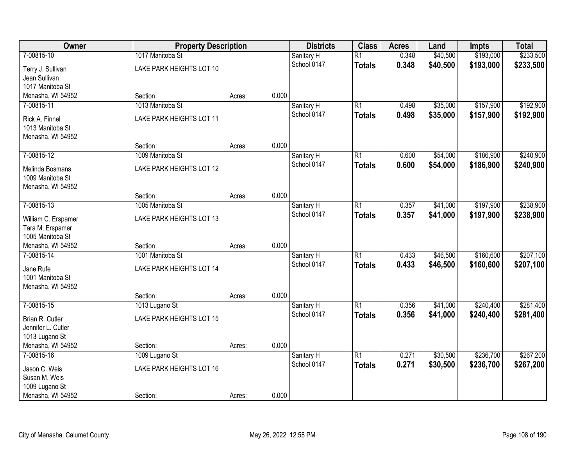| Owner<br><b>Property Description</b>                        | <b>Districts</b>                             | <b>Class</b> | <b>Acres</b> | Land                      | <b>Impts</b>                     | <b>Total</b>   |                      |                        |                        |
|-------------------------------------------------------------|----------------------------------------------|--------------|--------------|---------------------------|----------------------------------|----------------|----------------------|------------------------|------------------------|
| 7-00815-10<br>Terry J. Sullivan                             | 1017 Manitoba St<br>LAKE PARK HEIGHTS LOT 10 |              |              | Sanitary H<br>School 0147 | $\overline{R1}$<br><b>Totals</b> | 0.348<br>0.348 | \$40,500<br>\$40,500 | \$193,000<br>\$193,000 | \$233,500<br>\$233,500 |
| Jean Sullivan<br>1017 Manitoba St                           |                                              |              |              |                           |                                  |                |                      |                        |                        |
| Menasha, WI 54952                                           | Section:                                     | Acres:       | 0.000        |                           |                                  |                |                      |                        |                        |
| 7-00815-11                                                  | 1013 Manitoba St                             |              |              | Sanitary H                | $\overline{R1}$                  | 0.498          | \$35,000             | \$157,900              | \$192,900              |
| Rick A. Finnel<br>1013 Manitoba St<br>Menasha, WI 54952     | LAKE PARK HEIGHTS LOT 11                     |              |              | School 0147               | <b>Totals</b>                    | 0.498          | \$35,000             | \$157,900              | \$192,900              |
|                                                             | Section:                                     | Acres:       | 0.000        |                           |                                  |                |                      |                        |                        |
| 7-00815-12                                                  | 1009 Manitoba St                             |              |              | Sanitary H                | $\overline{R1}$                  | 0.600          | \$54,000             | \$186,900              | \$240,900              |
| Melinda Bosmans<br>1009 Manitoba St<br>Menasha, WI 54952    | LAKE PARK HEIGHTS LOT 12                     |              |              | School 0147               | <b>Totals</b>                    | 0.600          | \$54,000             | \$186,900              | \$240,900              |
|                                                             | Section:                                     | Acres:       | 0.000        |                           |                                  |                |                      |                        |                        |
| 7-00815-13                                                  | 1005 Manitoba St                             |              |              | Sanitary H                | $\overline{R1}$                  | 0.357          | \$41,000             | \$197,900              | \$238,900              |
| William C. Erspamer<br>Tara M. Erspamer<br>1005 Manitoba St | LAKE PARK HEIGHTS LOT 13                     |              |              | School 0147               | <b>Totals</b>                    | 0.357          | \$41,000             | \$197,900              | \$238,900              |
| Menasha, WI 54952                                           | Section:                                     | Acres:       | 0.000        |                           |                                  |                |                      |                        |                        |
| 7-00815-14                                                  | 1001 Manitoba St                             |              |              | Sanitary H                | $\overline{R1}$                  | 0.433          | \$46,500             | \$160,600              | \$207,100              |
| Jane Rufe<br>1001 Manitoba St<br>Menasha, WI 54952          | LAKE PARK HEIGHTS LOT 14                     |              |              | School 0147               | <b>Totals</b>                    | 0.433          | \$46,500             | \$160,600              | \$207,100              |
|                                                             | Section:                                     | Acres:       | 0.000        |                           |                                  |                |                      |                        |                        |
| 7-00815-15                                                  | 1013 Lugano St                               |              |              | Sanitary H                | $\overline{R1}$                  | 0.356          | \$41,000             | \$240,400              | \$281,400              |
| Brian R. Cutler<br>Jennifer L. Cutler<br>1013 Lugano St     | LAKE PARK HEIGHTS LOT 15                     |              |              | School 0147               | <b>Totals</b>                    | 0.356          | \$41,000             | \$240,400              | \$281,400              |
| Menasha, WI 54952                                           | Section:                                     | Acres:       | 0.000        |                           |                                  |                |                      |                        |                        |
| 7-00815-16                                                  | 1009 Lugano St                               |              |              | Sanitary H                | $\overline{R1}$                  | 0.271          | \$30,500             | \$236,700              | \$267,200              |
| Jason C. Weis<br>Susan M. Weis<br>1009 Lugano St            | LAKE PARK HEIGHTS LOT 16                     |              |              | School 0147               | <b>Totals</b>                    | 0.271          | \$30,500             | \$236,700              | \$267,200              |
| Menasha, WI 54952                                           | Section:                                     | Acres:       | 0.000        |                           |                                  |                |                      |                        |                        |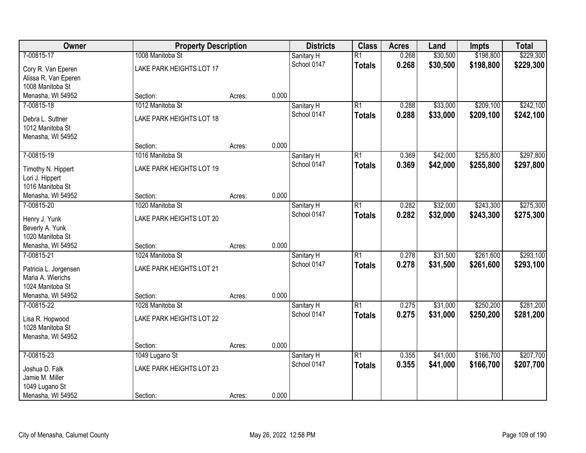| Owner                                 | <b>Property Description</b>  |        |       | <b>Districts</b>          | <b>Class</b>    | <b>Acres</b> | Land     | <b>Impts</b> | <b>Total</b> |
|---------------------------------------|------------------------------|--------|-------|---------------------------|-----------------|--------------|----------|--------------|--------------|
| 7-00815-17                            | 1008 Manitoba St             |        |       | Sanitary H                | $\overline{R1}$ | 0.268        | \$30,500 | \$198,800    | \$229,300    |
| Cory R. Van Eperen                    | LAKE PARK HEIGHTS LOT 17     |        |       | School 0147               | <b>Totals</b>   | 0.268        | \$30,500 | \$198,800    | \$229,300    |
| Alissa R. Van Eperen                  |                              |        |       |                           |                 |              |          |              |              |
| 1008 Manitoba St                      |                              |        |       |                           |                 |              |          |              |              |
| Menasha, WI 54952                     | Section:                     | Acres: | 0.000 |                           |                 |              |          |              |              |
| 7-00815-18                            | 1012 Manitoba St             |        |       | Sanitary H                | $\overline{R1}$ | 0.288        | \$33,000 | \$209,100    | \$242,100    |
| Debra L. Suttner                      | LAKE PARK HEIGHTS LOT 18     |        |       | School 0147               | <b>Totals</b>   | 0.288        | \$33,000 | \$209,100    | \$242,100    |
| 1012 Manitoba St                      |                              |        |       |                           |                 |              |          |              |              |
| Menasha, WI 54952                     |                              |        |       |                           |                 |              |          |              |              |
|                                       | Section:                     | Acres: | 0.000 |                           |                 |              |          |              |              |
| 7-00815-19                            | 1016 Manitoba St             |        |       | Sanitary H                | $\overline{R1}$ | 0.369        | \$42,000 | \$255,800    | \$297,800    |
|                                       | LAKE PARK HEIGHTS LOT 19     |        |       | School 0147               | <b>Totals</b>   | 0.369        | \$42,000 | \$255,800    | \$297,800    |
| Timothy N. Hippert<br>Lori J. Hippert |                              |        |       |                           |                 |              |          |              |              |
| 1016 Manitoba St                      |                              |        |       |                           |                 |              |          |              |              |
| Menasha, WI 54952                     | Section:                     | Acres: | 0.000 |                           |                 |              |          |              |              |
| 7-00815-20                            | 1020 Manitoba St             |        |       | Sanitary H                | $\overline{R1}$ | 0.282        | \$32,000 | \$243,300    | \$275,300    |
|                                       |                              |        |       | School 0147               | <b>Totals</b>   | 0.282        | \$32,000 | \$243,300    | \$275,300    |
| Henry J. Yunk                         | LAKE PARK HEIGHTS LOT 20     |        |       |                           |                 |              |          |              |              |
| Beverly A. Yunk<br>1020 Manitoba St   |                              |        |       |                           |                 |              |          |              |              |
| Menasha, WI 54952                     | Section:                     | Acres: | 0.000 |                           |                 |              |          |              |              |
| 7-00815-21                            | 1024 Manitoba St             |        |       | Sanitary H                | $\overline{R1}$ | 0.278        | \$31,500 | \$261,600    | \$293,100    |
|                                       |                              |        |       | School 0147               | <b>Totals</b>   | 0.278        | \$31,500 | \$261,600    | \$293,100    |
| Patricia L. Jorgensen                 | LAKE PARK HEIGHTS LOT 21     |        |       |                           |                 |              |          |              |              |
| Maria A. Wierichs                     |                              |        |       |                           |                 |              |          |              |              |
| 1024 Manitoba St                      |                              |        | 0.000 |                           |                 |              |          |              |              |
| Menasha, WI 54952<br>7-00815-22       | Section:<br>1028 Manitoba St | Acres: |       |                           | $\overline{R1}$ | 0.275        | \$31,000 | \$250,200    | \$281,200    |
|                                       |                              |        |       | Sanitary H<br>School 0147 |                 | 0.275        | \$31,000 | \$250,200    | \$281,200    |
| Lisa R. Hopwood                       | LAKE PARK HEIGHTS LOT 22     |        |       |                           | <b>Totals</b>   |              |          |              |              |
| 1028 Manitoba St                      |                              |        |       |                           |                 |              |          |              |              |
| Menasha, WI 54952                     |                              |        |       |                           |                 |              |          |              |              |
|                                       | Section:                     | Acres: | 0.000 |                           |                 |              |          |              |              |
| 7-00815-23                            | 1049 Lugano St               |        |       | Sanitary H                | $\overline{R1}$ | 0.355        | \$41,000 | \$166,700    | \$207,700    |
| Joshua D. Falk                        | LAKE PARK HEIGHTS LOT 23     |        |       | School 0147               | <b>Totals</b>   | 0.355        | \$41,000 | \$166,700    | \$207,700    |
| Jamie M. Miller                       |                              |        |       |                           |                 |              |          |              |              |
| 1049 Lugano St                        |                              |        |       |                           |                 |              |          |              |              |
| Menasha, WI 54952                     | Section:                     | Acres: | 0.000 |                           |                 |              |          |              |              |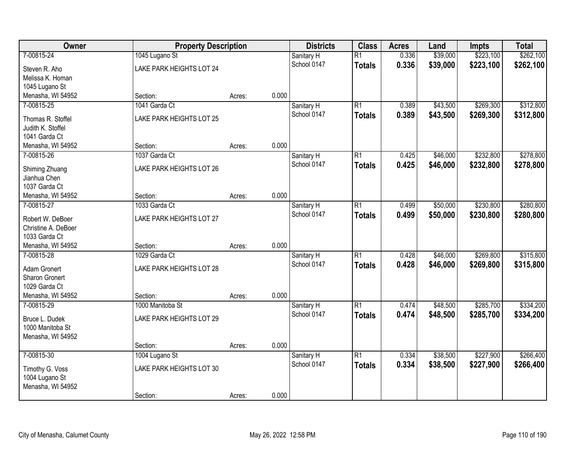| Owner                                           | <b>Property Description</b>                | <b>Districts</b><br><b>Class</b> |       | <b>Acres</b>              | Land                             | <b>Impts</b>   | <b>Total</b>         |                        |                        |
|-------------------------------------------------|--------------------------------------------|----------------------------------|-------|---------------------------|----------------------------------|----------------|----------------------|------------------------|------------------------|
| 7-00815-24<br>Steven R. Aho<br>Melissa K. Homan | 1045 Lugano St<br>LAKE PARK HEIGHTS LOT 24 |                                  |       | Sanitary H<br>School 0147 | $\overline{R1}$<br><b>Totals</b> | 0.336<br>0.336 | \$39,000<br>\$39,000 | \$223,100<br>\$223,100 | \$262,100<br>\$262,100 |
| 1045 Lugano St                                  |                                            |                                  |       |                           |                                  |                |                      |                        |                        |
| Menasha, WI 54952                               | Section:                                   | Acres:                           | 0.000 |                           |                                  |                |                      |                        |                        |
| 7-00815-25                                      | 1041 Garda Ct                              |                                  |       | Sanitary H                | $\overline{R1}$                  | 0.389          | \$43,500             | \$269,300              | \$312,800              |
| Thomas R. Stoffel<br>Judith K. Stoffel          | LAKE PARK HEIGHTS LOT 25                   |                                  |       | School 0147               | <b>Totals</b>                    | 0.389          | \$43,500             | \$269,300              | \$312,800              |
| 1041 Garda Ct                                   |                                            |                                  |       |                           |                                  |                |                      |                        |                        |
| Menasha, WI 54952                               | Section:                                   | Acres:                           | 0.000 |                           |                                  |                |                      |                        |                        |
| 7-00815-26                                      | 1037 Garda Ct                              |                                  |       | Sanitary H                | $\overline{R1}$                  | 0.425          | \$46,000             | \$232,800              | \$278,800              |
| Shiming Zhuang<br>Jianhua Chen                  | LAKE PARK HEIGHTS LOT 26                   |                                  |       | School 0147               | <b>Totals</b>                    | 0.425          | \$46,000             | \$232,800              | \$278,800              |
| 1037 Garda Ct                                   |                                            |                                  | 0.000 |                           |                                  |                |                      |                        |                        |
| Menasha, WI 54952<br>7-00815-27                 | Section:<br>1033 Garda Ct                  | Acres:                           |       |                           | $\overline{R1}$                  | 0.499          | \$50,000             | \$230,800              | \$280,800              |
|                                                 |                                            |                                  |       | Sanitary H<br>School 0147 |                                  |                |                      |                        |                        |
| Robert W. DeBoer                                | LAKE PARK HEIGHTS LOT 27                   |                                  |       |                           | <b>Totals</b>                    | 0.499          | \$50,000             | \$230,800              | \$280,800              |
| Christine A. DeBoer                             |                                            |                                  |       |                           |                                  |                |                      |                        |                        |
| 1033 Garda Ct                                   |                                            |                                  |       |                           |                                  |                |                      |                        |                        |
| Menasha, WI 54952                               | Section:                                   | Acres:                           | 0.000 |                           |                                  |                |                      |                        |                        |
| 7-00815-28                                      | 1029 Garda Ct                              |                                  |       | Sanitary H                | $\overline{R1}$                  | 0.428          | \$46,000             | \$269,800              | \$315,800              |
| Adam Gronert                                    | LAKE PARK HEIGHTS LOT 28                   |                                  |       | School 0147               | <b>Totals</b>                    | 0.428          | \$46,000             | \$269,800              | \$315,800              |
| <b>Sharon Gronert</b>                           |                                            |                                  |       |                           |                                  |                |                      |                        |                        |
| 1029 Garda Ct                                   |                                            |                                  |       |                           |                                  |                |                      |                        |                        |
| Menasha, WI 54952                               | Section:                                   | Acres:                           | 0.000 |                           |                                  |                |                      |                        |                        |
| 7-00815-29                                      | 1000 Manitoba St                           |                                  |       | Sanitary H                | $\overline{R1}$                  | 0.474          | \$48,500             | \$285,700              | \$334,200              |
| Bruce L. Dudek                                  | LAKE PARK HEIGHTS LOT 29                   |                                  |       | School 0147               | <b>Totals</b>                    | 0.474          | \$48,500             | \$285,700              | \$334,200              |
| 1000 Manitoba St                                |                                            |                                  |       |                           |                                  |                |                      |                        |                        |
| Menasha, WI 54952                               |                                            |                                  | 0.000 |                           |                                  |                |                      |                        |                        |
| 7-00815-30                                      | Section:<br>1004 Lugano St                 | Acres:                           |       |                           | $\overline{R1}$                  | 0.334          | \$38,500             | \$227,900              | \$266,400              |
|                                                 |                                            |                                  |       | Sanitary H<br>School 0147 |                                  | 0.334          |                      |                        |                        |
| Timothy G. Voss                                 | LAKE PARK HEIGHTS LOT 30                   |                                  |       |                           | <b>Totals</b>                    |                | \$38,500             | \$227,900              | \$266,400              |
| 1004 Lugano St                                  |                                            |                                  |       |                           |                                  |                |                      |                        |                        |
| Menasha, WI 54952                               |                                            |                                  |       |                           |                                  |                |                      |                        |                        |
|                                                 | Section:                                   | Acres:                           | 0.000 |                           |                                  |                |                      |                        |                        |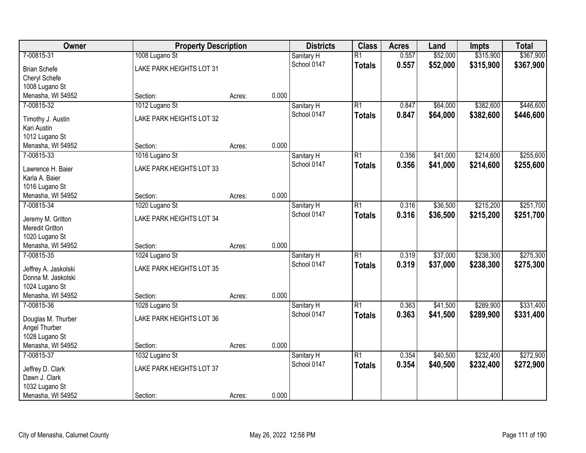| Owner                               | <b>Property Description</b> |        |       | <b>Districts</b>          | <b>Class</b>    | <b>Acres</b> | Land     | <b>Impts</b> | <b>Total</b> |
|-------------------------------------|-----------------------------|--------|-------|---------------------------|-----------------|--------------|----------|--------------|--------------|
| 7-00815-31                          | 1008 Lugano St              |        |       | Sanitary H                | $\overline{R1}$ | 0.557        | \$52,000 | \$315,900    | \$367,900    |
| <b>Brian Schefe</b>                 | LAKE PARK HEIGHTS LOT 31    |        |       | School 0147               | <b>Totals</b>   | 0.557        | \$52,000 | \$315,900    | \$367,900    |
| Cheryl Schefe                       |                             |        |       |                           |                 |              |          |              |              |
| 1008 Lugano St                      |                             |        |       |                           |                 |              |          |              |              |
| Menasha, WI 54952                   | Section:                    | Acres: | 0.000 |                           |                 |              |          |              |              |
| 7-00815-32                          | 1012 Lugano St              |        |       | Sanitary H                | $\overline{R1}$ | 0.847        | \$64,000 | \$382,600    | \$446,600    |
| Timothy J. Austin                   | LAKE PARK HEIGHTS LOT 32    |        |       | School 0147               | <b>Totals</b>   | 0.847        | \$64,000 | \$382,600    | \$446,600    |
| Kari Austin                         |                             |        |       |                           |                 |              |          |              |              |
| 1012 Lugano St                      |                             |        |       |                           |                 |              |          |              |              |
| Menasha, WI 54952                   | Section:                    | Acres: | 0.000 |                           |                 |              |          |              |              |
| 7-00815-33                          | 1016 Lugano St              |        |       | Sanitary H                | $\overline{R1}$ | 0.356        | \$41,000 | \$214,600    | \$255,600    |
|                                     |                             |        |       | School 0147               | <b>Totals</b>   | 0.356        | \$41,000 | \$214,600    | \$255,600    |
| Lawrence H. Baier<br>Karla A. Baier | LAKE PARK HEIGHTS LOT 33    |        |       |                           |                 |              |          |              |              |
| 1016 Lugano St                      |                             |        |       |                           |                 |              |          |              |              |
| Menasha, WI 54952                   | Section:                    | Acres: | 0.000 |                           |                 |              |          |              |              |
| 7-00815-34                          | 1020 Lugano St              |        |       | Sanitary H                | $\overline{R1}$ | 0.316        | \$36,500 | \$215,200    | \$251,700    |
|                                     |                             |        |       | School 0147               | <b>Totals</b>   | 0.316        | \$36,500 | \$215,200    | \$251,700    |
| Jeremy M. Gritton                   | LAKE PARK HEIGHTS LOT 34    |        |       |                           |                 |              |          |              |              |
| Meredit Gritton                     |                             |        |       |                           |                 |              |          |              |              |
| 1020 Lugano St                      |                             |        | 0.000 |                           |                 |              |          |              |              |
| Menasha, WI 54952<br>7-00815-35     | Section:                    | Acres: |       |                           | $\overline{R1}$ | 0.319        | \$37,000 | \$238,300    | \$275,300    |
|                                     | 1024 Lugano St              |        |       | Sanitary H<br>School 0147 |                 |              |          |              |              |
| Jeffrey A. Jaskolski                | LAKE PARK HEIGHTS LOT 35    |        |       |                           | <b>Totals</b>   | 0.319        | \$37,000 | \$238,300    | \$275,300    |
| Donna M. Jaskolski                  |                             |        |       |                           |                 |              |          |              |              |
| 1024 Lugano St                      |                             |        |       |                           |                 |              |          |              |              |
| Menasha, WI 54952                   | Section:                    | Acres: | 0.000 |                           |                 |              |          |              |              |
| 7-00815-36                          | 1028 Lugano St              |        |       | Sanitary H                | $\overline{R1}$ | 0.363        | \$41,500 | \$289,900    | \$331,400    |
| Douglas M. Thurber                  | LAKE PARK HEIGHTS LOT 36    |        |       | School 0147               | <b>Totals</b>   | 0.363        | \$41,500 | \$289,900    | \$331,400    |
| Angel Thurber                       |                             |        |       |                           |                 |              |          |              |              |
| 1028 Lugano St                      |                             |        |       |                           |                 |              |          |              |              |
| Menasha, WI 54952                   | Section:                    | Acres: | 0.000 |                           |                 |              |          |              |              |
| 7-00815-37                          | 1032 Lugano St              |        |       | Sanitary H                | $\overline{R1}$ | 0.354        | \$40,500 | \$232,400    | \$272,900    |
| Jeffrey D. Clark                    | LAKE PARK HEIGHTS LOT 37    |        |       | School 0147               | <b>Totals</b>   | 0.354        | \$40,500 | \$232,400    | \$272,900    |
| Dawn J. Clark                       |                             |        |       |                           |                 |              |          |              |              |
| 1032 Lugano St                      |                             |        |       |                           |                 |              |          |              |              |
| Menasha, WI 54952                   | Section:                    | Acres: | 0.000 |                           |                 |              |          |              |              |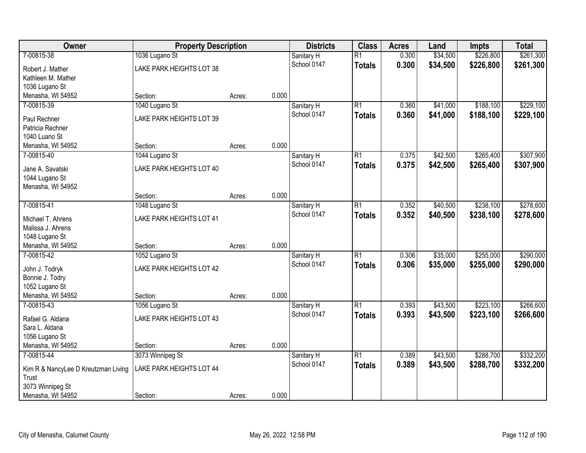| Owner                               | <b>Property Description</b> |        |       | <b>Districts</b>          | <b>Class</b>    | <b>Acres</b>   | Land     | <b>Impts</b> | <b>Total</b> |
|-------------------------------------|-----------------------------|--------|-------|---------------------------|-----------------|----------------|----------|--------------|--------------|
| 7-00815-38                          | 1036 Lugano St              |        |       | Sanitary H                | $\overline{R1}$ | 0.300          | \$34,500 | \$226,800    | \$261,300    |
| Robert J. Mather                    | LAKE PARK HEIGHTS LOT 38    |        |       | School 0147               | <b>Totals</b>   | 0.300          | \$34,500 | \$226,800    | \$261,300    |
| Kathleen M. Mather                  |                             |        |       |                           |                 |                |          |              |              |
| 1036 Lugano St                      |                             |        |       |                           |                 |                |          |              |              |
| Menasha, WI 54952                   | Section:                    | Acres: | 0.000 |                           |                 |                |          |              |              |
| 7-00815-39                          | 1040 Lugano St              |        |       | Sanitary H                | $\overline{R1}$ | 0.360          | \$41,000 | \$188,100    | \$229,100    |
| Paul Rechner                        | LAKE PARK HEIGHTS LOT 39    |        |       | School 0147               | <b>Totals</b>   | 0.360          | \$41,000 | \$188,100    | \$229,100    |
| Patricia Rechner                    |                             |        |       |                           |                 |                |          |              |              |
| 1040 Luano St                       |                             |        |       |                           |                 |                |          |              |              |
| Menasha, WI 54952                   | Section:                    | Acres: | 0.000 |                           |                 |                |          |              |              |
| 7-00815-40                          | 1044 Lugano St              |        |       | Sanitary H                | $\overline{R1}$ | 0.375          | \$42,500 | \$265,400    | \$307,900    |
| Jane A. Savatski                    | LAKE PARK HEIGHTS LOT 40    |        |       | School 0147               | <b>Totals</b>   | 0.375          | \$42,500 | \$265,400    | \$307,900    |
| 1044 Lugano St                      |                             |        |       |                           |                 |                |          |              |              |
| Menasha, WI 54952                   |                             |        |       |                           |                 |                |          |              |              |
|                                     | Section:                    | Acres: | 0.000 |                           |                 |                |          |              |              |
| 7-00815-41                          | 1048 Lugano St              |        |       | Sanitary H                | $\overline{R1}$ | 0.352          | \$40,500 | \$238,100    | \$278,600    |
|                                     |                             |        |       | School 0147               | <b>Totals</b>   | 0.352          | \$40,500 | \$238,100    | \$278,600    |
| Michael T. Ahrens                   | LAKE PARK HEIGHTS LOT 41    |        |       |                           |                 |                |          |              |              |
| Malissa J. Ahrens<br>1048 Lugano St |                             |        |       |                           |                 |                |          |              |              |
| Menasha, WI 54952                   | Section:                    | Acres: | 0.000 |                           |                 |                |          |              |              |
| 7-00815-42                          | 1052 Lugano St              |        |       | Sanitary H                | $\overline{R1}$ | 0.306          | \$35,000 | \$255,000    | \$290,000    |
|                                     |                             |        |       | School 0147               | <b>Totals</b>   | 0.306          | \$35,000 | \$255,000    | \$290,000    |
| John J. Todryk                      | LAKE PARK HEIGHTS LOT 42    |        |       |                           |                 |                |          |              |              |
| Bonnie J. Todry                     |                             |        |       |                           |                 |                |          |              |              |
| 1052 Lugano St                      |                             |        |       |                           |                 |                |          |              |              |
| Menasha, WI 54952                   | Section:                    | Acres: | 0.000 |                           |                 |                |          |              |              |
| 7-00815-43                          | 1056 Lugano St              |        |       | Sanitary H<br>School 0147 | $\overline{R1}$ | 0.393<br>0.393 | \$43,500 | \$223,100    | \$266,600    |
| Rafael G. Aldana                    | LAKE PARK HEIGHTS LOT 43    |        |       |                           | <b>Totals</b>   |                | \$43,500 | \$223,100    | \$266,600    |
| Sara L. Aldana                      |                             |        |       |                           |                 |                |          |              |              |
| 1056 Lugano St                      |                             |        |       |                           |                 |                |          |              |              |
| Menasha, WI 54952                   | Section:                    | Acres: | 0.000 |                           |                 |                |          |              |              |
| 7-00815-44                          | 3073 Winnipeg St            |        |       | Sanitary H                | $\overline{R1}$ | 0.389          | \$43,500 | \$288,700    | \$332,200    |
| Kim R & NancyLee D Kreutzman Living | LAKE PARK HEIGHTS LOT 44    |        |       | School 0147               | <b>Totals</b>   | 0.389          | \$43,500 | \$288,700    | \$332,200    |
| <b>Trust</b>                        |                             |        |       |                           |                 |                |          |              |              |
| 3073 Winnipeg St                    |                             |        |       |                           |                 |                |          |              |              |
| Menasha, WI 54952                   | Section:                    | Acres: | 0.000 |                           |                 |                |          |              |              |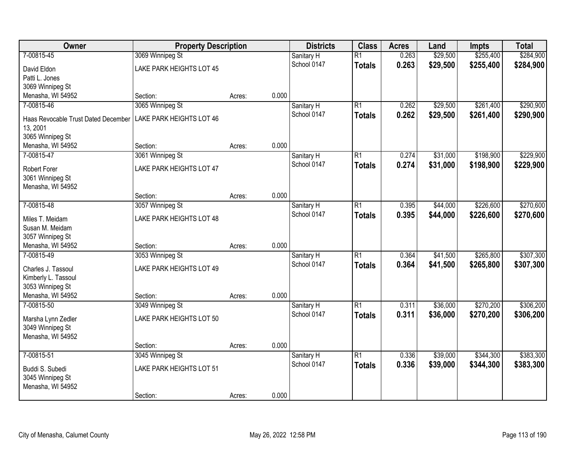| Owner                                     | <b>Property Description</b>     |        |       | <b>Districts</b> | <b>Class</b>    | <b>Acres</b> | Land     | <b>Impts</b> | <b>Total</b> |
|-------------------------------------------|---------------------------------|--------|-------|------------------|-----------------|--------------|----------|--------------|--------------|
| 7-00815-45                                | 3069 Winnipeg St                |        |       | Sanitary H       | $\overline{R1}$ | 0.263        | \$29,500 | \$255,400    | \$284,900    |
| David Eldon                               | LAKE PARK HEIGHTS LOT 45        |        |       | School 0147      | <b>Totals</b>   | 0.263        | \$29,500 | \$255,400    | \$284,900    |
| Patti L. Jones                            |                                 |        |       |                  |                 |              |          |              |              |
| 3069 Winnipeg St                          |                                 |        |       |                  |                 |              |          |              |              |
| Menasha, WI 54952                         | Section:                        | Acres: | 0.000 |                  |                 |              |          |              |              |
| 7-00815-46                                | 3065 Winnipeg St                |        |       | Sanitary H       | R1              | 0.262        | \$29,500 | \$261,400    | \$290,900    |
| Haas Revocable Trust Dated December       | <b>LAKE PARK HEIGHTS LOT 46</b> |        |       | School 0147      | Totals          | 0.262        | \$29,500 | \$261,400    | \$290,900    |
| 13, 2001                                  |                                 |        |       |                  |                 |              |          |              |              |
| 3065 Winnipeg St                          |                                 |        |       |                  |                 |              |          |              |              |
| Menasha, WI 54952                         | Section:                        | Acres: | 0.000 |                  |                 |              |          |              |              |
| 7-00815-47                                | 3061 Winnipeg St                |        |       | Sanitary H       | $\overline{R1}$ | 0.274        | \$31,000 | \$198,900    | \$229,900    |
| Robert Forer                              | LAKE PARK HEIGHTS LOT 47        |        |       | School 0147      | <b>Totals</b>   | 0.274        | \$31,000 | \$198,900    | \$229,900    |
| 3061 Winnipeg St                          |                                 |        |       |                  |                 |              |          |              |              |
| Menasha, WI 54952                         |                                 |        |       |                  |                 |              |          |              |              |
|                                           | Section:                        | Acres: | 0.000 |                  |                 |              |          |              |              |
| 7-00815-48                                | 3057 Winnipeg St                |        |       | Sanitary H       | $\overline{R1}$ | 0.395        | \$44,000 | \$226,600    | \$270,600    |
| Miles T. Meidam                           | LAKE PARK HEIGHTS LOT 48        |        |       | School 0147      | <b>Totals</b>   | 0.395        | \$44,000 | \$226,600    | \$270,600    |
| Susan M. Meidam                           |                                 |        |       |                  |                 |              |          |              |              |
| 3057 Winnipeg St                          |                                 |        |       |                  |                 |              |          |              |              |
| Menasha, WI 54952                         | Section:                        | Acres: | 0.000 |                  |                 |              |          |              |              |
| 7-00815-49                                | 3053 Winnipeg St                |        |       | Sanitary H       | $\overline{R1}$ | 0.364        | \$41,500 | \$265,800    | \$307,300    |
|                                           |                                 |        |       | School 0147      | <b>Totals</b>   | 0.364        | \$41,500 | \$265,800    | \$307,300    |
| Charles J. Tassoul<br>Kimberly L. Tassoul | <b>LAKE PARK HEIGHTS LOT 49</b> |        |       |                  |                 |              |          |              |              |
| 3053 Winnipeg St                          |                                 |        |       |                  |                 |              |          |              |              |
| Menasha, WI 54952                         | Section:                        | Acres: | 0.000 |                  |                 |              |          |              |              |
| 7-00815-50                                | 3049 Winnipeg St                |        |       | Sanitary H       | R1              | 0.311        | \$36,000 | \$270,200    | \$306,200    |
|                                           |                                 |        |       | School 0147      | <b>Totals</b>   | 0.311        | \$36,000 | \$270,200    | \$306,200    |
| Marsha Lynn Zedler                        | <b>LAKE PARK HEIGHTS LOT 50</b> |        |       |                  |                 |              |          |              |              |
| 3049 Winnipeg St<br>Menasha, WI 54952     |                                 |        |       |                  |                 |              |          |              |              |
|                                           | Section:                        | Acres: | 0.000 |                  |                 |              |          |              |              |
| 7-00815-51                                | 3045 Winnipeg St                |        |       | Sanitary H       | $\overline{R1}$ | 0.336        | \$39,000 | \$344,300    | \$383,300    |
|                                           |                                 |        |       | School 0147      | Totals          | 0.336        | \$39,000 | \$344,300    | \$383,300    |
| Buddi S. Subedi                           | LAKE PARK HEIGHTS LOT 51        |        |       |                  |                 |              |          |              |              |
| 3045 Winnipeg St                          |                                 |        |       |                  |                 |              |          |              |              |
| Menasha, WI 54952                         | Section:                        |        | 0.000 |                  |                 |              |          |              |              |
|                                           |                                 | Acres: |       |                  |                 |              |          |              |              |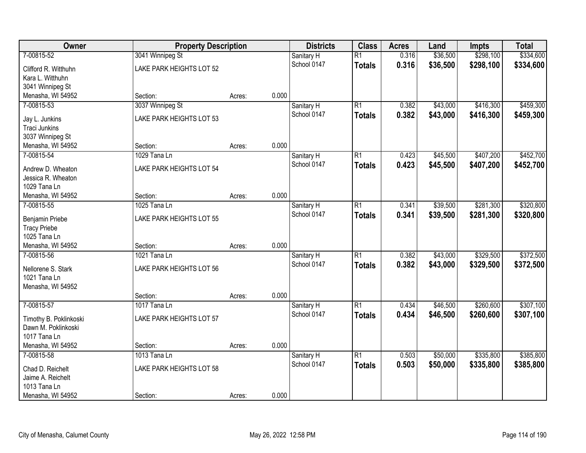| Owner                              | <b>Property Description</b> |        |       | <b>Districts</b> | <b>Class</b>    | <b>Acres</b> | Land     | <b>Impts</b> | <b>Total</b> |
|------------------------------------|-----------------------------|--------|-------|------------------|-----------------|--------------|----------|--------------|--------------|
| 7-00815-52                         | 3041 Winnipeg St            |        |       | Sanitary H       | $\overline{R1}$ | 0.316        | \$36,500 | \$298,100    | \$334,600    |
| Clifford R. Witthuhn               | LAKE PARK HEIGHTS LOT 52    |        |       | School 0147      | <b>Totals</b>   | 0.316        | \$36,500 | \$298,100    | \$334,600    |
| Kara L. Witthuhn                   |                             |        |       |                  |                 |              |          |              |              |
| 3041 Winnipeg St                   |                             |        |       |                  |                 |              |          |              |              |
| Menasha, WI 54952                  | Section:                    | Acres: | 0.000 |                  |                 |              |          |              |              |
| 7-00815-53                         | 3037 Winnipeg St            |        |       | Sanitary H       | $\overline{R1}$ | 0.382        | \$43,000 | \$416,300    | \$459,300    |
| Jay L. Junkins                     | LAKE PARK HEIGHTS LOT 53    |        |       | School 0147      | <b>Totals</b>   | 0.382        | \$43,000 | \$416,300    | \$459,300    |
| <b>Traci Junkins</b>               |                             |        |       |                  |                 |              |          |              |              |
| 3037 Winnipeg St                   |                             |        |       |                  |                 |              |          |              |              |
| Menasha, WI 54952                  | Section:                    | Acres: | 0.000 |                  |                 |              |          |              |              |
| 7-00815-54                         | 1029 Tana Ln                |        |       | Sanitary H       | $\overline{R1}$ | 0.423        | \$45,500 | \$407,200    | \$452,700    |
|                                    |                             |        |       | School 0147      | <b>Totals</b>   | 0.423        | \$45,500 | \$407,200    | \$452,700    |
| Andrew D. Wheaton                  | LAKE PARK HEIGHTS LOT 54    |        |       |                  |                 |              |          |              |              |
| Jessica R. Wheaton<br>1029 Tana Ln |                             |        |       |                  |                 |              |          |              |              |
| Menasha, WI 54952                  | Section:                    | Acres: | 0.000 |                  |                 |              |          |              |              |
| 7-00815-55                         | 1025 Tana Ln                |        |       | Sanitary H       | $\overline{R1}$ | 0.341        | \$39,500 | \$281,300    | \$320,800    |
|                                    |                             |        |       | School 0147      | <b>Totals</b>   | 0.341        | \$39,500 | \$281,300    | \$320,800    |
| <b>Benjamin Priebe</b>             | LAKE PARK HEIGHTS LOT 55    |        |       |                  |                 |              |          |              |              |
| <b>Tracy Priebe</b>                |                             |        |       |                  |                 |              |          |              |              |
| 1025 Tana Ln                       |                             |        |       |                  |                 |              |          |              |              |
| Menasha, WI 54952                  | Section:                    | Acres: | 0.000 |                  |                 |              |          |              |              |
| 7-00815-56                         | 1021 Tana Ln                |        |       | Sanitary H       | $\overline{R1}$ | 0.382        | \$43,000 | \$329,500    | \$372,500    |
| Nellorene S. Stark                 | LAKE PARK HEIGHTS LOT 56    |        |       | School 0147      | <b>Totals</b>   | 0.382        | \$43,000 | \$329,500    | \$372,500    |
| 1021 Tana Ln                       |                             |        |       |                  |                 |              |          |              |              |
| Menasha, WI 54952                  |                             |        |       |                  |                 |              |          |              |              |
|                                    | Section:                    | Acres: | 0.000 |                  |                 |              |          |              |              |
| 7-00815-57                         | 1017 Tana Ln                |        |       | Sanitary H       | $\overline{R1}$ | 0.434        | \$46,500 | \$260,600    | \$307,100    |
| Timothy B. Poklinkoski             | LAKE PARK HEIGHTS LOT 57    |        |       | School 0147      | <b>Totals</b>   | 0.434        | \$46,500 | \$260,600    | \$307,100    |
| Dawn M. Poklinkoski                |                             |        |       |                  |                 |              |          |              |              |
| 1017 Tana Ln                       |                             |        |       |                  |                 |              |          |              |              |
| Menasha, WI 54952                  | Section:                    | Acres: | 0.000 |                  |                 |              |          |              |              |
| 7-00815-58                         | 1013 Tana Ln                |        |       | Sanitary H       | $\overline{R1}$ | 0.503        | \$50,000 | \$335,800    | \$385,800    |
| Chad D. Reichelt                   | LAKE PARK HEIGHTS LOT 58    |        |       | School 0147      | <b>Totals</b>   | 0.503        | \$50,000 | \$335,800    | \$385,800    |
| Jaime A. Reichelt                  |                             |        |       |                  |                 |              |          |              |              |
| 1013 Tana Ln                       |                             |        |       |                  |                 |              |          |              |              |
| Menasha, WI 54952                  | Section:                    | Acres: | 0.000 |                  |                 |              |          |              |              |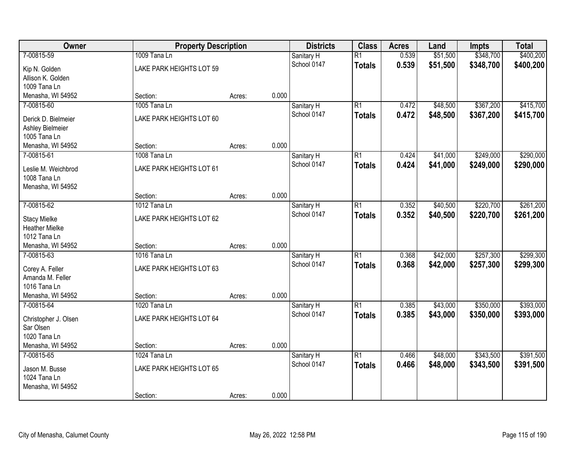| Owner                             | <b>Property Description</b> | <b>Districts</b><br><b>Class</b> |       | <b>Acres</b>              | Land            | <b>Impts</b> | <b>Total</b> |           |           |
|-----------------------------------|-----------------------------|----------------------------------|-------|---------------------------|-----------------|--------------|--------------|-----------|-----------|
| 7-00815-59                        | 1009 Tana Ln                |                                  |       | Sanitary H<br>School 0147 | $\overline{R1}$ | 0.539        | \$51,500     | \$348,700 | \$400,200 |
| Kip N. Golden                     | LAKE PARK HEIGHTS LOT 59    |                                  |       |                           | <b>Totals</b>   | 0.539        | \$51,500     | \$348,700 | \$400,200 |
| Allison K. Golden                 |                             |                                  |       |                           |                 |              |              |           |           |
| 1009 Tana Ln                      |                             |                                  |       |                           |                 |              |              |           |           |
| Menasha, WI 54952                 | Section:                    | Acres:                           | 0.000 |                           |                 |              |              |           |           |
| 7-00815-60                        | 1005 Tana Ln                |                                  |       | Sanitary H                | $\overline{R1}$ | 0.472        | \$48,500     | \$367,200 | \$415,700 |
| Derick D. Bielmeier               | LAKE PARK HEIGHTS LOT 60    |                                  |       | School 0147               | <b>Totals</b>   | 0.472        | \$48,500     | \$367,200 | \$415,700 |
| Ashley Bielmeier                  |                             |                                  |       |                           |                 |              |              |           |           |
| 1005 Tana Ln                      |                             |                                  |       |                           |                 |              |              |           |           |
| Menasha, WI 54952                 | Section:                    | Acres:                           | 0.000 |                           |                 |              |              |           |           |
| 7-00815-61                        | 1008 Tana Ln                |                                  |       | Sanitary H                | $\overline{R1}$ | 0.424        | \$41,000     | \$249,000 | \$290,000 |
| Leslie M. Weichbrod               | LAKE PARK HEIGHTS LOT 61    |                                  |       | School 0147               | <b>Totals</b>   | 0.424        | \$41,000     | \$249,000 | \$290,000 |
| 1008 Tana Ln                      |                             |                                  |       |                           |                 |              |              |           |           |
| Menasha, WI 54952                 |                             |                                  |       |                           |                 |              |              |           |           |
|                                   | Section:                    | Acres:                           | 0.000 |                           |                 |              |              |           |           |
| 7-00815-62                        | 1012 Tana Ln                |                                  |       | Sanitary H                | $\overline{R1}$ | 0.352        | \$40,500     | \$220,700 | \$261,200 |
| <b>Stacy Mielke</b>               | LAKE PARK HEIGHTS LOT 62    |                                  |       | School 0147               | <b>Totals</b>   | 0.352        | \$40,500     | \$220,700 | \$261,200 |
| <b>Heather Mielke</b>             |                             |                                  |       |                           |                 |              |              |           |           |
| 1012 Tana Ln                      |                             |                                  |       |                           |                 |              |              |           |           |
| Menasha, WI 54952                 | Section:                    | Acres:                           | 0.000 |                           |                 |              |              |           |           |
| 7-00815-63                        | 1016 Tana Ln                |                                  |       | Sanitary H                | $\overline{R1}$ | 0.368        | \$42,000     | \$257,300 | \$299,300 |
| Corey A. Feller                   | LAKE PARK HEIGHTS LOT 63    |                                  |       | School 0147               | <b>Totals</b>   | 0.368        | \$42,000     | \$257,300 | \$299,300 |
| Amanda M. Feller                  |                             |                                  |       |                           |                 |              |              |           |           |
| 1016 Tana Ln                      |                             |                                  |       |                           |                 |              |              |           |           |
| Menasha, WI 54952                 | Section:                    | Acres:                           | 0.000 |                           |                 |              |              |           |           |
| 7-00815-64                        | 1020 Tana Ln                |                                  |       | Sanitary H                | $\overline{R1}$ | 0.385        | \$43,000     | \$350,000 | \$393,000 |
|                                   |                             |                                  |       | School 0147               | <b>Totals</b>   | 0.385        | \$43,000     | \$350,000 | \$393,000 |
| Christopher J. Olsen<br>Sar Olsen | LAKE PARK HEIGHTS LOT 64    |                                  |       |                           |                 |              |              |           |           |
| 1020 Tana Ln                      |                             |                                  |       |                           |                 |              |              |           |           |
| Menasha, WI 54952                 | Section:                    | Acres:                           | 0.000 |                           |                 |              |              |           |           |
| 7-00815-65                        | 1024 Tana Ln                |                                  |       | Sanitary H                | $\overline{R1}$ | 0.466        | \$48,000     | \$343,500 | \$391,500 |
|                                   |                             |                                  |       | School 0147               | <b>Totals</b>   | 0.466        | \$48,000     | \$343,500 | \$391,500 |
| Jason M. Busse                    | LAKE PARK HEIGHTS LOT 65    |                                  |       |                           |                 |              |              |           |           |
| 1024 Tana Ln                      |                             |                                  |       |                           |                 |              |              |           |           |
| Menasha, WI 54952                 |                             |                                  |       |                           |                 |              |              |           |           |
|                                   | Section:                    | Acres:                           | 0.000 |                           |                 |              |              |           |           |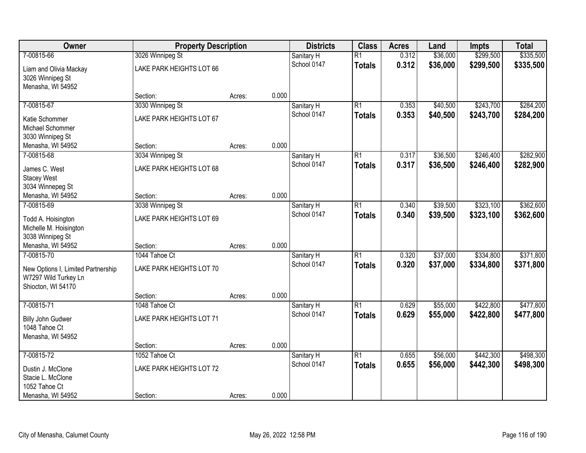| Owner                              | <b>Property Description</b> |        |       | <b>Districts</b> | <b>Class</b>    | <b>Acres</b> | Land     | <b>Impts</b> | <b>Total</b> |
|------------------------------------|-----------------------------|--------|-------|------------------|-----------------|--------------|----------|--------------|--------------|
| 7-00815-66                         | 3026 Winnipeg St            |        |       | Sanitary H       | $\overline{R1}$ | 0.312        | \$36,000 | \$299,500    | \$335,500    |
| Liam and Olivia Mackay             | LAKE PARK HEIGHTS LOT 66    |        |       | School 0147      | <b>Totals</b>   | 0.312        | \$36,000 | \$299,500    | \$335,500    |
| 3026 Winnipeg St                   |                             |        |       |                  |                 |              |          |              |              |
| Menasha, WI 54952                  |                             |        |       |                  |                 |              |          |              |              |
|                                    | Section:                    | Acres: | 0.000 |                  |                 |              |          |              |              |
| 7-00815-67                         | 3030 Winnipeg St            |        |       | Sanitary H       | $\overline{R1}$ | 0.353        | \$40,500 | \$243,700    | \$284,200    |
| Katie Schommer                     | LAKE PARK HEIGHTS LOT 67    |        |       | School 0147      | <b>Totals</b>   | 0.353        | \$40,500 | \$243,700    | \$284,200    |
| Michael Schommer                   |                             |        |       |                  |                 |              |          |              |              |
| 3030 Winnipeg St                   |                             |        |       |                  |                 |              |          |              |              |
| Menasha, WI 54952                  | Section:                    | Acres: | 0.000 |                  |                 |              |          |              |              |
| 7-00815-68                         | 3034 Winnipeg St            |        |       | Sanitary H       | $\overline{R1}$ | 0.317        | \$36,500 | \$246,400    | \$282,900    |
| James C. West                      | LAKE PARK HEIGHTS LOT 68    |        |       | School 0147      | <b>Totals</b>   | 0.317        | \$36,500 | \$246,400    | \$282,900    |
| <b>Stacey West</b>                 |                             |        |       |                  |                 |              |          |              |              |
| 3034 Winnepeg St                   |                             |        |       |                  |                 |              |          |              |              |
| Menasha, WI 54952                  | Section:                    | Acres: | 0.000 |                  |                 |              |          |              |              |
| 7-00815-69                         | 3038 Winnipeg St            |        |       | Sanitary H       | $\overline{R1}$ | 0.340        | \$39,500 | \$323,100    | \$362,600    |
| Todd A. Hoisington                 | LAKE PARK HEIGHTS LOT 69    |        |       | School 0147      | <b>Totals</b>   | 0.340        | \$39,500 | \$323,100    | \$362,600    |
| Michelle M. Hoisington             |                             |        |       |                  |                 |              |          |              |              |
| 3038 Winnipeg St                   |                             |        |       |                  |                 |              |          |              |              |
| Menasha, WI 54952                  | Section:                    | Acres: | 0.000 |                  |                 |              |          |              |              |
| 7-00815-70                         | 1044 Tahoe Ct               |        |       | Sanitary H       | $\overline{R1}$ | 0.320        | \$37,000 | \$334,800    | \$371,800    |
| New Options I, Limited Partnership | LAKE PARK HEIGHTS LOT 70    |        |       | School 0147      | <b>Totals</b>   | 0.320        | \$37,000 | \$334,800    | \$371,800    |
| W7297 Wild Turkey Ln               |                             |        |       |                  |                 |              |          |              |              |
| Shiocton, WI 54170                 |                             |        |       |                  |                 |              |          |              |              |
|                                    | Section:                    | Acres: | 0.000 |                  |                 |              |          |              |              |
| 7-00815-71                         | 1048 Tahoe Ct               |        |       | Sanitary H       | $\overline{R1}$ | 0.629        | \$55,000 | \$422,800    | \$477,800    |
| Billy John Gudwer                  | LAKE PARK HEIGHTS LOT 71    |        |       | School 0147      | <b>Totals</b>   | 0.629        | \$55,000 | \$422,800    | \$477,800    |
| 1048 Tahoe Ct                      |                             |        |       |                  |                 |              |          |              |              |
| Menasha, WI 54952                  |                             |        |       |                  |                 |              |          |              |              |
|                                    | Section:                    | Acres: | 0.000 |                  |                 |              |          |              |              |
| 7-00815-72                         | 1052 Tahoe Ct               |        |       | Sanitary H       | $\overline{R1}$ | 0.655        | \$56,000 | \$442,300    | \$498,300    |
| Dustin J. McClone                  | LAKE PARK HEIGHTS LOT 72    |        |       | School 0147      | <b>Totals</b>   | 0.655        | \$56,000 | \$442,300    | \$498,300    |
| Stacie L. McClone                  |                             |        |       |                  |                 |              |          |              |              |
| 1052 Tahoe Ct                      |                             |        |       |                  |                 |              |          |              |              |
| Menasha, WI 54952                  | Section:                    | Acres: | 0.000 |                  |                 |              |          |              |              |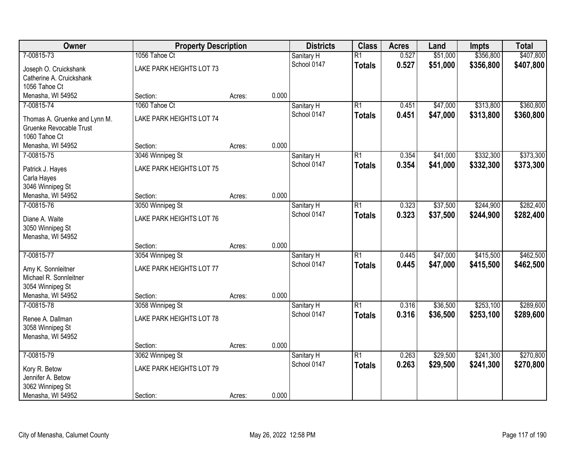| Owner                                        | <b>Property Description</b> |        |       | <b>Districts</b> | <b>Class</b>    | <b>Acres</b> | Land     | <b>Impts</b> | <b>Total</b> |
|----------------------------------------------|-----------------------------|--------|-------|------------------|-----------------|--------------|----------|--------------|--------------|
| 7-00815-73                                   | 1056 Tahoe Ct               |        |       | Sanitary H       | $\overline{R1}$ | 0.527        | \$51,000 | \$356,800    | \$407,800    |
| Joseph O. Cruickshank                        | LAKE PARK HEIGHTS LOT 73    |        |       | School 0147      | <b>Totals</b>   | 0.527        | \$51,000 | \$356,800    | \$407,800    |
| Catherine A. Cruickshank                     |                             |        |       |                  |                 |              |          |              |              |
| 1056 Tahoe Ct                                |                             |        |       |                  |                 |              |          |              |              |
| Menasha, WI 54952                            | Section:                    | Acres: | 0.000 |                  |                 |              |          |              |              |
| 7-00815-74                                   | 1060 Tahoe Ct               |        |       | Sanitary H       | $\overline{R1}$ | 0.451        | \$47,000 | \$313,800    | \$360,800    |
| Thomas A. Gruenke and Lynn M.                | LAKE PARK HEIGHTS LOT 74    |        |       | School 0147      | <b>Totals</b>   | 0.451        | \$47,000 | \$313,800    | \$360,800    |
| Gruenke Revocable Trust                      |                             |        |       |                  |                 |              |          |              |              |
| 1060 Tahoe Ct                                |                             |        |       |                  |                 |              |          |              |              |
| Menasha, WI 54952                            | Section:                    | Acres: | 0.000 |                  |                 |              |          |              |              |
| 7-00815-75                                   | 3046 Winnipeg St            |        |       | Sanitary H       | $\overline{R1}$ | 0.354        | \$41,000 | \$332,300    | \$373,300    |
| Patrick J. Hayes                             | LAKE PARK HEIGHTS LOT 75    |        |       | School 0147      | <b>Totals</b>   | 0.354        | \$41,000 | \$332,300    | \$373,300    |
| Carla Hayes                                  |                             |        |       |                  |                 |              |          |              |              |
| 3046 Winnipeg St                             |                             |        |       |                  |                 |              |          |              |              |
| Menasha, WI 54952                            | Section:                    | Acres: | 0.000 |                  |                 |              |          |              |              |
| 7-00815-76                                   | 3050 Winnipeg St            |        |       | Sanitary H       | $\overline{R1}$ | 0.323        | \$37,500 | \$244,900    | \$282,400    |
| Diane A. Waite                               | LAKE PARK HEIGHTS LOT 76    |        |       | School 0147      | <b>Totals</b>   | 0.323        | \$37,500 | \$244,900    | \$282,400    |
| 3050 Winnipeg St                             |                             |        |       |                  |                 |              |          |              |              |
| Menasha, WI 54952                            |                             |        |       |                  |                 |              |          |              |              |
|                                              | Section:                    | Acres: | 0.000 |                  |                 |              |          |              |              |
| 7-00815-77                                   | 3054 Winnipeg St            |        |       | Sanitary H       | $\overline{R1}$ | 0.445        | \$47,000 | \$415,500    | \$462,500    |
|                                              |                             |        |       | School 0147      | <b>Totals</b>   | 0.445        | \$47,000 | \$415,500    | \$462,500    |
| Amy K. Sonnleitner<br>Michael R. Sonnleitner | LAKE PARK HEIGHTS LOT 77    |        |       |                  |                 |              |          |              |              |
| 3054 Winnipeg St                             |                             |        |       |                  |                 |              |          |              |              |
| Menasha, WI 54952                            | Section:                    | Acres: | 0.000 |                  |                 |              |          |              |              |
| 7-00815-78                                   | 3058 Winnipeg St            |        |       | Sanitary H       | $\overline{R1}$ | 0.316        | \$36,500 | \$253,100    | \$289,600    |
|                                              |                             |        |       | School 0147      | <b>Totals</b>   | 0.316        | \$36,500 | \$253,100    | \$289,600    |
| Renee A. Dallman                             | LAKE PARK HEIGHTS LOT 78    |        |       |                  |                 |              |          |              |              |
| 3058 Winnipeg St                             |                             |        |       |                  |                 |              |          |              |              |
| Menasha, WI 54952                            | Section:                    |        | 0.000 |                  |                 |              |          |              |              |
| 7-00815-79                                   | 3062 Winnipeg St            | Acres: |       | Sanitary H       | $\overline{R1}$ | 0.263        | \$29,500 | \$241,300    | \$270,800    |
|                                              |                             |        |       | School 0147      | <b>Totals</b>   | 0.263        | \$29,500 | \$241,300    | \$270,800    |
| Kory R. Betow                                | LAKE PARK HEIGHTS LOT 79    |        |       |                  |                 |              |          |              |              |
| Jennifer A. Betow                            |                             |        |       |                  |                 |              |          |              |              |
| 3062 Winnipeg St                             |                             |        |       |                  |                 |              |          |              |              |
| Menasha, WI 54952                            | Section:                    | Acres: | 0.000 |                  |                 |              |          |              |              |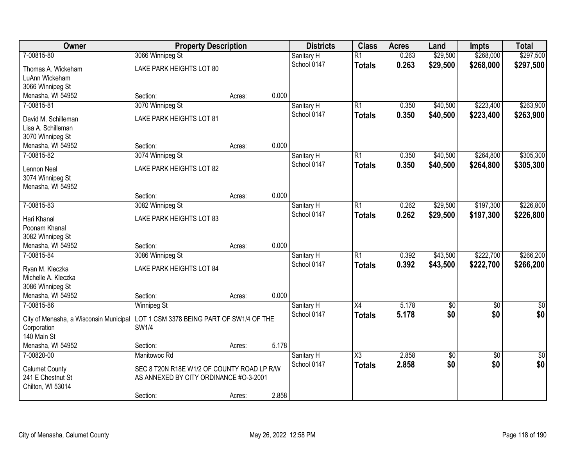| Owner                                  | <b>Property Description</b>                |        |       | <b>Districts</b>          | <b>Class</b>    | <b>Acres</b>   | Land       | <b>Impts</b>           | <b>Total</b> |
|----------------------------------------|--------------------------------------------|--------|-------|---------------------------|-----------------|----------------|------------|------------------------|--------------|
| 7-00815-80                             | 3066 Winnipeg St                           |        |       | Sanitary H                | $\overline{R1}$ | 0.263          | \$29,500   | \$268,000              | \$297,500    |
| Thomas A. Wickeham                     | LAKE PARK HEIGHTS LOT 80                   |        |       | School 0147               | <b>Totals</b>   | 0.263          | \$29,500   | \$268,000              | \$297,500    |
| LuAnn Wickeham                         |                                            |        |       |                           |                 |                |            |                        |              |
| 3066 Winnipeg St                       |                                            |        |       |                           |                 |                |            |                        |              |
| Menasha, WI 54952                      | Section:                                   | Acres: | 0.000 |                           |                 |                |            |                        |              |
| 7-00815-81                             | 3070 Winnipeg St                           |        |       | Sanitary H                | $\overline{R1}$ | 0.350          | \$40,500   | \$223,400              | \$263,900    |
| David M. Schilleman                    | LAKE PARK HEIGHTS LOT 81                   |        |       | School 0147               | <b>Totals</b>   | 0.350          | \$40,500   | \$223,400              | \$263,900    |
| Lisa A. Schilleman                     |                                            |        |       |                           |                 |                |            |                        |              |
| 3070 Winnipeg St                       |                                            |        |       |                           |                 |                |            |                        |              |
| Menasha, WI 54952                      | Section:                                   | Acres: | 0.000 |                           |                 |                |            |                        |              |
| 7-00815-82                             | 3074 Winnipeg St                           |        |       | Sanitary H                | $\overline{R1}$ | 0.350          | \$40,500   | \$264,800              | \$305,300    |
| Lennon Neal                            | LAKE PARK HEIGHTS LOT 82                   |        |       | School 0147               | <b>Totals</b>   | 0.350          | \$40,500   | \$264,800              | \$305,300    |
| 3074 Winnipeg St                       |                                            |        |       |                           |                 |                |            |                        |              |
| Menasha, WI 54952                      |                                            |        |       |                           |                 |                |            |                        |              |
|                                        | Section:                                   | Acres: | 0.000 |                           |                 |                |            |                        |              |
| 7-00815-83                             | 3082 Winnipeg St                           |        |       | Sanitary H                | $\overline{R1}$ | 0.262          | \$29,500   | \$197,300              | \$226,800    |
|                                        |                                            |        |       | School 0147               | <b>Totals</b>   | 0.262          | \$29,500   | \$197,300              | \$226,800    |
| Hari Khanal<br>Poonam Khanal           | LAKE PARK HEIGHTS LOT 83                   |        |       |                           |                 |                |            |                        |              |
| 3082 Winnipeg St                       |                                            |        |       |                           |                 |                |            |                        |              |
| Menasha, WI 54952                      | Section:                                   | Acres: | 0.000 |                           |                 |                |            |                        |              |
| 7-00815-84                             | 3086 Winnipeg St                           |        |       | Sanitary H                | $\overline{R1}$ | 0.392          | \$43,500   | \$222,700              | \$266,200    |
|                                        |                                            |        |       | School 0147               | <b>Totals</b>   | 0.392          | \$43,500   | \$222,700              | \$266,200    |
| Ryan M. Kleczka                        | LAKE PARK HEIGHTS LOT 84                   |        |       |                           |                 |                |            |                        |              |
| Michelle A. Kleczka                    |                                            |        |       |                           |                 |                |            |                        |              |
| 3086 Winnipeg St<br>Menasha, WI 54952  | Section:                                   | Acres: | 0.000 |                           |                 |                |            |                        |              |
| 7-00815-86                             | <b>Winnipeg St</b>                         |        |       | Sanitary H                | $\overline{X4}$ | 5.178          | $\sqrt{6}$ | $\sqrt{6}$             | $\sqrt{30}$  |
|                                        |                                            |        |       | School 0147               | <b>Totals</b>   | 5.178          | \$0        | \$0                    | \$0          |
| City of Menasha, a Wisconsin Municipal | LOT 1 CSM 3378 BEING PART OF SW1/4 OF THE  |        |       |                           |                 |                |            |                        |              |
| Corporation                            | SW1/4                                      |        |       |                           |                 |                |            |                        |              |
| 140 Main St                            |                                            |        |       |                           |                 |                |            |                        |              |
| Menasha, WI 54952<br>7-00820-00        | Section:                                   | Acres: | 5.178 |                           |                 |                |            |                        |              |
|                                        | Manitowoc Rd                               |        |       | Sanitary H<br>School 0147 | X3              | 2.858<br>2.858 | \$0<br>\$0 | $\overline{30}$<br>\$0 | \$0<br>\$0   |
| <b>Calumet County</b>                  | SEC 8 T20N R18E W1/2 OF COUNTY ROAD LP R/W |        |       |                           | <b>Totals</b>   |                |            |                        |              |
| 241 E Chestnut St                      | AS ANNEXED BY CITY ORDINANCE #0-3-2001     |        |       |                           |                 |                |            |                        |              |
| Chilton, WI 53014                      |                                            |        |       |                           |                 |                |            |                        |              |
|                                        | Section:                                   | Acres: | 2.858 |                           |                 |                |            |                        |              |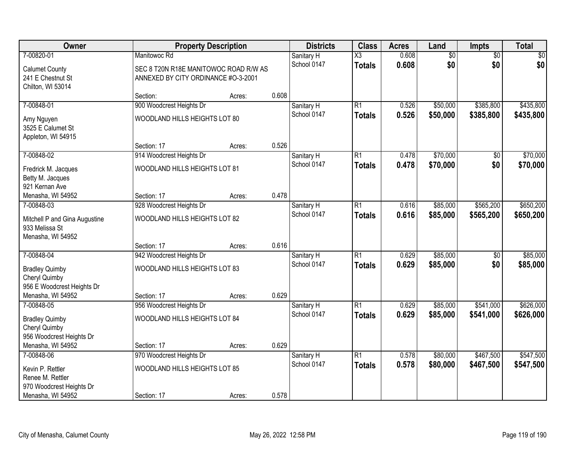| Owner                                                                |                                                                              | <b>Property Description</b> |       | <b>Districts</b>          | <b>Class</b>           | <b>Acres</b>   | Land                 | Impts                  | <b>Total</b>           |
|----------------------------------------------------------------------|------------------------------------------------------------------------------|-----------------------------|-------|---------------------------|------------------------|----------------|----------------------|------------------------|------------------------|
| 7-00820-01                                                           | Manitowoc Rd                                                                 |                             |       | Sanitary H                | $\overline{\text{X3}}$ | 0.608          | $\overline{60}$      | $\overline{50}$        | \$0                    |
| <b>Calumet County</b><br>241 E Chestnut St<br>Chilton, WI 53014      | SEC 8 T20N R18E MANITOWOC ROAD R/W AS<br>ANNEXED BY CITY ORDINANCE #0-3-2001 |                             |       | School 0147               | <b>Totals</b>          | 0.608          | \$0                  | \$0                    | \$0                    |
|                                                                      | Section:                                                                     | Acres:                      | 0.608 |                           |                        |                |                      |                        |                        |
| 7-00848-01                                                           | 900 Woodcrest Heights Dr                                                     |                             |       | Sanitary H                | $\overline{R1}$        | 0.526          | \$50,000             | \$385,800              | \$435,800              |
| Amy Nguyen<br>3525 E Calumet St<br>Appleton, WI 54915                | WOODLAND HILLS HEIGHTS LOT 80                                                |                             |       | School 0147               | <b>Totals</b>          | 0.526          | \$50,000             | \$385,800              | \$435,800              |
|                                                                      | Section: 17                                                                  | Acres:                      | 0.526 |                           |                        |                |                      |                        |                        |
| 7-00848-02                                                           | 914 Woodcrest Heights Dr                                                     |                             |       | Sanitary H                | $\overline{R1}$        | 0.478          | \$70,000             | \$0                    | \$70,000               |
| Fredrick M. Jacques<br>Betty M. Jacques<br>921 Kernan Ave            | WOODLAND HILLS HEIGHTS LOT 81                                                |                             |       | School 0147               | <b>Totals</b>          | 0.478          | \$70,000             | \$0                    | \$70,000               |
| Menasha, WI 54952                                                    | Section: 17                                                                  | Acres:                      | 0.478 |                           |                        |                |                      |                        |                        |
| 7-00848-03                                                           | 928 Woodcrest Heights Dr                                                     |                             |       | Sanitary H                | $\overline{R1}$        | 0.616          | \$85,000             | \$565,200              | \$650,200              |
| Mitchell P and Gina Augustine<br>933 Melissa St<br>Menasha, WI 54952 | WOODLAND HILLS HEIGHTS LOT 82                                                |                             |       | School 0147               | <b>Totals</b>          | 0.616          | \$85,000             | \$565,200              | \$650,200              |
|                                                                      | Section: 17                                                                  | Acres:                      | 0.616 |                           |                        |                |                      |                        |                        |
| 7-00848-04                                                           | 942 Woodcrest Heights Dr                                                     |                             |       | Sanitary H                | $\overline{R1}$        | 0.629          | \$85,000             | $\overline{50}$        | \$85,000               |
| <b>Bradley Quimby</b>                                                | WOODLAND HILLS HEIGHTS LOT 83                                                |                             |       | School 0147               | <b>Totals</b>          | 0.629          | \$85,000             | \$0                    | \$85,000               |
| Cheryl Quimby                                                        |                                                                              |                             |       |                           |                        |                |                      |                        |                        |
| 956 E Woodcrest Heights Dr                                           |                                                                              |                             |       |                           |                        |                |                      |                        |                        |
| Menasha, WI 54952                                                    | Section: 17                                                                  | Acres:                      | 0.629 |                           |                        |                |                      |                        |                        |
| 7-00848-05                                                           | 956 Woodcrest Heights Dr                                                     |                             |       | Sanitary H<br>School 0147 | $\overline{R1}$        | 0.629<br>0.629 | \$85,000<br>\$85,000 | \$541,000<br>\$541,000 | \$626,000<br>\$626,000 |
| <b>Bradley Quimby</b>                                                | WOODLAND HILLS HEIGHTS LOT 84                                                |                             |       |                           | <b>Totals</b>          |                |                      |                        |                        |
| Cheryl Quimby                                                        |                                                                              |                             |       |                           |                        |                |                      |                        |                        |
| 956 Woodcrest Heights Dr<br>Menasha, WI 54952                        | Section: 17                                                                  | Acres:                      | 0.629 |                           |                        |                |                      |                        |                        |
| 7-00848-06                                                           | 970 Woodcrest Heights Dr                                                     |                             |       | Sanitary H                | $\overline{R1}$        | 0.578          | \$80,000             | \$467,500              | \$547,500              |
|                                                                      |                                                                              |                             |       | School 0147               | <b>Totals</b>          | 0.578          | \$80,000             | \$467,500              | \$547,500              |
| Kevin P. Rettler                                                     | WOODLAND HILLS HEIGHTS LOT 85                                                |                             |       |                           |                        |                |                      |                        |                        |
| Renee M. Rettler<br>970 Woodcrest Heights Dr                         |                                                                              |                             |       |                           |                        |                |                      |                        |                        |
| Menasha, WI 54952                                                    | Section: 17                                                                  | Acres:                      | 0.578 |                           |                        |                |                      |                        |                        |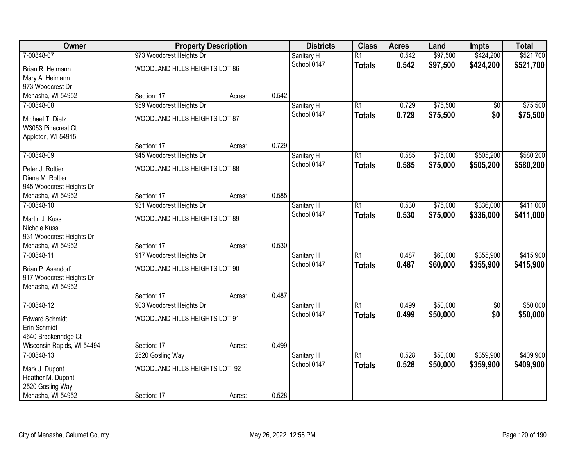| Owner                                              |                               | <b>Property Description</b> |       | <b>Districts</b>          | <b>Class</b>    | <b>Acres</b> | Land     | <b>Impts</b>    | <b>Total</b> |
|----------------------------------------------------|-------------------------------|-----------------------------|-------|---------------------------|-----------------|--------------|----------|-----------------|--------------|
| 7-00848-07                                         | 973 Woodcrest Heights Dr      |                             |       | Sanitary H                | $\overline{R1}$ | 0.542        | \$97,500 | \$424,200       | \$521,700    |
| Brian R. Heimann                                   | WOODLAND HILLS HEIGHTS LOT 86 |                             |       | School 0147               | <b>Totals</b>   | 0.542        | \$97,500 | \$424,200       | \$521,700    |
| Mary A. Heimann                                    |                               |                             |       |                           |                 |              |          |                 |              |
| 973 Woodcrest Dr                                   |                               |                             |       |                           |                 |              |          |                 |              |
| Menasha, WI 54952                                  | Section: 17                   | Acres:                      | 0.542 |                           |                 |              |          |                 |              |
| 7-00848-08                                         | 959 Woodcrest Heights Dr      |                             |       | Sanitary H                | $\overline{R1}$ | 0.729        | \$75,500 | $\overline{50}$ | \$75,500     |
| Michael T. Dietz                                   | WOODLAND HILLS HEIGHTS LOT 87 |                             |       | School 0147               | <b>Totals</b>   | 0.729        | \$75,500 | \$0             | \$75,500     |
| W3053 Pinecrest Ct                                 |                               |                             |       |                           |                 |              |          |                 |              |
| Appleton, WI 54915                                 |                               |                             |       |                           |                 |              |          |                 |              |
|                                                    | Section: 17                   | Acres:                      | 0.729 |                           |                 |              |          |                 |              |
| 7-00848-09                                         | 945 Woodcrest Heights Dr      |                             |       | Sanitary H                | $\overline{R1}$ | 0.585        | \$75,000 | \$505,200       | \$580,200    |
| Peter J. Rottier                                   | WOODLAND HILLS HEIGHTS LOT 88 |                             |       | School 0147               | <b>Totals</b>   | 0.585        | \$75,000 | \$505,200       | \$580,200    |
| Diane M. Rottier                                   |                               |                             |       |                           |                 |              |          |                 |              |
| 945 Woodcrest Heights Dr                           |                               |                             |       |                           |                 |              |          |                 |              |
| Menasha, WI 54952                                  | Section: 17                   | Acres:                      | 0.585 |                           |                 |              |          |                 |              |
| 7-00848-10                                         | 931 Woodcrest Heights Dr      |                             |       | Sanitary H                | $\overline{R1}$ | 0.530        | \$75,000 | \$336,000       | \$411,000    |
| Martin J. Kuss                                     | WOODLAND HILLS HEIGHTS LOT 89 |                             |       | School 0147               | <b>Totals</b>   | 0.530        | \$75,000 | \$336,000       | \$411,000    |
| Nichole Kuss                                       |                               |                             |       |                           |                 |              |          |                 |              |
| 931 Woodcrest Heights Dr                           |                               |                             |       |                           |                 |              |          |                 |              |
| Menasha, WI 54952                                  | Section: 17                   | Acres:                      | 0.530 |                           |                 |              |          |                 |              |
| 7-00848-11                                         | 917 Woodcrest Heights Dr      |                             |       | Sanitary H                | $\overline{R1}$ | 0.487        | \$60,000 | \$355,900       | \$415,900    |
|                                                    |                               |                             |       | School 0147               | <b>Totals</b>   | 0.487        | \$60,000 | \$355,900       | \$415,900    |
| Brian P. Asendorf                                  | WOODLAND HILLS HEIGHTS LOT 90 |                             |       |                           |                 |              |          |                 |              |
| 917 Woodcrest Heights Dr<br>Menasha, WI 54952      |                               |                             |       |                           |                 |              |          |                 |              |
|                                                    | Section: 17                   | Acres:                      | 0.487 |                           |                 |              |          |                 |              |
| 7-00848-12                                         | 903 Woodcrest Heights Dr      |                             |       | Sanitary H                | $\overline{R1}$ | 0.499        | \$50,000 | $\overline{60}$ | \$50,000     |
|                                                    |                               |                             |       | School 0147               | <b>Totals</b>   | 0.499        | \$50,000 | \$0             | \$50,000     |
| <b>Edward Schmidt</b>                              | WOODLAND HILLS HEIGHTS LOT 91 |                             |       |                           |                 |              |          |                 |              |
| Erin Schmidt                                       |                               |                             |       |                           |                 |              |          |                 |              |
| 4640 Breckenridge Ct<br>Wisconsin Rapids, WI 54494 | Section: 17                   |                             | 0.499 |                           |                 |              |          |                 |              |
| 7-00848-13                                         | 2520 Gosling Way              | Acres:                      |       |                           | $\overline{R1}$ | 0.528        | \$50,000 | \$359,900       | \$409,900    |
|                                                    |                               |                             |       | Sanitary H<br>School 0147 | <b>Totals</b>   | 0.528        | \$50,000 | \$359,900       | \$409,900    |
| Mark J. Dupont                                     | WOODLAND HILLS HEIGHTS LOT 92 |                             |       |                           |                 |              |          |                 |              |
| Heather M. Dupont                                  |                               |                             |       |                           |                 |              |          |                 |              |
| 2520 Gosling Way                                   |                               |                             |       |                           |                 |              |          |                 |              |
| Menasha, WI 54952                                  | Section: 17                   | Acres:                      | 0.528 |                           |                 |              |          |                 |              |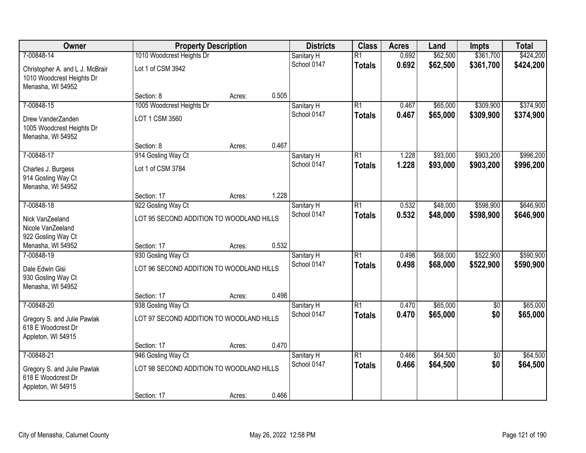| Owner                                                                                 | <b>Property Description</b>                                    | <b>Districts</b> | <b>Class</b> | <b>Acres</b>              | Land                             | <b>Impts</b>   | <b>Total</b>         |                        |                        |
|---------------------------------------------------------------------------------------|----------------------------------------------------------------|------------------|--------------|---------------------------|----------------------------------|----------------|----------------------|------------------------|------------------------|
| 7-00848-14                                                                            | 1010 Woodcrest Heights Dr                                      |                  |              | Sanitary H                | $\overline{R1}$                  | 0.692          | \$62,500             | \$361,700              | \$424,200              |
| Christopher A. and L J. McBrair<br>1010 Woodcrest Heights Dr<br>Menasha, WI 54952     | Lot 1 of CSM 3942                                              |                  |              | School 0147               | <b>Totals</b>                    | 0.692          | \$62,500             | \$361,700              | \$424,200              |
|                                                                                       | Section: 8                                                     | Acres:           | 0.505        |                           |                                  |                |                      |                        |                        |
| 7-00848-15<br>Drew VanderZanden<br>1005 Woodcrest Heights Dr<br>Menasha, WI 54952     | 1005 Woodcrest Heights Dr<br>LOT 1 CSM 3560                    |                  |              | Sanitary H<br>School 0147 | $\overline{R1}$<br><b>Totals</b> | 0.467<br>0.467 | \$65,000<br>\$65,000 | \$309,900<br>\$309,900 | \$374,900<br>\$374,900 |
|                                                                                       | Section: 8                                                     | Acres:           | 0.467        |                           |                                  |                |                      |                        |                        |
| 7-00848-17<br>Charles J. Burgess<br>914 Gosling Way Ct<br>Menasha, WI 54952           | 914 Gosling Way Ct<br>Lot 1 of CSM 3784                        |                  |              | Sanitary H<br>School 0147 | $\overline{R1}$<br><b>Totals</b> | 1.228<br>1.228 | \$93,000<br>\$93,000 | \$903,200<br>\$903,200 | \$996,200<br>\$996,200 |
|                                                                                       | Section: 17                                                    | Acres:           | 1.228        |                           |                                  |                |                      |                        |                        |
| 7-00848-18<br>Nick VanZeeland<br>Nicole VanZeeland                                    | 922 Gosling Way Ct<br>LOT 95 SECOND ADDITION TO WOODLAND HILLS |                  |              | Sanitary H<br>School 0147 | $\overline{R1}$<br><b>Totals</b> | 0.532<br>0.532 | \$48,000<br>\$48,000 | \$598,900<br>\$598,900 | \$646,900<br>\$646,900 |
| 922 Gosling Way Ct<br>Menasha, WI 54952                                               | Section: 17                                                    | Acres:           | 0.532        |                           |                                  |                |                      |                        |                        |
| 7-00848-19<br>Dale Edwin Gisi<br>930 Gosling Way Ct<br>Menasha, WI 54952              | 930 Gosling Way Ct<br>LOT 96 SECOND ADDITION TO WOODLAND HILLS |                  |              | Sanitary H<br>School 0147 | $\overline{R1}$<br><b>Totals</b> | 0.498<br>0.498 | \$68,000<br>\$68,000 | \$522,900<br>\$522,900 | \$590,900<br>\$590,900 |
|                                                                                       | Section: 17                                                    | Acres:           | 0.498        |                           |                                  |                |                      |                        |                        |
| 7-00848-20<br>Gregory S. and Julie Pawlak<br>618 E Woodcrest Dr<br>Appleton, WI 54915 | 938 Gosling Way Ct<br>LOT 97 SECOND ADDITION TO WOODLAND HILLS |                  |              | Sanitary H<br>School 0147 | $\overline{R1}$<br><b>Totals</b> | 0.470<br>0.470 | \$65,000<br>\$65,000 | $\overline{50}$<br>\$0 | \$65,000<br>\$65,000   |
|                                                                                       | Section: 17                                                    | Acres:           | 0.470        |                           |                                  |                |                      |                        |                        |
| 7-00848-21<br>Gregory S. and Julie Pawlak<br>618 E Woodcrest Dr<br>Appleton, WI 54915 | 946 Gosling Way Ct<br>LOT 98 SECOND ADDITION TO WOODLAND HILLS |                  |              | Sanitary H<br>School 0147 | $\overline{R1}$<br><b>Totals</b> | 0.466<br>0.466 | \$64,500<br>\$64,500 | $\overline{50}$<br>\$0 | \$64,500<br>\$64,500   |
|                                                                                       | Section: 17                                                    | Acres:           | 0.466        |                           |                                  |                |                      |                        |                        |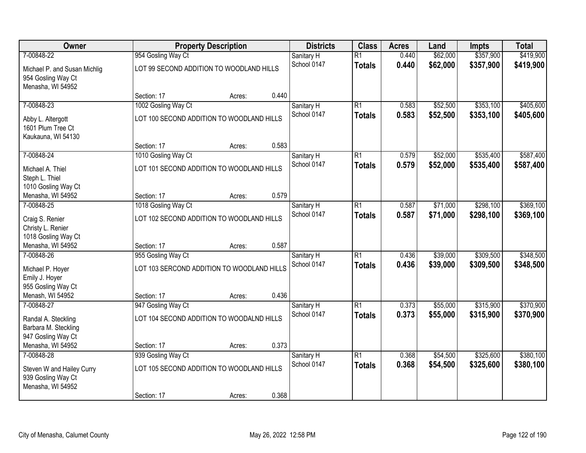| Owner<br><b>Property Description</b>       | <b>Districts</b>                                               | <b>Class</b> | <b>Acres</b> | Land                      | <b>Impts</b>                     | <b>Total</b>   |                      |                        |                        |
|--------------------------------------------|----------------------------------------------------------------|--------------|--------------|---------------------------|----------------------------------|----------------|----------------------|------------------------|------------------------|
| 7-00848-22<br>Michael P. and Susan Michlig | 954 Gosling Way Ct<br>LOT 99 SECOND ADDITION TO WOODLAND HILLS |              |              | Sanitary H<br>School 0147 | $\overline{R1}$<br><b>Totals</b> | 0.440<br>0.440 | \$62,000<br>\$62,000 | \$357,900<br>\$357,900 | \$419,900<br>\$419,900 |
| 954 Gosling Way Ct<br>Menasha, WI 54952    |                                                                |              |              |                           |                                  |                |                      |                        |                        |
|                                            | Section: 17                                                    | Acres:       | 0.440        |                           |                                  |                |                      |                        |                        |
| 7-00848-23                                 | 1002 Gosling Way Ct                                            |              |              | Sanitary H                | $\overline{R1}$                  | 0.583          | \$52,500             | \$353,100              | \$405,600              |
| Abby L. Altergott<br>1601 Plum Tree Ct     | LOT 100 SECOND ADDITION TO WOODLAND HILLS                      |              |              | School 0147               | <b>Totals</b>                    | 0.583          | \$52,500             | \$353,100              | \$405,600              |
| Kaukauna, WI 54130                         |                                                                |              |              |                           |                                  |                |                      |                        |                        |
|                                            | Section: 17                                                    | Acres:       | 0.583        |                           |                                  |                |                      |                        |                        |
| 7-00848-24                                 | 1010 Gosling Way Ct                                            |              |              | Sanitary H                | $\overline{R1}$                  | 0.579          | \$52,000             | \$535,400              | \$587,400              |
| Michael A. Thiel                           | LOT 101 SECOND ADDITION TO WOODLAND HILLS                      |              |              | School 0147               | <b>Totals</b>                    | 0.579          | \$52,000             | \$535,400              | \$587,400              |
| Steph L. Thiel                             |                                                                |              |              |                           |                                  |                |                      |                        |                        |
| 1010 Gosling Way Ct                        |                                                                |              |              |                           |                                  |                |                      |                        |                        |
| Menasha, WI 54952                          | Section: 17                                                    | Acres:       | 0.579        |                           |                                  |                |                      |                        |                        |
| 7-00848-25                                 | 1018 Gosling Way Ct                                            |              |              | Sanitary H                | $\overline{R1}$                  | 0.587          | \$71,000             | \$298,100              | \$369,100              |
| Craig S. Renier                            | LOT 102 SECOND ADDITION TO WOODLAND HILLS                      |              |              | School 0147               | <b>Totals</b>                    | 0.587          | \$71,000             | \$298,100              | \$369,100              |
| Christy L. Renier                          |                                                                |              |              |                           |                                  |                |                      |                        |                        |
| 1018 Gosling Way Ct                        |                                                                |              |              |                           |                                  |                |                      |                        |                        |
| Menasha, WI 54952                          | Section: 17                                                    | Acres:       | 0.587        |                           |                                  |                |                      |                        |                        |
| 7-00848-26                                 | 955 Gosling Way Ct                                             |              |              | Sanitary H                | $\overline{R1}$                  | 0.436          | \$39,000             | \$309,500              | \$348,500              |
| Michael P. Hoyer                           | LOT 103 SERCOND ADDITION TO WOODLAND HILLS                     |              |              | School 0147               | <b>Totals</b>                    | 0.436          | \$39,000             | \$309,500              | \$348,500              |
| Emily J. Hoyer                             |                                                                |              |              |                           |                                  |                |                      |                        |                        |
| 955 Gosling Way Ct                         |                                                                |              |              |                           |                                  |                |                      |                        |                        |
| Menash, WI 54952                           | Section: 17                                                    | Acres:       | 0.436        |                           |                                  |                |                      |                        |                        |
| 7-00848-27                                 | 947 Gosling Way Ct                                             |              |              | Sanitary H                | $\overline{R1}$                  | 0.373          | \$55,000             | \$315,900              | \$370,900              |
| Randal A. Steckling                        | LOT 104 SECOND ADDITION TO WOODALND HILLS                      |              |              | School 0147               | <b>Totals</b>                    | 0.373          | \$55,000             | \$315,900              | \$370,900              |
| Barbara M. Steckling                       |                                                                |              |              |                           |                                  |                |                      |                        |                        |
| 947 Gosling Way Ct                         |                                                                |              |              |                           |                                  |                |                      |                        |                        |
| Menasha, WI 54952                          | Section: 17                                                    | Acres:       | 0.373        |                           |                                  |                |                      |                        |                        |
| 7-00848-28                                 | 939 Gosling Way Ct                                             |              |              | Sanitary H                | $\overline{R1}$                  | 0.368          | \$54,500             | \$325,600              | \$380,100              |
| Steven W and Hailey Curry                  | LOT 105 SECOND ADDITION TO WOODLAND HILLS                      |              |              | School 0147               | <b>Totals</b>                    | 0.368          | \$54,500             | \$325,600              | \$380,100              |
| 939 Gosling Way Ct<br>Menasha, WI 54952    |                                                                |              |              |                           |                                  |                |                      |                        |                        |
|                                            | Section: 17                                                    | Acres:       | 0.368        |                           |                                  |                |                      |                        |                        |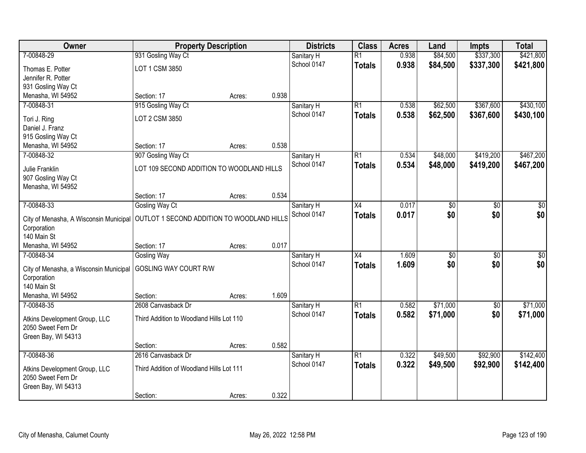| Owner                                               | <b>Property Description</b>                |        |       | <b>Districts</b> | <b>Class</b>    | <b>Acres</b> | Land            | <b>Impts</b>    | <b>Total</b>    |
|-----------------------------------------------------|--------------------------------------------|--------|-------|------------------|-----------------|--------------|-----------------|-----------------|-----------------|
| 7-00848-29                                          | 931 Gosling Way Ct                         |        |       | Sanitary H       | $\overline{R1}$ | 0.938        | \$84,500        | \$337,300       | \$421,800       |
| Thomas E. Potter                                    | LOT 1 CSM 3850                             |        |       | School 0147      | <b>Totals</b>   | 0.938        | \$84,500        | \$337,300       | \$421,800       |
| Jennifer R. Potter                                  |                                            |        |       |                  |                 |              |                 |                 |                 |
| 931 Gosling Way Ct                                  |                                            |        |       |                  |                 |              |                 |                 |                 |
| Menasha, WI 54952                                   | Section: 17                                | Acres: | 0.938 |                  |                 |              |                 |                 |                 |
| 7-00848-31                                          | 915 Gosling Way Ct                         |        |       | Sanitary H       | $\overline{R1}$ | 0.538        | \$62,500        | \$367,600       | \$430,100       |
| Tori J. Ring                                        | LOT 2 CSM 3850                             |        |       | School 0147      | <b>Totals</b>   | 0.538        | \$62,500        | \$367,600       | \$430,100       |
| Daniel J. Franz                                     |                                            |        |       |                  |                 |              |                 |                 |                 |
| 915 Gosling Way Ct                                  |                                            |        |       |                  |                 |              |                 |                 |                 |
| Menasha, WI 54952                                   | Section: 17                                | Acres: | 0.538 |                  |                 |              |                 |                 |                 |
| 7-00848-32                                          | 907 Gosling Way Ct                         |        |       | Sanitary H       | $\overline{R1}$ | 0.534        | \$48,000        | \$419,200       | \$467,200       |
| Julie Franklin                                      | LOT 109 SECOND ADDITION TO WOODLAND HILLS  |        |       | School 0147      | <b>Totals</b>   | 0.534        | \$48,000        | \$419,200       | \$467,200       |
| 907 Gosling Way Ct                                  |                                            |        |       |                  |                 |              |                 |                 |                 |
| Menasha, WI 54952                                   |                                            |        |       |                  |                 |              |                 |                 |                 |
|                                                     | Section: 17                                | Acres: | 0.534 |                  |                 |              |                 |                 |                 |
| 7-00848-33                                          | Gosling Way Ct                             |        |       | Sanitary H       | X4              | 0.017        | \$0             | \$0             | \$0             |
| City of Menasha, A Wisconsin Municipal              | OUTLOT 1 SECOND ADDITION TO WOODLAND HILLS |        |       | School 0147      | <b>Totals</b>   | 0.017        | \$0             | \$0             | \$0             |
| Corporation                                         |                                            |        |       |                  |                 |              |                 |                 |                 |
| 140 Main St                                         |                                            |        |       |                  |                 |              |                 |                 |                 |
| Menasha, WI 54952                                   | Section: 17                                | Acres: | 0.017 |                  |                 |              |                 |                 |                 |
| 7-00848-34                                          | <b>Gosling Way</b>                         |        |       | Sanitary H       | $\overline{X4}$ | 1.609        | $\overline{50}$ | $\overline{50}$ | $\overline{50}$ |
| City of Menasha, a Wisconsin Municipal              | <b>GOSLING WAY COURT R/W</b>               |        |       | School 0147      | <b>Totals</b>   | 1.609        | \$0             | \$0             | \$0             |
| Corporation                                         |                                            |        |       |                  |                 |              |                 |                 |                 |
| 140 Main St                                         |                                            |        |       |                  |                 |              |                 |                 |                 |
| Menasha, WI 54952                                   | Section:                                   | Acres: | 1.609 |                  |                 |              |                 |                 |                 |
| 7-00848-35                                          | 2608 Canvasback Dr                         |        |       | Sanitary H       | $\overline{R1}$ | 0.582        | \$71,000        | $\sqrt{6}$      | \$71,000        |
|                                                     |                                            |        |       | School 0147      | <b>Totals</b>   | 0.582        | \$71,000        | \$0             | \$71,000        |
| Atkins Development Group, LLC<br>2050 Sweet Fern Dr | Third Addition to Woodland Hills Lot 110   |        |       |                  |                 |              |                 |                 |                 |
| Green Bay, WI 54313                                 |                                            |        |       |                  |                 |              |                 |                 |                 |
|                                                     | Section:                                   | Acres: | 0.582 |                  |                 |              |                 |                 |                 |
| 7-00848-36                                          | 2616 Canvasback Dr                         |        |       | Sanitary H       | $\overline{R1}$ | 0.322        | \$49,500        | \$92,900        | \$142,400       |
|                                                     |                                            |        |       | School 0147      | <b>Totals</b>   | 0.322        | \$49,500        | \$92,900        | \$142,400       |
| Atkins Development Group, LLC                       | Third Addition of Woodland Hills Lot 111   |        |       |                  |                 |              |                 |                 |                 |
| 2050 Sweet Fern Dr                                  |                                            |        |       |                  |                 |              |                 |                 |                 |
| Green Bay, WI 54313                                 | Section:                                   |        | 0.322 |                  |                 |              |                 |                 |                 |
|                                                     |                                            | Acres: |       |                  |                 |              |                 |                 |                 |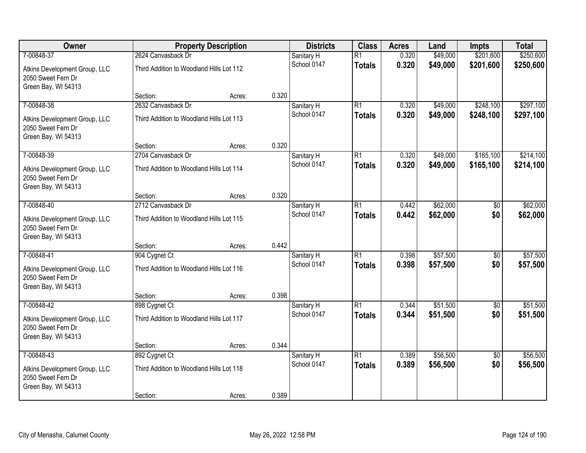| Owner                                                                      |                                          | <b>Property Description</b> |       | <b>Districts</b> | <b>Class</b>    | <b>Acres</b> | Land     | <b>Impts</b>    | <b>Total</b> |
|----------------------------------------------------------------------------|------------------------------------------|-----------------------------|-------|------------------|-----------------|--------------|----------|-----------------|--------------|
| 7-00848-37                                                                 | 2624 Canvasback Dr                       |                             |       | Sanitary H       | $\overline{R1}$ | 0.320        | \$49,000 | \$201,600       | \$250,600    |
| Atkins Development Group, LLC<br>2050 Sweet Fern Dr<br>Green Bay, WI 54313 | Third Addition to Woodland Hills Lot 112 |                             |       | School 0147      | <b>Totals</b>   | 0.320        | \$49,000 | \$201,600       | \$250,600    |
|                                                                            | Section:                                 | Acres:                      | 0.320 |                  |                 |              |          |                 |              |
| 7-00848-38                                                                 | 2632 Canvasback Dr                       |                             |       | Sanitary H       | $\overline{R1}$ | 0.320        | \$49,000 | \$248,100       | \$297,100    |
| Atkins Development Group, LLC<br>2050 Sweet Fern Dr<br>Green Bay, WI 54313 | Third Addition to Woodland Hills Lot 113 |                             |       | School 0147      | <b>Totals</b>   | 0.320        | \$49,000 | \$248,100       | \$297,100    |
|                                                                            | Section:                                 | Acres:                      | 0.320 |                  |                 |              |          |                 |              |
| 7-00848-39                                                                 | 2704 Canvasback Dr                       |                             |       | Sanitary H       | $\overline{R1}$ | 0.320        | \$49,000 | \$165,100       | \$214,100    |
| Atkins Development Group, LLC<br>2050 Sweet Fern Dr<br>Green Bay, WI 54313 | Third Addition to Woodland Hills Lot 114 |                             |       | School 0147      | <b>Totals</b>   | 0.320        | \$49,000 | \$165,100       | \$214,100    |
|                                                                            | Section:                                 | Acres:                      | 0.320 |                  |                 |              |          |                 |              |
| 7-00848-40                                                                 | 2712 Canvasback Dr                       |                             |       | Sanitary H       | $\overline{R1}$ | 0.442        | \$62,000 | \$0             | \$62,000     |
| Atkins Development Group, LLC<br>2050 Sweet Fern Dr<br>Green Bay, WI 54313 | Third Addition to Woodland Hills Lot 115 |                             |       | School 0147      | <b>Totals</b>   | 0.442        | \$62,000 | \$0             | \$62,000     |
|                                                                            | Section:                                 | Acres:                      | 0.442 |                  |                 |              |          |                 |              |
| 7-00848-41                                                                 | 904 Cygnet Ct                            |                             |       | Sanitary H       | $\overline{R1}$ | 0.398        | \$57,500 | $\overline{50}$ | \$57,500     |
| Atkins Development Group, LLC<br>2050 Sweet Fern Dr<br>Green Bay, WI 54313 | Third Addition to Woodland Hills Lot 116 |                             |       | School 0147      | <b>Totals</b>   | 0.398        | \$57,500 | \$0             | \$57,500     |
|                                                                            | Section:                                 | Acres:                      | 0.398 |                  |                 |              |          |                 |              |
| 7-00848-42                                                                 | 898 Cygnet Ct                            |                             |       | Sanitary H       | $\overline{R1}$ | 0.344        | \$51,500 | $\overline{50}$ | \$51,500     |
| Atkins Development Group, LLC<br>2050 Sweet Fern Dr<br>Green Bay, WI 54313 | Third Addition to Woodland Hills Lot 117 |                             |       | School 0147      | <b>Totals</b>   | 0.344        | \$51,500 | \$0             | \$51,500     |
|                                                                            | Section:                                 | Acres:                      | 0.344 |                  |                 |              |          |                 |              |
| 7-00848-43                                                                 | 892 Cygnet Ct                            |                             |       | Sanitary H       | $\overline{R1}$ | 0.389        | \$56,500 | $\overline{50}$ | \$56,500     |
| Atkins Development Group, LLC<br>2050 Sweet Fern Dr<br>Green Bay, WI 54313 | Third Addition to Woodland Hills Lot 118 |                             |       | School 0147      | <b>Totals</b>   | 0.389        | \$56,500 | \$0             | \$56,500     |
|                                                                            | Section:                                 | Acres:                      | 0.389 |                  |                 |              |          |                 |              |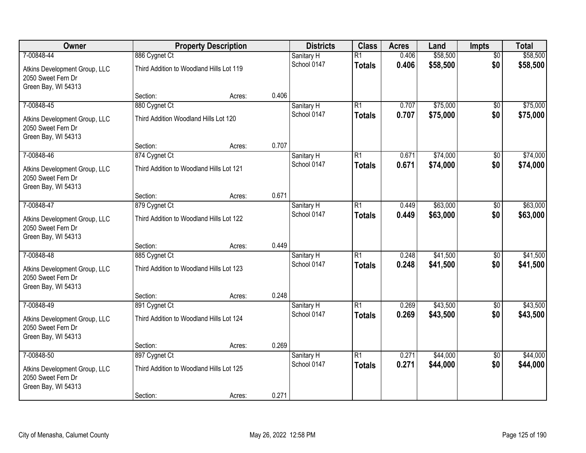| Owner                                                                      |                                          | <b>Property Description</b> |       | <b>Districts</b> | <b>Class</b>    | <b>Acres</b> | Land     | Impts           | <b>Total</b> |
|----------------------------------------------------------------------------|------------------------------------------|-----------------------------|-------|------------------|-----------------|--------------|----------|-----------------|--------------|
| 7-00848-44                                                                 | 886 Cygnet Ct                            |                             |       | Sanitary H       | $\overline{R1}$ | 0.406        | \$58,500 | $\overline{50}$ | \$58,500     |
| Atkins Development Group, LLC<br>2050 Sweet Fern Dr<br>Green Bay, WI 54313 | Third Addition to Woodland Hills Lot 119 |                             |       | School 0147      | <b>Totals</b>   | 0.406        | \$58,500 | \$0             | \$58,500     |
|                                                                            | Section:                                 | Acres:                      | 0.406 |                  |                 |              |          |                 |              |
| 7-00848-45                                                                 | 880 Cygnet Ct                            |                             |       | Sanitary H       | $\overline{R1}$ | 0.707        | \$75,000 | \$0             | \$75,000     |
| Atkins Development Group, LLC<br>2050 Sweet Fern Dr<br>Green Bay, WI 54313 | Third Addition Woodland Hills Lot 120    |                             |       | School 0147      | <b>Totals</b>   | 0.707        | \$75,000 | \$0             | \$75,000     |
|                                                                            | Section:                                 | Acres:                      | 0.707 |                  |                 |              |          |                 |              |
| 7-00848-46                                                                 | 874 Cygnet Ct                            |                             |       | Sanitary H       | $\overline{R1}$ | 0.671        | \$74,000 | \$0             | \$74,000     |
| Atkins Development Group, LLC<br>2050 Sweet Fern Dr<br>Green Bay, WI 54313 | Third Addition to Woodland Hills Lot 121 |                             |       | School 0147      | <b>Totals</b>   | 0.671        | \$74,000 | \$0             | \$74,000     |
|                                                                            | Section:                                 | Acres:                      | 0.671 |                  |                 |              |          |                 |              |
| 7-00848-47                                                                 | 879 Cygnet Ct                            |                             |       | Sanitary H       | $\overline{R1}$ | 0.449        | \$63,000 | \$0             | \$63,000     |
| Atkins Development Group, LLC<br>2050 Sweet Fern Dr<br>Green Bay, WI 54313 | Third Addition to Woodland Hills Lot 122 |                             |       | School 0147      | <b>Totals</b>   | 0.449        | \$63,000 | \$0             | \$63,000     |
|                                                                            | Section:                                 | Acres:                      | 0.449 |                  |                 |              |          |                 |              |
| 7-00848-48                                                                 | 885 Cygnet Ct                            |                             |       | Sanitary H       | $\overline{R1}$ | 0.248        | \$41,500 | $\overline{50}$ | \$41,500     |
| Atkins Development Group, LLC<br>2050 Sweet Fern Dr<br>Green Bay, WI 54313 | Third Addition to Woodland Hills Lot 123 |                             |       | School 0147      | <b>Totals</b>   | 0.248        | \$41,500 | \$0             | \$41,500     |
|                                                                            | Section:                                 | Acres:                      | 0.248 |                  |                 |              |          |                 |              |
| 7-00848-49                                                                 | 891 Cygnet Ct                            |                             |       | Sanitary H       | $\overline{R1}$ | 0.269        | \$43,500 | $\sqrt{6}$      | \$43,500     |
| Atkins Development Group, LLC<br>2050 Sweet Fern Dr<br>Green Bay, WI 54313 | Third Addition to Woodland Hills Lot 124 |                             |       | School 0147      | <b>Totals</b>   | 0.269        | \$43,500 | \$0             | \$43,500     |
|                                                                            | Section:                                 | Acres:                      | 0.269 |                  |                 |              |          |                 |              |
| 7-00848-50                                                                 | 897 Cygnet Ct                            |                             |       | Sanitary H       | $\overline{R1}$ | 0.271        | \$44,000 | $\overline{50}$ | \$44,000     |
| Atkins Development Group, LLC<br>2050 Sweet Fern Dr<br>Green Bay, WI 54313 | Third Addition to Woodland Hills Lot 125 |                             |       | School 0147      | <b>Totals</b>   | 0.271        | \$44,000 | \$0             | \$44,000     |
|                                                                            | Section:                                 | Acres:                      | 0.271 |                  |                 |              |          |                 |              |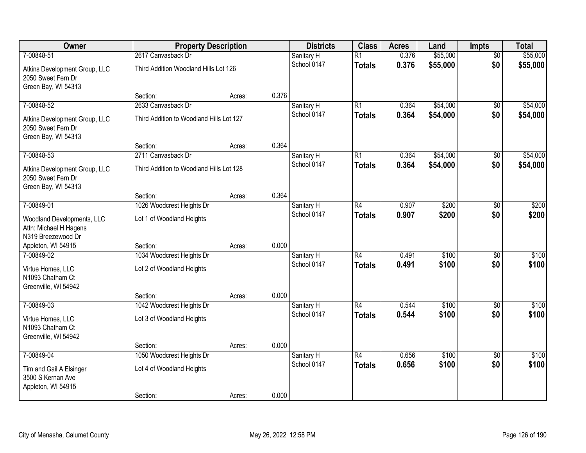| Owner                                                                      | <b>Property Description</b>              |        |       | <b>Districts</b> | <b>Class</b>    | <b>Acres</b> | Land     | <b>Impts</b>    | <b>Total</b> |
|----------------------------------------------------------------------------|------------------------------------------|--------|-------|------------------|-----------------|--------------|----------|-----------------|--------------|
| 7-00848-51                                                                 | 2617 Canvasback Dr                       |        |       | Sanitary H       | $\overline{R1}$ | 0.376        | \$55,000 | $\overline{30}$ | \$55,000     |
| Atkins Development Group, LLC<br>2050 Sweet Fern Dr<br>Green Bay, WI 54313 | Third Addition Woodland Hills Lot 126    |        |       | School 0147      | <b>Totals</b>   | 0.376        | \$55,000 | \$0             | \$55,000     |
|                                                                            | Section:                                 | Acres: | 0.376 |                  |                 |              |          |                 |              |
| 7-00848-52                                                                 | 2633 Canvasback Dr                       |        |       | Sanitary H       | R1              | 0.364        | \$54,000 | $\overline{50}$ | \$54,000     |
| Atkins Development Group, LLC<br>2050 Sweet Fern Dr<br>Green Bay, WI 54313 | Third Addition to Woodland Hills Lot 127 |        |       | School 0147      | Totals          | 0.364        | \$54,000 | \$0             | \$54,000     |
|                                                                            | Section:                                 | Acres: | 0.364 |                  |                 |              |          |                 |              |
| 7-00848-53                                                                 | 2711 Canvasback Dr                       |        |       | Sanitary H       | $\overline{R1}$ | 0.364        | \$54,000 | \$0             | \$54,000     |
| Atkins Development Group, LLC<br>2050 Sweet Fern Dr<br>Green Bay, WI 54313 | Third Addition to Woodland Hills Lot 128 |        |       | School 0147      | <b>Totals</b>   | 0.364        | \$54,000 | \$0             | \$54,000     |
|                                                                            | Section:                                 | Acres: | 0.364 |                  |                 |              |          |                 |              |
| 7-00849-01                                                                 | 1026 Woodcrest Heights Dr                |        |       | Sanitary H       | $\overline{R4}$ | 0.907        | \$200    | \$0             | \$200        |
| Woodland Developments, LLC<br>Attn: Michael H Hagens<br>N319 Breezewood Dr | Lot 1 of Woodland Heights                |        |       | School 0147      | <b>Totals</b>   | 0.907        | \$200    | \$0             | \$200        |
| Appleton, WI 54915                                                         | Section:                                 | Acres: | 0.000 |                  |                 |              |          |                 |              |
| 7-00849-02                                                                 | 1034 Woodcrest Heights Dr                |        |       | Sanitary H       | $\overline{R4}$ | 0.491        | \$100    | \$0             | \$100        |
| Virtue Homes, LLC<br>N1093 Chatham Ct<br>Greenville, WI 54942              | Lot 2 of Woodland Heights                |        |       | School 0147      | <b>Totals</b>   | 0.491        | \$100    | \$0             | \$100        |
|                                                                            | Section:                                 | Acres: | 0.000 |                  |                 |              |          |                 |              |
| 7-00849-03                                                                 | 1042 Woodcrest Heights Dr                |        |       | Sanitary H       | $\overline{R4}$ | 0.544        | \$100    | $\overline{50}$ | \$100        |
| Virtue Homes, LLC<br>N1093 Chatham Ct<br>Greenville, WI 54942              | Lot 3 of Woodland Heights                |        |       | School 0147      | <b>Totals</b>   | 0.544        | \$100    | \$0             | \$100        |
|                                                                            | Section:                                 | Acres: | 0.000 |                  |                 |              |          |                 |              |
| 7-00849-04                                                                 | 1050 Woodcrest Heights Dr                |        |       | Sanitary H       | $\overline{R4}$ | 0.656        | \$100    | $\overline{30}$ | \$100        |
| Tim and Gail A Elsinger<br>3500 S Kernan Ave<br>Appleton, WI 54915         | Lot 4 of Woodland Heights                |        |       | School 0147      | <b>Totals</b>   | 0.656        | \$100    | \$0             | \$100        |
|                                                                            | Section:                                 | Acres: | 0.000 |                  |                 |              |          |                 |              |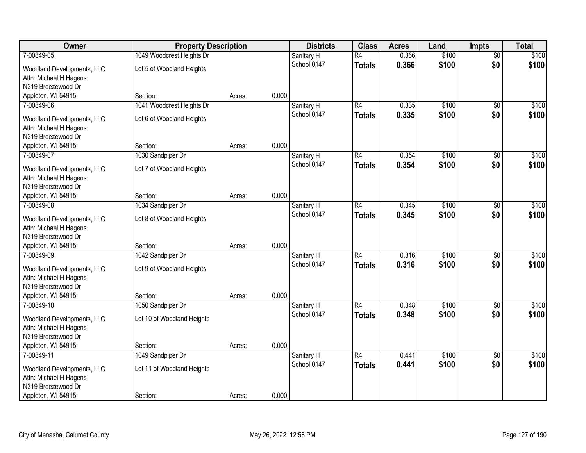| Owner                                                | <b>Property Description</b> |        |       | <b>Districts</b>          | <b>Class</b>    | <b>Acres</b>   | Land           | <b>Impts</b>           | <b>Total</b>   |
|------------------------------------------------------|-----------------------------|--------|-------|---------------------------|-----------------|----------------|----------------|------------------------|----------------|
| 7-00849-05                                           | 1049 Woodcrest Heights Dr   |        |       | Sanitary H                | $\overline{R4}$ | 0.366          | \$100          | $\overline{50}$        | \$100          |
| Woodland Developments, LLC                           | Lot 5 of Woodland Heights   |        |       | School 0147               | <b>Totals</b>   | 0.366          | \$100          | \$0                    | \$100          |
| Attn: Michael H Hagens                               |                             |        |       |                           |                 |                |                |                        |                |
| N319 Breezewood Dr                                   |                             |        |       |                           |                 |                |                |                        |                |
| Appleton, WI 54915                                   | Section:                    | Acres: | 0.000 |                           |                 |                |                |                        |                |
| 7-00849-06                                           | 1041 Woodcrest Heights Dr   |        |       | Sanitary H                | R4              | 0.335          | \$100          | $\overline{50}$        | \$100          |
| Woodland Developments, LLC                           | Lot 6 of Woodland Heights   |        |       | School 0147               | <b>Totals</b>   | 0.335          | \$100          | \$0                    | \$100          |
| Attn: Michael H Hagens                               |                             |        |       |                           |                 |                |                |                        |                |
| N319 Breezewood Dr                                   |                             |        |       |                           |                 |                |                |                        |                |
| Appleton, WI 54915                                   | Section:                    | Acres: | 0.000 |                           |                 |                |                |                        |                |
| 7-00849-07                                           | 1030 Sandpiper Dr           |        |       | Sanitary H                | R4              | 0.354          | \$100          | \$0                    | \$100          |
| Woodland Developments, LLC                           | Lot 7 of Woodland Heights   |        |       | School 0147               | <b>Totals</b>   | 0.354          | \$100          | \$0                    | \$100          |
| Attn: Michael H Hagens                               |                             |        |       |                           |                 |                |                |                        |                |
| N319 Breezewood Dr                                   |                             |        |       |                           |                 |                |                |                        |                |
| Appleton, WI 54915                                   | Section:                    | Acres: | 0.000 |                           |                 |                |                |                        |                |
| 7-00849-08                                           | 1034 Sandpiper Dr           |        |       | Sanitary H                | $\overline{R4}$ | 0.345          | \$100          | $\sqrt[6]{3}$          | \$100          |
|                                                      |                             |        |       | School 0147               | <b>Totals</b>   | 0.345          | \$100          | \$0                    | \$100          |
| Woodland Developments, LLC<br>Attn: Michael H Hagens | Lot 8 of Woodland Heights   |        |       |                           |                 |                |                |                        |                |
| N319 Breezewood Dr                                   |                             |        |       |                           |                 |                |                |                        |                |
| Appleton, WI 54915                                   | Section:                    | Acres: | 0.000 |                           |                 |                |                |                        |                |
| 7-00849-09                                           | 1042 Sandpiper Dr           |        |       | Sanitary H                | $\overline{R4}$ | 0.316          | \$100          | $\overline{50}$        | \$100          |
|                                                      |                             |        |       | School 0147               | <b>Totals</b>   | 0.316          | \$100          | \$0                    | \$100          |
| Woodland Developments, LLC                           | Lot 9 of Woodland Heights   |        |       |                           |                 |                |                |                        |                |
| Attn: Michael H Hagens<br>N319 Breezewood Dr         |                             |        |       |                           |                 |                |                |                        |                |
| Appleton, WI 54915                                   | Section:                    | Acres: | 0.000 |                           |                 |                |                |                        |                |
| 7-00849-10                                           | 1050 Sandpiper Dr           |        |       | Sanitary H                | R4              | 0.348          | \$100          | $\overline{30}$        | \$100          |
|                                                      |                             |        |       | School 0147               | <b>Totals</b>   | 0.348          | \$100          | \$0                    | \$100          |
| Woodland Developments, LLC                           | Lot 10 of Woodland Heights  |        |       |                           |                 |                |                |                        |                |
| Attn: Michael H Hagens                               |                             |        |       |                           |                 |                |                |                        |                |
| N319 Breezewood Dr                                   |                             |        |       |                           |                 |                |                |                        |                |
| Appleton, WI 54915                                   | Section:                    | Acres: | 0.000 |                           |                 |                |                |                        |                |
| 7-00849-11                                           | 1049 Sandpiper Dr           |        |       | Sanitary H<br>School 0147 | R4              | 0.441<br>0.441 | \$100<br>\$100 | $\overline{50}$<br>\$0 | \$100<br>\$100 |
| Woodland Developments, LLC                           | Lot 11 of Woodland Heights  |        |       |                           | <b>Totals</b>   |                |                |                        |                |
| Attn: Michael H Hagens                               |                             |        |       |                           |                 |                |                |                        |                |
| N319 Breezewood Dr                                   |                             |        |       |                           |                 |                |                |                        |                |
| Appleton, WI 54915                                   | Section:                    | Acres: | 0.000 |                           |                 |                |                |                        |                |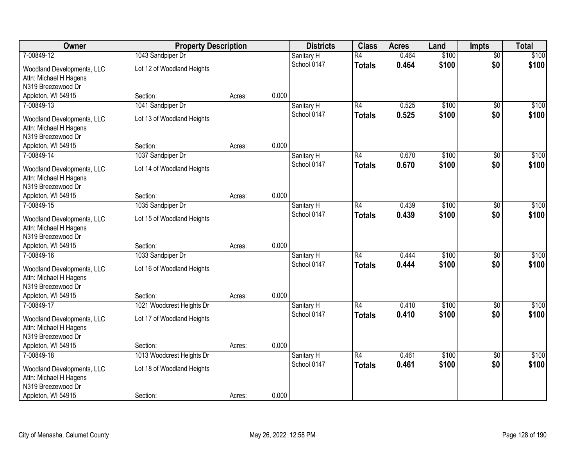| Owner                                                | <b>Property Description</b> |        |       | <b>Districts</b>          | <b>Class</b>    | <b>Acres</b> | Land  | <b>Impts</b>           | <b>Total</b> |
|------------------------------------------------------|-----------------------------|--------|-------|---------------------------|-----------------|--------------|-------|------------------------|--------------|
| 7-00849-12                                           | 1043 Sandpiper Dr           |        |       | Sanitary H                | $\overline{R4}$ | 0.464        | \$100 | $\overline{50}$        | \$100        |
| Woodland Developments, LLC                           | Lot 12 of Woodland Heights  |        |       | School 0147               | <b>Totals</b>   | 0.464        | \$100 | \$0                    | \$100        |
| Attn: Michael H Hagens                               |                             |        |       |                           |                 |              |       |                        |              |
| N319 Breezewood Dr                                   |                             |        |       |                           |                 |              |       |                        |              |
| Appleton, WI 54915                                   | Section:                    | Acres: | 0.000 |                           |                 |              |       |                        |              |
| 7-00849-13                                           | 1041 Sandpiper Dr           |        |       | Sanitary H                | R4              | 0.525        | \$100 | $\overline{50}$        | \$100        |
| Woodland Developments, LLC                           | Lot 13 of Woodland Heights  |        |       | School 0147               | <b>Totals</b>   | 0.525        | \$100 | \$0                    | \$100        |
| Attn: Michael H Hagens                               |                             |        |       |                           |                 |              |       |                        |              |
| N319 Breezewood Dr                                   |                             |        |       |                           |                 |              |       |                        |              |
| Appleton, WI 54915                                   | Section:                    | Acres: | 0.000 |                           |                 |              |       |                        |              |
| 7-00849-14                                           | 1037 Sandpiper Dr           |        |       | Sanitary H                | R4              | 0.670        | \$100 | \$0                    | \$100        |
| Woodland Developments, LLC                           | Lot 14 of Woodland Heights  |        |       | School 0147               | <b>Totals</b>   | 0.670        | \$100 | \$0                    | \$100        |
| Attn: Michael H Hagens                               |                             |        |       |                           |                 |              |       |                        |              |
| N319 Breezewood Dr                                   |                             |        |       |                           |                 |              |       |                        |              |
| Appleton, WI 54915                                   | Section:                    | Acres: | 0.000 |                           |                 |              |       |                        |              |
| 7-00849-15                                           | 1035 Sandpiper Dr           |        |       | Sanitary H                | $\overline{R4}$ | 0.439        | \$100 | $\sqrt[6]{3}$          | \$100        |
|                                                      |                             |        |       | School 0147               | <b>Totals</b>   | 0.439        | \$100 | \$0                    | \$100        |
| Woodland Developments, LLC<br>Attn: Michael H Hagens | Lot 15 of Woodland Heights  |        |       |                           |                 |              |       |                        |              |
| N319 Breezewood Dr                                   |                             |        |       |                           |                 |              |       |                        |              |
| Appleton, WI 54915                                   | Section:                    | Acres: | 0.000 |                           |                 |              |       |                        |              |
| 7-00849-16                                           | 1033 Sandpiper Dr           |        |       | Sanitary H                | $\overline{R4}$ | 0.444        | \$100 | $\overline{50}$        | \$100        |
|                                                      |                             |        |       | School 0147               | <b>Totals</b>   | 0.444        | \$100 | \$0                    | \$100        |
| Woodland Developments, LLC                           | Lot 16 of Woodland Heights  |        |       |                           |                 |              |       |                        |              |
| Attn: Michael H Hagens<br>N319 Breezewood Dr         |                             |        |       |                           |                 |              |       |                        |              |
| Appleton, WI 54915                                   | Section:                    | Acres: | 0.000 |                           |                 |              |       |                        |              |
| 7-00849-17                                           | 1021 Woodcrest Heights Dr   |        |       | Sanitary H                | R4              | 0.410        | \$100 | $\overline{30}$        | \$100        |
|                                                      |                             |        |       | School 0147               | <b>Totals</b>   | 0.410        | \$100 | \$0                    | \$100        |
| Woodland Developments, LLC                           | Lot 17 of Woodland Heights  |        |       |                           |                 |              |       |                        |              |
| Attn: Michael H Hagens                               |                             |        |       |                           |                 |              |       |                        |              |
| N319 Breezewood Dr                                   |                             |        | 0.000 |                           |                 |              |       |                        |              |
| Appleton, WI 54915<br>7-00849-18                     | Section:                    | Acres: |       |                           | R4              | 0.461        | \$100 |                        | \$100        |
|                                                      | 1013 Woodcrest Heights Dr   |        |       | Sanitary H<br>School 0147 |                 | 0.461        | \$100 | $\overline{50}$<br>\$0 | \$100        |
| Woodland Developments, LLC                           | Lot 18 of Woodland Heights  |        |       |                           | <b>Totals</b>   |              |       |                        |              |
| Attn: Michael H Hagens                               |                             |        |       |                           |                 |              |       |                        |              |
| N319 Breezewood Dr                                   |                             |        |       |                           |                 |              |       |                        |              |
| Appleton, WI 54915                                   | Section:                    | Acres: | 0.000 |                           |                 |              |       |                        |              |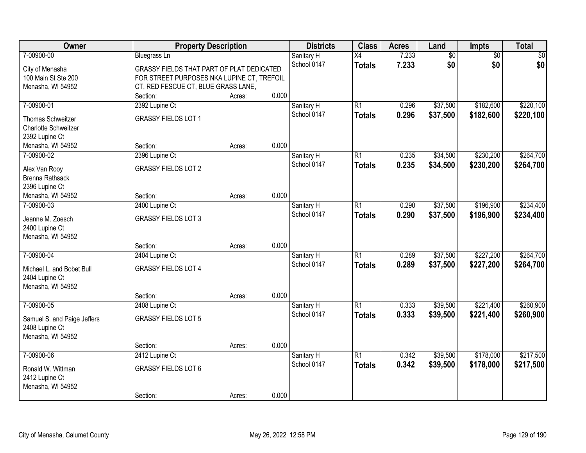| Owner                              | <b>Property Description</b>                |        |       | <b>Districts</b> | <b>Class</b>    | <b>Acres</b> | Land            | Impts           | <b>Total</b> |
|------------------------------------|--------------------------------------------|--------|-------|------------------|-----------------|--------------|-----------------|-----------------|--------------|
| 7-00900-00                         | <b>Bluegrass Ln</b>                        |        |       | Sanitary H       | X4              | 7.233        | $\overline{60}$ | $\overline{50}$ | \$0          |
| City of Menasha                    | GRASSY FIELDS THAT PART OF PLAT DEDICATED  |        |       | School 0147      | <b>Totals</b>   | 7.233        | \$0             | \$0             | \$0          |
| 100 Main St Ste 200                | FOR STREET PURPOSES NKA LUPINE CT, TREFOIL |        |       |                  |                 |              |                 |                 |              |
| Menasha, WI 54952                  | CT, RED FESCUE CT, BLUE GRASS LANE,        |        |       |                  |                 |              |                 |                 |              |
|                                    | Section:                                   | Acres: | 0.000 |                  |                 |              |                 |                 |              |
| 7-00900-01                         | 2392 Lupine Ct                             |        |       | Sanitary H       | $\overline{R1}$ | 0.296        | \$37,500        | \$182,600       | \$220,100    |
| Thomas Schweitzer                  | <b>GRASSY FIELDS LOT 1</b>                 |        |       | School 0147      | <b>Totals</b>   | 0.296        | \$37,500        | \$182,600       | \$220,100    |
| Charlotte Schweitzer               |                                            |        |       |                  |                 |              |                 |                 |              |
| 2392 Lupine Ct                     |                                            |        |       |                  |                 |              |                 |                 |              |
| Menasha, WI 54952                  | Section:                                   | Acres: | 0.000 |                  |                 |              |                 |                 |              |
| 7-00900-02                         | 2396 Lupine Ct                             |        |       | Sanitary H       | R1              | 0.235        | \$34,500        | \$230,200       | \$264,700    |
| Alex Van Rooy                      | <b>GRASSY FIELDS LOT 2</b>                 |        |       | School 0147      | <b>Totals</b>   | 0.235        | \$34,500        | \$230,200       | \$264,700    |
| Brenna Rathsack                    |                                            |        |       |                  |                 |              |                 |                 |              |
| 2396 Lupine Ct                     |                                            |        |       |                  |                 |              |                 |                 |              |
| Menasha, WI 54952                  | Section:                                   | Acres: | 0.000 |                  |                 |              |                 |                 |              |
| 7-00900-03                         | 2400 Lupine Ct                             |        |       | Sanitary H       | $\overline{R1}$ | 0.290        | \$37,500        | \$196,900       | \$234,400    |
|                                    |                                            |        |       | School 0147      | <b>Totals</b>   | 0.290        | \$37,500        | \$196,900       | \$234,400    |
| Jeanne M. Zoesch<br>2400 Lupine Ct | <b>GRASSY FIELDS LOT 3</b>                 |        |       |                  |                 |              |                 |                 |              |
| Menasha, WI 54952                  |                                            |        |       |                  |                 |              |                 |                 |              |
|                                    | Section:                                   | Acres: | 0.000 |                  |                 |              |                 |                 |              |
| 7-00900-04                         | 2404 Lupine Ct                             |        |       | Sanitary H       | $\overline{R1}$ | 0.289        | \$37,500        | \$227,200       | \$264,700    |
|                                    |                                            |        |       | School 0147      | <b>Totals</b>   | 0.289        | \$37,500        | \$227,200       | \$264,700    |
| Michael L. and Bobet Bull          | <b>GRASSY FIELDS LOT 4</b>                 |        |       |                  |                 |              |                 |                 |              |
| 2404 Lupine Ct                     |                                            |        |       |                  |                 |              |                 |                 |              |
| Menasha, WI 54952                  | Section:                                   |        | 0.000 |                  |                 |              |                 |                 |              |
| 7-00900-05                         | 2408 Lupine Ct                             | Acres: |       | Sanitary H       | $\overline{R1}$ | 0.333        | \$39,500        | \$221,400       | \$260,900    |
|                                    |                                            |        |       | School 0147      | <b>Totals</b>   | 0.333        | \$39,500        | \$221,400       | \$260,900    |
| Samuel S. and Paige Jeffers        | <b>GRASSY FIELDS LOT 5</b>                 |        |       |                  |                 |              |                 |                 |              |
| 2408 Lupine Ct                     |                                            |        |       |                  |                 |              |                 |                 |              |
| Menasha, WI 54952                  |                                            |        |       |                  |                 |              |                 |                 |              |
|                                    | Section:                                   | Acres: | 0.000 |                  |                 |              |                 |                 |              |
| 7-00900-06                         | 2412 Lupine Ct                             |        |       | Sanitary H       | $\overline{R1}$ | 0.342        | \$39,500        | \$178,000       | \$217,500    |
| Ronald W. Wittman                  | <b>GRASSY FIELDS LOT 6</b>                 |        |       | School 0147      | <b>Totals</b>   | 0.342        | \$39,500        | \$178,000       | \$217,500    |
| 2412 Lupine Ct                     |                                            |        |       |                  |                 |              |                 |                 |              |
| Menasha, WI 54952                  |                                            |        |       |                  |                 |              |                 |                 |              |
|                                    | Section:                                   | Acres: | 0.000 |                  |                 |              |                 |                 |              |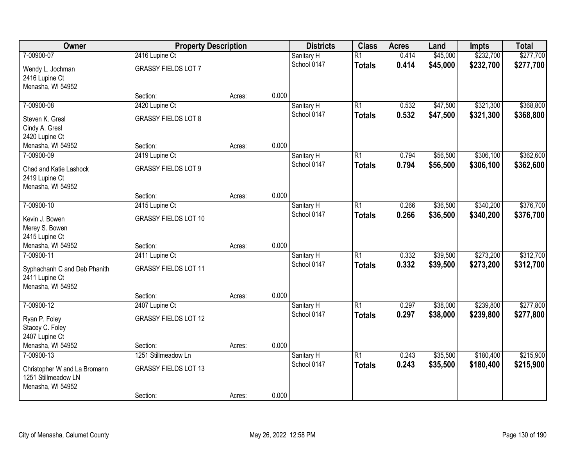| Owner                                               | <b>Property Description</b> |        |       | <b>Districts</b>          | <b>Class</b>                     | <b>Acres</b>   | Land                 | <b>Impts</b>           | <b>Total</b>           |
|-----------------------------------------------------|-----------------------------|--------|-------|---------------------------|----------------------------------|----------------|----------------------|------------------------|------------------------|
| 7-00900-07                                          | 2416 Lupine Ct              |        |       | Sanitary H<br>School 0147 | $\overline{R1}$<br><b>Totals</b> | 0.414<br>0.414 | \$45,000<br>\$45,000 | \$232,700<br>\$232,700 | \$277,700<br>\$277,700 |
| Wendy L. Jochman<br>2416 Lupine Ct                  | <b>GRASSY FIELDS LOT 7</b>  |        |       |                           |                                  |                |                      |                        |                        |
| Menasha, WI 54952                                   |                             |        |       |                           |                                  |                |                      |                        |                        |
|                                                     | Section:                    | Acres: | 0.000 |                           |                                  |                |                      |                        |                        |
| 7-00900-08                                          | 2420 Lupine Ct              |        |       | Sanitary H                | $\overline{R1}$                  | 0.532          | \$47,500             | \$321,300              | \$368,800              |
| Steven K. Gresl                                     | <b>GRASSY FIELDS LOT 8</b>  |        |       | School 0147               | <b>Totals</b>                    | 0.532          | \$47,500             | \$321,300              | \$368,800              |
| Cindy A. Gresl                                      |                             |        |       |                           |                                  |                |                      |                        |                        |
| 2420 Lupine Ct                                      |                             |        |       |                           |                                  |                |                      |                        |                        |
| Menasha, WI 54952                                   | Section:                    | Acres: | 0.000 |                           |                                  |                |                      |                        |                        |
| 7-00900-09                                          | 2419 Lupine Ct              |        |       | Sanitary H                | $\overline{R1}$                  | 0.794          | \$56,500             | \$306,100              | \$362,600              |
| Chad and Katie Lashock                              | <b>GRASSY FIELDS LOT 9</b>  |        |       | School 0147               | <b>Totals</b>                    | 0.794          | \$56,500             | \$306,100              | \$362,600              |
| 2419 Lupine Ct                                      |                             |        |       |                           |                                  |                |                      |                        |                        |
| Menasha, WI 54952                                   |                             |        |       |                           |                                  |                |                      |                        |                        |
|                                                     | Section:                    | Acres: | 0.000 |                           |                                  |                |                      |                        |                        |
| 7-00900-10                                          | 2415 Lupine Ct              |        |       | Sanitary H                | $\overline{R1}$                  | 0.266          | \$36,500             | \$340,200              | \$376,700              |
| Kevin J. Bowen                                      | <b>GRASSY FIELDS LOT 10</b> |        |       | School 0147               | <b>Totals</b>                    | 0.266          | \$36,500             | \$340,200              | \$376,700              |
| Merey S. Bowen                                      |                             |        |       |                           |                                  |                |                      |                        |                        |
| 2415 Lupine Ct                                      |                             |        |       |                           |                                  |                |                      |                        |                        |
| Menasha, WI 54952                                   | Section:                    | Acres: | 0.000 |                           |                                  |                |                      |                        |                        |
| 7-00900-11                                          | 2411 Lupine Ct              |        |       | Sanitary H                | $\overline{R1}$                  | 0.332          | \$39,500             | \$273,200              | \$312,700              |
| Syphachanh C and Deb Phanith                        | <b>GRASSY FIELDS LOT 11</b> |        |       | School 0147               | <b>Totals</b>                    | 0.332          | \$39,500             | \$273,200              | \$312,700              |
| 2411 Lupine Ct                                      |                             |        |       |                           |                                  |                |                      |                        |                        |
| Menasha, WI 54952                                   |                             |        |       |                           |                                  |                |                      |                        |                        |
|                                                     | Section:                    | Acres: | 0.000 |                           |                                  |                |                      |                        |                        |
| 7-00900-12                                          | 2407 Lupine Ct              |        |       | Sanitary H                | $\overline{R1}$                  | 0.297          | \$38,000             | \$239,800              | \$277,800              |
| Ryan P. Foley                                       | <b>GRASSY FIELDS LOT 12</b> |        |       | School 0147               | <b>Totals</b>                    | 0.297          | \$38,000             | \$239,800              | \$277,800              |
| Stacey C. Foley                                     |                             |        |       |                           |                                  |                |                      |                        |                        |
| 2407 Lupine Ct                                      |                             |        |       |                           |                                  |                |                      |                        |                        |
| Menasha, WI 54952                                   | Section:                    | Acres: | 0.000 |                           |                                  |                |                      |                        |                        |
| 7-00900-13                                          | 1251 Stillmeadow Ln         |        |       | Sanitary H                | $\overline{R1}$                  | 0.243          | \$35,500             | \$180,400              | \$215,900              |
|                                                     |                             |        |       | School 0147               | <b>Totals</b>                    | 0.243          | \$35,500             | \$180,400              | \$215,900              |
| Christopher W and La Bromann<br>1251 Stillmeadow LN | <b>GRASSY FIELDS LOT 13</b> |        |       |                           |                                  |                |                      |                        |                        |
| Menasha, WI 54952                                   |                             |        |       |                           |                                  |                |                      |                        |                        |
|                                                     | Section:                    | Acres: | 0.000 |                           |                                  |                |                      |                        |                        |
|                                                     |                             |        |       |                           |                                  |                |                      |                        |                        |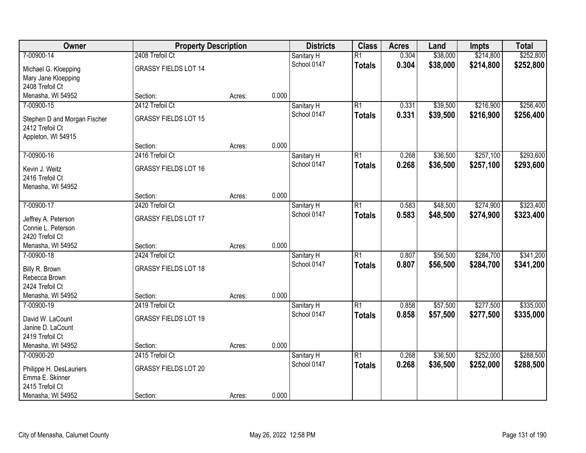| Owner                                 |                             | <b>Property Description</b> |       | <b>Districts</b>          | <b>Class</b>    | <b>Acres</b> | Land     | <b>Impts</b> | <b>Total</b> |
|---------------------------------------|-----------------------------|-----------------------------|-------|---------------------------|-----------------|--------------|----------|--------------|--------------|
| 7-00900-14                            | 2408 Trefoil Ct             |                             |       | Sanitary H                | $\overline{R1}$ | 0.304        | \$38,000 | \$214,800    | \$252,800    |
| Michael G. Kloepping                  | <b>GRASSY FIELDS LOT 14</b> |                             |       | School 0147               | <b>Totals</b>   | 0.304        | \$38,000 | \$214,800    | \$252,800    |
| Mary Jane Kloepping                   |                             |                             |       |                           |                 |              |          |              |              |
| 2408 Trefoil Ct                       |                             |                             |       |                           |                 |              |          |              |              |
| Menasha, WI 54952                     | Section:                    | Acres:                      | 0.000 |                           |                 |              |          |              |              |
| 7-00900-15                            | 2412 Trefoil Ct             |                             |       | Sanitary H                | $\overline{R1}$ | 0.331        | \$39,500 | \$216,900    | \$256,400    |
| Stephen D and Morgan Fischer          | <b>GRASSY FIELDS LOT 15</b> |                             |       | School 0147               | <b>Totals</b>   | 0.331        | \$39,500 | \$216,900    | \$256,400    |
| 2412 Trefoil Ct                       |                             |                             |       |                           |                 |              |          |              |              |
| Appleton, WI 54915                    |                             |                             |       |                           |                 |              |          |              |              |
|                                       | Section:                    | Acres:                      | 0.000 |                           |                 |              |          |              |              |
| 7-00900-16                            | 2416 Trefoil Ct             |                             |       | Sanitary H                | $\overline{R1}$ | 0.268        | \$36,500 | \$257,100    | \$293,600    |
| Kevin J. Weitz                        | <b>GRASSY FIELDS LOT 16</b> |                             |       | School 0147               | <b>Totals</b>   | 0.268        | \$36,500 | \$257,100    | \$293,600    |
| 2416 Trefoil Ct                       |                             |                             |       |                           |                 |              |          |              |              |
| Menasha, WI 54952                     |                             |                             |       |                           |                 |              |          |              |              |
|                                       | Section:                    | Acres:                      | 0.000 |                           |                 |              |          |              |              |
| 7-00900-17                            | 2420 Trefoil Ct             |                             |       | Sanitary H                | $\overline{R1}$ | 0.583        | \$48,500 | \$274,900    | \$323,400    |
|                                       |                             |                             |       | School 0147               | <b>Totals</b>   | 0.583        | \$48,500 | \$274,900    | \$323,400    |
| Jeffrey A. Peterson                   | <b>GRASSY FIELDS LOT 17</b> |                             |       |                           |                 |              |          |              |              |
| Connie L. Peterson<br>2420 Trefoil Ct |                             |                             |       |                           |                 |              |          |              |              |
| Menasha, WI 54952                     | Section:                    | Acres:                      | 0.000 |                           |                 |              |          |              |              |
| 7-00900-18                            | 2424 Trefoil Ct             |                             |       | Sanitary H                | $\overline{R1}$ | 0.807        | \$56,500 | \$284,700    | \$341,200    |
|                                       |                             |                             |       | School 0147               | <b>Totals</b>   | 0.807        | \$56,500 | \$284,700    | \$341,200    |
| Billy R. Brown                        | <b>GRASSY FIELDS LOT 18</b> |                             |       |                           |                 |              |          |              |              |
| Rebecca Brown                         |                             |                             |       |                           |                 |              |          |              |              |
| 2424 Trefoil Ct                       |                             |                             | 0.000 |                           |                 |              |          |              |              |
| Menasha, WI 54952<br>7-00900-19       | Section:<br>2419 Trefoil Ct | Acres:                      |       |                           | $\overline{R1}$ | 0.858        | \$57,500 | \$277,500    | \$335,000    |
|                                       |                             |                             |       | Sanitary H<br>School 0147 |                 | 0.858        |          |              |              |
| David W. LaCount                      | <b>GRASSY FIELDS LOT 19</b> |                             |       |                           | <b>Totals</b>   |              | \$57,500 | \$277,500    | \$335,000    |
| Janine D. LaCount                     |                             |                             |       |                           |                 |              |          |              |              |
| 2419 Trefoil Ct                       |                             |                             |       |                           |                 |              |          |              |              |
| Menasha, WI 54952                     | Section:                    | Acres:                      | 0.000 |                           |                 |              |          |              |              |
| 7-00900-20                            | 2415 Trefoil Ct             |                             |       | Sanitary H                | $\overline{R1}$ | 0.268        | \$36,500 | \$252,000    | \$288,500    |
| Philippe H. DesLauriers               | <b>GRASSY FIELDS LOT 20</b> |                             |       | School 0147               | <b>Totals</b>   | 0.268        | \$36,500 | \$252,000    | \$288,500    |
| Emma E. Skinner                       |                             |                             |       |                           |                 |              |          |              |              |
| 2415 Trefoil Ct                       |                             |                             |       |                           |                 |              |          |              |              |
| Menasha, WI 54952                     | Section:                    | Acres:                      | 0.000 |                           |                 |              |          |              |              |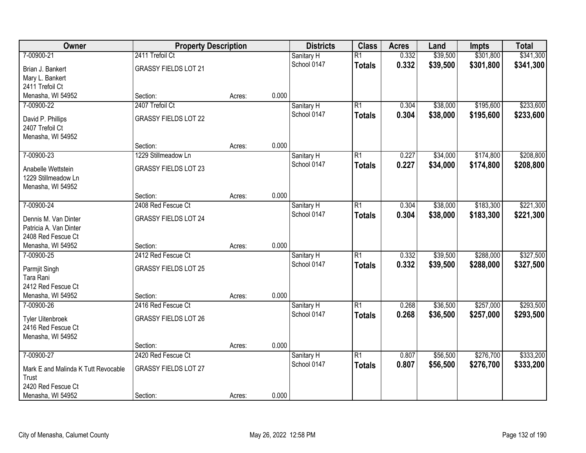| Owner                               | <b>Property Description</b> |        |       | <b>Districts</b> | <b>Class</b>    | <b>Acres</b> | Land     | <b>Impts</b> | <b>Total</b> |
|-------------------------------------|-----------------------------|--------|-------|------------------|-----------------|--------------|----------|--------------|--------------|
| 7-00900-21                          | 2411 Trefoil Ct             |        |       | Sanitary H       | $\overline{R1}$ | 0.332        | \$39,500 | \$301,800    | \$341,300    |
| Brian J. Bankert                    | <b>GRASSY FIELDS LOT 21</b> |        |       | School 0147      | <b>Totals</b>   | 0.332        | \$39,500 | \$301,800    | \$341,300    |
| Mary L. Bankert                     |                             |        |       |                  |                 |              |          |              |              |
| 2411 Trefoil Ct                     |                             |        |       |                  |                 |              |          |              |              |
| Menasha, WI 54952                   | Section:                    | Acres: | 0.000 |                  |                 |              |          |              |              |
| 7-00900-22                          | 2407 Trefoil Ct             |        |       | Sanitary H       | $\overline{R1}$ | 0.304        | \$38,000 | \$195,600    | \$233,600    |
| David P. Phillips                   | <b>GRASSY FIELDS LOT 22</b> |        |       | School 0147      | <b>Totals</b>   | 0.304        | \$38,000 | \$195,600    | \$233,600    |
| 2407 Trefoil Ct                     |                             |        |       |                  |                 |              |          |              |              |
| Menasha, WI 54952                   |                             |        |       |                  |                 |              |          |              |              |
|                                     | Section:                    | Acres: | 0.000 |                  |                 |              |          |              |              |
| 7-00900-23                          | 1229 Stillmeadow Ln         |        |       | Sanitary H       | $\overline{R1}$ | 0.227        | \$34,000 | \$174,800    | \$208,800    |
| Anabelle Wettstein                  | <b>GRASSY FIELDS LOT 23</b> |        |       | School 0147      | <b>Totals</b>   | 0.227        | \$34,000 | \$174,800    | \$208,800    |
| 1229 Stillmeadow Ln                 |                             |        |       |                  |                 |              |          |              |              |
| Menasha, WI 54952                   |                             |        |       |                  |                 |              |          |              |              |
|                                     | Section:                    | Acres: | 0.000 |                  |                 |              |          |              |              |
| 7-00900-24                          | 2408 Red Fescue Ct          |        |       | Sanitary H       | $\overline{R1}$ | 0.304        | \$38,000 | \$183,300    | \$221,300    |
| Dennis M. Van Dinter                | <b>GRASSY FIELDS LOT 24</b> |        |       | School 0147      | <b>Totals</b>   | 0.304        | \$38,000 | \$183,300    | \$221,300    |
| Patricia A. Van Dinter              |                             |        |       |                  |                 |              |          |              |              |
| 2408 Red Fescue Ct                  |                             |        |       |                  |                 |              |          |              |              |
| Menasha, WI 54952                   | Section:                    | Acres: | 0.000 |                  |                 |              |          |              |              |
| 7-00900-25                          | 2412 Red Fescue Ct          |        |       | Sanitary H       | $\overline{R1}$ | 0.332        | \$39,500 | \$288,000    | \$327,500    |
|                                     |                             |        |       | School 0147      | <b>Totals</b>   | 0.332        | \$39,500 | \$288,000    | \$327,500    |
| Parmjit Singh                       | <b>GRASSY FIELDS LOT 25</b> |        |       |                  |                 |              |          |              |              |
| Tara Rani<br>2412 Red Fescue Ct     |                             |        |       |                  |                 |              |          |              |              |
| Menasha, WI 54952                   | Section:                    | Acres: | 0.000 |                  |                 |              |          |              |              |
| 7-00900-26                          | 2416 Red Fescue Ct          |        |       | Sanitary H       | $\overline{R1}$ | 0.268        | \$36,500 | \$257,000    | \$293,500    |
|                                     |                             |        |       | School 0147      | <b>Totals</b>   | 0.268        | \$36,500 | \$257,000    | \$293,500    |
| <b>Tyler Uitenbroek</b>             | <b>GRASSY FIELDS LOT 26</b> |        |       |                  |                 |              |          |              |              |
| 2416 Red Fescue Ct                  |                             |        |       |                  |                 |              |          |              |              |
| Menasha, WI 54952                   |                             |        |       |                  |                 |              |          |              |              |
|                                     | Section:                    | Acres: | 0.000 |                  |                 |              |          |              |              |
| 7-00900-27                          | 2420 Red Fescue Ct          |        |       | Sanitary H       | $\overline{R1}$ | 0.807        | \$56,500 | \$276,700    | \$333,200    |
| Mark E and Malinda K Tutt Revocable | <b>GRASSY FIELDS LOT 27</b> |        |       | School 0147      | <b>Totals</b>   | 0.807        | \$56,500 | \$276,700    | \$333,200    |
| Trust                               |                             |        |       |                  |                 |              |          |              |              |
| 2420 Red Fescue Ct                  |                             |        |       |                  |                 |              |          |              |              |
| Menasha, WI 54952                   | Section:                    | Acres: | 0.000 |                  |                 |              |          |              |              |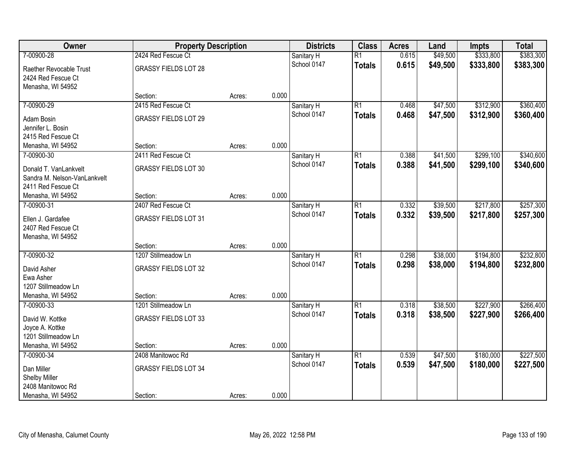| Owner                        | <b>Property Description</b> |        |       | <b>Districts</b> | <b>Class</b>    | <b>Acres</b> | Land     | <b>Impts</b> | <b>Total</b> |
|------------------------------|-----------------------------|--------|-------|------------------|-----------------|--------------|----------|--------------|--------------|
| 7-00900-28                   | 2424 Red Fescue Ct          |        |       | Sanitary H       | $\overline{R1}$ | 0.615        | \$49,500 | \$333,800    | \$383,300    |
| Raether Revocable Trust      | <b>GRASSY FIELDS LOT 28</b> |        |       | School 0147      | <b>Totals</b>   | 0.615        | \$49,500 | \$333,800    | \$383,300    |
| 2424 Red Fescue Ct           |                             |        |       |                  |                 |              |          |              |              |
| Menasha, WI 54952            |                             |        |       |                  |                 |              |          |              |              |
|                              | Section:                    | Acres: | 0.000 |                  |                 |              |          |              |              |
| 7-00900-29                   | 2415 Red Fescue Ct          |        |       | Sanitary H       | $\overline{R1}$ | 0.468        | \$47,500 | \$312,900    | \$360,400    |
| Adam Bosin                   | <b>GRASSY FIELDS LOT 29</b> |        |       | School 0147      | <b>Totals</b>   | 0.468        | \$47,500 | \$312,900    | \$360,400    |
| Jennifer L. Bosin            |                             |        |       |                  |                 |              |          |              |              |
| 2415 Red Fescue Ct           |                             |        |       |                  |                 |              |          |              |              |
| Menasha, WI 54952            | Section:                    | Acres: | 0.000 |                  |                 |              |          |              |              |
| 7-00900-30                   | 2411 Red Fescue Ct          |        |       | Sanitary H       | $\overline{R1}$ | 0.388        | \$41,500 | \$299,100    | \$340,600    |
| Donald T. VanLankvelt        | <b>GRASSY FIELDS LOT 30</b> |        |       | School 0147      | <b>Totals</b>   | 0.388        | \$41,500 | \$299,100    | \$340,600    |
| Sandra M. Nelson-VanLankvelt |                             |        |       |                  |                 |              |          |              |              |
| 2411 Red Fescue Ct           |                             |        |       |                  |                 |              |          |              |              |
| Menasha, WI 54952            | Section:                    | Acres: | 0.000 |                  |                 |              |          |              |              |
| 7-00900-31                   | 2407 Red Fescue Ct          |        |       | Sanitary H       | $\overline{R1}$ | 0.332        | \$39,500 | \$217,800    | \$257,300    |
| Ellen J. Gardafee            | <b>GRASSY FIELDS LOT 31</b> |        |       | School 0147      | <b>Totals</b>   | 0.332        | \$39,500 | \$217,800    | \$257,300    |
| 2407 Red Fescue Ct           |                             |        |       |                  |                 |              |          |              |              |
| Menasha, WI 54952            |                             |        |       |                  |                 |              |          |              |              |
|                              | Section:                    | Acres: | 0.000 |                  |                 |              |          |              |              |
| 7-00900-32                   | 1207 Stillmeadow Ln         |        |       | Sanitary H       | $\overline{R1}$ | 0.298        | \$38,000 | \$194,800    | \$232,800    |
| David Asher                  | <b>GRASSY FIELDS LOT 32</b> |        |       | School 0147      | <b>Totals</b>   | 0.298        | \$38,000 | \$194,800    | \$232,800    |
| Ewa Asher                    |                             |        |       |                  |                 |              |          |              |              |
| 1207 Stillmeadow Ln          |                             |        |       |                  |                 |              |          |              |              |
| Menasha, WI 54952            | Section:                    | Acres: | 0.000 |                  |                 |              |          |              |              |
| 7-00900-33                   | 1201 Stillmeadow Ln         |        |       | Sanitary H       | $\overline{R1}$ | 0.318        | \$38,500 | \$227,900    | \$266,400    |
| David W. Kottke              | <b>GRASSY FIELDS LOT 33</b> |        |       | School 0147      | <b>Totals</b>   | 0.318        | \$38,500 | \$227,900    | \$266,400    |
| Joyce A. Kottke              |                             |        |       |                  |                 |              |          |              |              |
| 1201 Stillmeadow Ln          |                             |        |       |                  |                 |              |          |              |              |
| Menasha, WI 54952            | Section:                    | Acres: | 0.000 |                  |                 |              |          |              |              |
| 7-00900-34                   | 2408 Manitowoc Rd           |        |       | Sanitary H       | $\overline{R1}$ | 0.539        | \$47,500 | \$180,000    | \$227,500    |
| Dan Miller                   | <b>GRASSY FIELDS LOT 34</b> |        |       | School 0147      | <b>Totals</b>   | 0.539        | \$47,500 | \$180,000    | \$227,500    |
| Shelby Miller                |                             |        |       |                  |                 |              |          |              |              |
| 2408 Manitowoc Rd            |                             |        |       |                  |                 |              |          |              |              |
| Menasha, WI 54952            | Section:                    | Acres: | 0.000 |                  |                 |              |          |              |              |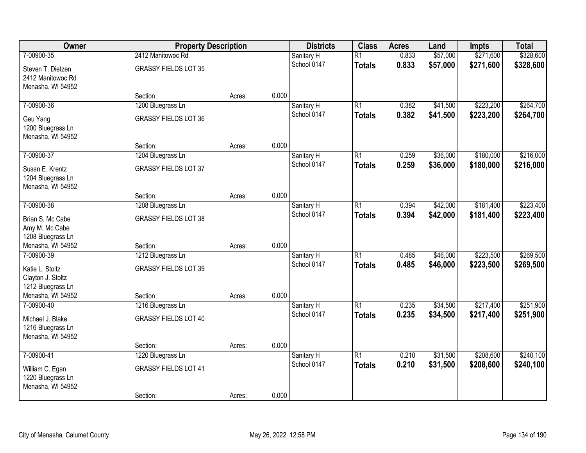| Owner                                                       | <b>Property Description</b>   |        |       | <b>Districts</b>          | <b>Class</b>                     | <b>Acres</b>   | Land                 | <b>Impts</b>           | <b>Total</b>           |
|-------------------------------------------------------------|-------------------------------|--------|-------|---------------------------|----------------------------------|----------------|----------------------|------------------------|------------------------|
| 7-00900-35                                                  | 2412 Manitowoc Rd             |        |       | Sanitary H                | $\overline{R1}$                  | 0.833          | \$57,000             | \$271,600              | \$328,600              |
| Steven T. Dietzen<br>2412 Manitowoc Rd<br>Menasha, WI 54952 | <b>GRASSY FIELDS LOT 35</b>   |        |       | School 0147               | <b>Totals</b>                    | 0.833          | \$57,000             | \$271,600              | \$328,600              |
|                                                             | Section:                      | Acres: | 0.000 |                           |                                  |                |                      |                        |                        |
| 7-00900-36                                                  | 1200 Bluegrass Ln             |        |       | Sanitary H<br>School 0147 | $\overline{R1}$<br><b>Totals</b> | 0.382<br>0.382 | \$41,500<br>\$41,500 | \$223,200<br>\$223,200 | \$264,700<br>\$264,700 |
| Geu Yang<br>1200 Bluegrass Ln<br>Menasha, WI 54952          | <b>GRASSY FIELDS LOT 36</b>   |        |       |                           |                                  |                |                      |                        |                        |
|                                                             | Section:                      | Acres: | 0.000 |                           |                                  |                |                      |                        |                        |
| 7-00900-37                                                  | 1204 Bluegrass Ln             |        |       | Sanitary H                | $\overline{R1}$                  | 0.259          | \$36,000             | \$180,000              | \$216,000              |
| Susan E. Krentz<br>1204 Bluegrass Ln<br>Menasha, WI 54952   | <b>GRASSY FIELDS LOT 37</b>   |        |       | School 0147               | <b>Totals</b>                    | 0.259          | \$36,000             | \$180,000              | \$216,000              |
|                                                             | Section:                      | Acres: | 0.000 |                           |                                  |                |                      |                        |                        |
| 7-00900-38                                                  | 1208 Bluegrass Ln             |        |       | Sanitary H                | $\overline{R1}$                  | 0.394          | \$42,000             | \$181,400              | \$223,400              |
| Brian S. Mc Cabe<br>Amy M. Mc Cabe<br>1208 Bluegrass Ln     | <b>GRASSY FIELDS LOT 38</b>   |        |       | School 0147               | <b>Totals</b>                    | 0.394          | \$42,000             | \$181,400              | \$223,400              |
| Menasha, WI 54952                                           | Section:                      | Acres: | 0.000 |                           |                                  |                |                      |                        |                        |
| 7-00900-39                                                  | 1212 Bluegrass Ln             |        |       | Sanitary H<br>School 0147 | $\overline{R1}$<br><b>Totals</b> | 0.485<br>0.485 | \$46,000<br>\$46,000 | \$223,500<br>\$223,500 | \$269,500<br>\$269,500 |
| Katie L. Stoltz<br>Clayton J. Stoltz<br>1212 Bluegrass Ln   | <b>GRASSY FIELDS LOT 39</b>   |        |       |                           |                                  |                |                      |                        |                        |
| Menasha, WI 54952<br>7-00900-40                             | Section:<br>1216 Bluegrass Ln | Acres: | 0.000 | Sanitary H                | $\overline{R1}$                  | 0.235          | \$34,500             | \$217,400              | \$251,900              |
| Michael J. Blake<br>1216 Bluegrass Ln<br>Menasha, WI 54952  | <b>GRASSY FIELDS LOT 40</b>   |        |       | School 0147               | <b>Totals</b>                    | 0.235          | \$34,500             | \$217,400              | \$251,900              |
|                                                             | Section:                      | Acres: | 0.000 |                           |                                  |                |                      |                        |                        |
| 7-00900-41                                                  | 1220 Bluegrass Ln             |        |       | Sanitary H                | $\overline{R1}$                  | 0.210          | \$31,500             | \$208,600              | \$240,100              |
| William C. Egan<br>1220 Bluegrass Ln<br>Menasha, WI 54952   | <b>GRASSY FIELDS LOT 41</b>   |        |       | School 0147               | <b>Totals</b>                    | 0.210          | \$31,500             | \$208,600              | \$240,100              |
|                                                             | Section:                      | Acres: | 0.000 |                           |                                  |                |                      |                        |                        |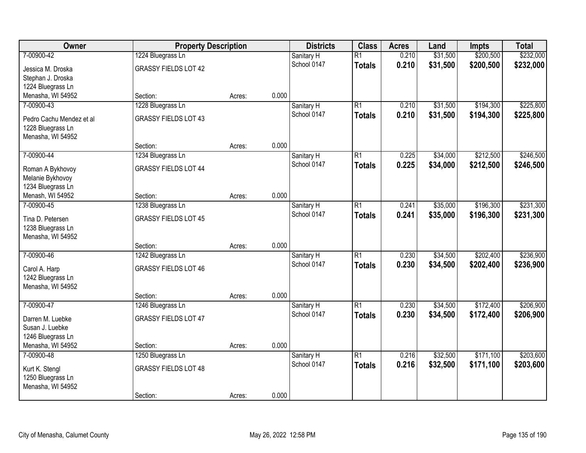| Owner                                | <b>Property Description</b> |        |       | <b>Districts</b>          | <b>Class</b>    | <b>Acres</b> | Land     | <b>Impts</b> | <b>Total</b> |
|--------------------------------------|-----------------------------|--------|-------|---------------------------|-----------------|--------------|----------|--------------|--------------|
| 7-00900-42                           | 1224 Bluegrass Ln           |        |       | Sanitary H                | $\overline{R1}$ | 0.210        | \$31,500 | \$200,500    | \$232,000    |
| Jessica M. Droska                    | <b>GRASSY FIELDS LOT 42</b> |        |       | School 0147               | <b>Totals</b>   | 0.210        | \$31,500 | \$200,500    | \$232,000    |
| Stephan J. Droska                    |                             |        |       |                           |                 |              |          |              |              |
| 1224 Bluegrass Ln                    |                             |        |       |                           |                 |              |          |              |              |
| Menasha, WI 54952                    | Section:                    | Acres: | 0.000 |                           |                 |              |          |              |              |
| 7-00900-43                           | 1228 Bluegrass Ln           |        |       | Sanitary H                | $\overline{R1}$ | 0.210        | \$31,500 | \$194,300    | \$225,800    |
| Pedro Cachu Mendez et al             | <b>GRASSY FIELDS LOT 43</b> |        |       | School 0147               | <b>Totals</b>   | 0.210        | \$31,500 | \$194,300    | \$225,800    |
| 1228 Bluegrass Ln                    |                             |        |       |                           |                 |              |          |              |              |
| Menasha, WI 54952                    |                             |        |       |                           |                 |              |          |              |              |
|                                      | Section:                    | Acres: | 0.000 |                           |                 |              |          |              |              |
| 7-00900-44                           | 1234 Bluegrass Ln           |        |       | Sanitary H                | $\overline{R1}$ | 0.225        | \$34,000 | \$212,500    | \$246,500    |
|                                      | <b>GRASSY FIELDS LOT 44</b> |        |       | School 0147               | <b>Totals</b>   | 0.225        | \$34,000 | \$212,500    | \$246,500    |
| Roman A Bykhovoy<br>Melanie Bykhovoy |                             |        |       |                           |                 |              |          |              |              |
| 1234 Bluegrass Ln                    |                             |        |       |                           |                 |              |          |              |              |
| Menash, WI 54952                     | Section:                    | Acres: | 0.000 |                           |                 |              |          |              |              |
| 7-00900-45                           | 1238 Bluegrass Ln           |        |       | Sanitary H                | $\overline{R1}$ | 0.241        | \$35,000 | \$196,300    | \$231,300    |
|                                      |                             |        |       | School 0147               | <b>Totals</b>   | 0.241        | \$35,000 | \$196,300    | \$231,300    |
| Tina D. Petersen                     | <b>GRASSY FIELDS LOT 45</b> |        |       |                           |                 |              |          |              |              |
| 1238 Bluegrass Ln                    |                             |        |       |                           |                 |              |          |              |              |
| Menasha, WI 54952                    | Section:                    |        | 0.000 |                           |                 |              |          |              |              |
| 7-00900-46                           | 1242 Bluegrass Ln           | Acres: |       |                           | $\overline{R1}$ | 0.230        | \$34,500 | \$202,400    | \$236,900    |
|                                      |                             |        |       | Sanitary H<br>School 0147 |                 | 0.230        | \$34,500 | \$202,400    |              |
| Carol A. Harp                        | <b>GRASSY FIELDS LOT 46</b> |        |       |                           | <b>Totals</b>   |              |          |              | \$236,900    |
| 1242 Bluegrass Ln                    |                             |        |       |                           |                 |              |          |              |              |
| Menasha, WI 54952                    |                             |        |       |                           |                 |              |          |              |              |
|                                      | Section:                    | Acres: | 0.000 |                           |                 |              |          |              |              |
| 7-00900-47                           | 1246 Bluegrass Ln           |        |       | Sanitary H                | $\overline{R1}$ | 0.230        | \$34,500 | \$172,400    | \$206,900    |
| Darren M. Luebke                     | <b>GRASSY FIELDS LOT 47</b> |        |       | School 0147               | <b>Totals</b>   | 0.230        | \$34,500 | \$172,400    | \$206,900    |
| Susan J. Luebke                      |                             |        |       |                           |                 |              |          |              |              |
| 1246 Bluegrass Ln                    |                             |        |       |                           |                 |              |          |              |              |
| Menasha, WI 54952                    | Section:                    | Acres: | 0.000 |                           |                 |              |          |              |              |
| 7-00900-48                           | 1250 Bluegrass Ln           |        |       | Sanitary H                | $\overline{R1}$ | 0.216        | \$32,500 | \$171,100    | \$203,600    |
| Kurt K. Stengl                       | <b>GRASSY FIELDS LOT 48</b> |        |       | School 0147               | <b>Totals</b>   | 0.216        | \$32,500 | \$171,100    | \$203,600    |
| 1250 Bluegrass Ln                    |                             |        |       |                           |                 |              |          |              |              |
| Menasha, WI 54952                    |                             |        |       |                           |                 |              |          |              |              |
|                                      | Section:                    | Acres: | 0.000 |                           |                 |              |          |              |              |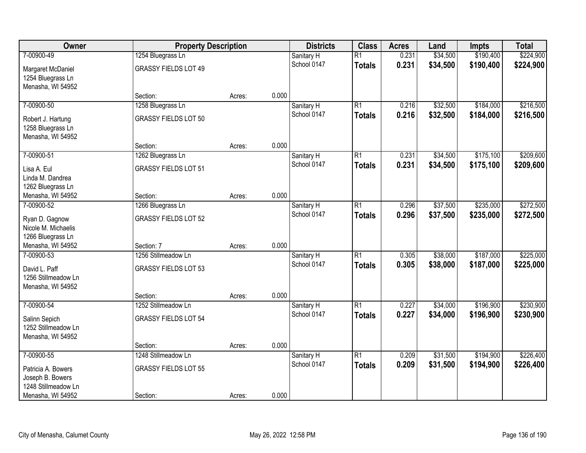| Owner                                                       | <b>Property Description</b> |        |       | <b>Districts</b> | <b>Class</b>    | <b>Acres</b> | Land     | <b>Impts</b> | <b>Total</b> |
|-------------------------------------------------------------|-----------------------------|--------|-------|------------------|-----------------|--------------|----------|--------------|--------------|
| 7-00900-49                                                  | 1254 Bluegrass Ln           |        |       | Sanitary H       | $\overline{R1}$ | 0.231        | \$34,500 | \$190,400    | \$224,900    |
| Margaret McDaniel<br>1254 Bluegrass Ln                      | <b>GRASSY FIELDS LOT 49</b> |        |       | School 0147      | <b>Totals</b>   | 0.231        | \$34,500 | \$190,400    | \$224,900    |
| Menasha, WI 54952                                           |                             |        |       |                  |                 |              |          |              |              |
|                                                             | Section:                    | Acres: | 0.000 |                  |                 |              |          |              |              |
| 7-00900-50                                                  | 1258 Bluegrass Ln           |        |       | Sanitary H       | $\overline{R1}$ | 0.216        | \$32,500 | \$184,000    | \$216,500    |
| Robert J. Hartung<br>1258 Bluegrass Ln<br>Menasha, WI 54952 | <b>GRASSY FIELDS LOT 50</b> |        |       | School 0147      | <b>Totals</b>   | 0.216        | \$32,500 | \$184,000    | \$216,500    |
|                                                             | Section:                    | Acres: | 0.000 |                  |                 |              |          |              |              |
| 7-00900-51                                                  | 1262 Bluegrass Ln           |        |       | Sanitary H       | $\overline{R1}$ | 0.231        | \$34,500 | \$175,100    | \$209,600    |
| Lisa A. Eul<br>Linda M. Dandrea                             | <b>GRASSY FIELDS LOT 51</b> |        |       | School 0147      | <b>Totals</b>   | 0.231        | \$34,500 | \$175,100    | \$209,600    |
| 1262 Bluegrass Ln                                           |                             |        |       |                  |                 |              |          |              |              |
| Menasha, WI 54952                                           | Section:                    | Acres: | 0.000 |                  |                 |              |          |              |              |
| 7-00900-52                                                  | 1266 Bluegrass Ln           |        |       | Sanitary H       | $\overline{R1}$ | 0.296        | \$37,500 | \$235,000    | \$272,500    |
| Ryan D. Gagnow<br>Nicole M. Michaelis<br>1266 Bluegrass Ln  | <b>GRASSY FIELDS LOT 52</b> |        |       | School 0147      | <b>Totals</b>   | 0.296        | \$37,500 | \$235,000    | \$272,500    |
| Menasha, WI 54952                                           | Section: 7                  | Acres: | 0.000 |                  |                 |              |          |              |              |
| 7-00900-53                                                  | 1256 Stillmeadow Ln         |        |       | Sanitary H       | $\overline{R1}$ | 0.305        | \$38,000 | \$187,000    | \$225,000    |
| David L. Paff                                               | <b>GRASSY FIELDS LOT 53</b> |        |       | School 0147      | <b>Totals</b>   | 0.305        | \$38,000 | \$187,000    | \$225,000    |
| 1256 Stillmeadow Ln                                         |                             |        |       |                  |                 |              |          |              |              |
| Menasha, WI 54952                                           |                             |        |       |                  |                 |              |          |              |              |
|                                                             | Section:                    | Acres: | 0.000 |                  |                 |              |          |              |              |
| 7-00900-54                                                  | 1252 Stillmeadow Ln         |        |       | Sanitary H       | $\overline{R1}$ | 0.227        | \$34,000 | \$196,900    | \$230,900    |
| Salinn Sepich<br>1252 Stillmeadow Ln                        | <b>GRASSY FIELDS LOT 54</b> |        |       | School 0147      | <b>Totals</b>   | 0.227        | \$34,000 | \$196,900    | \$230,900    |
| Menasha, WI 54952                                           | Section:                    |        | 0.000 |                  |                 |              |          |              |              |
| 7-00900-55                                                  | 1248 Stillmeadow Ln         | Acres: |       | Sanitary H       | $\overline{R1}$ | 0.209        | \$31,500 | \$194,900    | \$226,400    |
|                                                             |                             |        |       | School 0147      | <b>Totals</b>   | 0.209        | \$31,500 | \$194,900    | \$226,400    |
| Patricia A. Bowers<br>Joseph B. Bowers                      | <b>GRASSY FIELDS LOT 55</b> |        |       |                  |                 |              |          |              |              |
| 1248 Stillmeadow Ln                                         |                             |        |       |                  |                 |              |          |              |              |
| Menasha, WI 54952                                           | Section:                    | Acres: | 0.000 |                  |                 |              |          |              |              |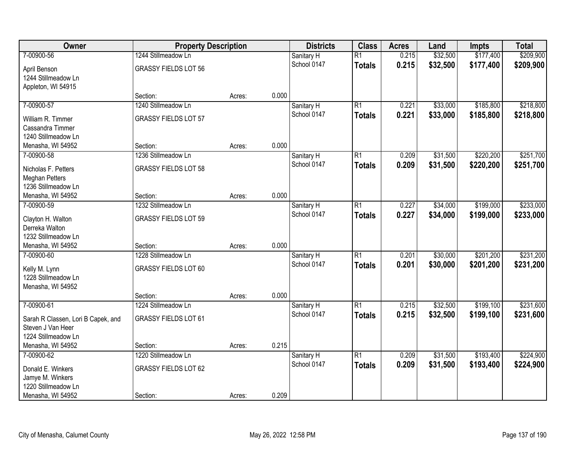| Owner                              | <b>Property Description</b> |        |       | <b>Districts</b> | <b>Class</b>    | <b>Acres</b> | Land     | <b>Impts</b> | <b>Total</b> |
|------------------------------------|-----------------------------|--------|-------|------------------|-----------------|--------------|----------|--------------|--------------|
| 7-00900-56                         | 1244 Stillmeadow Ln         |        |       | Sanitary H       | $\overline{R1}$ | 0.215        | \$32,500 | \$177,400    | \$209,900    |
| April Benson                       | <b>GRASSY FIELDS LOT 56</b> |        |       | School 0147      | <b>Totals</b>   | 0.215        | \$32,500 | \$177,400    | \$209,900    |
| 1244 Stillmeadow Ln                |                             |        |       |                  |                 |              |          |              |              |
| Appleton, WI 54915                 |                             |        |       |                  |                 |              |          |              |              |
|                                    | Section:                    | Acres: | 0.000 |                  |                 |              |          |              |              |
| 7-00900-57                         | 1240 Stillmeadow Ln         |        |       | Sanitary H       | $\overline{R1}$ | 0.221        | \$33,000 | \$185,800    | \$218,800    |
| William R. Timmer                  | <b>GRASSY FIELDS LOT 57</b> |        |       | School 0147      | <b>Totals</b>   | 0.221        | \$33,000 | \$185,800    | \$218,800    |
| Cassandra Timmer                   |                             |        |       |                  |                 |              |          |              |              |
| 1240 Stillmeadow Ln                |                             |        |       |                  |                 |              |          |              |              |
| Menasha, WI 54952                  | Section:                    | Acres: | 0.000 |                  |                 |              |          |              |              |
| 7-00900-58                         | 1236 Stillmeadow Ln         |        |       | Sanitary H       | $\overline{R1}$ | 0.209        | \$31,500 | \$220,200    | \$251,700    |
| Nicholas F. Petters                | <b>GRASSY FIELDS LOT 58</b> |        |       | School 0147      | <b>Totals</b>   | 0.209        | \$31,500 | \$220,200    | \$251,700    |
| <b>Meghan Petters</b>              |                             |        |       |                  |                 |              |          |              |              |
| 1236 Stillmeadow Ln                |                             |        |       |                  |                 |              |          |              |              |
| Menasha, WI 54952                  | Section:                    | Acres: | 0.000 |                  |                 |              |          |              |              |
| 7-00900-59                         | 1232 Stillmeadow Ln         |        |       | Sanitary H       | $\overline{R1}$ | 0.227        | \$34,000 | \$199,000    | \$233,000    |
| Clayton H. Walton                  | <b>GRASSY FIELDS LOT 59</b> |        |       | School 0147      | <b>Totals</b>   | 0.227        | \$34,000 | \$199,000    | \$233,000    |
| Derreka Walton                     |                             |        |       |                  |                 |              |          |              |              |
| 1232 Stillmeadow Ln                |                             |        |       |                  |                 |              |          |              |              |
| Menasha, WI 54952                  | Section:                    | Acres: | 0.000 |                  |                 |              |          |              |              |
| 7-00900-60                         | 1228 Stillmeadow Ln         |        |       | Sanitary H       | $\overline{R1}$ | 0.201        | \$30,000 | \$201,200    | \$231,200    |
| Kelly M. Lynn                      | <b>GRASSY FIELDS LOT 60</b> |        |       | School 0147      | <b>Totals</b>   | 0.201        | \$30,000 | \$201,200    | \$231,200    |
| 1228 Stillmeadow Ln                |                             |        |       |                  |                 |              |          |              |              |
| Menasha, WI 54952                  |                             |        |       |                  |                 |              |          |              |              |
|                                    | Section:                    | Acres: | 0.000 |                  |                 |              |          |              |              |
| 7-00900-61                         | 1224 Stillmeadow Ln         |        |       | Sanitary H       | $\overline{R1}$ | 0.215        | \$32,500 | \$199,100    | \$231,600    |
| Sarah R Classen, Lori B Capek, and | <b>GRASSY FIELDS LOT 61</b> |        |       | School 0147      | <b>Totals</b>   | 0.215        | \$32,500 | \$199,100    | \$231,600    |
| Steven J Van Heer                  |                             |        |       |                  |                 |              |          |              |              |
| 1224 Stillmeadow Ln                |                             |        |       |                  |                 |              |          |              |              |
| Menasha, WI 54952                  | Section:                    | Acres: | 0.215 |                  |                 |              |          |              |              |
| 7-00900-62                         | 1220 Stillmeadow Ln         |        |       | Sanitary H       | $\overline{R1}$ | 0.209        | \$31,500 | \$193,400    | \$224,900    |
| Donald E. Winkers                  | <b>GRASSY FIELDS LOT 62</b> |        |       | School 0147      | <b>Totals</b>   | 0.209        | \$31,500 | \$193,400    | \$224,900    |
| Jamye M. Winkers                   |                             |        |       |                  |                 |              |          |              |              |
| 1220 Stillmeadow Ln                |                             |        |       |                  |                 |              |          |              |              |
| Menasha, WI 54952                  | Section:                    | Acres: | 0.209 |                  |                 |              |          |              |              |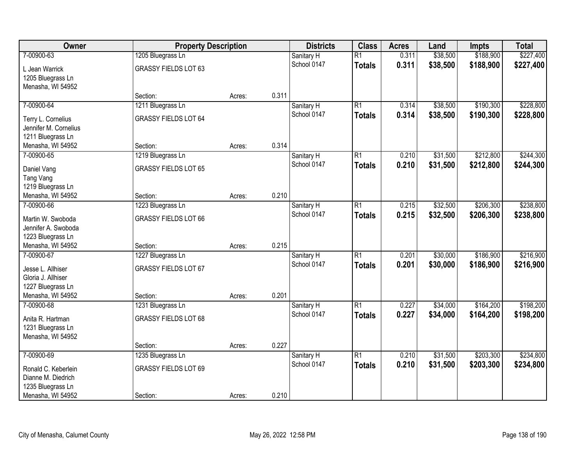| Owner                 | <b>Property Description</b> |        |       | <b>Districts</b> | <b>Class</b>    | <b>Acres</b> | Land     | <b>Impts</b> | <b>Total</b> |
|-----------------------|-----------------------------|--------|-------|------------------|-----------------|--------------|----------|--------------|--------------|
| 7-00900-63            | 1205 Bluegrass Ln           |        |       | Sanitary H       | $\overline{R1}$ | 0.311        | \$38,500 | \$188,900    | \$227,400    |
| L Jean Warrick        | <b>GRASSY FIELDS LOT 63</b> |        |       | School 0147      | <b>Totals</b>   | 0.311        | \$38,500 | \$188,900    | \$227,400    |
| 1205 Bluegrass Ln     |                             |        |       |                  |                 |              |          |              |              |
| Menasha, WI 54952     |                             |        |       |                  |                 |              |          |              |              |
|                       | Section:                    | Acres: | 0.311 |                  |                 |              |          |              |              |
| 7-00900-64            | 1211 Bluegrass Ln           |        |       | Sanitary H       | $\overline{R1}$ | 0.314        | \$38,500 | \$190,300    | \$228,800    |
| Terry L. Cornelius    | <b>GRASSY FIELDS LOT 64</b> |        |       | School 0147      | <b>Totals</b>   | 0.314        | \$38,500 | \$190,300    | \$228,800    |
| Jennifer M. Cornelius |                             |        |       |                  |                 |              |          |              |              |
| 1211 Bluegrass Ln     |                             |        |       |                  |                 |              |          |              |              |
| Menasha, WI 54952     | Section:                    | Acres: | 0.314 |                  |                 |              |          |              |              |
| 7-00900-65            | 1219 Bluegrass Ln           |        |       | Sanitary H       | $\overline{R1}$ | 0.210        | \$31,500 | \$212,800    | \$244,300    |
| Daniel Vang           | <b>GRASSY FIELDS LOT 65</b> |        |       | School 0147      | <b>Totals</b>   | 0.210        | \$31,500 | \$212,800    | \$244,300    |
| Tang Vang             |                             |        |       |                  |                 |              |          |              |              |
| 1219 Bluegrass Ln     |                             |        |       |                  |                 |              |          |              |              |
| Menasha, WI 54952     | Section:                    | Acres: | 0.210 |                  |                 |              |          |              |              |
| 7-00900-66            | 1223 Bluegrass Ln           |        |       | Sanitary H       | $\overline{R1}$ | 0.215        | \$32,500 | \$206,300    | \$238,800    |
| Martin W. Swoboda     | <b>GRASSY FIELDS LOT 66</b> |        |       | School 0147      | <b>Totals</b>   | 0.215        | \$32,500 | \$206,300    | \$238,800    |
| Jennifer A. Swoboda   |                             |        |       |                  |                 |              |          |              |              |
| 1223 Bluegrass Ln     |                             |        |       |                  |                 |              |          |              |              |
| Menasha, WI 54952     | Section:                    | Acres: | 0.215 |                  |                 |              |          |              |              |
| 7-00900-67            | 1227 Bluegrass Ln           |        |       | Sanitary H       | $\overline{R1}$ | 0.201        | \$30,000 | \$186,900    | \$216,900    |
| Jesse L. Allhiser     | <b>GRASSY FIELDS LOT 67</b> |        |       | School 0147      | <b>Totals</b>   | 0.201        | \$30,000 | \$186,900    | \$216,900    |
| Gloria J. Allhiser    |                             |        |       |                  |                 |              |          |              |              |
| 1227 Bluegrass Ln     |                             |        |       |                  |                 |              |          |              |              |
| Menasha, WI 54952     | Section:                    | Acres: | 0.201 |                  |                 |              |          |              |              |
| 7-00900-68            | 1231 Bluegrass Ln           |        |       | Sanitary H       | $\overline{R1}$ | 0.227        | \$34,000 | \$164,200    | \$198,200    |
| Anita R. Hartman      | <b>GRASSY FIELDS LOT 68</b> |        |       | School 0147      | <b>Totals</b>   | 0.227        | \$34,000 | \$164,200    | \$198,200    |
| 1231 Bluegrass Ln     |                             |        |       |                  |                 |              |          |              |              |
| Menasha, WI 54952     |                             |        |       |                  |                 |              |          |              |              |
|                       | Section:                    | Acres: | 0.227 |                  |                 |              |          |              |              |
| 7-00900-69            | 1235 Bluegrass Ln           |        |       | Sanitary H       | $\overline{R1}$ | 0.210        | \$31,500 | \$203,300    | \$234,800    |
| Ronald C. Keberlein   | <b>GRASSY FIELDS LOT 69</b> |        |       | School 0147      | <b>Totals</b>   | 0.210        | \$31,500 | \$203,300    | \$234,800    |
| Dianne M. Diedrich    |                             |        |       |                  |                 |              |          |              |              |
| 1235 Bluegrass Ln     |                             |        |       |                  |                 |              |          |              |              |
| Menasha, WI 54952     | Section:                    | Acres: | 0.210 |                  |                 |              |          |              |              |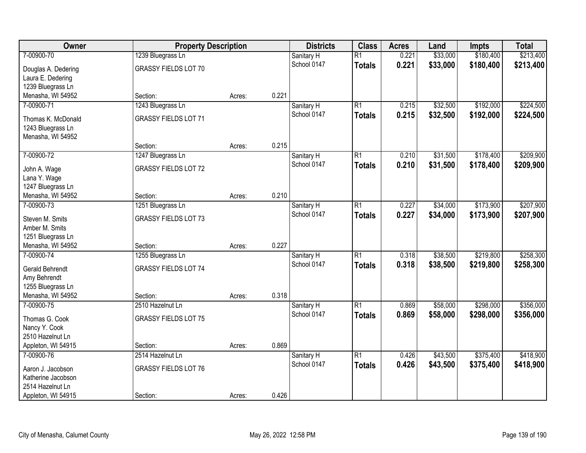| Owner                             | <b>Property Description</b> |        |       | <b>Districts</b>          | <b>Class</b>    | <b>Acres</b> | Land     | <b>Impts</b> | <b>Total</b> |
|-----------------------------------|-----------------------------|--------|-------|---------------------------|-----------------|--------------|----------|--------------|--------------|
| 7-00900-70                        | 1239 Bluegrass Ln           |        |       | Sanitary H                | $\overline{R1}$ | 0.221        | \$33,000 | \$180,400    | \$213,400    |
| Douglas A. Dedering               | <b>GRASSY FIELDS LOT 70</b> |        |       | School 0147               | <b>Totals</b>   | 0.221        | \$33,000 | \$180,400    | \$213,400    |
| Laura E. Dedering                 |                             |        |       |                           |                 |              |          |              |              |
| 1239 Bluegrass Ln                 |                             |        |       |                           |                 |              |          |              |              |
| Menasha, WI 54952                 | Section:                    | Acres: | 0.221 |                           |                 |              |          |              |              |
| 7-00900-71                        | 1243 Bluegrass Ln           |        |       | Sanitary H                | $\overline{R1}$ | 0.215        | \$32,500 | \$192,000    | \$224,500    |
| Thomas K. McDonald                | <b>GRASSY FIELDS LOT 71</b> |        |       | School 0147               | <b>Totals</b>   | 0.215        | \$32,500 | \$192,000    | \$224,500    |
| 1243 Bluegrass Ln                 |                             |        |       |                           |                 |              |          |              |              |
| Menasha, WI 54952                 |                             |        |       |                           |                 |              |          |              |              |
|                                   | Section:                    | Acres: | 0.215 |                           |                 |              |          |              |              |
| 7-00900-72                        | 1247 Bluegrass Ln           |        |       | Sanitary H                | $\overline{R1}$ | 0.210        | \$31,500 | \$178,400    | \$209,900    |
| John A. Wage                      | <b>GRASSY FIELDS LOT 72</b> |        |       | School 0147               | <b>Totals</b>   | 0.210        | \$31,500 | \$178,400    | \$209,900    |
| Lana Y. Wage                      |                             |        |       |                           |                 |              |          |              |              |
| 1247 Bluegrass Ln                 |                             |        |       |                           |                 |              |          |              |              |
| Menasha, WI 54952                 | Section:                    | Acres: | 0.210 |                           |                 |              |          |              |              |
| 7-00900-73                        | 1251 Bluegrass Ln           |        |       | Sanitary H                | $\overline{R1}$ | 0.227        | \$34,000 | \$173,900    | \$207,900    |
| Steven M. Smits                   | <b>GRASSY FIELDS LOT 73</b> |        |       | School 0147               | <b>Totals</b>   | 0.227        | \$34,000 | \$173,900    | \$207,900    |
| Amber M. Smits                    |                             |        |       |                           |                 |              |          |              |              |
| 1251 Bluegrass Ln                 |                             |        |       |                           |                 |              |          |              |              |
| Menasha, WI 54952                 | Section:                    | Acres: | 0.227 |                           |                 |              |          |              |              |
| 7-00900-74                        | 1255 Bluegrass Ln           |        |       | Sanitary H                | $\overline{R1}$ | 0.318        | \$38,500 | \$219,800    | \$258,300    |
|                                   |                             |        |       | School 0147               | <b>Totals</b>   | 0.318        | \$38,500 | \$219,800    | \$258,300    |
| Gerald Behrendt                   | <b>GRASSY FIELDS LOT 74</b> |        |       |                           |                 |              |          |              |              |
| Amy Behrendt<br>1255 Bluegrass Ln |                             |        |       |                           |                 |              |          |              |              |
| Menasha, WI 54952                 | Section:                    | Acres: | 0.318 |                           |                 |              |          |              |              |
| 7-00900-75                        | 2510 Hazelnut Ln            |        |       | Sanitary H                | $\overline{R1}$ | 0.869        | \$58,000 | \$298,000    | \$356,000    |
|                                   |                             |        |       | School 0147               | <b>Totals</b>   | 0.869        | \$58,000 | \$298,000    | \$356,000    |
| Thomas G. Cook                    | <b>GRASSY FIELDS LOT 75</b> |        |       |                           |                 |              |          |              |              |
| Nancy Y. Cook                     |                             |        |       |                           |                 |              |          |              |              |
| 2510 Hazelnut Ln                  | Section:                    |        | 0.869 |                           |                 |              |          |              |              |
| Appleton, WI 54915<br>7-00900-76  | 2514 Hazelnut Ln            | Acres: |       |                           | $\overline{R1}$ | 0.426        | \$43,500 | \$375,400    | \$418,900    |
|                                   |                             |        |       | Sanitary H<br>School 0147 |                 | 0.426        | \$43,500 | \$375,400    | \$418,900    |
| Aaron J. Jacobson                 | <b>GRASSY FIELDS LOT 76</b> |        |       |                           | <b>Totals</b>   |              |          |              |              |
| Katherine Jacobson                |                             |        |       |                           |                 |              |          |              |              |
| 2514 Hazelnut Ln                  |                             |        |       |                           |                 |              |          |              |              |
| Appleton, WI 54915                | Section:                    | Acres: | 0.426 |                           |                 |              |          |              |              |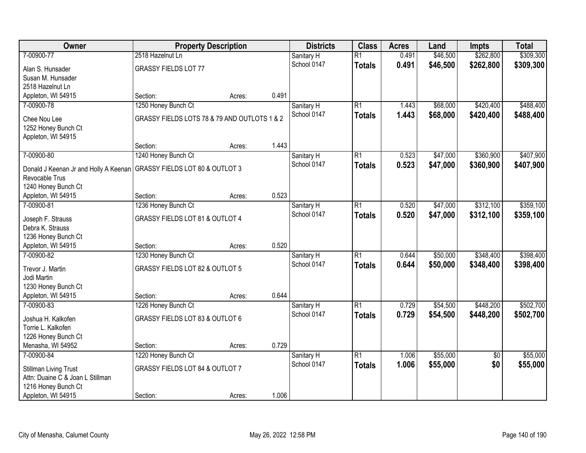| Owner                                                                                     | <b>Property Description</b>                  |        |       | <b>Districts</b> | <b>Class</b>    | <b>Acres</b> | Land     | <b>Impts</b>    | <b>Total</b> |
|-------------------------------------------------------------------------------------------|----------------------------------------------|--------|-------|------------------|-----------------|--------------|----------|-----------------|--------------|
| 7-00900-77                                                                                | 2518 Hazelnut Ln                             |        |       | Sanitary H       | $\overline{R1}$ | 0.491        | \$46,500 | \$262,800       | \$309,300    |
| Alan S. Hunsader                                                                          | <b>GRASSY FIELDS LOT 77</b>                  |        |       | School 0147      | <b>Totals</b>   | 0.491        | \$46,500 | \$262,800       | \$309,300    |
| Susan M. Hunsader                                                                         |                                              |        |       |                  |                 |              |          |                 |              |
| 2518 Hazelnut Ln                                                                          |                                              |        |       |                  |                 |              |          |                 |              |
| Appleton, WI 54915                                                                        | Section:                                     | Acres: | 0.491 |                  |                 |              |          |                 |              |
| 7-00900-78                                                                                | 1250 Honey Bunch Ct                          |        |       | Sanitary H       | $\overline{R1}$ | 1.443        | \$68,000 | \$420,400       | \$488,400    |
| Chee Nou Lee                                                                              | GRASSY FIELDS LOTS 78 & 79 AND OUTLOTS 1 & 2 |        |       | School 0147      | <b>Totals</b>   | 1.443        | \$68,000 | \$420,400       | \$488,400    |
| 1252 Honey Bunch Ct                                                                       |                                              |        |       |                  |                 |              |          |                 |              |
| Appleton, WI 54915                                                                        |                                              |        |       |                  |                 |              |          |                 |              |
|                                                                                           | Section:                                     | Acres: | 1.443 |                  |                 |              |          |                 |              |
| 7-00900-80                                                                                | 1240 Honey Bunch Ct                          |        |       | Sanitary H       | $\overline{R1}$ | 0.523        | \$47,000 | \$360,900       | \$407,900    |
|                                                                                           |                                              |        |       | School 0147      | <b>Totals</b>   | 0.523        | \$47,000 | \$360,900       | \$407,900    |
| Donald J Keenan Jr and Holly A Keenan   GRASSY FIELDS LOT 80 & OUTLOT 3<br>Revocable Trus |                                              |        |       |                  |                 |              |          |                 |              |
| 1240 Honey Bunch Ct                                                                       |                                              |        |       |                  |                 |              |          |                 |              |
| Appleton, WI 54915                                                                        | Section:                                     | Acres: | 0.523 |                  |                 |              |          |                 |              |
| 7-00900-81                                                                                | 1236 Honey Bunch Ct                          |        |       | Sanitary H       | $\overline{R1}$ | 0.520        | \$47,000 | \$312,100       | \$359,100    |
|                                                                                           |                                              |        |       | School 0147      | <b>Totals</b>   | 0.520        | \$47,000 | \$312,100       | \$359,100    |
| Joseph F. Strauss                                                                         | GRASSY FIELDS LOT 81 & OUTLOT 4              |        |       |                  |                 |              |          |                 |              |
| Debra K. Strauss                                                                          |                                              |        |       |                  |                 |              |          |                 |              |
| 1236 Honey Bunch Ct<br>Appleton, WI 54915                                                 | Section:                                     | Acres: | 0.520 |                  |                 |              |          |                 |              |
| 7-00900-82                                                                                | 1230 Honey Bunch Ct                          |        |       | Sanitary H       | $\overline{R1}$ | 0.644        | \$50,000 | \$348,400       | \$398,400    |
|                                                                                           |                                              |        |       | School 0147      | <b>Totals</b>   | 0.644        | \$50,000 | \$348,400       | \$398,400    |
| Trevor J. Martin                                                                          | GRASSY FIELDS LOT 82 & OUTLOT 5              |        |       |                  |                 |              |          |                 |              |
| Jodi Martin                                                                               |                                              |        |       |                  |                 |              |          |                 |              |
| 1230 Honey Bunch Ct                                                                       |                                              |        |       |                  |                 |              |          |                 |              |
| Appleton, WI 54915                                                                        | Section:                                     | Acres: | 0.644 |                  |                 |              |          |                 |              |
| 7-00900-83                                                                                | 1226 Honey Bunch Ct                          |        |       | Sanitary H       | $\overline{R1}$ | 0.729        | \$54,500 | \$448,200       | \$502,700    |
| Joshua H. Kalkofen                                                                        | GRASSY FIELDS LOT 83 & OUTLOT 6              |        |       | School 0147      | <b>Totals</b>   | 0.729        | \$54,500 | \$448,200       | \$502,700    |
| Torrie L. Kalkofen                                                                        |                                              |        |       |                  |                 |              |          |                 |              |
| 1226 Honey Bunch Ct                                                                       |                                              |        |       |                  |                 |              |          |                 |              |
| Menasha, WI 54952                                                                         | Section:                                     | Acres: | 0.729 |                  |                 |              |          |                 |              |
| 7-00900-84                                                                                | 1220 Honey Bunch Ct                          |        |       | Sanitary H       | $\overline{R1}$ | 1.006        | \$55,000 | $\overline{50}$ | \$55,000     |
| <b>Stillman Living Trust</b>                                                              | <b>GRASSY FIELDS LOT 84 &amp; OUTLOT 7</b>   |        |       | School 0147      | <b>Totals</b>   | 1.006        | \$55,000 | \$0             | \$55,000     |
| Attn: Duaine C & Joan L Stillman                                                          |                                              |        |       |                  |                 |              |          |                 |              |
| 1216 Honey Bunch Ct                                                                       |                                              |        |       |                  |                 |              |          |                 |              |
| Appleton, WI 54915                                                                        | Section:                                     | Acres: | 1.006 |                  |                 |              |          |                 |              |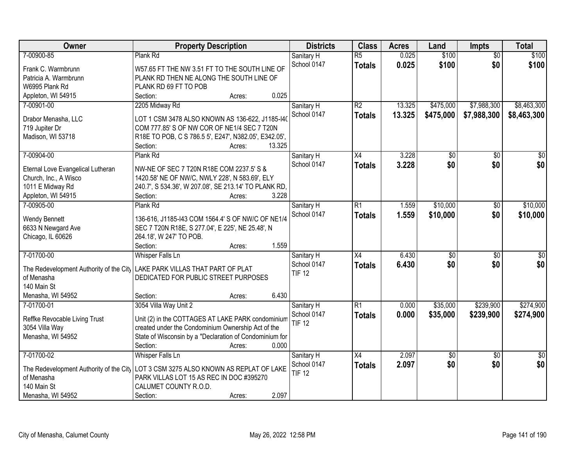| Owner                                   | <b>Property Description</b>                                                           | <b>Districts</b> | <b>Class</b>    | <b>Acres</b> | Land            | <b>Impts</b>    | <b>Total</b>    |
|-----------------------------------------|---------------------------------------------------------------------------------------|------------------|-----------------|--------------|-----------------|-----------------|-----------------|
| 7-00900-85                              | Plank Rd                                                                              | Sanitary H       | $\overline{R5}$ | 0.025        | \$100           | $\overline{50}$ | \$100           |
| Frank C. Warmbrunn                      | W57.65 FT THE NW 3.51 FT TO THE SOUTH LINE OF                                         | School 0147      | <b>Totals</b>   | 0.025        | \$100           | \$0             | \$100           |
| Patricia A. Warmbrunn                   | PLANK RD THEN NE ALONG THE SOUTH LINE OF                                              |                  |                 |              |                 |                 |                 |
| W6995 Plank Rd                          | PLANK RD 69 FT TO POB                                                                 |                  |                 |              |                 |                 |                 |
| Appleton, WI 54915                      | 0.025<br>Section:<br>Acres:                                                           |                  |                 |              |                 |                 |                 |
| 7-00901-00                              | 2205 Midway Rd                                                                        | Sanitary H       | $\overline{R2}$ | 13.325       | \$475,000       | \$7,988,300     | \$8,463,300     |
|                                         |                                                                                       | School 0147      | <b>Totals</b>   | 13.325       | \$475,000       | \$7,988,300     | \$8,463,300     |
| Drabor Menasha, LLC                     | LOT 1 CSM 3478 ALSO KNOWN AS 136-622, J1185-I4(                                       |                  |                 |              |                 |                 |                 |
| 719 Jupiter Dr                          | COM 777.85' S OF NW COR OF NE1/4 SEC 7 T20N                                           |                  |                 |              |                 |                 |                 |
| Madison, WI 53718                       | R18E TO POB, C S 786.5 5', E247', N382.05', E342.05',                                 |                  |                 |              |                 |                 |                 |
|                                         | 13.325<br>Section:<br>Acres:                                                          |                  |                 |              |                 |                 |                 |
| 7-00904-00                              | Plank Rd                                                                              | Sanitary H       | X4              | 3.228        | \$0             | \$0             | $\overline{50}$ |
| Eternal Love Evangelical Lutheran       | NW-NE OF SEC 7 T20N R18E COM 2237.5' S &                                              | School 0147      | <b>Totals</b>   | 3.228        | \$0             | \$0             | \$0             |
| Church, Inc., A Wisco                   | 1420.58' NE OF NW/C, NWLY 228', N 583.69', ELY                                        |                  |                 |              |                 |                 |                 |
| 1011 E Midway Rd                        | 240.7', S 534.36', W 207.08', SE 213.14' TO PLANK RD,                                 |                  |                 |              |                 |                 |                 |
| Appleton, WI 54915                      | 3.228<br>Section:<br>Acres:                                                           |                  |                 |              |                 |                 |                 |
| 7-00905-00                              | Plank Rd                                                                              | Sanitary H       | $\overline{R1}$ | 1.559        | \$10,000        | \$0             | \$10,000        |
|                                         |                                                                                       | School 0147      |                 |              |                 |                 |                 |
| Wendy Bennett                           | 136-616, J1185-I43 COM 1564.4' S OF NW/C OF NE1/4                                     |                  | <b>Totals</b>   | 1.559        | \$10,000        | \$0             | \$10,000        |
| 6633 N Newgard Ave                      | SEC 7 T20N R18E, S 277.04', E 225', NE 25.48', N                                      |                  |                 |              |                 |                 |                 |
| Chicago, IL 60626                       | 264.18', W 247' TO POB.                                                               |                  |                 |              |                 |                 |                 |
|                                         | 1.559<br>Section:<br>Acres:                                                           |                  |                 |              |                 |                 |                 |
| 7-01700-00                              | <b>Whisper Falls Ln</b>                                                               | Sanitary H       | $\overline{X4}$ | 6.430        | \$0             | $\overline{30}$ | \$0             |
|                                         |                                                                                       | School 0147      | <b>Totals</b>   | 6.430        | \$0             | \$0             | \$0             |
| The Redevelopment Authority of the City | LAKE PARK VILLAS THAT PART OF PLAT                                                    | <b>TIF 12</b>    |                 |              |                 |                 |                 |
| of Menasha                              | DEDICATED FOR PUBLIC STREET PURPOSES                                                  |                  |                 |              |                 |                 |                 |
| 140 Main St                             | 6.430                                                                                 |                  |                 |              |                 |                 |                 |
| Menasha, WI 54952                       | Section:<br>Acres:                                                                    |                  |                 |              |                 |                 |                 |
| 7-01700-01                              | 3054 Villa Way Unit 2                                                                 | Sanitary H       | R1              | 0.000        | \$35,000        | \$239,900       | \$274,900       |
| Reffke Revocable Living Trust           | Unit (2) in the COTTAGES AT LAKE PARK condominium                                     | School 0147      | <b>Totals</b>   | 0.000        | \$35,000        | \$239,900       | \$274,900       |
| 3054 Villa Way                          | created under the Condominium Ownership Act of the                                    | <b>TIF 12</b>    |                 |              |                 |                 |                 |
| Menasha, WI 54952                       | State of Wisconsin by a "Declaration of Condominium for                               |                  |                 |              |                 |                 |                 |
|                                         | 0.000<br>Section:<br>Acres:                                                           |                  |                 |              |                 |                 |                 |
| 7-01700-02                              | <b>Whisper Falls Ln</b>                                                               | Sanitary H       | X4              | 2.097        | $\overline{50}$ | $\overline{50}$ | $\overline{50}$ |
|                                         |                                                                                       | School 0147      | <b>Totals</b>   | 2.097        | \$0             | \$0             | \$0             |
|                                         | The Redevelopment Authority of the City   LOT 3 CSM 3275 ALSO KNOWN AS REPLAT OF LAKE | <b>TIF 12</b>    |                 |              |                 |                 |                 |
| of Menasha                              | PARK VILLAS LOT 15 AS REC IN DOC #395270                                              |                  |                 |              |                 |                 |                 |
| 140 Main St                             | CALUMET COUNTY R.O.D.                                                                 |                  |                 |              |                 |                 |                 |
| Menasha, WI 54952                       | 2.097<br>Section:<br>Acres:                                                           |                  |                 |              |                 |                 |                 |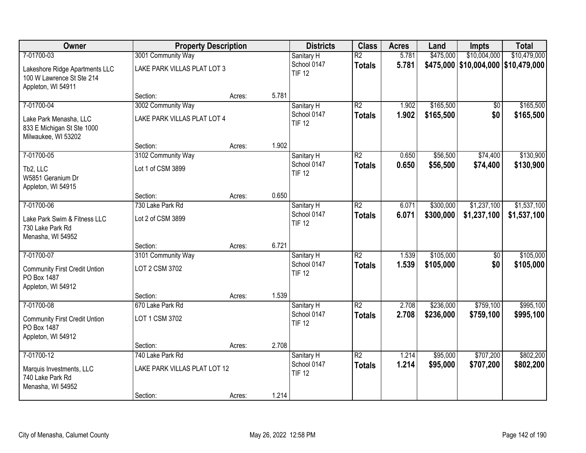| Owner                                                                             | <b>Property Description</b>  |        |       | <b>Districts</b>             | <b>Class</b>    | <b>Acres</b> | Land      | <b>Impts</b>                        | <b>Total</b> |
|-----------------------------------------------------------------------------------|------------------------------|--------|-------|------------------------------|-----------------|--------------|-----------|-------------------------------------|--------------|
| 7-01700-03                                                                        | 3001 Community Way           |        |       | Sanitary H                   | $\overline{R2}$ | 5.781        | \$475,000 | \$10,004,000                        | \$10,479,000 |
| Lakeshore Ridge Apartments LLC<br>100 W Lawrence St Ste 214<br>Appleton, WI 54911 | LAKE PARK VILLAS PLAT LOT 3  |        |       | School 0147<br><b>TIF 12</b> | <b>Totals</b>   | 5.781        |           | \$475,000 \$10,004,000 \$10,479,000 |              |
|                                                                                   | Section:                     | Acres: | 5.781 |                              |                 |              |           |                                     |              |
| 7-01700-04                                                                        | 3002 Community Way           |        |       | Sanitary H                   | $\overline{R2}$ | 1.902        | \$165,500 | \$0                                 | \$165,500    |
| Lake Park Menasha, LLC<br>833 E Michigan St Ste 1000<br>Milwaukee, WI 53202       | LAKE PARK VILLAS PLAT LOT 4  |        |       | School 0147<br><b>TIF 12</b> | <b>Totals</b>   | 1.902        | \$165,500 | \$0                                 | \$165,500    |
|                                                                                   | Section:                     | Acres: | 1.902 |                              |                 |              |           |                                     |              |
| 7-01700-05                                                                        | 3102 Community Way           |        |       | Sanitary H                   | $\overline{R2}$ | 0.650        | \$56,500  | \$74,400                            | \$130,900    |
| Tb2, LLC<br>W5851 Geranium Dr<br>Appleton, WI 54915                               | Lot 1 of CSM 3899            |        |       | School 0147<br><b>TIF 12</b> | <b>Totals</b>   | 0.650        | \$56,500  | \$74,400                            | \$130,900    |
|                                                                                   | Section:                     | Acres: | 0.650 |                              |                 |              |           |                                     |              |
| 7-01700-06                                                                        | 730 Lake Park Rd             |        |       | Sanitary H                   | $\overline{R2}$ | 6.071        | \$300,000 | \$1,237,100                         | \$1,537,100  |
| Lake Park Swim & Fitness LLC<br>730 Lake Park Rd<br>Menasha, WI 54952             | Lot 2 of CSM 3899            |        |       | School 0147<br><b>TIF 12</b> | <b>Totals</b>   | 6.071        | \$300,000 | \$1,237,100                         | \$1,537,100  |
|                                                                                   | Section:                     | Acres: | 6.721 |                              |                 |              |           |                                     |              |
| 7-01700-07                                                                        | 3101 Community Way           |        |       | Sanitary H                   | $\overline{R2}$ | 1.539        | \$105,000 | $\overline{50}$                     | \$105,000    |
| <b>Community First Credit Untion</b><br>PO Box 1487                               | LOT 2 CSM 3702               |        |       | School 0147<br><b>TIF 12</b> | <b>Totals</b>   | 1.539        | \$105,000 | \$0                                 | \$105,000    |
| Appleton, WI 54912                                                                | Section:                     | Acres: | 1.539 |                              |                 |              |           |                                     |              |
| 7-01700-08                                                                        | 670 Lake Park Rd             |        |       | Sanitary H                   | $\overline{R2}$ | 2.708        | \$236,000 | \$759,100                           | \$995,100    |
| <b>Community First Credit Untion</b><br>PO Box 1487                               | LOT 1 CSM 3702               |        |       | School 0147<br><b>TIF 12</b> | <b>Totals</b>   | 2.708        | \$236,000 | \$759,100                           | \$995,100    |
| Appleton, WI 54912                                                                | Section:                     | Acres: | 2.708 |                              |                 |              |           |                                     |              |
| 7-01700-12                                                                        | 740 Lake Park Rd             |        |       | Sanitary H                   | $\overline{R2}$ | 1.214        | \$95,000  | \$707,200                           | \$802,200    |
| Marquis Investments, LLC<br>740 Lake Park Rd<br>Menasha, WI 54952                 | LAKE PARK VILLAS PLAT LOT 12 |        |       | School 0147<br><b>TIF 12</b> | <b>Totals</b>   | 1.214        | \$95,000  | \$707,200                           | \$802,200    |
|                                                                                   | Section:                     | Acres: | 1.214 |                              |                 |              |           |                                     |              |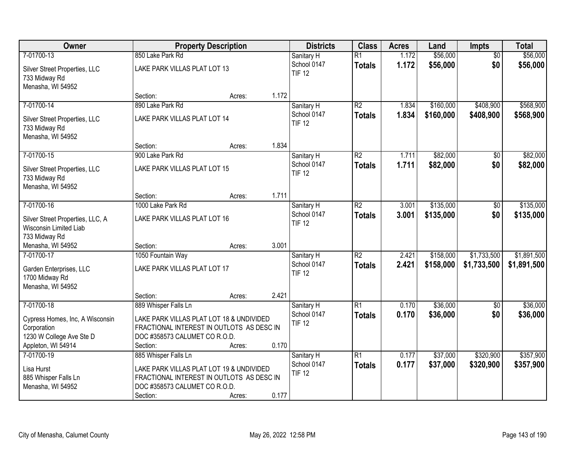| Owner                                                                                            |                                                                                                                                    | <b>Property Description</b> |       | <b>Districts</b>             | <b>Class</b>    | <b>Acres</b> | Land      | <b>Impts</b>    | <b>Total</b> |
|--------------------------------------------------------------------------------------------------|------------------------------------------------------------------------------------------------------------------------------------|-----------------------------|-------|------------------------------|-----------------|--------------|-----------|-----------------|--------------|
| 7-01700-13                                                                                       | 850 Lake Park Rd                                                                                                                   |                             |       | Sanitary H                   | $\overline{R1}$ | 1.172        | \$56,000  | $\overline{50}$ | \$56,000     |
| Silver Street Properties, LLC<br>733 Midway Rd<br>Menasha, WI 54952                              | LAKE PARK VILLAS PLAT LOT 13                                                                                                       |                             |       | School 0147<br><b>TIF 12</b> | <b>Totals</b>   | 1.172        | \$56,000  | \$0             | \$56,000     |
|                                                                                                  | Section:                                                                                                                           | Acres:                      | 1.172 |                              |                 |              |           |                 |              |
| 7-01700-14                                                                                       | 890 Lake Park Rd                                                                                                                   |                             |       | Sanitary H                   | R2              | 1.834        | \$160,000 | \$408,900       | \$568,900    |
| Silver Street Properties, LLC<br>733 Midway Rd<br>Menasha, WI 54952                              | LAKE PARK VILLAS PLAT LOT 14                                                                                                       |                             |       | School 0147<br><b>TIF 12</b> | Totals          | 1.834        | \$160,000 | \$408,900       | \$568,900    |
|                                                                                                  | Section:                                                                                                                           | Acres:                      | 1.834 |                              |                 |              |           |                 |              |
| 7-01700-15                                                                                       | 900 Lake Park Rd                                                                                                                   |                             |       | Sanitary H                   | $\overline{R2}$ | 1.711        | \$82,000  | \$0             | \$82,000     |
| Silver Street Properties, LLC<br>733 Midway Rd<br>Menasha, WI 54952                              | LAKE PARK VILLAS PLAT LOT 15                                                                                                       |                             |       | School 0147<br><b>TIF 12</b> | <b>Totals</b>   | 1.711        | \$82,000  | \$0             | \$82,000     |
|                                                                                                  | Section:                                                                                                                           | Acres:                      | 1.711 |                              |                 |              |           |                 |              |
| 7-01700-16                                                                                       | 1000 Lake Park Rd                                                                                                                  |                             |       | Sanitary H                   | $\overline{R2}$ | 3.001        | \$135,000 | \$0             | \$135,000    |
| Silver Street Properties, LLC, A<br>Wisconsin Limited Liab<br>733 Midway Rd                      | LAKE PARK VILLAS PLAT LOT 16                                                                                                       |                             |       | School 0147<br><b>TIF 12</b> | Totals          | 3.001        | \$135,000 | \$0             | \$135,000    |
| Menasha, WI 54952                                                                                | Section:                                                                                                                           | Acres:                      | 3.001 |                              |                 |              |           |                 |              |
| 7-01700-17                                                                                       | 1050 Fountain Way                                                                                                                  |                             |       | Sanitary H                   | $\overline{R2}$ | 2.421        | \$158,000 | \$1,733,500     | \$1,891,500  |
| Garden Enterprises, LLC<br>1700 Midway Rd<br>Menasha, WI 54952                                   | LAKE PARK VILLAS PLAT LOT 17                                                                                                       |                             |       | School 0147<br><b>TIF 12</b> | <b>Totals</b>   | 2.421        | \$158,000 | \$1,733,500     | \$1,891,500  |
|                                                                                                  | Section:                                                                                                                           | Acres:                      | 2.421 |                              |                 |              |           |                 |              |
| 7-01700-18                                                                                       | 889 Whisper Falls Ln                                                                                                               |                             |       | Sanitary H                   | R1              | 0.170        | \$36,000  | \$0             | \$36,000     |
| Cypress Homes, Inc, A Wisconsin<br>Corporation<br>1230 W College Ave Ste D<br>Appleton, WI 54914 | LAKE PARK VILLAS PLAT LOT 18 & UNDIVIDED<br>FRACTIONAL INTEREST IN OUTLOTS AS DESC IN<br>DOC #358573 CALUMET CO R.O.D.<br>Section: | Acres:                      | 0.170 | School 0147<br><b>TIF 12</b> | <b>Totals</b>   | 0.170        | \$36,000  | \$0             | \$36,000     |
| 7-01700-19                                                                                       | 885 Whisper Falls Ln                                                                                                               |                             |       | Sanitary H                   | R1              | 0.177        | \$37,000  | \$320,900       | \$357,900    |
| Lisa Hurst<br>885 Whisper Falls Ln<br>Menasha, WI 54952                                          | LAKE PARK VILLAS PLAT LOT 19 & UNDIVIDED<br>FRACTIONAL INTEREST IN OUTLOTS AS DESC IN<br>DOC #358573 CALUMET CO R.O.D.<br>Section: | Acres:                      | 0.177 | School 0147<br><b>TIF 12</b> | <b>Totals</b>   | 0.177        | \$37,000  | \$320,900       | \$357,900    |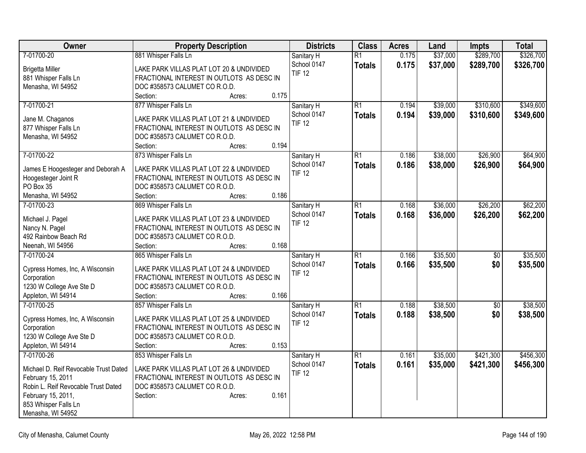| Owner                                          | <b>Property Description</b>                                                           | <b>Districts</b> | <b>Class</b>    | <b>Acres</b> | Land     | Impts           | <b>Total</b> |
|------------------------------------------------|---------------------------------------------------------------------------------------|------------------|-----------------|--------------|----------|-----------------|--------------|
| 7-01700-20                                     | 881 Whisper Falls Ln                                                                  | Sanitary H       | R1              | 0.175        | \$37,000 | \$289,700       | \$326,700    |
| <b>Brigetta Miller</b>                         | LAKE PARK VILLAS PLAT LOT 20 & UNDIVIDED                                              | School 0147      | <b>Totals</b>   | 0.175        | \$37,000 | \$289,700       | \$326,700    |
| 881 Whisper Falls Ln                           | FRACTIONAL INTEREST IN OUTLOTS AS DESC IN                                             | <b>TIF 12</b>    |                 |              |          |                 |              |
| Menasha, WI 54952                              | DOC #358573 CALUMET CO R.O.D.                                                         |                  |                 |              |          |                 |              |
|                                                | 0.175<br>Section:<br>Acres:                                                           |                  |                 |              |          |                 |              |
| 7-01700-21                                     | 877 Whisper Falls Ln                                                                  | Sanitary H       | R1              | 0.194        | \$39,000 | \$310,600       | \$349,600    |
| Jane M. Chaganos                               | LAKE PARK VILLAS PLAT LOT 21 & UNDIVIDED                                              | School 0147      | <b>Totals</b>   | 0.194        | \$39,000 | \$310,600       | \$349,600    |
| 877 Whisper Falls Ln                           | FRACTIONAL INTEREST IN OUTLOTS AS DESC IN                                             | <b>TIF 12</b>    |                 |              |          |                 |              |
| Menasha, WI 54952                              | DOC #358573 CALUMET CO R.O.D.                                                         |                  |                 |              |          |                 |              |
|                                                | 0.194<br>Section:<br>Acres:                                                           |                  |                 |              |          |                 |              |
| 7-01700-22                                     | 873 Whisper Falls Ln                                                                  | Sanitary H       | R1              | 0.186        | \$38,000 | \$26,900        | \$64,900     |
|                                                |                                                                                       | School 0147      | <b>Totals</b>   | 0.186        | \$38,000 | \$26,900        | \$64,900     |
| James E Hoogesteger and Deborah A              | LAKE PARK VILLAS PLAT LOT 22 & UNDIVIDED                                              | <b>TIF 12</b>    |                 |              |          |                 |              |
| Hoogesteger Joint R<br>PO Box 35               | FRACTIONAL INTEREST IN OUTLOTS AS DESC IN<br>DOC #358573 CALUMET CO R.O.D.            |                  |                 |              |          |                 |              |
| Menasha, WI 54952                              | Section:<br>0.186<br>Acres:                                                           |                  |                 |              |          |                 |              |
| 7-01700-23                                     | 869 Whisper Falls Ln                                                                  | Sanitary H       | $\overline{R1}$ | 0.168        | \$36,000 | \$26,200        | \$62,200     |
|                                                |                                                                                       | School 0147      | Totals          | 0.168        | \$36,000 | \$26,200        | \$62,200     |
| Michael J. Pagel                               | LAKE PARK VILLAS PLAT LOT 23 & UNDIVIDED                                              | <b>TIF 12</b>    |                 |              |          |                 |              |
| Nancy N. Pagel                                 | FRACTIONAL INTEREST IN OUTLOTS AS DESC IN                                             |                  |                 |              |          |                 |              |
| 492 Rainbow Beach Rd                           | DOC #358573 CALUMET CO R.O.D.                                                         |                  |                 |              |          |                 |              |
| Neenah, WI 54956                               | 0.168<br>Section:<br>Acres:                                                           |                  |                 |              |          |                 |              |
| 7-01700-24                                     | 865 Whisper Falls Ln                                                                  | Sanitary H       | $\overline{R1}$ | 0.166        | \$35,500 | $\overline{30}$ | \$35,500     |
| Cypress Homes, Inc, A Wisconsin                | LAKE PARK VILLAS PLAT LOT 24 & UNDIVIDED                                              | School 0147      | <b>Totals</b>   | 0.166        | \$35,500 | \$0             | \$35,500     |
| Corporation                                    | FRACTIONAL INTEREST IN OUTLOTS AS DESC IN                                             | <b>TIF 12</b>    |                 |              |          |                 |              |
| 1230 W College Ave Ste D                       | DOC #358573 CALUMET CO R.O.D.                                                         |                  |                 |              |          |                 |              |
| Appleton, WI 54914                             | Section:<br>0.166<br>Acres:                                                           |                  |                 |              |          |                 |              |
| 7-01700-25                                     | 857 Whisper Falls Ln                                                                  | Sanitary H       | $\overline{R1}$ | 0.188        | \$38,500 | $\overline{30}$ | \$38,500     |
|                                                |                                                                                       | School 0147      | <b>Totals</b>   | 0.188        | \$38,500 | \$0             | \$38,500     |
| Cypress Homes, Inc, A Wisconsin<br>Corporation | LAKE PARK VILLAS PLAT LOT 25 & UNDIVIDED<br>FRACTIONAL INTEREST IN OUTLOTS AS DESC IN | <b>TIF 12</b>    |                 |              |          |                 |              |
| 1230 W College Ave Ste D                       | DOC #358573 CALUMET CO R.O.D.                                                         |                  |                 |              |          |                 |              |
| Appleton, WI 54914                             | 0.153<br>Section:<br>Acres:                                                           |                  |                 |              |          |                 |              |
| 7-01700-26                                     | 853 Whisper Falls Ln                                                                  | Sanitary H       | R1              | 0.161        | \$35,000 | \$421,300       | \$456,300    |
|                                                |                                                                                       | School 0147      | <b>Totals</b>   | 0.161        | \$35,000 | \$421,300       | \$456,300    |
| Michael D. Reif Revocable Trust Dated          | LAKE PARK VILLAS PLAT LOT 26 & UNDIVIDED                                              | <b>TIF 12</b>    |                 |              |          |                 |              |
| February 15, 2011                              | FRACTIONAL INTEREST IN OUTLOTS AS DESC IN                                             |                  |                 |              |          |                 |              |
| Robin L. Reif Revocable Trust Dated            | DOC #358573 CALUMET CO R.O.D.                                                         |                  |                 |              |          |                 |              |
| February 15, 2011,                             | 0.161<br>Section:<br>Acres:                                                           |                  |                 |              |          |                 |              |
| 853 Whisper Falls Ln                           |                                                                                       |                  |                 |              |          |                 |              |
| Menasha, WI 54952                              |                                                                                       |                  |                 |              |          |                 |              |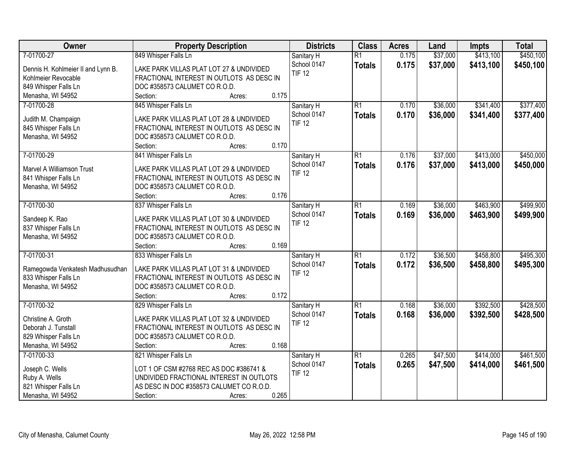| <b>Districts</b><br><b>Class</b><br>Owner<br><b>Property Description</b>                                       | <b>Acres</b> | Land     | <b>Impts</b> | <b>Total</b> |
|----------------------------------------------------------------------------------------------------------------|--------------|----------|--------------|--------------|
| 7-01700-27<br>849 Whisper Falls Ln<br>$\overline{R1}$<br>Sanitary H                                            | 0.175        | \$37,000 | \$413,100    | \$450,100    |
| School 0147<br><b>Totals</b><br>Dennis H. Kohlmeier II and Lynn B.<br>LAKE PARK VILLAS PLAT LOT 27 & UNDIVIDED | 0.175        | \$37,000 | \$413,100    | \$450,100    |
| <b>TIF 12</b><br>Kohlmeier Revocable<br>FRACTIONAL INTEREST IN OUTLOTS AS DESC IN                              |              |          |              |              |
| 849 Whisper Falls Ln<br>DOC #358573 CALUMET CO R.O.D.                                                          |              |          |              |              |
| 0.175<br>Menasha, WI 54952<br>Section:<br>Acres:                                                               |              |          |              |              |
| 7-01700-28<br>$\overline{R1}$<br>845 Whisper Falls Ln<br>Sanitary H                                            | 0.170        | \$36,000 | \$341,400    | \$377,400    |
| School 0147<br><b>Totals</b>                                                                                   | 0.170        | \$36,000 | \$341,400    | \$377,400    |
| Judith M. Champaign<br>LAKE PARK VILLAS PLAT LOT 28 & UNDIVIDED<br><b>TIF 12</b>                               |              |          |              |              |
| 845 Whisper Falls Ln<br>FRACTIONAL INTEREST IN OUTLOTS AS DESC IN                                              |              |          |              |              |
| Menasha, WI 54952<br>DOC #358573 CALUMET CO R.O.D.                                                             |              |          |              |              |
| 0.170<br>Section:<br>Acres:                                                                                    |              |          |              |              |
| 7-01700-29<br>841 Whisper Falls Ln<br>$\overline{R1}$<br>Sanitary H                                            | 0.176        | \$37,000 | \$413,000    | \$450,000    |
| School 0147<br><b>Totals</b><br>Marvel A Williamson Trust<br>LAKE PARK VILLAS PLAT LOT 29 & UNDIVIDED          | 0.176        | \$37,000 | \$413,000    | \$450,000    |
| <b>TIF 12</b><br>FRACTIONAL INTEREST IN OUTLOTS AS DESC IN<br>841 Whisper Falls Ln                             |              |          |              |              |
| DOC #358573 CALUMET CO R.O.D.<br>Menasha, WI 54952                                                             |              |          |              |              |
| 0.176<br>Section:<br>Acres:                                                                                    |              |          |              |              |
| 7-01700-30<br>837 Whisper Falls Ln<br>$\overline{R1}$<br>Sanitary H                                            | 0.169        | \$36,000 | \$463,900    | \$499,900    |
| School 0147<br><b>Totals</b>                                                                                   | 0.169        | \$36,000 | \$463,900    | \$499,900    |
| Sandeep K. Rao<br>LAKE PARK VILLAS PLAT LOT 30 & UNDIVIDED<br><b>TIF 12</b>                                    |              |          |              |              |
| FRACTIONAL INTEREST IN OUTLOTS AS DESC IN<br>837 Whisper Falls Ln                                              |              |          |              |              |
| Menasha, WI 54952<br>DOC #358573 CALUMET CO R.O.D.                                                             |              |          |              |              |
| 0.169<br>Section:<br>Acres:                                                                                    |              |          |              |              |
| 7-01700-31<br>$\overline{R1}$<br>833 Whisper Falls Ln<br>Sanitary H                                            | 0.172        | \$36,500 | \$458,800    | \$495,300    |
| School 0147<br><b>Totals</b><br>Ramegowda Venkatesh Madhusudhan<br>LAKE PARK VILLAS PLAT LOT 31 & UNDIVIDED    | 0.172        | \$36,500 | \$458,800    | \$495,300    |
| <b>TIF 12</b><br>833 Whisper Falls Ln<br>FRACTIONAL INTEREST IN OUTLOTS AS DESC IN                             |              |          |              |              |
| Menasha, WI 54952<br>DOC #358573 CALUMET CO R.O.D.                                                             |              |          |              |              |
| 0.172<br>Section:<br>Acres:                                                                                    |              |          |              |              |
| $\overline{R1}$<br>7-01700-32<br>829 Whisper Falls Ln<br>Sanitary H                                            | 0.168        | \$36,000 | \$392,500    | \$428,500    |
| School 0147<br><b>Totals</b>                                                                                   | 0.168        | \$36,000 | \$392,500    | \$428,500    |
| LAKE PARK VILLAS PLAT LOT 32 & UNDIVIDED<br>Christine A. Groth<br><b>TIF 12</b>                                |              |          |              |              |
| FRACTIONAL INTEREST IN OUTLOTS AS DESC IN<br>Deborah J. Tunstall                                               |              |          |              |              |
| 829 Whisper Falls Ln<br>DOC #358573 CALUMET CO R.O.D.                                                          |              |          |              |              |
| 0.168<br>Menasha, WI 54952<br>Section:<br>Acres:                                                               |              |          |              |              |
| 7-01700-33<br>821 Whisper Falls Ln<br>$\overline{R1}$<br>Sanitary H                                            | 0.265        | \$47,500 | \$414,000    | \$461,500    |
| School 0147<br><b>Totals</b><br>LOT 1 OF CSM #2768 REC AS DOC #386741 &<br>Joseph C. Wells                     | 0.265        | \$47,500 | \$414,000    | \$461,500    |
| <b>TIF 12</b><br>Ruby A. Wells<br>UNDIVIDED FRACTIONAL INTEREST IN OUTLOTS                                     |              |          |              |              |
| 821 Whisper Falls Ln<br>AS DESC IN DOC #358573 CALUMET CO R.O.D.                                               |              |          |              |              |
| 0.265<br>Menasha, WI 54952<br>Section:<br>Acres:                                                               |              |          |              |              |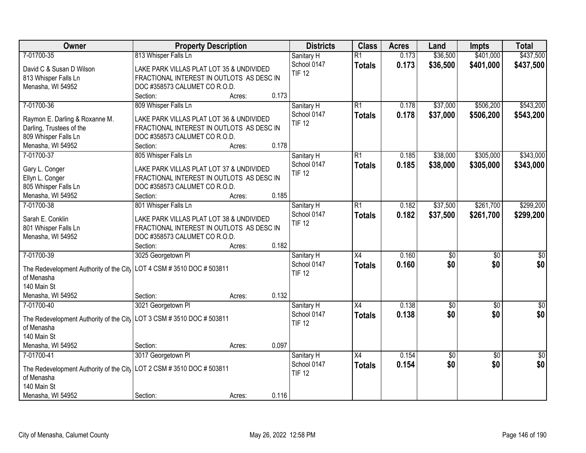| \$437,500<br>7-01700-35<br>813 Whisper Falls Ln<br>$\overline{R1}$<br>\$36,500<br>\$401,000<br>Sanitary H<br>0.173<br>School 0147<br>0.173<br>\$36,500<br>\$401,000<br>\$437,500<br><b>Totals</b><br>David C & Susan D Wilson<br>LAKE PARK VILLAS PLAT LOT 35 & UNDIVIDED<br><b>TIF 12</b><br>FRACTIONAL INTEREST IN OUTLOTS AS DESC IN<br>813 Whisper Falls Ln<br>Menasha, WI 54952<br>DOC #358573 CALUMET CO R.O.D.<br>0.173<br>Section:<br>Acres:<br>7-01700-36<br>$\overline{R1}$<br>\$37,000<br>\$506,200<br>809 Whisper Falls Ln<br>0.178<br>Sanitary H<br>0.178<br>School 0147<br>\$37,000<br>\$506,200<br><b>Totals</b><br>Raymon E. Darling & Roxanne M.<br>LAKE PARK VILLAS PLAT LOT 36 & UNDIVIDED<br><b>TIF 12</b><br>Darling, Trustees of the<br>FRACTIONAL INTEREST IN OUTLOTS AS DESC IN<br>809 Whisper Falls Ln<br>DOC #358573 CALUMET CO R.O.D.<br>0.178<br>Menasha, WI 54952<br>Section:<br>Acres:<br>7-01700-37<br>\$38,000<br>\$305,000<br>805 Whisper Falls Ln<br>$\overline{R1}$<br>0.185<br>Sanitary H<br>School 0147<br>\$38,000<br>0.185<br>\$305,000<br><b>Totals</b><br>Gary L. Conger<br>LAKE PARK VILLAS PLAT LOT 37 & UNDIVIDED<br><b>TIF 12</b><br>Ellyn L. Conger<br>FRACTIONAL INTEREST IN OUTLOTS AS DESC IN<br>805 Whisper Falls Ln<br>DOC #358573 CALUMET CO R.O.D.<br>0.185<br>Menasha, WI 54952<br>Section:<br>Acres:<br>801 Whisper Falls Ln<br>\$37,500<br>\$261,700<br>\$299,200<br>7-01700-38<br>$\overline{R1}$<br>0.182<br>Sanitary H<br>0.182<br>School 0147<br>\$261,700<br>\$37,500<br><b>Totals</b><br>Sarah E. Conklin<br>LAKE PARK VILLAS PLAT LOT 38 & UNDIVIDED<br><b>TIF 12</b><br>801 Whisper Falls Ln<br>FRACTIONAL INTEREST IN OUTLOTS AS DESC IN<br>Menasha, WI 54952<br>DOC #358573 CALUMET CO R.O.D.<br>0.182<br>Section:<br>Acres:<br>7-01700-39<br>3025 Georgetown PI<br>$\overline{X4}$<br>0.160<br>$\overline{50}$<br>$\overline{50}$<br>Sanitary H<br>0.160<br>\$0<br>School 0147<br>\$0<br><b>Totals</b><br>The Redevelopment Authority of the City   LOT 4 CSM # 3510 DOC # 503811<br><b>TIF 12</b><br>of Menasha<br>140 Main St<br>0.132<br>Menasha, WI 54952<br>Section:<br>Acres:<br>3021 Georgetown Pl<br>$\overline{X4}$<br>0.138<br>7-01700-40<br>$\overline{50}$<br>$\overline{50}$<br>Sanitary H<br>\$0<br>0.138<br>School 0147<br>\$0<br><b>Totals</b><br>The Redevelopment Authority of the City   LOT 3 CSM # 3510 DOC # 503811<br><b>TIF 12</b><br>of Menasha<br>140 Main St<br>Menasha, WI 54952<br>0.097<br>Section:<br>Acres:<br>3017 Georgetown PI<br>0.154<br>7-01700-41<br>$\overline{X4}$<br>$\sqrt{50}$<br>$\overline{50}$<br>$\overline{50}$<br>Sanitary H<br>\$0<br>\$0<br>School 0147<br>0.154<br><b>Totals</b><br>The Redevelopment Authority of the City   LOT 2 CSM # 3510 DOC # 503811<br><b>TIF 12</b><br>of Menasha | Owner       | <b>Property Description</b> | <b>Districts</b> | <b>Class</b> | <b>Acres</b> | Land | <b>Impts</b> | <b>Total</b> |
|--------------------------------------------------------------------------------------------------------------------------------------------------------------------------------------------------------------------------------------------------------------------------------------------------------------------------------------------------------------------------------------------------------------------------------------------------------------------------------------------------------------------------------------------------------------------------------------------------------------------------------------------------------------------------------------------------------------------------------------------------------------------------------------------------------------------------------------------------------------------------------------------------------------------------------------------------------------------------------------------------------------------------------------------------------------------------------------------------------------------------------------------------------------------------------------------------------------------------------------------------------------------------------------------------------------------------------------------------------------------------------------------------------------------------------------------------------------------------------------------------------------------------------------------------------------------------------------------------------------------------------------------------------------------------------------------------------------------------------------------------------------------------------------------------------------------------------------------------------------------------------------------------------------------------------------------------------------------------------------------------------------------------------------------------------------------------------------------------------------------------------------------------------------------------------------------------------------------------------------------------------------------------------------------------------------------------------------------------------------------------------------------------------------------------------------------------------------------------------------------------------------------------------------------------------------------------------------------------------------------------------------------------------------------------------------------------------------------------------------------------------------------------------------------------------------------|-------------|-----------------------------|------------------|--------------|--------------|------|--------------|--------------|
|                                                                                                                                                                                                                                                                                                                                                                                                                                                                                                                                                                                                                                                                                                                                                                                                                                                                                                                                                                                                                                                                                                                                                                                                                                                                                                                                                                                                                                                                                                                                                                                                                                                                                                                                                                                                                                                                                                                                                                                                                                                                                                                                                                                                                                                                                                                                                                                                                                                                                                                                                                                                                                                                                                                                                                                                                    |             |                             |                  |              |              |      |              |              |
|                                                                                                                                                                                                                                                                                                                                                                                                                                                                                                                                                                                                                                                                                                                                                                                                                                                                                                                                                                                                                                                                                                                                                                                                                                                                                                                                                                                                                                                                                                                                                                                                                                                                                                                                                                                                                                                                                                                                                                                                                                                                                                                                                                                                                                                                                                                                                                                                                                                                                                                                                                                                                                                                                                                                                                                                                    |             |                             |                  |              |              |      |              |              |
| \$543,200<br>\$543,200<br>\$343,000<br>\$343,000<br>\$299,200<br>$\overline{50}$<br>\$0<br>$\overline{50}$<br>\$0<br>\$0                                                                                                                                                                                                                                                                                                                                                                                                                                                                                                                                                                                                                                                                                                                                                                                                                                                                                                                                                                                                                                                                                                                                                                                                                                                                                                                                                                                                                                                                                                                                                                                                                                                                                                                                                                                                                                                                                                                                                                                                                                                                                                                                                                                                                                                                                                                                                                                                                                                                                                                                                                                                                                                                                           |             |                             |                  |              |              |      |              |              |
|                                                                                                                                                                                                                                                                                                                                                                                                                                                                                                                                                                                                                                                                                                                                                                                                                                                                                                                                                                                                                                                                                                                                                                                                                                                                                                                                                                                                                                                                                                                                                                                                                                                                                                                                                                                                                                                                                                                                                                                                                                                                                                                                                                                                                                                                                                                                                                                                                                                                                                                                                                                                                                                                                                                                                                                                                    |             |                             |                  |              |              |      |              |              |
|                                                                                                                                                                                                                                                                                                                                                                                                                                                                                                                                                                                                                                                                                                                                                                                                                                                                                                                                                                                                                                                                                                                                                                                                                                                                                                                                                                                                                                                                                                                                                                                                                                                                                                                                                                                                                                                                                                                                                                                                                                                                                                                                                                                                                                                                                                                                                                                                                                                                                                                                                                                                                                                                                                                                                                                                                    |             |                             |                  |              |              |      |              |              |
|                                                                                                                                                                                                                                                                                                                                                                                                                                                                                                                                                                                                                                                                                                                                                                                                                                                                                                                                                                                                                                                                                                                                                                                                                                                                                                                                                                                                                                                                                                                                                                                                                                                                                                                                                                                                                                                                                                                                                                                                                                                                                                                                                                                                                                                                                                                                                                                                                                                                                                                                                                                                                                                                                                                                                                                                                    |             |                             |                  |              |              |      |              |              |
|                                                                                                                                                                                                                                                                                                                                                                                                                                                                                                                                                                                                                                                                                                                                                                                                                                                                                                                                                                                                                                                                                                                                                                                                                                                                                                                                                                                                                                                                                                                                                                                                                                                                                                                                                                                                                                                                                                                                                                                                                                                                                                                                                                                                                                                                                                                                                                                                                                                                                                                                                                                                                                                                                                                                                                                                                    |             |                             |                  |              |              |      |              |              |
|                                                                                                                                                                                                                                                                                                                                                                                                                                                                                                                                                                                                                                                                                                                                                                                                                                                                                                                                                                                                                                                                                                                                                                                                                                                                                                                                                                                                                                                                                                                                                                                                                                                                                                                                                                                                                                                                                                                                                                                                                                                                                                                                                                                                                                                                                                                                                                                                                                                                                                                                                                                                                                                                                                                                                                                                                    |             |                             |                  |              |              |      |              |              |
|                                                                                                                                                                                                                                                                                                                                                                                                                                                                                                                                                                                                                                                                                                                                                                                                                                                                                                                                                                                                                                                                                                                                                                                                                                                                                                                                                                                                                                                                                                                                                                                                                                                                                                                                                                                                                                                                                                                                                                                                                                                                                                                                                                                                                                                                                                                                                                                                                                                                                                                                                                                                                                                                                                                                                                                                                    |             |                             |                  |              |              |      |              |              |
|                                                                                                                                                                                                                                                                                                                                                                                                                                                                                                                                                                                                                                                                                                                                                                                                                                                                                                                                                                                                                                                                                                                                                                                                                                                                                                                                                                                                                                                                                                                                                                                                                                                                                                                                                                                                                                                                                                                                                                                                                                                                                                                                                                                                                                                                                                                                                                                                                                                                                                                                                                                                                                                                                                                                                                                                                    |             |                             |                  |              |              |      |              |              |
|                                                                                                                                                                                                                                                                                                                                                                                                                                                                                                                                                                                                                                                                                                                                                                                                                                                                                                                                                                                                                                                                                                                                                                                                                                                                                                                                                                                                                                                                                                                                                                                                                                                                                                                                                                                                                                                                                                                                                                                                                                                                                                                                                                                                                                                                                                                                                                                                                                                                                                                                                                                                                                                                                                                                                                                                                    |             |                             |                  |              |              |      |              |              |
|                                                                                                                                                                                                                                                                                                                                                                                                                                                                                                                                                                                                                                                                                                                                                                                                                                                                                                                                                                                                                                                                                                                                                                                                                                                                                                                                                                                                                                                                                                                                                                                                                                                                                                                                                                                                                                                                                                                                                                                                                                                                                                                                                                                                                                                                                                                                                                                                                                                                                                                                                                                                                                                                                                                                                                                                                    |             |                             |                  |              |              |      |              |              |
|                                                                                                                                                                                                                                                                                                                                                                                                                                                                                                                                                                                                                                                                                                                                                                                                                                                                                                                                                                                                                                                                                                                                                                                                                                                                                                                                                                                                                                                                                                                                                                                                                                                                                                                                                                                                                                                                                                                                                                                                                                                                                                                                                                                                                                                                                                                                                                                                                                                                                                                                                                                                                                                                                                                                                                                                                    |             |                             |                  |              |              |      |              |              |
|                                                                                                                                                                                                                                                                                                                                                                                                                                                                                                                                                                                                                                                                                                                                                                                                                                                                                                                                                                                                                                                                                                                                                                                                                                                                                                                                                                                                                                                                                                                                                                                                                                                                                                                                                                                                                                                                                                                                                                                                                                                                                                                                                                                                                                                                                                                                                                                                                                                                                                                                                                                                                                                                                                                                                                                                                    |             |                             |                  |              |              |      |              |              |
|                                                                                                                                                                                                                                                                                                                                                                                                                                                                                                                                                                                                                                                                                                                                                                                                                                                                                                                                                                                                                                                                                                                                                                                                                                                                                                                                                                                                                                                                                                                                                                                                                                                                                                                                                                                                                                                                                                                                                                                                                                                                                                                                                                                                                                                                                                                                                                                                                                                                                                                                                                                                                                                                                                                                                                                                                    |             |                             |                  |              |              |      |              |              |
|                                                                                                                                                                                                                                                                                                                                                                                                                                                                                                                                                                                                                                                                                                                                                                                                                                                                                                                                                                                                                                                                                                                                                                                                                                                                                                                                                                                                                                                                                                                                                                                                                                                                                                                                                                                                                                                                                                                                                                                                                                                                                                                                                                                                                                                                                                                                                                                                                                                                                                                                                                                                                                                                                                                                                                                                                    |             |                             |                  |              |              |      |              |              |
|                                                                                                                                                                                                                                                                                                                                                                                                                                                                                                                                                                                                                                                                                                                                                                                                                                                                                                                                                                                                                                                                                                                                                                                                                                                                                                                                                                                                                                                                                                                                                                                                                                                                                                                                                                                                                                                                                                                                                                                                                                                                                                                                                                                                                                                                                                                                                                                                                                                                                                                                                                                                                                                                                                                                                                                                                    |             |                             |                  |              |              |      |              |              |
|                                                                                                                                                                                                                                                                                                                                                                                                                                                                                                                                                                                                                                                                                                                                                                                                                                                                                                                                                                                                                                                                                                                                                                                                                                                                                                                                                                                                                                                                                                                                                                                                                                                                                                                                                                                                                                                                                                                                                                                                                                                                                                                                                                                                                                                                                                                                                                                                                                                                                                                                                                                                                                                                                                                                                                                                                    |             |                             |                  |              |              |      |              |              |
|                                                                                                                                                                                                                                                                                                                                                                                                                                                                                                                                                                                                                                                                                                                                                                                                                                                                                                                                                                                                                                                                                                                                                                                                                                                                                                                                                                                                                                                                                                                                                                                                                                                                                                                                                                                                                                                                                                                                                                                                                                                                                                                                                                                                                                                                                                                                                                                                                                                                                                                                                                                                                                                                                                                                                                                                                    |             |                             |                  |              |              |      |              |              |
|                                                                                                                                                                                                                                                                                                                                                                                                                                                                                                                                                                                                                                                                                                                                                                                                                                                                                                                                                                                                                                                                                                                                                                                                                                                                                                                                                                                                                                                                                                                                                                                                                                                                                                                                                                                                                                                                                                                                                                                                                                                                                                                                                                                                                                                                                                                                                                                                                                                                                                                                                                                                                                                                                                                                                                                                                    |             |                             |                  |              |              |      |              |              |
|                                                                                                                                                                                                                                                                                                                                                                                                                                                                                                                                                                                                                                                                                                                                                                                                                                                                                                                                                                                                                                                                                                                                                                                                                                                                                                                                                                                                                                                                                                                                                                                                                                                                                                                                                                                                                                                                                                                                                                                                                                                                                                                                                                                                                                                                                                                                                                                                                                                                                                                                                                                                                                                                                                                                                                                                                    |             |                             |                  |              |              |      |              |              |
|                                                                                                                                                                                                                                                                                                                                                                                                                                                                                                                                                                                                                                                                                                                                                                                                                                                                                                                                                                                                                                                                                                                                                                                                                                                                                                                                                                                                                                                                                                                                                                                                                                                                                                                                                                                                                                                                                                                                                                                                                                                                                                                                                                                                                                                                                                                                                                                                                                                                                                                                                                                                                                                                                                                                                                                                                    |             |                             |                  |              |              |      |              |              |
|                                                                                                                                                                                                                                                                                                                                                                                                                                                                                                                                                                                                                                                                                                                                                                                                                                                                                                                                                                                                                                                                                                                                                                                                                                                                                                                                                                                                                                                                                                                                                                                                                                                                                                                                                                                                                                                                                                                                                                                                                                                                                                                                                                                                                                                                                                                                                                                                                                                                                                                                                                                                                                                                                                                                                                                                                    |             |                             |                  |              |              |      |              |              |
|                                                                                                                                                                                                                                                                                                                                                                                                                                                                                                                                                                                                                                                                                                                                                                                                                                                                                                                                                                                                                                                                                                                                                                                                                                                                                                                                                                                                                                                                                                                                                                                                                                                                                                                                                                                                                                                                                                                                                                                                                                                                                                                                                                                                                                                                                                                                                                                                                                                                                                                                                                                                                                                                                                                                                                                                                    |             |                             |                  |              |              |      |              |              |
|                                                                                                                                                                                                                                                                                                                                                                                                                                                                                                                                                                                                                                                                                                                                                                                                                                                                                                                                                                                                                                                                                                                                                                                                                                                                                                                                                                                                                                                                                                                                                                                                                                                                                                                                                                                                                                                                                                                                                                                                                                                                                                                                                                                                                                                                                                                                                                                                                                                                                                                                                                                                                                                                                                                                                                                                                    |             |                             |                  |              |              |      |              |              |
|                                                                                                                                                                                                                                                                                                                                                                                                                                                                                                                                                                                                                                                                                                                                                                                                                                                                                                                                                                                                                                                                                                                                                                                                                                                                                                                                                                                                                                                                                                                                                                                                                                                                                                                                                                                                                                                                                                                                                                                                                                                                                                                                                                                                                                                                                                                                                                                                                                                                                                                                                                                                                                                                                                                                                                                                                    |             |                             |                  |              |              |      |              |              |
|                                                                                                                                                                                                                                                                                                                                                                                                                                                                                                                                                                                                                                                                                                                                                                                                                                                                                                                                                                                                                                                                                                                                                                                                                                                                                                                                                                                                                                                                                                                                                                                                                                                                                                                                                                                                                                                                                                                                                                                                                                                                                                                                                                                                                                                                                                                                                                                                                                                                                                                                                                                                                                                                                                                                                                                                                    |             |                             |                  |              |              |      |              |              |
|                                                                                                                                                                                                                                                                                                                                                                                                                                                                                                                                                                                                                                                                                                                                                                                                                                                                                                                                                                                                                                                                                                                                                                                                                                                                                                                                                                                                                                                                                                                                                                                                                                                                                                                                                                                                                                                                                                                                                                                                                                                                                                                                                                                                                                                                                                                                                                                                                                                                                                                                                                                                                                                                                                                                                                                                                    |             |                             |                  |              |              |      |              |              |
|                                                                                                                                                                                                                                                                                                                                                                                                                                                                                                                                                                                                                                                                                                                                                                                                                                                                                                                                                                                                                                                                                                                                                                                                                                                                                                                                                                                                                                                                                                                                                                                                                                                                                                                                                                                                                                                                                                                                                                                                                                                                                                                                                                                                                                                                                                                                                                                                                                                                                                                                                                                                                                                                                                                                                                                                                    |             |                             |                  |              |              |      |              |              |
|                                                                                                                                                                                                                                                                                                                                                                                                                                                                                                                                                                                                                                                                                                                                                                                                                                                                                                                                                                                                                                                                                                                                                                                                                                                                                                                                                                                                                                                                                                                                                                                                                                                                                                                                                                                                                                                                                                                                                                                                                                                                                                                                                                                                                                                                                                                                                                                                                                                                                                                                                                                                                                                                                                                                                                                                                    |             |                             |                  |              |              |      |              |              |
|                                                                                                                                                                                                                                                                                                                                                                                                                                                                                                                                                                                                                                                                                                                                                                                                                                                                                                                                                                                                                                                                                                                                                                                                                                                                                                                                                                                                                                                                                                                                                                                                                                                                                                                                                                                                                                                                                                                                                                                                                                                                                                                                                                                                                                                                                                                                                                                                                                                                                                                                                                                                                                                                                                                                                                                                                    |             |                             |                  |              |              |      |              |              |
|                                                                                                                                                                                                                                                                                                                                                                                                                                                                                                                                                                                                                                                                                                                                                                                                                                                                                                                                                                                                                                                                                                                                                                                                                                                                                                                                                                                                                                                                                                                                                                                                                                                                                                                                                                                                                                                                                                                                                                                                                                                                                                                                                                                                                                                                                                                                                                                                                                                                                                                                                                                                                                                                                                                                                                                                                    |             |                             |                  |              |              |      |              |              |
|                                                                                                                                                                                                                                                                                                                                                                                                                                                                                                                                                                                                                                                                                                                                                                                                                                                                                                                                                                                                                                                                                                                                                                                                                                                                                                                                                                                                                                                                                                                                                                                                                                                                                                                                                                                                                                                                                                                                                                                                                                                                                                                                                                                                                                                                                                                                                                                                                                                                                                                                                                                                                                                                                                                                                                                                                    |             |                             |                  |              |              |      |              |              |
|                                                                                                                                                                                                                                                                                                                                                                                                                                                                                                                                                                                                                                                                                                                                                                                                                                                                                                                                                                                                                                                                                                                                                                                                                                                                                                                                                                                                                                                                                                                                                                                                                                                                                                                                                                                                                                                                                                                                                                                                                                                                                                                                                                                                                                                                                                                                                                                                                                                                                                                                                                                                                                                                                                                                                                                                                    |             |                             |                  |              |              |      |              |              |
|                                                                                                                                                                                                                                                                                                                                                                                                                                                                                                                                                                                                                                                                                                                                                                                                                                                                                                                                                                                                                                                                                                                                                                                                                                                                                                                                                                                                                                                                                                                                                                                                                                                                                                                                                                                                                                                                                                                                                                                                                                                                                                                                                                                                                                                                                                                                                                                                                                                                                                                                                                                                                                                                                                                                                                                                                    |             |                             |                  |              |              |      |              |              |
|                                                                                                                                                                                                                                                                                                                                                                                                                                                                                                                                                                                                                                                                                                                                                                                                                                                                                                                                                                                                                                                                                                                                                                                                                                                                                                                                                                                                                                                                                                                                                                                                                                                                                                                                                                                                                                                                                                                                                                                                                                                                                                                                                                                                                                                                                                                                                                                                                                                                                                                                                                                                                                                                                                                                                                                                                    |             |                             |                  |              |              |      |              |              |
|                                                                                                                                                                                                                                                                                                                                                                                                                                                                                                                                                                                                                                                                                                                                                                                                                                                                                                                                                                                                                                                                                                                                                                                                                                                                                                                                                                                                                                                                                                                                                                                                                                                                                                                                                                                                                                                                                                                                                                                                                                                                                                                                                                                                                                                                                                                                                                                                                                                                                                                                                                                                                                                                                                                                                                                                                    | 140 Main St |                             |                  |              |              |      |              |              |
| 0.116<br>Menasha, WI 54952<br>Section:<br>Acres:                                                                                                                                                                                                                                                                                                                                                                                                                                                                                                                                                                                                                                                                                                                                                                                                                                                                                                                                                                                                                                                                                                                                                                                                                                                                                                                                                                                                                                                                                                                                                                                                                                                                                                                                                                                                                                                                                                                                                                                                                                                                                                                                                                                                                                                                                                                                                                                                                                                                                                                                                                                                                                                                                                                                                                   |             |                             |                  |              |              |      |              |              |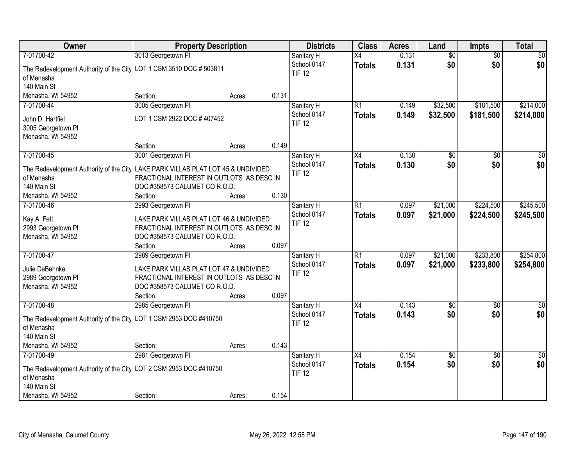| Owner                                                                                             | <b>Property Description</b>                                                                                                                  |        | <b>Districts</b>                           | <b>Class</b>                     | <b>Acres</b>   | Land                 | <b>Impts</b>           | <b>Total</b>           |
|---------------------------------------------------------------------------------------------------|----------------------------------------------------------------------------------------------------------------------------------------------|--------|--------------------------------------------|----------------------------------|----------------|----------------------|------------------------|------------------------|
| 7-01700-42                                                                                        | 3013 Georgetown PI                                                                                                                           |        | Sanitary H                                 | X4                               | 0.131          | $\overline{60}$      | $\overline{50}$        | \$0                    |
| The Redevelopment Authority of the City   LOT 1 CSM 3510 DOC # 503811<br>of Menasha               |                                                                                                                                              |        | School 0147<br><b>TIF 12</b>               | <b>Totals</b>                    | 0.131          | \$0                  | \$0                    | \$0                    |
| 140 Main St                                                                                       |                                                                                                                                              |        |                                            |                                  |                |                      |                        |                        |
| Menasha, WI 54952                                                                                 | Section:                                                                                                                                     | Acres: | 0.131                                      |                                  |                |                      |                        |                        |
| 7-01700-44                                                                                        | 3005 Georgetown Pl                                                                                                                           |        | Sanitary H                                 | $\overline{R1}$                  | 0.149          | \$32,500             | \$181,500              | \$214,000              |
| John D. Hartfiel<br>3005 Georgetown Pl<br>Menasha, WI 54952                                       | LOT 1 CSM 2922 DOC #407452                                                                                                                   |        | School 0147<br><b>TIF 12</b>               | <b>Totals</b>                    | 0.149          | \$32,500             | \$181,500              | \$214,000              |
|                                                                                                   | Section:                                                                                                                                     | Acres: | 0.149                                      |                                  |                |                      |                        |                        |
| 7-01700-45                                                                                        | 3001 Georgetown PI                                                                                                                           |        | Sanitary H                                 | X4                               | 0.130          | \$0                  | \$0                    | \$0                    |
| The Redevelopment Authority of the City   LAKE PARK VILLAS PLAT LOT 45 & UNDIVIDED<br>of Menasha  | FRACTIONAL INTEREST IN OUTLOTS AS DESC IN                                                                                                    |        | School 0147<br><b>TIF 12</b>               | <b>Totals</b>                    | 0.130          | \$0                  | \$0                    | \$0                    |
| 140 Main St                                                                                       | DOC #358573 CALUMET CO R.O.D.                                                                                                                |        |                                            |                                  |                |                      |                        |                        |
| Menasha, WI 54952                                                                                 | Section:                                                                                                                                     | Acres: | 0.130                                      |                                  |                |                      |                        |                        |
| 7-01700-46<br>Kay A. Fett<br>2993 Georgetown Pl<br>Menasha, WI 54952                              | 2993 Georgetown Pl<br>LAKE PARK VILLAS PLAT LOT 46 & UNDIVIDED<br>FRACTIONAL INTEREST IN OUTLOTS AS DESC IN<br>DOC #358573 CALUMET CO R.O.D. |        | Sanitary H<br>School 0147<br><b>TIF 12</b> | $\overline{R1}$<br><b>Totals</b> | 0.097<br>0.097 | \$21,000<br>\$21,000 | \$224,500<br>\$224,500 | \$245,500<br>\$245,500 |
|                                                                                                   | Section:                                                                                                                                     | Acres: | 0.097                                      |                                  |                |                      |                        |                        |
| 7-01700-47<br>Julie DeBehnke                                                                      | 2989 Georgetown PI<br>LAKE PARK VILLAS PLAT LOT 47 & UNDIVIDED                                                                               |        | Sanitary H<br>School 0147                  | $\overline{R1}$<br><b>Totals</b> | 0.097<br>0.097 | \$21,000<br>\$21,000 | \$233,800<br>\$233,800 | \$254,800<br>\$254,800 |
| 2989 Georgetown Pl<br>Menasha, WI 54952                                                           | FRACTIONAL INTEREST IN OUTLOTS AS DESC IN<br>DOC #358573 CALUMET CO R.O.D.                                                                   |        | <b>TIF 12</b>                              |                                  |                |                      |                        |                        |
|                                                                                                   | Section:                                                                                                                                     | Acres: | 0.097                                      |                                  |                |                      |                        |                        |
| 7-01700-48                                                                                        | 2985 Georgetown PI                                                                                                                           |        | Sanitary H                                 | $\overline{X4}$                  | 0.143          | \$0                  | \$0                    | \$0                    |
| The Redevelopment Authority of the City   LOT 1 CSM 2953 DOC #410750<br>of Menasha<br>140 Main St |                                                                                                                                              |        | School 0147<br><b>TIF 12</b>               | <b>Totals</b>                    | 0.143          | \$0                  | \$0                    | \$0                    |
| Menasha, WI 54952                                                                                 | Section:                                                                                                                                     | Acres: | 0.143                                      |                                  |                |                      |                        |                        |
| 7-01700-49                                                                                        | 2981 Georgetown PI                                                                                                                           |        | Sanitary H                                 | $\overline{X4}$                  | 0.154          | \$0                  | $\overline{30}$        | $\overline{50}$        |
| The Redevelopment Authority of the City   LOT 2 CSM 2953 DOC #410750<br>of Menasha<br>140 Main St |                                                                                                                                              |        | School 0147<br><b>TIF 12</b>               | <b>Totals</b>                    | 0.154          | \$0                  | \$0                    | \$0                    |
| Menasha, WI 54952                                                                                 | Section:                                                                                                                                     | Acres: | 0.154                                      |                                  |                |                      |                        |                        |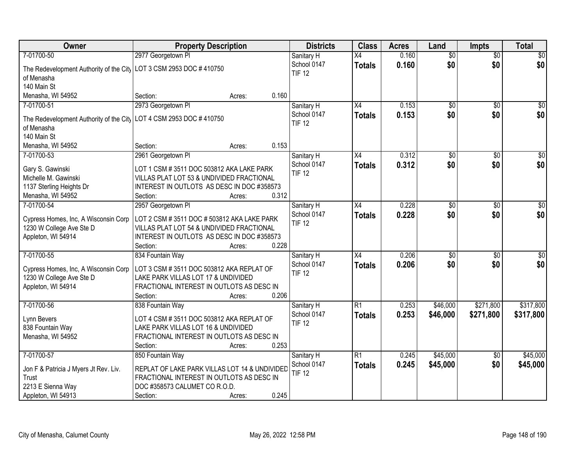| Owner                                                                 | <b>Property Description</b>                                                              |                 | <b>Districts</b>             | <b>Class</b>    | <b>Acres</b> | Land            | <b>Impts</b>    | <b>Total</b>     |
|-----------------------------------------------------------------------|------------------------------------------------------------------------------------------|-----------------|------------------------------|-----------------|--------------|-----------------|-----------------|------------------|
| 7-01700-50                                                            | 2977 Georgetown PI                                                                       |                 | Sanitary H                   | $\overline{X4}$ | 0.160        | $\overline{60}$ | $\overline{50}$ | \$0              |
| The Redevelopment Authority of the City   LOT 3 CSM 2953 DOC # 410750 |                                                                                          |                 | School 0147                  | <b>Totals</b>   | 0.160        | \$0             | \$0             | \$0              |
| of Menasha                                                            |                                                                                          |                 | <b>TIF 12</b>                |                 |              |                 |                 |                  |
| 140 Main St                                                           |                                                                                          |                 |                              |                 |              |                 |                 |                  |
| Menasha, WI 54952                                                     | Section:                                                                                 | 0.160<br>Acres: |                              |                 |              |                 |                 |                  |
| 7-01700-51                                                            | 2973 Georgetown PI                                                                       |                 | Sanitary H                   | $\overline{X4}$ | 0.153        | \$0             | $\overline{50}$ | \$0              |
|                                                                       |                                                                                          |                 | School 0147                  | <b>Totals</b>   | 0.153        | \$0             | \$0             | \$0              |
| The Redevelopment Authority of the City                               | LOT 4 CSM 2953 DOC #410750                                                               |                 | <b>TIF 12</b>                |                 |              |                 |                 |                  |
| of Menasha                                                            |                                                                                          |                 |                              |                 |              |                 |                 |                  |
| 140 Main St                                                           |                                                                                          | 0.153           |                              |                 |              |                 |                 |                  |
| Menasha, WI 54952                                                     | Section:                                                                                 | Acres:          |                              |                 |              |                 |                 |                  |
| 7-01700-53                                                            | 2961 Georgetown PI                                                                       |                 | Sanitary H                   | X4              | 0.312        | $\overline{50}$ | \$0             | $\overline{\$0}$ |
| Gary S. Gawinski                                                      | LOT 1 CSM #3511 DOC 503812 AKA LAKE PARK                                                 |                 | School 0147<br><b>TIF 12</b> | <b>Totals</b>   | 0.312        | \$0             | \$0             | \$0              |
| Michelle M. Gawinski                                                  | VILLAS PLAT LOT 53 & UNDIVIDED FRACTIONAL                                                |                 |                              |                 |              |                 |                 |                  |
| 1137 Sterling Heights Dr                                              | INTEREST IN OUTLOTS AS DESC IN DOC #358573                                               |                 |                              |                 |              |                 |                 |                  |
| Menasha, WI 54952                                                     | Section:                                                                                 | 0.312<br>Acres: |                              |                 |              |                 |                 |                  |
| 7-01700-54                                                            | 2957 Georgetown PI                                                                       |                 | Sanitary H                   | X4              | 0.228        | \$0             | $\sqrt[6]{3}$   | $\sqrt{50}$      |
|                                                                       |                                                                                          |                 | School 0147                  | <b>Totals</b>   | 0.228        | \$0             | \$0             | \$0              |
| Cypress Homes, Inc, A Wisconsin Corp<br>1230 W College Ave Ste D      | LOT 2 CSM # 3511 DOC # 503812 AKA LAKE PARK<br>VILLAS PLAT LOT 54 & UNDIVIDED FRACTIONAL |                 | <b>TIF 12</b>                |                 |              |                 |                 |                  |
| Appleton, WI 54914                                                    | INTEREST IN OUTLOTS AS DESC IN DOC #358573                                               |                 |                              |                 |              |                 |                 |                  |
|                                                                       | Section:                                                                                 | 0.228<br>Acres: |                              |                 |              |                 |                 |                  |
| 7-01700-55                                                            | 834 Fountain Way                                                                         |                 | Sanitary H                   | $\overline{X4}$ | 0.206        | $\overline{50}$ | $\overline{50}$ | $\overline{50}$  |
|                                                                       |                                                                                          |                 | School 0147                  |                 | 0.206        | \$0             | \$0             | \$0              |
| Cypress Homes, Inc, A Wisconsin Corp                                  | LOT 3 CSM #3511 DOC 503812 AKA REPLAT OF                                                 |                 | <b>TIF 12</b>                | <b>Totals</b>   |              |                 |                 |                  |
| 1230 W College Ave Ste D                                              | LAKE PARK VILLAS LOT 17 & UNDIVIDED                                                      |                 |                              |                 |              |                 |                 |                  |
| Appleton, WI 54914                                                    | FRACTIONAL INTEREST IN OUTLOTS AS DESC IN                                                |                 |                              |                 |              |                 |                 |                  |
|                                                                       | Section:                                                                                 | 0.206<br>Acres: |                              |                 |              |                 |                 |                  |
| 7-01700-56                                                            | 838 Fountain Way                                                                         |                 | Sanitary H                   | $\overline{R1}$ | 0.253        | \$46,000        | \$271,800       | \$317,800        |
| Lynn Bevers                                                           | LOT 4 CSM #3511 DOC 503812 AKA REPLAT OF                                                 |                 | School 0147                  | <b>Totals</b>   | 0.253        | \$46,000        | \$271,800       | \$317,800        |
| 838 Fountain Way                                                      | LAKE PARK VILLAS LOT 16 & UNDIVIDED                                                      |                 | <b>TIF 12</b>                |                 |              |                 |                 |                  |
| Menasha, WI 54952                                                     | FRACTIONAL INTEREST IN OUTLOTS AS DESC IN                                                |                 |                              |                 |              |                 |                 |                  |
|                                                                       | Section:                                                                                 | 0.253<br>Acres: |                              |                 |              |                 |                 |                  |
| 7-01700-57                                                            | 850 Fountain Way                                                                         |                 | Sanitary H                   | $\overline{R1}$ | 0.245        | \$45,000        | $\overline{50}$ | \$45,000         |
|                                                                       |                                                                                          |                 | School 0147                  | <b>Totals</b>   | 0.245        | \$45,000        | \$0             | \$45,000         |
| Jon F & Patricia J Myers Jt Rev. Liv.                                 | REPLAT OF LAKE PARK VILLAS LOT 14 & UNDIVIDED                                            |                 | <b>TIF 12</b>                |                 |              |                 |                 |                  |
| Trust                                                                 | FRACTIONAL INTEREST IN OUTLOTS AS DESC IN                                                |                 |                              |                 |              |                 |                 |                  |
| 2213 E Sienna Way                                                     | DOC #358573 CALUMET CO R.O.D.                                                            |                 |                              |                 |              |                 |                 |                  |
| Appleton, WI 54913                                                    | Section:                                                                                 | 0.245<br>Acres: |                              |                 |              |                 |                 |                  |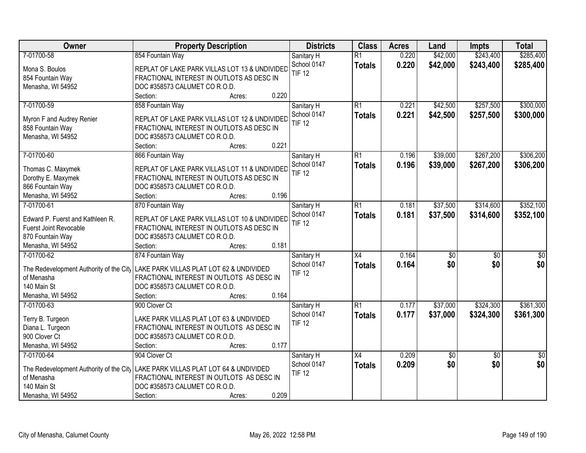| Owner                                   | <b>Property Description</b>                   | <b>Districts</b> | <b>Class</b>    | <b>Acres</b> | Land             | <b>Impts</b>    | <b>Total</b>    |
|-----------------------------------------|-----------------------------------------------|------------------|-----------------|--------------|------------------|-----------------|-----------------|
| 7-01700-58                              | 854 Fountain Way                              | Sanitary H       | $\overline{R1}$ | 0.220        | \$42,000         | \$243,400       | \$285,400       |
| Mona S. Boulos                          | REPLAT OF LAKE PARK VILLAS LOT 13 & UNDIVIDED | School 0147      | <b>Totals</b>   | 0.220        | \$42,000         | \$243,400       | \$285,400       |
| 854 Fountain Way                        | FRACTIONAL INTEREST IN OUTLOTS AS DESC IN     | <b>TIF 12</b>    |                 |              |                  |                 |                 |
| Menasha, WI 54952                       | DOC #358573 CALUMET CO R.O.D.                 |                  |                 |              |                  |                 |                 |
|                                         | 0.220<br>Section:<br>Acres:                   |                  |                 |              |                  |                 |                 |
| 7-01700-59                              | 858 Fountain Way                              | Sanitary H       | $\overline{R1}$ | 0.221        | \$42,500         | \$257,500       | \$300,000       |
|                                         |                                               | School 0147      | <b>Totals</b>   | 0.221        | \$42,500         | \$257,500       | \$300,000       |
| Myron F and Audrey Renier               | REPLAT OF LAKE PARK VILLAS LOT 12 & UNDIVIDED | <b>TIF 12</b>    |                 |              |                  |                 |                 |
| 858 Fountain Way                        | FRACTIONAL INTEREST IN OUTLOTS AS DESC IN     |                  |                 |              |                  |                 |                 |
| Menasha, WI 54952                       | DOC #358573 CALUMET CO R.O.D.                 |                  |                 |              |                  |                 |                 |
|                                         | 0.221<br>Section:<br>Acres:                   |                  |                 |              |                  |                 |                 |
| 7-01700-60                              | 866 Fountain Way                              | Sanitary H       | $\overline{R1}$ | 0.196        | \$39,000         | \$267,200       | \$306,200       |
| Thomas C. Maxymek                       | REPLAT OF LAKE PARK VILLAS LOT 11 & UNDIVIDED | School 0147      | <b>Totals</b>   | 0.196        | \$39,000         | \$267,200       | \$306,200       |
| Dorothy E. Maxymek                      | FRACTIONAL INTEREST IN OUTLOTS AS DESC IN     | <b>TIF 12</b>    |                 |              |                  |                 |                 |
| 866 Fountain Way                        | DOC #358573 CALUMET CO R.O.D.                 |                  |                 |              |                  |                 |                 |
| Menasha, WI 54952                       | 0.196<br>Section:<br>Acres:                   |                  |                 |              |                  |                 |                 |
| 7-01700-61                              | 870 Fountain Way                              | Sanitary H       | $\overline{R1}$ | 0.181        | \$37,500         | \$314,600       | \$352,100       |
|                                         |                                               | School 0147      |                 | 0.181        | \$37,500         | \$314,600       | \$352,100       |
| Edward P. Fuerst and Kathleen R.        | REPLAT OF LAKE PARK VILLAS LOT 10 & UNDIVIDED | <b>TIF 12</b>    | <b>Totals</b>   |              |                  |                 |                 |
| <b>Fuerst Joint Revocable</b>           | FRACTIONAL INTEREST IN OUTLOTS AS DESC IN     |                  |                 |              |                  |                 |                 |
| 870 Fountain Way                        | DOC #358573 CALUMET CO R.O.D.                 |                  |                 |              |                  |                 |                 |
| Menasha, WI 54952                       | 0.181<br>Section:<br>Acres:                   |                  |                 |              |                  |                 |                 |
| 7-01700-62                              | 874 Fountain Way                              | Sanitary H       | $\overline{X4}$ | 0.164        | $\overline{\$0}$ | $\overline{50}$ | $\overline{50}$ |
| The Redevelopment Authority of the City | LAKE PARK VILLAS PLAT LOT 62 & UNDIVIDED      | School 0147      | <b>Totals</b>   | 0.164        | \$0              | \$0             | \$0             |
| of Menasha                              | FRACTIONAL INTEREST IN OUTLOTS AS DESC IN     | <b>TIF 12</b>    |                 |              |                  |                 |                 |
| 140 Main St                             | DOC #358573 CALUMET CO R.O.D.                 |                  |                 |              |                  |                 |                 |
| Menasha, WI 54952                       | 0.164<br>Section:                             |                  |                 |              |                  |                 |                 |
| 7-01700-63                              | Acres:                                        |                  | $\overline{R1}$ |              |                  |                 |                 |
|                                         | 900 Clover Ct                                 | Sanitary H       |                 | 0.177        | \$37,000         | \$324,300       | \$361,300       |
| Terry B. Turgeon                        | LAKE PARK VILLAS PLAT LOT 63 & UNDIVIDED      | School 0147      | <b>Totals</b>   | 0.177        | \$37,000         | \$324,300       | \$361,300       |
| Diana L. Turgeon                        | FRACTIONAL INTEREST IN OUTLOTS AS DESC IN     | <b>TIF 12</b>    |                 |              |                  |                 |                 |
| 900 Clover Ct                           | DOC #358573 CALUMET CO R.O.D.                 |                  |                 |              |                  |                 |                 |
| Menasha, WI 54952                       | 0.177<br>Section:<br>Acres:                   |                  |                 |              |                  |                 |                 |
| 7-01700-64                              | 904 Clover Ct                                 | Sanitary H       | $\overline{X4}$ | 0.209        | \$0              | $\overline{50}$ | $\overline{50}$ |
|                                         |                                               | School 0147      | <b>Totals</b>   | 0.209        | \$0              | \$0             | \$0             |
| The Redevelopment Authority of the City | LAKE PARK VILLAS PLAT LOT 64 & UNDIVIDED      | <b>TIF 12</b>    |                 |              |                  |                 |                 |
| of Menasha                              | FRACTIONAL INTEREST IN OUTLOTS AS DESC IN     |                  |                 |              |                  |                 |                 |
| 140 Main St                             | DOC #358573 CALUMET CO R.O.D.                 |                  |                 |              |                  |                 |                 |
| Menasha, WI 54952                       | 0.209<br>Section:<br>Acres:                   |                  |                 |              |                  |                 |                 |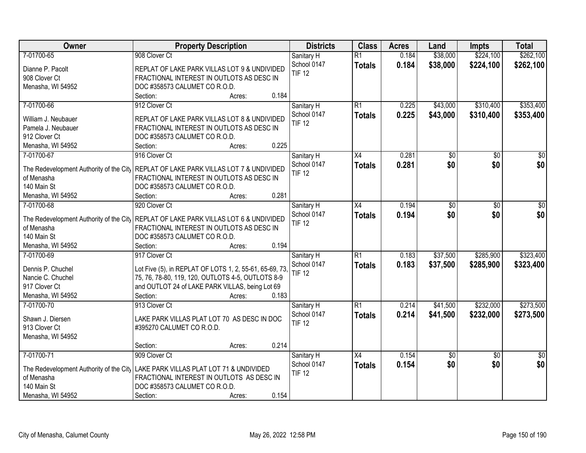| Owner                                                                                | <b>Property Description</b>                             |                 | <b>Districts</b> | <b>Class</b>    | <b>Acres</b> | Land     | <b>Impts</b>    | <b>Total</b>    |
|--------------------------------------------------------------------------------------|---------------------------------------------------------|-----------------|------------------|-----------------|--------------|----------|-----------------|-----------------|
| 7-01700-65                                                                           | 908 Clover Ct                                           |                 | Sanitary H       | $\overline{R1}$ | 0.184        | \$38,000 | \$224,100       | \$262,100       |
| Dianne P. Pacolt                                                                     | REPLAT OF LAKE PARK VILLAS LOT 9 & UNDIVIDED            |                 | School 0147      | <b>Totals</b>   | 0.184        | \$38,000 | \$224,100       | \$262,100       |
| 908 Clover Ct                                                                        | FRACTIONAL INTEREST IN OUTLOTS AS DESC IN               |                 | <b>TIF 12</b>    |                 |              |          |                 |                 |
| Menasha, WI 54952                                                                    | DOC #358573 CALUMET CO R.O.D.                           |                 |                  |                 |              |          |                 |                 |
|                                                                                      | Section:                                                | 0.184<br>Acres: |                  |                 |              |          |                 |                 |
| 7-01700-66                                                                           | 912 Clover Ct                                           |                 | Sanitary H       | $\overline{R1}$ | 0.225        | \$43,000 | \$310,400       | \$353,400       |
|                                                                                      |                                                         |                 | School 0147      | <b>Totals</b>   | 0.225        | \$43,000 | \$310,400       | \$353,400       |
| William J. Neubauer                                                                  | REPLAT OF LAKE PARK VILLAS LOT 8 & UNDIVIDED            |                 | <b>TIF 12</b>    |                 |              |          |                 |                 |
| Pamela J. Neubauer                                                                   | FRACTIONAL INTEREST IN OUTLOTS AS DESC IN               |                 |                  |                 |              |          |                 |                 |
| 912 Clover Ct                                                                        | DOC #358573 CALUMET CO R.O.D.                           |                 |                  |                 |              |          |                 |                 |
| Menasha, WI 54952                                                                    | Section:                                                | 0.225<br>Acres: |                  |                 |              |          |                 |                 |
| 7-01700-67                                                                           | 916 Clover Ct                                           |                 | Sanitary H       | $\overline{X4}$ | 0.281        | \$0      | $\overline{50}$ | $\overline{50}$ |
| The Redevelopment Authority of the City REPLAT OF LAKE PARK VILLAS LOT 7 & UNDIVIDED |                                                         |                 | School 0147      | <b>Totals</b>   | 0.281        | \$0      | \$0             | \$0             |
| of Menasha                                                                           | FRACTIONAL INTEREST IN OUTLOTS AS DESC IN               |                 | <b>TIF 12</b>    |                 |              |          |                 |                 |
| 140 Main St                                                                          | DOC #358573 CALUMET CO R.O.D.                           |                 |                  |                 |              |          |                 |                 |
| Menasha, WI 54952                                                                    | Section:                                                | 0.281<br>Acres: |                  |                 |              |          |                 |                 |
| 7-01700-68                                                                           | 920 Clover Ct                                           |                 | Sanitary H       | X4              | 0.194        | \$0      | \$0             | \$0             |
|                                                                                      |                                                         |                 | School 0147      | <b>Totals</b>   | 0.194        | \$0      | \$0             | \$0             |
| The Redevelopment Authority of the City REPLAT OF LAKE PARK VILLAS LOT 6 & UNDIVIDED |                                                         |                 | <b>TIF 12</b>    |                 |              |          |                 |                 |
| of Menasha                                                                           | FRACTIONAL INTEREST IN OUTLOTS AS DESC IN               |                 |                  |                 |              |          |                 |                 |
| 140 Main St                                                                          | DOC #358573 CALUMET CO R.O.D.                           |                 |                  |                 |              |          |                 |                 |
| Menasha, WI 54952                                                                    | Section:                                                | 0.194<br>Acres: |                  |                 |              |          |                 |                 |
| 7-01700-69                                                                           | 917 Clover Ct                                           |                 | Sanitary H       | $\overline{R1}$ | 0.183        | \$37,500 | \$285,900       | \$323,400       |
| Dennis P. Chuchel                                                                    | Lot Five (5), in REPLAT OF LOTS 1, 2, 55-61, 65-69, 73, |                 | School 0147      | <b>Totals</b>   | 0.183        | \$37,500 | \$285,900       | \$323,400       |
| Nancie C. Chuchel                                                                    | 75, 76, 78-80, 119, 120, OUTLOTS 4-5, OUTLOTS 8-9       |                 | <b>TIF 12</b>    |                 |              |          |                 |                 |
| 917 Clover Ct                                                                        | and OUTLOT 24 of LAKE PARK VILLAS, being Lot 69         |                 |                  |                 |              |          |                 |                 |
| Menasha, WI 54952                                                                    | Section:                                                | 0.183<br>Acres: |                  |                 |              |          |                 |                 |
| 7-01700-70                                                                           | 913 Clover Ct                                           |                 | Sanitary H       | $\overline{R1}$ | 0.214        | \$41,500 | \$232,000       | \$273,500       |
|                                                                                      |                                                         |                 | School 0147      | <b>Totals</b>   | 0.214        | \$41,500 | \$232,000       | \$273,500       |
| Shawn J. Diersen                                                                     | LAKE PARK VILLAS PLAT LOT 70 AS DESC IN DOC             |                 | <b>TIF 12</b>    |                 |              |          |                 |                 |
| 913 Clover Ct                                                                        | #395270 CALUMET CO R.O.D.                               |                 |                  |                 |              |          |                 |                 |
| Menasha, WI 54952                                                                    |                                                         |                 |                  |                 |              |          |                 |                 |
|                                                                                      | Section:                                                | 0.214<br>Acres: |                  |                 |              |          |                 |                 |
| 7-01700-71                                                                           | 909 Clover Ct                                           |                 | Sanitary H       | X4              | 0.154        | \$0      | $\overline{50}$ | $\overline{50}$ |
| The Redevelopment Authority of the City LAKE PARK VILLAS PLAT LOT 71 & UNDIVIDED     |                                                         |                 | School 0147      | <b>Totals</b>   | 0.154        | \$0      | \$0             | \$0             |
| of Menasha                                                                           | FRACTIONAL INTEREST IN OUTLOTS AS DESC IN               |                 | <b>TIF 12</b>    |                 |              |          |                 |                 |
| 140 Main St                                                                          | DOC #358573 CALUMET CO R.O.D.                           |                 |                  |                 |              |          |                 |                 |
| Menasha, WI 54952                                                                    | Section:                                                | 0.154<br>Acres: |                  |                 |              |          |                 |                 |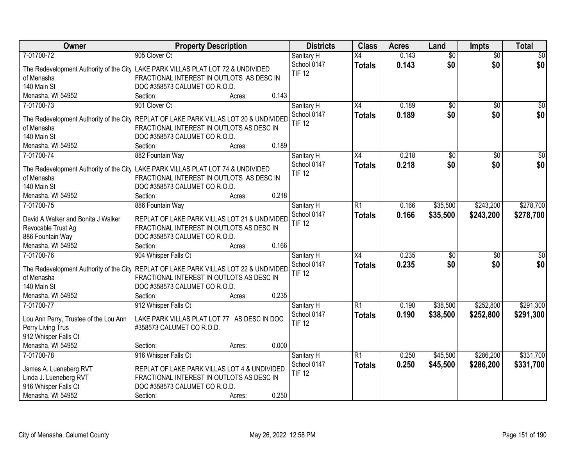| Owner                                   | <b>Property Description</b>                                                                | <b>Districts</b> | <b>Class</b>    | <b>Acres</b> | Land            | <b>Impts</b>    | <b>Total</b>    |
|-----------------------------------------|--------------------------------------------------------------------------------------------|------------------|-----------------|--------------|-----------------|-----------------|-----------------|
| 7-01700-72                              | 905 Clover Ct                                                                              | Sanitary H       | $\overline{X4}$ | 0.143        | $\overline{50}$ | $\overline{50}$ | \$0             |
|                                         | The Redevelopment Authority of the City LAKE PARK VILLAS PLAT LOT 72 & UNDIVIDED           | School 0147      | <b>Totals</b>   | 0.143        | \$0             | \$0             | \$0             |
| of Menasha                              | FRACTIONAL INTEREST IN OUTLOTS AS DESC IN                                                  | <b>TIF 12</b>    |                 |              |                 |                 |                 |
| 140 Main St                             | DOC #358573 CALUMET CO R.O.D.                                                              |                  |                 |              |                 |                 |                 |
| Menasha, WI 54952                       | 0.143<br>Section:<br>Acres:                                                                |                  |                 |              |                 |                 |                 |
| 7-01700-73                              | 901 Clover Ct                                                                              | Sanitary H       | $\overline{X4}$ | 0.189        | \$0             | $\overline{50}$ | \$0             |
|                                         |                                                                                            | School 0147      | <b>Totals</b>   | 0.189        | \$0             | \$0             | \$0             |
| The Redevelopment Authority of the City | REPLAT OF LAKE PARK VILLAS LOT 20 & UNDIVIDED                                              | <b>TIF 12</b>    |                 |              |                 |                 |                 |
| of Menasha                              | FRACTIONAL INTEREST IN OUTLOTS AS DESC IN                                                  |                  |                 |              |                 |                 |                 |
| 140 Main St                             | DOC #358573 CALUMET CO R.O.D.<br>0.189                                                     |                  |                 |              |                 |                 |                 |
| Menasha, WI 54952                       | Section:<br>Acres:                                                                         |                  |                 |              |                 |                 |                 |
| 7-01700-74                              | 882 Fountain Way                                                                           | Sanitary H       | X4              | 0.218        | $\overline{50}$ | \$0             | $\sqrt{50}$     |
|                                         | The Redevelopment Authority of the City   LAKE PARK VILLAS PLAT LOT 74 & UNDIVIDED         | School 0147      | <b>Totals</b>   | 0.218        | \$0             | \$0             | \$0             |
| of Menasha                              | FRACTIONAL INTEREST IN OUTLOTS AS DESC IN                                                  | <b>TIF 12</b>    |                 |              |                 |                 |                 |
| 140 Main St                             | DOC #358573 CALUMET CO R.O.D.                                                              |                  |                 |              |                 |                 |                 |
| Menasha, WI 54952                       | 0.218<br>Section:<br>Acres:                                                                |                  |                 |              |                 |                 |                 |
| 7-01700-75                              | 886 Fountain Way                                                                           | Sanitary H       | R1              | 0.166        | \$35,500        | \$243,200       | \$278,700       |
| David A Walker and Bonita J Walker      |                                                                                            | School 0147      | <b>Totals</b>   | 0.166        | \$35,500        | \$243,200       | \$278,700       |
| Revocable Trust Ag                      | REPLAT OF LAKE PARK VILLAS LOT 21 & UNDIVIDED<br>FRACTIONAL INTEREST IN OUTLOTS AS DESC IN | <b>TIF 12</b>    |                 |              |                 |                 |                 |
| 886 Fountain Way                        | DOC #358573 CALUMET CO R.O.D.                                                              |                  |                 |              |                 |                 |                 |
| Menasha, WI 54952                       | 0.166<br>Section:<br>Acres:                                                                |                  |                 |              |                 |                 |                 |
| 7-01700-76                              | 904 Whisper Falls Ct                                                                       | Sanitary H       | $\overline{X4}$ | 0.235        | \$0             | \$0             | $\overline{50}$ |
|                                         |                                                                                            | School 0147      | <b>Totals</b>   | 0.235        | \$0             | \$0             | \$0             |
| The Redevelopment Authority of the City | REPLAT OF LAKE PARK VILLAS LOT 22 & UNDIVIDED                                              | <b>TIF 12</b>    |                 |              |                 |                 |                 |
| of Menasha                              | FRACTIONAL INTEREST IN OUTLOTS AS DESC IN                                                  |                  |                 |              |                 |                 |                 |
| 140 Main St                             | DOC #358573 CALUMET CO R.O.D.                                                              |                  |                 |              |                 |                 |                 |
| Menasha, WI 54952                       | 0.235<br>Section:<br>Acres:                                                                |                  |                 |              |                 |                 |                 |
| 7-01700-77                              | 912 Whisper Falls Ct                                                                       | Sanitary H       | $\overline{R1}$ | 0.190        | \$38,500        | \$252,800       | \$291,300       |
| Lou Ann Perry, Trustee of the Lou Ann   | LAKE PARK VILLAS PLAT LOT 77 AS DESC IN DOC                                                | School 0147      | <b>Totals</b>   | 0.190        | \$38,500        | \$252,800       | \$291,300       |
| Perry Living Trus                       | #358573 CALUMET CO R.O.D.                                                                  | <b>TIF 12</b>    |                 |              |                 |                 |                 |
| 912 Whisper Falls Ct                    |                                                                                            |                  |                 |              |                 |                 |                 |
| Menasha, WI 54952                       | 0.000<br>Section:<br>Acres:                                                                |                  |                 |              |                 |                 |                 |
| 7-01700-78                              | 916 Whisper Falls Ct                                                                       | Sanitary H       | $\overline{R1}$ | 0.250        | \$45,500        | \$286,200       | \$331,700       |
|                                         |                                                                                            | School 0147      | <b>Totals</b>   | 0.250        | \$45,500        | \$286,200       | \$331,700       |
| James A. Lueneberg RVT                  | REPLAT OF LAKE PARK VILLAS LOT 4 & UNDIVIDED                                               | <b>TIF 12</b>    |                 |              |                 |                 |                 |
| Linda J. Lueneberg RVT                  | FRACTIONAL INTEREST IN OUTLOTS AS DESC IN                                                  |                  |                 |              |                 |                 |                 |
| 916 Whisper Falls Ct                    | DOC #358573 CALUMET CO R.O.D.                                                              |                  |                 |              |                 |                 |                 |
| Menasha, WI 54952                       | 0.250<br>Section:<br>Acres:                                                                |                  |                 |              |                 |                 |                 |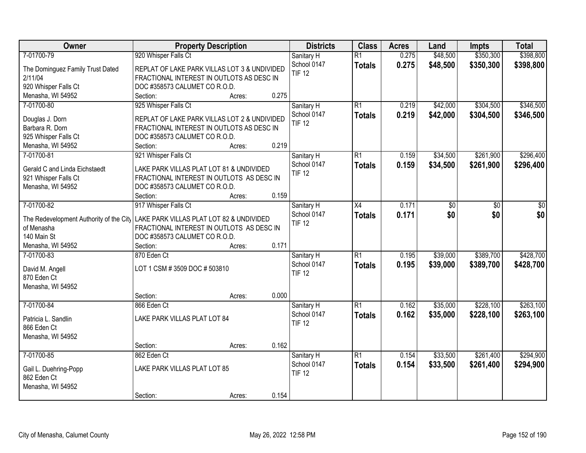| Owner                                   | <b>Property Description</b>                                                               |        |       | <b>Districts</b> | <b>Class</b>    | <b>Acres</b> | Land     | <b>Impts</b> | <b>Total</b> |
|-----------------------------------------|-------------------------------------------------------------------------------------------|--------|-------|------------------|-----------------|--------------|----------|--------------|--------------|
| 7-01700-79                              | 920 Whisper Falls Ct                                                                      |        |       | Sanitary H       | $\overline{R1}$ | 0.275        | \$48,500 | \$350,300    | \$398,800    |
| The Dominguez Family Trust Dated        | REPLAT OF LAKE PARK VILLAS LOT 3 & UNDIVIDED                                              |        |       | School 0147      | <b>Totals</b>   | 0.275        | \$48,500 | \$350,300    | \$398,800    |
| 2/11/04                                 | FRACTIONAL INTEREST IN OUTLOTS AS DESC IN                                                 |        |       | <b>TIF 12</b>    |                 |              |          |              |              |
| 920 Whisper Falls Ct                    | DOC #358573 CALUMET CO R.O.D.                                                             |        |       |                  |                 |              |          |              |              |
| Menasha, WI 54952                       | Section:                                                                                  | Acres: | 0.275 |                  |                 |              |          |              |              |
| 7-01700-80                              | 925 Whisper Falls Ct                                                                      |        |       | Sanitary H       | $\overline{R1}$ | 0.219        | \$42,000 | \$304,500    | \$346,500    |
|                                         |                                                                                           |        |       | School 0147      | <b>Totals</b>   | 0.219        | \$42,000 | \$304,500    | \$346,500    |
| Douglas J. Dorn<br>Barbara R. Dorn      | REPLAT OF LAKE PARK VILLAS LOT 2 & UNDIVIDED<br>FRACTIONAL INTEREST IN OUTLOTS AS DESC IN |        |       | <b>TIF 12</b>    |                 |              |          |              |              |
| 925 Whisper Falls Ct                    | DOC #358573 CALUMET CO R.O.D.                                                             |        |       |                  |                 |              |          |              |              |
| Menasha, WI 54952                       | Section:                                                                                  | Acres: | 0.219 |                  |                 |              |          |              |              |
| 7-01700-81                              | 921 Whisper Falls Ct                                                                      |        |       | Sanitary H       | $\overline{R1}$ | 0.159        | \$34,500 | \$261,900    | \$296,400    |
|                                         |                                                                                           |        |       | School 0147      | <b>Totals</b>   | 0.159        | \$34,500 | \$261,900    | \$296,400    |
| Gerald C and Linda Eichstaedt           | LAKE PARK VILLAS PLAT LOT 81 & UNDIVIDED                                                  |        |       | <b>TIF 12</b>    |                 |              |          |              |              |
| 921 Whisper Falls Ct                    | FRACTIONAL INTEREST IN OUTLOTS AS DESC IN                                                 |        |       |                  |                 |              |          |              |              |
| Menasha, WI 54952                       | DOC #358573 CALUMET CO R.O.D.                                                             |        |       |                  |                 |              |          |              |              |
|                                         | Section:                                                                                  | Acres: | 0.159 |                  |                 |              |          |              |              |
| 7-01700-82                              | 917 Whisper Falls Ct                                                                      |        |       | Sanitary H       | X4              | 0.171        | \$0      | \$0          | \$0          |
| The Redevelopment Authority of the City | LAKE PARK VILLAS PLAT LOT 82 & UNDIVIDED                                                  |        |       | School 0147      | <b>Totals</b>   | 0.171        | \$0      | \$0          | \$0          |
| of Menasha                              | FRACTIONAL INTEREST IN OUTLOTS AS DESC IN                                                 |        |       | <b>TIF 12</b>    |                 |              |          |              |              |
| 140 Main St                             | DOC #358573 CALUMET CO R.O.D.                                                             |        |       |                  |                 |              |          |              |              |
| Menasha, WI 54952                       | Section:                                                                                  | Acres: | 0.171 |                  |                 |              |          |              |              |
| 7-01700-83                              | 870 Eden Ct                                                                               |        |       | Sanitary H       | $\overline{R1}$ | 0.195        | \$39,000 | \$389,700    | \$428,700    |
|                                         | LOT 1 CSM # 3509 DOC # 503810                                                             |        |       | School 0147      | <b>Totals</b>   | 0.195        | \$39,000 | \$389,700    | \$428,700    |
| David M. Angell<br>870 Eden Ct          |                                                                                           |        |       | <b>TIF 12</b>    |                 |              |          |              |              |
| Menasha, WI 54952                       |                                                                                           |        |       |                  |                 |              |          |              |              |
|                                         | Section:                                                                                  | Acres: | 0.000 |                  |                 |              |          |              |              |
| 7-01700-84                              | 866 Eden Ct                                                                               |        |       | Sanitary H       | $\overline{R1}$ | 0.162        | \$35,000 | \$228,100    | \$263,100    |
|                                         |                                                                                           |        |       | School 0147      | <b>Totals</b>   | 0.162        | \$35,000 | \$228,100    | \$263,100    |
| Patricia L. Sandlin                     | LAKE PARK VILLAS PLAT LOT 84                                                              |        |       | <b>TIF 12</b>    |                 |              |          |              |              |
| 866 Eden Ct                             |                                                                                           |        |       |                  |                 |              |          |              |              |
| Menasha, WI 54952                       |                                                                                           |        |       |                  |                 |              |          |              |              |
|                                         | Section:                                                                                  | Acres: | 0.162 |                  |                 |              |          |              |              |
| 7-01700-85                              | 862 Eden Ct                                                                               |        |       | Sanitary H       | $\overline{R1}$ | 0.154        | \$33,500 | \$261,400    | \$294,900    |
| Gail L. Duehring-Popp                   | LAKE PARK VILLAS PLAT LOT 85                                                              |        |       | School 0147      | <b>Totals</b>   | 0.154        | \$33,500 | \$261,400    | \$294,900    |
| 862 Eden Ct                             |                                                                                           |        |       | <b>TIF 12</b>    |                 |              |          |              |              |
| Menasha, WI 54952                       |                                                                                           |        |       |                  |                 |              |          |              |              |
|                                         | Section:                                                                                  | Acres: | 0.154 |                  |                 |              |          |              |              |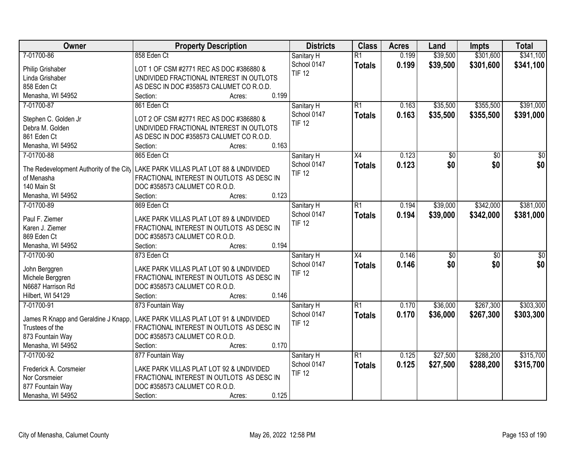| Owner                                | <b>Property Description</b>                                                      | <b>Districts</b>          | <b>Class</b>    | <b>Acres</b> | Land            | <b>Impts</b>    | <b>Total</b>    |
|--------------------------------------|----------------------------------------------------------------------------------|---------------------------|-----------------|--------------|-----------------|-----------------|-----------------|
| 7-01700-86                           | 858 Eden Ct                                                                      | Sanitary H                | $\overline{R1}$ | 0.199        | \$39,500        | \$301,600       | \$341,100       |
| Philip Grishaber                     | LOT 1 OF CSM #2771 REC AS DOC #386880 &                                          | School 0147               | <b>Totals</b>   | 0.199        | \$39,500        | \$301,600       | \$341,100       |
| Linda Grishaber                      | UNDIVIDED FRACTIONAL INTEREST IN OUTLOTS                                         | <b>TIF 12</b>             |                 |              |                 |                 |                 |
| 858 Eden Ct                          | AS DESC IN DOC #358573 CALUMET CO R.O.D.                                         |                           |                 |              |                 |                 |                 |
| Menasha, WI 54952                    | 0.199<br>Section:<br>Acres:                                                      |                           |                 |              |                 |                 |                 |
| 7-01700-87                           | 861 Eden Ct                                                                      | Sanitary H                | $\overline{R1}$ | 0.163        | \$35,500        | \$355,500       | \$391,000       |
|                                      |                                                                                  | School 0147               | <b>Totals</b>   | 0.163        | \$35,500        | \$355,500       | \$391,000       |
| Stephen C. Golden Jr                 | LOT 2 OF CSM #2771 REC AS DOC #386880 &                                          | <b>TIF 12</b>             |                 |              |                 |                 |                 |
| Debra M. Golden                      | UNDIVIDED FRACTIONAL INTEREST IN OUTLOTS                                         |                           |                 |              |                 |                 |                 |
| 861 Eden Ct                          | AS DESC IN DOC #358573 CALUMET CO R.O.D.                                         |                           |                 |              |                 |                 |                 |
| Menasha, WI 54952                    | 0.163<br>Section:<br>Acres:                                                      |                           |                 |              |                 |                 |                 |
| 7-01700-88                           | 865 Eden Ct                                                                      | Sanitary H                | X4              | 0.123        | $\overline{50}$ | \$0             | $\sqrt{50}$     |
|                                      | The Redevelopment Authority of the City LAKE PARK VILLAS PLAT LOT 88 & UNDIVIDED | School 0147               | <b>Totals</b>   | 0.123        | \$0             | \$0             | \$0             |
| of Menasha                           | FRACTIONAL INTEREST IN OUTLOTS AS DESC IN                                        | <b>TIF 12</b>             |                 |              |                 |                 |                 |
| 140 Main St                          | DOC #358573 CALUMET CO R.O.D.                                                    |                           |                 |              |                 |                 |                 |
| Menasha, WI 54952                    | 0.123<br>Section:<br>Acres:                                                      |                           |                 |              |                 |                 |                 |
| 7-01700-89                           | 869 Eden Ct                                                                      | Sanitary H                | $\overline{R1}$ | 0.194        | \$39,000        | \$342,000       | \$381,000       |
|                                      |                                                                                  | School 0147               | <b>Totals</b>   | 0.194        | \$39,000        | \$342,000       | \$381,000       |
| Paul F. Ziemer                       | LAKE PARK VILLAS PLAT LOT 89 & UNDIVIDED                                         | <b>TIF 12</b>             |                 |              |                 |                 |                 |
| Karen J. Ziemer                      | FRACTIONAL INTEREST IN OUTLOTS AS DESC IN                                        |                           |                 |              |                 |                 |                 |
| 869 Eden Ct                          | DOC #358573 CALUMET CO R.O.D.                                                    |                           |                 |              |                 |                 |                 |
| Menasha, WI 54952                    | 0.194<br>Section:<br>Acres:                                                      |                           |                 |              |                 |                 |                 |
| 7-01700-90                           | 873 Eden Ct                                                                      | Sanitary H                | $\overline{X4}$ | 0.146        | $\overline{30}$ | $\overline{30}$ | $\overline{50}$ |
| John Berggren                        | LAKE PARK VILLAS PLAT LOT 90 & UNDIVIDED                                         | School 0147               | <b>Totals</b>   | 0.146        | \$0             | \$0             | \$0             |
| Michele Berggren                     | FRACTIONAL INTEREST IN OUTLOTS AS DESC IN                                        | <b>TIF 12</b>             |                 |              |                 |                 |                 |
| N6687 Harrison Rd                    | DOC #358573 CALUMET CO R.O.D.                                                    |                           |                 |              |                 |                 |                 |
| Hilbert, WI 54129                    | 0.146<br>Section:<br>Acres:                                                      |                           |                 |              |                 |                 |                 |
| 7-01700-91                           | 873 Fountain Way                                                                 |                           | $\overline{R1}$ | 0.170        | \$36,000        | \$267,300       | \$303,300       |
|                                      |                                                                                  | Sanitary H<br>School 0147 |                 |              |                 |                 |                 |
| James R Knapp and Geraldine J Knapp. | LAKE PARK VILLAS PLAT LOT 91 & UNDIVIDED                                         | <b>TIF 12</b>             | <b>Totals</b>   | 0.170        | \$36,000        | \$267,300       | \$303,300       |
| Trustees of the                      | FRACTIONAL INTEREST IN OUTLOTS AS DESC IN                                        |                           |                 |              |                 |                 |                 |
| 873 Fountain Way                     | DOC #358573 CALUMET CO R.O.D.                                                    |                           |                 |              |                 |                 |                 |
| Menasha, WI 54952                    | 0.170<br>Section:<br>Acres:                                                      |                           |                 |              |                 |                 |                 |
| 7-01700-92                           | 877 Fountain Way                                                                 | Sanitary H                | $\overline{R1}$ | 0.125        | \$27,500        | \$288,200       | \$315,700       |
|                                      |                                                                                  | School 0147               | <b>Totals</b>   | 0.125        | \$27,500        | \$288,200       | \$315,700       |
| Frederick A. Corsmeier               | LAKE PARK VILLAS PLAT LOT 92 & UNDIVIDED                                         | <b>TIF 12</b>             |                 |              |                 |                 |                 |
| Nor Corsmeier                        | FRACTIONAL INTEREST IN OUTLOTS AS DESC IN                                        |                           |                 |              |                 |                 |                 |
| 877 Fountain Way                     | DOC #358573 CALUMET CO R.O.D.                                                    |                           |                 |              |                 |                 |                 |
| Menasha, WI 54952                    | 0.125<br>Section:<br>Acres:                                                      |                           |                 |              |                 |                 |                 |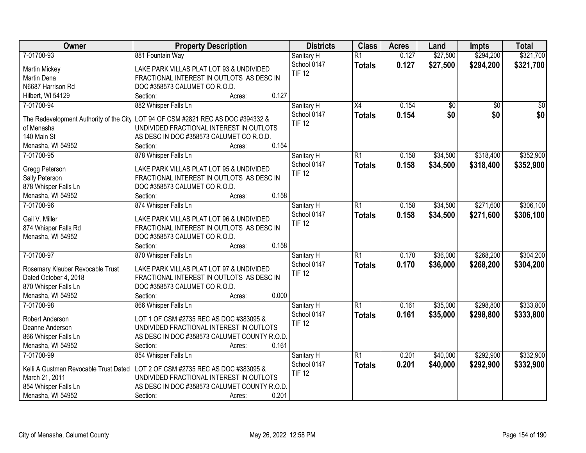| Owner                                   | <b>Property Description</b>                  | <b>Districts</b>          | <b>Class</b>    | <b>Acres</b> | Land            | <b>Impts</b>    | <b>Total</b>    |
|-----------------------------------------|----------------------------------------------|---------------------------|-----------------|--------------|-----------------|-----------------|-----------------|
| 7-01700-93                              | 881 Fountain Way                             | Sanitary H                | $\overline{R1}$ | 0.127        | \$27,500        | \$294,200       | \$321,700       |
| Martin Mickey                           | LAKE PARK VILLAS PLAT LOT 93 & UNDIVIDED     | School 0147               | <b>Totals</b>   | 0.127        | \$27,500        | \$294,200       | \$321,700       |
| Martin Dena                             | FRACTIONAL INTEREST IN OUTLOTS AS DESC IN    | <b>TIF 12</b>             |                 |              |                 |                 |                 |
| N6687 Harrison Rd                       | DOC #358573 CALUMET CO R.O.D.                |                           |                 |              |                 |                 |                 |
| Hilbert, WI 54129                       | 0.127<br>Section:<br>Acres:                  |                           |                 |              |                 |                 |                 |
| 7-01700-94                              | 882 Whisper Falls Ln                         | Sanitary H                | X4              | 0.154        | $\overline{50}$ | $\overline{30}$ | $\overline{50}$ |
|                                         |                                              | School 0147               | <b>Totals</b>   | 0.154        | \$0             | \$0             | \$0             |
| The Redevelopment Authority of the City | LOT 94 OF CSM #2821 REC AS DOC #394332 &     | <b>TIF 12</b>             |                 |              |                 |                 |                 |
| of Menasha                              | UNDIVIDED FRACTIONAL INTEREST IN OUTLOTS     |                           |                 |              |                 |                 |                 |
| 140 Main St                             | AS DESC IN DOC #358573 CALUMET CO R.O.D.     |                           |                 |              |                 |                 |                 |
| Menasha, WI 54952                       | 0.154<br>Section:<br>Acres:                  |                           |                 |              |                 |                 |                 |
| 7-01700-95                              | 878 Whisper Falls Ln                         | Sanitary H                | R1              | 0.158        | \$34,500        | \$318,400       | \$352,900       |
| Gregg Peterson                          | LAKE PARK VILLAS PLAT LOT 95 & UNDIVIDED     | School 0147               | <b>Totals</b>   | 0.158        | \$34,500        | \$318,400       | \$352,900       |
| Sally Peterson                          | FRACTIONAL INTEREST IN OUTLOTS AS DESC IN    | <b>TIF 12</b>             |                 |              |                 |                 |                 |
| 878 Whisper Falls Ln                    | DOC #358573 CALUMET CO R.O.D.                |                           |                 |              |                 |                 |                 |
| Menasha, WI 54952                       | 0.158<br>Section:<br>Acres:                  |                           |                 |              |                 |                 |                 |
| 7-01700-96                              | 874 Whisper Falls Ln                         | Sanitary H                | $\overline{R1}$ | 0.158        | \$34,500        | \$271,600       | \$306,100       |
|                                         |                                              | School 0147               | <b>Totals</b>   | 0.158        | \$34,500        | \$271,600       | \$306,100       |
| Gail V. Miller                          | LAKE PARK VILLAS PLAT LOT 96 & UNDIVIDED     | <b>TIF 12</b>             |                 |              |                 |                 |                 |
| 874 Whisper Falls Rd                    | FRACTIONAL INTEREST IN OUTLOTS AS DESC IN    |                           |                 |              |                 |                 |                 |
| Menasha, WI 54952                       | DOC #358573 CALUMET CO R.O.D.                |                           |                 |              |                 |                 |                 |
|                                         | 0.158<br>Section:<br>Acres:                  |                           |                 |              |                 |                 |                 |
| 7-01700-97                              | 870 Whisper Falls Ln                         | Sanitary H                | $\overline{R1}$ | 0.170        | \$36,000        | \$268,200       | \$304,200       |
| Rosemary Klauber Revocable Trust        | LAKE PARK VILLAS PLAT LOT 97 & UNDIVIDED     | School 0147               | <b>Totals</b>   | 0.170        | \$36,000        | \$268,200       | \$304,200       |
| Dated October 4, 2018                   | FRACTIONAL INTEREST IN OUTLOTS AS DESC IN    | <b>TIF 12</b>             |                 |              |                 |                 |                 |
| 870 Whisper Falls Ln                    | DOC #358573 CALUMET CO R.O.D.                |                           |                 |              |                 |                 |                 |
| Menasha, WI 54952                       | 0.000<br>Section:<br>Acres:                  |                           |                 |              |                 |                 |                 |
| 7-01700-98                              | 866 Whisper Falls Ln                         |                           | $\overline{R1}$ | 0.161        | \$35,000        | \$298,800       | \$333,800       |
|                                         |                                              | Sanitary H<br>School 0147 |                 |              |                 |                 |                 |
| Robert Anderson                         | LOT 1 OF CSM #2735 REC AS DOC #383095 &      | <b>TIF 12</b>             | <b>Totals</b>   | 0.161        | \$35,000        | \$298,800       | \$333,800       |
| Deanne Anderson                         | UNDIVIDED FRACTIONAL INTEREST IN OUTLOTS     |                           |                 |              |                 |                 |                 |
| 866 Whisper Falls Ln                    | AS DESC IN DOC #358573 CALUMET COUNTY R.O.D. |                           |                 |              |                 |                 |                 |
| Menasha, WI 54952                       | 0.161<br>Section:<br>Acres:                  |                           |                 |              |                 |                 |                 |
| 7-01700-99                              | 854 Whisper Falls Ln                         | Sanitary H                | $\overline{R1}$ | 0.201        | \$40,000        | \$292,900       | \$332,900       |
|                                         |                                              | School 0147               | <b>Totals</b>   | 0.201        | \$40,000        | \$292,900       | \$332,900       |
| Kelli A Gustman Revocable Trust Dated   | LOT 2 OF CSM #2735 REC AS DOC #383095 &      | <b>TIF 12</b>             |                 |              |                 |                 |                 |
| March 21, 2011                          | UNDIVIDED FRACTIONAL INTEREST IN OUTLOTS     |                           |                 |              |                 |                 |                 |
| 854 Whisper Falls Ln                    | AS DESC IN DOC #358573 CALUMET COUNTY R.O.D. |                           |                 |              |                 |                 |                 |
| Menasha, WI 54952                       | 0.201<br>Section:<br>Acres:                  |                           |                 |              |                 |                 |                 |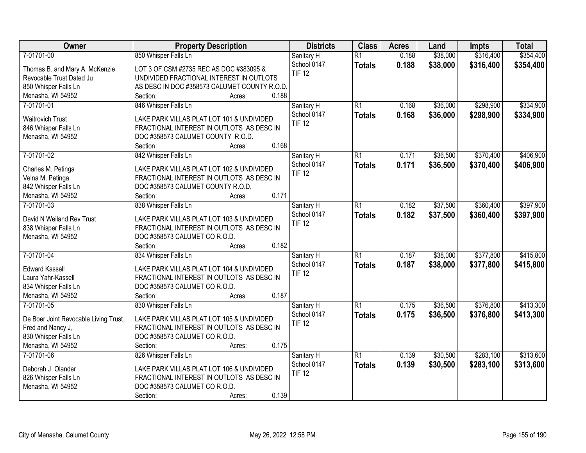| Owner                                 | <b>Property Description</b>                  | <b>Districts</b> | <b>Class</b>    | <b>Acres</b> | Land     | <b>Impts</b> | <b>Total</b> |
|---------------------------------------|----------------------------------------------|------------------|-----------------|--------------|----------|--------------|--------------|
| 7-01701-00                            | 850 Whisper Falls Ln                         | Sanitary H       | $\overline{R1}$ | 0.188        | \$38,000 | \$316,400    | \$354,400    |
| Thomas B. and Mary A. McKenzie        | LOT 3 OF CSM #2735 REC AS DOC #383095 &      | School 0147      | <b>Totals</b>   | 0.188        | \$38,000 | \$316,400    | \$354,400    |
| Revocable Trust Dated Ju              | UNDIVIDED FRACTIONAL INTEREST IN OUTLOTS     | <b>TIF 12</b>    |                 |              |          |              |              |
| 850 Whisper Falls Ln                  | AS DESC IN DOC #358573 CALUMET COUNTY R.O.D. |                  |                 |              |          |              |              |
| Menasha, WI 54952                     | 0.188<br>Section:<br>Acres:                  |                  |                 |              |          |              |              |
| 7-01701-01                            | 846 Whisper Falls Ln                         | Sanitary H       | $\overline{R1}$ | 0.168        | \$36,000 | \$298,900    | \$334,900    |
|                                       |                                              | School 0147      | <b>Totals</b>   | 0.168        | \$36,000 | \$298,900    | \$334,900    |
| <b>Waitrovich Trust</b>               | LAKE PARK VILLAS PLAT LOT 101 & UNDIVIDED    | <b>TIF 12</b>    |                 |              |          |              |              |
| 846 Whisper Falls Ln                  | FRACTIONAL INTEREST IN OUTLOTS AS DESC IN    |                  |                 |              |          |              |              |
| Menasha, WI 54952                     | DOC #358573 CALUMET COUNTY R.O.D.            |                  |                 |              |          |              |              |
|                                       | 0.168<br>Section:<br>Acres:                  |                  |                 |              |          |              |              |
| 7-01701-02                            | 842 Whisper Falls Ln                         | Sanitary H       | $\overline{R1}$ | 0.171        | \$36,500 | \$370,400    | \$406,900    |
| Charles M. Petinga                    | LAKE PARK VILLAS PLAT LOT 102 & UNDIVIDED    | School 0147      | <b>Totals</b>   | 0.171        | \$36,500 | \$370,400    | \$406,900    |
| Velna M. Petinga                      | FRACTIONAL INTEREST IN OUTLOTS AS DESC IN    | <b>TIF 12</b>    |                 |              |          |              |              |
| 842 Whisper Falls Ln                  | DOC #358573 CALUMET COUNTY R.O.D.            |                  |                 |              |          |              |              |
| Menasha, WI 54952                     | 0.171<br>Section:<br>Acres:                  |                  |                 |              |          |              |              |
| 7-01701-03                            | 838 Whisper Falls Ln                         | Sanitary H       | $\overline{R1}$ | 0.182        | \$37,500 | \$360,400    | \$397,900    |
|                                       |                                              | School 0147      | <b>Totals</b>   | 0.182        | \$37,500 | \$360,400    | \$397,900    |
| David N Weiland Rev Trust             | LAKE PARK VILLAS PLAT LOT 103 & UNDIVIDED    | <b>TIF 12</b>    |                 |              |          |              |              |
| 838 Whisper Falls Ln                  | FRACTIONAL INTEREST IN OUTLOTS AS DESC IN    |                  |                 |              |          |              |              |
| Menasha, WI 54952                     | DOC #358573 CALUMET CO R.O.D.                |                  |                 |              |          |              |              |
|                                       | 0.182<br>Section:<br>Acres:                  |                  |                 |              |          |              |              |
| 7-01701-04                            | 834 Whisper Falls Ln                         | Sanitary H       | $\overline{R1}$ | 0.187        | \$38,000 | \$377,800    | \$415,800    |
| <b>Edward Kassell</b>                 | LAKE PARK VILLAS PLAT LOT 104 & UNDIVIDED    | School 0147      | <b>Totals</b>   | 0.187        | \$38,000 | \$377,800    | \$415,800    |
| Laura Yahr-Kassell                    | FRACTIONAL INTEREST IN OUTLOTS AS DESC IN    | <b>TIF 12</b>    |                 |              |          |              |              |
| 834 Whisper Falls Ln                  | DOC #358573 CALUMET CO R.O.D.                |                  |                 |              |          |              |              |
| Menasha, WI 54952                     | 0.187<br>Section:<br>Acres:                  |                  |                 |              |          |              |              |
| 7-01701-05                            | 830 Whisper Falls Ln                         | Sanitary H       | $\overline{R1}$ | 0.175        | \$36,500 | \$376,800    | \$413,300    |
|                                       |                                              | School 0147      | <b>Totals</b>   | 0.175        | \$36,500 | \$376,800    | \$413,300    |
| De Boer Joint Revocable Living Trust, | LAKE PARK VILLAS PLAT LOT 105 & UNDIVIDED    | <b>TIF 12</b>    |                 |              |          |              |              |
| Fred and Nancy J,                     | FRACTIONAL INTEREST IN OUTLOTS AS DESC IN    |                  |                 |              |          |              |              |
| 830 Whisper Falls Ln                  | DOC #358573 CALUMET CO R.O.D.                |                  |                 |              |          |              |              |
| Menasha, WI 54952                     | 0.175<br>Section:<br>Acres:                  |                  |                 |              |          |              |              |
| 7-01701-06                            | 826 Whisper Falls Ln                         | Sanitary H       | $\overline{R1}$ | 0.139        | \$30,500 | \$283,100    | \$313,600    |
| Deborah J. Olander                    | LAKE PARK VILLAS PLAT LOT 106 & UNDIVIDED    | School 0147      | <b>Totals</b>   | 0.139        | \$30,500 | \$283,100    | \$313,600    |
| 826 Whisper Falls Ln                  | FRACTIONAL INTEREST IN OUTLOTS AS DESC IN    | <b>TIF 12</b>    |                 |              |          |              |              |
| Menasha, WI 54952                     | DOC #358573 CALUMET CO R.O.D.                |                  |                 |              |          |              |              |
|                                       | 0.139<br>Section:<br>Acres:                  |                  |                 |              |          |              |              |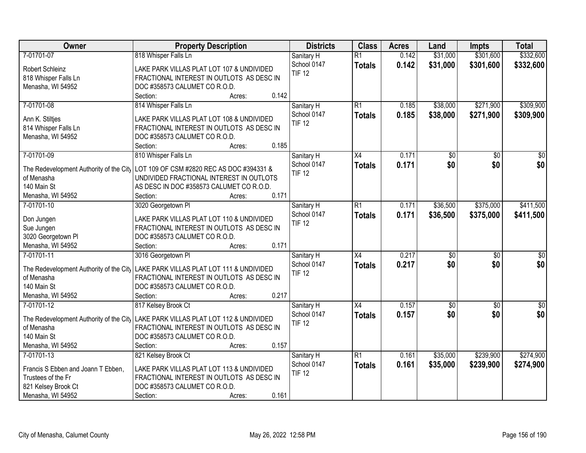| Owner                                   | <b>Property Description</b>                                                         | <b>Districts</b> | <b>Class</b>    | <b>Acres</b> | Land            | <b>Impts</b>    | <b>Total</b>    |
|-----------------------------------------|-------------------------------------------------------------------------------------|------------------|-----------------|--------------|-----------------|-----------------|-----------------|
| 7-01701-07                              | 818 Whisper Falls Ln                                                                | Sanitary H       | $\overline{R1}$ | 0.142        | \$31,000        | \$301,600       | \$332,600       |
| Robert Schleinz                         | LAKE PARK VILLAS PLAT LOT 107 & UNDIVIDED                                           | School 0147      | <b>Totals</b>   | 0.142        | \$31,000        | \$301,600       | \$332,600       |
| 818 Whisper Falls Ln                    | FRACTIONAL INTEREST IN OUTLOTS AS DESC IN                                           | <b>TIF 12</b>    |                 |              |                 |                 |                 |
| Menasha, WI 54952                       | DOC #358573 CALUMET CO R.O.D.                                                       |                  |                 |              |                 |                 |                 |
|                                         | 0.142<br>Section:<br>Acres:                                                         |                  |                 |              |                 |                 |                 |
| 7-01701-08                              | 814 Whisper Falls Ln                                                                | Sanitary H       | $\overline{R1}$ | 0.185        | \$38,000        | \$271,900       | \$309,900       |
|                                         |                                                                                     | School 0147      |                 | 0.185        |                 |                 | \$309,900       |
| Ann K. Stiltjes                         | LAKE PARK VILLAS PLAT LOT 108 & UNDIVIDED                                           | <b>TIF 12</b>    | <b>Totals</b>   |              | \$38,000        | \$271,900       |                 |
| 814 Whisper Falls Ln                    | FRACTIONAL INTEREST IN OUTLOTS AS DESC IN                                           |                  |                 |              |                 |                 |                 |
| Menasha, WI 54952                       | DOC #358573 CALUMET CO R.O.D.                                                       |                  |                 |              |                 |                 |                 |
|                                         | 0.185<br>Section:<br>Acres:                                                         |                  |                 |              |                 |                 |                 |
| 7-01701-09                              | 810 Whisper Falls Ln                                                                | Sanitary H       | X4              | 0.171        | $\overline{50}$ | \$0             | $\sqrt{50}$     |
|                                         |                                                                                     | School 0147      | <b>Totals</b>   | 0.171        | \$0             | \$0             | \$0             |
| The Redevelopment Authority of the City | LOT 109 OF CSM #2820 REC AS DOC #394331 &                                           | <b>TIF 12</b>    |                 |              |                 |                 |                 |
| of Menasha                              | UNDIVIDED FRACTIONAL INTEREST IN OUTLOTS                                            |                  |                 |              |                 |                 |                 |
| 140 Main St                             | AS DESC IN DOC #358573 CALUMET CO R.O.D.<br>0.171                                   |                  |                 |              |                 |                 |                 |
| Menasha, WI 54952                       | Section:<br>Acres:                                                                  |                  |                 |              |                 |                 |                 |
| 7-01701-10                              | 3020 Georgetown PI                                                                  | Sanitary H       | R1              | 0.171        | \$36,500        | \$375,000       | \$411,500       |
| Don Jungen                              | LAKE PARK VILLAS PLAT LOT 110 & UNDIVIDED                                           | School 0147      | <b>Totals</b>   | 0.171        | \$36,500        | \$375,000       | \$411,500       |
| Sue Jungen                              | FRACTIONAL INTEREST IN OUTLOTS AS DESC IN                                           | <b>TIF 12</b>    |                 |              |                 |                 |                 |
| 3020 Georgetown Pl                      | DOC #358573 CALUMET CO R.O.D.                                                       |                  |                 |              |                 |                 |                 |
| Menasha, WI 54952                       | 0.171<br>Section:<br>Acres:                                                         |                  |                 |              |                 |                 |                 |
| 7-01701-11                              | 3016 Georgetown PI                                                                  | Sanitary H       | $\overline{X4}$ | 0.217        | $\overline{50}$ | $\overline{50}$ | $\overline{50}$ |
|                                         |                                                                                     | School 0147      | <b>Totals</b>   | 0.217        | \$0             | \$0             | \$0             |
| The Redevelopment Authority of the City | LAKE PARK VILLAS PLAT LOT 111 & UNDIVIDED                                           | <b>TIF 12</b>    |                 |              |                 |                 |                 |
| of Menasha                              | FRACTIONAL INTEREST IN OUTLOTS AS DESC IN                                           |                  |                 |              |                 |                 |                 |
| 140 Main St                             | DOC #358573 CALUMET CO R.O.D.                                                       |                  |                 |              |                 |                 |                 |
| Menasha, WI 54952                       | 0.217<br>Section:<br>Acres:                                                         |                  |                 |              |                 |                 |                 |
| 7-01701-12                              | 817 Kelsey Brook Ct                                                                 | Sanitary H       | X4              | 0.157        | $\sqrt{6}$      | \$0             | \$0             |
|                                         | The Redevelopment Authority of the City   LAKE PARK VILLAS PLAT LOT 112 & UNDIVIDED | School 0147      | <b>Totals</b>   | 0.157        | \$0             | \$0             | \$0             |
| of Menasha                              | FRACTIONAL INTEREST IN OUTLOTS AS DESC IN                                           | <b>TIF 12</b>    |                 |              |                 |                 |                 |
| 140 Main St                             | DOC #358573 CALUMET CO R.O.D.                                                       |                  |                 |              |                 |                 |                 |
| Menasha, WI 54952                       | 0.157<br>Section:<br>Acres:                                                         |                  |                 |              |                 |                 |                 |
| 7-01701-13                              | 821 Kelsey Brook Ct                                                                 | Sanitary H       | $\overline{R1}$ | 0.161        | \$35,000        | \$239,900       | \$274,900       |
|                                         |                                                                                     | School 0147      | <b>Totals</b>   | 0.161        | \$35,000        | \$239,900       | \$274,900       |
| Francis S Ebben and Joann T Ebben,      | LAKE PARK VILLAS PLAT LOT 113 & UNDIVIDED                                           | <b>TIF 12</b>    |                 |              |                 |                 |                 |
| Trustees of the Fr                      | FRACTIONAL INTEREST IN OUTLOTS AS DESC IN                                           |                  |                 |              |                 |                 |                 |
| 821 Kelsey Brook Ct                     | DOC #358573 CALUMET CO R.O.D.                                                       |                  |                 |              |                 |                 |                 |
| Menasha, WI 54952                       | 0.161<br>Section:<br>Acres:                                                         |                  |                 |              |                 |                 |                 |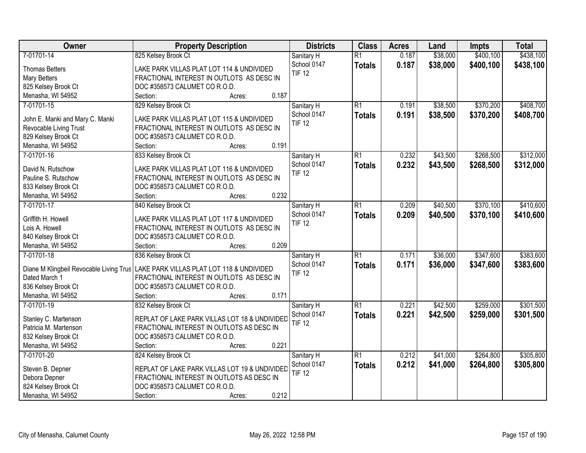| Owner                                   | <b>Property Description</b>                   | <b>Districts</b> | <b>Class</b>    | <b>Acres</b> | Land     | <b>Impts</b> | <b>Total</b> |
|-----------------------------------------|-----------------------------------------------|------------------|-----------------|--------------|----------|--------------|--------------|
| 7-01701-14                              | 825 Kelsey Brook Ct                           | Sanitary H       | $\overline{R1}$ | 0.187        | \$38,000 | \$400,100    | \$438,100    |
| <b>Thomas Betters</b>                   | LAKE PARK VILLAS PLAT LOT 114 & UNDIVIDED     | School 0147      | <b>Totals</b>   | 0.187        | \$38,000 | \$400,100    | \$438,100    |
| <b>Mary Betters</b>                     | FRACTIONAL INTEREST IN OUTLOTS AS DESC IN     | <b>TIF 12</b>    |                 |              |          |              |              |
| 825 Kelsey Brook Ct                     | DOC #358573 CALUMET CO R.O.D.                 |                  |                 |              |          |              |              |
| Menasha, WI 54952                       | 0.187<br>Section:<br>Acres:                   |                  |                 |              |          |              |              |
| 7-01701-15                              | 829 Kelsey Brook Ct                           | Sanitary H       | $\overline{R1}$ | 0.191        | \$38,500 | \$370,200    | \$408,700    |
|                                         |                                               | School 0147      | <b>Totals</b>   | 0.191        | \$38,500 | \$370,200    | \$408,700    |
| John E. Manki and Mary C. Manki         | LAKE PARK VILLAS PLAT LOT 115 & UNDIVIDED     | <b>TIF 12</b>    |                 |              |          |              |              |
| Revocable Living Trust                  | FRACTIONAL INTEREST IN OUTLOTS AS DESC IN     |                  |                 |              |          |              |              |
| 829 Kelsey Brook Ct                     | DOC #358573 CALUMET CO R.O.D.                 |                  |                 |              |          |              |              |
| Menasha, WI 54952                       | 0.191<br>Section:<br>Acres:                   |                  |                 |              |          |              |              |
| 7-01701-16                              | 833 Kelsey Brook Ct                           | Sanitary H       | $\overline{R1}$ | 0.232        | \$43,500 | \$268,500    | \$312,000    |
| David N. Rutschow                       | LAKE PARK VILLAS PLAT LOT 116 & UNDIVIDED     | School 0147      | <b>Totals</b>   | 0.232        | \$43,500 | \$268,500    | \$312,000    |
| Pauline S. Rutschow                     | FRACTIONAL INTEREST IN OUTLOTS AS DESC IN     | <b>TIF 12</b>    |                 |              |          |              |              |
| 833 Kelsey Brook Ct                     | DOC #358573 CALUMET CO R.O.D.                 |                  |                 |              |          |              |              |
| Menasha, WI 54952                       | 0.232<br>Section:<br>Acres:                   |                  |                 |              |          |              |              |
| 7-01701-17                              | 840 Kelsey Brook Ct                           | Sanitary H       | $\overline{R1}$ | 0.209        | \$40,500 | \$370,100    | \$410,600    |
|                                         |                                               | School 0147      |                 | 0.209        |          |              |              |
| Griffith H. Howell                      | LAKE PARK VILLAS PLAT LOT 117 & UNDIVIDED     | <b>TIF 12</b>    | <b>Totals</b>   |              | \$40,500 | \$370,100    | \$410,600    |
| Lois A. Howell                          | FRACTIONAL INTEREST IN OUTLOTS AS DESC IN     |                  |                 |              |          |              |              |
| 840 Kelsey Brook Ct                     | DOC #358573 CALUMET CO R.O.D.                 |                  |                 |              |          |              |              |
| Menasha, WI 54952                       | 0.209<br>Section:<br>Acres:                   |                  |                 |              |          |              |              |
| 7-01701-18                              | 836 Kelsey Brook Ct                           | Sanitary H       | $\overline{R1}$ | 0.171        | \$36,000 | \$347,600    | \$383,600    |
|                                         |                                               | School 0147      | <b>Totals</b>   | 0.171        | \$36,000 | \$347,600    | \$383,600    |
| Diane M Klingbeil Revocable Living Trus | LAKE PARK VILLAS PLAT LOT 118 & UNDIVIDED     | <b>TIF 12</b>    |                 |              |          |              |              |
| Dated March 1                           | FRACTIONAL INTEREST IN OUTLOTS AS DESC IN     |                  |                 |              |          |              |              |
| 836 Kelsey Brook Ct                     | DOC #358573 CALUMET CO R.O.D.                 |                  |                 |              |          |              |              |
| Menasha, WI 54952                       | 0.171<br>Section:<br>Acres:                   |                  |                 |              |          |              |              |
| 7-01701-19                              | 832 Kelsey Brook Ct                           | Sanitary H       | $\overline{R1}$ | 0.221        | \$42,500 | \$259,000    | \$301,500    |
| Stanley C. Martenson                    | REPLAT OF LAKE PARK VILLAS LOT 18 & UNDIVIDED | School 0147      | <b>Totals</b>   | 0.221        | \$42,500 | \$259,000    | \$301,500    |
| Patricia M. Martenson                   | FRACTIONAL INTEREST IN OUTLOTS AS DESC IN     | <b>TIF 12</b>    |                 |              |          |              |              |
| 832 Kelsey Brook Ct                     | DOC #358573 CALUMET CO R.O.D.                 |                  |                 |              |          |              |              |
| Menasha, WI 54952                       | 0.221<br>Section:<br>Acres:                   |                  |                 |              |          |              |              |
| 7-01701-20                              | 824 Kelsey Brook Ct                           | Sanitary H       | $\overline{R1}$ | 0.212        | \$41,000 | \$264,800    | \$305,800    |
|                                         |                                               | School 0147      | <b>Totals</b>   | 0.212        | \$41,000 | \$264,800    | \$305,800    |
| Steven B. Depner                        | REPLAT OF LAKE PARK VILLAS LOT 19 & UNDIVIDED | <b>TIF 12</b>    |                 |              |          |              |              |
| Debora Depner                           | FRACTIONAL INTEREST IN OUTLOTS AS DESC IN     |                  |                 |              |          |              |              |
| 824 Kelsey Brook Ct                     | DOC #358573 CALUMET CO R.O.D.                 |                  |                 |              |          |              |              |
| Menasha, WI 54952                       | 0.212<br>Section:<br>Acres:                   |                  |                 |              |          |              |              |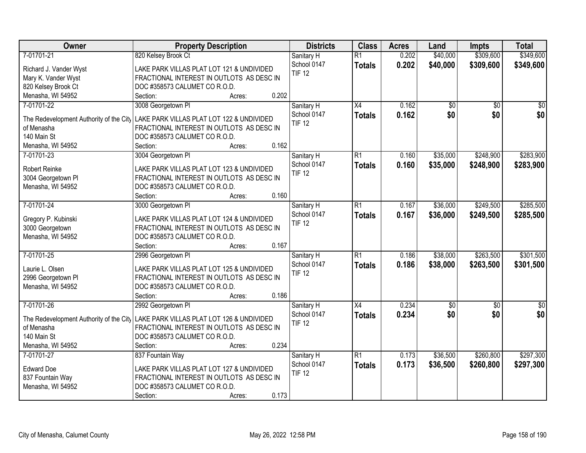| Owner                                   | <b>Property Description</b>                                                       | <b>Districts</b>             | <b>Class</b>    | <b>Acres</b> | Land     | <b>Impts</b>    | <b>Total</b>    |
|-----------------------------------------|-----------------------------------------------------------------------------------|------------------------------|-----------------|--------------|----------|-----------------|-----------------|
| 7-01701-21                              | 820 Kelsey Brook Ct                                                               | Sanitary H                   | $\overline{R1}$ | 0.202        | \$40,000 | \$309,600       | \$349,600       |
| Richard J. Vander Wyst                  | LAKE PARK VILLAS PLAT LOT 121 & UNDIVIDED                                         | School 0147                  | <b>Totals</b>   | 0.202        | \$40,000 | \$309,600       | \$349,600       |
| Mary K. Vander Wyst                     | FRACTIONAL INTEREST IN OUTLOTS AS DESC IN                                         | <b>TIF 12</b>                |                 |              |          |                 |                 |
| 820 Kelsey Brook Ct                     | DOC #358573 CALUMET CO R.O.D.                                                     |                              |                 |              |          |                 |                 |
| Menasha, WI 54952                       | 0.202<br>Section:<br>Acres:                                                       |                              |                 |              |          |                 |                 |
| 7-01701-22                              | 3008 Georgetown PI                                                                | Sanitary H                   | $\overline{X4}$ | 0.162        | \$0      | $\overline{30}$ | \$0             |
|                                         |                                                                                   | School 0147                  | <b>Totals</b>   | 0.162        | \$0      | \$0             | \$0             |
| The Redevelopment Authority of the City | LAKE PARK VILLAS PLAT LOT 122 & UNDIVIDED                                         | <b>TIF 12</b>                |                 |              |          |                 |                 |
| of Menasha                              | FRACTIONAL INTEREST IN OUTLOTS AS DESC IN                                         |                              |                 |              |          |                 |                 |
| 140 Main St                             | DOC #358573 CALUMET CO R.O.D.<br>0.162                                            |                              |                 |              |          |                 |                 |
| Menasha, WI 54952                       | Section:<br>Acres:                                                                |                              |                 |              |          |                 |                 |
| 7-01701-23                              | 3004 Georgetown PI                                                                | Sanitary H                   | $\overline{R1}$ | 0.160        | \$35,000 | \$248,900       | \$283,900       |
| Robert Reinke                           | LAKE PARK VILLAS PLAT LOT 123 & UNDIVIDED                                         | School 0147                  | <b>Totals</b>   | 0.160        | \$35,000 | \$248,900       | \$283,900       |
| 3004 Georgetown Pl                      | FRACTIONAL INTEREST IN OUTLOTS AS DESC IN                                         | <b>TIF 12</b>                |                 |              |          |                 |                 |
| Menasha, WI 54952                       | DOC #358573 CALUMET CO R.O.D.                                                     |                              |                 |              |          |                 |                 |
|                                         | 0.160<br>Section:<br>Acres:                                                       |                              |                 |              |          |                 |                 |
| 7-01701-24                              | 3000 Georgetown PI                                                                | Sanitary H                   | $\overline{R1}$ | 0.167        | \$36,000 | \$249,500       | \$285,500       |
|                                         |                                                                                   | School 0147                  | <b>Totals</b>   | 0.167        | \$36,000 | \$249,500       | \$285,500       |
| Gregory P. Kubinski                     | LAKE PARK VILLAS PLAT LOT 124 & UNDIVIDED                                         | <b>TIF 12</b>                |                 |              |          |                 |                 |
| 3000 Georgetown                         | FRACTIONAL INTEREST IN OUTLOTS AS DESC IN                                         |                              |                 |              |          |                 |                 |
| Menasha, WI 54952                       | DOC #358573 CALUMET CO R.O.D.<br>0.167                                            |                              |                 |              |          |                 |                 |
|                                         | Section:<br>Acres:                                                                |                              |                 |              |          |                 |                 |
| 7-01701-25                              | 2996 Georgetown PI                                                                | Sanitary H                   | $\overline{R1}$ | 0.186        | \$38,000 | \$263,500       | \$301,500       |
| Laurie L. Olsen                         | LAKE PARK VILLAS PLAT LOT 125 & UNDIVIDED                                         | School 0147                  | <b>Totals</b>   | 0.186        | \$38,000 | \$263,500       | \$301,500       |
| 2996 Georgetown Pl                      | FRACTIONAL INTEREST IN OUTLOTS AS DESC IN                                         | <b>TIF 12</b>                |                 |              |          |                 |                 |
| Menasha, WI 54952                       | DOC #358573 CALUMET CO R.O.D.                                                     |                              |                 |              |          |                 |                 |
|                                         | 0.186<br>Section:<br>Acres:                                                       |                              |                 |              |          |                 |                 |
| 7-01701-26                              | 2992 Georgetown Pl                                                                | Sanitary H                   | $\overline{X4}$ | 0.234        | \$0      | $\overline{50}$ | $\overline{50}$ |
|                                         |                                                                                   | School 0147                  | <b>Totals</b>   | 0.234        | \$0      | \$0             | \$0             |
| of Menasha                              | The Redevelopment Authority of the City LAKE PARK VILLAS PLAT LOT 126 & UNDIVIDED | <b>TIF 12</b>                |                 |              |          |                 |                 |
| 140 Main St                             | FRACTIONAL INTEREST IN OUTLOTS AS DESC IN<br>DOC #358573 CALUMET CO R.O.D.        |                              |                 |              |          |                 |                 |
| Menasha, WI 54952                       | 0.234<br>Section:                                                                 |                              |                 |              |          |                 |                 |
| 7-01701-27                              | Acres:                                                                            |                              | $\overline{R1}$ | 0.173        | \$36,500 | \$260,800       | \$297,300       |
|                                         | 837 Fountain Way                                                                  | Sanitary H                   |                 |              |          |                 |                 |
| <b>Edward Doe</b>                       | LAKE PARK VILLAS PLAT LOT 127 & UNDIVIDED                                         | School 0147<br><b>TIF 12</b> | <b>Totals</b>   | 0.173        | \$36,500 | \$260,800       | \$297,300       |
| 837 Fountain Way                        | FRACTIONAL INTEREST IN OUTLOTS AS DESC IN                                         |                              |                 |              |          |                 |                 |
| Menasha, WI 54952                       | DOC #358573 CALUMET CO R.O.D.                                                     |                              |                 |              |          |                 |                 |
|                                         | 0.173<br>Section:<br>Acres:                                                       |                              |                 |              |          |                 |                 |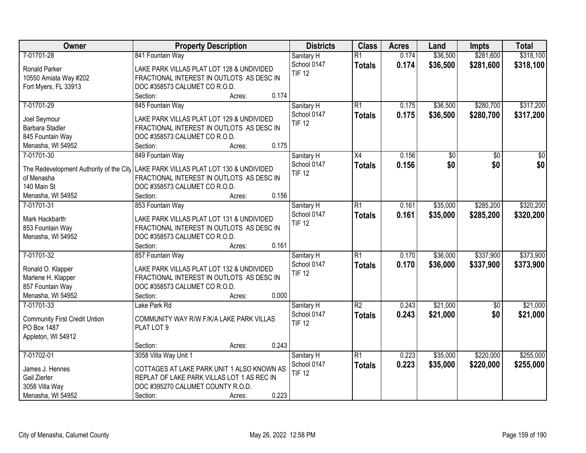| Owner                                   | <b>Property Description</b>                | <b>Districts</b> | <b>Class</b>    | <b>Acres</b> | Land            | <b>Impts</b>    | <b>Total</b>    |
|-----------------------------------------|--------------------------------------------|------------------|-----------------|--------------|-----------------|-----------------|-----------------|
| 7-01701-28                              | 841 Fountain Way                           | Sanitary H       | $\overline{R1}$ | 0.174        | \$36,500        | \$281,600       | \$318,100       |
| Ronald Parker                           | LAKE PARK VILLAS PLAT LOT 128 & UNDIVIDED  | School 0147      | <b>Totals</b>   | 0.174        | \$36,500        | \$281,600       | \$318,100       |
| 10550 Amiata Way #202                   | FRACTIONAL INTEREST IN OUTLOTS AS DESC IN  | <b>TIF 12</b>    |                 |              |                 |                 |                 |
| Fort Myers, FL 33913                    | DOC #358573 CALUMET CO R.O.D.              |                  |                 |              |                 |                 |                 |
|                                         | 0.174<br>Section:<br>Acres:                |                  |                 |              |                 |                 |                 |
| 7-01701-29                              | 845 Fountain Way                           | Sanitary H       | R1              | 0.175        | \$36,500        | \$280,700       | \$317,200       |
|                                         |                                            | School 0147      | <b>Totals</b>   | 0.175        | \$36,500        | \$280,700       | \$317,200       |
| Joel Seymour                            | LAKE PARK VILLAS PLAT LOT 129 & UNDIVIDED  | <b>TIF 12</b>    |                 |              |                 |                 |                 |
| <b>Barbara Stadler</b>                  | FRACTIONAL INTEREST IN OUTLOTS AS DESC IN  |                  |                 |              |                 |                 |                 |
| 845 Fountain Way                        | DOC #358573 CALUMET CO R.O.D.              |                  |                 |              |                 |                 |                 |
| Menasha, WI 54952                       | 0.175<br>Section:<br>Acres:                |                  |                 |              |                 |                 |                 |
| 7-01701-30                              | 849 Fountain Way                           | Sanitary H       | X4              | 0.156        | $\overline{50}$ | $\overline{50}$ | $\overline{30}$ |
| The Redevelopment Authority of the City | LAKE PARK VILLAS PLAT LOT 130 & UNDIVIDED  | School 0147      | <b>Totals</b>   | 0.156        | \$0             | \$0             | \$0             |
| of Menasha                              | FRACTIONAL INTEREST IN OUTLOTS AS DESC IN  | <b>TIF 12</b>    |                 |              |                 |                 |                 |
| 140 Main St                             | DOC #358573 CALUMET CO R.O.D.              |                  |                 |              |                 |                 |                 |
| Menasha, WI 54952                       | 0.156<br>Section:<br>Acres:                |                  |                 |              |                 |                 |                 |
| 7-01701-31                              | 853 Fountain Way                           | Sanitary H       | R1              | 0.161        | \$35,000        | \$285,200       | \$320,200       |
|                                         |                                            | School 0147      | <b>Totals</b>   | 0.161        | \$35,000        | \$285,200       | \$320,200       |
| Mark Hackbarth                          | LAKE PARK VILLAS PLAT LOT 131 & UNDIVIDED  | <b>TIF 12</b>    |                 |              |                 |                 |                 |
| 853 Fountain Way                        | FRACTIONAL INTEREST IN OUTLOTS AS DESC IN  |                  |                 |              |                 |                 |                 |
| Menasha, WI 54952                       | DOC #358573 CALUMET CO R.O.D.              |                  |                 |              |                 |                 |                 |
|                                         | 0.161<br>Section:<br>Acres:                |                  |                 |              |                 |                 |                 |
| 7-01701-32                              | 857 Fountain Way                           | Sanitary H       | $\overline{R1}$ | 0.170        | \$36,000        | \$337,900       | \$373,900       |
| Ronald O. Klapper                       | LAKE PARK VILLAS PLAT LOT 132 & UNDIVIDED  | School 0147      | <b>Totals</b>   | 0.170        | \$36,000        | \$337,900       | \$373,900       |
| Marlene H. Klapper                      | FRACTIONAL INTEREST IN OUTLOTS AS DESC IN  | <b>TIF 12</b>    |                 |              |                 |                 |                 |
| 857 Fountain Way                        | DOC #358573 CALUMET CO R.O.D.              |                  |                 |              |                 |                 |                 |
| Menasha, WI 54952                       | 0.000<br>Section:<br>Acres:                |                  |                 |              |                 |                 |                 |
| 7-01701-33                              | Lake Park Rd                               | Sanitary H       | R2              | 0.243        | \$21,000        | \$0             | \$21,000        |
|                                         |                                            | School 0147      | <b>Totals</b>   | 0.243        | \$21,000        | \$0             | \$21,000        |
| <b>Community First Credit Untion</b>    | COMMUNITY WAY R/W F/K/A LAKE PARK VILLAS   | <b>TIF 12</b>    |                 |              |                 |                 |                 |
| PO Box 1487                             | PLAT LOT 9                                 |                  |                 |              |                 |                 |                 |
| Appleton, WI 54912                      |                                            |                  |                 |              |                 |                 |                 |
|                                         | 0.243<br>Section:<br>Acres:                |                  |                 |              |                 |                 |                 |
| 7-01702-01                              | 3058 Villa Way Unit 1                      | Sanitary H       | R1              | 0.223        | \$35,000        | \$220,000       | \$255,000       |
| James J. Hennes                         | COTTAGES AT LAKE PARK UNIT 1 ALSO KNOWN AS | School 0147      | <b>Totals</b>   | 0.223        | \$35,000        | \$220,000       | \$255,000       |
| Gail Zierler                            | REPLAT OF LAKE PARK VILLAS LOT 1 AS REC IN | <b>TIF 12</b>    |                 |              |                 |                 |                 |
| 3058 Villa Way                          | DOC #395270 CALUMET COUNTY R.O.D.          |                  |                 |              |                 |                 |                 |
| Menasha, WI 54952                       | 0.223<br>Section:<br>Acres:                |                  |                 |              |                 |                 |                 |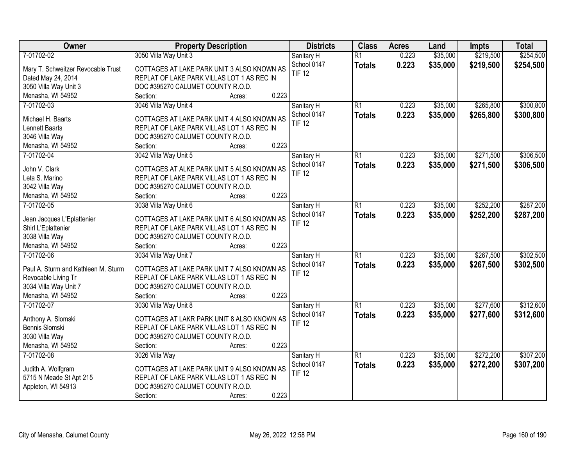| Owner                               | <b>Property Description</b>                | <b>Districts</b> | <b>Class</b>    | <b>Acres</b> | Land     | Impts     | <b>Total</b> |
|-------------------------------------|--------------------------------------------|------------------|-----------------|--------------|----------|-----------|--------------|
| 7-01702-02                          | 3050 Villa Way Unit 3                      | Sanitary H       | $\overline{R1}$ | 0.223        | \$35,000 | \$219,500 | \$254,500    |
| Mary T. Schweitzer Revocable Trust  | COTTAGES AT LAKE PARK UNIT 3 ALSO KNOWN AS | School 0147      | <b>Totals</b>   | 0.223        | \$35,000 | \$219,500 | \$254,500    |
| Dated May 24, 2014                  | REPLAT OF LAKE PARK VILLAS LOT 1 AS REC IN | <b>TIF 12</b>    |                 |              |          |           |              |
| 3050 Villa Way Unit 3               | DOC #395270 CALUMET COUNTY R.O.D.          |                  |                 |              |          |           |              |
| Menasha, WI 54952                   | 0.223<br>Section:<br>Acres:                |                  |                 |              |          |           |              |
| 7-01702-03                          | 3046 Villa Way Unit 4                      | Sanitary H       | R1              | 0.223        | \$35,000 | \$265,800 | \$300,800    |
|                                     |                                            | School 0147      | <b>Totals</b>   | 0.223        | \$35,000 | \$265,800 | \$300,800    |
| Michael H. Baarts                   | COTTAGES AT LAKE PARK UNIT 4 ALSO KNOWN AS | <b>TIF 12</b>    |                 |              |          |           |              |
| Lennett Baarts                      | REPLAT OF LAKE PARK VILLAS LOT 1 AS REC IN |                  |                 |              |          |           |              |
| 3046 Villa Way                      | DOC #395270 CALUMET COUNTY R.O.D.          |                  |                 |              |          |           |              |
| Menasha, WI 54952                   | 0.223<br>Section:<br>Acres:                |                  |                 |              |          |           |              |
| 7-01702-04                          | 3042 Villa Way Unit 5                      | Sanitary H       | $\overline{R1}$ | 0.223        | \$35,000 | \$271,500 | \$306,500    |
| John V. Clark                       | COTTAGES AT ALKE PARK UNIT 5 ALSO KNOWN AS | School 0147      | <b>Totals</b>   | 0.223        | \$35,000 | \$271,500 | \$306,500    |
| Leta S. Marino                      | REPLAT OF LAKE PARK VILLAS LOT 1 AS REC IN | <b>TIF 12</b>    |                 |              |          |           |              |
| 3042 Villa Way                      | DOC #395270 CALUMET COUNTY R.O.D.          |                  |                 |              |          |           |              |
| Menasha, WI 54952                   | 0.223<br>Section:<br>Acres:                |                  |                 |              |          |           |              |
| 7-01702-05                          | 3038 Villa Way Unit 6                      | Sanitary H       | $\overline{R1}$ | 0.223        | \$35,000 | \$252,200 | \$287,200    |
|                                     |                                            | School 0147      | <b>Totals</b>   | 0.223        | \$35,000 | \$252,200 | \$287,200    |
| Jean Jacques L'Eplattenier          | COTTAGES AT LAKE PARK UNIT 6 ALSO KNOWN AS | <b>TIF 12</b>    |                 |              |          |           |              |
| Shirl L'Eplattenier                 | REPLAT OF LAKE PARK VILLAS LOT 1 AS REC IN |                  |                 |              |          |           |              |
| 3038 Villa Way                      | DOC #395270 CALUMET COUNTY R.O.D.          |                  |                 |              |          |           |              |
| Menasha, WI 54952                   | 0.223<br>Section:<br>Acres:                |                  |                 |              |          |           |              |
| 7-01702-06                          | 3034 Villa Way Unit 7                      | Sanitary H       | $\overline{R1}$ | 0.223        | \$35,000 | \$267,500 | \$302,500    |
| Paul A. Sturm and Kathleen M. Sturm | COTTAGES AT LAKE PARK UNIT 7 ALSO KNOWN AS | School 0147      | <b>Totals</b>   | 0.223        | \$35,000 | \$267,500 | \$302,500    |
| Revocable Living Tr                 | REPLAT OF LAKE PARK VILLAS LOT 1 AS REC IN | <b>TIF 12</b>    |                 |              |          |           |              |
| 3034 Villa Way Unit 7               | DOC #395270 CALUMET COUNTY R.O.D.          |                  |                 |              |          |           |              |
| Menasha, WI 54952                   | 0.223<br>Section:<br>Acres:                |                  |                 |              |          |           |              |
| 7-01702-07                          | 3030 Villa Way Unit 8                      | Sanitary H       | R1              | 0.223        | \$35,000 | \$277,600 | \$312,600    |
|                                     |                                            | School 0147      | <b>Totals</b>   | 0.223        | \$35,000 | \$277,600 | \$312,600    |
| Anthony A. Slomski                  | COTTAGES AT LAKR PARK UNIT 8 ALSO KNOWN AS | <b>TIF 12</b>    |                 |              |          |           |              |
| Bennis Slomski                      | REPLAT OF LAKE PARK VILLAS LOT 1 AS REC IN |                  |                 |              |          |           |              |
| 3030 Villa Way                      | DOC #395270 CALUMET COUNTY R.O.D.          |                  |                 |              |          |           |              |
| Menasha, WI 54952                   | 0.223<br>Section:<br>Acres:                |                  |                 |              |          |           |              |
| 7-01702-08                          | 3026 Villa Way                             | Sanitary H       | R1              | 0.223        | \$35,000 | \$272,200 | \$307,200    |
| Judith A. Wolfgram                  | COTTAGES AT LAKE PARK UNIT 9 ALSO KNOWN AS | School 0147      | <b>Totals</b>   | 0.223        | \$35,000 | \$272,200 | \$307,200    |
| 5715 N Meade St Apt 215             | REPLAT OF LAKE PARK VILLAS LOT 1 AS REC IN | <b>TIF 12</b>    |                 |              |          |           |              |
| Appleton, WI 54913                  | DOC #395270 CALUMET COUNTY R.O.D.          |                  |                 |              |          |           |              |
|                                     |                                            |                  |                 |              |          |           |              |
|                                     | 0.223<br>Section:<br>Acres:                |                  |                 |              |          |           |              |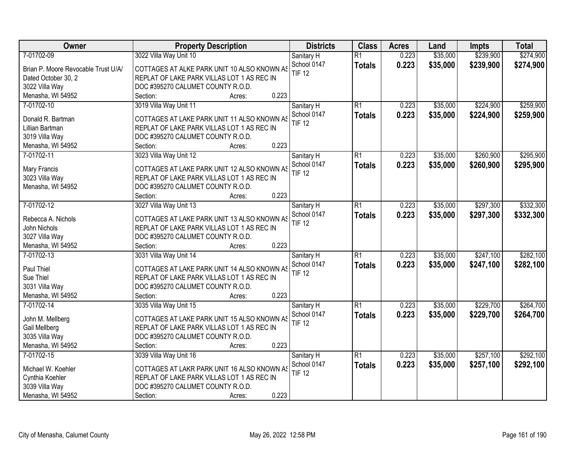| Owner                               | <b>Property Description</b>                 | <b>Districts</b>             | <b>Class</b>    | <b>Acres</b> | Land     | <b>Impts</b> | <b>Total</b> |
|-------------------------------------|---------------------------------------------|------------------------------|-----------------|--------------|----------|--------------|--------------|
| 7-01702-09                          | 3022 Villa Way Unit 10                      | Sanitary H                   | $\overline{R1}$ | 0.223        | \$35,000 | \$239,900    | \$274,900    |
| Brian P. Moore Revocable Trust U/A/ | COTTAGES AT ALKE PARK UNIT 10 ALSO KNOWN AS | School 0147                  | <b>Totals</b>   | 0.223        | \$35,000 | \$239,900    | \$274,900    |
| Dated October 30, 2                 | REPLAT OF LAKE PARK VILLAS LOT 1 AS REC IN  | <b>TIF 12</b>                |                 |              |          |              |              |
| 3022 Villa Way                      | DOC #395270 CALUMET COUNTY R.O.D.           |                              |                 |              |          |              |              |
| Menasha, WI 54952                   | 0.223<br>Section:<br>Acres:                 |                              |                 |              |          |              |              |
| 7-01702-10                          | 3019 Villa Way Unit 11                      | Sanitary H                   | R1              | 0.223        | \$35,000 | \$224,900    | \$259,900    |
|                                     |                                             | School 0147                  | <b>Totals</b>   | 0.223        | \$35,000 | \$224,900    | \$259,900    |
| Donald R. Bartman                   | COTTAGES AT LAKE PARK UNIT 11 ALSO KNOWN AS | <b>TIF 12</b>                |                 |              |          |              |              |
| Lillian Bartman                     | REPLAT OF LAKE PARK VILLAS LOT 1 AS REC IN  |                              |                 |              |          |              |              |
| 3019 Villa Way                      | DOC #395270 CALUMET COUNTY R.O.D.           |                              |                 |              |          |              |              |
| Menasha, WI 54952                   | 0.223<br>Section:<br>Acres:                 |                              |                 |              |          |              |              |
| 7-01702-11                          | 3023 Villa Way Unit 12                      | Sanitary H                   | $\overline{R1}$ | 0.223        | \$35,000 | \$260,900    | \$295,900    |
| Mary Francis                        | COTTAGES AT LAKE PARK UNIT 12 ALSO KNOWN AS | School 0147                  | <b>Totals</b>   | 0.223        | \$35,000 | \$260,900    | \$295,900    |
| 3023 Villa Way                      | REPLAT OF LAKE PARK VILLAS LOT 1 AS REC IN  | <b>TIF 12</b>                |                 |              |          |              |              |
| Menasha, WI 54952                   | DOC #395270 CALUMET COUNTY R.O.D.           |                              |                 |              |          |              |              |
|                                     | 0.223<br>Section:<br>Acres:                 |                              |                 |              |          |              |              |
| 7-01702-12                          | 3027 Villa Way Unit 13                      | Sanitary H                   | $\overline{R1}$ | 0.223        | \$35,000 | \$297,300    | \$332,300    |
|                                     |                                             | School 0147                  | <b>Totals</b>   | 0.223        | \$35,000 | \$297,300    | \$332,300    |
| Rebecca A. Nichols                  | COTTAGES AT LAKE PARK UNIT 13 ALSO KNOWN AS | <b>TIF 12</b>                |                 |              |          |              |              |
| John Nichols                        | REPLAT OF LAKE PARK VILLAS LOT 1 AS REC IN  |                              |                 |              |          |              |              |
| 3027 Villa Way                      | DOC #395270 CALUMET COUNTY R.O.D.<br>0.223  |                              |                 |              |          |              |              |
| Menasha, WI 54952<br>7-01702-13     | Section:<br>Acres:                          |                              | $\overline{R1}$ | 0.223        | \$35,000 | \$247,100    | \$282,100    |
|                                     | 3031 Villa Way Unit 14                      | Sanitary H                   |                 |              |          |              |              |
| Paul Thiel                          | COTTAGES AT LAKE PARK UNIT 14 ALSO KNOWN AS | School 0147<br><b>TIF 12</b> | Totals          | 0.223        | \$35,000 | \$247,100    | \$282,100    |
| Sue Thiel                           | REPLAT OF LAKE PARK VILLAS LOT 1 AS REC IN  |                              |                 |              |          |              |              |
| 3031 Villa Way                      | DOC #395270 CALUMET COUNTY R.O.D.           |                              |                 |              |          |              |              |
| Menasha, WI 54952                   | 0.223<br>Section:<br>Acres:                 |                              |                 |              |          |              |              |
| 7-01702-14                          | 3035 Villa Way Unit 15                      | Sanitary H                   | R1              | 0.223        | \$35,000 | \$229,700    | \$264,700    |
| John M. Mellberg                    | COTTAGES AT LAKE PARK UNIT 15 ALSO KNOWN AS | School 0147                  | <b>Totals</b>   | 0.223        | \$35,000 | \$229,700    | \$264,700    |
| Gail Mellberg                       | REPLAT OF LAKE PARK VILLAS LOT 1 AS REC IN  | <b>TIF 12</b>                |                 |              |          |              |              |
| 3035 Villa Way                      | DOC #395270 CALUMET COUNTY R.O.D.           |                              |                 |              |          |              |              |
| Menasha, WI 54952                   | 0.223<br>Section:<br>Acres:                 |                              |                 |              |          |              |              |
| 7-01702-15                          | 3039 Villa Way Unit 16                      | Sanitary H                   | R1              | 0.223        | \$35,000 | \$257,100    | \$292,100    |
|                                     |                                             | School 0147                  |                 |              |          |              |              |
| Michael W. Koehler                  | COTTAGES AT LAKR PARK UNIT 16 ALSO KNOWN AS | <b>TIF 12</b>                | <b>Totals</b>   | 0.223        | \$35,000 | \$257,100    | \$292,100    |
| Cynthia Koehler                     | REPLAT OF LAKE PARK VILLAS LOT 1 AS REC IN  |                              |                 |              |          |              |              |
| 3039 Villa Way                      | DOC #395270 CALUMET COUNTY R.O.D.           |                              |                 |              |          |              |              |
| Menasha, WI 54952                   | 0.223<br>Section:<br>Acres:                 |                              |                 |              |          |              |              |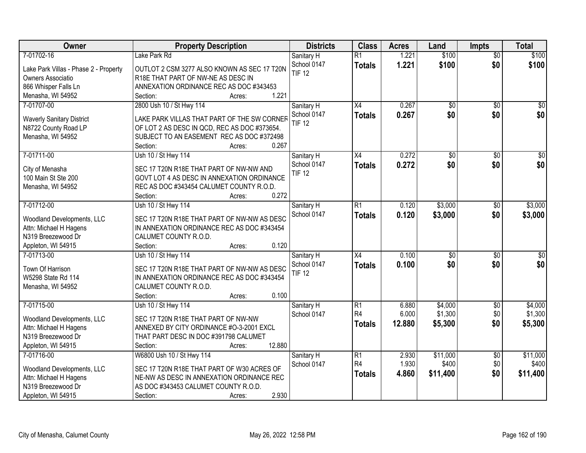| Owner                                 | <b>Property Description</b>                  | <b>Districts</b> | <b>Class</b>    | <b>Acres</b> | Land            | <b>Impts</b>    | <b>Total</b>     |
|---------------------------------------|----------------------------------------------|------------------|-----------------|--------------|-----------------|-----------------|------------------|
| 7-01702-16                            | Lake Park Rd                                 | Sanitary H       | $\overline{R1}$ | 1.221        | \$100           | $\overline{50}$ | \$100            |
| Lake Park Villas - Phase 2 - Property | OUTLOT 2 CSM 3277 ALSO KNOWN AS SEC 17 T20N  | School 0147      | <b>Totals</b>   | 1.221        | \$100           | \$0             | \$100            |
| Owners Associatio                     | R18E THAT PART OF NW-NE AS DESC IN           | <b>TIF 12</b>    |                 |              |                 |                 |                  |
| 866 Whisper Falls Ln                  | ANNEXATION ORDINANCE REC AS DOC #343453      |                  |                 |              |                 |                 |                  |
| Menasha, WI 54952                     | 1.221<br>Section:<br>Acres:                  |                  |                 |              |                 |                 |                  |
| 7-01707-00                            | 2800 Ush 10 / St Hwy 114                     | Sanitary H       | $\overline{X4}$ | 0.267        | $\overline{50}$ | \$0             | \$0              |
|                                       |                                              | School 0147      | <b>Totals</b>   | 0.267        | \$0             | \$0             | \$0              |
| <b>Waverly Sanitary District</b>      | LAKE PARK VILLAS THAT PART OF THE SW CORNER  | <b>TIF 12</b>    |                 |              |                 |                 |                  |
| N8722 County Road LP                  | OF LOT 2 AS DESC IN QCD, REC AS DOC #373654. |                  |                 |              |                 |                 |                  |
| Menasha, WI 54952                     | SUBJECT TO AN EASEMENT REC AS DOC #372498    |                  |                 |              |                 |                 |                  |
|                                       | 0.267<br>Section:<br>Acres:                  |                  |                 |              |                 |                 |                  |
| 7-01711-00                            | Ush 10 / St Hwy 114                          | Sanitary H       | X4              | 0.272        | $\overline{50}$ | \$0             | $\overline{\$0}$ |
| City of Menasha                       | SEC 17 T20N R18E THAT PART OF NW-NW AND      | School 0147      | <b>Totals</b>   | 0.272        | \$0             | \$0             | \$0              |
| 100 Main St Ste 200                   | GOVT LOT 4 AS DESC IN ANNEXATION ORDINANCE   | <b>TIF 12</b>    |                 |              |                 |                 |                  |
| Menasha, WI 54952                     | REC AS DOC #343454 CALUMET COUNTY R.O.D.     |                  |                 |              |                 |                 |                  |
|                                       | 0.272<br>Section:<br>Acres:                  |                  |                 |              |                 |                 |                  |
| 7-01712-00                            | Ush 10 / St Hwy 114                          | Sanitary H       | R1              | 0.120        | \$3,000         | $\sqrt[6]{3}$   | \$3,000          |
|                                       |                                              | School 0147      | <b>Totals</b>   | 0.120        | \$3,000         | \$0             | \$3,000          |
| Woodland Developments, LLC            | SEC 17 T20N R18E THAT PART OF NW-NW AS DESC  |                  |                 |              |                 |                 |                  |
| Attn: Michael H Hagens                | IN ANNEXATION ORDINANCE REC AS DOC #343454   |                  |                 |              |                 |                 |                  |
| N319 Breezewood Dr                    | CALUMET COUNTY R.O.D.                        |                  |                 |              |                 |                 |                  |
| Appleton, WI 54915                    | 0.120<br>Section:<br>Acres:                  |                  |                 |              |                 |                 |                  |
| 7-01713-00                            | Ush 10 / St Hwy 114                          | Sanitary H       | $\overline{X4}$ | 0.100        | $\overline{50}$ | $\overline{50}$ | $\overline{50}$  |
| Town Of Harrison                      | SEC 17 T20N R18E THAT PART OF NW-NW AS DESC  | School 0147      | <b>Totals</b>   | 0.100        | \$0             | \$0             | \$0              |
| W5298 State Rd 114                    | IN ANNEXATION ORDINANCE REC AS DOC #343454   | <b>TIF 12</b>    |                 |              |                 |                 |                  |
| Menasha, WI 54952                     | CALUMET COUNTY R.O.D.                        |                  |                 |              |                 |                 |                  |
|                                       | 0.100<br>Section:<br>Acres:                  |                  |                 |              |                 |                 |                  |
| 7-01715-00                            | Ush 10 / St Hwy 114                          | Sanitary H       | $\overline{R1}$ | 6.880        | \$4,000         | $\sqrt{6}$      | \$4,000          |
|                                       |                                              | School 0147      | R4              | 6.000        | \$1,300         | \$0             | \$1,300          |
| Woodland Developments, LLC            | SEC 17 T20N R18E THAT PART OF NW-NW          |                  | <b>Totals</b>   | 12.880       | \$5,300         | \$0             | \$5,300          |
| Attn: Michael H Hagens                | ANNEXED BY CITY ORDINANCE #0-3-2001 EXCL     |                  |                 |              |                 |                 |                  |
| N319 Breezewood Dr                    | THAT PART DESC IN DOC #391798 CALUMET        |                  |                 |              |                 |                 |                  |
| Appleton, WI 54915                    | 12.880<br>Section:<br>Acres:                 |                  |                 |              |                 |                 |                  |
| 7-01716-00                            | W6800 Ush 10 / St Hwy 114                    | Sanitary H       | $\overline{R1}$ | 2.930        | \$11,000        | $\overline{50}$ | \$11,000         |
| Woodland Developments, LLC            | SEC 17 T20N R18E THAT PART OF W30 ACRES OF   | School 0147      | R <sub>4</sub>  | 1.930        | \$400           | \$0             | \$400            |
| Attn: Michael H Hagens                | NE-NW AS DESC IN ANNEXATION ORDINANCE REC    |                  | <b>Totals</b>   | 4.860        | \$11,400        | \$0             | \$11,400         |
| N319 Breezewood Dr                    | AS DOC #343453 CALUMET COUNTY R.O.D.         |                  |                 |              |                 |                 |                  |
| Appleton, WI 54915                    | 2.930<br>Section:<br>Acres:                  |                  |                 |              |                 |                 |                  |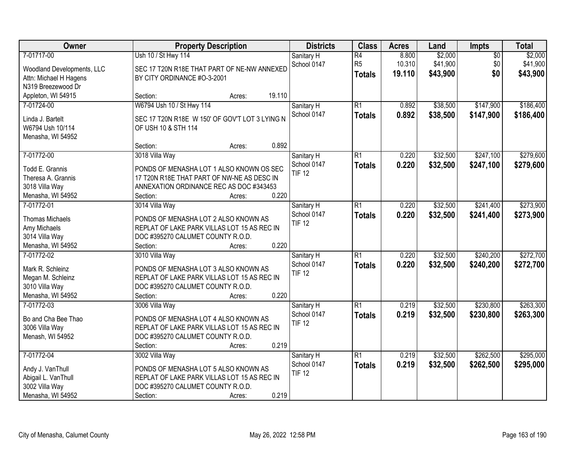| Owner                      | <b>Property Description</b>                    | <b>Districts</b>             | <b>Class</b>    | <b>Acres</b> | Land     | <b>Impts</b>    | <b>Total</b> |
|----------------------------|------------------------------------------------|------------------------------|-----------------|--------------|----------|-----------------|--------------|
| 7-01717-00                 | Ush 10 / St Hwy 114                            | Sanitary H                   | $\overline{R4}$ | 8.800        | \$2,000  | $\overline{50}$ | \$2,000      |
| Woodland Developments, LLC | SEC 17 T20N R18E THAT PART OF NE-NW ANNEXED    | School 0147                  | R <sub>5</sub>  | 10.310       | \$41,900 | \$0             | \$41,900     |
| Attn: Michael H Hagens     | BY CITY ORDINANCE #O-3-2001                    |                              | <b>Totals</b>   | 19.110       | \$43,900 | \$0             | \$43,900     |
| N319 Breezewood Dr         |                                                |                              |                 |              |          |                 |              |
| Appleton, WI 54915         | 19.110<br>Section:<br>Acres:                   |                              |                 |              |          |                 |              |
| 7-01724-00                 | W6794 Ush 10 / St Hwy 114                      | Sanitary H                   | R1              | 0.892        | \$38,500 | \$147,900       | \$186,400    |
|                            |                                                | School 0147                  | <b>Totals</b>   | 0.892        | \$38,500 | \$147,900       | \$186,400    |
| Linda J. Bartelt           | SEC 17 T20N R18E W 150' OF GOV'T LOT 3 LYING N |                              |                 |              |          |                 |              |
| W6794 Ush 10/114           | OF USH 10 & STH 114                            |                              |                 |              |          |                 |              |
| Menasha, WI 54952          | 0.892<br>Section:<br>Acres:                    |                              |                 |              |          |                 |              |
| 7-01772-00                 | 3018 Villa Way                                 | Sanitary H                   | R1              | 0.220        | \$32,500 | \$247,100       | \$279,600    |
|                            |                                                | School 0147                  |                 | 0.220        | \$32,500 | \$247,100       |              |
| Todd E. Grannis            | PONDS OF MENASHA LOT 1 ALSO KNOWN OS SEC       | <b>TIF 12</b>                | <b>Totals</b>   |              |          |                 | \$279,600    |
| Theresa A. Grannis         | 17 T20N R18E THAT PART OF NW-NE AS DESC IN     |                              |                 |              |          |                 |              |
| 3018 Villa Way             | ANNEXATION ORDINANCE REC AS DOC #343453        |                              |                 |              |          |                 |              |
| Menasha, WI 54952          | 0.220<br>Section:<br>Acres:                    |                              |                 |              |          |                 |              |
| 7-01772-01                 | 3014 Villa Way                                 | Sanitary H                   | $\overline{R1}$ | 0.220        | \$32,500 | \$241,400       | \$273,900    |
| <b>Thomas Michaels</b>     | PONDS OF MENASHA LOT 2 ALSO KNOWN AS           | School 0147                  | <b>Totals</b>   | 0.220        | \$32,500 | \$241,400       | \$273,900    |
| Amy Michaels               | REPLAT OF LAKE PARK VILLAS LOT 15 AS REC IN    | <b>TIF 12</b>                |                 |              |          |                 |              |
| 3014 Villa Way             | DOC #395270 CALUMET COUNTY R.O.D.              |                              |                 |              |          |                 |              |
| Menasha, WI 54952          | 0.220<br>Section:<br>Acres:                    |                              |                 |              |          |                 |              |
| 7-01772-02                 | 3010 Villa Way                                 | Sanitary H                   | $\overline{R1}$ | 0.220        | \$32,500 | \$240,200       | \$272,700    |
|                            |                                                | School 0147                  | <b>Totals</b>   | 0.220        | \$32,500 | \$240,200       | \$272,700    |
| Mark R. Schleinz           | PONDS OF MENASHA LOT 3 ALSO KNOWN AS           | <b>TIF 12</b>                |                 |              |          |                 |              |
| Megan M. Schleinz          | REPLAT OF LAKE PARK VILLAS LOT 15 AS REC IN    |                              |                 |              |          |                 |              |
| 3010 Villa Way             | DOC #395270 CALUMET COUNTY R.O.D.              |                              |                 |              |          |                 |              |
| Menasha, WI 54952          | 0.220<br>Section:<br>Acres:                    |                              |                 |              |          |                 |              |
| 7-01772-03                 | 3006 Villa Way                                 | Sanitary H                   | R1              | 0.219        | \$32,500 | \$230,800       | \$263,300    |
| Bo and Cha Bee Thao        | PONDS OF MENASHA LOT 4 ALSO KNOWN AS           | School 0147<br><b>TIF 12</b> | <b>Totals</b>   | 0.219        | \$32,500 | \$230,800       | \$263,300    |
| 3006 Villa Way             | REPLAT OF LAKE PARK VILLAS LOT 15 AS REC IN    |                              |                 |              |          |                 |              |
| Menash, WI 54952           | DOC #395270 CALUMET COUNTY R.O.D.              |                              |                 |              |          |                 |              |
|                            | 0.219<br>Section:<br>Acres:                    |                              |                 |              |          |                 |              |
| 7-01772-04                 | 3002 Villa Way                                 | Sanitary H                   | R1              | 0.219        | \$32,500 | \$262,500       | \$295,000    |
| Andy J. VanThull           | PONDS OF MENASHA LOT 5 ALSO KNOWN AS           | School 0147                  | <b>Totals</b>   | 0.219        | \$32,500 | \$262,500       | \$295,000    |
| Abigail L. VanThull        | REPLAT OF LAKE PARK VILLAS LOT 15 AS REC IN    | <b>TIF 12</b>                |                 |              |          |                 |              |
| 3002 Villa Way             | DOC #395270 CALUMET COUNTY R.O.D.              |                              |                 |              |          |                 |              |
| Menasha, WI 54952          | 0.219<br>Section:<br>Acres:                    |                              |                 |              |          |                 |              |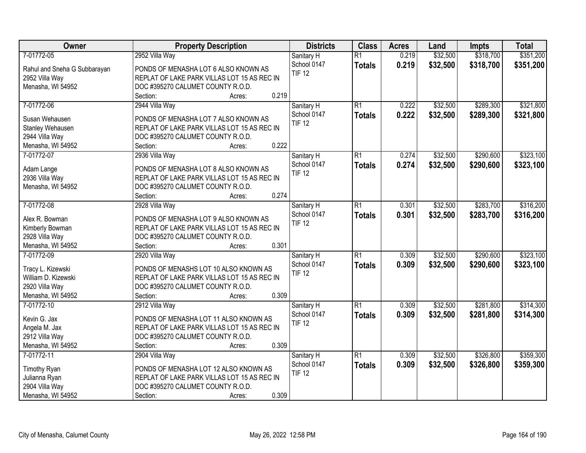| Owner                        | <b>Property Description</b>                 | <b>Districts</b> | <b>Class</b>    | <b>Acres</b> | Land     | <b>Impts</b> | <b>Total</b> |
|------------------------------|---------------------------------------------|------------------|-----------------|--------------|----------|--------------|--------------|
| 7-01772-05                   | 2952 Villa Way                              | Sanitary H       | $\overline{R1}$ | 0.219        | \$32,500 | \$318,700    | \$351,200    |
| Rahul and Sneha G Subbarayan | PONDS OF MENASHA LOT 6 ALSO KNOWN AS        | School 0147      | <b>Totals</b>   | 0.219        | \$32,500 | \$318,700    | \$351,200    |
| 2952 Villa Way               | REPLAT OF LAKE PARK VILLAS LOT 15 AS REC IN | <b>TIF 12</b>    |                 |              |          |              |              |
| Menasha, WI 54952            | DOC #395270 CALUMET COUNTY R.O.D.           |                  |                 |              |          |              |              |
|                              | 0.219<br>Section:<br>Acres:                 |                  |                 |              |          |              |              |
| 7-01772-06                   | 2944 Villa Way                              | Sanitary H       | $\overline{R1}$ | 0.222        | \$32,500 | \$289,300    | \$321,800    |
|                              |                                             | School 0147      | <b>Totals</b>   | 0.222        | \$32,500 | \$289,300    | \$321,800    |
| Susan Wehausen               | PONDS OF MENASHA LOT 7 ALSO KNOWN AS        | <b>TIF 12</b>    |                 |              |          |              |              |
| Stanley Wehausen             | REPLAT OF LAKE PARK VILLAS LOT 15 AS REC IN |                  |                 |              |          |              |              |
| 2944 Villa Way               | DOC #395270 CALUMET COUNTY R.O.D.           |                  |                 |              |          |              |              |
| Menasha, WI 54952            | 0.222<br>Section:<br>Acres:                 |                  |                 |              |          |              |              |
| 7-01772-07                   | 2936 Villa Way                              | Sanitary H       | $\overline{R1}$ | 0.274        | \$32,500 | \$290,600    | \$323,100    |
| Adam Lange                   | PONDS OF MENASHA LOT 8 ALSO KNOWN AS        | School 0147      | <b>Totals</b>   | 0.274        | \$32,500 | \$290,600    | \$323,100    |
| 2936 Villa Way               | REPLAT OF LAKE PARK VILLAS LOT 15 AS REC IN | <b>TIF 12</b>    |                 |              |          |              |              |
| Menasha, WI 54952            | DOC #395270 CALUMET COUNTY R.O.D.           |                  |                 |              |          |              |              |
|                              | 0.274<br>Section:<br>Acres:                 |                  |                 |              |          |              |              |
| 7-01772-08                   | 2928 Villa Way                              | Sanitary H       | $\overline{R1}$ | 0.301        | \$32,500 | \$283,700    | \$316,200    |
|                              |                                             | School 0147      | <b>Totals</b>   | 0.301        | \$32,500 | \$283,700    | \$316,200    |
| Alex R. Bowman               | PONDS OF MENASHA LOT 9 ALSO KNOWN AS        | <b>TIF 12</b>    |                 |              |          |              |              |
| Kimberly Bowman              | REPLAT OF LAKE PARK VILLAS LOT 15 AS REC IN |                  |                 |              |          |              |              |
| 2928 Villa Way               | DOC #395270 CALUMET COUNTY R.O.D.           |                  |                 |              |          |              |              |
| Menasha, WI 54952            | 0.301<br>Section:<br>Acres:                 |                  |                 |              |          |              |              |
| 7-01772-09                   | 2920 Villa Way                              | Sanitary H       | $\overline{R1}$ | 0.309        | \$32,500 | \$290,600    | \$323,100    |
| Tracy L. Kizewski            | PONDS OF MENASHS LOT 10 ALSO KNOWN AS       | School 0147      | <b>Totals</b>   | 0.309        | \$32,500 | \$290,600    | \$323,100    |
| William D. Kizewski          | REPLAT OF LAKE PARK VILLAS LOT 15 AS REC IN | <b>TIF 12</b>    |                 |              |          |              |              |
| 2920 Villa Way               | DOC #395270 CALUMET COUNTY R.O.D.           |                  |                 |              |          |              |              |
| Menasha, WI 54952            | 0.309<br>Section:<br>Acres:                 |                  |                 |              |          |              |              |
| 7-01772-10                   | 2912 Villa Way                              | Sanitary H       | $\overline{R1}$ | 0.309        | \$32,500 | \$281,800    | \$314,300    |
|                              |                                             | School 0147      | <b>Totals</b>   | 0.309        | \$32,500 | \$281,800    | \$314,300    |
| Kevin G. Jax                 | PONDS OF MENASHA LOT 11 ALSO KNOWN AS       | <b>TIF 12</b>    |                 |              |          |              |              |
| Angela M. Jax                | REPLAT OF LAKE PARK VILLAS LOT 15 AS REC IN |                  |                 |              |          |              |              |
| 2912 Villa Way               | DOC #395270 CALUMET COUNTY R.O.D.           |                  |                 |              |          |              |              |
| Menasha, WI 54952            | 0.309<br>Section:<br>Acres:                 |                  |                 |              |          |              |              |
| 7-01772-11                   | 2904 Villa Way                              | Sanitary H       | $\overline{R1}$ | 0.309        | \$32,500 | \$326,800    | \$359,300    |
| Timothy Ryan                 | PONDS OF MENASHA LOT 12 ALSO KNOWN AS       | School 0147      | <b>Totals</b>   | 0.309        | \$32,500 | \$326,800    | \$359,300    |
| Julianna Ryan                | REPLAT OF LAKE PARK VILLAS LOT 15 AS REC IN | <b>TIF 12</b>    |                 |              |          |              |              |
| 2904 Villa Way               | DOC #395270 CALUMET COUNTY R.O.D.           |                  |                 |              |          |              |              |
| Menasha, WI 54952            | 0.309<br>Section:<br>Acres:                 |                  |                 |              |          |              |              |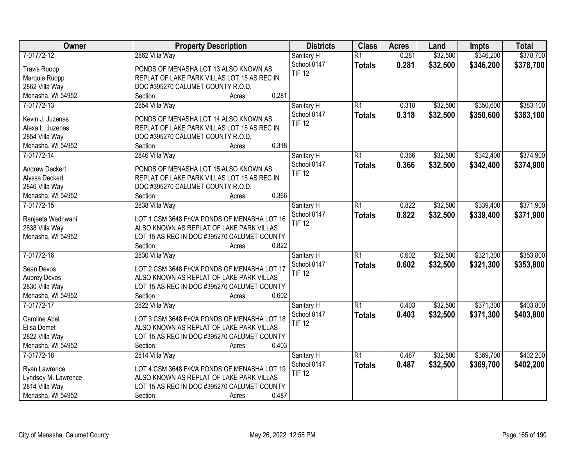| Owner                 | <b>Property Description</b>                  | <b>Districts</b> | <b>Class</b>    | <b>Acres</b> | Land     | <b>Impts</b> | <b>Total</b> |
|-----------------------|----------------------------------------------|------------------|-----------------|--------------|----------|--------------|--------------|
| 7-01772-12            | 2862 Villa Way                               | Sanitary H       | $\overline{R1}$ | 0.281        | \$32,500 | \$346,200    | \$378,700    |
| <b>Travis Ruopp</b>   | PONDS OF MENASHA LOT 13 ALSO KNOWN AS        | School 0147      | <b>Totals</b>   | 0.281        | \$32,500 | \$346,200    | \$378,700    |
| Marquie Ruopp         | REPLAT OF LAKE PARK VILLAS LOT 15 AS REC IN  | <b>TIF 12</b>    |                 |              |          |              |              |
| 2862 Villa Way        | DOC #395270 CALUMET COUNTY R.O.D.            |                  |                 |              |          |              |              |
| Menasha, WI 54952     | 0.281<br>Section:<br>Acres:                  |                  |                 |              |          |              |              |
| 7-01772-13            | 2854 Villa Way                               | Sanitary H       | $\overline{R1}$ | 0.318        | \$32,500 | \$350,600    | \$383,100    |
|                       |                                              | School 0147      | <b>Totals</b>   | 0.318        | \$32,500 | \$350,600    | \$383,100    |
| Kevin J. Juzenas      | PONDS OF MENASHA LOT 14 ALSO KNOWN AS        | <b>TIF 12</b>    |                 |              |          |              |              |
| Alexa L. Juzenas      | REPLAT OF LAKE PARK VILLAS LOT 15 AS REC IN  |                  |                 |              |          |              |              |
| 2854 Villa Way        | DOC #395270 CALUMET COUNTY R.O.D.            |                  |                 |              |          |              |              |
| Menasha, WI 54952     | 0.318<br>Section:<br>Acres:                  |                  |                 |              |          |              |              |
| 7-01772-14            | 2846 Villa Way                               | Sanitary H       | R1              | 0.366        | \$32,500 | \$342,400    | \$374,900    |
| <b>Andrew Deckert</b> | PONDS OF MENASHA LOT 15 ALSO KNOWN AS        | School 0147      | <b>Totals</b>   | 0.366        | \$32,500 | \$342,400    | \$374,900    |
| Alyssa Deckert        | REPLAT OF LAKE PARK VILLAS LOT 15 AS REC IN  | <b>TIF 12</b>    |                 |              |          |              |              |
| 2846 Villa Way        | DOC #395270 CALUMET COUNTY R.O.D.            |                  |                 |              |          |              |              |
| Menasha, WI 54952     | 0.366<br>Section:<br>Acres:                  |                  |                 |              |          |              |              |
| 7-01772-15            | 2838 Villa Way                               | Sanitary H       | $\overline{R1}$ | 0.822        | \$32,500 | \$339,400    | \$371,900    |
|                       |                                              | School 0147      |                 | 0.822        | \$32,500 | \$339,400    |              |
| Ranjeeta Wadhwani     | LOT 1 CSM 3648 F/K/A PONDS OF MENASHA LOT 16 | <b>TIF 12</b>    | <b>Totals</b>   |              |          |              | \$371,900    |
| 2838 Villa Way        | ALSO KNOWN AS REPLAT OF LAKE PARK VILLAS     |                  |                 |              |          |              |              |
| Menasha, WI 54952     | LOT 15 AS REC IN DOC #395270 CALUMET COUNTY  |                  |                 |              |          |              |              |
|                       | 0.822<br>Section:<br>Acres:                  |                  |                 |              |          |              |              |
| 7-01772-16            | 2830 Villa Way                               | Sanitary H       | $\overline{R1}$ | 0.602        | \$32,500 | \$321,300    | \$353,800    |
|                       |                                              | School 0147      | <b>Totals</b>   | 0.602        | \$32,500 | \$321,300    | \$353,800    |
| Sean Devos            | LOT 2 CSM 3648 F/K/A PONDS OF MENASHA LOT 17 | <b>TIF 12</b>    |                 |              |          |              |              |
| <b>Aubrey Devos</b>   | ALSO KNOWN AS REPLAT OF LAKE PARK VILLAS     |                  |                 |              |          |              |              |
| 2830 Villa Way        | LOT 15 AS REC IN DOC #395270 CALUMET COUNTY  |                  |                 |              |          |              |              |
| Menasha, WI 54952     | 0.602<br>Section:<br>Acres:                  |                  |                 |              |          |              |              |
| 7-01772-17            | 2822 Villa Way                               | Sanitary H       | $\overline{R1}$ | 0.403        | \$32,500 | \$371,300    | \$403,800    |
| Caroline Abel         | LOT 3 CSM 3648 F/K/A PONDS OF MENASHA LOT 18 | School 0147      | <b>Totals</b>   | 0.403        | \$32,500 | \$371,300    | \$403,800    |
| Elisa Demet           | ALSO KNOWN AS REPLAT OF LAKE PARK VILLAS     | <b>TIF 12</b>    |                 |              |          |              |              |
| 2822 Villa Way        | LOT 15 AS REC IN DOC #395270 CALUMET COUNTY  |                  |                 |              |          |              |              |
| Menasha, WI 54952     | 0.403<br>Section:<br>Acres:                  |                  |                 |              |          |              |              |
| 7-01772-18            | 2814 Villa Way                               | Sanitary H       | $\overline{R1}$ | 0.487        | \$32,500 | \$369,700    | \$402,200    |
|                       |                                              | School 0147      | <b>Totals</b>   | 0.487        | \$32,500 | \$369,700    | \$402,200    |
| Ryan Lawrence         | LOT 4 CSM 3648 F/K/A PONDS OF MENASHA LOT 19 | <b>TIF 12</b>    |                 |              |          |              |              |
| Lyndsey M. Lawrence   | ALSO KNOWN AS REPLAT OF LAKE PARK VILLAS     |                  |                 |              |          |              |              |
| 2814 Villa Way        | LOT 15 AS REC IN DOC #395270 CALUMET COUNTY  |                  |                 |              |          |              |              |
| Menasha, WI 54952     | Section:<br>0.487<br>Acres:                  |                  |                 |              |          |              |              |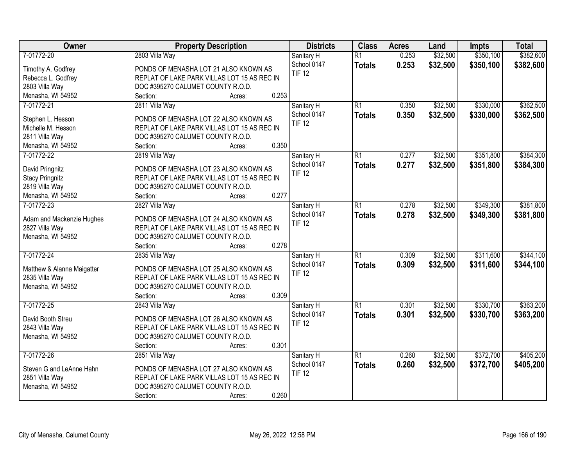| Owner                      | <b>Property Description</b>                            | <b>Districts</b>             | <b>Class</b>    | <b>Acres</b> | Land     | Impts     | <b>Total</b> |
|----------------------------|--------------------------------------------------------|------------------------------|-----------------|--------------|----------|-----------|--------------|
| 7-01772-20                 | 2803 Villa Way                                         | Sanitary H                   | $\overline{R1}$ | 0.253        | \$32,500 | \$350,100 | \$382,600    |
| Timothy A. Godfrey         | PONDS OF MENASHA LOT 21 ALSO KNOWN AS                  | School 0147                  | <b>Totals</b>   | 0.253        | \$32,500 | \$350,100 | \$382,600    |
| Rebecca L. Godfrey         | REPLAT OF LAKE PARK VILLAS LOT 15 AS REC IN            | <b>TIF 12</b>                |                 |              |          |           |              |
| 2803 Villa Way             | DOC #395270 CALUMET COUNTY R.O.D.                      |                              |                 |              |          |           |              |
| Menasha, WI 54952          | 0.253<br>Section:<br>Acres:                            |                              |                 |              |          |           |              |
| 7-01772-21                 | 2811 Villa Way                                         | Sanitary H                   | $\overline{R1}$ | 0.350        | \$32,500 | \$330,000 | \$362,500    |
|                            |                                                        | School 0147                  | <b>Totals</b>   | 0.350        | \$32,500 | \$330,000 | \$362,500    |
| Stephen L. Hesson          | PONDS OF MENASHA LOT 22 ALSO KNOWN AS                  | <b>TIF 12</b>                |                 |              |          |           |              |
| Michelle M. Hesson         | REPLAT OF LAKE PARK VILLAS LOT 15 AS REC IN            |                              |                 |              |          |           |              |
| 2811 Villa Way             | DOC #395270 CALUMET COUNTY R.O.D.                      |                              |                 |              |          |           |              |
| Menasha, WI 54952          | 0.350<br>Section:<br>Acres:                            |                              |                 |              |          |           |              |
| 7-01772-22                 | 2819 Villa Way                                         | Sanitary H                   | $\overline{R1}$ | 0.277        | \$32,500 | \$351,800 | \$384,300    |
| David Pringnitz            | PONDS OF MENASHA LOT 23 ALSO KNOWN AS                  | School 0147                  | <b>Totals</b>   | 0.277        | \$32,500 | \$351,800 | \$384,300    |
| <b>Stacy Pringnitz</b>     | REPLAT OF LAKE PARK VILLAS LOT 15 AS REC IN            | <b>TIF 12</b>                |                 |              |          |           |              |
| 2819 Villa Way             | DOC #395270 CALUMET COUNTY R.O.D.                      |                              |                 |              |          |           |              |
| Menasha, WI 54952          | 0.277<br>Section:<br>Acres:                            |                              |                 |              |          |           |              |
| 7-01772-23                 | 2827 Villa Way                                         | Sanitary H                   | $\overline{R1}$ | 0.278        | \$32,500 | \$349,300 | \$381,800    |
|                            |                                                        | School 0147                  | <b>Totals</b>   | 0.278        | \$32,500 | \$349,300 | \$381,800    |
| Adam and Mackenzie Hughes  | PONDS OF MENASHA LOT 24 ALSO KNOWN AS                  | <b>TIF 12</b>                |                 |              |          |           |              |
| 2827 Villa Way             | REPLAT OF LAKE PARK VILLAS LOT 15 AS REC IN            |                              |                 |              |          |           |              |
| Menasha, WI 54952          | DOC #395270 CALUMET COUNTY R.O.D.<br>0.278<br>Section: |                              |                 |              |          |           |              |
| 7-01772-24                 | Acres:                                                 |                              | $\overline{R1}$ | 0.309        | \$32,500 | \$311,600 | \$344,100    |
|                            | 2835 Villa Way                                         | Sanitary H                   |                 |              |          |           |              |
| Matthew & Alanna Maigatter | PONDS OF MENASHA LOT 25 ALSO KNOWN AS                  | School 0147<br><b>TIF 12</b> | <b>Totals</b>   | 0.309        | \$32,500 | \$311,600 | \$344,100    |
| 2835 Villa Way             | REPLAT OF LAKE PARK VILLAS LOT 15 AS REC IN            |                              |                 |              |          |           |              |
| Menasha, WI 54952          | DOC #395270 CALUMET COUNTY R.O.D.                      |                              |                 |              |          |           |              |
|                            | Section:<br>0.309<br>Acres:                            |                              |                 |              |          |           |              |
| 7-01772-25                 | 2843 Villa Way                                         | Sanitary H                   | $\overline{R1}$ | 0.301        | \$32,500 | \$330,700 | \$363,200    |
| David Booth Streu          | PONDS OF MENASHA LOT 26 ALSO KNOWN AS                  | School 0147                  | <b>Totals</b>   | 0.301        | \$32,500 | \$330,700 | \$363,200    |
| 2843 Villa Way             | REPLAT OF LAKE PARK VILLAS LOT 15 AS REC IN            | <b>TIF 12</b>                |                 |              |          |           |              |
| Menasha, WI 54952          | DOC #395270 CALUMET COUNTY R.O.D.                      |                              |                 |              |          |           |              |
|                            | 0.301<br>Section:<br>Acres:                            |                              |                 |              |          |           |              |
| 7-01772-26                 | 2851 Villa Way                                         | Sanitary H                   | $\overline{R1}$ | 0.260        | \$32,500 | \$372,700 | \$405,200    |
|                            |                                                        | School 0147                  | <b>Totals</b>   | 0.260        | \$32,500 | \$372,700 | \$405,200    |
| Steven G and LeAnne Hahn   | PONDS OF MENASHA LOT 27 ALSO KNOWN AS                  | <b>TIF 12</b>                |                 |              |          |           |              |
| 2851 Villa Way             | REPLAT OF LAKE PARK VILLAS LOT 15 AS REC IN            |                              |                 |              |          |           |              |
| Menasha, WI 54952          | DOC #395270 CALUMET COUNTY R.O.D.                      |                              |                 |              |          |           |              |
|                            | 0.260<br>Section:<br>Acres:                            |                              |                 |              |          |           |              |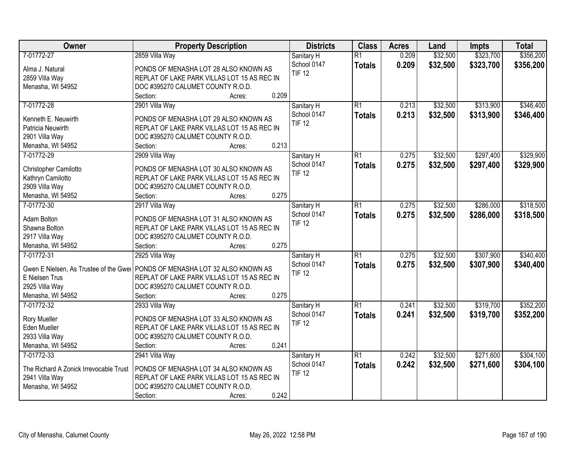| Owner                                  | <b>Property Description</b>                                                    | <b>Districts</b> | <b>Class</b>    | <b>Acres</b> | Land     | <b>Impts</b> | <b>Total</b> |
|----------------------------------------|--------------------------------------------------------------------------------|------------------|-----------------|--------------|----------|--------------|--------------|
| 7-01772-27                             | 2859 Villa Way                                                                 | Sanitary H       | $\overline{R1}$ | 0.209        | \$32,500 | \$323,700    | \$356,200    |
| Alma J. Natural                        | PONDS OF MENASHA LOT 28 ALSO KNOWN AS                                          | School 0147      | <b>Totals</b>   | 0.209        | \$32,500 | \$323,700    | \$356,200    |
| 2859 Villa Way                         | REPLAT OF LAKE PARK VILLAS LOT 15 AS REC IN                                    | <b>TIF 12</b>    |                 |              |          |              |              |
| Menasha, WI 54952                      | DOC #395270 CALUMET COUNTY R.O.D.                                              |                  |                 |              |          |              |              |
|                                        | 0.209<br>Section:<br>Acres:                                                    |                  |                 |              |          |              |              |
| 7-01772-28                             | 2901 Villa Way                                                                 | Sanitary H       | $\overline{R1}$ | 0.213        | \$32,500 | \$313,900    | \$346,400    |
|                                        |                                                                                | School 0147      | <b>Totals</b>   | 0.213        | \$32,500 | \$313,900    | \$346,400    |
| Kenneth E. Neuwirth                    | PONDS OF MENASHA LOT 29 ALSO KNOWN AS                                          | <b>TIF 12</b>    |                 |              |          |              |              |
| Patricia Neuwirth                      | REPLAT OF LAKE PARK VILLAS LOT 15 AS REC IN                                    |                  |                 |              |          |              |              |
| 2901 Villa Way                         | DOC #395270 CALUMET COUNTY R.O.D.                                              |                  |                 |              |          |              |              |
| Menasha, WI 54952                      | 0.213<br>Section:<br>Acres:                                                    |                  |                 |              |          |              |              |
| 7-01772-29                             | 2909 Villa Way                                                                 | Sanitary H       | $\overline{R1}$ | 0.275        | \$32,500 | \$297,400    | \$329,900    |
| Christopher Camilotto                  | PONDS OF MENASHA LOT 30 ALSO KNOWN AS                                          | School 0147      | <b>Totals</b>   | 0.275        | \$32,500 | \$297,400    | \$329,900    |
| Kathryn Camilotto                      | REPLAT OF LAKE PARK VILLAS LOT 15 AS REC IN                                    | <b>TIF 12</b>    |                 |              |          |              |              |
| 2909 Villa Way                         | DOC #395270 CALUMET COUNTY R.O.D.                                              |                  |                 |              |          |              |              |
| Menasha, WI 54952                      | 0.275<br>Section:<br>Acres:                                                    |                  |                 |              |          |              |              |
| 7-01772-30                             | 2917 Villa Way                                                                 | Sanitary H       | $\overline{R1}$ | 0.275        | \$32,500 | \$286,000    | \$318,500    |
|                                        |                                                                                | School 0147      | <b>Totals</b>   | 0.275        | \$32,500 | \$286,000    | \$318,500    |
| Adam Bolton                            | PONDS OF MENASHA LOT 31 ALSO KNOWN AS                                          | <b>TIF 12</b>    |                 |              |          |              |              |
| Shawna Bolton                          | REPLAT OF LAKE PARK VILLAS LOT 15 AS REC IN                                    |                  |                 |              |          |              |              |
| 2917 Villa Way                         | DOC #395270 CALUMET COUNTY R.O.D.                                              |                  |                 |              |          |              |              |
| Menasha, WI 54952                      | 0.275<br>Section:<br>Acres:                                                    |                  |                 |              |          |              |              |
| 7-01772-31                             | 2925 Villa Way                                                                 | Sanitary H       | $\overline{R1}$ | 0.275        | \$32,500 | \$307,900    | \$340,400    |
|                                        | Gwen E Nielsen, As Trustee of the Gwei   PONDS OF MENASHA LOT 32 ALSO KNOWN AS | School 0147      | <b>Totals</b>   | 0.275        | \$32,500 | \$307,900    | \$340,400    |
| E Nielsen Trus                         | REPLAT OF LAKE PARK VILLAS LOT 15 AS REC IN                                    | <b>TIF 12</b>    |                 |              |          |              |              |
| 2925 Villa Way                         | DOC #395270 CALUMET COUNTY R.O.D.                                              |                  |                 |              |          |              |              |
| Menasha, WI 54952                      | 0.275<br>Section:<br>Acres:                                                    |                  |                 |              |          |              |              |
| 7-01772-32                             | 2933 Villa Way                                                                 | Sanitary H       | $\overline{R1}$ | 0.241        | \$32,500 | \$319,700    | \$352,200    |
|                                        |                                                                                | School 0147      | <b>Totals</b>   | 0.241        | \$32,500 | \$319,700    | \$352,200    |
| Rory Mueller                           | PONDS OF MENASHA LOT 33 ALSO KNOWN AS                                          | <b>TIF 12</b>    |                 |              |          |              |              |
| Eden Mueller                           | REPLAT OF LAKE PARK VILLAS LOT 15 AS REC IN                                    |                  |                 |              |          |              |              |
| 2933 Villa Way                         | DOC #395270 CALUMET COUNTY R.O.D.                                              |                  |                 |              |          |              |              |
| Menasha, WI 54952                      | 0.241<br>Section:<br>Acres:                                                    |                  |                 |              |          |              |              |
| 7-01772-33                             | 2941 Villa Way                                                                 | Sanitary H       | $\overline{R1}$ | 0.242        | \$32,500 | \$271,600    | \$304,100    |
| The Richard A Zonick Irrevocable Trust | PONDS OF MENASHA LOT 34 ALSO KNOWN AS                                          | School 0147      | <b>Totals</b>   | 0.242        | \$32,500 | \$271,600    | \$304,100    |
| 2941 Villa Way                         | REPLAT OF LAKE PARK VILLAS LOT 15 AS REC IN                                    | <b>TIF 12</b>    |                 |              |          |              |              |
| Menasha, WI 54952                      | DOC #395270 CALUMET COUNTY R.O.D.                                              |                  |                 |              |          |              |              |
|                                        | 0.242<br>Section:<br>Acres:                                                    |                  |                 |              |          |              |              |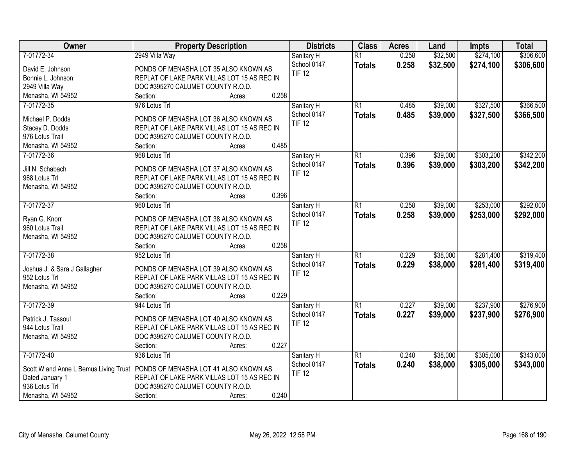| Owner                                 | <b>Property Description</b>                            | <b>Districts</b>          | <b>Class</b>    | <b>Acres</b> | Land     | Impts     | <b>Total</b> |
|---------------------------------------|--------------------------------------------------------|---------------------------|-----------------|--------------|----------|-----------|--------------|
| 7-01772-34                            | 2949 Villa Way                                         | Sanitary H                | $\overline{R1}$ | 0.258        | \$32,500 | \$274,100 | \$306,600    |
| David E. Johnson                      | PONDS OF MENASHA LOT 35 ALSO KNOWN AS                  | School 0147               | <b>Totals</b>   | 0.258        | \$32,500 | \$274,100 | \$306,600    |
| Bonnie L. Johnson                     | REPLAT OF LAKE PARK VILLAS LOT 15 AS REC IN            | <b>TIF 12</b>             |                 |              |          |           |              |
| 2949 Villa Way                        | DOC #395270 CALUMET COUNTY R.O.D.                      |                           |                 |              |          |           |              |
| Menasha, WI 54952                     | 0.258<br>Section:<br>Acres:                            |                           |                 |              |          |           |              |
| 7-01772-35                            | 976 Lotus Trl                                          | Sanitary H                | $\overline{R1}$ | 0.485        | \$39,000 | \$327,500 | \$366,500    |
|                                       |                                                        | School 0147               | <b>Totals</b>   | 0.485        | \$39,000 | \$327,500 | \$366,500    |
| Michael P. Dodds                      | PONDS OF MENASHA LOT 36 ALSO KNOWN AS                  | <b>TIF 12</b>             |                 |              |          |           |              |
| Stacey D. Dodds                       | REPLAT OF LAKE PARK VILLAS LOT 15 AS REC IN            |                           |                 |              |          |           |              |
| 976 Lotus Trail                       | DOC #395270 CALUMET COUNTY R.O.D.                      |                           |                 |              |          |           |              |
| Menasha, WI 54952                     | 0.485<br>Section:<br>Acres:                            |                           |                 |              |          |           |              |
| 7-01772-36                            | 968 Lotus Trl                                          | Sanitary H                | $\overline{R1}$ | 0.396        | \$39,000 | \$303,200 | \$342,200    |
| Jill N. Schabach                      | PONDS OF MENASHA LOT 37 ALSO KNOWN AS                  | School 0147               | <b>Totals</b>   | 0.396        | \$39,000 | \$303,200 | \$342,200    |
| 968 Lotus Trl                         | REPLAT OF LAKE PARK VILLAS LOT 15 AS REC IN            | <b>TIF 12</b>             |                 |              |          |           |              |
| Menasha, WI 54952                     | DOC #395270 CALUMET COUNTY R.O.D.                      |                           |                 |              |          |           |              |
|                                       | 0.396<br>Section:<br>Acres:                            |                           |                 |              |          |           |              |
| 7-01772-37                            | 960 Lotus Trl                                          | Sanitary H                | $\overline{R1}$ | 0.258        | \$39,000 | \$253,000 | \$292,000    |
|                                       |                                                        | School 0147               | <b>Totals</b>   | 0.258        | \$39,000 | \$253,000 | \$292,000    |
| Ryan G. Knorr                         | PONDS OF MENASHA LOT 38 ALSO KNOWN AS                  | <b>TIF 12</b>             |                 |              |          |           |              |
| 960 Lotus Trail                       | REPLAT OF LAKE PARK VILLAS LOT 15 AS REC IN            |                           |                 |              |          |           |              |
| Menasha, WI 54952                     | DOC #395270 CALUMET COUNTY R.O.D.<br>0.258<br>Section: |                           |                 |              |          |           |              |
| 7-01772-38                            | Acres:<br>952 Lotus Trl                                |                           | $\overline{R1}$ | 0.229        | \$38,000 | \$281,400 | \$319,400    |
|                                       |                                                        | Sanitary H<br>School 0147 |                 | 0.229        |          |           |              |
| Joshua J. & Sara J Gallagher          | PONDS OF MENASHA LOT 39 ALSO KNOWN AS                  | <b>TIF 12</b>             | <b>Totals</b>   |              | \$38,000 | \$281,400 | \$319,400    |
| 952 Lotus Trl                         | REPLAT OF LAKE PARK VILLAS LOT 15 AS REC IN            |                           |                 |              |          |           |              |
| Menasha, WI 54952                     | DOC #395270 CALUMET COUNTY R.O.D.                      |                           |                 |              |          |           |              |
|                                       | 0.229<br>Section:<br>Acres:                            |                           |                 |              |          |           |              |
| 7-01772-39                            | 944 Lotus Trl                                          | Sanitary H                | $\overline{R1}$ | 0.227        | \$39,000 | \$237,900 | \$276,900    |
| Patrick J. Tassoul                    | PONDS OF MENASHA LOT 40 ALSO KNOWN AS                  | School 0147               | <b>Totals</b>   | 0.227        | \$39,000 | \$237,900 | \$276,900    |
| 944 Lotus Trail                       | REPLAT OF LAKE PARK VILLAS LOT 15 AS REC IN            | <b>TIF 12</b>             |                 |              |          |           |              |
| Menasha, WI 54952                     | DOC #395270 CALUMET COUNTY R.O.D.                      |                           |                 |              |          |           |              |
|                                       | 0.227<br>Section:<br>Acres:                            |                           |                 |              |          |           |              |
| 7-01772-40                            | 936 Lotus Trl                                          | Sanitary H                | $\overline{R1}$ | 0.240        | \$38,000 | \$305,000 | \$343,000    |
|                                       |                                                        | School 0147               | <b>Totals</b>   | 0.240        | \$38,000 | \$305,000 | \$343,000    |
| Scott W and Anne L Bemus Living Trust | PONDS OF MENASHA LOT 41 ALSO KNOWN AS                  | <b>TIF 12</b>             |                 |              |          |           |              |
| Dated January 1                       | REPLAT OF LAKE PARK VILLAS LOT 15 AS REC IN            |                           |                 |              |          |           |              |
| 936 Lotus Trl                         | DOC #395270 CALUMET COUNTY R.O.D.                      |                           |                 |              |          |           |              |
| Menasha, WI 54952                     | 0.240<br>Section:<br>Acres:                            |                           |                 |              |          |           |              |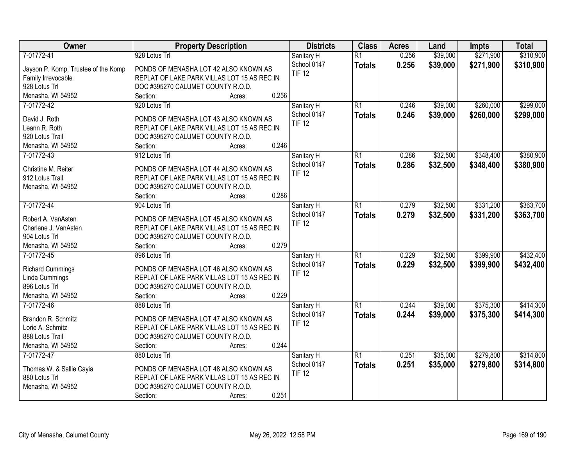| Owner                               | <b>Property Description</b>                 | <b>Districts</b>             | <b>Class</b>    | <b>Acres</b> | Land     | Impts     | <b>Total</b> |
|-------------------------------------|---------------------------------------------|------------------------------|-----------------|--------------|----------|-----------|--------------|
| 7-01772-41                          | 928 Lotus Trl                               | Sanitary H                   | $\overline{R1}$ | 0.256        | \$39,000 | \$271,900 | \$310,900    |
| Jayson P. Komp, Trustee of the Komp | PONDS OF MENASHA LOT 42 ALSO KNOWN AS       | School 0147                  | <b>Totals</b>   | 0.256        | \$39,000 | \$271,900 | \$310,900    |
| Family Irrevocable                  | REPLAT OF LAKE PARK VILLAS LOT 15 AS REC IN | <b>TIF 12</b>                |                 |              |          |           |              |
| 928 Lotus Trl                       | DOC #395270 CALUMET COUNTY R.O.D.           |                              |                 |              |          |           |              |
| Menasha, WI 54952                   | 0.256<br>Section:<br>Acres:                 |                              |                 |              |          |           |              |
| 7-01772-42                          | 920 Lotus Trl                               | Sanitary H                   | $\overline{R1}$ | 0.246        | \$39,000 | \$260,000 | \$299,000    |
|                                     |                                             | School 0147                  | <b>Totals</b>   | 0.246        | \$39,000 | \$260,000 | \$299,000    |
| David J. Roth                       | PONDS OF MENASHA LOT 43 ALSO KNOWN AS       | <b>TIF 12</b>                |                 |              |          |           |              |
| Leann R. Roth                       | REPLAT OF LAKE PARK VILLAS LOT 15 AS REC IN |                              |                 |              |          |           |              |
| 920 Lotus Trail                     | DOC #395270 CALUMET COUNTY R.O.D.           |                              |                 |              |          |           |              |
| Menasha, WI 54952                   | 0.246<br>Section:<br>Acres:                 |                              |                 |              |          |           |              |
| 7-01772-43                          | 912 Lotus Trl                               | Sanitary H                   | $\overline{R1}$ | 0.286        | \$32,500 | \$348,400 | \$380,900    |
| Christine M. Reiter                 | PONDS OF MENASHA LOT 44 ALSO KNOWN AS       | School 0147                  | <b>Totals</b>   | 0.286        | \$32,500 | \$348,400 | \$380,900    |
| 912 Lotus Trail                     | REPLAT OF LAKE PARK VILLAS LOT 15 AS REC IN | <b>TIF 12</b>                |                 |              |          |           |              |
| Menasha, WI 54952                   | DOC #395270 CALUMET COUNTY R.O.D.           |                              |                 |              |          |           |              |
|                                     | 0.286<br>Section:<br>Acres:                 |                              |                 |              |          |           |              |
| 7-01772-44                          | 904 Lotus Trl                               | Sanitary H                   | R1              | 0.279        | \$32,500 | \$331,200 | \$363,700    |
|                                     |                                             | School 0147                  | <b>Totals</b>   | 0.279        | \$32,500 | \$331,200 | \$363,700    |
| Robert A. VanAsten                  | PONDS OF MENASHA LOT 45 ALSO KNOWN AS       | <b>TIF 12</b>                |                 |              |          |           |              |
| Charlene J. VanAsten                | REPLAT OF LAKE PARK VILLAS LOT 15 AS REC IN |                              |                 |              |          |           |              |
| 904 Lotus Trl                       | DOC #395270 CALUMET COUNTY R.O.D.<br>0.279  |                              |                 |              |          |           |              |
| Menasha, WI 54952<br>7-01772-45     | Section:<br>Acres:                          |                              | $\overline{R1}$ | 0.229        | \$32,500 | \$399,900 | \$432,400    |
|                                     | 896 Lotus Trl                               | Sanitary H                   |                 |              |          |           |              |
| <b>Richard Cummings</b>             | PONDS OF MENASHA LOT 46 ALSO KNOWN AS       | School 0147<br><b>TIF 12</b> | <b>Totals</b>   | 0.229        | \$32,500 | \$399,900 | \$432,400    |
| Linda Cummings                      | REPLAT OF LAKE PARK VILLAS LOT 15 AS REC IN |                              |                 |              |          |           |              |
| 896 Lotus Trl                       | DOC #395270 CALUMET COUNTY R.O.D.           |                              |                 |              |          |           |              |
| Menasha, WI 54952                   | 0.229<br>Section:<br>Acres:                 |                              |                 |              |          |           |              |
| 7-01772-46                          | 888 Lotus Trl                               | Sanitary H                   | $\overline{R1}$ | 0.244        | \$39,000 | \$375,300 | \$414,300    |
| Brandon R. Schmitz                  | PONDS OF MENASHA LOT 47 ALSO KNOWN AS       | School 0147                  | <b>Totals</b>   | 0.244        | \$39,000 | \$375,300 | \$414,300    |
| Lorie A. Schmitz                    | REPLAT OF LAKE PARK VILLAS LOT 15 AS REC IN | <b>TIF 12</b>                |                 |              |          |           |              |
| 888 Lotus Trail                     | DOC #395270 CALUMET COUNTY R.O.D.           |                              |                 |              |          |           |              |
| Menasha, WI 54952                   | 0.244<br>Section:<br>Acres:                 |                              |                 |              |          |           |              |
| 7-01772-47                          | 880 Lotus Trl                               | Sanitary H                   | $\overline{R1}$ | 0.251        | \$35,000 | \$279,800 | \$314,800    |
|                                     |                                             | School 0147                  |                 | 0.251        | \$35,000 | \$279,800 |              |
| Thomas W. & Sallie Cayia            | PONDS OF MENASHA LOT 48 ALSO KNOWN AS       | <b>TIF 12</b>                | <b>Totals</b>   |              |          |           | \$314,800    |
| 880 Lotus Trl                       | REPLAT OF LAKE PARK VILLAS LOT 15 AS REC IN |                              |                 |              |          |           |              |
| Menasha, WI 54952                   | DOC #395270 CALUMET COUNTY R.O.D.           |                              |                 |              |          |           |              |
|                                     | 0.251<br>Section:<br>Acres:                 |                              |                 |              |          |           |              |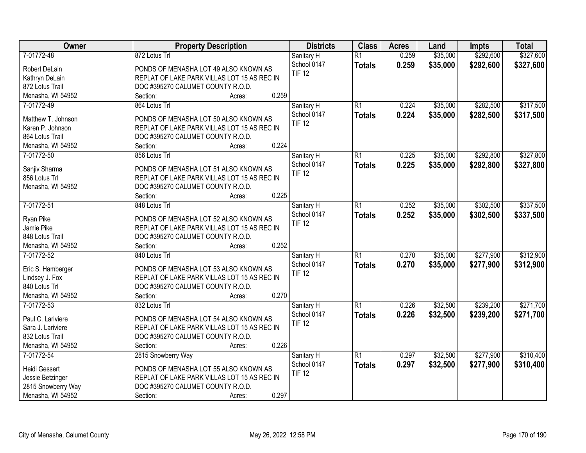| Owner              | <b>Property Description</b>                 | <b>Districts</b>          | <b>Class</b>    | <b>Acres</b> | Land     | Impts     | <b>Total</b> |
|--------------------|---------------------------------------------|---------------------------|-----------------|--------------|----------|-----------|--------------|
| 7-01772-48         | 872 Lotus Trl                               | Sanitary H                | $\overline{R1}$ | 0.259        | \$35,000 | \$292,600 | \$327,600    |
| Robert DeLain      | PONDS OF MENASHA LOT 49 ALSO KNOWN AS       | School 0147               | <b>Totals</b>   | 0.259        | \$35,000 | \$292,600 | \$327,600    |
| Kathryn DeLain     | REPLAT OF LAKE PARK VILLAS LOT 15 AS REC IN | <b>TIF 12</b>             |                 |              |          |           |              |
| 872 Lotus Trail    | DOC #395270 CALUMET COUNTY R.O.D.           |                           |                 |              |          |           |              |
| Menasha, WI 54952  | 0.259<br>Section:<br>Acres:                 |                           |                 |              |          |           |              |
| 7-01772-49         | 864 Lotus Trl                               | Sanitary H                | $\overline{R1}$ | 0.224        | \$35,000 | \$282,500 | \$317,500    |
|                    |                                             | School 0147               | <b>Totals</b>   | 0.224        | \$35,000 | \$282,500 | \$317,500    |
| Matthew T. Johnson | PONDS OF MENASHA LOT 50 ALSO KNOWN AS       | <b>TIF 12</b>             |                 |              |          |           |              |
| Karen P. Johnson   | REPLAT OF LAKE PARK VILLAS LOT 15 AS REC IN |                           |                 |              |          |           |              |
| 864 Lotus Trail    | DOC #395270 CALUMET COUNTY R.O.D.           |                           |                 |              |          |           |              |
| Menasha, WI 54952  | 0.224<br>Section:<br>Acres:                 |                           |                 |              |          |           |              |
| 7-01772-50         | 856 Lotus Trl                               | Sanitary H                | $\overline{R1}$ | 0.225        | \$35,000 | \$292,800 | \$327,800    |
| Sanjiv Sharma      | PONDS OF MENASHA LOT 51 ALSO KNOWN AS       | School 0147               | <b>Totals</b>   | 0.225        | \$35,000 | \$292,800 | \$327,800    |
| 856 Lotus Trl      | REPLAT OF LAKE PARK VILLAS LOT 15 AS REC IN | <b>TIF 12</b>             |                 |              |          |           |              |
| Menasha, WI 54952  | DOC #395270 CALUMET COUNTY R.O.D.           |                           |                 |              |          |           |              |
|                    | 0.225<br>Section:<br>Acres:                 |                           |                 |              |          |           |              |
| 7-01772-51         | 848 Lotus Trl                               | Sanitary H                | $\overline{R1}$ | 0.252        | \$35,000 | \$302,500 | \$337,500    |
|                    |                                             | School 0147               | <b>Totals</b>   | 0.252        | \$35,000 | \$302,500 | \$337,500    |
| Ryan Pike          | PONDS OF MENASHA LOT 52 ALSO KNOWN AS       | <b>TIF 12</b>             |                 |              |          |           |              |
| Jamie Pike         | REPLAT OF LAKE PARK VILLAS LOT 15 AS REC IN |                           |                 |              |          |           |              |
| 848 Lotus Trail    | DOC #395270 CALUMET COUNTY R.O.D.           |                           |                 |              |          |           |              |
| Menasha, WI 54952  | 0.252<br>Section:<br>Acres:                 |                           |                 |              |          |           |              |
| 7-01772-52         | 840 Lotus Trl                               | Sanitary H                | $\overline{R1}$ | 0.270        | \$35,000 | \$277,900 | \$312,900    |
| Eric S. Hamberger  | PONDS OF MENASHA LOT 53 ALSO KNOWN AS       | School 0147               | <b>Totals</b>   | 0.270        | \$35,000 | \$277,900 | \$312,900    |
| Lindsey J. Fox     | REPLAT OF LAKE PARK VILLAS LOT 15 AS REC IN | <b>TIF 12</b>             |                 |              |          |           |              |
| 840 Lotus Trl      | DOC #395270 CALUMET COUNTY R.O.D.           |                           |                 |              |          |           |              |
| Menasha, WI 54952  | 0.270<br>Section:<br>Acres:                 |                           |                 |              |          |           |              |
| 7-01772-53         | 832 Lotus Trl                               |                           | R1              | 0.226        | \$32,500 | \$239,200 | \$271,700    |
|                    |                                             | Sanitary H<br>School 0147 |                 |              |          |           |              |
| Paul C. Lariviere  | PONDS OF MENASHA LOT 54 ALSO KNOWN AS       | <b>TIF 12</b>             | <b>Totals</b>   | 0.226        | \$32,500 | \$239,200 | \$271,700    |
| Sara J. Lariviere  | REPLAT OF LAKE PARK VILLAS LOT 15 AS REC IN |                           |                 |              |          |           |              |
| 832 Lotus Trail    | DOC #395270 CALUMET COUNTY R.O.D.           |                           |                 |              |          |           |              |
| Menasha, WI 54952  | 0.226<br>Section:<br>Acres:                 |                           |                 |              |          |           |              |
| 7-01772-54         | 2815 Snowberry Way                          | Sanitary H                | $\overline{R1}$ | 0.297        | \$32,500 | \$277,900 | \$310,400    |
|                    |                                             | School 0147               | <b>Totals</b>   | 0.297        | \$32,500 | \$277,900 | \$310,400    |
| Heidi Gessert      | PONDS OF MENASHA LOT 55 ALSO KNOWN AS       | <b>TIF 12</b>             |                 |              |          |           |              |
| Jessie Betzinger   | REPLAT OF LAKE PARK VILLAS LOT 15 AS REC IN |                           |                 |              |          |           |              |
| 2815 Snowberry Way | DOC #395270 CALUMET COUNTY R.O.D.           |                           |                 |              |          |           |              |
| Menasha, WI 54952  | 0.297<br>Section:<br>Acres:                 |                           |                 |              |          |           |              |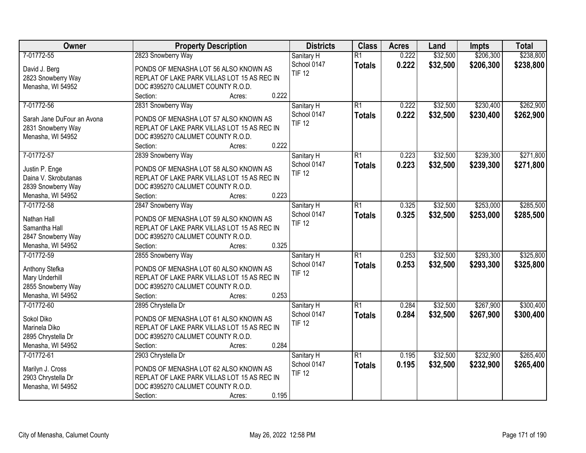| Owner                           | <b>Property Description</b>                 | <b>Districts</b> | <b>Class</b>    | <b>Acres</b> | Land     | <b>Impts</b> | <b>Total</b> |
|---------------------------------|---------------------------------------------|------------------|-----------------|--------------|----------|--------------|--------------|
| 7-01772-55                      | 2823 Snowberry Way                          | Sanitary H       | $\overline{R1}$ | 0.222        | \$32,500 | \$206,300    | \$238,800    |
| David J. Berg                   | PONDS OF MENASHA LOT 56 ALSO KNOWN AS       | School 0147      | <b>Totals</b>   | 0.222        | \$32,500 | \$206,300    | \$238,800    |
| 2823 Snowberry Way              | REPLAT OF LAKE PARK VILLAS LOT 15 AS REC IN | <b>TIF 12</b>    |                 |              |          |              |              |
| Menasha, WI 54952               | DOC #395270 CALUMET COUNTY R.O.D.           |                  |                 |              |          |              |              |
|                                 | 0.222<br>Section:<br>Acres:                 |                  |                 |              |          |              |              |
| 7-01772-56                      | 2831 Snowberry Way                          | Sanitary H       | $\overline{R1}$ | 0.222        | \$32,500 | \$230,400    | \$262,900    |
|                                 |                                             | School 0147      | <b>Totals</b>   | 0.222        | \$32,500 | \$230,400    | \$262,900    |
| Sarah Jane DuFour an Avona      | PONDS OF MENASHA LOT 57 ALSO KNOWN AS       | <b>TIF 12</b>    |                 |              |          |              |              |
| 2831 Snowberry Way              | REPLAT OF LAKE PARK VILLAS LOT 15 AS REC IN |                  |                 |              |          |              |              |
| Menasha, WI 54952               | DOC #395270 CALUMET COUNTY R.O.D.<br>0.222  |                  |                 |              |          |              |              |
|                                 | Section:<br>Acres:                          |                  |                 |              |          |              |              |
| 7-01772-57                      | 2839 Snowberry Way                          | Sanitary H       | $\overline{R1}$ | 0.223        | \$32,500 | \$239,300    | \$271,800    |
| Justin P. Enge                  | PONDS OF MENASHA LOT 58 ALSO KNOWN AS       | School 0147      | <b>Totals</b>   | 0.223        | \$32,500 | \$239,300    | \$271,800    |
| Daina V. Skrobutanas            | REPLAT OF LAKE PARK VILLAS LOT 15 AS REC IN | <b>TIF 12</b>    |                 |              |          |              |              |
| 2839 Snowberry Way              | DOC #395270 CALUMET COUNTY R.O.D.           |                  |                 |              |          |              |              |
| Menasha, WI 54952               | 0.223<br>Section:<br>Acres:                 |                  |                 |              |          |              |              |
| 7-01772-58                      | 2847 Snowberry Way                          | Sanitary H       | $\overline{R1}$ | 0.325        | \$32,500 | \$253,000    | \$285,500    |
|                                 |                                             | School 0147      | <b>Totals</b>   | 0.325        | \$32,500 | \$253,000    | \$285,500    |
| Nathan Hall                     | PONDS OF MENASHA LOT 59 ALSO KNOWN AS       | <b>TIF 12</b>    |                 |              |          |              |              |
| Samantha Hall                   | REPLAT OF LAKE PARK VILLAS LOT 15 AS REC IN |                  |                 |              |          |              |              |
| 2847 Snowberry Way              | DOC #395270 CALUMET COUNTY R.O.D.           |                  |                 |              |          |              |              |
| Menasha, WI 54952<br>7-01772-59 | 0.325<br>Section:<br>Acres:                 |                  | $\overline{R1}$ |              |          | \$293,300    |              |
|                                 | 2855 Snowberry Way                          | Sanitary H       |                 | 0.253        | \$32,500 |              | \$325,800    |
| Anthony Stefka                  | PONDS OF MENASHA LOT 60 ALSO KNOWN AS       | School 0147      | <b>Totals</b>   | 0.253        | \$32,500 | \$293,300    | \$325,800    |
| Mary Underhill                  | REPLAT OF LAKE PARK VILLAS LOT 15 AS REC IN | <b>TIF 12</b>    |                 |              |          |              |              |
| 2855 Snowberry Way              | DOC #395270 CALUMET COUNTY R.O.D.           |                  |                 |              |          |              |              |
| Menasha, WI 54952               | 0.253<br>Section:<br>Acres:                 |                  |                 |              |          |              |              |
| 7-01772-60                      | 2895 Chrystella Dr                          | Sanitary H       | $\overline{R1}$ | 0.284        | \$32,500 | \$267,900    | \$300,400    |
| Sokol Diko                      | PONDS OF MENASHA LOT 61 ALSO KNOWN AS       | School 0147      | <b>Totals</b>   | 0.284        | \$32,500 | \$267,900    | \$300,400    |
| Marinela Diko                   | REPLAT OF LAKE PARK VILLAS LOT 15 AS REC IN | <b>TIF 12</b>    |                 |              |          |              |              |
| 2895 Chrystella Dr              | DOC #395270 CALUMET COUNTY R.O.D.           |                  |                 |              |          |              |              |
| Menasha, WI 54952               | 0.284<br>Section:<br>Acres:                 |                  |                 |              |          |              |              |
| 7-01772-61                      | 2903 Chrystella Dr                          | Sanitary H       | $\overline{R1}$ | 0.195        | \$32,500 | \$232,900    | \$265,400    |
|                                 |                                             | School 0147      |                 | 0.195        |          |              |              |
| Marilyn J. Cross                | PONDS OF MENASHA LOT 62 ALSO KNOWN AS       | <b>TIF 12</b>    | <b>Totals</b>   |              | \$32,500 | \$232,900    | \$265,400    |
| 2903 Chrystella Dr              | REPLAT OF LAKE PARK VILLAS LOT 15 AS REC IN |                  |                 |              |          |              |              |
| Menasha, WI 54952               | DOC #395270 CALUMET COUNTY R.O.D.           |                  |                 |              |          |              |              |
|                                 | 0.195<br>Section:<br>Acres:                 |                  |                 |              |          |              |              |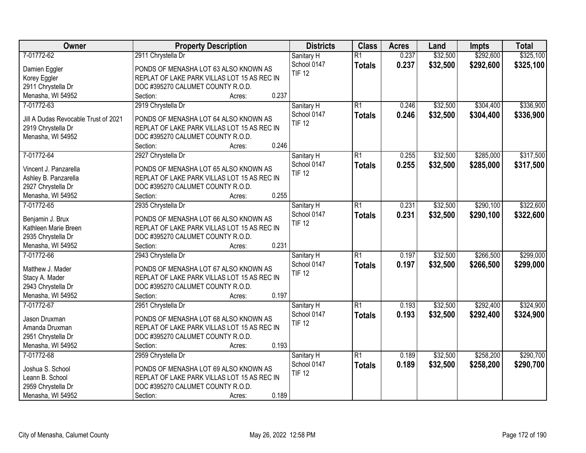| Owner                                | <b>Property Description</b>                 | <b>Districts</b>          | <b>Class</b>    | <b>Acres</b> | Land     | <b>Impts</b> | <b>Total</b> |
|--------------------------------------|---------------------------------------------|---------------------------|-----------------|--------------|----------|--------------|--------------|
| 7-01772-62                           | 2911 Chrystella Dr                          | Sanitary H                | $\overline{R1}$ | 0.237        | \$32,500 | \$292,600    | \$325,100    |
| Damien Eggler                        | PONDS OF MENASHA LOT 63 ALSO KNOWN AS       | School 0147               | <b>Totals</b>   | 0.237        | \$32,500 | \$292,600    | \$325,100    |
| Korey Eggler                         | REPLAT OF LAKE PARK VILLAS LOT 15 AS REC IN | <b>TIF 12</b>             |                 |              |          |              |              |
| 2911 Chrystella Dr                   | DOC #395270 CALUMET COUNTY R.O.D.           |                           |                 |              |          |              |              |
| Menasha, WI 54952                    | 0.237<br>Section:<br>Acres:                 |                           |                 |              |          |              |              |
| 7-01772-63                           | 2919 Chrystella Dr                          | Sanitary H                | $\overline{R1}$ | 0.246        | \$32,500 | \$304,400    | \$336,900    |
|                                      |                                             | School 0147               | <b>Totals</b>   | 0.246        | \$32,500 | \$304,400    | \$336,900    |
| Jill A Dudas Revocable Trust of 2021 | PONDS OF MENASHA LOT 64 ALSO KNOWN AS       | <b>TIF 12</b>             |                 |              |          |              |              |
| 2919 Chrystella Dr                   | REPLAT OF LAKE PARK VILLAS LOT 15 AS REC IN |                           |                 |              |          |              |              |
| Menasha, WI 54952                    | DOC #395270 CALUMET COUNTY R.O.D.           |                           |                 |              |          |              |              |
|                                      | 0.246<br>Section:<br>Acres:                 |                           |                 |              |          |              |              |
| 7-01772-64                           | 2927 Chrystella Dr                          | Sanitary H                | $\overline{R1}$ | 0.255        | \$32,500 | \$285,000    | \$317,500    |
| Vincent J. Panzarella                | PONDS OF MENASHA LOT 65 ALSO KNOWN AS       | School 0147               | <b>Totals</b>   | 0.255        | \$32,500 | \$285,000    | \$317,500    |
| Ashley B. Panzarella                 | REPLAT OF LAKE PARK VILLAS LOT 15 AS REC IN | <b>TIF 12</b>             |                 |              |          |              |              |
| 2927 Chrystella Dr                   | DOC #395270 CALUMET COUNTY R.O.D.           |                           |                 |              |          |              |              |
| Menasha, WI 54952                    | 0.255<br>Section:<br>Acres:                 |                           |                 |              |          |              |              |
| 7-01772-65                           | 2935 Chrystella Dr                          | Sanitary H                | $\overline{R1}$ | 0.231        | \$32,500 | \$290,100    | \$322,600    |
|                                      |                                             | School 0147               | <b>Totals</b>   | 0.231        | \$32,500 | \$290,100    | \$322,600    |
| Benjamin J. Brux                     | PONDS OF MENASHA LOT 66 ALSO KNOWN AS       | <b>TIF 12</b>             |                 |              |          |              |              |
| Kathleen Marie Breen                 | REPLAT OF LAKE PARK VILLAS LOT 15 AS REC IN |                           |                 |              |          |              |              |
| 2935 Chrystella Dr                   | DOC #395270 CALUMET COUNTY R.O.D.           |                           |                 |              |          |              |              |
| Menasha, WI 54952                    | 0.231<br>Section:<br>Acres:                 |                           |                 |              |          |              |              |
| 7-01772-66                           | 2943 Chrystella Dr                          | Sanitary H                | $\overline{R1}$ | 0.197        | \$32,500 | \$266,500    | \$299,000    |
| Matthew J. Mader                     | PONDS OF MENASHA LOT 67 ALSO KNOWN AS       | School 0147               | <b>Totals</b>   | 0.197        | \$32,500 | \$266,500    | \$299,000    |
| Stacy A. Mader                       | REPLAT OF LAKE PARK VILLAS LOT 15 AS REC IN | <b>TIF 12</b>             |                 |              |          |              |              |
| 2943 Chrystella Dr                   | DOC #395270 CALUMET COUNTY R.O.D.           |                           |                 |              |          |              |              |
| Menasha, WI 54952                    | 0.197<br>Section:<br>Acres:                 |                           |                 |              |          |              |              |
| 7-01772-67                           | 2951 Chrystella Dr                          |                           | $\overline{R1}$ | 0.193        | \$32,500 | \$292,400    | \$324,900    |
|                                      |                                             | Sanitary H<br>School 0147 |                 |              |          |              |              |
| Jason Druxman                        | PONDS OF MENASHA LOT 68 ALSO KNOWN AS       | <b>TIF 12</b>             | <b>Totals</b>   | 0.193        | \$32,500 | \$292,400    | \$324,900    |
| Amanda Druxman                       | REPLAT OF LAKE PARK VILLAS LOT 15 AS REC IN |                           |                 |              |          |              |              |
| 2951 Chrystella Dr                   | DOC #395270 CALUMET COUNTY R.O.D.           |                           |                 |              |          |              |              |
| Menasha, WI 54952                    | 0.193<br>Section:<br>Acres:                 |                           |                 |              |          |              |              |
| 7-01772-68                           | 2959 Chrystella Dr                          | Sanitary H                | $\overline{R1}$ | 0.189        | \$32,500 | \$258,200    | \$290,700    |
|                                      |                                             | School 0147               | <b>Totals</b>   | 0.189        | \$32,500 | \$258,200    | \$290,700    |
| Joshua S. School                     | PONDS OF MENASHA LOT 69 ALSO KNOWN AS       | <b>TIF 12</b>             |                 |              |          |              |              |
| Leann B. School                      | REPLAT OF LAKE PARK VILLAS LOT 15 AS REC IN |                           |                 |              |          |              |              |
| 2959 Chrystella Dr                   | DOC #395270 CALUMET COUNTY R.O.D.           |                           |                 |              |          |              |              |
| Menasha, WI 54952                    | 0.189<br>Section:<br>Acres:                 |                           |                 |              |          |              |              |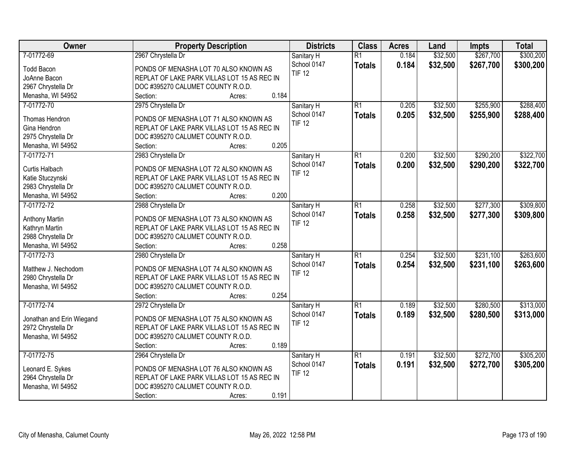| \$32,500<br>\$267,700<br>\$300,200<br>7-01772-69<br>2967 Chrystella Dr<br>$\overline{R1}$<br>0.184<br>Sanitary H<br>School 0147<br>0.184<br>\$32,500<br>\$267,700<br>\$300,200<br><b>Totals</b><br><b>Todd Bacon</b><br>PONDS OF MENASHA LOT 70 ALSO KNOWN AS<br><b>TIF 12</b><br>JoAnne Bacon<br>REPLAT OF LAKE PARK VILLAS LOT 15 AS REC IN<br>2967 Chrystella Dr<br>DOC #395270 CALUMET COUNTY R.O.D.<br>0.184<br>Menasha, WI 54952<br>Section:<br>Acres:<br>7-01772-70<br>$\overline{R1}$<br>\$32,500<br>\$255,900<br>2975 Chrystella Dr<br>0.205<br>Sanitary H<br>School 0147<br>0.205<br>\$32,500<br>\$255,900<br><b>Totals</b><br>Thomas Hendron<br>PONDS OF MENASHA LOT 71 ALSO KNOWN AS<br><b>TIF 12</b><br>Gina Hendron<br>REPLAT OF LAKE PARK VILLAS LOT 15 AS REC IN<br>2975 Chrystella Dr<br>DOC #395270 CALUMET COUNTY R.O.D.<br>0.205<br>Menasha, WI 54952<br>Section:<br>Acres:<br>\$32,500<br>\$290,200<br>7-01772-71<br>2983 Chrystella Dr<br>$\overline{R1}$<br>0.200<br>Sanitary H<br>School 0147<br>0.200<br>\$32,500<br>\$290,200<br><b>Totals</b><br>Curtis Halbach<br>PONDS OF MENASHA LOT 72 ALSO KNOWN AS<br><b>TIF 12</b><br>Katie Stuczynski<br>REPLAT OF LAKE PARK VILLAS LOT 15 AS REC IN<br>2983 Chrystella Dr<br>DOC #395270 CALUMET COUNTY R.O.D.<br>0.200<br>Menasha, WI 54952<br>Section:<br>Acres:<br>$\overline{R1}$<br>\$32,500<br>\$277,300<br>\$309,800<br>7-01772-72<br>2988 Chrystella Dr<br>Sanitary H<br>0.258<br>School 0147<br>0.258<br>\$32,500<br>\$277,300<br><b>Totals</b><br>Anthony Martin<br>PONDS OF MENASHA LOT 73 ALSO KNOWN AS<br><b>TIF 12</b><br>Kathryn Martin<br>REPLAT OF LAKE PARK VILLAS LOT 15 AS REC IN<br>2988 Chrystella Dr<br>DOC #395270 CALUMET COUNTY R.O.D.<br>0.258<br>Menasha, WI 54952<br>Section:<br>Acres:<br>\$231,100<br>$\overline{R1}$<br>\$32,500<br>7-01772-73<br>2980 Chrystella Dr<br>0.254<br>Sanitary H<br>0.254<br>\$32,500<br>\$231,100<br>School 0147<br><b>Totals</b><br>Matthew J. Nechodom<br>PONDS OF MENASHA LOT 74 ALSO KNOWN AS<br><b>TIF 12</b><br>2980 Chrystella Dr<br>REPLAT OF LAKE PARK VILLAS LOT 15 AS REC IN<br>DOC #395270 CALUMET COUNTY R.O.D.<br>Menasha, WI 54952<br>0.254<br>Section:<br>Acres:<br>\$280,500<br>7-01772-74<br>$\overline{R1}$<br>\$32,500<br>2972 Chrystella Dr<br>0.189<br>Sanitary H<br>School 0147<br>0.189<br>\$32,500<br>\$280,500<br><b>Totals</b><br>Jonathan and Erin Wiegand<br>PONDS OF MENASHA LOT 75 ALSO KNOWN AS<br><b>TIF 12</b><br>2972 Chrystella Dr<br>REPLAT OF LAKE PARK VILLAS LOT 15 AS REC IN<br>Menasha, WI 54952<br>DOC #395270 CALUMET COUNTY R.O.D.<br>0.189<br>Section:<br>Acres:<br>\$272,700<br>7-01772-75<br>$\overline{R1}$<br>0.191<br>\$32,500<br>2964 Chrystella Dr<br>Sanitary H<br>School 0147<br>0.191<br>\$32,500<br>\$272,700<br><b>Totals</b><br>Leonard E. Sykes<br>PONDS OF MENASHA LOT 76 ALSO KNOWN AS<br><b>TIF 12</b><br>2964 Chrystella Dr<br>REPLAT OF LAKE PARK VILLAS LOT 15 AS REC IN<br>Menasha, WI 54952<br>DOC #395270 CALUMET COUNTY R.O.D. | Owner | <b>Property Description</b> | <b>Districts</b> | <b>Class</b> | <b>Acres</b> | Land | <b>Impts</b> | <b>Total</b> |
|--------------------------------------------------------------------------------------------------------------------------------------------------------------------------------------------------------------------------------------------------------------------------------------------------------------------------------------------------------------------------------------------------------------------------------------------------------------------------------------------------------------------------------------------------------------------------------------------------------------------------------------------------------------------------------------------------------------------------------------------------------------------------------------------------------------------------------------------------------------------------------------------------------------------------------------------------------------------------------------------------------------------------------------------------------------------------------------------------------------------------------------------------------------------------------------------------------------------------------------------------------------------------------------------------------------------------------------------------------------------------------------------------------------------------------------------------------------------------------------------------------------------------------------------------------------------------------------------------------------------------------------------------------------------------------------------------------------------------------------------------------------------------------------------------------------------------------------------------------------------------------------------------------------------------------------------------------------------------------------------------------------------------------------------------------------------------------------------------------------------------------------------------------------------------------------------------------------------------------------------------------------------------------------------------------------------------------------------------------------------------------------------------------------------------------------------------------------------------------------------------------------------------------------------------------------------------------------------------------------------------------------------------------------------------------------------------------------------------------------------------------------------------------------------------------------------------------------------------------------------------------------------------------------------------------------------------------------------------------------------------------------------------------------|-------|-----------------------------|------------------|--------------|--------------|------|--------------|--------------|
|                                                                                                                                                                                                                                                                                                                                                                                                                                                                                                                                                                                                                                                                                                                                                                                                                                                                                                                                                                                                                                                                                                                                                                                                                                                                                                                                                                                                                                                                                                                                                                                                                                                                                                                                                                                                                                                                                                                                                                                                                                                                                                                                                                                                                                                                                                                                                                                                                                                                                                                                                                                                                                                                                                                                                                                                                                                                                                                                                                                                                                      |       |                             |                  |              |              |      |              |              |
|                                                                                                                                                                                                                                                                                                                                                                                                                                                                                                                                                                                                                                                                                                                                                                                                                                                                                                                                                                                                                                                                                                                                                                                                                                                                                                                                                                                                                                                                                                                                                                                                                                                                                                                                                                                                                                                                                                                                                                                                                                                                                                                                                                                                                                                                                                                                                                                                                                                                                                                                                                                                                                                                                                                                                                                                                                                                                                                                                                                                                                      |       |                             |                  |              |              |      |              |              |
|                                                                                                                                                                                                                                                                                                                                                                                                                                                                                                                                                                                                                                                                                                                                                                                                                                                                                                                                                                                                                                                                                                                                                                                                                                                                                                                                                                                                                                                                                                                                                                                                                                                                                                                                                                                                                                                                                                                                                                                                                                                                                                                                                                                                                                                                                                                                                                                                                                                                                                                                                                                                                                                                                                                                                                                                                                                                                                                                                                                                                                      |       |                             |                  |              |              |      |              |              |
|                                                                                                                                                                                                                                                                                                                                                                                                                                                                                                                                                                                                                                                                                                                                                                                                                                                                                                                                                                                                                                                                                                                                                                                                                                                                                                                                                                                                                                                                                                                                                                                                                                                                                                                                                                                                                                                                                                                                                                                                                                                                                                                                                                                                                                                                                                                                                                                                                                                                                                                                                                                                                                                                                                                                                                                                                                                                                                                                                                                                                                      |       |                             |                  |              |              |      |              |              |
| \$288,400<br>\$288,400<br>\$322,700<br>\$322,700<br>\$309,800                                                                                                                                                                                                                                                                                                                                                                                                                                                                                                                                                                                                                                                                                                                                                                                                                                                                                                                                                                                                                                                                                                                                                                                                                                                                                                                                                                                                                                                                                                                                                                                                                                                                                                                                                                                                                                                                                                                                                                                                                                                                                                                                                                                                                                                                                                                                                                                                                                                                                                                                                                                                                                                                                                                                                                                                                                                                                                                                                                        |       |                             |                  |              |              |      |              |              |
|                                                                                                                                                                                                                                                                                                                                                                                                                                                                                                                                                                                                                                                                                                                                                                                                                                                                                                                                                                                                                                                                                                                                                                                                                                                                                                                                                                                                                                                                                                                                                                                                                                                                                                                                                                                                                                                                                                                                                                                                                                                                                                                                                                                                                                                                                                                                                                                                                                                                                                                                                                                                                                                                                                                                                                                                                                                                                                                                                                                                                                      |       |                             |                  |              |              |      |              |              |
|                                                                                                                                                                                                                                                                                                                                                                                                                                                                                                                                                                                                                                                                                                                                                                                                                                                                                                                                                                                                                                                                                                                                                                                                                                                                                                                                                                                                                                                                                                                                                                                                                                                                                                                                                                                                                                                                                                                                                                                                                                                                                                                                                                                                                                                                                                                                                                                                                                                                                                                                                                                                                                                                                                                                                                                                                                                                                                                                                                                                                                      |       |                             |                  |              |              |      |              |              |
|                                                                                                                                                                                                                                                                                                                                                                                                                                                                                                                                                                                                                                                                                                                                                                                                                                                                                                                                                                                                                                                                                                                                                                                                                                                                                                                                                                                                                                                                                                                                                                                                                                                                                                                                                                                                                                                                                                                                                                                                                                                                                                                                                                                                                                                                                                                                                                                                                                                                                                                                                                                                                                                                                                                                                                                                                                                                                                                                                                                                                                      |       |                             |                  |              |              |      |              |              |
|                                                                                                                                                                                                                                                                                                                                                                                                                                                                                                                                                                                                                                                                                                                                                                                                                                                                                                                                                                                                                                                                                                                                                                                                                                                                                                                                                                                                                                                                                                                                                                                                                                                                                                                                                                                                                                                                                                                                                                                                                                                                                                                                                                                                                                                                                                                                                                                                                                                                                                                                                                                                                                                                                                                                                                                                                                                                                                                                                                                                                                      |       |                             |                  |              |              |      |              |              |
|                                                                                                                                                                                                                                                                                                                                                                                                                                                                                                                                                                                                                                                                                                                                                                                                                                                                                                                                                                                                                                                                                                                                                                                                                                                                                                                                                                                                                                                                                                                                                                                                                                                                                                                                                                                                                                                                                                                                                                                                                                                                                                                                                                                                                                                                                                                                                                                                                                                                                                                                                                                                                                                                                                                                                                                                                                                                                                                                                                                                                                      |       |                             |                  |              |              |      |              |              |
|                                                                                                                                                                                                                                                                                                                                                                                                                                                                                                                                                                                                                                                                                                                                                                                                                                                                                                                                                                                                                                                                                                                                                                                                                                                                                                                                                                                                                                                                                                                                                                                                                                                                                                                                                                                                                                                                                                                                                                                                                                                                                                                                                                                                                                                                                                                                                                                                                                                                                                                                                                                                                                                                                                                                                                                                                                                                                                                                                                                                                                      |       |                             |                  |              |              |      |              |              |
|                                                                                                                                                                                                                                                                                                                                                                                                                                                                                                                                                                                                                                                                                                                                                                                                                                                                                                                                                                                                                                                                                                                                                                                                                                                                                                                                                                                                                                                                                                                                                                                                                                                                                                                                                                                                                                                                                                                                                                                                                                                                                                                                                                                                                                                                                                                                                                                                                                                                                                                                                                                                                                                                                                                                                                                                                                                                                                                                                                                                                                      |       |                             |                  |              |              |      |              |              |
|                                                                                                                                                                                                                                                                                                                                                                                                                                                                                                                                                                                                                                                                                                                                                                                                                                                                                                                                                                                                                                                                                                                                                                                                                                                                                                                                                                                                                                                                                                                                                                                                                                                                                                                                                                                                                                                                                                                                                                                                                                                                                                                                                                                                                                                                                                                                                                                                                                                                                                                                                                                                                                                                                                                                                                                                                                                                                                                                                                                                                                      |       |                             |                  |              |              |      |              |              |
|                                                                                                                                                                                                                                                                                                                                                                                                                                                                                                                                                                                                                                                                                                                                                                                                                                                                                                                                                                                                                                                                                                                                                                                                                                                                                                                                                                                                                                                                                                                                                                                                                                                                                                                                                                                                                                                                                                                                                                                                                                                                                                                                                                                                                                                                                                                                                                                                                                                                                                                                                                                                                                                                                                                                                                                                                                                                                                                                                                                                                                      |       |                             |                  |              |              |      |              |              |
|                                                                                                                                                                                                                                                                                                                                                                                                                                                                                                                                                                                                                                                                                                                                                                                                                                                                                                                                                                                                                                                                                                                                                                                                                                                                                                                                                                                                                                                                                                                                                                                                                                                                                                                                                                                                                                                                                                                                                                                                                                                                                                                                                                                                                                                                                                                                                                                                                                                                                                                                                                                                                                                                                                                                                                                                                                                                                                                                                                                                                                      |       |                             |                  |              |              |      |              |              |
|                                                                                                                                                                                                                                                                                                                                                                                                                                                                                                                                                                                                                                                                                                                                                                                                                                                                                                                                                                                                                                                                                                                                                                                                                                                                                                                                                                                                                                                                                                                                                                                                                                                                                                                                                                                                                                                                                                                                                                                                                                                                                                                                                                                                                                                                                                                                                                                                                                                                                                                                                                                                                                                                                                                                                                                                                                                                                                                                                                                                                                      |       |                             |                  |              |              |      |              |              |
|                                                                                                                                                                                                                                                                                                                                                                                                                                                                                                                                                                                                                                                                                                                                                                                                                                                                                                                                                                                                                                                                                                                                                                                                                                                                                                                                                                                                                                                                                                                                                                                                                                                                                                                                                                                                                                                                                                                                                                                                                                                                                                                                                                                                                                                                                                                                                                                                                                                                                                                                                                                                                                                                                                                                                                                                                                                                                                                                                                                                                                      |       |                             |                  |              |              |      |              |              |
|                                                                                                                                                                                                                                                                                                                                                                                                                                                                                                                                                                                                                                                                                                                                                                                                                                                                                                                                                                                                                                                                                                                                                                                                                                                                                                                                                                                                                                                                                                                                                                                                                                                                                                                                                                                                                                                                                                                                                                                                                                                                                                                                                                                                                                                                                                                                                                                                                                                                                                                                                                                                                                                                                                                                                                                                                                                                                                                                                                                                                                      |       |                             |                  |              |              |      |              |              |
| \$263,600<br>\$263,600<br>\$313,000<br>\$313,000<br>\$305,200<br>\$305,200                                                                                                                                                                                                                                                                                                                                                                                                                                                                                                                                                                                                                                                                                                                                                                                                                                                                                                                                                                                                                                                                                                                                                                                                                                                                                                                                                                                                                                                                                                                                                                                                                                                                                                                                                                                                                                                                                                                                                                                                                                                                                                                                                                                                                                                                                                                                                                                                                                                                                                                                                                                                                                                                                                                                                                                                                                                                                                                                                           |       |                             |                  |              |              |      |              |              |
|                                                                                                                                                                                                                                                                                                                                                                                                                                                                                                                                                                                                                                                                                                                                                                                                                                                                                                                                                                                                                                                                                                                                                                                                                                                                                                                                                                                                                                                                                                                                                                                                                                                                                                                                                                                                                                                                                                                                                                                                                                                                                                                                                                                                                                                                                                                                                                                                                                                                                                                                                                                                                                                                                                                                                                                                                                                                                                                                                                                                                                      |       |                             |                  |              |              |      |              |              |
|                                                                                                                                                                                                                                                                                                                                                                                                                                                                                                                                                                                                                                                                                                                                                                                                                                                                                                                                                                                                                                                                                                                                                                                                                                                                                                                                                                                                                                                                                                                                                                                                                                                                                                                                                                                                                                                                                                                                                                                                                                                                                                                                                                                                                                                                                                                                                                                                                                                                                                                                                                                                                                                                                                                                                                                                                                                                                                                                                                                                                                      |       |                             |                  |              |              |      |              |              |
|                                                                                                                                                                                                                                                                                                                                                                                                                                                                                                                                                                                                                                                                                                                                                                                                                                                                                                                                                                                                                                                                                                                                                                                                                                                                                                                                                                                                                                                                                                                                                                                                                                                                                                                                                                                                                                                                                                                                                                                                                                                                                                                                                                                                                                                                                                                                                                                                                                                                                                                                                                                                                                                                                                                                                                                                                                                                                                                                                                                                                                      |       |                             |                  |              |              |      |              |              |
|                                                                                                                                                                                                                                                                                                                                                                                                                                                                                                                                                                                                                                                                                                                                                                                                                                                                                                                                                                                                                                                                                                                                                                                                                                                                                                                                                                                                                                                                                                                                                                                                                                                                                                                                                                                                                                                                                                                                                                                                                                                                                                                                                                                                                                                                                                                                                                                                                                                                                                                                                                                                                                                                                                                                                                                                                                                                                                                                                                                                                                      |       |                             |                  |              |              |      |              |              |
|                                                                                                                                                                                                                                                                                                                                                                                                                                                                                                                                                                                                                                                                                                                                                                                                                                                                                                                                                                                                                                                                                                                                                                                                                                                                                                                                                                                                                                                                                                                                                                                                                                                                                                                                                                                                                                                                                                                                                                                                                                                                                                                                                                                                                                                                                                                                                                                                                                                                                                                                                                                                                                                                                                                                                                                                                                                                                                                                                                                                                                      |       |                             |                  |              |              |      |              |              |
|                                                                                                                                                                                                                                                                                                                                                                                                                                                                                                                                                                                                                                                                                                                                                                                                                                                                                                                                                                                                                                                                                                                                                                                                                                                                                                                                                                                                                                                                                                                                                                                                                                                                                                                                                                                                                                                                                                                                                                                                                                                                                                                                                                                                                                                                                                                                                                                                                                                                                                                                                                                                                                                                                                                                                                                                                                                                                                                                                                                                                                      |       |                             |                  |              |              |      |              |              |
|                                                                                                                                                                                                                                                                                                                                                                                                                                                                                                                                                                                                                                                                                                                                                                                                                                                                                                                                                                                                                                                                                                                                                                                                                                                                                                                                                                                                                                                                                                                                                                                                                                                                                                                                                                                                                                                                                                                                                                                                                                                                                                                                                                                                                                                                                                                                                                                                                                                                                                                                                                                                                                                                                                                                                                                                                                                                                                                                                                                                                                      |       |                             |                  |              |              |      |              |              |
|                                                                                                                                                                                                                                                                                                                                                                                                                                                                                                                                                                                                                                                                                                                                                                                                                                                                                                                                                                                                                                                                                                                                                                                                                                                                                                                                                                                                                                                                                                                                                                                                                                                                                                                                                                                                                                                                                                                                                                                                                                                                                                                                                                                                                                                                                                                                                                                                                                                                                                                                                                                                                                                                                                                                                                                                                                                                                                                                                                                                                                      |       |                             |                  |              |              |      |              |              |
|                                                                                                                                                                                                                                                                                                                                                                                                                                                                                                                                                                                                                                                                                                                                                                                                                                                                                                                                                                                                                                                                                                                                                                                                                                                                                                                                                                                                                                                                                                                                                                                                                                                                                                                                                                                                                                                                                                                                                                                                                                                                                                                                                                                                                                                                                                                                                                                                                                                                                                                                                                                                                                                                                                                                                                                                                                                                                                                                                                                                                                      |       |                             |                  |              |              |      |              |              |
|                                                                                                                                                                                                                                                                                                                                                                                                                                                                                                                                                                                                                                                                                                                                                                                                                                                                                                                                                                                                                                                                                                                                                                                                                                                                                                                                                                                                                                                                                                                                                                                                                                                                                                                                                                                                                                                                                                                                                                                                                                                                                                                                                                                                                                                                                                                                                                                                                                                                                                                                                                                                                                                                                                                                                                                                                                                                                                                                                                                                                                      |       |                             |                  |              |              |      |              |              |
|                                                                                                                                                                                                                                                                                                                                                                                                                                                                                                                                                                                                                                                                                                                                                                                                                                                                                                                                                                                                                                                                                                                                                                                                                                                                                                                                                                                                                                                                                                                                                                                                                                                                                                                                                                                                                                                                                                                                                                                                                                                                                                                                                                                                                                                                                                                                                                                                                                                                                                                                                                                                                                                                                                                                                                                                                                                                                                                                                                                                                                      |       |                             |                  |              |              |      |              |              |
|                                                                                                                                                                                                                                                                                                                                                                                                                                                                                                                                                                                                                                                                                                                                                                                                                                                                                                                                                                                                                                                                                                                                                                                                                                                                                                                                                                                                                                                                                                                                                                                                                                                                                                                                                                                                                                                                                                                                                                                                                                                                                                                                                                                                                                                                                                                                                                                                                                                                                                                                                                                                                                                                                                                                                                                                                                                                                                                                                                                                                                      |       |                             |                  |              |              |      |              |              |
|                                                                                                                                                                                                                                                                                                                                                                                                                                                                                                                                                                                                                                                                                                                                                                                                                                                                                                                                                                                                                                                                                                                                                                                                                                                                                                                                                                                                                                                                                                                                                                                                                                                                                                                                                                                                                                                                                                                                                                                                                                                                                                                                                                                                                                                                                                                                                                                                                                                                                                                                                                                                                                                                                                                                                                                                                                                                                                                                                                                                                                      |       |                             |                  |              |              |      |              |              |
|                                                                                                                                                                                                                                                                                                                                                                                                                                                                                                                                                                                                                                                                                                                                                                                                                                                                                                                                                                                                                                                                                                                                                                                                                                                                                                                                                                                                                                                                                                                                                                                                                                                                                                                                                                                                                                                                                                                                                                                                                                                                                                                                                                                                                                                                                                                                                                                                                                                                                                                                                                                                                                                                                                                                                                                                                                                                                                                                                                                                                                      |       |                             |                  |              |              |      |              |              |
|                                                                                                                                                                                                                                                                                                                                                                                                                                                                                                                                                                                                                                                                                                                                                                                                                                                                                                                                                                                                                                                                                                                                                                                                                                                                                                                                                                                                                                                                                                                                                                                                                                                                                                                                                                                                                                                                                                                                                                                                                                                                                                                                                                                                                                                                                                                                                                                                                                                                                                                                                                                                                                                                                                                                                                                                                                                                                                                                                                                                                                      |       |                             |                  |              |              |      |              |              |
|                                                                                                                                                                                                                                                                                                                                                                                                                                                                                                                                                                                                                                                                                                                                                                                                                                                                                                                                                                                                                                                                                                                                                                                                                                                                                                                                                                                                                                                                                                                                                                                                                                                                                                                                                                                                                                                                                                                                                                                                                                                                                                                                                                                                                                                                                                                                                                                                                                                                                                                                                                                                                                                                                                                                                                                                                                                                                                                                                                                                                                      |       |                             |                  |              |              |      |              |              |
|                                                                                                                                                                                                                                                                                                                                                                                                                                                                                                                                                                                                                                                                                                                                                                                                                                                                                                                                                                                                                                                                                                                                                                                                                                                                                                                                                                                                                                                                                                                                                                                                                                                                                                                                                                                                                                                                                                                                                                                                                                                                                                                                                                                                                                                                                                                                                                                                                                                                                                                                                                                                                                                                                                                                                                                                                                                                                                                                                                                                                                      |       |                             |                  |              |              |      |              |              |
|                                                                                                                                                                                                                                                                                                                                                                                                                                                                                                                                                                                                                                                                                                                                                                                                                                                                                                                                                                                                                                                                                                                                                                                                                                                                                                                                                                                                                                                                                                                                                                                                                                                                                                                                                                                                                                                                                                                                                                                                                                                                                                                                                                                                                                                                                                                                                                                                                                                                                                                                                                                                                                                                                                                                                                                                                                                                                                                                                                                                                                      |       |                             |                  |              |              |      |              |              |
|                                                                                                                                                                                                                                                                                                                                                                                                                                                                                                                                                                                                                                                                                                                                                                                                                                                                                                                                                                                                                                                                                                                                                                                                                                                                                                                                                                                                                                                                                                                                                                                                                                                                                                                                                                                                                                                                                                                                                                                                                                                                                                                                                                                                                                                                                                                                                                                                                                                                                                                                                                                                                                                                                                                                                                                                                                                                                                                                                                                                                                      |       | 0.191<br>Section:<br>Acres: |                  |              |              |      |              |              |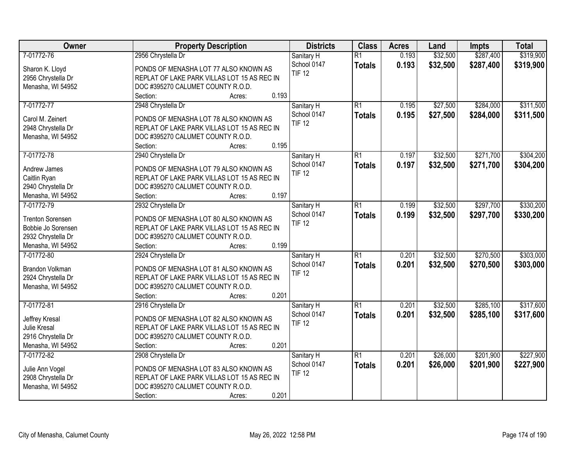| Owner                   | <b>Property Description</b>                 | <b>Districts</b> | <b>Class</b>    | <b>Acres</b> | Land     | <b>Impts</b> | <b>Total</b> |
|-------------------------|---------------------------------------------|------------------|-----------------|--------------|----------|--------------|--------------|
| 7-01772-76              | 2956 Chrystella Dr                          | Sanitary H       | $\overline{R1}$ | 0.193        | \$32,500 | \$287,400    | \$319,900    |
| Sharon K. Lloyd         | PONDS OF MENASHA LOT 77 ALSO KNOWN AS       | School 0147      | <b>Totals</b>   | 0.193        | \$32,500 | \$287,400    | \$319,900    |
| 2956 Chrystella Dr      | REPLAT OF LAKE PARK VILLAS LOT 15 AS REC IN | <b>TIF 12</b>    |                 |              |          |              |              |
| Menasha, WI 54952       | DOC #395270 CALUMET COUNTY R.O.D.           |                  |                 |              |          |              |              |
|                         | 0.193<br>Section:<br>Acres:                 |                  |                 |              |          |              |              |
| 7-01772-77              | 2948 Chrystella Dr                          | Sanitary H       | $\overline{R1}$ | 0.195        | \$27,500 | \$284,000    | \$311,500    |
|                         |                                             | School 0147      | <b>Totals</b>   | 0.195        | \$27,500 | \$284,000    | \$311,500    |
| Carol M. Zeinert        | PONDS OF MENASHA LOT 78 ALSO KNOWN AS       | <b>TIF 12</b>    |                 |              |          |              |              |
| 2948 Chrystella Dr      | REPLAT OF LAKE PARK VILLAS LOT 15 AS REC IN |                  |                 |              |          |              |              |
| Menasha, WI 54952       | DOC #395270 CALUMET COUNTY R.O.D.           |                  |                 |              |          |              |              |
|                         | 0.195<br>Section:<br>Acres:                 |                  |                 |              |          |              |              |
| 7-01772-78              | 2940 Chrystella Dr                          | Sanitary H       | $\overline{R1}$ | 0.197        | \$32,500 | \$271,700    | \$304,200    |
| Andrew James            | PONDS OF MENASHA LOT 79 ALSO KNOWN AS       | School 0147      | <b>Totals</b>   | 0.197        | \$32,500 | \$271,700    | \$304,200    |
| Caitlin Ryan            | REPLAT OF LAKE PARK VILLAS LOT 15 AS REC IN | <b>TIF 12</b>    |                 |              |          |              |              |
| 2940 Chrystella Dr      | DOC #395270 CALUMET COUNTY R.O.D.           |                  |                 |              |          |              |              |
| Menasha, WI 54952       | 0.197<br>Section:<br>Acres:                 |                  |                 |              |          |              |              |
| 7-01772-79              | 2932 Chrystella Dr                          | Sanitary H       | $\overline{R1}$ | 0.199        | \$32,500 | \$297,700    | \$330,200    |
|                         |                                             | School 0147      | <b>Totals</b>   | 0.199        | \$32,500 | \$297,700    | \$330,200    |
| <b>Trenton Sorensen</b> | PONDS OF MENASHA LOT 80 ALSO KNOWN AS       | <b>TIF 12</b>    |                 |              |          |              |              |
| Bobbie Jo Sorensen      | REPLAT OF LAKE PARK VILLAS LOT 15 AS REC IN |                  |                 |              |          |              |              |
| 2932 Chrystella Dr      | DOC #395270 CALUMET COUNTY R.O.D.           |                  |                 |              |          |              |              |
| Menasha, WI 54952       | 0.199<br>Section:<br>Acres:                 |                  |                 |              |          |              |              |
| 7-01772-80              | 2924 Chrystella Dr                          | Sanitary H       | $\overline{R1}$ | 0.201        | \$32,500 | \$270,500    | \$303,000    |
| Brandon Volkman         | PONDS OF MENASHA LOT 81 ALSO KNOWN AS       | School 0147      | <b>Totals</b>   | 0.201        | \$32,500 | \$270,500    | \$303,000    |
| 2924 Chrystella Dr      | REPLAT OF LAKE PARK VILLAS LOT 15 AS REC IN | <b>TIF 12</b>    |                 |              |          |              |              |
| Menasha, WI 54952       | DOC #395270 CALUMET COUNTY R.O.D.           |                  |                 |              |          |              |              |
|                         | 0.201<br>Section:<br>Acres:                 |                  |                 |              |          |              |              |
| 7-01772-81              | 2916 Chrystella Dr                          | Sanitary H       | $\overline{R1}$ | 0.201        | \$32,500 | \$285,100    | \$317,600    |
|                         |                                             | School 0147      | <b>Totals</b>   | 0.201        | \$32,500 | \$285,100    | \$317,600    |
| Jeffrey Kresal          | PONDS OF MENASHA LOT 82 ALSO KNOWN AS       | <b>TIF 12</b>    |                 |              |          |              |              |
| Julie Kresal            | REPLAT OF LAKE PARK VILLAS LOT 15 AS REC IN |                  |                 |              |          |              |              |
| 2916 Chrystella Dr      | DOC #395270 CALUMET COUNTY R.O.D.           |                  |                 |              |          |              |              |
| Menasha, WI 54952       | 0.201<br>Section:<br>Acres:                 |                  |                 |              |          |              |              |
| 7-01772-82              | 2908 Chrystella Dr                          | Sanitary H       | $\overline{R1}$ | 0.201        | \$26,000 | \$201,900    | \$227,900    |
| Julie Ann Vogel         | PONDS OF MENASHA LOT 83 ALSO KNOWN AS       | School 0147      | <b>Totals</b>   | 0.201        | \$26,000 | \$201,900    | \$227,900    |
| 2908 Chrystella Dr      | REPLAT OF LAKE PARK VILLAS LOT 15 AS REC IN | <b>TIF 12</b>    |                 |              |          |              |              |
| Menasha, WI 54952       | DOC #395270 CALUMET COUNTY R.O.D.           |                  |                 |              |          |              |              |
|                         | 0.201<br>Section:                           |                  |                 |              |          |              |              |
|                         | Acres:                                      |                  |                 |              |          |              |              |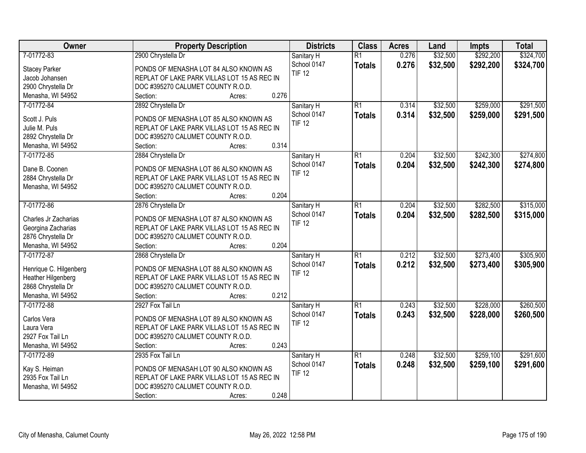| Owner                             | <b>Property Description</b>                 | <b>Districts</b>          | <b>Class</b>    | <b>Acres</b> | Land     | <b>Impts</b> | <b>Total</b> |
|-----------------------------------|---------------------------------------------|---------------------------|-----------------|--------------|----------|--------------|--------------|
| 7-01772-83                        | 2900 Chrystella Dr                          | Sanitary H                | $\overline{R1}$ | 0.276        | \$32,500 | \$292,200    | \$324,700    |
| <b>Stacey Parker</b>              | PONDS OF MENASHA LOT 84 ALSO KNOWN AS       | School 0147               | <b>Totals</b>   | 0.276        | \$32,500 | \$292,200    | \$324,700    |
| Jacob Johansen                    | REPLAT OF LAKE PARK VILLAS LOT 15 AS REC IN | <b>TIF 12</b>             |                 |              |          |              |              |
| 2900 Chrystella Dr                | DOC #395270 CALUMET COUNTY R.O.D.           |                           |                 |              |          |              |              |
| Menasha, WI 54952                 | 0.276<br>Section:<br>Acres:                 |                           |                 |              |          |              |              |
| 7-01772-84                        | 2892 Chrystella Dr                          | Sanitary H                | $\overline{R1}$ | 0.314        | \$32,500 | \$259,000    | \$291,500    |
|                                   |                                             | School 0147               | <b>Totals</b>   | 0.314        | \$32,500 | \$259,000    | \$291,500    |
| Scott J. Puls                     | PONDS OF MENASHA LOT 85 ALSO KNOWN AS       | <b>TIF 12</b>             |                 |              |          |              |              |
| Julie M. Puls                     | REPLAT OF LAKE PARK VILLAS LOT 15 AS REC IN |                           |                 |              |          |              |              |
| 2892 Chrystella Dr                | DOC #395270 CALUMET COUNTY R.O.D.           |                           |                 |              |          |              |              |
| Menasha, WI 54952                 | 0.314<br>Section:<br>Acres:                 |                           |                 |              |          |              |              |
| 7-01772-85                        | 2884 Chrystella Dr                          | Sanitary H                | $\overline{R1}$ | 0.204        | \$32,500 | \$242,300    | \$274,800    |
| Dane B. Coonen                    | PONDS OF MENASHA LOT 86 ALSO KNOWN AS       | School 0147               | <b>Totals</b>   | 0.204        | \$32,500 | \$242,300    | \$274,800    |
| 2884 Chrystella Dr                | REPLAT OF LAKE PARK VILLAS LOT 15 AS REC IN | <b>TIF 12</b>             |                 |              |          |              |              |
| Menasha, WI 54952                 | DOC #395270 CALUMET COUNTY R.O.D.           |                           |                 |              |          |              |              |
|                                   | 0.204<br>Section:<br>Acres:                 |                           |                 |              |          |              |              |
| 7-01772-86                        | 2876 Chrystella Dr                          | Sanitary H                | $\overline{R1}$ | 0.204        | \$32,500 | \$282,500    | \$315,000    |
|                                   |                                             | School 0147               | <b>Totals</b>   | 0.204        | \$32,500 | \$282,500    | \$315,000    |
| Charles Jr Zacharias              | PONDS OF MENASHA LOT 87 ALSO KNOWN AS       | <b>TIF 12</b>             |                 |              |          |              |              |
| Georgina Zacharias                | REPLAT OF LAKE PARK VILLAS LOT 15 AS REC IN |                           |                 |              |          |              |              |
| 2876 Chrystella Dr                | DOC #395270 CALUMET COUNTY R.O.D.           |                           |                 |              |          |              |              |
| Menasha, WI 54952                 | 0.204<br>Section:<br>Acres:                 |                           |                 |              |          |              |              |
| 7-01772-87                        | 2868 Chrystella Dr                          | Sanitary H                | $\overline{R1}$ | 0.212        | \$32,500 | \$273,400    | \$305,900    |
| Henrique C. Hilgenberg            | PONDS OF MENASHA LOT 88 ALSO KNOWN AS       | School 0147               | <b>Totals</b>   | 0.212        | \$32,500 | \$273,400    | \$305,900    |
| Heather Hilgenberg                | REPLAT OF LAKE PARK VILLAS LOT 15 AS REC IN | <b>TIF 12</b>             |                 |              |          |              |              |
| 2868 Chrystella Dr                | DOC #395270 CALUMET COUNTY R.O.D.           |                           |                 |              |          |              |              |
| Menasha, WI 54952                 | 0.212<br>Section:<br>Acres:                 |                           |                 |              |          |              |              |
| 7-01772-88                        | 2927 Fox Tail Ln                            |                           | $\overline{R1}$ | 0.243        | \$32,500 | \$228,000    | \$260,500    |
|                                   |                                             | Sanitary H<br>School 0147 |                 |              |          |              |              |
| Carlos Vera                       | PONDS OF MENASHA LOT 89 ALSO KNOWN AS       |                           | <b>Totals</b>   | 0.243        | \$32,500 | \$228,000    | \$260,500    |
| Laura Vera                        | REPLAT OF LAKE PARK VILLAS LOT 15 AS REC IN | <b>TIF 12</b>             |                 |              |          |              |              |
| 2927 Fox Tail Ln                  | DOC #395270 CALUMET COUNTY R.O.D.           |                           |                 |              |          |              |              |
| Menasha, WI 54952                 | 0.243<br>Section:<br>Acres:                 |                           |                 |              |          |              |              |
| 7-01772-89                        | 2935 Fox Tail Ln                            | Sanitary H                | $\overline{R1}$ | 0.248        | \$32,500 | \$259,100    | \$291,600    |
|                                   | PONDS OF MENASAH LOT 90 ALSO KNOWN AS       | School 0147               | <b>Totals</b>   | 0.248        | \$32,500 | \$259,100    | \$291,600    |
| Kay S. Heiman<br>2935 Fox Tail Ln | REPLAT OF LAKE PARK VILLAS LOT 15 AS REC IN | <b>TIF 12</b>             |                 |              |          |              |              |
|                                   | DOC #395270 CALUMET COUNTY R.O.D.           |                           |                 |              |          |              |              |
| Menasha, WI 54952                 | 0.248                                       |                           |                 |              |          |              |              |
|                                   | Section:<br>Acres:                          |                           |                 |              |          |              |              |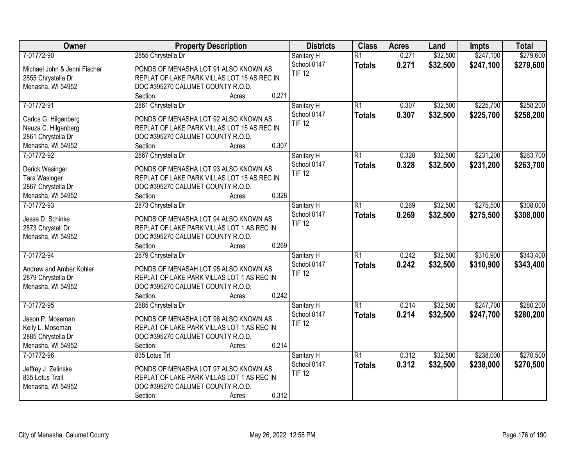| Owner                        | <b>Property Description</b>                 | <b>Districts</b> | <b>Class</b>    | <b>Acres</b> | Land     | Impts     | <b>Total</b> |
|------------------------------|---------------------------------------------|------------------|-----------------|--------------|----------|-----------|--------------|
| 7-01772-90                   | 2855 Chrystella Dr                          | Sanitary H       | $\overline{R1}$ | 0.271        | \$32,500 | \$247,100 | \$279,600    |
| Michael John & Jenni Fischer | PONDS OF MENASHA LOT 91 ALSO KNOWN AS       | School 0147      | <b>Totals</b>   | 0.271        | \$32,500 | \$247,100 | \$279,600    |
| 2855 Chrystella Dr           | REPLAT OF LAKE PARK VILLAS LOT 15 AS REC IN | <b>TIF 12</b>    |                 |              |          |           |              |
| Menasha, WI 54952            | DOC #395270 CALUMET COUNTY R.O.D.           |                  |                 |              |          |           |              |
|                              | 0.271<br>Section:<br>Acres:                 |                  |                 |              |          |           |              |
| 7-01772-91                   | 2861 Chrystella Dr                          | Sanitary H       | $\overline{R1}$ | 0.307        | \$32,500 | \$225,700 | \$258,200    |
|                              |                                             | School 0147      | <b>Totals</b>   | 0.307        | \$32,500 | \$225,700 | \$258,200    |
| Carlos G. Hilgenberg         | PONDS OF MENASHA LOT 92 ALSO KNOWN AS       | <b>TIF 12</b>    |                 |              |          |           |              |
| Neuza C. Hilgenberg          | REPLAT OF LAKE PARK VILLAS LOT 15 AS REC IN |                  |                 |              |          |           |              |
| 2861 Chrystella Dr           | DOC #395270 CALUMET COUNTY R.O.D.           |                  |                 |              |          |           |              |
| Menasha, WI 54952            | 0.307<br>Section:<br>Acres:                 |                  |                 |              |          |           |              |
| 7-01772-92                   | 2867 Chrystella Dr                          | Sanitary H       | $\overline{R1}$ | 0.328        | \$32,500 | \$231,200 | \$263,700    |
| Derick Wasinger              | PONDS OF MENASHA LOT 93 ALSO KNOWN AS       | School 0147      | <b>Totals</b>   | 0.328        | \$32,500 | \$231,200 | \$263,700    |
| Tara Wasinger                | REPLAT OF LAKE PARK VILLAS LOT 15 AS REC IN | <b>TIF 12</b>    |                 |              |          |           |              |
| 2867 Chrystella Dr           | DOC #395270 CALUMET COUNTY R.O.D.           |                  |                 |              |          |           |              |
| Menasha, WI 54952            | 0.328<br>Section:<br>Acres:                 |                  |                 |              |          |           |              |
| 7-01772-93                   | 2873 Chrystella Dr                          | Sanitary H       | $\overline{R1}$ | 0.269        | \$32,500 | \$275,500 | \$308,000    |
|                              |                                             | School 0147      | <b>Totals</b>   | 0.269        | \$32,500 | \$275,500 | \$308,000    |
| Jesse D. Schinke             | PONDS OF MENASHA LOT 94 ALSO KNOWN AS       | <b>TIF 12</b>    |                 |              |          |           |              |
| 2873 Chrystell Dr            | REPLAT OF LAKE PARK VILLAS LOT 1 AS REC IN  |                  |                 |              |          |           |              |
| Menasha, WI 54952            | DOC #395270 CALUMET COUNTY R.O.D.           |                  |                 |              |          |           |              |
|                              | 0.269<br>Section:<br>Acres:                 |                  |                 |              |          |           |              |
| 7-01772-94                   | 2879 Chrystella Dr                          | Sanitary H       | $\overline{R1}$ | 0.242        | \$32,500 | \$310,900 | \$343,400    |
| Andrew and Amber Kohler      | PONDS OF MENASAH LOT 95 ALSO KNOWN AS       | School 0147      | <b>Totals</b>   | 0.242        | \$32,500 | \$310,900 | \$343,400    |
| 2879 Chrystella Dr           | REPLAT OF LAKE PARK VILLAS LOT 1 AS REC IN  | <b>TIF 12</b>    |                 |              |          |           |              |
| Menasha, WI 54952            | DOC #395270 CALUMET COUNTY R.O.D.           |                  |                 |              |          |           |              |
|                              | 0.242<br>Section:<br>Acres:                 |                  |                 |              |          |           |              |
| 7-01772-95                   | 2885 Chrystella Dr                          | Sanitary H       | $\overline{R1}$ | 0.214        | \$32,500 | \$247,700 | \$280,200    |
|                              |                                             | School 0147      | <b>Totals</b>   | 0.214        | \$32,500 | \$247,700 | \$280,200    |
| Jason P. Moseman             | PONDS OF MENASHA LOT 96 ALSO KNOWN AS       | <b>TIF 12</b>    |                 |              |          |           |              |
| Kelly L. Moseman             | REPLAT OF LAKE PARK VILLAS LOT 1 AS REC IN  |                  |                 |              |          |           |              |
| 2885 Chrystella Dr           | DOC #395270 CALUMET COUNTY R.O.D.           |                  |                 |              |          |           |              |
| Menasha, WI 54952            | 0.214<br>Section:<br>Acres:                 |                  |                 |              |          |           |              |
| 7-01772-96                   | 835 Lotus Trl                               | Sanitary H       | $\overline{R1}$ | 0.312        | \$32,500 | \$238,000 | \$270,500    |
| Jeffrey J. Zelinske          | PONDS OF MENASHA LOT 97 ALSO KNOWN AS       | School 0147      | <b>Totals</b>   | 0.312        | \$32,500 | \$238,000 | \$270,500    |
| 835 Lotus Trail              | REPLAT OF LAKE PARK VILLAS LOT 1 AS REC IN  | <b>TIF 12</b>    |                 |              |          |           |              |
| Menasha, WI 54952            | DOC #395270 CALUMET COUNTY R.O.D.           |                  |                 |              |          |           |              |
|                              | 0.312<br>Section:<br>Acres:                 |                  |                 |              |          |           |              |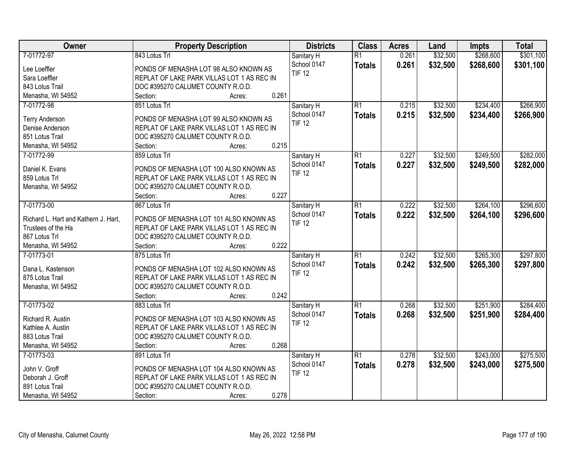| Owner                                | <b>Property Description</b>                | <b>Districts</b> | <b>Class</b>    | <b>Acres</b> | Land     | Impts     | <b>Total</b> |
|--------------------------------------|--------------------------------------------|------------------|-----------------|--------------|----------|-----------|--------------|
| 7-01772-97                           | 843 Lotus Trl                              | Sanitary H       | $\overline{R1}$ | 0.261        | \$32,500 | \$268,600 | \$301,100    |
| Lee Loeffler                         | PONDS OF MENASHA LOT 98 ALSO KNOWN AS      | School 0147      | <b>Totals</b>   | 0.261        | \$32,500 | \$268,600 | \$301,100    |
| Sara Loeffler                        | REPLAT OF LAKE PARK VILLAS LOT 1 AS REC IN | <b>TIF 12</b>    |                 |              |          |           |              |
| 843 Lotus Trail                      | DOC #395270 CALUMET COUNTY R.O.D.          |                  |                 |              |          |           |              |
| Menasha, WI 54952                    | 0.261<br>Section:<br>Acres:                |                  |                 |              |          |           |              |
| 7-01772-98                           | 851 Lotus Trl                              | Sanitary H       | $\overline{R1}$ | 0.215        | \$32,500 | \$234,400 | \$266,900    |
|                                      |                                            | School 0147      | <b>Totals</b>   | 0.215        | \$32,500 | \$234,400 | \$266,900    |
| <b>Terry Anderson</b>                | PONDS OF MENASHA LOT 99 ALSO KNOWN AS      | <b>TIF 12</b>    |                 |              |          |           |              |
| Denise Anderson                      | REPLAT OF LAKE PARK VILLAS LOT 1 AS REC IN |                  |                 |              |          |           |              |
| 851 Lotus Trail                      | DOC #395270 CALUMET COUNTY R.O.D.          |                  |                 |              |          |           |              |
| Menasha, WI 54952                    | 0.215<br>Section:<br>Acres:                |                  |                 |              |          |           |              |
| 7-01772-99                           | 859 Lotus Trl                              | Sanitary H       | $\overline{R1}$ | 0.227        | \$32,500 | \$249,500 | \$282,000    |
| Daniel K. Evans                      | PONDS OF MENASHA LOT 100 ALSO KNOWN AS     | School 0147      | <b>Totals</b>   | 0.227        | \$32,500 | \$249,500 | \$282,000    |
| 859 Lotus Trl                        | REPLAT OF LAKE PARK VILLAS LOT 1 AS REC IN | <b>TIF 12</b>    |                 |              |          |           |              |
| Menasha, WI 54952                    | DOC #395270 CALUMET COUNTY R.O.D.          |                  |                 |              |          |           |              |
|                                      | 0.227<br>Section:<br>Acres:                |                  |                 |              |          |           |              |
| 7-01773-00                           | 867 Lotus Trl                              | Sanitary H       | $\overline{R1}$ | 0.222        | \$32,500 | \$264,100 | \$296,600    |
|                                      |                                            | School 0147      | <b>Totals</b>   | 0.222        | \$32,500 | \$264,100 | \$296,600    |
| Richard L. Hart and Kathern J. Hart, | PONDS OF MENASHA LOT 101 ALSO KNOWN AS     | <b>TIF 12</b>    |                 |              |          |           |              |
| Trustees of the Ha                   | REPLAT OF LAKE PARK VILLAS LOT 1 AS REC IN |                  |                 |              |          |           |              |
| 867 Lotus Trl                        | DOC #395270 CALUMET COUNTY R.O.D.          |                  |                 |              |          |           |              |
| Menasha, WI 54952                    | 0.222<br>Section:<br>Acres:                |                  |                 |              |          |           |              |
| 7-01773-01                           | 875 Lotus Trl                              | Sanitary H       | $\overline{R1}$ | 0.242        | \$32,500 | \$265,300 | \$297,800    |
| Dana L. Kastenson                    | PONDS OF MENASHA LOT 102 ALSO KNOWN AS     | School 0147      | <b>Totals</b>   | 0.242        | \$32,500 | \$265,300 | \$297,800    |
| 875 Lotus Trail                      | REPLAT OF LAKE PARK VILLAS LOT 1 AS REC IN | <b>TIF 12</b>    |                 |              |          |           |              |
| Menasha, WI 54952                    | DOC #395270 CALUMET COUNTY R.O.D.          |                  |                 |              |          |           |              |
|                                      | Section:<br>0.242<br>Acres:                |                  |                 |              |          |           |              |
| 7-01773-02                           | 883 Lotus Trl                              | Sanitary H       | $\overline{R1}$ | 0.268        | \$32,500 | \$251,900 | \$284,400    |
|                                      |                                            | School 0147      | <b>Totals</b>   | 0.268        | \$32,500 | \$251,900 | \$284,400    |
| Richard R. Austin                    | PONDS OF MENASHA LOT 103 ALSO KNOWN AS     | <b>TIF 12</b>    |                 |              |          |           |              |
| Kathlee A. Austin                    | REPLAT OF LAKE PARK VILLAS LOT 1 AS REC IN |                  |                 |              |          |           |              |
| 883 Lotus Trail                      | DOC #395270 CALUMET COUNTY R.O.D.          |                  |                 |              |          |           |              |
| Menasha, WI 54952                    | 0.268<br>Section:<br>Acres:                |                  |                 |              |          |           |              |
| 7-01773-03                           | 891 Lotus Trl                              | Sanitary H       | $\overline{R1}$ | 0.278        | \$32,500 | \$243,000 | \$275,500    |
| John V. Groff                        | PONDS OF MENASHA LOT 104 ALSO KNOWN AS     | School 0147      | <b>Totals</b>   | 0.278        | \$32,500 | \$243,000 | \$275,500    |
| Deborah J. Groff                     | REPLAT OF LAKE PARK VILLAS LOT 1 AS REC IN | <b>TIF 12</b>    |                 |              |          |           |              |
| 891 Lotus Trail                      | DOC #395270 CALUMET COUNTY R.O.D.          |                  |                 |              |          |           |              |
| Menasha, WI 54952                    | 0.278<br>Section:<br>Acres:                |                  |                 |              |          |           |              |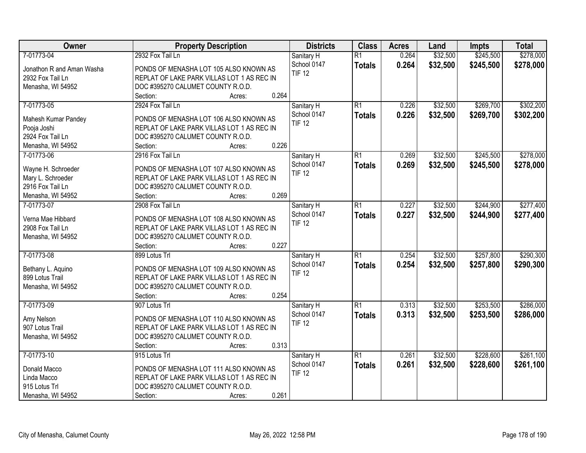| Owner                     | <b>Property Description</b>                | <b>Districts</b> | <b>Class</b>    | <b>Acres</b> | Land     | Impts     | <b>Total</b> |
|---------------------------|--------------------------------------------|------------------|-----------------|--------------|----------|-----------|--------------|
| 7-01773-04                | 2932 Fox Tail Ln                           | Sanitary H       | $\overline{R1}$ | 0.264        | \$32,500 | \$245,500 | \$278,000    |
| Jonathon R and Aman Washa | PONDS OF MENASHA LOT 105 ALSO KNOWN AS     | School 0147      | <b>Totals</b>   | 0.264        | \$32,500 | \$245,500 | \$278,000    |
| 2932 Fox Tail Ln          | REPLAT OF LAKE PARK VILLAS LOT 1 AS REC IN | <b>TIF 12</b>    |                 |              |          |           |              |
| Menasha, WI 54952         | DOC #395270 CALUMET COUNTY R.O.D.          |                  |                 |              |          |           |              |
|                           | 0.264<br>Section:<br>Acres:                |                  |                 |              |          |           |              |
| 7-01773-05                | 2924 Fox Tail Ln                           | Sanitary H       | $\overline{R1}$ | 0.226        | \$32,500 | \$269,700 | \$302,200    |
|                           |                                            | School 0147      | <b>Totals</b>   | 0.226        | \$32,500 | \$269,700 | \$302,200    |
| Mahesh Kumar Pandey       | PONDS OF MENASHA LOT 106 ALSO KNOWN AS     | <b>TIF 12</b>    |                 |              |          |           |              |
| Pooja Joshi               | REPLAT OF LAKE PARK VILLAS LOT 1 AS REC IN |                  |                 |              |          |           |              |
| 2924 Fox Tail Ln          | DOC #395270 CALUMET COUNTY R.O.D.          |                  |                 |              |          |           |              |
| Menasha, WI 54952         | 0.226<br>Section:<br>Acres:                |                  |                 |              |          |           |              |
| 7-01773-06                | 2916 Fox Tail Ln                           | Sanitary H       | $\overline{R1}$ | 0.269        | \$32,500 | \$245,500 | \$278,000    |
| Wayne H. Schroeder        | PONDS OF MENASHA LOT 107 ALSO KNOWN AS     | School 0147      | <b>Totals</b>   | 0.269        | \$32,500 | \$245,500 | \$278,000    |
| Mary L. Schroeder         | REPLAT OF LAKE PARK VILLAS LOT 1 AS REC IN | <b>TIF 12</b>    |                 |              |          |           |              |
| 2916 Fox Tail Ln          | DOC #395270 CALUMET COUNTY R.O.D.          |                  |                 |              |          |           |              |
| Menasha, WI 54952         | 0.269<br>Section:<br>Acres:                |                  |                 |              |          |           |              |
| 7-01773-07                | 2908 Fox Tail Ln                           | Sanitary H       | $\overline{R1}$ | 0.227        | \$32,500 | \$244,900 | \$277,400    |
|                           |                                            | School 0147      | <b>Totals</b>   | 0.227        | \$32,500 | \$244,900 | \$277,400    |
| Verna Mae Hibbard         | PONDS OF MENASHA LOT 108 ALSO KNOWN AS     | <b>TIF 12</b>    |                 |              |          |           |              |
| 2908 Fox Tail Ln          | REPLAT OF LAKE PARK VILLAS LOT 1 AS REC IN |                  |                 |              |          |           |              |
| Menasha, WI 54952         | DOC #395270 CALUMET COUNTY R.O.D.          |                  |                 |              |          |           |              |
|                           | 0.227<br>Section:<br>Acres:                |                  |                 |              |          |           |              |
| 7-01773-08                | 899 Lotus Trl                              | Sanitary H       | $\overline{R1}$ | 0.254        | \$32,500 | \$257,800 | \$290,300    |
| Bethany L. Aquino         | PONDS OF MENASHA LOT 109 ALSO KNOWN AS     | School 0147      | <b>Totals</b>   | 0.254        | \$32,500 | \$257,800 | \$290,300    |
| 899 Lotus Trail           | REPLAT OF LAKE PARK VILLAS LOT 1 AS REC IN | <b>TIF 12</b>    |                 |              |          |           |              |
| Menasha, WI 54952         | DOC #395270 CALUMET COUNTY R.O.D.          |                  |                 |              |          |           |              |
|                           | 0.254<br>Section:<br>Acres:                |                  |                 |              |          |           |              |
| 7-01773-09                | 907 Lotus Trl                              | Sanitary H       | $\overline{R1}$ | 0.313        | \$32,500 | \$253,500 | \$286,000    |
|                           |                                            | School 0147      | <b>Totals</b>   | 0.313        | \$32,500 | \$253,500 | \$286,000    |
| Amy Nelson                | PONDS OF MENASHA LOT 110 ALSO KNOWN AS     | <b>TIF 12</b>    |                 |              |          |           |              |
| 907 Lotus Trail           | REPLAT OF LAKE PARK VILLAS LOT 1 AS REC IN |                  |                 |              |          |           |              |
| Menasha, WI 54952         | DOC #395270 CALUMET COUNTY R.O.D.          |                  |                 |              |          |           |              |
|                           | 0.313<br>Section:<br>Acres:                |                  |                 |              |          |           |              |
| 7-01773-10                | 915 Lotus Trl                              | Sanitary H       | $\overline{R1}$ | 0.261        | \$32,500 | \$228,600 | \$261,100    |
| Donald Macco              | PONDS OF MENASHA LOT 111 ALSO KNOWN AS     | School 0147      | <b>Totals</b>   | 0.261        | \$32,500 | \$228,600 | \$261,100    |
| Linda Macco               | REPLAT OF LAKE PARK VILLAS LOT 1 AS REC IN | <b>TIF 12</b>    |                 |              |          |           |              |
| 915 Lotus Trl             | DOC #395270 CALUMET COUNTY R.O.D.          |                  |                 |              |          |           |              |
| Menasha, WI 54952         | 0.261<br>Section:<br>Acres:                |                  |                 |              |          |           |              |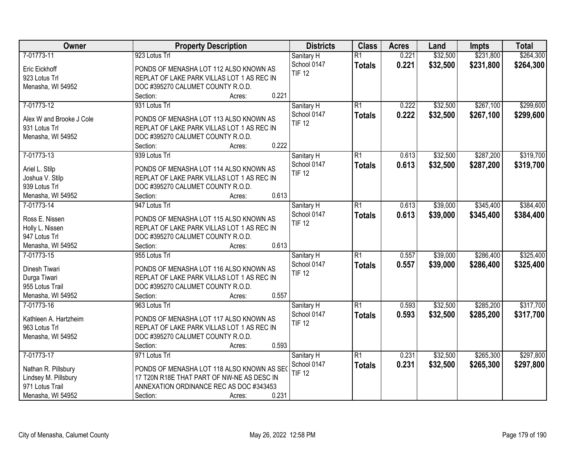| Owner                    | <b>Property Description</b>                | <b>Districts</b> | <b>Class</b>    | <b>Acres</b> | Land     | <b>Impts</b> | <b>Total</b> |
|--------------------------|--------------------------------------------|------------------|-----------------|--------------|----------|--------------|--------------|
| 7-01773-11               | 923 Lotus Trl                              | Sanitary H       | $\overline{R1}$ | 0.221        | \$32,500 | \$231,800    | \$264,300    |
| Eric Eickhoff            | PONDS OF MENASHA LOT 112 ALSO KNOWN AS     | School 0147      | <b>Totals</b>   | 0.221        | \$32,500 | \$231,800    | \$264,300    |
| 923 Lotus Trl            | REPLAT OF LAKE PARK VILLAS LOT 1 AS REC IN | <b>TIF 12</b>    |                 |              |          |              |              |
| Menasha, WI 54952        | DOC #395270 CALUMET COUNTY R.O.D.          |                  |                 |              |          |              |              |
|                          | 0.221<br>Section:<br>Acres:                |                  |                 |              |          |              |              |
| 7-01773-12               | 931 Lotus Trl                              | Sanitary H       | $\overline{R1}$ | 0.222        | \$32,500 | \$267,100    | \$299,600    |
|                          |                                            | School 0147      | <b>Totals</b>   | 0.222        | \$32,500 | \$267,100    | \$299,600    |
| Alex W and Brooke J Cole | PONDS OF MENASHA LOT 113 ALSO KNOWN AS     | <b>TIF 12</b>    |                 |              |          |              |              |
| 931 Lotus Trl            | REPLAT OF LAKE PARK VILLAS LOT 1 AS REC IN |                  |                 |              |          |              |              |
| Menasha, WI 54952        | DOC #395270 CALUMET COUNTY R.O.D.          |                  |                 |              |          |              |              |
|                          | 0.222<br>Section:<br>Acres:                |                  |                 |              |          |              |              |
| 7-01773-13               | 939 Lotus Trl                              | Sanitary H       | $\overline{R1}$ | 0.613        | \$32,500 | \$287,200    | \$319,700    |
| Ariel L. Stilp           | PONDS OF MENASHA LOT 114 ALSO KNOWN AS     | School 0147      | <b>Totals</b>   | 0.613        | \$32,500 | \$287,200    | \$319,700    |
| Joshua V. Stilp          | REPLAT OF LAKE PARK VILLAS LOT 1 AS REC IN | <b>TIF 12</b>    |                 |              |          |              |              |
| 939 Lotus Trl            | DOC #395270 CALUMET COUNTY R.O.D.          |                  |                 |              |          |              |              |
| Menasha, WI 54952        | 0.613<br>Section:<br>Acres:                |                  |                 |              |          |              |              |
| 7-01773-14               | 947 Lotus Trl                              | Sanitary H       | $\overline{R1}$ | 0.613        | \$39,000 | \$345,400    | \$384,400    |
|                          |                                            | School 0147      | <b>Totals</b>   | 0.613        | \$39,000 | \$345,400    | \$384,400    |
| Ross E. Nissen           | PONDS OF MENASHA LOT 115 ALSO KNOWN AS     | <b>TIF 12</b>    |                 |              |          |              |              |
| Holly L. Nissen          | REPLAT OF LAKE PARK VILLAS LOT 1 AS REC IN |                  |                 |              |          |              |              |
| 947 Lotus Trl            | DOC #395270 CALUMET COUNTY R.O.D.          |                  |                 |              |          |              |              |
| Menasha, WI 54952        | 0.613<br>Section:<br>Acres:                |                  |                 |              |          |              |              |
| 7-01773-15               | 955 Lotus Trl                              | Sanitary H       | $\overline{R1}$ | 0.557        | \$39,000 | \$286,400    | \$325,400    |
| Dinesh Tiwari            | PONDS OF MENASHA LOT 116 ALSO KNOWN AS     | School 0147      | <b>Totals</b>   | 0.557        | \$39,000 | \$286,400    | \$325,400    |
| Durga Tiwari             | REPLAT OF LAKE PARK VILLAS LOT 1 AS REC IN | <b>TIF 12</b>    |                 |              |          |              |              |
| 955 Lotus Trail          | DOC #395270 CALUMET COUNTY R.O.D.          |                  |                 |              |          |              |              |
| Menasha, WI 54952        | 0.557<br>Section:<br>Acres:                |                  |                 |              |          |              |              |
| 7-01773-16               | 963 Lotus Trl                              | Sanitary H       | $\overline{R1}$ | 0.593        | \$32,500 | \$285,200    | \$317,700    |
|                          |                                            | School 0147      | <b>Totals</b>   | 0.593        | \$32,500 | \$285,200    | \$317,700    |
| Kathleen A. Hartzheim    | PONDS OF MENASHA LOT 117 ALSO KNOWN AS     | <b>TIF 12</b>    |                 |              |          |              |              |
| 963 Lotus Trl            | REPLAT OF LAKE PARK VILLAS LOT 1 AS REC IN |                  |                 |              |          |              |              |
| Menasha, WI 54952        | DOC #395270 CALUMET COUNTY R.O.D.          |                  |                 |              |          |              |              |
|                          | 0.593<br>Section:<br>Acres:                |                  |                 |              |          |              |              |
| 7-01773-17               | 971 Lotus Trl                              | Sanitary H       | $\overline{R1}$ | 0.231        | \$32,500 | \$265,300    | \$297,800    |
| Nathan R. Pillsbury      | PONDS OF MENASHA LOT 118 ALSO KNOWN AS SEC | School 0147      | <b>Totals</b>   | 0.231        | \$32,500 | \$265,300    | \$297,800    |
| Lindsey M. Pillsbury     | 17 T20N R18E THAT PART OF NW-NE AS DESC IN | <b>TIF 12</b>    |                 |              |          |              |              |
| 971 Lotus Trail          | ANNEXATION ORDINANCE REC AS DOC #343453    |                  |                 |              |          |              |              |
| Menasha, WI 54952        | 0.231<br>Section:<br>Acres:                |                  |                 |              |          |              |              |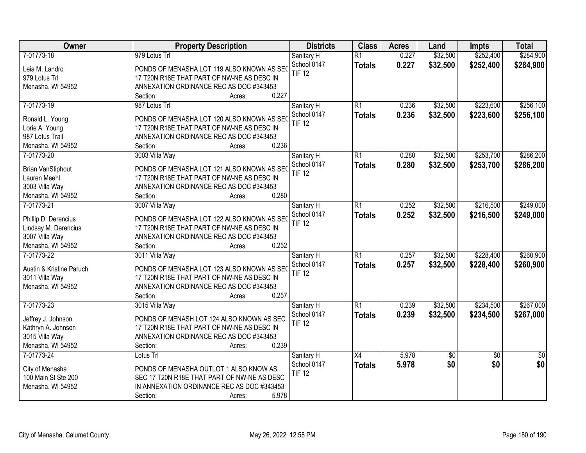| <b>Owner</b>                        | <b>Property Description</b>                                  | <b>Districts</b>             | <b>Class</b>    | <b>Acres</b> | Land     | Impts           | <b>Total</b>    |
|-------------------------------------|--------------------------------------------------------------|------------------------------|-----------------|--------------|----------|-----------------|-----------------|
| 7-01773-18                          | 979 Lotus Trl                                                | Sanitary H                   | $\overline{R1}$ | 0.227        | \$32,500 | \$252,400       | \$284,900       |
| Leia M. Landro                      | PONDS OF MENASHA LOT 119 ALSO KNOWN AS SEO                   | School 0147                  | <b>Totals</b>   | 0.227        | \$32,500 | \$252,400       | \$284,900       |
| 979 Lotus Trl                       | 17 T20N R18E THAT PART OF NW-NE AS DESC IN                   | <b>TIF 12</b>                |                 |              |          |                 |                 |
| Menasha, WI 54952                   | ANNEXATION ORDINANCE REC AS DOC #343453                      |                              |                 |              |          |                 |                 |
|                                     | 0.227<br>Section:<br>Acres:                                  |                              |                 |              |          |                 |                 |
| 7-01773-19                          | 987 Lotus Trl                                                | Sanitary H                   | $\overline{R1}$ | 0.236        | \$32,500 | \$223,600       | \$256,100       |
|                                     |                                                              | School 0147                  | <b>Totals</b>   | 0.236        | \$32,500 | \$223,600       | \$256,100       |
| Ronald L. Young                     | PONDS OF MENASHA LOT 120 ALSO KNOWN AS SEC                   | <b>TIF 12</b>                |                 |              |          |                 |                 |
| Lorie A. Young                      | 17 T20N R18E THAT PART OF NW-NE AS DESC IN                   |                              |                 |              |          |                 |                 |
| 987 Lotus Trail                     | ANNEXATION ORDINANCE REC AS DOC #343453                      |                              |                 |              |          |                 |                 |
| Menasha, WI 54952                   | 0.236<br>Section:<br>Acres:                                  |                              |                 |              |          |                 |                 |
| 7-01773-20                          | 3003 Villa Way                                               | Sanitary H                   | $\overline{R1}$ | 0.280        | \$32,500 | \$253,700       | \$286,200       |
| <b>Brian VanStiphout</b>            | PONDS OF MENASHA LOT 121 ALSO KNOWN AS SEC                   | School 0147<br><b>TIF 12</b> | <b>Totals</b>   | 0.280        | \$32,500 | \$253,700       | \$286,200       |
| Lauren Meehl                        | 17 T20N R18E THAT PART OF NW-NE AS DESC IN                   |                              |                 |              |          |                 |                 |
| 3003 Villa Way                      | ANNEXATION ORDINANCE REC AS DOC #343453                      |                              |                 |              |          |                 |                 |
| Menasha, WI 54952                   | 0.280<br>Section:<br>Acres:                                  |                              |                 |              |          |                 |                 |
| 7-01773-21                          | 3007 Villa Way                                               | Sanitary H                   | $\overline{R1}$ | 0.252        | \$32,500 | \$216,500       | \$249,000       |
|                                     |                                                              | School 0147                  | <b>Totals</b>   | 0.252        | \$32,500 | \$216,500       | \$249,000       |
| Phillip D. Derencius                | PONDS OF MENASHA LOT 122 ALSO KNOWN AS SEO                   | <b>TIF 12</b>                |                 |              |          |                 |                 |
| Lindsay M. Derencius                | 17 T20N R18E THAT PART OF NW-NE AS DESC IN                   |                              |                 |              |          |                 |                 |
| 3007 Villa Way<br>Menasha, WI 54952 | ANNEXATION ORDINANCE REC AS DOC #343453<br>0.252<br>Section: |                              |                 |              |          |                 |                 |
| 7-01773-22                          | Acres:<br>3011 Villa Way                                     |                              | $\overline{R1}$ | 0.257        | \$32,500 | \$228,400       | \$260,900       |
|                                     |                                                              | Sanitary H                   |                 |              |          |                 |                 |
| Austin & Kristine Paruch            | PONDS OF MENASHA LOT 123 ALSO KNOWN AS SEC                   | School 0147                  | <b>Totals</b>   | 0.257        | \$32,500 | \$228,400       | \$260,900       |
| 3011 Villa Way                      | 17 T20N R18E THAT PART OF NW-NE AS DESC IN                   | <b>TIF 12</b>                |                 |              |          |                 |                 |
| Menasha, WI 54952                   | ANNEXATION ORDINANCE REC AS DOC #343453                      |                              |                 |              |          |                 |                 |
|                                     | 0.257<br>Section:<br>Acres:                                  |                              |                 |              |          |                 |                 |
| 7-01773-23                          | 3015 Villa Way                                               | Sanitary H                   | $\overline{R1}$ | 0.239        | \$32,500 | \$234,500       | \$267,000       |
| Jeffrey J. Johnson                  | PONDS OF MENASH LOT 124 ALSO KNOWN AS SEC                    | School 0147                  | <b>Totals</b>   | 0.239        | \$32,500 | \$234,500       | \$267,000       |
| Kathryn A. Johnson                  | 17 T20N R18E THAT PART OF NW-NE AS DESC IN                   | <b>TIF 12</b>                |                 |              |          |                 |                 |
| 3015 Villa Way                      | ANNEXATION ORDINANCE REC AS DOC #343453                      |                              |                 |              |          |                 |                 |
| Menasha, WI 54952                   | 0.239<br>Section:<br>Acres:                                  |                              |                 |              |          |                 |                 |
| 7-01773-24                          | Lotus Trl                                                    | Sanitary H                   | $\overline{X4}$ | 5.978        | \$0      | $\overline{50}$ | $\overline{50}$ |
|                                     |                                                              | School 0147                  |                 | 5.978        | \$0      | \$0             | \$0             |
| City of Menasha                     | PONDS OF MENASHA OUTLOT 1 ALSO KNOW AS                       | <b>TIF 12</b>                | <b>Totals</b>   |              |          |                 |                 |
| 100 Main St Ste 200                 | SEC 17 T20N R18E THAT PART OF NW-NE AS DESC                  |                              |                 |              |          |                 |                 |
| Menasha, WI 54952                   | IN ANNEXATION ORDINANCE REC AS DOC #343453                   |                              |                 |              |          |                 |                 |
|                                     | 5.978<br>Section:<br>Acres:                                  |                              |                 |              |          |                 |                 |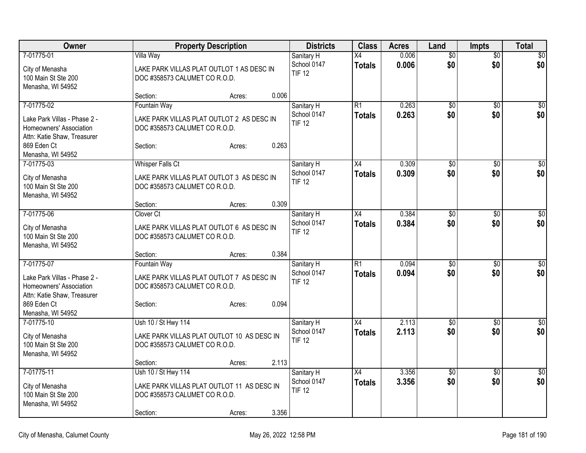| Owner                                                                                                                                    | <b>Property Description</b>                                                                                                          | <b>Districts</b>                           | <b>Class</b>                     | <b>Acres</b>   | Land                   | <b>Impts</b>           | <b>Total</b>            |
|------------------------------------------------------------------------------------------------------------------------------------------|--------------------------------------------------------------------------------------------------------------------------------------|--------------------------------------------|----------------------------------|----------------|------------------------|------------------------|-------------------------|
| 7-01775-01<br>City of Menasha<br>100 Main St Ste 200<br>Menasha, WI 54952                                                                | Villa Way<br>LAKE PARK VILLAS PLAT OUTLOT 1 AS DESC IN<br>DOC #358573 CALUMET CO R.O.D.<br>0.006<br>Section:<br>Acres:               | Sanitary H<br>School 0147<br><b>TIF 12</b> | $\overline{X4}$<br><b>Totals</b> | 0.006<br>0.006 | $\overline{50}$<br>\$0 | $\overline{50}$<br>\$0 | \$0<br>\$0              |
| 7-01775-02<br>Lake Park Villas - Phase 2 -<br>Homeowners' Association<br>Attn: Katie Shaw, Treasurer<br>869 Eden Ct<br>Menasha, WI 54952 | <b>Fountain Way</b><br>LAKE PARK VILLAS PLAT OUTLOT 2 AS DESC IN<br>DOC #358573 CALUMET CO R.O.D.<br>0.263<br>Section:<br>Acres:     | Sanitary H<br>School 0147<br><b>TIF 12</b> | R1<br><b>Totals</b>              | 0.263<br>0.263 | $\overline{50}$<br>\$0 | \$0<br>\$0             | \$0<br>\$0              |
| 7-01775-03<br>City of Menasha<br>100 Main St Ste 200<br>Menasha, WI 54952                                                                | <b>Whisper Falls Ct</b><br>LAKE PARK VILLAS PLAT OUTLOT 3 AS DESC IN<br>DOC #358573 CALUMET CO R.O.D.<br>0.309<br>Section:<br>Acres: | Sanitary H<br>School 0147<br><b>TIF 12</b> | $\overline{X4}$<br>Totals        | 0.309<br>0.309 | $\overline{50}$<br>\$0 | $\overline{50}$<br>\$0 | \$0<br>\$0              |
| 7-01775-06<br>City of Menasha<br>100 Main St Ste 200<br>Menasha, WI 54952                                                                | Clover Ct<br>LAKE PARK VILLAS PLAT OUTLOT 6 AS DESC IN<br>DOC #358573 CALUMET CO R.O.D.<br>0.384<br>Section:<br>Acres:               | Sanitary H<br>School 0147<br><b>TIF 12</b> | X4<br><b>Totals</b>              | 0.384<br>0.384 | $\overline{50}$<br>\$0 | $\overline{50}$<br>\$0 | \$0<br>\$0              |
| 7-01775-07<br>Lake Park Villas - Phase 2 -<br>Homeowners' Association<br>Attn: Katie Shaw, Treasurer<br>869 Eden Ct<br>Menasha, WI 54952 | <b>Fountain Way</b><br>LAKE PARK VILLAS PLAT OUTLOT 7 AS DESC IN<br>DOC #358573 CALUMET CO R.O.D.<br>0.094<br>Section:<br>Acres:     | Sanitary H<br>School 0147<br><b>TIF 12</b> | $\overline{R1}$<br><b>Totals</b> | 0.094<br>0.094 | $\overline{50}$<br>\$0 | \$0<br>\$0             | $\overline{50}$<br>\$0  |
| 7-01775-10<br>City of Menasha<br>100 Main St Ste 200<br>Menasha, WI 54952                                                                | Ush 10 / St Hwy 114<br>LAKE PARK VILLAS PLAT OUTLOT 10 AS DESC IN<br>DOC #358573 CALUMET CO R.O.D.<br>2.113<br>Section:<br>Acres:    | Sanitary H<br>School 0147<br><b>TIF 12</b> | X4<br><b>Totals</b>              | 2.113<br>2.113 | $\overline{50}$<br>\$0 | \$0<br>\$0             | $\overline{\$0}$<br>\$0 |
| 7-01775-11<br>City of Menasha<br>100 Main St Ste 200<br>Menasha, WI 54952                                                                | Ush 10 / St Hwy 114<br>LAKE PARK VILLAS PLAT OUTLOT 11 AS DESC IN<br>DOC #358573 CALUMET CO R.O.D.<br>3.356<br>Section:<br>Acres:    | Sanitary H<br>School 0147<br><b>TIF 12</b> | $\overline{X4}$<br><b>Totals</b> | 3.356<br>3.356 | $\overline{50}$<br>\$0 | \$0<br>\$0             | $\overline{\$0}$<br>\$0 |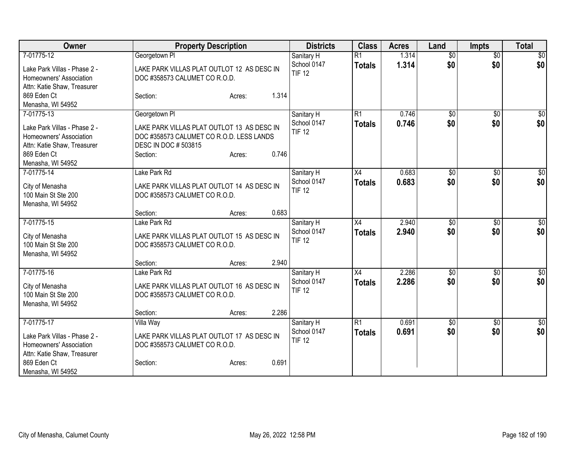| Owner                                                                                                                                    | <b>Property Description</b>                                                                                                                           | <b>Districts</b>                                    | <b>Class</b>                     | <b>Acres</b>   | Land                   | <b>Impts</b>           | <b>Total</b>            |
|------------------------------------------------------------------------------------------------------------------------------------------|-------------------------------------------------------------------------------------------------------------------------------------------------------|-----------------------------------------------------|----------------------------------|----------------|------------------------|------------------------|-------------------------|
| 7-01775-12<br>Lake Park Villas - Phase 2 -<br>Homeowners' Association<br>Attn: Katie Shaw, Treasurer                                     | Georgetown PI<br>LAKE PARK VILLAS PLAT OUTLOT 12 AS DESC IN<br>DOC #358573 CALUMET CO R.O.D.                                                          | Sanitary H<br>School 0147<br><b>TIF 12</b>          | $\overline{R1}$<br><b>Totals</b> | 1.314<br>1.314 | $\overline{50}$<br>\$0 | $\overline{50}$<br>\$0 | $\overline{50}$<br>\$0  |
| 869 Eden Ct<br>Menasha, WI 54952                                                                                                         | Section:<br>Acres:                                                                                                                                    | 1.314                                               |                                  |                |                        |                        |                         |
| 7-01775-13<br>Lake Park Villas - Phase 2 -<br>Homeowners' Association<br>Attn: Katie Shaw, Treasurer<br>869 Eden Ct<br>Menasha, WI 54952 | Georgetown PI<br>LAKE PARK VILLAS PLAT OUTLOT 13 AS DESC IN<br>DOC #358573 CALUMET CO R.O.D. LESS LANDS<br>DESC IN DOC # 503815<br>Section:<br>Acres: | Sanitary H<br>School 0147<br><b>TIF 12</b><br>0.746 | R1<br><b>Totals</b>              | 0.746<br>0.746 | $\overline{50}$<br>\$0 | $\overline{50}$<br>\$0 | \$0<br>\$0              |
| 7-01775-14<br>City of Menasha<br>100 Main St Ste 200<br>Menasha, WI 54952                                                                | Lake Park Rd<br>LAKE PARK VILLAS PLAT OUTLOT 14 AS DESC IN<br>DOC #358573 CALUMET CO R.O.D.<br>Section:<br>Acres:                                     | Sanitary H<br>School 0147<br><b>TIF 12</b><br>0.683 | X4<br><b>Totals</b>              | 0.683<br>0.683 | \$0<br>\$0             | \$0<br>\$0             | \$0<br>\$0              |
| 7-01775-15<br>City of Menasha<br>100 Main St Ste 200<br>Menasha, WI 54952                                                                | Lake Park Rd<br>LAKE PARK VILLAS PLAT OUTLOT 15 AS DESC IN<br>DOC #358573 CALUMET CO R.O.D.<br>Section:<br>Acres:                                     | Sanitary H<br>School 0147<br><b>TIF 12</b><br>2.940 | X4<br><b>Totals</b>              | 2.940<br>2.940 | $\overline{50}$<br>\$0 | \$0<br>\$0             | $\sqrt{50}$<br>\$0      |
| 7-01775-16<br>City of Menasha<br>100 Main St Ste 200<br>Menasha, WI 54952                                                                | Lake Park Rd<br>LAKE PARK VILLAS PLAT OUTLOT 16 AS DESC IN<br>DOC #358573 CALUMET CO R.O.D.<br>Section:<br>Acres:                                     | Sanitary H<br>School 0147<br><b>TIF 12</b><br>2.286 | X4<br>Totals                     | 2.286<br>2.286 | $\overline{50}$<br>\$0 | \$0<br>\$0             | $\overline{\$0}$<br>\$0 |
| 7-01775-17<br>Lake Park Villas - Phase 2 -<br>Homeowners' Association<br>Attn: Katie Shaw, Treasurer<br>869 Eden Ct<br>Menasha, WI 54952 | Villa Way<br>LAKE PARK VILLAS PLAT OUTLOT 17 AS DESC IN<br>DOC #358573 CALUMET CO R.O.D.<br>Section:<br>Acres:                                        | Sanitary H<br>School 0147<br><b>TIF 12</b><br>0.691 | R1<br><b>Totals</b>              | 0.691<br>0.691 | \$0<br>\$0             | \$0<br>\$0             | $\overline{50}$<br>\$0  |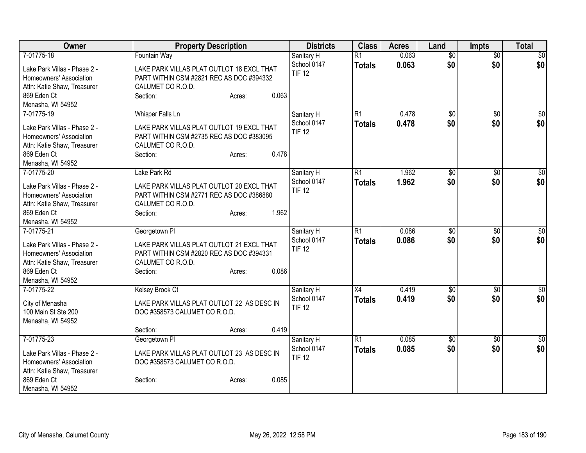| <b>Owner</b>                               | <b>Property Description</b>                | <b>Districts</b>          | <b>Class</b>                     | <b>Acres</b>   | Land                   | <b>Impts</b>           | <b>Total</b>    |
|--------------------------------------------|--------------------------------------------|---------------------------|----------------------------------|----------------|------------------------|------------------------|-----------------|
| 7-01775-18                                 | <b>Fountain Way</b>                        | Sanitary H<br>School 0147 | $\overline{R1}$<br><b>Totals</b> | 0.063<br>0.063 | $\overline{50}$<br>\$0 | $\overline{50}$<br>\$0 | \$0<br>\$0      |
| Lake Park Villas - Phase 2 -               | LAKE PARK VILLAS PLAT OUTLOT 18 EXCL THAT  | <b>TIF 12</b>             |                                  |                |                        |                        |                 |
| Homeowners' Association                    | PART WITHIN CSM #2821 REC AS DOC #394332   |                           |                                  |                |                        |                        |                 |
| Attn: Katie Shaw, Treasurer<br>869 Eden Ct | CALUMET CO R.O.D.<br>0.063<br>Section:     |                           |                                  |                |                        |                        |                 |
| Menasha, WI 54952                          | Acres:                                     |                           |                                  |                |                        |                        |                 |
| 7-01775-19                                 | Whisper Falls Ln                           | Sanitary H                | $\overline{R1}$                  | 0.478          | $\overline{50}$        | $\overline{50}$        | \$0             |
|                                            |                                            | School 0147               | <b>Totals</b>                    | 0.478          | \$0                    | \$0                    | \$0             |
| Lake Park Villas - Phase 2 -               | LAKE PARK VILLAS PLAT OUTLOT 19 EXCL THAT  | <b>TIF 12</b>             |                                  |                |                        |                        |                 |
| Homeowners' Association                    | PART WITHIN CSM #2735 REC AS DOC #383095   |                           |                                  |                |                        |                        |                 |
| Attn: Katie Shaw, Treasurer                | CALUMET CO R.O.D.                          |                           |                                  |                |                        |                        |                 |
| 869 Eden Ct                                | 0.478<br>Section:<br>Acres:                |                           |                                  |                |                        |                        |                 |
| Menasha, WI 54952                          |                                            |                           |                                  |                |                        |                        |                 |
| 7-01775-20                                 | Lake Park Rd                               | Sanitary H                | R1                               | 1.962          | \$0                    | \$0                    | $\overline{50}$ |
| Lake Park Villas - Phase 2 -               | LAKE PARK VILLAS PLAT OUTLOT 20 EXCL THAT  | School 0147               | <b>Totals</b>                    | 1.962          | \$0                    | \$0                    | \$0             |
| Homeowners' Association                    | PART WITHIN CSM #2771 REC AS DOC #386880   | <b>TIF 12</b>             |                                  |                |                        |                        |                 |
| Attn: Katie Shaw, Treasurer                | CALUMET CO R.O.D.                          |                           |                                  |                |                        |                        |                 |
| 869 Eden Ct                                | 1.962<br>Section:<br>Acres:                |                           |                                  |                |                        |                        |                 |
| Menasha, WI 54952                          |                                            |                           |                                  |                |                        |                        |                 |
| 7-01775-21                                 | Georgetown PI                              | Sanitary H                | R1                               | 0.086          | \$0                    | $\overline{50}$        | \$0             |
| Lake Park Villas - Phase 2 -               | LAKE PARK VILLAS PLAT OUTLOT 21 EXCL THAT  | School 0147               | <b>Totals</b>                    | 0.086          | \$0                    | \$0                    | \$0             |
| Homeowners' Association                    | PART WITHIN CSM #2820 REC AS DOC #394331   | <b>TIF 12</b>             |                                  |                |                        |                        |                 |
| Attn: Katie Shaw, Treasurer                | CALUMET CO R.O.D.                          |                           |                                  |                |                        |                        |                 |
| 869 Eden Ct                                | 0.086<br>Section:<br>Acres:                |                           |                                  |                |                        |                        |                 |
| Menasha, WI 54952                          |                                            |                           |                                  |                |                        |                        |                 |
| 7-01775-22                                 | <b>Kelsey Brook Ct</b>                     | Sanitary H                | X4                               | 0.419          | $\overline{50}$        | \$0                    | $\sqrt{50}$     |
|                                            |                                            | School 0147               | <b>Totals</b>                    | 0.419          | \$0                    | \$0                    | \$0             |
| City of Menasha<br>100 Main St Ste 200     | LAKE PARK VILLAS PLAT OUTLOT 22 AS DESC IN | <b>TIF 12</b>             |                                  |                |                        |                        |                 |
|                                            | DOC #358573 CALUMET CO R.O.D.              |                           |                                  |                |                        |                        |                 |
| Menasha, WI 54952                          | 0.419<br>Section:<br>Acres:                |                           |                                  |                |                        |                        |                 |
| 7-01775-23                                 | Georgetown PI                              | Sanitary H                | $\overline{R1}$                  | 0.085          | \$0                    | $\sqrt[6]{3}$          | $\sqrt{50}$     |
|                                            |                                            | School 0147               | <b>Totals</b>                    | 0.085          | \$0                    | \$0                    | \$0             |
| Lake Park Villas - Phase 2 -               | LAKE PARK VILLAS PLAT OUTLOT 23 AS DESC IN | <b>TIF 12</b>             |                                  |                |                        |                        |                 |
| Homeowners' Association                    | DOC #358573 CALUMET CO R.O.D.              |                           |                                  |                |                        |                        |                 |
| Attn: Katie Shaw, Treasurer                |                                            |                           |                                  |                |                        |                        |                 |
| 869 Eden Ct                                | 0.085<br>Section:<br>Acres:                |                           |                                  |                |                        |                        |                 |
| Menasha, WI 54952                          |                                            |                           |                                  |                |                        |                        |                 |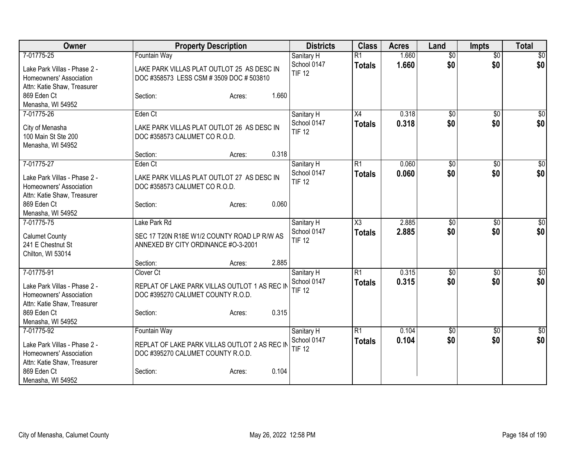| Owner                                                                                  | <b>Property Description</b>                                                          | <b>Districts</b>             | <b>Class</b>           | <b>Acres</b> | Land            | <b>Impts</b>    | <b>Total</b>    |
|----------------------------------------------------------------------------------------|--------------------------------------------------------------------------------------|------------------------------|------------------------|--------------|-----------------|-----------------|-----------------|
| 7-01775-25                                                                             | <b>Fountain Way</b>                                                                  | Sanitary H                   | $\overline{R1}$        | 1.660        | $\overline{50}$ | $\overline{50}$ | \$0             |
| Lake Park Villas - Phase 2 -<br>Homeowners' Association<br>Attn: Katie Shaw, Treasurer | LAKE PARK VILLAS PLAT OUTLOT 25 AS DESC IN<br>DOC #358573 LESS CSM #3509 DOC #503810 | School 0147<br><b>TIF 12</b> | <b>Totals</b>          | 1.660        | \$0             | \$0             | \$0             |
| 869 Eden Ct<br>Menasha, WI 54952                                                       | 1.660<br>Section:<br>Acres:                                                          |                              |                        |              |                 |                 |                 |
| 7-01775-26                                                                             | Eden Ct                                                                              | Sanitary H                   | X4                     | 0.318        | \$0             | $\overline{50}$ | $\overline{50}$ |
| City of Menasha<br>100 Main St Ste 200<br>Menasha, WI 54952                            | LAKE PARK VILLAS PLAT OUTLOT 26 AS DESC IN<br>DOC #358573 CALUMET CO R.O.D.          | School 0147<br><b>TIF 12</b> | <b>Totals</b>          | 0.318        | \$0             | \$0             | \$0             |
|                                                                                        | 0.318<br>Section:<br>Acres:                                                          |                              |                        |              |                 |                 |                 |
| 7-01775-27                                                                             | Eden Ct                                                                              | Sanitary H                   | R1                     | 0.060        | \$0             | \$0             | $\sqrt{50}$     |
| Lake Park Villas - Phase 2 -<br>Homeowners' Association<br>Attn: Katie Shaw, Treasurer | LAKE PARK VILLAS PLAT OUTLOT 27 AS DESC IN<br>DOC #358573 CALUMET CO R.O.D.          | School 0147<br><b>TIF 12</b> | <b>Totals</b>          | 0.060        | \$0             | \$0             | \$0             |
| 869 Eden Ct<br>Menasha, WI 54952                                                       | 0.060<br>Section:<br>Acres:                                                          |                              |                        |              |                 |                 |                 |
| 7-01775-75                                                                             | Lake Park Rd                                                                         | Sanitary H                   | $\overline{\text{X3}}$ | 2.885        | \$0             | \$0             | $\overline{50}$ |
| <b>Calumet County</b><br>241 E Chestnut St<br>Chilton, WI 53014                        | SEC 17 T20N R18E W1/2 COUNTY ROAD LP R/W AS<br>ANNEXED BY CITY ORDINANCE #0-3-2001   | School 0147<br><b>TIF 12</b> | <b>Totals</b>          | 2.885        | \$0             | \$0             | \$0             |
|                                                                                        | 2.885<br>Section:<br>Acres:                                                          |                              |                        |              |                 |                 |                 |
| 7-01775-91                                                                             | Clover Ct                                                                            | Sanitary H                   | R1                     | 0.315        | \$0             | $\sqrt[6]{3}$   | $\sqrt{50}$     |
| Lake Park Villas - Phase 2 -<br>Homeowners' Association<br>Attn: Katie Shaw, Treasurer | REPLAT OF LAKE PARK VILLAS OUTLOT 1 AS REC IN<br>DOC #395270 CALUMET COUNTY R.O.D.   | School 0147<br><b>TIF 12</b> | <b>Totals</b>          | 0.315        | \$0             | \$0             | \$0             |
| 869 Eden Ct<br>Menasha, WI 54952                                                       | 0.315<br>Section:<br>Acres:                                                          |                              |                        |              |                 |                 |                 |
| 7-01775-92                                                                             | <b>Fountain Way</b>                                                                  | Sanitary H                   | $\overline{R1}$        | 0.104        | $\overline{50}$ | \$0             | $\overline{50}$ |
| Lake Park Villas - Phase 2 -<br>Homeowners' Association<br>Attn: Katie Shaw, Treasurer | REPLAT OF LAKE PARK VILLAS OUTLOT 2 AS REC IN<br>DOC #395270 CALUMET COUNTY R.O.D.   | School 0147<br><b>TIF 12</b> | <b>Totals</b>          | 0.104        | \$0             | \$0             | \$0             |
| 869 Eden Ct<br>Menasha, WI 54952                                                       | 0.104<br>Section:<br>Acres:                                                          |                              |                        |              |                 |                 |                 |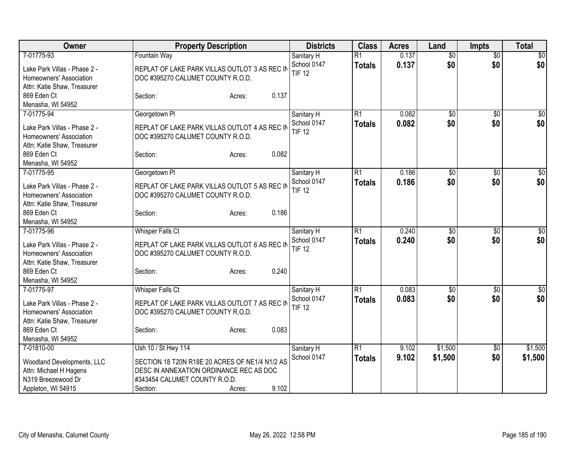| Owner                        | <b>Property Description</b>                    | <b>Districts</b>             | <b>Class</b>    | <b>Acres</b> | Land            | <b>Impts</b>    | <b>Total</b> |
|------------------------------|------------------------------------------------|------------------------------|-----------------|--------------|-----------------|-----------------|--------------|
| 7-01775-93                   | <b>Fountain Way</b>                            | Sanitary H                   | $\overline{R1}$ | 0.137        | $\overline{50}$ | $\sqrt{$0}$     | \$0          |
| Lake Park Villas - Phase 2 - | REPLAT OF LAKE PARK VILLAS OUTLOT 3 AS REC IN  | School 0147                  | <b>Totals</b>   | 0.137        | \$0             | \$0             | \$0          |
| Homeowners' Association      | DOC #395270 CALUMET COUNTY R.O.D.              | <b>TIF 12</b>                |                 |              |                 |                 |              |
| Attn: Katie Shaw, Treasurer  |                                                |                              |                 |              |                 |                 |              |
| 869 Eden Ct                  | 0.137<br>Section:<br>Acres:                    |                              |                 |              |                 |                 |              |
| Menasha, WI 54952            |                                                |                              |                 |              |                 |                 |              |
| 7-01775-94                   | Georgetown PI                                  | Sanitary H                   | $\overline{R1}$ | 0.082        | $\overline{50}$ | $\overline{50}$ | \$0          |
| Lake Park Villas - Phase 2 - | REPLAT OF LAKE PARK VILLAS OUTLOT 4 AS REC IN  | School 0147                  | <b>Totals</b>   | 0.082        | \$0             | \$0             | \$0          |
| Homeowners' Association      | DOC #395270 CALUMET COUNTY R.O.D.              | <b>TIF 12</b>                |                 |              |                 |                 |              |
| Attn: Katie Shaw, Treasurer  |                                                |                              |                 |              |                 |                 |              |
| 869 Eden Ct                  | 0.082<br>Section:<br>Acres:                    |                              |                 |              |                 |                 |              |
| Menasha, WI 54952            |                                                |                              |                 |              |                 |                 |              |
| 7-01775-95                   | Georgetown PI                                  | Sanitary H                   | $\overline{R1}$ | 0.186        | $\overline{50}$ | \$0             | $\sqrt{50}$  |
| Lake Park Villas - Phase 2 - | REPLAT OF LAKE PARK VILLAS OUTLOT 5 AS REC IN  | School 0147                  | <b>Totals</b>   | 0.186        | \$0             | \$0             | \$0          |
| Homeowners' Association      | DOC #395270 CALUMET COUNTY R.O.D.              | <b>TIF 12</b>                |                 |              |                 |                 |              |
| Attn: Katie Shaw, Treasurer  |                                                |                              |                 |              |                 |                 |              |
| 869 Eden Ct                  | 0.186<br>Section:<br>Acres:                    |                              |                 |              |                 |                 |              |
| Menasha, WI 54952            |                                                |                              |                 |              |                 |                 |              |
| 7-01775-96                   | <b>Whisper Falls Ct</b>                        | Sanitary H                   | $\overline{R1}$ | 0.240        | $\overline{50}$ | $\overline{50}$ | \$0          |
|                              |                                                | School 0147                  | <b>Totals</b>   | 0.240        | \$0             | \$0             | \$0          |
| Lake Park Villas - Phase 2 - | REPLAT OF LAKE PARK VILLAS OUTLOT 6 AS REC IN  | <b>TIF 12</b>                |                 |              |                 |                 |              |
| Homeowners' Association      | DOC #395270 CALUMET COUNTY R.O.D.              |                              |                 |              |                 |                 |              |
| Attn: Katie Shaw, Treasurer  |                                                |                              |                 |              |                 |                 |              |
| 869 Eden Ct                  | 0.240<br>Section:<br>Acres:                    |                              |                 |              |                 |                 |              |
| Menasha, WI 54952            |                                                |                              |                 |              |                 |                 |              |
| 7-01775-97                   | <b>Whisper Falls Ct</b>                        | Sanitary H                   | $\overline{R1}$ | 0.083        | $\overline{50}$ | $\sqrt[6]{}$    | $\sqrt{50}$  |
| Lake Park Villas - Phase 2 - | REPLAT OF LAKE PARK VILLAS OUTLOT 7 AS REC IN  | School 0147<br><b>TIF 12</b> | <b>Totals</b>   | 0.083        | \$0             | \$0             | \$0          |
| Homeowners' Association      | DOC #395270 CALUMET COUNTY R.O.D.              |                              |                 |              |                 |                 |              |
| Attn: Katie Shaw, Treasurer  |                                                |                              |                 |              |                 |                 |              |
| 869 Eden Ct                  | 0.083<br>Section:<br>Acres:                    |                              |                 |              |                 |                 |              |
| Menasha, WI 54952            |                                                |                              |                 |              |                 |                 |              |
| 7-01810-00                   | Ush 10 / St Hwy 114                            | Sanitary H                   | R1              | 9.102        | \$1,500         | \$0             | \$1,500      |
| Woodland Developments, LLC   | SECTION 18 T20N R18E 20 ACRES OF NE1/4 N1/2 AS | School 0147                  | <b>Totals</b>   | 9.102        | \$1,500         | \$0             | \$1,500      |
| Attn: Michael H Hagens       | DESC IN ANNEXATION ORDINANCE REC AS DOC        |                              |                 |              |                 |                 |              |
| N319 Breezewood Dr           | #343454 CALUMET COUNTY R.O.D.                  |                              |                 |              |                 |                 |              |
| Appleton, WI 54915           | 9.102<br>Section:<br>Acres:                    |                              |                 |              |                 |                 |              |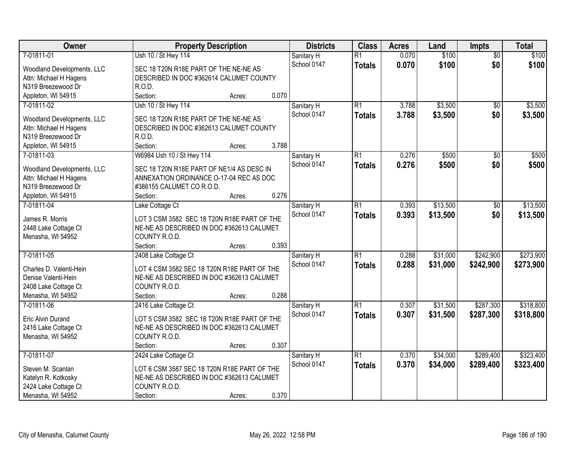| <b>Owner</b>                                 | <b>Property Description</b>                 |       | <b>Districts</b> | <b>Class</b>    | <b>Acres</b> | Land     | Impts           | <b>Total</b> |
|----------------------------------------------|---------------------------------------------|-------|------------------|-----------------|--------------|----------|-----------------|--------------|
| 7-01811-01                                   | Ush 10 / St Hwy 114                         |       | Sanitary H       | $\overline{R1}$ | 0.070        | \$100    | $\overline{50}$ | \$100        |
| Woodland Developments, LLC                   | SEC 18 T20N R18E PART OF THE NE-NE AS       |       | School 0147      | <b>Totals</b>   | 0.070        | \$100    | \$0             | \$100        |
| Attn: Michael H Hagens                       | DESCRIBED IN DOC #362614 CALUMET COUNTY     |       |                  |                 |              |          |                 |              |
| N319 Breezewood Dr                           | R.O.D.                                      |       |                  |                 |              |          |                 |              |
| Appleton, WI 54915                           | Section:<br>Acres:                          | 0.070 |                  |                 |              |          |                 |              |
| 7-01811-02                                   | Ush 10 / St Hwy 114                         |       | Sanitary H       | $\overline{R1}$ | 3.788        | \$3,500  | $\overline{50}$ | \$3,500      |
|                                              |                                             |       | School 0147      | <b>Totals</b>   | 3.788        | \$3,500  | \$0             | \$3,500      |
| Woodland Developments, LLC                   | SEC 18 T20N R18E PART OF THE NE-NE AS       |       |                  |                 |              |          |                 |              |
| Attn: Michael H Hagens                       | DESCRIBED IN DOC #362613 CALUMET COUNTY     |       |                  |                 |              |          |                 |              |
| N319 Breezewood Dr                           | R.O.D.                                      |       |                  |                 |              |          |                 |              |
| Appleton, WI 54915                           | Section:<br>Acres:                          | 3.788 |                  |                 |              |          |                 |              |
| 7-01811-03                                   | W6984 Ush 10 / St Hwy 114                   |       | Sanitary H       | R1              | 0.276        | \$500    | $\sqrt[6]{}$    | \$500        |
|                                              | SEC 18 T20N R18E PART OF NE1/4 AS DESC IN   |       | School 0147      | <b>Totals</b>   | 0.276        | \$500    | \$0             | \$500        |
| Woodland Developments, LLC                   |                                             |       |                  |                 |              |          |                 |              |
| Attn: Michael H Hagens<br>N319 Breezewood Dr | ANNEXATION ORDINANCE O-17-04 REC AS DOC     |       |                  |                 |              |          |                 |              |
|                                              | #386155 CALUMET CO R.O.D.                   | 0.276 |                  |                 |              |          |                 |              |
| Appleton, WI 54915                           | Section:<br>Acres:                          |       |                  |                 |              |          |                 |              |
| 7-01811-04                                   | Lake Cottage Ct                             |       | Sanitary H       | R1              | 0.393        | \$13,500 | \$0             | \$13,500     |
| James R. Morris                              | LOT 3 CSM 3582 SEC 18 T20N R18E PART OF THE |       | School 0147      | <b>Totals</b>   | 0.393        | \$13,500 | \$0             | \$13,500     |
| 2448 Lake Cottage Ct                         | NE-NE AS DESCRIBED IN DOC #362613 CALUMET   |       |                  |                 |              |          |                 |              |
| Menasha, WI 54952                            | COUNTY R.O.D.                               |       |                  |                 |              |          |                 |              |
|                                              | Section:<br>Acres:                          | 0.393 |                  |                 |              |          |                 |              |
| 7-01811-05                                   | 2408 Lake Cottage Ct                        |       | Sanitary H       | $\overline{R1}$ | 0.288        | \$31,000 | \$242,900       | \$273,900    |
|                                              |                                             |       | School 0147      | <b>Totals</b>   | 0.288        | \$31,000 | \$242,900       | \$273,900    |
| Charles D. Valenti-Hein                      | LOT 4 CSM 3582 SEC 18 T20N R18E PART OF THE |       |                  |                 |              |          |                 |              |
| Denise Valenti-Hein                          | NE-NE AS DESCRIBED IN DOC #362613 CALUMET   |       |                  |                 |              |          |                 |              |
| 2408 Lake Cottage Ct                         | COUNTY R.O.D.                               |       |                  |                 |              |          |                 |              |
| Menasha, WI 54952                            | Section:<br>Acres:                          | 0.288 |                  |                 |              |          |                 |              |
| 7-01811-06                                   | 2416 Lake Cottage Ct                        |       | Sanitary H       | $\overline{R1}$ | 0.307        | \$31,500 | \$287,300       | \$318,800    |
| Eric Alvin Durand                            | LOT 5 CSM 3582 SEC 18 T20N R18E PART OF THE |       | School 0147      | <b>Totals</b>   | 0.307        | \$31,500 | \$287,300       | \$318,800    |
| 2416 Lake Cottage Ct                         | NE-NE AS DESCRIBED IN DOC #362613 CALUMET   |       |                  |                 |              |          |                 |              |
| Menasha, WI 54952                            | COUNTY R.O.D.                               |       |                  |                 |              |          |                 |              |
|                                              | Section:<br>Acres:                          | 0.307 |                  |                 |              |          |                 |              |
| 7-01811-07                                   | 2424 Lake Cottage Ct                        |       | Sanitary H       | $\overline{R1}$ | 0.370        | \$34,000 | \$289,400       | \$323,400    |
|                                              |                                             |       | School 0147      | <b>Totals</b>   | 0.370        | \$34,000 | \$289,400       | \$323,400    |
| Steven M. Scanlan                            | LOT 6 CSM 3587 SEC 18 T20N R18E PART OF THE |       |                  |                 |              |          |                 |              |
| Katelyn R. Kotkosky                          | NE-NE AS DESCRIBED IN DOC #362613 CALUMET   |       |                  |                 |              |          |                 |              |
| 2424 Lake Cottage Ct                         | COUNTY R.O.D.                               |       |                  |                 |              |          |                 |              |
| Menasha, WI 54952                            | Section:<br>Acres:                          | 0.370 |                  |                 |              |          |                 |              |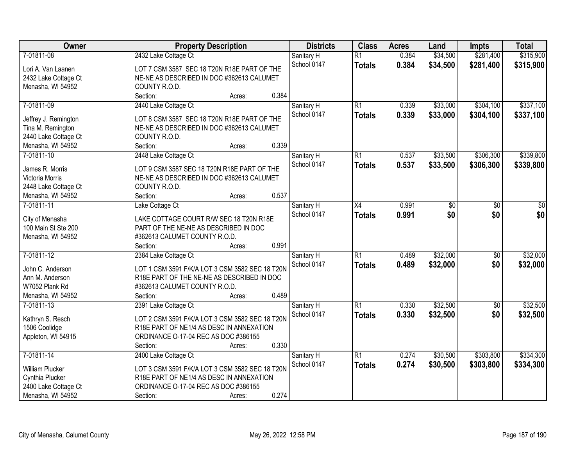| <b>Owner</b>         | <b>Property Description</b>                     | <b>Districts</b> | <b>Class</b>    | <b>Acres</b> | Land     | <b>Impts</b>    | <b>Total</b> |
|----------------------|-------------------------------------------------|------------------|-----------------|--------------|----------|-----------------|--------------|
| 7-01811-08           | 2432 Lake Cottage Ct                            | Sanitary H       | $\overline{R1}$ | 0.384        | \$34,500 | \$281,400       | \$315,900    |
| Lori A. Van Laanen   | LOT 7 CSM 3587 SEC 18 T20N R18E PART OF THE     | School 0147      | <b>Totals</b>   | 0.384        | \$34,500 | \$281,400       | \$315,900    |
| 2432 Lake Cottage Ct | NE-NE AS DESCRIBED IN DOC #362613 CALUMET       |                  |                 |              |          |                 |              |
| Menasha, WI 54952    | COUNTY R.O.D.                                   |                  |                 |              |          |                 |              |
|                      | 0.384<br>Section:<br>Acres:                     |                  |                 |              |          |                 |              |
| 7-01811-09           | 2440 Lake Cottage Ct                            | Sanitary H       | $\overline{R1}$ | 0.339        | \$33,000 | \$304,100       | \$337,100    |
|                      |                                                 | School 0147      | <b>Totals</b>   | 0.339        | \$33,000 | \$304,100       | \$337,100    |
| Jeffrey J. Remington | LOT 8 CSM 3587 SEC 18 T20N R18E PART OF THE     |                  |                 |              |          |                 |              |
| Tina M. Remington    | NE-NE AS DESCRIBED IN DOC #362613 CALUMET       |                  |                 |              |          |                 |              |
| 2440 Lake Cottage Ct | COUNTY R.O.D.                                   |                  |                 |              |          |                 |              |
| Menasha, WI 54952    | 0.339<br>Section:<br>Acres:                     |                  |                 |              |          |                 |              |
| 7-01811-10           | 2448 Lake Cottage Ct                            | Sanitary H       | $\overline{R1}$ | 0.537        | \$33,500 | \$306,300       | \$339,800    |
| James R. Morris      | LOT 9 CSM 3587 SEC 18 T20N R18E PART OF THE     | School 0147      | <b>Totals</b>   | 0.537        | \$33,500 | \$306,300       | \$339,800    |
| Victoria Morris      | NE-NE AS DESCRIBED IN DOC #362613 CALUMET       |                  |                 |              |          |                 |              |
| 2448 Lake Cottage Ct | COUNTY R.O.D.                                   |                  |                 |              |          |                 |              |
| Menasha, WI 54952    | 0.537<br>Section:<br>Acres:                     |                  |                 |              |          |                 |              |
| 7-01811-11           | Lake Cottage Ct                                 | Sanitary H       | X4              | 0.991        | \$0      | \$0             | \$0          |
|                      |                                                 | School 0147      | <b>Totals</b>   | 0.991        | \$0      | \$0             | \$0          |
| City of Menasha      | LAKE COTTAGE COURT R/W SEC 18 T20N R18E         |                  |                 |              |          |                 |              |
| 100 Main St Ste 200  | PART OF THE NE-NE AS DESCRIBED IN DOC           |                  |                 |              |          |                 |              |
| Menasha, WI 54952    | #362613 CALUMET COUNTY R.O.D.                   |                  |                 |              |          |                 |              |
|                      | 0.991<br>Section:<br>Acres:                     |                  |                 |              |          |                 |              |
| 7-01811-12           | 2384 Lake Cottage Ct                            | Sanitary H       | $\overline{R1}$ | 0.489        | \$32,000 | $\overline{50}$ | \$32,000     |
| John C. Anderson     | LOT 1 CSM 3591 F/K/A LOT 3 CSM 3582 SEC 18 T20N | School 0147      | <b>Totals</b>   | 0.489        | \$32,000 | \$0             | \$32,000     |
|                      |                                                 |                  |                 |              |          |                 |              |
| Ann M. Anderson      | R18E PART OF THE NE-NE AS DESCRIBED IN DOC      |                  |                 |              |          |                 |              |
| W7052 Plank Rd       | #362613 CALUMET COUNTY R.O.D.                   |                  |                 |              |          |                 |              |
| Menasha, WI 54952    | 0.489<br>Section:<br>Acres:                     |                  |                 |              |          |                 |              |
| 7-01811-13           | 2391 Lake Cottage Ct                            | Sanitary H       | $\overline{R1}$ | 0.330        | \$32,500 | $\overline{50}$ | \$32,500     |
| Kathryn S. Resch     | LOT 2 CSM 3591 F/K/A LOT 3 CSM 3582 SEC 18 T20N | School 0147      | <b>Totals</b>   | 0.330        | \$32,500 | \$0             | \$32,500     |
| 1506 Coolidge        | R18E PART OF NE1/4 AS DESC IN ANNEXATION        |                  |                 |              |          |                 |              |
| Appleton, WI 54915   | ORDINANCE O-17-04 REC AS DOC #386155            |                  |                 |              |          |                 |              |
|                      | 0.330<br>Section:<br>Acres:                     |                  |                 |              |          |                 |              |
| 7-01811-14           | 2400 Lake Cottage Ct                            | Sanitary H       | $\overline{R1}$ | 0.274        | \$30,500 | \$303,800       | \$334,300    |
|                      |                                                 | School 0147      | <b>Totals</b>   | 0.274        | \$30,500 | \$303,800       | \$334,300    |
| William Plucker      | LOT 3 CSM 3591 F/K/A LOT 3 CSM 3582 SEC 18 T20N |                  |                 |              |          |                 |              |
| Cynthia Plucker      | R18E PART OF NE1/4 AS DESC IN ANNEXATION        |                  |                 |              |          |                 |              |
| 2400 Lake Cottage Ct | ORDINANCE O-17-04 REC AS DOC #386155            |                  |                 |              |          |                 |              |
| Menasha, WI 54952    | 0.274<br>Section:<br>Acres:                     |                  |                 |              |          |                 |              |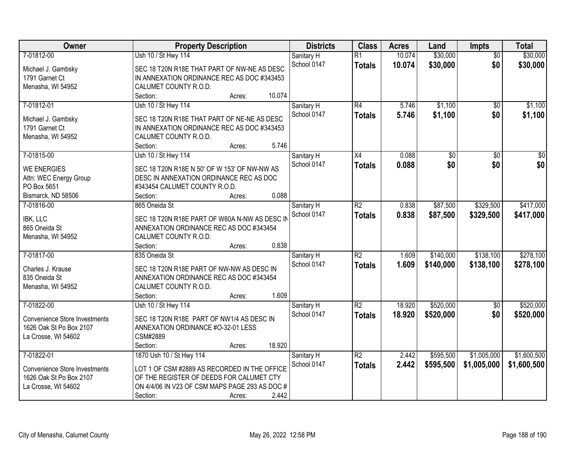| <b>Owner</b>                         | <b>Property Description</b>                                      | <b>Districts</b>          | <b>Class</b>    | <b>Acres</b> | Land      | <b>Impts</b>    | <b>Total</b> |
|--------------------------------------|------------------------------------------------------------------|---------------------------|-----------------|--------------|-----------|-----------------|--------------|
| 7-01812-00                           | Ush 10 / St Hwy 114                                              | Sanitary H                | $\overline{R1}$ | 10.074       | \$30,000  | $\overline{50}$ | \$30,000     |
| Michael J. Gambsky                   | SEC 18 T20N R18E THAT PART OF NW-NE AS DESC                      | School 0147               | <b>Totals</b>   | 10.074       | \$30,000  | \$0             | \$30,000     |
| 1791 Garnet Ct                       | IN ANNEXATION ORDINANCE REC AS DOC #343453                       |                           |                 |              |           |                 |              |
| Menasha, WI 54952                    | CALUMET COUNTY R.O.D.                                            |                           |                 |              |           |                 |              |
|                                      | 10.074<br>Section:<br>Acres:                                     |                           |                 |              |           |                 |              |
| 7-01812-01                           | Ush 10 / St Hwy 114                                              | Sanitary H                | R4              | 5.746        | \$1,100   | $\overline{50}$ | \$1,100      |
|                                      |                                                                  | School 0147               | <b>Totals</b>   | 5.746        | \$1,100   | \$0             | \$1,100      |
| Michael J. Gambsky                   | SEC 18 T20N R18E THAT PART OF NE-NE AS DESC                      |                           |                 |              |           |                 |              |
| 1791 Garnet Ct                       | IN ANNEXATION ORDINANCE REC AS DOC #343453                       |                           |                 |              |           |                 |              |
| Menasha, WI 54952                    | CALUMET COUNTY R.O.D.                                            |                           |                 |              |           |                 |              |
|                                      | 5.746<br>Section:<br>Acres:                                      |                           |                 |              |           |                 |              |
| 7-01815-00                           | Ush 10 / St Hwy 114                                              | Sanitary H                | X4              | 0.088        | \$0       | \$0             | \$0          |
| <b>WE ENERGIES</b>                   | SEC 18 T20N R18E N 50' OF W 153' OF NW-NW AS                     | School 0147               | <b>Totals</b>   | 0.088        | \$0       | \$0             | \$0          |
| Attn: WEC Energy Group               | DESC IN ANNEXATION ORDINANCE REC AS DOC                          |                           |                 |              |           |                 |              |
| PO Box 5651                          | #343454 CALUMET COUNTY R.O.D.                                    |                           |                 |              |           |                 |              |
| Bismarck, ND 58506                   | 0.088<br>Section:<br>Acres:                                      |                           |                 |              |           |                 |              |
| 7-01816-00                           | 865 Oneida St                                                    | Sanitary H                | $\overline{R2}$ | 0.838        | \$87,500  | \$329,500       | \$417,000    |
|                                      |                                                                  | School 0147               | <b>Totals</b>   | 0.838        | \$87,500  | \$329,500       | \$417,000    |
| IBK, LLC<br>865 Oneida St            | SEC 18 T20N R18E PART OF W60A N-NW AS DESC IN                    |                           |                 |              |           |                 |              |
|                                      | ANNEXATION ORDINANCE REC AS DOC #343454<br>CALUMET COUNTY R.O.D. |                           |                 |              |           |                 |              |
| Menasha, WI 54952                    | 0.838<br>Section:                                                |                           |                 |              |           |                 |              |
| 7-01817-00                           | Acres:<br>835 Oneida St                                          |                           | $\overline{R2}$ | 1.609        | \$140,000 | \$138,100       | \$278,100    |
|                                      |                                                                  | Sanitary H<br>School 0147 |                 |              |           |                 |              |
| Charles J. Krause                    | SEC 18 T20N R18E PART OF NW-NW AS DESC IN                        |                           | Totals          | 1.609        | \$140,000 | \$138,100       | \$278,100    |
| 835 Oneida St                        | ANNEXATION ORDINANCE REC AS DOC #343454                          |                           |                 |              |           |                 |              |
| Menasha, WI 54952                    | CALUMET COUNTY R.O.D.                                            |                           |                 |              |           |                 |              |
|                                      | 1.609<br>Section:<br>Acres:                                      |                           |                 |              |           |                 |              |
| 7-01822-00                           | Ush 10 / St Hwy 114                                              | Sanitary H                | R2              | 18.920       | \$520,000 | $\sqrt{$0}$     | \$520,000    |
| <b>Convenience Store Investments</b> | SEC 18 T20N R18E PART OF NW1/4 AS DESC IN                        | School 0147               | <b>Totals</b>   | 18.920       | \$520,000 | \$0             | \$520,000    |
| 1626 Oak St Po Box 2107              | ANNEXATION ORDINANCE #0-32-01 LESS                               |                           |                 |              |           |                 |              |
| La Crosse, WI 54602                  | CSM#2889                                                         |                           |                 |              |           |                 |              |
|                                      | 18.920<br>Section:<br>Acres:                                     |                           |                 |              |           |                 |              |
| 7-01822-01                           | 1870 Ush 10 / St Hwy 114                                         | Sanitary H                | $\overline{R2}$ | 2.442        | \$595,500 | \$1,005,000     | \$1,600,500  |
|                                      |                                                                  | School 0147               | <b>Totals</b>   | 2.442        | \$595,500 | \$1,005,000     | \$1,600,500  |
| <b>Convenience Store Investments</b> | LOT 1 OF CSM #2889 AS RECORDED IN THE OFFICE                     |                           |                 |              |           |                 |              |
| 1626 Oak St Po Box 2107              | OF THE REGISTER OF DEEDS FOR CALUMET CTY                         |                           |                 |              |           |                 |              |
| La Crosse, WI 54602                  | ON 4/4/06 IN V23 OF CSM MAPS PAGE 293 AS DOC #                   |                           |                 |              |           |                 |              |
|                                      | 2.442<br>Section:<br>Acres:                                      |                           |                 |              |           |                 |              |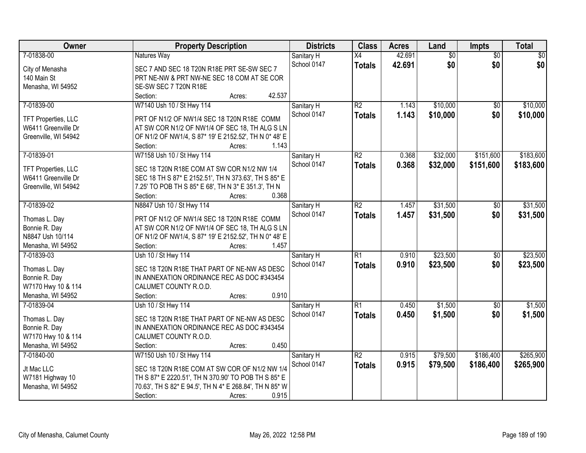| <b>Owner</b>               | <b>Property Description</b>                             | <b>Districts</b> | <b>Class</b>    | <b>Acres</b> | Land            | Impts           | <b>Total</b>    |
|----------------------------|---------------------------------------------------------|------------------|-----------------|--------------|-----------------|-----------------|-----------------|
| 7-01838-00                 | Natures Way                                             | Sanitary H       | $\overline{X4}$ | 42.691       | $\overline{60}$ | $\overline{30}$ | $\overline{50}$ |
| City of Menasha            | SEC 7 AND SEC 18 T20N R18E PRT SE-SW SEC 7              | School 0147      | <b>Totals</b>   | 42.691       | \$0             | \$0             | \$0             |
| 140 Main St                | PRT NE-NW & PRT NW-NE SEC 18 COM AT SE COR              |                  |                 |              |                 |                 |                 |
| Menasha, WI 54952          | SE-SW SEC 7 T20N R18E                                   |                  |                 |              |                 |                 |                 |
|                            | 42.537<br>Section:<br>Acres:                            |                  |                 |              |                 |                 |                 |
| 7-01839-00                 | W7140 Ush 10 / St Hwy 114                               | Sanitary H       | $\overline{R2}$ | 1.143        | \$10,000        | $\overline{50}$ | \$10,000        |
|                            |                                                         | School 0147      | <b>Totals</b>   | 1.143        | \$10,000        | \$0             | \$10,000        |
| <b>TFT Properties, LLC</b> | PRT OF N1/2 OF NW1/4 SEC 18 T20N R18E COMM              |                  |                 |              |                 |                 |                 |
| W6411 Greenville Dr        | AT SW COR N1/2 OF NW1/4 OF SEC 18, TH ALG S LN          |                  |                 |              |                 |                 |                 |
| Greenville, WI 54942       | OF N1/2 OF NW1/4, S 87* 19' E 2152.52', TH N 0* 48' E   |                  |                 |              |                 |                 |                 |
|                            | Section:<br>1.143<br>Acres:                             |                  |                 |              |                 |                 |                 |
| 7-01839-01                 | W7158 Ush 10 / St Hwy 114                               | Sanitary H       | $\overline{R2}$ | 0.368        | \$32,000        | \$151,600       | \$183,600       |
| TFT Properties, LLC        | SEC 18 T20N R18E COM AT SW COR N1/2 NW 1/4              | School 0147      | <b>Totals</b>   | 0.368        | \$32,000        | \$151,600       | \$183,600       |
| W6411 Greenville Dr        | SEC 18 TH S 87* E 2152.51', TH N 373.63', TH S 85* E    |                  |                 |              |                 |                 |                 |
| Greenville, WI 54942       | 7.25' TO POB TH S 85* E 68', TH N 3* E 351.3', TH N     |                  |                 |              |                 |                 |                 |
|                            | Section:<br>0.368<br>Acres:                             |                  |                 |              |                 |                 |                 |
| 7-01839-02                 | N8847 Ush 10 / St Hwy 114                               | Sanitary H       | $\overline{R2}$ | 1.457        | \$31,500        | \$0             | \$31,500        |
|                            |                                                         | School 0147      | <b>Totals</b>   | 1.457        | \$31,500        | \$0             | \$31,500        |
| Thomas L. Day              | PRT OF N1/2 OF NW1/4 SEC 18 T20N R18E COMM              |                  |                 |              |                 |                 |                 |
| Bonnie R. Day              | AT SW COR N1/2 OF NW1/4 OF SEC 18, TH ALG S LN          |                  |                 |              |                 |                 |                 |
| N8847 Ush 10/114           | OF N1/2 OF NW1/4, S 87* 19' E 2152.52', TH N 0* 48' E   |                  |                 |              |                 |                 |                 |
| Menasha, WI 54952          | 1.457<br>Section:<br>Acres:                             |                  |                 |              |                 |                 |                 |
| 7-01839-03                 | Ush 10 / St Hwy 114                                     | Sanitary H       | $\overline{R1}$ | 0.910        | \$23,500        | $\overline{50}$ | \$23,500        |
| Thomas L. Day              | SEC 18 T20N R18E THAT PART OF NE-NW AS DESC             | School 0147      | <b>Totals</b>   | 0.910        | \$23,500        | \$0             | \$23,500        |
| Bonnie R. Day              | IN ANNEXATION ORDINANCE REC AS DOC #343454              |                  |                 |              |                 |                 |                 |
| W7170 Hwy 10 & 114         | CALUMET COUNTY R.O.D.                                   |                  |                 |              |                 |                 |                 |
| Menasha, WI 54952          | 0.910<br>Section:<br>Acres:                             |                  |                 |              |                 |                 |                 |
| 7-01839-04                 | Ush 10 / St Hwy 114                                     | Sanitary H       | $\overline{R1}$ | 0.450        | \$1,500         | $\overline{50}$ | \$1,500         |
|                            |                                                         | School 0147      | <b>Totals</b>   | 0.450        | \$1,500         | \$0             | \$1,500         |
| Thomas L. Day              | SEC 18 T20N R18E THAT PART OF NE-NW AS DESC             |                  |                 |              |                 |                 |                 |
| Bonnie R. Day              | IN ANNEXATION ORDINANCE REC AS DOC #343454              |                  |                 |              |                 |                 |                 |
| W7170 Hwy 10 & 114         | CALUMET COUNTY R.O.D.                                   |                  |                 |              |                 |                 |                 |
| Menasha, WI 54952          | 0.450<br>Section:<br>Acres:                             |                  |                 |              |                 |                 |                 |
| 7-01840-00                 | W7150 Ush 10 / St Hwy 114                               | Sanitary H       | $\overline{R2}$ | 0.915        | \$79,500        | \$186,400       | \$265,900       |
| Jt Mac LLC                 | SEC 18 T20N R18E COM AT SW COR OF N1/2 NW 1/4           | School 0147      | <b>Totals</b>   | 0.915        | \$79,500        | \$186,400       | \$265,900       |
| W7181 Highway 10           | TH S 87* E 2220.51', TH N 370.90' TO POB TH S 85* E     |                  |                 |              |                 |                 |                 |
| Menasha, WI 54952          | 70.63', TH S 82* E 94.5', TH N 4* E 268.84', TH N 85* W |                  |                 |              |                 |                 |                 |
|                            | 0.915<br>Section:<br>Acres:                             |                  |                 |              |                 |                 |                 |